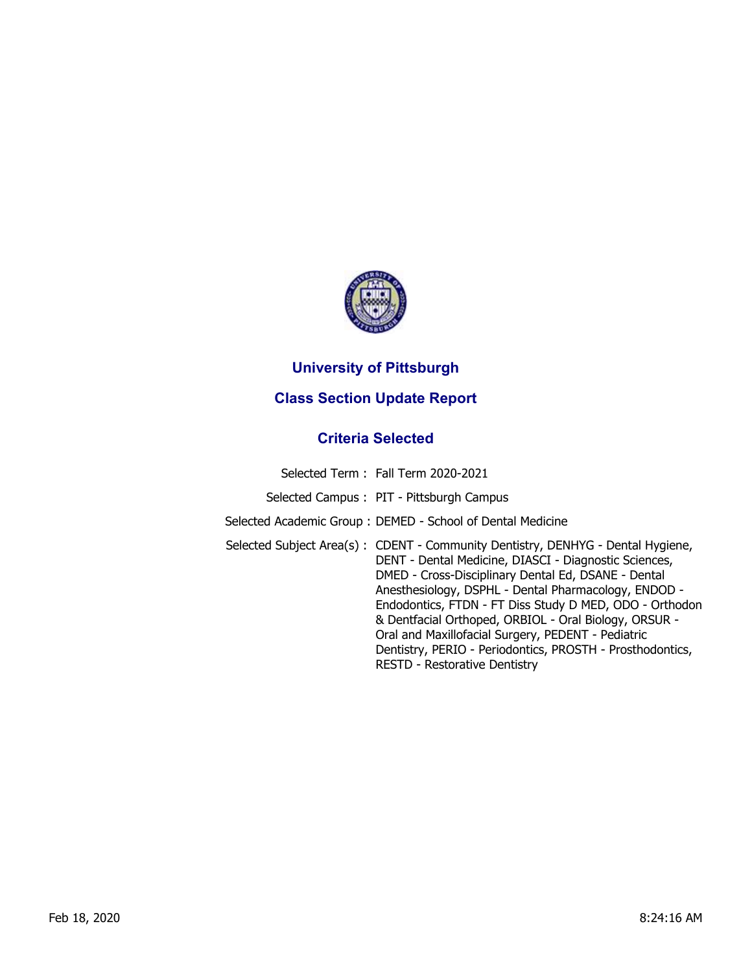

## **University of Pittsburgh**

## **Class Section Update Report**

## **Criteria Selected**

| Selected Term: Fall Term 2020-2021                                                                                                                                                                                                                                                                                                                                                                                                                                                                                                     |
|----------------------------------------------------------------------------------------------------------------------------------------------------------------------------------------------------------------------------------------------------------------------------------------------------------------------------------------------------------------------------------------------------------------------------------------------------------------------------------------------------------------------------------------|
| Selected Campus: PIT - Pittsburgh Campus                                                                                                                                                                                                                                                                                                                                                                                                                                                                                               |
| Selected Academic Group: DEMED - School of Dental Medicine                                                                                                                                                                                                                                                                                                                                                                                                                                                                             |
| Selected Subject Area(s): CDENT - Community Dentistry, DENHYG - Dental Hygiene,<br>DENT - Dental Medicine, DIASCI - Diagnostic Sciences,<br>DMED - Cross-Disciplinary Dental Ed, DSANE - Dental<br>Anesthesiology, DSPHL - Dental Pharmacology, ENDOD -<br>Endodontics, FTDN - FT Diss Study D MED, ODO - Orthodon<br>& Dentfacial Orthoped, ORBIOL - Oral Biology, ORSUR -<br>Oral and Maxillofacial Surgery, PEDENT - Pediatric<br>Dentistry, PERIO - Periodontics, PROSTH - Prosthodontics,<br><b>RESTD - Restorative Dentistry</b> |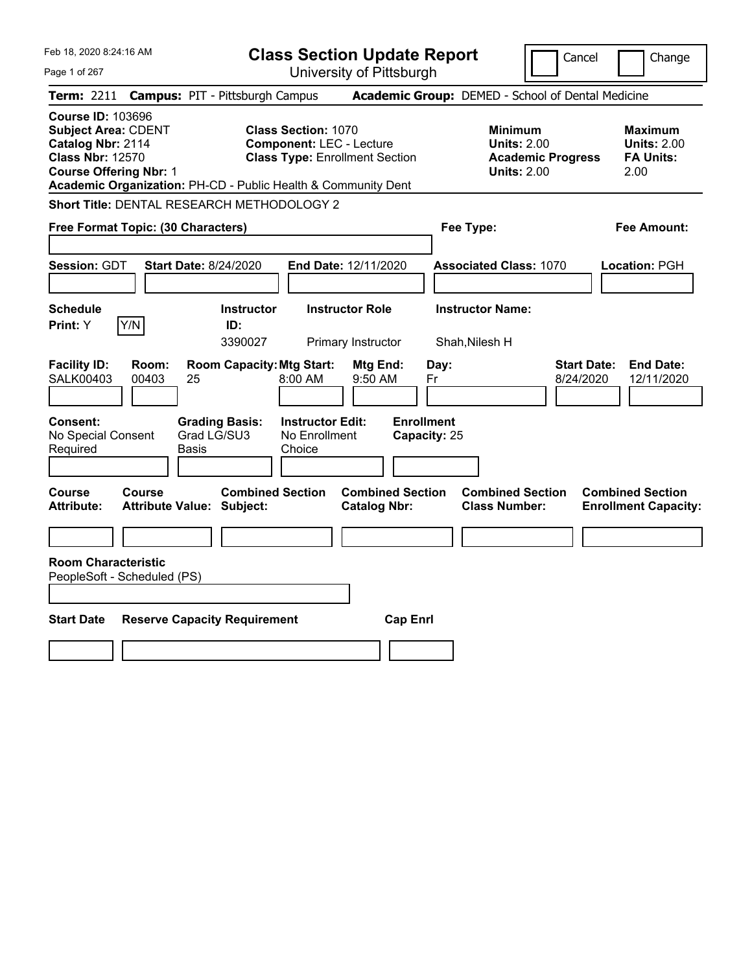| Feb 18, 2020 8:24:16 AM                                                                                                                 | <b>Class Section Update Report</b>                                                                                                                                      | Cancel                                                                                                                                              | Change |
|-----------------------------------------------------------------------------------------------------------------------------------------|-------------------------------------------------------------------------------------------------------------------------------------------------------------------------|-----------------------------------------------------------------------------------------------------------------------------------------------------|--------|
| Page 1 of 267                                                                                                                           | University of Pittsburgh                                                                                                                                                |                                                                                                                                                     |        |
| <b>Term: 2211</b>                                                                                                                       | <b>Campus: PIT - Pittsburgh Campus</b>                                                                                                                                  | Academic Group: DEMED - School of Dental Medicine                                                                                                   |        |
| <b>Course ID: 103696</b><br><b>Subject Area: CDENT</b><br>Catalog Nbr: 2114<br><b>Class Nbr: 12570</b><br><b>Course Offering Nbr: 1</b> | <b>Class Section: 1070</b><br><b>Component: LEC - Lecture</b><br><b>Class Type: Enrollment Section</b><br>Academic Organization: PH-CD - Public Health & Community Dent | <b>Minimum</b><br>Maximum<br><b>Units: 2.00</b><br><b>Units: 2.00</b><br><b>FA Units:</b><br><b>Academic Progress</b><br><b>Units: 2.00</b><br>2.00 |        |
|                                                                                                                                         | <b>Short Title: DENTAL RESEARCH METHODOLOGY 2</b>                                                                                                                       |                                                                                                                                                     |        |
| Free Format Topic: (30 Characters)                                                                                                      |                                                                                                                                                                         | Fee Type:<br>Fee Amount:                                                                                                                            |        |
| Session: GDT                                                                                                                            | <b>Start Date: 8/24/2020</b><br>End Date: 12/11/2020                                                                                                                    | <b>Associated Class: 1070</b><br>Location: PGH                                                                                                      |        |
| <b>Schedule</b><br>Print: Y<br>Y/N                                                                                                      | <b>Instructor Role</b><br><b>Instructor</b><br>ID:<br>3390027<br>Primary Instructor                                                                                     | <b>Instructor Name:</b><br>Shah, Nilesh H                                                                                                           |        |
| <b>Facility ID:</b><br>Room:<br><b>SALK00403</b><br>00403                                                                               | <b>Room Capacity: Mtg Start:</b><br>Mtg End:<br>25<br>$8:00$ AM<br>9:50 AM                                                                                              | <b>Start Date:</b><br><b>End Date:</b><br>Day:<br>8/24/2020<br>Fr<br>12/11/2020                                                                     |        |
| Consent:<br>No Special Consent<br>Required                                                                                              | <b>Instructor Edit:</b><br><b>Grading Basis:</b><br>Grad LG/SU3<br>No Enrollment<br><b>Basis</b><br>Choice                                                              | <b>Enrollment</b><br>Capacity: 25                                                                                                                   |        |
| Course<br>Course<br>Attribute:                                                                                                          | <b>Combined Section</b><br><b>Combined Section</b><br><b>Attribute Value: Subject:</b><br><b>Catalog Nbr:</b>                                                           | <b>Combined Section</b><br><b>Combined Section</b><br><b>Class Number:</b><br><b>Enrollment Capacity:</b>                                           |        |
|                                                                                                                                         |                                                                                                                                                                         |                                                                                                                                                     |        |
| <b>Room Characteristic</b><br>PeopleSoft - Scheduled (PS)                                                                               |                                                                                                                                                                         |                                                                                                                                                     |        |
| <b>Start Date</b>                                                                                                                       | <b>Reserve Capacity Requirement</b>                                                                                                                                     | <b>Cap Enrl</b>                                                                                                                                     |        |
|                                                                                                                                         |                                                                                                                                                                         |                                                                                                                                                     |        |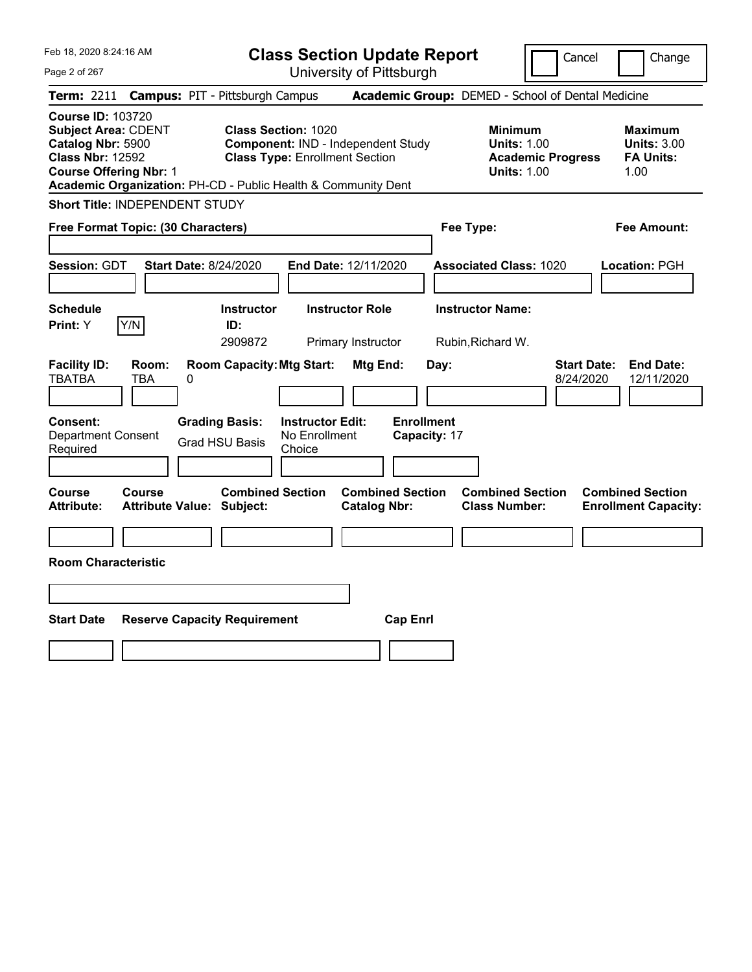| Feb 18, 2020 8:24:16 AM |  |
|-------------------------|--|
|                         |  |

| Class Section Update Report |  |
|-----------------------------|--|
| University of Pittsburgh    |  |

Cancel Change

Page 2 of 267

|                                                                                                                                         | Term: 2211 Campus: PIT - Pittsburgh Campus                                                                                                                                 |                                                | Academic Group: DEMED - School of Dental Medicine                                      |                                                                  |
|-----------------------------------------------------------------------------------------------------------------------------------------|----------------------------------------------------------------------------------------------------------------------------------------------------------------------------|------------------------------------------------|----------------------------------------------------------------------------------------|------------------------------------------------------------------|
| <b>Course ID: 103720</b><br><b>Subject Area: CDENT</b><br>Catalog Nbr: 5900<br><b>Class Nbr: 12592</b><br><b>Course Offering Nbr: 1</b> | <b>Class Section: 1020</b><br>Component: IND - Independent Study<br><b>Class Type: Enrollment Section</b><br>Academic Organization: PH-CD - Public Health & Community Dent |                                                | <b>Minimum</b><br><b>Units: 1.00</b><br><b>Academic Progress</b><br><b>Units: 1.00</b> | <b>Maximum</b><br><b>Units: 3.00</b><br><b>FA Units:</b><br>1.00 |
| Short Title: INDEPENDENT STUDY                                                                                                          |                                                                                                                                                                            |                                                |                                                                                        |                                                                  |
| Free Format Topic: (30 Characters)                                                                                                      |                                                                                                                                                                            |                                                | Fee Type:                                                                              | Fee Amount:                                                      |
| Session: GDT                                                                                                                            | <b>Start Date: 8/24/2020</b>                                                                                                                                               | End Date: 12/11/2020                           | <b>Associated Class: 1020</b>                                                          | Location: PGH                                                    |
| <b>Schedule</b><br>Y/N<br>Print: Y                                                                                                      | Instructor<br>ID:<br>2909872                                                                                                                                               | <b>Instructor Role</b><br>Primary Instructor   | <b>Instructor Name:</b><br>Rubin, Richard W.                                           |                                                                  |
| <b>Facility ID:</b><br>Room:<br><b>TBATBA</b><br><b>TBA</b>                                                                             | <b>Room Capacity: Mtg Start:</b><br>0                                                                                                                                      | Mtg End:                                       | <b>Start Date:</b><br>Day:<br>8/24/2020                                                | <b>End Date:</b><br>12/11/2020                                   |
| Consent:<br><b>Department Consent</b><br>Required                                                                                       | <b>Instructor Edit:</b><br><b>Grading Basis:</b><br>No Enrollment<br><b>Grad HSU Basis</b><br>Choice                                                                       | <b>Enrollment</b><br>Capacity: 17              |                                                                                        |                                                                  |
| Course<br>Course<br>Attribute:                                                                                                          | <b>Combined Section</b><br><b>Attribute Value: Subject:</b>                                                                                                                | <b>Combined Section</b><br><b>Catalog Nbr:</b> | <b>Combined Section</b><br><b>Class Number:</b>                                        | <b>Combined Section</b><br><b>Enrollment Capacity:</b>           |
| <b>Room Characteristic</b>                                                                                                              |                                                                                                                                                                            |                                                |                                                                                        |                                                                  |
| <b>Start Date</b>                                                                                                                       | <b>Reserve Capacity Requirement</b>                                                                                                                                        | <b>Cap Enrl</b>                                |                                                                                        |                                                                  |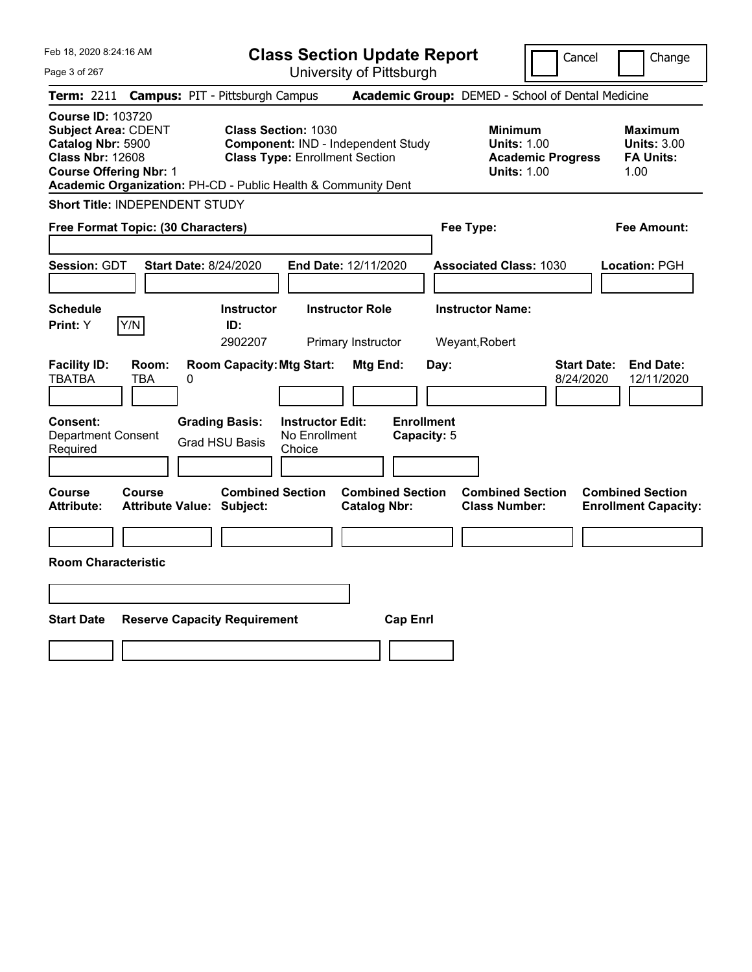|  | Feb 18, 2020 8:24:16 AM |  |
|--|-------------------------|--|
|  |                         |  |

**Class Section Update Report** University of Pittsburgh

Cancel Change

Page 3 of 267

|                                                                                                                                         |               | Term: 2211 Campus: PIT - Pittsburgh Campus                                              |                                                                                                                  |                                                |                                  |      | Academic Group: DEMED - School of Dental Medicine                                      |                                 |                                                                  |
|-----------------------------------------------------------------------------------------------------------------------------------------|---------------|-----------------------------------------------------------------------------------------|------------------------------------------------------------------------------------------------------------------|------------------------------------------------|----------------------------------|------|----------------------------------------------------------------------------------------|---------------------------------|------------------------------------------------------------------|
| <b>Course ID: 103720</b><br><b>Subject Area: CDENT</b><br>Catalog Nbr: 5900<br><b>Class Nbr: 12608</b><br><b>Course Offering Nbr: 1</b> |               | Academic Organization: PH-CD - Public Health & Community Dent                           | <b>Class Section: 1030</b><br><b>Component: IND - Independent Study</b><br><b>Class Type: Enrollment Section</b> |                                                |                                  |      | <b>Minimum</b><br><b>Units: 1.00</b><br><b>Academic Progress</b><br><b>Units: 1.00</b> |                                 | <b>Maximum</b><br><b>Units: 3.00</b><br><b>FA Units:</b><br>1.00 |
| <b>Short Title: INDEPENDENT STUDY</b>                                                                                                   |               |                                                                                         |                                                                                                                  |                                                |                                  |      |                                                                                        |                                 |                                                                  |
| Free Format Topic: (30 Characters)                                                                                                      |               |                                                                                         |                                                                                                                  |                                                |                                  |      | Fee Type:                                                                              |                                 | Fee Amount:                                                      |
| Session: GDT                                                                                                                            |               | <b>Start Date: 8/24/2020</b>                                                            | End Date: 12/11/2020                                                                                             |                                                |                                  |      | <b>Associated Class: 1030</b>                                                          |                                 | Location: PGH                                                    |
| <b>Schedule</b><br><b>Print:</b> Y                                                                                                      | Y/N           | Instructor<br>ID:<br>2902207                                                            |                                                                                                                  | <b>Instructor Role</b><br>Primary Instructor   |                                  |      | <b>Instructor Name:</b><br>Weyant, Robert                                              |                                 |                                                                  |
| <b>Facility ID:</b><br><b>TBATBA</b><br><b>Consent:</b><br><b>Department Consent</b><br>Required                                        | Room:<br>TBA  | <b>Room Capacity: Mtg Start:</b><br>0<br><b>Grading Basis:</b><br><b>Grad HSU Basis</b> | <b>Instructor Edit:</b><br>No Enrollment<br>Choice                                                               | Mtg End:                                       | <b>Enrollment</b><br>Capacity: 5 | Day: |                                                                                        | <b>Start Date:</b><br>8/24/2020 | <b>End Date:</b><br>12/11/2020                                   |
| <b>Course</b><br><b>Attribute:</b>                                                                                                      | <b>Course</b> | <b>Combined Section</b><br><b>Attribute Value: Subject:</b>                             |                                                                                                                  | <b>Combined Section</b><br><b>Catalog Nbr:</b> |                                  |      | <b>Combined Section</b><br><b>Class Number:</b>                                        |                                 | <b>Combined Section</b><br><b>Enrollment Capacity:</b>           |
| <b>Room Characteristic</b>                                                                                                              |               |                                                                                         |                                                                                                                  |                                                |                                  |      |                                                                                        |                                 |                                                                  |
|                                                                                                                                         |               |                                                                                         |                                                                                                                  |                                                |                                  |      |                                                                                        |                                 |                                                                  |
| <b>Start Date</b>                                                                                                                       |               | <b>Reserve Capacity Requirement</b>                                                     |                                                                                                                  |                                                | <b>Cap Enrl</b>                  |      |                                                                                        |                                 |                                                                  |
|                                                                                                                                         |               |                                                                                         |                                                                                                                  |                                                |                                  |      |                                                                                        |                                 |                                                                  |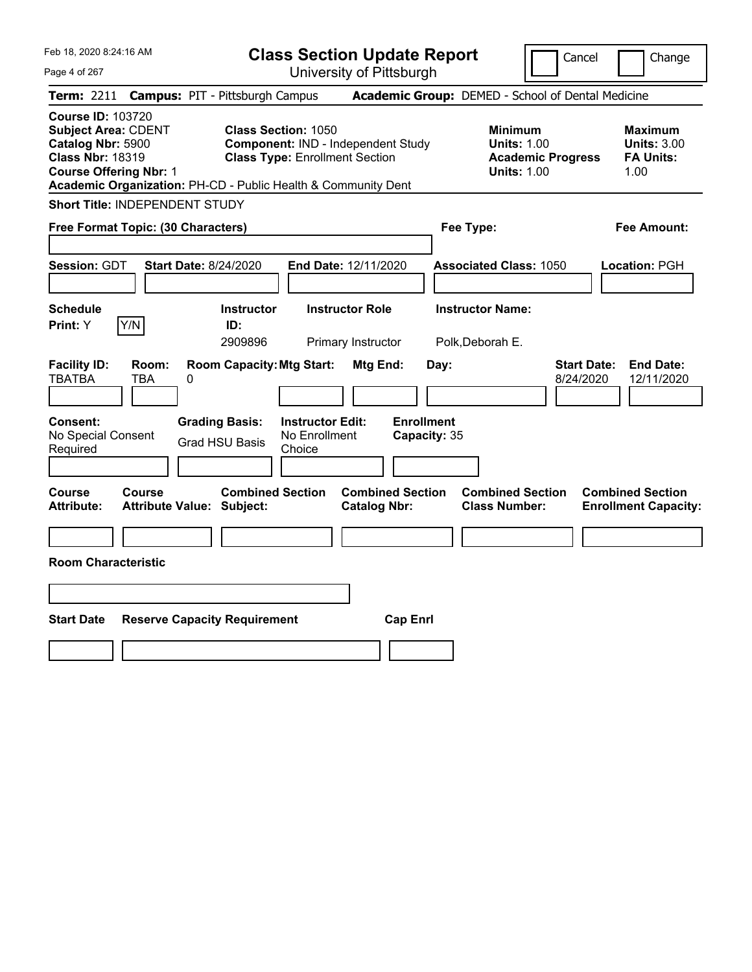**Class Section Update Report** University of Pittsburgh

Cancel Change

Page 4 of 267

|                                                                                                                                         |                     | Term: 2211 Campus: PIT - Pittsburgh Campus                    |                                                                     |                                                |                                   | <b>Academic Group: DEMED - School of Dental Medicine</b>                               |                                 |                                                                  |
|-----------------------------------------------------------------------------------------------------------------------------------------|---------------------|---------------------------------------------------------------|---------------------------------------------------------------------|------------------------------------------------|-----------------------------------|----------------------------------------------------------------------------------------|---------------------------------|------------------------------------------------------------------|
| <b>Course ID: 103720</b><br><b>Subject Area: CDENT</b><br>Catalog Nbr: 5900<br><b>Class Nbr: 18319</b><br><b>Course Offering Nbr: 1</b> |                     | Academic Organization: PH-CD - Public Health & Community Dent | <b>Class Section: 1050</b><br><b>Class Type: Enrollment Section</b> | Component: IND - Independent Study             |                                   | <b>Minimum</b><br><b>Units: 1.00</b><br><b>Academic Progress</b><br><b>Units: 1.00</b> |                                 | <b>Maximum</b><br><b>Units: 3.00</b><br><b>FA Units:</b><br>1.00 |
| <b>Short Title: INDEPENDENT STUDY</b>                                                                                                   |                     |                                                               |                                                                     |                                                |                                   |                                                                                        |                                 |                                                                  |
| Free Format Topic: (30 Characters)                                                                                                      |                     |                                                               |                                                                     |                                                | Fee Type:                         |                                                                                        |                                 | <b>Fee Amount:</b>                                               |
| Session: GDT                                                                                                                            |                     | <b>Start Date: 8/24/2020</b>                                  |                                                                     | End Date: 12/11/2020                           |                                   | <b>Associated Class: 1050</b>                                                          |                                 | Location: PGH                                                    |
| <b>Schedule</b><br>Print: Y                                                                                                             | Y/N                 | <b>Instructor</b><br>ID:<br>2909896                           |                                                                     | <b>Instructor Role</b><br>Primary Instructor   |                                   | <b>Instructor Name:</b><br>Polk, Deborah E.                                            |                                 |                                                                  |
| <b>Facility ID:</b><br><b>TBATBA</b>                                                                                                    | Room:<br><b>TBA</b> | <b>Room Capacity: Mtg Start:</b><br>0                         |                                                                     | Mtg End:                                       | Day:                              |                                                                                        | <b>Start Date:</b><br>8/24/2020 | <b>End Date:</b><br>12/11/2020                                   |
| Consent:<br>No Special Consent<br>Required                                                                                              |                     | <b>Grading Basis:</b><br><b>Grad HSU Basis</b>                | <b>Instructor Edit:</b><br>No Enrollment<br>Choice                  |                                                | <b>Enrollment</b><br>Capacity: 35 |                                                                                        |                                 |                                                                  |
| <b>Course</b><br><b>Attribute:</b>                                                                                                      | <b>Course</b>       | <b>Combined Section</b><br><b>Attribute Value: Subject:</b>   |                                                                     | <b>Combined Section</b><br><b>Catalog Nbr:</b> |                                   | <b>Combined Section</b><br><b>Class Number:</b>                                        |                                 | <b>Combined Section</b><br><b>Enrollment Capacity:</b>           |
| <b>Room Characteristic</b>                                                                                                              |                     |                                                               |                                                                     |                                                |                                   |                                                                                        |                                 |                                                                  |
| <b>Start Date</b>                                                                                                                       |                     | <b>Reserve Capacity Requirement</b>                           |                                                                     | <b>Cap Enrl</b>                                |                                   |                                                                                        |                                 |                                                                  |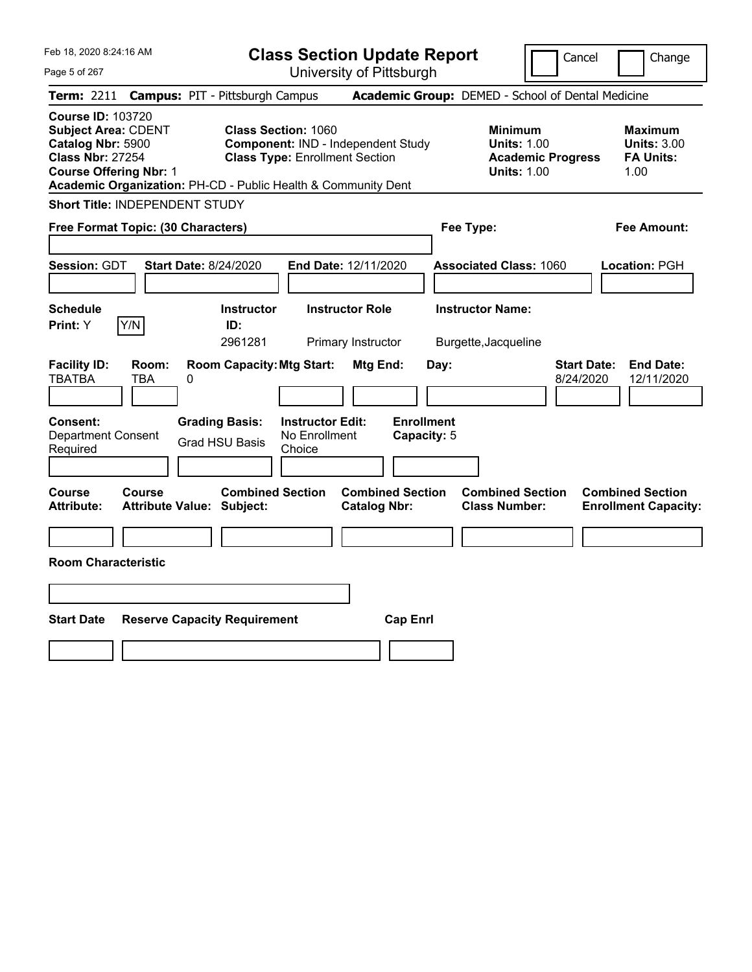**Class Section Update Report** University of Pittsburgh

Cancel Change

Page 5 of 267

|                                                                                                                                         |               | <b>Term: 2211 Campus: PIT - Pittsburgh Campus</b>             |                                                                     |                                                |                                  |                                                 | <b>Academic Group:</b> DEMED - School of Dental Medicine                               |                                 |                                                                  |
|-----------------------------------------------------------------------------------------------------------------------------------------|---------------|---------------------------------------------------------------|---------------------------------------------------------------------|------------------------------------------------|----------------------------------|-------------------------------------------------|----------------------------------------------------------------------------------------|---------------------------------|------------------------------------------------------------------|
| <b>Course ID: 103720</b><br><b>Subject Area: CDENT</b><br>Catalog Nbr: 5900<br><b>Class Nbr: 27254</b><br><b>Course Offering Nbr: 1</b> |               | Academic Organization: PH-CD - Public Health & Community Dent | <b>Class Section: 1060</b><br><b>Class Type: Enrollment Section</b> | Component: IND - Independent Study             |                                  |                                                 | <b>Minimum</b><br><b>Units: 1.00</b><br><b>Academic Progress</b><br><b>Units: 1.00</b> |                                 | <b>Maximum</b><br><b>Units: 3.00</b><br><b>FA Units:</b><br>1.00 |
| Short Title: INDEPENDENT STUDY                                                                                                          |               |                                                               |                                                                     |                                                |                                  |                                                 |                                                                                        |                                 |                                                                  |
| Free Format Topic: (30 Characters)                                                                                                      |               |                                                               |                                                                     |                                                |                                  | Fee Type:                                       |                                                                                        |                                 | Fee Amount:                                                      |
| Session: GDT                                                                                                                            |               | <b>Start Date: 8/24/2020</b>                                  |                                                                     | End Date: 12/11/2020                           |                                  |                                                 | <b>Associated Class: 1060</b>                                                          |                                 | Location: PGH                                                    |
| <b>Schedule</b><br>Print: Y                                                                                                             | Y/N           | <b>Instructor</b><br>ID:<br>2961281                           |                                                                     | <b>Instructor Role</b><br>Primary Instructor   |                                  | <b>Instructor Name:</b><br>Burgette, Jacqueline |                                                                                        |                                 |                                                                  |
| <b>Facility ID:</b><br>TBATBA                                                                                                           | Room:<br>TBA  | <b>Room Capacity: Mtg Start:</b><br>0                         |                                                                     | Mtg End:                                       | Day:                             |                                                 |                                                                                        | <b>Start Date:</b><br>8/24/2020 | <b>End Date:</b><br>12/11/2020                                   |
| <b>Consent:</b><br><b>Department Consent</b><br>Required                                                                                |               | <b>Grading Basis:</b><br><b>Grad HSU Basis</b>                | <b>Instructor Edit:</b><br>No Enrollment<br>Choice                  |                                                | <b>Enrollment</b><br>Capacity: 5 |                                                 |                                                                                        |                                 |                                                                  |
| Course<br><b>Attribute:</b>                                                                                                             | <b>Course</b> | <b>Combined Section</b><br>Attribute Value: Subject:          |                                                                     | <b>Combined Section</b><br><b>Catalog Nbr:</b> |                                  |                                                 | <b>Combined Section</b><br><b>Class Number:</b>                                        |                                 | <b>Combined Section</b><br><b>Enrollment Capacity:</b>           |
| <b>Room Characteristic</b>                                                                                                              |               |                                                               |                                                                     |                                                |                                  |                                                 |                                                                                        |                                 |                                                                  |
| <b>Start Date</b>                                                                                                                       |               | <b>Reserve Capacity Requirement</b>                           |                                                                     | <b>Cap Enrl</b>                                |                                  |                                                 |                                                                                        |                                 |                                                                  |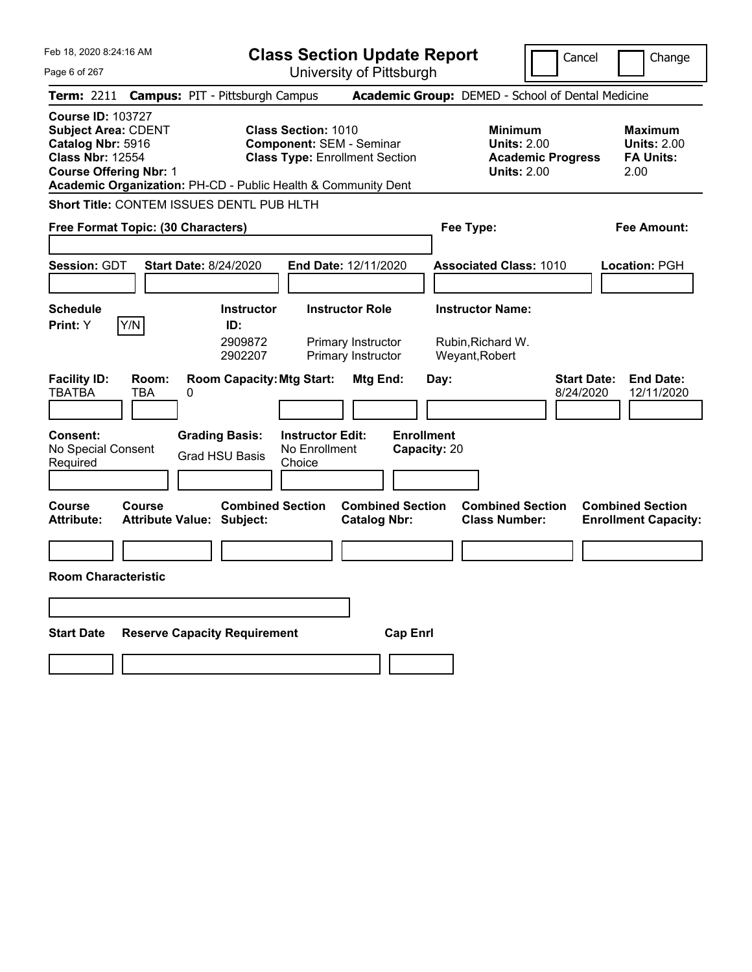| Feb 18, 2020 8:24:16 AM                                                                                                                 |              |                                                               |                                                               | <b>Class Section Update Report</b>                |                                     |                                                                                        | Cancel                          | Change                                                    |
|-----------------------------------------------------------------------------------------------------------------------------------------|--------------|---------------------------------------------------------------|---------------------------------------------------------------|---------------------------------------------------|-------------------------------------|----------------------------------------------------------------------------------------|---------------------------------|-----------------------------------------------------------|
| Page 6 of 267                                                                                                                           |              |                                                               |                                                               | University of Pittsburgh                          |                                     |                                                                                        |                                 |                                                           |
| <b>Term: 2211</b>                                                                                                                       |              | <b>Campus: PIT - Pittsburgh Campus</b>                        |                                                               | Academic Group: DEMED - School of Dental Medicine |                                     |                                                                                        |                                 |                                                           |
| <b>Course ID: 103727</b><br><b>Subject Area: CDENT</b><br>Catalog Nbr: 5916<br><b>Class Nbr: 12554</b><br><b>Course Offering Nbr: 1</b> |              | Academic Organization: PH-CD - Public Health & Community Dent | <b>Class Section: 1010</b><br><b>Component: SEM - Seminar</b> | <b>Class Type: Enrollment Section</b>             |                                     | <b>Minimum</b><br><b>Units: 2.00</b><br><b>Academic Progress</b><br><b>Units: 2.00</b> |                                 | Maximum<br><b>Units: 2.00</b><br><b>FA Units:</b><br>2.00 |
|                                                                                                                                         |              | Short Title: CONTEM ISSUES DENTL PUB HLTH                     |                                                               |                                                   |                                     |                                                                                        |                                 |                                                           |
| Free Format Topic: (30 Characters)                                                                                                      |              |                                                               |                                                               |                                                   | Fee Type:                           |                                                                                        |                                 | <b>Fee Amount:</b>                                        |
|                                                                                                                                         |              |                                                               |                                                               |                                                   |                                     |                                                                                        |                                 |                                                           |
| Session: GDT                                                                                                                            |              | <b>Start Date: 8/24/2020</b>                                  |                                                               | End Date: 12/11/2020                              |                                     | <b>Associated Class: 1010</b>                                                          |                                 | Location: PGH                                             |
|                                                                                                                                         |              |                                                               |                                                               |                                                   |                                     |                                                                                        |                                 |                                                           |
| <b>Schedule</b>                                                                                                                         |              | <b>Instructor</b>                                             |                                                               | <b>Instructor Role</b>                            | <b>Instructor Name:</b>             |                                                                                        |                                 |                                                           |
| Print: Y                                                                                                                                | Y/N          | ID:<br>2909872<br>2902207                                     |                                                               | Primary Instructor<br>Primary Instructor          | Rubin, Richard W.<br>Weyant, Robert |                                                                                        |                                 |                                                           |
| <b>Facility ID:</b><br><b>TBATBA</b>                                                                                                    | Room:<br>TBA | <b>Room Capacity: Mtg Start:</b><br>0                         |                                                               | Mtg End:                                          | Day:                                |                                                                                        | <b>Start Date:</b><br>8/24/2020 | <b>End Date:</b><br>12/11/2020                            |
| Consent:<br>No Special Consent<br>Required                                                                                              |              | <b>Grading Basis:</b><br><b>Grad HSU Basis</b>                | <b>Instructor Edit:</b><br>No Enrollment<br>Choice            |                                                   | <b>Enrollment</b><br>Capacity: 20   |                                                                                        |                                 |                                                           |
| Course<br><b>Attribute:</b>                                                                                                             | Course       | <b>Combined Section</b><br><b>Attribute Value: Subject:</b>   |                                                               | <b>Combined Section</b><br><b>Catalog Nbr:</b>    |                                     | <b>Combined Section</b><br><b>Class Number:</b>                                        |                                 | <b>Combined Section</b><br><b>Enrollment Capacity:</b>    |
|                                                                                                                                         |              |                                                               |                                                               |                                                   |                                     |                                                                                        |                                 |                                                           |
| <b>Room Characteristic</b>                                                                                                              |              |                                                               |                                                               |                                                   |                                     |                                                                                        |                                 |                                                           |
|                                                                                                                                         |              |                                                               |                                                               |                                                   |                                     |                                                                                        |                                 |                                                           |
| <b>Start Date</b>                                                                                                                       |              | <b>Reserve Capacity Requirement</b>                           |                                                               | <b>Cap Enri</b>                                   |                                     |                                                                                        |                                 |                                                           |
|                                                                                                                                         |              |                                                               |                                                               |                                                   |                                     |                                                                                        |                                 |                                                           |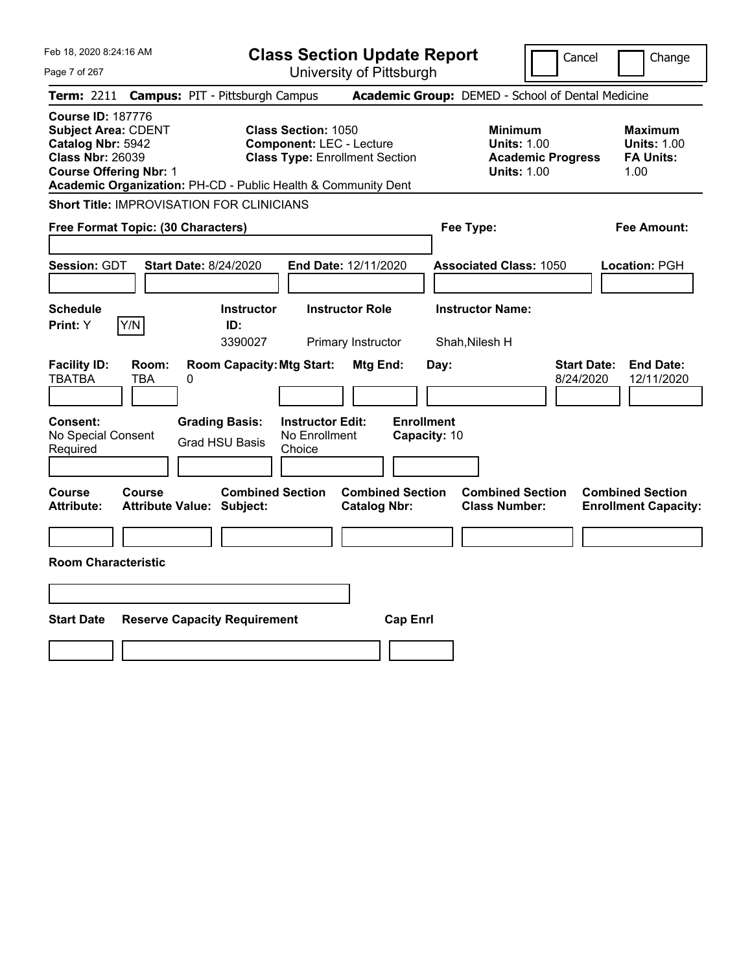| Feb 18, 2020 8:24:16 AM<br>Page 7 of 267                                                                                                                                                                 | <b>Class Section Update Report</b><br>University of Pittsburgh                                         | Cancel                                                                                 | Change                                                           |
|----------------------------------------------------------------------------------------------------------------------------------------------------------------------------------------------------------|--------------------------------------------------------------------------------------------------------|----------------------------------------------------------------------------------------|------------------------------------------------------------------|
| <b>Campus: PIT - Pittsburgh Campus</b><br><b>Term: 2211</b>                                                                                                                                              |                                                                                                        | Academic Group: DEMED - School of Dental Medicine                                      |                                                                  |
| <b>Course ID: 187776</b><br><b>Subject Area: CDENT</b><br>Catalog Nbr: 5942<br><b>Class Nbr: 26039</b><br><b>Course Offering Nbr: 1</b><br>Academic Organization: PH-CD - Public Health & Community Dent | <b>Class Section: 1050</b><br><b>Component: LEC - Lecture</b><br><b>Class Type: Enrollment Section</b> | <b>Minimum</b><br><b>Units: 1.00</b><br><b>Academic Progress</b><br><b>Units: 1.00</b> | <b>Maximum</b><br><b>Units: 1.00</b><br><b>FA Units:</b><br>1.00 |
| <b>Short Title: IMPROVISATION FOR CLINICIANS</b>                                                                                                                                                         |                                                                                                        |                                                                                        |                                                                  |
| Free Format Topic: (30 Characters)                                                                                                                                                                       |                                                                                                        | Fee Type:                                                                              | Fee Amount:                                                      |
| <b>Session: GDT</b><br><b>Start Date: 8/24/2020</b>                                                                                                                                                      | End Date: 12/11/2020                                                                                   | <b>Associated Class: 1050</b>                                                          | Location: PGH                                                    |
| <b>Schedule</b><br>Y/N<br>Print: Y<br>ID:                                                                                                                                                                | <b>Instructor Role</b><br><b>Instructor</b><br>3390027<br>Primary Instructor                           | <b>Instructor Name:</b><br>Shah, Nilesh H                                              |                                                                  |
| <b>Facility ID:</b><br>Room:<br><b>TBATBA</b><br>TBA<br>0                                                                                                                                                | <b>Room Capacity: Mtg Start:</b><br>Mtg End:                                                           | <b>Start Date:</b><br>Day:<br>8/24/2020                                                | <b>End Date:</b><br>12/11/2020                                   |
| <b>Grading Basis:</b><br><b>Consent:</b><br>No Special Consent<br><b>Grad HSU Basis</b><br>Required                                                                                                      | <b>Enrollment</b><br><b>Instructor Edit:</b><br>No Enrollment<br>Capacity: 10<br>Choice                |                                                                                        |                                                                  |
| Course<br>Course<br><b>Attribute:</b><br><b>Attribute Value: Subject:</b>                                                                                                                                | <b>Combined Section</b><br><b>Combined Section</b><br><b>Catalog Nbr:</b>                              | <b>Combined Section</b><br><b>Class Number:</b>                                        | <b>Combined Section</b><br><b>Enrollment Capacity:</b>           |
|                                                                                                                                                                                                          |                                                                                                        |                                                                                        |                                                                  |
| <b>Room Characteristic</b>                                                                                                                                                                               |                                                                                                        |                                                                                        |                                                                  |
|                                                                                                                                                                                                          |                                                                                                        |                                                                                        |                                                                  |
| <b>Start Date</b><br><b>Reserve Capacity Requirement</b>                                                                                                                                                 | <b>Cap Enrl</b>                                                                                        |                                                                                        |                                                                  |
|                                                                                                                                                                                                          |                                                                                                        |                                                                                        |                                                                  |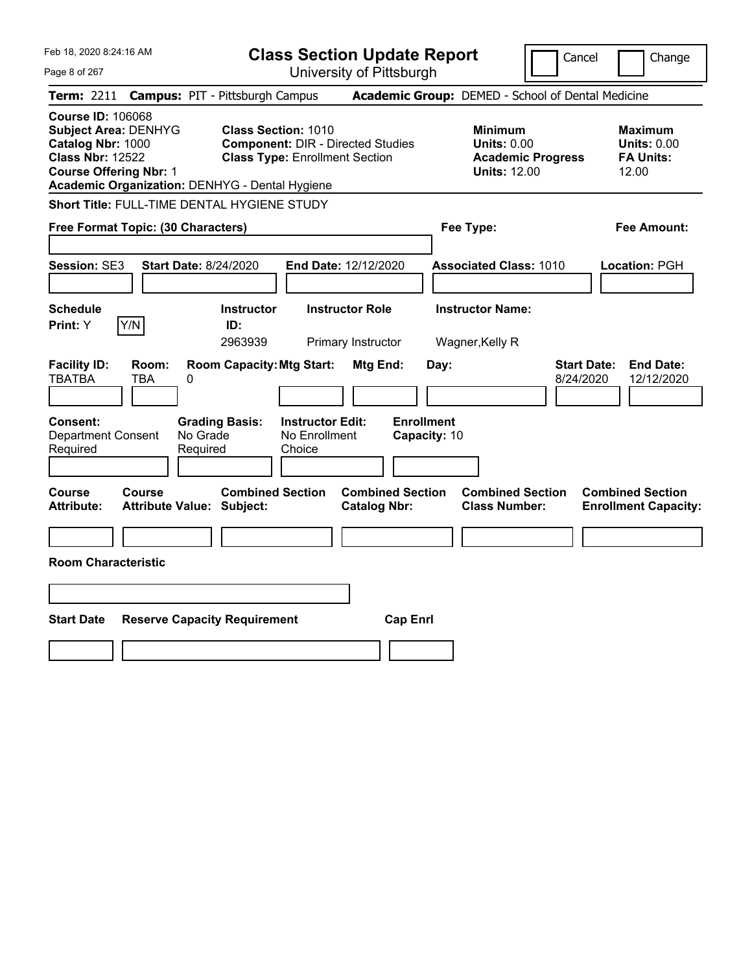| Feb 18, 2020 8:24:16 AM                                                                                                                                                                    | <b>Class Section Update Report</b>                                                                               | Cancel                                                                                  | Change                                                            |
|--------------------------------------------------------------------------------------------------------------------------------------------------------------------------------------------|------------------------------------------------------------------------------------------------------------------|-----------------------------------------------------------------------------------------|-------------------------------------------------------------------|
| Page 8 of 267                                                                                                                                                                              | University of Pittsburgh                                                                                         |                                                                                         |                                                                   |
| <b>Term: 2211</b>                                                                                                                                                                          | <b>Campus: PIT - Pittsburgh Campus</b>                                                                           | Academic Group: DEMED - School of Dental Medicine                                       |                                                                   |
| <b>Course ID: 106068</b><br><b>Subject Area: DENHYG</b><br>Catalog Nbr: 1000<br><b>Class Nbr: 12522</b><br><b>Course Offering Nbr: 1</b><br>Academic Organization: DENHYG - Dental Hygiene | <b>Class Section: 1010</b><br><b>Component: DIR - Directed Studies</b><br><b>Class Type: Enrollment Section</b>  | <b>Minimum</b><br><b>Units: 0.00</b><br><b>Academic Progress</b><br><b>Units: 12.00</b> | <b>Maximum</b><br><b>Units: 0.00</b><br><b>FA Units:</b><br>12.00 |
| Short Title: FULL-TIME DENTAL HYGIENE STUDY                                                                                                                                                |                                                                                                                  |                                                                                         |                                                                   |
| Free Format Topic: (30 Characters)                                                                                                                                                         |                                                                                                                  | Fee Type:                                                                               | Fee Amount:                                                       |
| <b>Session: SE3</b><br><b>Start Date: 8/24/2020</b>                                                                                                                                        | End Date: 12/12/2020                                                                                             | <b>Associated Class: 1010</b>                                                           | Location: PGH                                                     |
| <b>Schedule</b><br>Print: Y<br>Y/N                                                                                                                                                         | <b>Instructor</b><br><b>Instructor Role</b><br>ID:<br>2963939<br>Primary Instructor                              | <b>Instructor Name:</b><br>Wagner, Kelly R                                              |                                                                   |
| <b>Facility ID:</b><br>Room:<br><b>TBATBA</b><br>0<br>TBA                                                                                                                                  | <b>Room Capacity: Mtg Start:</b><br>Mtg End:                                                                     | <b>Start Date:</b><br>Day:<br>8/24/2020                                                 | <b>End Date:</b><br>12/12/2020                                    |
| Consent:<br>No Grade<br><b>Department Consent</b><br>Required<br>Required                                                                                                                  | <b>Enrollment</b><br><b>Grading Basis:</b><br><b>Instructor Edit:</b><br>No Enrollment<br>Capacity: 10<br>Choice |                                                                                         |                                                                   |
| Course<br>Course<br><b>Attribute:</b><br><b>Attribute Value: Subject:</b>                                                                                                                  | <b>Combined Section</b><br><b>Combined Section</b><br><b>Catalog Nbr:</b>                                        | <b>Combined Section</b><br><b>Class Number:</b>                                         | <b>Combined Section</b><br><b>Enrollment Capacity:</b>            |
|                                                                                                                                                                                            |                                                                                                                  |                                                                                         |                                                                   |
| <b>Room Characteristic</b>                                                                                                                                                                 |                                                                                                                  |                                                                                         |                                                                   |
|                                                                                                                                                                                            |                                                                                                                  |                                                                                         |                                                                   |
| <b>Start Date</b><br><b>Reserve Capacity Requirement</b>                                                                                                                                   | <b>Cap Enrl</b>                                                                                                  |                                                                                         |                                                                   |
|                                                                                                                                                                                            |                                                                                                                  |                                                                                         |                                                                   |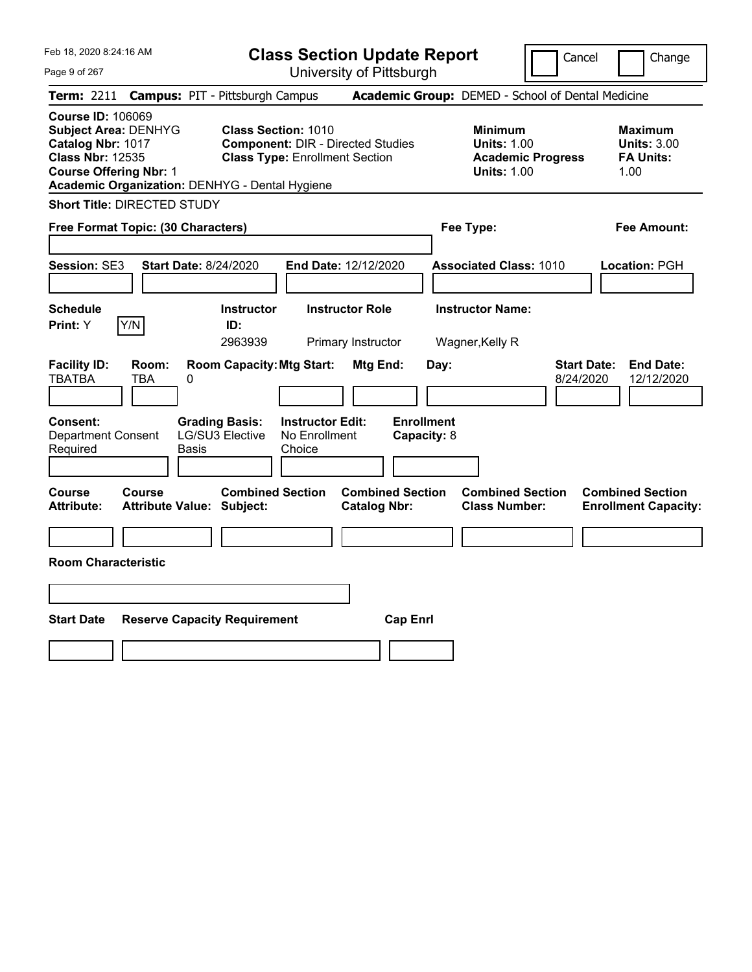| Feb 18, 2020 8:24:16 AM                                                                                                                                                                    | <b>Class Section Update Report</b>                                                                              | Cancel                                                                                 | Change                                                           |
|--------------------------------------------------------------------------------------------------------------------------------------------------------------------------------------------|-----------------------------------------------------------------------------------------------------------------|----------------------------------------------------------------------------------------|------------------------------------------------------------------|
| Page 9 of 267                                                                                                                                                                              | University of Pittsburgh                                                                                        |                                                                                        |                                                                  |
| <b>Campus: PIT - Pittsburgh Campus</b><br><b>Term: 2211</b>                                                                                                                                |                                                                                                                 | Academic Group: DEMED - School of Dental Medicine                                      |                                                                  |
| <b>Course ID: 106069</b><br><b>Subject Area: DENHYG</b><br>Catalog Nbr: 1017<br><b>Class Nbr: 12535</b><br><b>Course Offering Nbr: 1</b><br>Academic Organization: DENHYG - Dental Hygiene | <b>Class Section: 1010</b><br><b>Component: DIR - Directed Studies</b><br><b>Class Type: Enrollment Section</b> | <b>Minimum</b><br><b>Units: 1.00</b><br><b>Academic Progress</b><br><b>Units: 1.00</b> | <b>Maximum</b><br><b>Units: 3.00</b><br><b>FA Units:</b><br>1.00 |
| <b>Short Title: DIRECTED STUDY</b>                                                                                                                                                         |                                                                                                                 |                                                                                        |                                                                  |
| Free Format Topic: (30 Characters)                                                                                                                                                         |                                                                                                                 | Fee Type:                                                                              | Fee Amount:                                                      |
| Session: SE3<br><b>Start Date: 8/24/2020</b>                                                                                                                                               | End Date: 12/12/2020                                                                                            | <b>Associated Class: 1010</b>                                                          | Location: PGH                                                    |
| <b>Schedule</b><br>Y/N<br>Print: Y                                                                                                                                                         | <b>Instructor Role</b><br><b>Instructor</b><br>ID:<br>2963939<br>Primary Instructor                             | <b>Instructor Name:</b><br>Wagner, Kelly R                                             |                                                                  |
| <b>Facility ID:</b><br>Room:<br><b>TBATBA</b><br><b>TBA</b><br>0                                                                                                                           | <b>Room Capacity: Mtg Start:</b><br>Mtg End:                                                                    | <b>Start Date:</b><br>Day:<br>8/24/2020                                                | <b>End Date:</b><br>12/12/2020                                   |
| Consent:<br><b>Grading Basis:</b><br>Department Consent<br>LG/SU3 Elective<br>Required<br>Basis                                                                                            | <b>Enrollment</b><br><b>Instructor Edit:</b><br>No Enrollment<br>Capacity: 8<br>Choice                          |                                                                                        |                                                                  |
| Course<br>Course<br><b>Attribute:</b><br><b>Attribute Value: Subject:</b>                                                                                                                  | <b>Combined Section</b><br><b>Combined Section</b><br><b>Catalog Nbr:</b>                                       | <b>Combined Section</b><br><b>Class Number:</b>                                        | <b>Combined Section</b><br><b>Enrollment Capacity:</b>           |
|                                                                                                                                                                                            |                                                                                                                 |                                                                                        |                                                                  |
| <b>Room Characteristic</b>                                                                                                                                                                 |                                                                                                                 |                                                                                        |                                                                  |
|                                                                                                                                                                                            |                                                                                                                 |                                                                                        |                                                                  |
| <b>Start Date</b><br><b>Reserve Capacity Requirement</b>                                                                                                                                   | <b>Cap Enrl</b>                                                                                                 |                                                                                        |                                                                  |
|                                                                                                                                                                                            |                                                                                                                 |                                                                                        |                                                                  |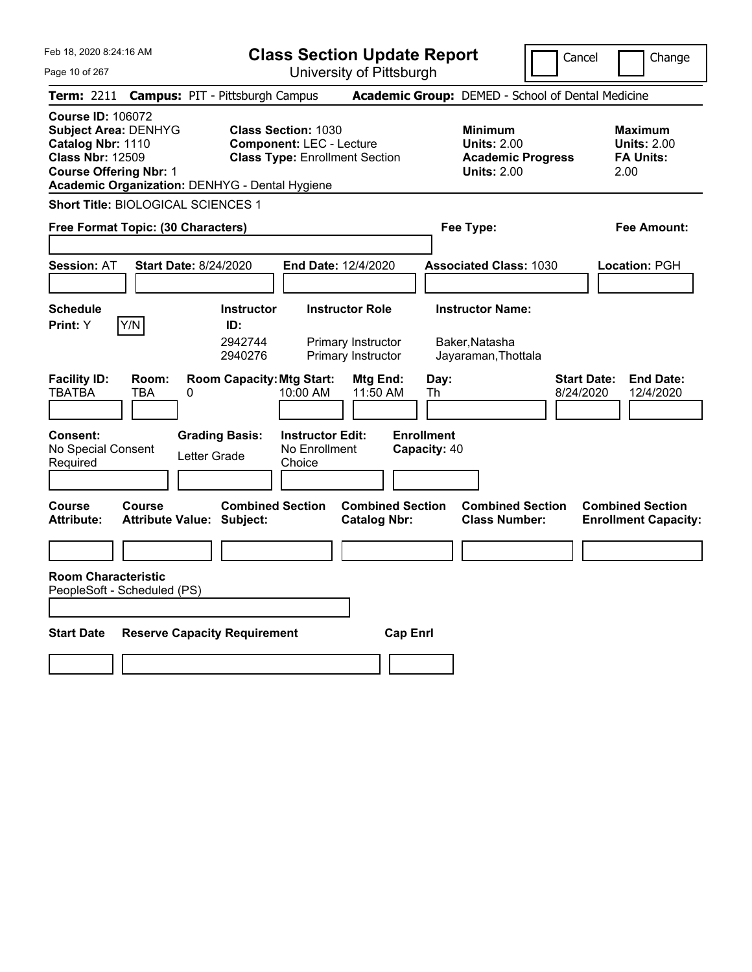| Feb 18, 2020 8:24:16 AM                                                                                                                                                                    |                                                             | <b>Class Section Update Report</b>                                                                     |                                                |                                                            | Cancel                          | Change                                                           |
|--------------------------------------------------------------------------------------------------------------------------------------------------------------------------------------------|-------------------------------------------------------------|--------------------------------------------------------------------------------------------------------|------------------------------------------------|------------------------------------------------------------|---------------------------------|------------------------------------------------------------------|
| Page 10 of 267                                                                                                                                                                             |                                                             | University of Pittsburgh                                                                               |                                                |                                                            |                                 |                                                                  |
| Term: 2211                                                                                                                                                                                 | <b>Campus: PIT - Pittsburgh Campus</b>                      |                                                                                                        |                                                | Academic Group: DEMED - School of Dental Medicine          |                                 |                                                                  |
| <b>Course ID: 106072</b><br><b>Subject Area: DENHYG</b><br>Catalog Nbr: 1110<br><b>Class Nbr: 12509</b><br><b>Course Offering Nbr: 1</b><br>Academic Organization: DENHYG - Dental Hygiene |                                                             | <b>Class Section: 1030</b><br><b>Component: LEC - Lecture</b><br><b>Class Type: Enrollment Section</b> |                                                | <b>Minimum</b><br><b>Units: 2.00</b><br><b>Units: 2.00</b> | <b>Academic Progress</b>        | <b>Maximum</b><br><b>Units: 2.00</b><br><b>FA Units:</b><br>2.00 |
| <b>Short Title: BIOLOGICAL SCIENCES 1</b>                                                                                                                                                  |                                                             |                                                                                                        |                                                |                                                            |                                 |                                                                  |
| Free Format Topic: (30 Characters)                                                                                                                                                         |                                                             |                                                                                                        |                                                | Fee Type:                                                  |                                 | Fee Amount:                                                      |
| <b>Session: AT</b>                                                                                                                                                                         | <b>Start Date: 8/24/2020</b>                                | End Date: 12/4/2020                                                                                    |                                                | <b>Associated Class: 1030</b>                              |                                 | <b>Location: PGH</b>                                             |
| <b>Schedule</b>                                                                                                                                                                            | <b>Instructor</b>                                           | <b>Instructor Role</b>                                                                                 |                                                | <b>Instructor Name:</b>                                    |                                 |                                                                  |
| Y/N<br>Print: Y                                                                                                                                                                            | ID:                                                         |                                                                                                        |                                                |                                                            |                                 |                                                                  |
|                                                                                                                                                                                            | 2942744<br>2940276                                          | Primary Instructor<br>Primary Instructor                                                               |                                                | Baker,Natasha<br>Jayaraman, Thottala                       |                                 |                                                                  |
| <b>Facility ID:</b><br>Room:<br><b>TBATBA</b><br>TBA                                                                                                                                       | <b>Room Capacity: Mtg Start:</b><br>0                       | 10:00 AM                                                                                               | Mtg End:<br>11:50 AM                           | Day:<br>Th                                                 | <b>Start Date:</b><br>8/24/2020 | <b>End Date:</b><br>12/4/2020                                    |
| <b>Consent:</b><br>No Special Consent<br>Required                                                                                                                                          | <b>Grading Basis:</b><br>Letter Grade                       | <b>Instructor Edit:</b><br>No Enrollment<br>Choice                                                     |                                                | <b>Enrollment</b><br>Capacity: 40                          |                                 |                                                                  |
| <b>Course</b><br>Course<br><b>Attribute:</b>                                                                                                                                               | <b>Combined Section</b><br><b>Attribute Value: Subject:</b> |                                                                                                        | <b>Combined Section</b><br><b>Catalog Nbr:</b> | <b>Combined Section</b><br><b>Class Number:</b>            |                                 | <b>Combined Section</b><br><b>Enrollment Capacity:</b>           |
|                                                                                                                                                                                            |                                                             |                                                                                                        |                                                |                                                            |                                 |                                                                  |
| <b>Room Characteristic</b><br>PeopleSoft - Scheduled (PS)                                                                                                                                  |                                                             |                                                                                                        |                                                |                                                            |                                 |                                                                  |
| <b>Start Date</b>                                                                                                                                                                          | <b>Reserve Capacity Requirement</b>                         |                                                                                                        | <b>Cap Enri</b>                                |                                                            |                                 |                                                                  |
|                                                                                                                                                                                            |                                                             |                                                                                                        |                                                |                                                            |                                 |                                                                  |
|                                                                                                                                                                                            |                                                             |                                                                                                        |                                                |                                                            |                                 |                                                                  |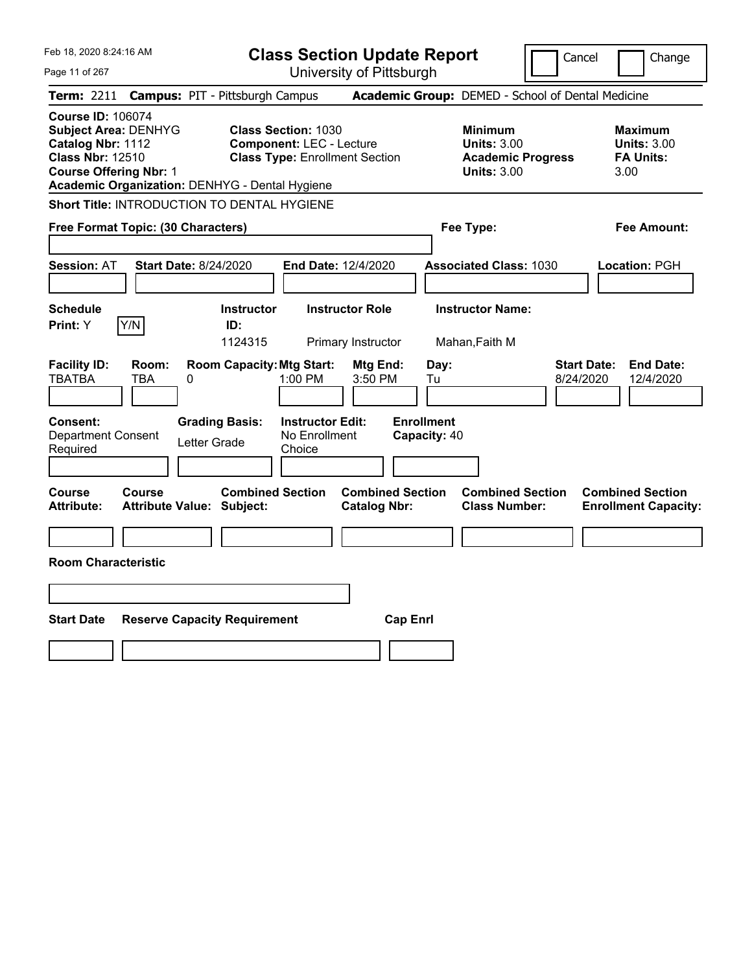| Feb 18, 2020 8:24:16 AM                                                                                                                                                                    |                                                             | <b>Class Section Update Report</b>                                                                     |                                                                                        | Cancel                          | Change                                                           |
|--------------------------------------------------------------------------------------------------------------------------------------------------------------------------------------------|-------------------------------------------------------------|--------------------------------------------------------------------------------------------------------|----------------------------------------------------------------------------------------|---------------------------------|------------------------------------------------------------------|
| Page 11 of 267                                                                                                                                                                             |                                                             | University of Pittsburgh                                                                               |                                                                                        |                                 |                                                                  |
| Term: 2211                                                                                                                                                                                 | <b>Campus: PIT - Pittsburgh Campus</b>                      |                                                                                                        | Academic Group: DEMED - School of Dental Medicine                                      |                                 |                                                                  |
| <b>Course ID: 106074</b><br><b>Subject Area: DENHYG</b><br>Catalog Nbr: 1112<br><b>Class Nbr: 12510</b><br><b>Course Offering Nbr: 1</b><br>Academic Organization: DENHYG - Dental Hygiene |                                                             | <b>Class Section: 1030</b><br><b>Component: LEC - Lecture</b><br><b>Class Type: Enrollment Section</b> | <b>Minimum</b><br><b>Units: 3.00</b><br><b>Academic Progress</b><br><b>Units: 3.00</b> |                                 | <b>Maximum</b><br><b>Units: 3.00</b><br><b>FA Units:</b><br>3.00 |
| Short Title: INTRODUCTION TO DENTAL HYGIENE                                                                                                                                                |                                                             |                                                                                                        |                                                                                        |                                 |                                                                  |
| Free Format Topic: (30 Characters)                                                                                                                                                         |                                                             |                                                                                                        | Fee Type:                                                                              |                                 | Fee Amount:                                                      |
| <b>Session: AT</b>                                                                                                                                                                         | <b>Start Date: 8/24/2020</b>                                | End Date: 12/4/2020                                                                                    | <b>Associated Class: 1030</b>                                                          |                                 | Location: PGH                                                    |
| <b>Schedule</b><br>Y/N<br><b>Print: Y</b>                                                                                                                                                  | <b>Instructor</b><br>ID:<br>1124315                         | <b>Instructor Role</b><br>Primary Instructor                                                           | <b>Instructor Name:</b><br>Mahan, Faith M                                              |                                 |                                                                  |
| <b>Facility ID:</b><br>Room:<br><b>TBATBA</b><br>TBA                                                                                                                                       | <b>Room Capacity: Mtg Start:</b><br>0                       | Mtg End:<br>1:00 PM<br>3:50 PM                                                                         | Day:<br>Tu                                                                             | <b>Start Date:</b><br>8/24/2020 | <b>End Date:</b><br>12/4/2020                                    |
| <b>Consent:</b><br><b>Department Consent</b><br>Required                                                                                                                                   | <b>Grading Basis:</b><br>Letter Grade                       | <b>Instructor Edit:</b><br>No Enrollment<br>Choice                                                     | <b>Enrollment</b><br>Capacity: 40                                                      |                                 |                                                                  |
| Course<br>Course<br><b>Attribute:</b>                                                                                                                                                      | <b>Combined Section</b><br><b>Attribute Value: Subject:</b> | <b>Catalog Nbr:</b>                                                                                    | <b>Combined Section</b><br><b>Combined Section</b><br><b>Class Number:</b>             |                                 | <b>Combined Section</b><br><b>Enrollment Capacity:</b>           |
|                                                                                                                                                                                            |                                                             |                                                                                                        |                                                                                        |                                 |                                                                  |
| <b>Room Characteristic</b>                                                                                                                                                                 |                                                             |                                                                                                        |                                                                                        |                                 |                                                                  |
|                                                                                                                                                                                            |                                                             |                                                                                                        |                                                                                        |                                 |                                                                  |
| <b>Start Date</b>                                                                                                                                                                          | <b>Reserve Capacity Requirement</b>                         |                                                                                                        | <b>Cap Enrl</b>                                                                        |                                 |                                                                  |
|                                                                                                                                                                                            |                                                             |                                                                                                        |                                                                                        |                                 |                                                                  |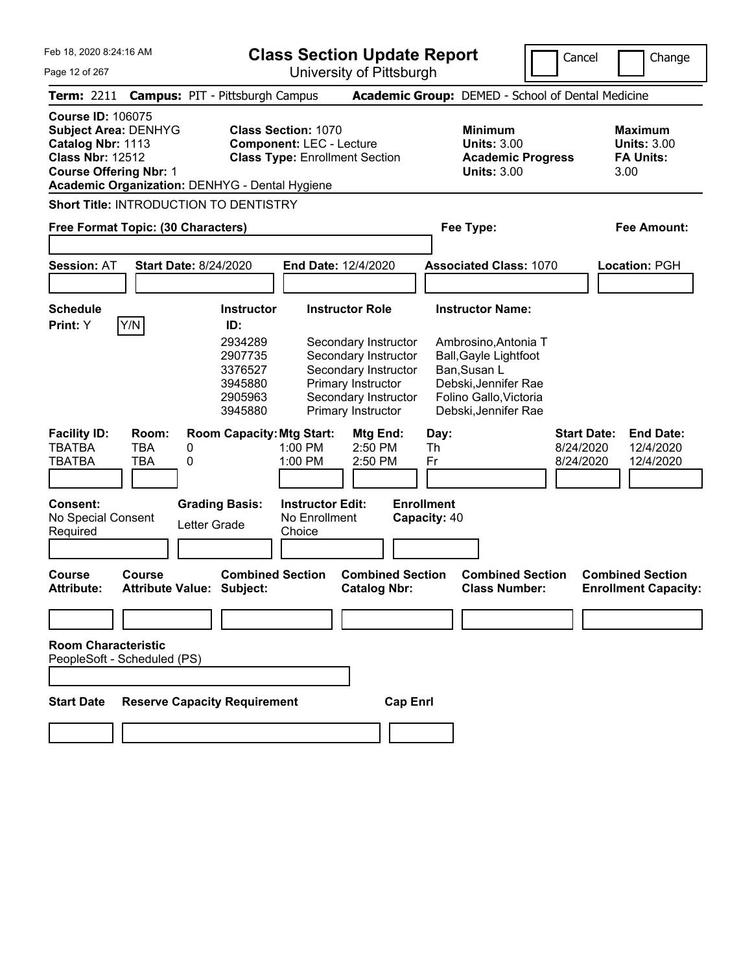**Class Section Update Report**

University of Pittsburgh

Cancel **Change** 

 $\mathsf{I}\mathsf{I}$ 

| Page 12 of 267                                                                                                                                                                             | University of Pittsburgh                                                                                                                                                                                                                                         |                                                                                                                                                                           |                                                                                            |
|--------------------------------------------------------------------------------------------------------------------------------------------------------------------------------------------|------------------------------------------------------------------------------------------------------------------------------------------------------------------------------------------------------------------------------------------------------------------|---------------------------------------------------------------------------------------------------------------------------------------------------------------------------|--------------------------------------------------------------------------------------------|
| <b>Term: 2211</b>                                                                                                                                                                          | <b>Campus: PIT - Pittsburgh Campus</b>                                                                                                                                                                                                                           | Academic Group: DEMED - School of Dental Medicine                                                                                                                         |                                                                                            |
| <b>Course ID: 106075</b><br><b>Subject Area: DENHYG</b><br>Catalog Nbr: 1113<br><b>Class Nbr: 12512</b><br><b>Course Offering Nbr: 1</b><br>Academic Organization: DENHYG - Dental Hygiene | <b>Class Section: 1070</b><br><b>Component: LEC - Lecture</b><br><b>Class Type: Enrollment Section</b>                                                                                                                                                           | <b>Minimum</b><br><b>Units: 3.00</b><br><b>Academic Progress</b><br><b>Units: 3.00</b>                                                                                    | <b>Maximum</b><br><b>Units: 3.00</b><br><b>FA Units:</b><br>3.00                           |
| <b>Short Title: INTRODUCTION TO DENTISTRY</b>                                                                                                                                              |                                                                                                                                                                                                                                                                  |                                                                                                                                                                           |                                                                                            |
| Free Format Topic: (30 Characters)                                                                                                                                                         |                                                                                                                                                                                                                                                                  | Fee Type:                                                                                                                                                                 | Fee Amount:                                                                                |
| <b>Session: AT</b><br><b>Start Date: 8/24/2020</b>                                                                                                                                         | End Date: 12/4/2020                                                                                                                                                                                                                                              | <b>Associated Class: 1070</b>                                                                                                                                             | Location: PGH                                                                              |
| <b>Schedule</b><br>Y/N<br><b>Print:</b> Y                                                                                                                                                  | <b>Instructor Role</b><br><b>Instructor</b><br>ID:<br>2934289<br>Secondary Instructor<br>2907735<br>Secondary Instructor<br>3376527<br>Secondary Instructor<br>3945880<br>Primary Instructor<br>Secondary Instructor<br>2905963<br>3945880<br>Primary Instructor | <b>Instructor Name:</b><br>Ambrosino, Antonia T<br><b>Ball, Gayle Lightfoot</b><br>Ban, Susan L<br>Debski, Jennifer Rae<br>Folino Gallo, Victoria<br>Debski, Jennifer Rae |                                                                                            |
| <b>Facility ID:</b><br>Room:<br><b>TBA</b><br>TBATBA<br>0<br><b>TBA</b><br>TBATBA<br>0<br><b>Consent:</b><br>No Special Consent<br>Required                                                | <b>Room Capacity: Mtg Start:</b><br>Mtg End:<br>1:00 PM<br>2:50 PM<br>1:00 PM<br>2:50 PM<br><b>Grading Basis:</b><br><b>Instructor Edit:</b><br>No Enrollment<br>Letter Grade<br>Choice                                                                          | Day:<br>Th<br>Fr<br><b>Enrollment</b><br>Capacity: 40                                                                                                                     | <b>Start Date:</b><br><b>End Date:</b><br>8/24/2020<br>12/4/2020<br>8/24/2020<br>12/4/2020 |
| <b>Course</b><br><b>Course</b><br><b>Attribute:</b><br><b>Attribute Value: Subject:</b>                                                                                                    | <b>Combined Section</b><br><b>Combined Section</b><br><b>Catalog Nbr:</b>                                                                                                                                                                                        | <b>Combined Section</b><br><b>Class Number:</b>                                                                                                                           | <b>Combined Section</b><br><b>Enrollment Capacity:</b>                                     |
| <b>Room Characteristic</b><br>PeopleSoft - Scheduled (PS)<br><b>Start Date</b>                                                                                                             | <b>Reserve Capacity Requirement</b>                                                                                                                                                                                                                              | <b>Cap Enrl</b>                                                                                                                                                           |                                                                                            |
|                                                                                                                                                                                            |                                                                                                                                                                                                                                                                  |                                                                                                                                                                           |                                                                                            |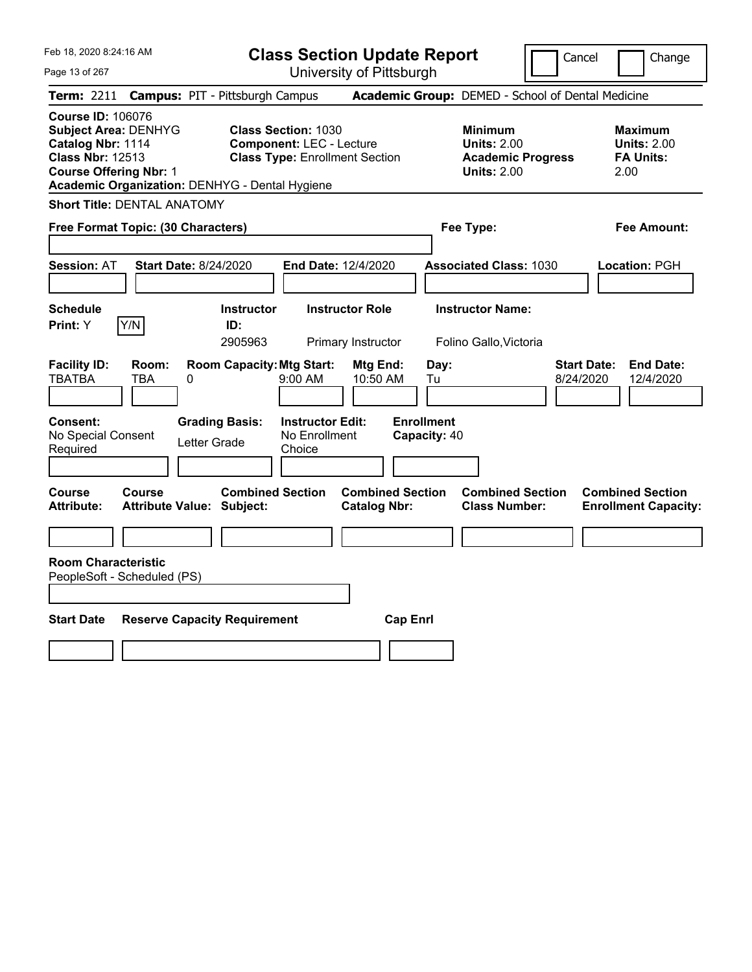| Feb 18, 2020 8:24:16 AM<br>Page 13 of 267                                                                                                                                                  |                                                             | <b>Class Section Update Report</b><br>University of Pittsburgh                                         |                                   | Cancel                                                                                 | Change                                                           |
|--------------------------------------------------------------------------------------------------------------------------------------------------------------------------------------------|-------------------------------------------------------------|--------------------------------------------------------------------------------------------------------|-----------------------------------|----------------------------------------------------------------------------------------|------------------------------------------------------------------|
| <b>Term: 2211</b>                                                                                                                                                                          | <b>Campus: PIT - Pittsburgh Campus</b>                      |                                                                                                        |                                   | Academic Group: DEMED - School of Dental Medicine                                      |                                                                  |
| <b>Course ID: 106076</b><br><b>Subject Area: DENHYG</b><br>Catalog Nbr: 1114<br><b>Class Nbr: 12513</b><br><b>Course Offering Nbr: 1</b><br>Academic Organization: DENHYG - Dental Hygiene |                                                             | <b>Class Section: 1030</b><br><b>Component: LEC - Lecture</b><br><b>Class Type: Enrollment Section</b> |                                   | <b>Minimum</b><br><b>Units: 2.00</b><br><b>Academic Progress</b><br><b>Units: 2.00</b> | <b>Maximum</b><br><b>Units: 2.00</b><br><b>FA Units:</b><br>2.00 |
| <b>Short Title: DENTAL ANATOMY</b>                                                                                                                                                         |                                                             |                                                                                                        |                                   |                                                                                        |                                                                  |
| Free Format Topic: (30 Characters)                                                                                                                                                         |                                                             |                                                                                                        | Fee Type:                         |                                                                                        | Fee Amount:                                                      |
| <b>Session: AT</b>                                                                                                                                                                         | <b>Start Date: 8/24/2020</b>                                | End Date: 12/4/2020                                                                                    |                                   | <b>Associated Class: 1030</b>                                                          | Location: PGH                                                    |
| <b>Schedule</b><br>Y/N<br>Print: Y                                                                                                                                                         | <b>Instructor</b><br>ID:<br>2905963                         | <b>Instructor Role</b><br>Primary Instructor                                                           | <b>Instructor Name:</b>           | Folino Gallo, Victoria                                                                 |                                                                  |
| <b>Facility ID:</b><br>Room:<br><b>TBATBA</b><br>TBA                                                                                                                                       | <b>Room Capacity: Mtg Start:</b><br>0                       | Mtg End:<br>9:00 AM<br>10:50 AM                                                                        | Day:<br>Tu                        | 8/24/2020                                                                              | <b>Start Date:</b><br><b>End Date:</b><br>12/4/2020              |
| Consent:<br>No Special Consent<br>Required                                                                                                                                                 | <b>Grading Basis:</b><br>Letter Grade                       | <b>Instructor Edit:</b><br>No Enrollment<br>Choice                                                     | <b>Enrollment</b><br>Capacity: 40 |                                                                                        |                                                                  |
| <b>Course</b><br><b>Course</b><br><b>Attribute:</b>                                                                                                                                        | <b>Combined Section</b><br><b>Attribute Value: Subject:</b> | <b>Catalog Nbr:</b>                                                                                    | <b>Combined Section</b>           | <b>Combined Section</b><br><b>Class Number:</b>                                        | <b>Combined Section</b><br><b>Enrollment Capacity:</b>           |
|                                                                                                                                                                                            |                                                             |                                                                                                        |                                   |                                                                                        |                                                                  |
| <b>Room Characteristic</b><br>PeopleSoft - Scheduled (PS)                                                                                                                                  |                                                             |                                                                                                        |                                   |                                                                                        |                                                                  |
| <b>Start Date</b>                                                                                                                                                                          | <b>Reserve Capacity Requirement</b>                         |                                                                                                        | <b>Cap Enrl</b>                   |                                                                                        |                                                                  |
|                                                                                                                                                                                            |                                                             |                                                                                                        |                                   |                                                                                        |                                                                  |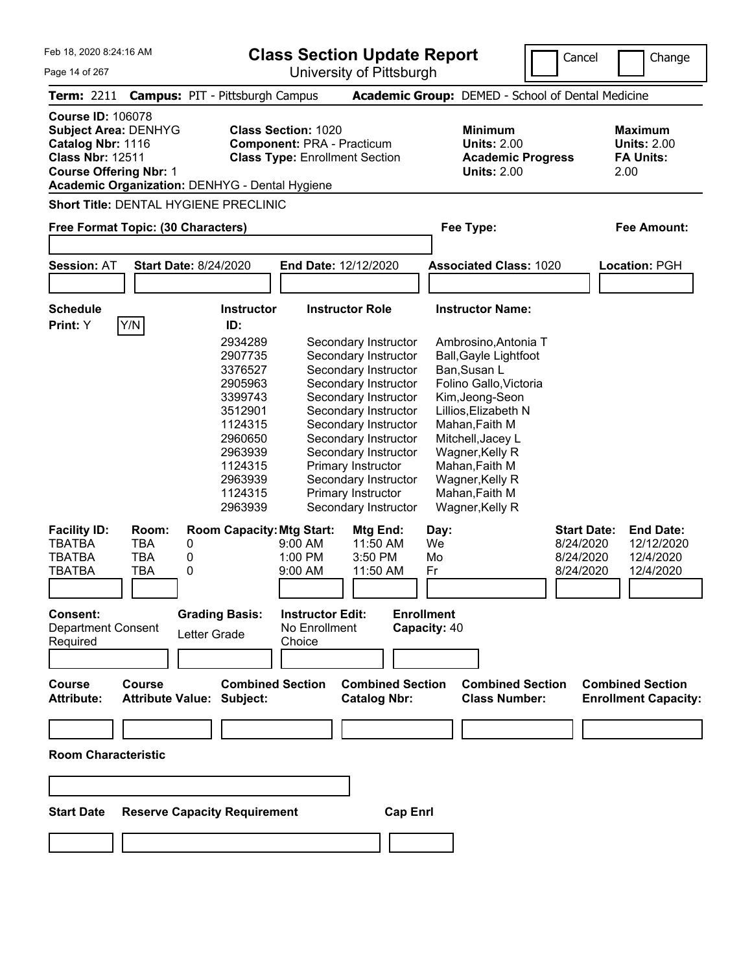| Feb 18, 2020 8:24:16 AM                                                                                                                  |                                   |                                                                                                                                  |                                                                                     | <b>Class Section Update Report</b>                                                                                                                                                                                                                                                       |                                                             |                                                                                                                                                                                                                                                       | Cancel                                                    |                                                        | Change                                                   |
|------------------------------------------------------------------------------------------------------------------------------------------|-----------------------------------|----------------------------------------------------------------------------------------------------------------------------------|-------------------------------------------------------------------------------------|------------------------------------------------------------------------------------------------------------------------------------------------------------------------------------------------------------------------------------------------------------------------------------------|-------------------------------------------------------------|-------------------------------------------------------------------------------------------------------------------------------------------------------------------------------------------------------------------------------------------------------|-----------------------------------------------------------|--------------------------------------------------------|----------------------------------------------------------|
| Page 14 of 267                                                                                                                           |                                   |                                                                                                                                  |                                                                                     | University of Pittsburgh                                                                                                                                                                                                                                                                 |                                                             |                                                                                                                                                                                                                                                       |                                                           |                                                        |                                                          |
|                                                                                                                                          |                                   | Term: 2211 Campus: PIT - Pittsburgh Campus                                                                                       |                                                                                     |                                                                                                                                                                                                                                                                                          |                                                             | Academic Group: DEMED - School of Dental Medicine                                                                                                                                                                                                     |                                                           |                                                        |                                                          |
| <b>Course ID: 106078</b><br><b>Subject Area: DENHYG</b><br>Catalog Nbr: 1116<br><b>Class Nbr: 12511</b><br><b>Course Offering Nbr: 1</b> |                                   | Academic Organization: DENHYG - Dental Hygiene                                                                                   | <b>Class Section: 1020</b><br><b>Component: PRA - Practicum</b>                     | <b>Class Type: Enrollment Section</b>                                                                                                                                                                                                                                                    |                                                             | <b>Minimum</b><br><b>Units: 2.00</b><br><b>Academic Progress</b><br><b>Units: 2.00</b>                                                                                                                                                                |                                                           | <b>Maximum</b><br><b>FA Units:</b><br>2.00             | <b>Units: 2.00</b>                                       |
|                                                                                                                                          |                                   | <b>Short Title: DENTAL HYGIENE PRECLINIC</b>                                                                                     |                                                                                     |                                                                                                                                                                                                                                                                                          |                                                             |                                                                                                                                                                                                                                                       |                                                           |                                                        |                                                          |
| Free Format Topic: (30 Characters)                                                                                                       |                                   |                                                                                                                                  |                                                                                     |                                                                                                                                                                                                                                                                                          |                                                             | Fee Type:                                                                                                                                                                                                                                             |                                                           |                                                        | <b>Fee Amount:</b>                                       |
|                                                                                                                                          |                                   |                                                                                                                                  |                                                                                     |                                                                                                                                                                                                                                                                                          |                                                             |                                                                                                                                                                                                                                                       |                                                           |                                                        |                                                          |
| <b>Session: AT</b>                                                                                                                       |                                   | <b>Start Date: 8/24/2020</b>                                                                                                     |                                                                                     | End Date: 12/12/2020                                                                                                                                                                                                                                                                     |                                                             | <b>Associated Class: 1020</b>                                                                                                                                                                                                                         |                                                           | <b>Location: PGH</b>                                   |                                                          |
|                                                                                                                                          |                                   |                                                                                                                                  |                                                                                     |                                                                                                                                                                                                                                                                                          |                                                             |                                                                                                                                                                                                                                                       |                                                           |                                                        |                                                          |
| <b>Schedule</b>                                                                                                                          |                                   | <b>Instructor</b>                                                                                                                |                                                                                     | <b>Instructor Role</b>                                                                                                                                                                                                                                                                   |                                                             | <b>Instructor Name:</b>                                                                                                                                                                                                                               |                                                           |                                                        |                                                          |
| Print: Y                                                                                                                                 | Y/N                               | ID:                                                                                                                              |                                                                                     |                                                                                                                                                                                                                                                                                          |                                                             |                                                                                                                                                                                                                                                       |                                                           |                                                        |                                                          |
|                                                                                                                                          |                                   | 2907735<br>3376527<br>2905963<br>3399743<br>3512901<br>1124315<br>2960650<br>2963939<br>1124315<br>2963939<br>1124315<br>2963939 |                                                                                     | Secondary Instructor<br>Secondary Instructor<br>Secondary Instructor<br>Secondary Instructor<br>Secondary Instructor<br>Secondary Instructor<br>Secondary Instructor<br>Secondary Instructor<br>Primary Instructor<br>Secondary Instructor<br>Primary Instructor<br>Secondary Instructor |                                                             | <b>Ball, Gayle Lightfoot</b><br>Ban, Susan L<br>Folino Gallo, Victoria<br>Kim, Jeong-Seon<br>Lillios, Elizabeth N<br>Mahan, Faith M<br>Mitchell, Jacey L<br>Wagner, Kelly R<br>Mahan, Faith M<br>Wagner, Kelly R<br>Mahan, Faith M<br>Wagner, Kelly R |                                                           |                                                        |                                                          |
| <b>Facility ID:</b><br><b>TBATBA</b><br><b>TBATBA</b><br>TBATBA<br><b>Consent:</b><br>Department Consent<br>Required                     | Room:<br>TBA<br><b>TBA</b><br>TBA | <b>Room Capacity: Mtg Start:</b><br>0<br>0<br>0<br><b>Grading Basis:</b><br>Letter Grade                                         | 9:00 AM<br>1:00 PM<br>9:00 AM<br><b>Instructor Edit:</b><br>No Enrollment<br>Choice | Mtg End:<br>11:50 AM<br>3:50 PM<br>11:50 AM                                                                                                                                                                                                                                              | Day:<br>We<br>Mo<br>۲r<br><b>Enrollment</b><br>Capacity: 40 |                                                                                                                                                                                                                                                       | <b>Start Date:</b><br>8/24/2020<br>8/24/2020<br>8/24/2020 |                                                        | <b>End Date:</b><br>12/12/2020<br>12/4/2020<br>12/4/2020 |
| <b>Course</b><br><b>Attribute:</b>                                                                                                       | <b>Course</b>                     | <b>Combined Section</b><br><b>Attribute Value: Subject:</b>                                                                      |                                                                                     | <b>Combined Section</b><br><b>Catalog Nbr:</b>                                                                                                                                                                                                                                           |                                                             | <b>Combined Section</b><br><b>Class Number:</b>                                                                                                                                                                                                       |                                                           | <b>Combined Section</b><br><b>Enrollment Capacity:</b> |                                                          |
| <b>Room Characteristic</b>                                                                                                               |                                   |                                                                                                                                  |                                                                                     |                                                                                                                                                                                                                                                                                          |                                                             |                                                                                                                                                                                                                                                       |                                                           |                                                        |                                                          |
|                                                                                                                                          |                                   |                                                                                                                                  |                                                                                     |                                                                                                                                                                                                                                                                                          |                                                             |                                                                                                                                                                                                                                                       |                                                           |                                                        |                                                          |
|                                                                                                                                          |                                   |                                                                                                                                  |                                                                                     |                                                                                                                                                                                                                                                                                          |                                                             |                                                                                                                                                                                                                                                       |                                                           |                                                        |                                                          |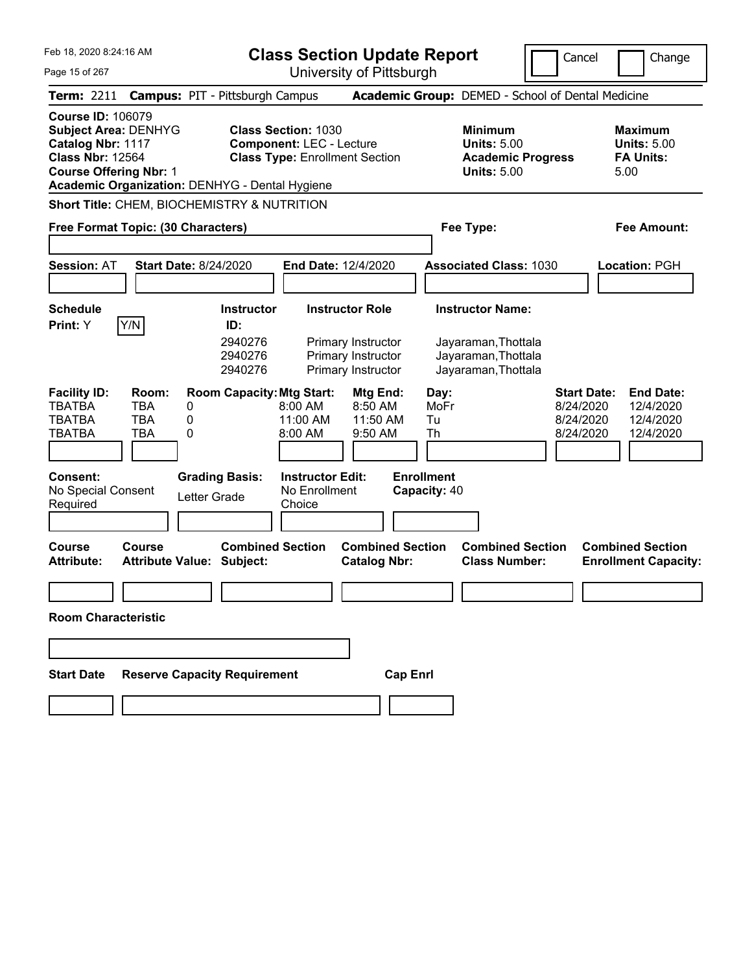Feb 18, 2020 8:24:16 AM Page 15 of 267 **Class Section Update Report** University of Pittsburgh Cancel Change **Term:** 2211 **Campus:** PIT - Pittsburgh Campus **Academic Group:** DEMED - School of Dental Medicine **Course ID:** 106079 **Subject Area:** DENHYG **Class Section:** 1030 **Minimum Maximum Catalog Nbr:** 1117 **Component:** LEC - Lecture **Units:** 5.00 **Units:** 5.00 **Class Nbr:** 12564 **Class Type:** Enrollment Section **Academic Progress FA Units: Course Offering Nbr:** 1 **Units:** 5.00 5.00 **Academic Organization:** DENHYG - Dental Hygiene **Short Title:** CHEM, BIOCHEMISTRY & NUTRITION **Free Format Topic: (30 Characters) Fee Type: Fee Amount: Session:** AT **Start Date:** 8/24/2020 **End Date:** 12/4/2020 **Associated Class:** 1030 **Location:** PGH **Schedule Instructor Instructor Role Instructor Name: Print:**  $Y$   $|Y/N|$  **ID:** 2940276 Primary Instructor Jayaraman,Thottala 2940276 Primary Instructor Jayaraman,Thottala 2940276 Primary Instructor Jayaraman,Thottala **Facility ID: Room: Room Capacity:Mtg Start: Mtg End: Day: Start Date: End Date:** TBATBA TBA 0 8:00 AM 8:50 AM MoFr 8/24/2020 12/4/2020 TBATBA TBA 0 11:00 AM 11:50 AM Tu 8/24/2020 12/4/2020 TBATBA TBA 0 8:00 AM 9:50 AM Th 8/24/2020 12/4/2020 **Consent: Grading Basis: Instructor Edit: Enrollment** No Special Consent Required Letter Grade No Enrollment **Choice Capacity:** 40 **Course Course Combined Section Combined Section Combined Section Combined Section Attribute: Attribute Value: Subject: Catalog Nbr: Class Number: Enrollment Capacity: Room Characteristic Start Date Reserve Capacity Requirement Cap Enrl**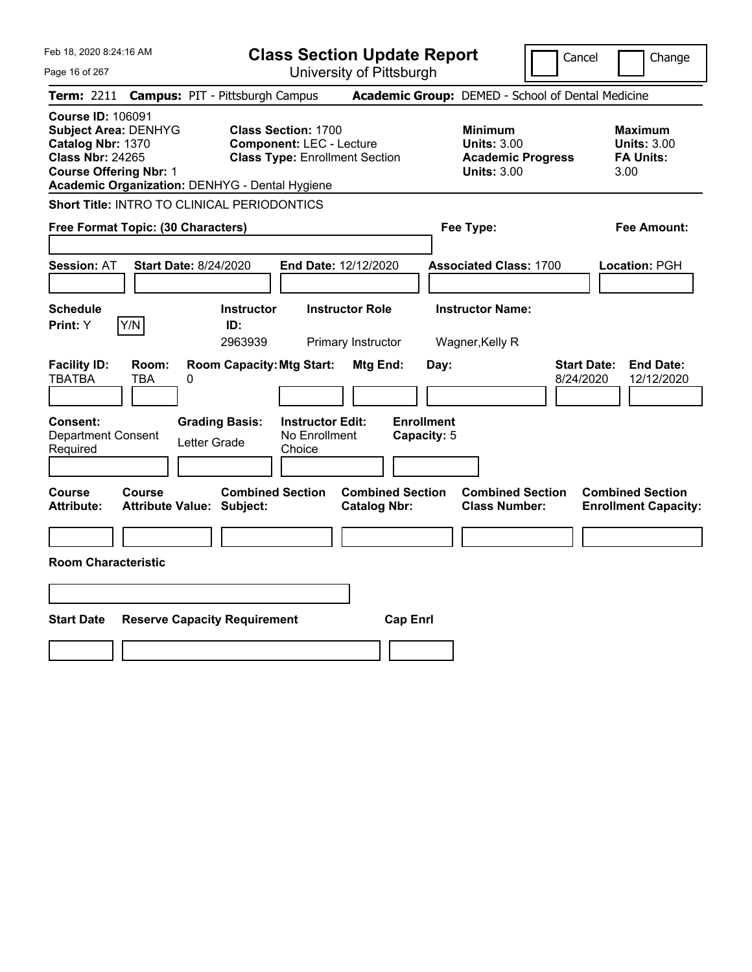| Feb 18, 2020 8:24:16 AM                                                                                                                  |               |                                                             |                                                               | <b>Class Section Update Report</b>             |                                  |                                                                                        | Cancel    | Change                                                           |
|------------------------------------------------------------------------------------------------------------------------------------------|---------------|-------------------------------------------------------------|---------------------------------------------------------------|------------------------------------------------|----------------------------------|----------------------------------------------------------------------------------------|-----------|------------------------------------------------------------------|
| Page 16 of 267                                                                                                                           |               |                                                             |                                                               | University of Pittsburgh                       |                                  |                                                                                        |           |                                                                  |
| Term: 2211                                                                                                                               |               | <b>Campus: PIT - Pittsburgh Campus</b>                      |                                                               |                                                |                                  | Academic Group: DEMED - School of Dental Medicine                                      |           |                                                                  |
| <b>Course ID: 106091</b><br><b>Subject Area: DENHYG</b><br>Catalog Nbr: 1370<br><b>Class Nbr: 24265</b><br><b>Course Offering Nbr: 1</b> |               | Academic Organization: DENHYG - Dental Hygiene              | <b>Class Section: 1700</b><br><b>Component: LEC - Lecture</b> | <b>Class Type: Enrollment Section</b>          |                                  | <b>Minimum</b><br><b>Units: 3.00</b><br><b>Academic Progress</b><br><b>Units: 3.00</b> |           | <b>Maximum</b><br><b>Units: 3.00</b><br><b>FA Units:</b><br>3.00 |
|                                                                                                                                          |               | Short Title: INTRO TO CLINICAL PERIODONTICS                 |                                                               |                                                |                                  |                                                                                        |           |                                                                  |
| Free Format Topic: (30 Characters)                                                                                                       |               |                                                             |                                                               |                                                |                                  | Fee Type:                                                                              |           | Fee Amount:                                                      |
| <b>Session: AT</b>                                                                                                                       |               | <b>Start Date: 8/24/2020</b>                                |                                                               | End Date: 12/12/2020                           |                                  | <b>Associated Class: 1700</b>                                                          |           | Location: PGH                                                    |
| <b>Schedule</b><br>Y/N<br>Print: Y                                                                                                       |               | <b>Instructor</b><br>ID:<br>2963939                         |                                                               | <b>Instructor Role</b><br>Primary Instructor   |                                  | <b>Instructor Name:</b><br>Wagner, Kelly R                                             |           |                                                                  |
| <b>Facility ID:</b><br><b>TBATBA</b>                                                                                                     | Room:<br>TBA  | <b>Room Capacity: Mtg Start:</b><br>0                       |                                                               | Mtg End:                                       | Day:                             |                                                                                        | 8/24/2020 | <b>Start Date:</b><br><b>End Date:</b><br>12/12/2020             |
| Consent:<br><b>Department Consent</b><br>Required                                                                                        |               | <b>Grading Basis:</b><br>Letter Grade                       | <b>Instructor Edit:</b><br>No Enrollment<br>Choice            |                                                | <b>Enrollment</b><br>Capacity: 5 |                                                                                        |           |                                                                  |
| Course<br><b>Attribute:</b>                                                                                                              | <b>Course</b> | <b>Combined Section</b><br><b>Attribute Value: Subject:</b> |                                                               | <b>Combined Section</b><br><b>Catalog Nbr:</b> |                                  | <b>Combined Section</b><br><b>Class Number:</b>                                        |           | <b>Combined Section</b><br><b>Enrollment Capacity:</b>           |
|                                                                                                                                          |               |                                                             |                                                               |                                                |                                  |                                                                                        |           |                                                                  |
| <b>Room Characteristic</b>                                                                                                               |               |                                                             |                                                               |                                                |                                  |                                                                                        |           |                                                                  |
|                                                                                                                                          |               |                                                             |                                                               |                                                |                                  |                                                                                        |           |                                                                  |
| <b>Start Date</b>                                                                                                                        |               | <b>Reserve Capacity Requirement</b>                         |                                                               |                                                | <b>Cap Enrl</b>                  |                                                                                        |           |                                                                  |
|                                                                                                                                          |               |                                                             |                                                               |                                                |                                  |                                                                                        |           |                                                                  |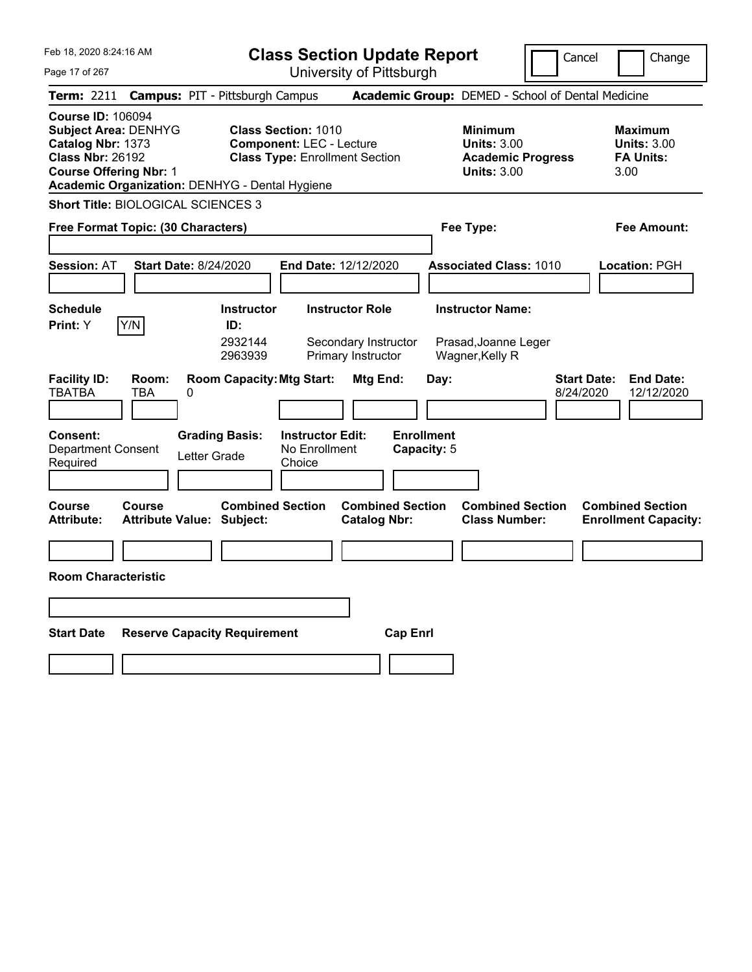| Feb 18, 2020 8:24:16 AM                                                                                                                                                                    | <b>Class Section Update Report</b>                                                                                          | Cancel                                                                                 | Change                                                           |
|--------------------------------------------------------------------------------------------------------------------------------------------------------------------------------------------|-----------------------------------------------------------------------------------------------------------------------------|----------------------------------------------------------------------------------------|------------------------------------------------------------------|
| Page 17 of 267                                                                                                                                                                             | University of Pittsburgh                                                                                                    |                                                                                        |                                                                  |
| <b>Term: 2211</b>                                                                                                                                                                          | <b>Campus: PIT - Pittsburgh Campus</b>                                                                                      | Academic Group: DEMED - School of Dental Medicine                                      |                                                                  |
| <b>Course ID: 106094</b><br><b>Subject Area: DENHYG</b><br>Catalog Nbr: 1373<br><b>Class Nbr: 26192</b><br><b>Course Offering Nbr: 1</b><br>Academic Organization: DENHYG - Dental Hygiene | <b>Class Section: 1010</b><br><b>Component: LEC - Lecture</b><br><b>Class Type: Enrollment Section</b>                      | <b>Minimum</b><br><b>Units: 3.00</b><br><b>Academic Progress</b><br><b>Units: 3.00</b> | <b>Maximum</b><br><b>Units: 3.00</b><br><b>FA Units:</b><br>3.00 |
| <b>Short Title: BIOLOGICAL SCIENCES 3</b>                                                                                                                                                  |                                                                                                                             |                                                                                        |                                                                  |
| Free Format Topic: (30 Characters)                                                                                                                                                         |                                                                                                                             | Fee Type:                                                                              | Fee Amount:                                                      |
| <b>Start Date: 8/24/2020</b><br><b>Session: AT</b>                                                                                                                                         | End Date: 12/12/2020                                                                                                        | <b>Associated Class: 1010</b>                                                          | <b>Location: PGH</b>                                             |
| <b>Schedule</b><br>Y/N<br>Print: Y                                                                                                                                                         | <b>Instructor Role</b><br><b>Instructor</b><br>ID:<br>2932144<br>Secondary Instructor<br>Primary Instructor<br>2963939      | <b>Instructor Name:</b><br>Prasad, Joanne Leger<br>Wagner, Kelly R                     |                                                                  |
| <b>Facility ID:</b><br>Room:<br><b>TBATBA</b><br>TBA<br>0<br><b>Consent:</b><br><b>Department Consent</b><br>Letter Grade<br>Required                                                      | <b>Room Capacity: Mtg Start:</b><br>Mtg End:<br><b>Grading Basis:</b><br><b>Instructor Edit:</b><br>No Enrollment<br>Choice | Day:<br>8/24/2020<br><b>Enrollment</b><br>Capacity: 5                                  | <b>Start Date:</b><br><b>End Date:</b><br>12/12/2020             |
| <b>Course</b><br><b>Course</b><br><b>Attribute:</b><br><b>Attribute Value: Subject:</b>                                                                                                    | <b>Combined Section</b><br><b>Combined Section</b><br><b>Catalog Nbr:</b>                                                   | <b>Combined Section</b><br><b>Class Number:</b>                                        | <b>Combined Section</b><br><b>Enrollment Capacity:</b>           |
|                                                                                                                                                                                            |                                                                                                                             |                                                                                        |                                                                  |
| <b>Room Characteristic</b>                                                                                                                                                                 |                                                                                                                             |                                                                                        |                                                                  |
|                                                                                                                                                                                            |                                                                                                                             |                                                                                        |                                                                  |
| <b>Start Date</b><br><b>Reserve Capacity Requirement</b>                                                                                                                                   | <b>Cap Enri</b>                                                                                                             |                                                                                        |                                                                  |
|                                                                                                                                                                                            |                                                                                                                             |                                                                                        |                                                                  |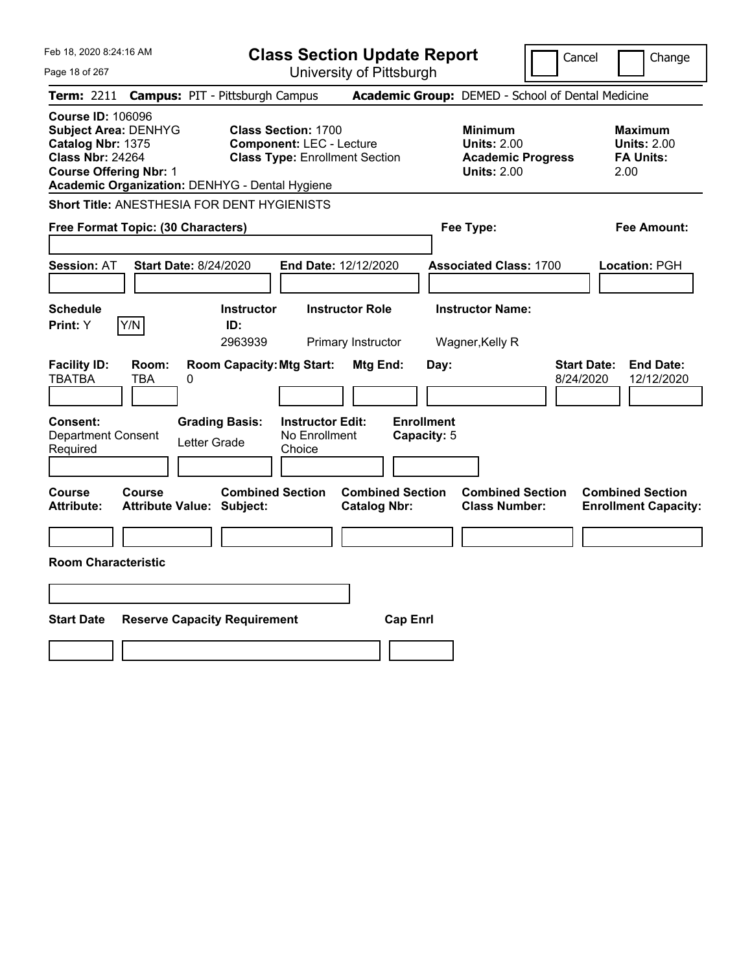| Feb 18, 2020 8:24:16 AM                                                                                                                                                                    |                                        |                                                                                                        | <b>Class Section Update Report</b>                |                                                                                        | Cancel                          | Change                                                    |
|--------------------------------------------------------------------------------------------------------------------------------------------------------------------------------------------|----------------------------------------|--------------------------------------------------------------------------------------------------------|---------------------------------------------------|----------------------------------------------------------------------------------------|---------------------------------|-----------------------------------------------------------|
| Page 18 of 267                                                                                                                                                                             |                                        |                                                                                                        | University of Pittsburgh                          |                                                                                        |                                 |                                                           |
| Term: 2211                                                                                                                                                                                 | <b>Campus: PIT - Pittsburgh Campus</b> |                                                                                                        | Academic Group: DEMED - School of Dental Medicine |                                                                                        |                                 |                                                           |
| <b>Course ID: 106096</b><br><b>Subject Area: DENHYG</b><br>Catalog Nbr: 1375<br><b>Class Nbr: 24264</b><br><b>Course Offering Nbr: 1</b><br>Academic Organization: DENHYG - Dental Hygiene |                                        | <b>Class Section: 1700</b><br><b>Component: LEC - Lecture</b><br><b>Class Type: Enrollment Section</b> |                                                   | <b>Minimum</b><br><b>Units: 2.00</b><br><b>Academic Progress</b><br><b>Units: 2.00</b> |                                 | Maximum<br><b>Units: 2.00</b><br><b>FA Units:</b><br>2.00 |
| Short Title: ANESTHESIA FOR DENT HYGIENISTS                                                                                                                                                |                                        |                                                                                                        |                                                   |                                                                                        |                                 |                                                           |
| Free Format Topic: (30 Characters)                                                                                                                                                         |                                        |                                                                                                        |                                                   | Fee Type:                                                                              |                                 | Fee Amount:                                               |
| <b>Session: AT</b>                                                                                                                                                                         | <b>Start Date: 8/24/2020</b>           |                                                                                                        | End Date: 12/12/2020                              | <b>Associated Class: 1700</b>                                                          |                                 | Location: PGH                                             |
| <b>Schedule</b><br>Y/N<br><b>Print: Y</b>                                                                                                                                                  | ID:                                    | <b>Instructor</b><br>2963939                                                                           | <b>Instructor Role</b><br>Primary Instructor      | <b>Instructor Name:</b><br>Wagner, Kelly R                                             |                                 |                                                           |
| <b>Facility ID:</b><br><b>TBATBA</b><br>TBA                                                                                                                                                | Room:<br>0                             | <b>Room Capacity: Mtg Start:</b>                                                                       | <b>Mtg End:</b><br>Day:                           |                                                                                        | <b>Start Date:</b><br>8/24/2020 | <b>End Date:</b><br>12/12/2020                            |
| <b>Consent:</b><br><b>Department Consent</b><br>Required                                                                                                                                   | <b>Grading Basis:</b><br>Letter Grade  | <b>Instructor Edit:</b><br>No Enrollment<br>Choice                                                     | <b>Enrollment</b><br>Capacity: 5                  |                                                                                        |                                 |                                                           |
| Course<br>Course<br><b>Attribute:</b>                                                                                                                                                      | <b>Attribute Value: Subject:</b>       | <b>Combined Section</b>                                                                                | <b>Combined Section</b><br><b>Catalog Nbr:</b>    | <b>Combined Section</b><br><b>Class Number:</b>                                        |                                 | <b>Combined Section</b><br><b>Enrollment Capacity:</b>    |
|                                                                                                                                                                                            |                                        |                                                                                                        |                                                   |                                                                                        |                                 |                                                           |
| <b>Room Characteristic</b>                                                                                                                                                                 |                                        |                                                                                                        |                                                   |                                                                                        |                                 |                                                           |
|                                                                                                                                                                                            |                                        |                                                                                                        |                                                   |                                                                                        |                                 |                                                           |
| <b>Start Date</b>                                                                                                                                                                          | <b>Reserve Capacity Requirement</b>    |                                                                                                        | <b>Cap Enrl</b>                                   |                                                                                        |                                 |                                                           |
|                                                                                                                                                                                            |                                        |                                                                                                        |                                                   |                                                                                        |                                 |                                                           |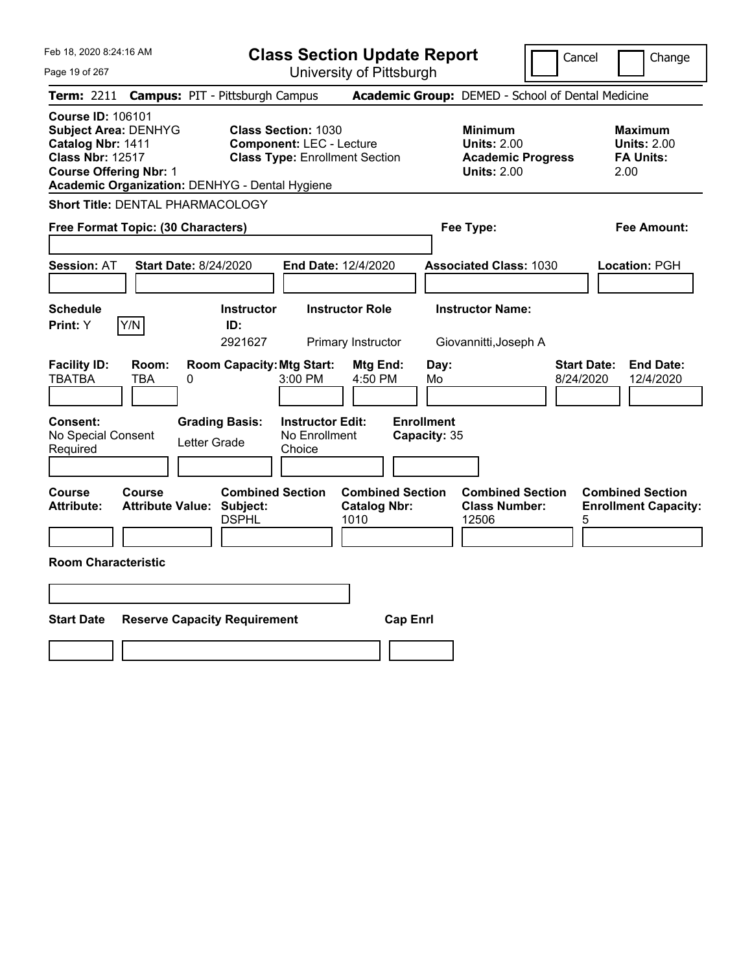| Feb 18, 2020 8:24:16 AM                                                                                                                  |                                                                             | <b>Class Section Update Report</b>                                                                     |                                                            | Cancel                          | Change                                                    |
|------------------------------------------------------------------------------------------------------------------------------------------|-----------------------------------------------------------------------------|--------------------------------------------------------------------------------------------------------|------------------------------------------------------------|---------------------------------|-----------------------------------------------------------|
| Page 19 of 267                                                                                                                           |                                                                             | University of Pittsburgh                                                                               |                                                            |                                 |                                                           |
| Term: 2211                                                                                                                               | <b>Campus: PIT - Pittsburgh Campus</b>                                      |                                                                                                        | Academic Group: DEMED - School of Dental Medicine          |                                 |                                                           |
| <b>Course ID: 106101</b><br><b>Subject Area: DENHYG</b><br>Catalog Nbr: 1411<br><b>Class Nbr: 12517</b><br><b>Course Offering Nbr: 1</b> | Academic Organization: DENHYG - Dental Hygiene                              | <b>Class Section: 1030</b><br><b>Component: LEC - Lecture</b><br><b>Class Type: Enrollment Section</b> | <b>Minimum</b><br><b>Units: 2.00</b><br><b>Units: 2.00</b> | <b>Academic Progress</b>        | Maximum<br><b>Units: 2.00</b><br><b>FA Units:</b><br>2.00 |
| <b>Short Title: DENTAL PHARMACOLOGY</b>                                                                                                  |                                                                             |                                                                                                        |                                                            |                                 |                                                           |
| Free Format Topic: (30 Characters)                                                                                                       |                                                                             |                                                                                                        | Fee Type:                                                  |                                 | Fee Amount:                                               |
| <b>Session: AT</b>                                                                                                                       | <b>Start Date: 8/24/2020</b>                                                | End Date: 12/4/2020                                                                                    | <b>Associated Class: 1030</b>                              |                                 | Location: PGH                                             |
| <b>Schedule</b>                                                                                                                          | <b>Instructor</b>                                                           | <b>Instructor Role</b>                                                                                 | <b>Instructor Name:</b>                                    |                                 |                                                           |
| Y/N<br>Print: Y                                                                                                                          | ID:<br>2921627                                                              | Primary Instructor                                                                                     | Giovannitti, Joseph A                                      |                                 |                                                           |
| <b>Facility ID:</b><br>Room:<br><b>TBATBA</b><br><b>TBA</b>                                                                              | <b>Room Capacity: Mtg Start:</b><br>0                                       | Mtg End:<br>3:00 PM<br>4:50 PM                                                                         | Day:<br>Mo                                                 | <b>Start Date:</b><br>8/24/2020 | <b>End Date:</b><br>12/4/2020                             |
| Consent:<br>No Special Consent<br>Required                                                                                               | <b>Grading Basis:</b><br>Letter Grade                                       | <b>Instructor Edit:</b><br>No Enrollment<br>Choice                                                     | <b>Enrollment</b><br>Capacity: 35                          |                                 |                                                           |
| Course<br><b>Course</b><br><b>Attribute:</b>                                                                                             | <b>Combined Section</b><br><b>Attribute Value: Subject:</b><br><b>DSPHL</b> | <b>Catalog Nbr:</b><br>1010                                                                            | <b>Combined Section</b><br><b>Class Number:</b><br>12506   | <b>Combined Section</b><br>5    | <b>Combined Section</b><br><b>Enrollment Capacity:</b>    |
| <b>Room Characteristic</b>                                                                                                               |                                                                             |                                                                                                        |                                                            |                                 |                                                           |
|                                                                                                                                          |                                                                             |                                                                                                        |                                                            |                                 |                                                           |
|                                                                                                                                          |                                                                             |                                                                                                        |                                                            |                                 |                                                           |
| <b>Start Date</b>                                                                                                                        | <b>Reserve Capacity Requirement</b>                                         |                                                                                                        | <b>Cap Enrl</b>                                            |                                 |                                                           |
|                                                                                                                                          |                                                                             |                                                                                                        |                                                            |                                 |                                                           |
|                                                                                                                                          |                                                                             |                                                                                                        |                                                            |                                 |                                                           |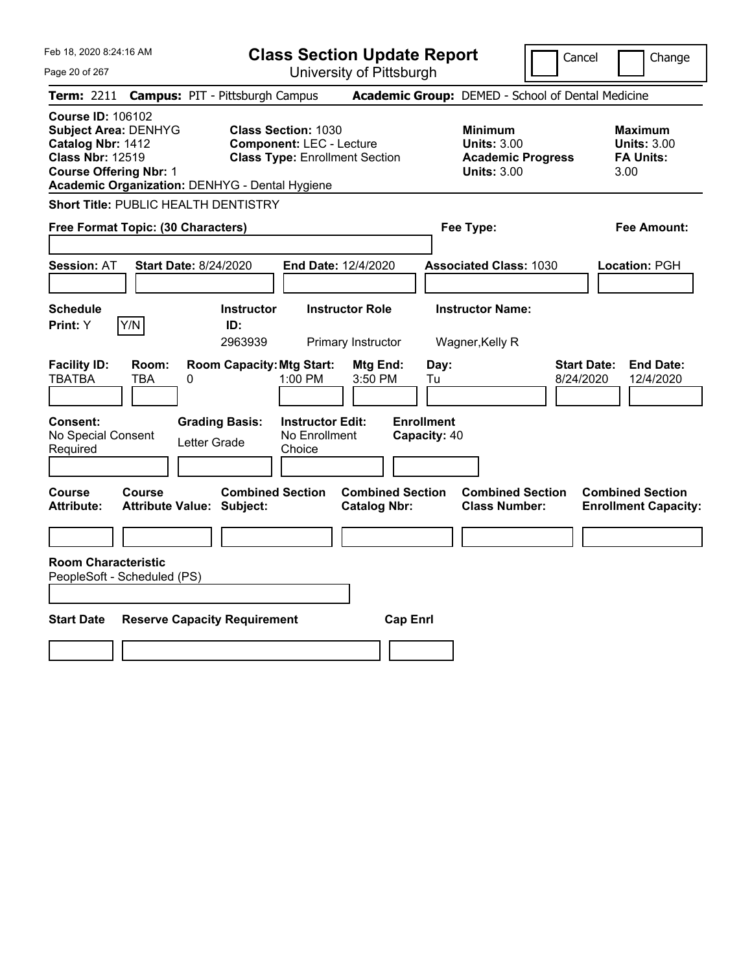| Feb 18, 2020 8:24:16 AM                                                                                                                                                                    | <b>Class Section Update Report</b>                                                                     | Cancel                                                                                 | Change                                                           |
|--------------------------------------------------------------------------------------------------------------------------------------------------------------------------------------------|--------------------------------------------------------------------------------------------------------|----------------------------------------------------------------------------------------|------------------------------------------------------------------|
| Page 20 of 267                                                                                                                                                                             | University of Pittsburgh                                                                               |                                                                                        |                                                                  |
| Term: 2211                                                                                                                                                                                 | <b>Campus: PIT - Pittsburgh Campus</b>                                                                 | Academic Group: DEMED - School of Dental Medicine                                      |                                                                  |
| <b>Course ID: 106102</b><br><b>Subject Area: DENHYG</b><br>Catalog Nbr: 1412<br><b>Class Nbr: 12519</b><br><b>Course Offering Nbr: 1</b><br>Academic Organization: DENHYG - Dental Hygiene | <b>Class Section: 1030</b><br><b>Component: LEC - Lecture</b><br><b>Class Type: Enrollment Section</b> | <b>Minimum</b><br><b>Units: 3.00</b><br><b>Academic Progress</b><br><b>Units: 3.00</b> | <b>Maximum</b><br><b>Units: 3.00</b><br><b>FA Units:</b><br>3.00 |
| Short Title: PUBLIC HEALTH DENTISTRY                                                                                                                                                       |                                                                                                        |                                                                                        |                                                                  |
| Free Format Topic: (30 Characters)                                                                                                                                                         |                                                                                                        | Fee Type:                                                                              | Fee Amount:                                                      |
| <b>Start Date: 8/24/2020</b><br><b>Session: AT</b>                                                                                                                                         | <b>End Date: 12/4/2020</b>                                                                             | <b>Associated Class: 1030</b>                                                          | Location: PGH                                                    |
| <b>Schedule</b>                                                                                                                                                                            | <b>Instructor Role</b><br><b>Instructor</b>                                                            | <b>Instructor Name:</b>                                                                |                                                                  |
| Y/N<br><b>Print: Y</b>                                                                                                                                                                     | ID:<br>2963939<br>Primary Instructor                                                                   | Wagner, Kelly R                                                                        |                                                                  |
| <b>Facility ID:</b><br>Room:<br><b>TBATBA</b><br>TBA<br>0                                                                                                                                  | <b>Room Capacity: Mtg Start:</b><br>Mtg End:<br>1:00 PM<br>3:50 PM                                     | Day:<br>8/24/2020<br>Tu                                                                | <b>Start Date:</b><br><b>End Date:</b><br>12/4/2020              |
| <b>Consent:</b><br>No Special Consent<br>Letter Grade<br>Required                                                                                                                          | <b>Grading Basis:</b><br><b>Instructor Edit:</b><br>No Enrollment<br>Choice                            | <b>Enrollment</b><br>Capacity: 40                                                      |                                                                  |
| Course<br>Course<br><b>Attribute:</b><br><b>Attribute Value: Subject:</b>                                                                                                                  | <b>Combined Section</b><br><b>Combined Section</b><br><b>Catalog Nbr:</b>                              | <b>Combined Section</b><br><b>Class Number:</b>                                        | <b>Combined Section</b><br><b>Enrollment Capacity:</b>           |
|                                                                                                                                                                                            |                                                                                                        |                                                                                        |                                                                  |
| <b>Room Characteristic</b><br>PeopleSoft - Scheduled (PS)                                                                                                                                  |                                                                                                        |                                                                                        |                                                                  |
| <b>Start Date</b><br><b>Reserve Capacity Requirement</b>                                                                                                                                   |                                                                                                        | <b>Cap Enrl</b>                                                                        |                                                                  |
|                                                                                                                                                                                            |                                                                                                        |                                                                                        |                                                                  |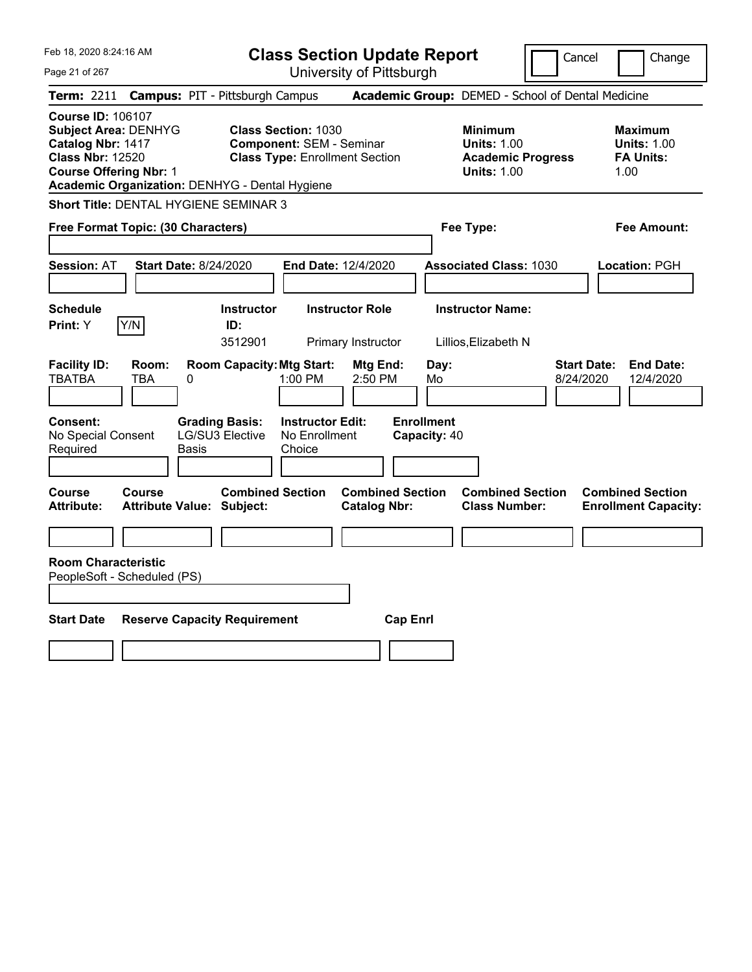| Feb 18, 2020 8:24:16 AM                                                                                                                                                                    | <b>Class Section Update Report</b>                                                                                                                                   |                                                                                        | Cancel<br>Change                                                 |
|--------------------------------------------------------------------------------------------------------------------------------------------------------------------------------------------|----------------------------------------------------------------------------------------------------------------------------------------------------------------------|----------------------------------------------------------------------------------------|------------------------------------------------------------------|
| Page 21 of 267                                                                                                                                                                             | University of Pittsburgh                                                                                                                                             |                                                                                        |                                                                  |
| Term: 2211                                                                                                                                                                                 | <b>Campus: PIT - Pittsburgh Campus</b>                                                                                                                               | Academic Group: DEMED - School of Dental Medicine                                      |                                                                  |
| <b>Course ID: 106107</b><br><b>Subject Area: DENHYG</b><br>Catalog Nbr: 1417<br><b>Class Nbr: 12520</b><br><b>Course Offering Nbr: 1</b><br>Academic Organization: DENHYG - Dental Hygiene | <b>Class Section: 1030</b><br><b>Component: SEM - Seminar</b><br><b>Class Type: Enrollment Section</b>                                                               | <b>Minimum</b><br><b>Units: 1.00</b><br><b>Academic Progress</b><br><b>Units: 1.00</b> | Maximum<br><b>Units: 1.00</b><br><b>FA Units:</b><br>1.00        |
| Short Title: DENTAL HYGIENE SEMINAR 3                                                                                                                                                      |                                                                                                                                                                      |                                                                                        |                                                                  |
| Free Format Topic: (30 Characters)                                                                                                                                                         |                                                                                                                                                                      | Fee Type:                                                                              | Fee Amount:                                                      |
| <b>Session: AT</b><br><b>Start Date: 8/24/2020</b>                                                                                                                                         | End Date: 12/4/2020                                                                                                                                                  | <b>Associated Class: 1030</b>                                                          | Location: PGH                                                    |
| <b>Schedule</b>                                                                                                                                                                            | <b>Instructor Role</b><br><b>Instructor</b>                                                                                                                          | <b>Instructor Name:</b>                                                                |                                                                  |
| Y/N<br>Print: Y                                                                                                                                                                            | ID:<br>3512901<br>Primary Instructor                                                                                                                                 | Lillios,Elizabeth N                                                                    |                                                                  |
| <b>Facility ID:</b><br>Room:<br><b>TBATBA</b><br><b>TBA</b><br>0<br><b>Consent:</b><br>No Special Consent<br>Required<br>Basis                                                             | <b>Room Capacity: Mtg Start:</b><br>Mtg End:<br>2:50 PM<br>1:00 PM<br><b>Grading Basis:</b><br><b>Instructor Edit:</b><br>LG/SU3 Elective<br>No Enrollment<br>Choice | Day:<br>Mo<br><b>Enrollment</b><br>Capacity: 40                                        | <b>Start Date:</b><br><b>End Date:</b><br>8/24/2020<br>12/4/2020 |
| <b>Course</b><br><b>Course</b><br><b>Attribute:</b><br><b>Attribute Value: Subject:</b>                                                                                                    | <b>Combined Section</b><br><b>Combined Section</b><br><b>Catalog Nbr:</b>                                                                                            | <b>Combined Section</b><br><b>Class Number:</b>                                        | <b>Combined Section</b><br><b>Enrollment Capacity:</b>           |
|                                                                                                                                                                                            |                                                                                                                                                                      |                                                                                        |                                                                  |
| <b>Room Characteristic</b><br>PeopleSoft - Scheduled (PS)                                                                                                                                  |                                                                                                                                                                      |                                                                                        |                                                                  |
|                                                                                                                                                                                            |                                                                                                                                                                      |                                                                                        |                                                                  |
| <b>Start Date</b><br><b>Reserve Capacity Requirement</b>                                                                                                                                   |                                                                                                                                                                      | <b>Cap Enrl</b>                                                                        |                                                                  |
|                                                                                                                                                                                            |                                                                                                                                                                      |                                                                                        |                                                                  |
|                                                                                                                                                                                            |                                                                                                                                                                      |                                                                                        |                                                                  |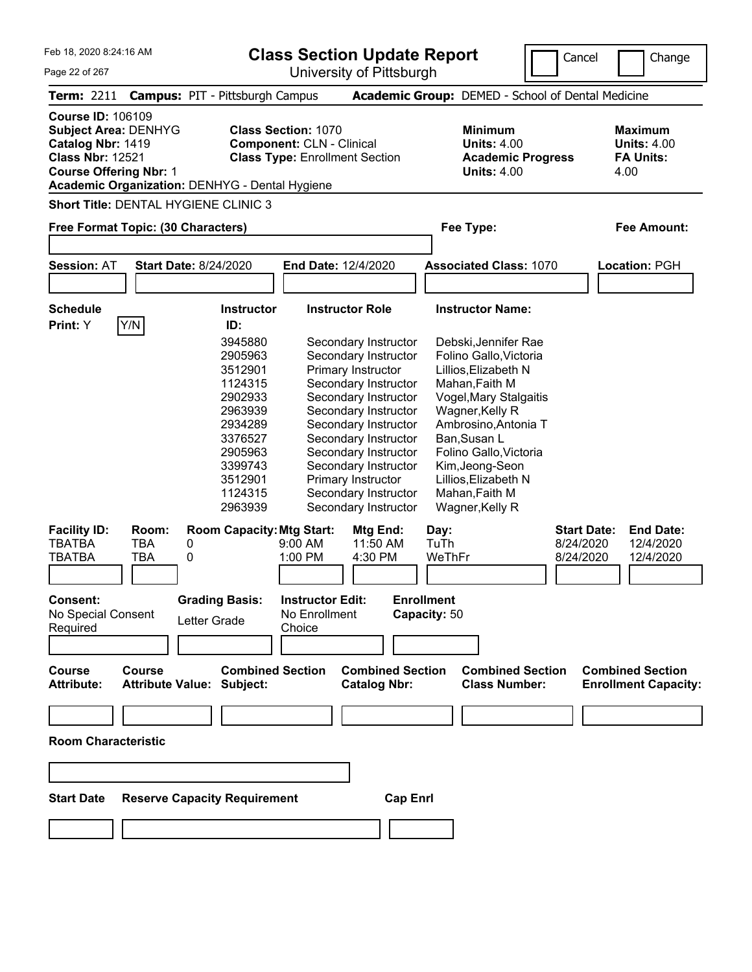| Feb 18, 2020 8:24:16 AM<br>Page 22 of 267                                                                                         |                            |                                                                                                                                                                                             |                                                                | <b>Class Section Update Report</b><br>University of Pittsburgh                                                                                                                                                                                                                                                                                  |                                                                                                                                                                                                                                                                                                         | Cancel                          | Change                                                           |
|-----------------------------------------------------------------------------------------------------------------------------------|----------------------------|---------------------------------------------------------------------------------------------------------------------------------------------------------------------------------------------|----------------------------------------------------------------|-------------------------------------------------------------------------------------------------------------------------------------------------------------------------------------------------------------------------------------------------------------------------------------------------------------------------------------------------|---------------------------------------------------------------------------------------------------------------------------------------------------------------------------------------------------------------------------------------------------------------------------------------------------------|---------------------------------|------------------------------------------------------------------|
| <b>Term: 2211</b>                                                                                                                 |                            | <b>Campus: PIT - Pittsburgh Campus</b>                                                                                                                                                      |                                                                |                                                                                                                                                                                                                                                                                                                                                 | Academic Group: DEMED - School of Dental Medicine                                                                                                                                                                                                                                                       |                                 |                                                                  |
| <b>Course ID: 106109</b><br>Subject Area: DENHYG<br>Catalog Nbr: 1419<br><b>Class Nbr: 12521</b><br><b>Course Offering Nbr: 1</b> |                            | Academic Organization: DENHYG - Dental Hygiene                                                                                                                                              | <b>Class Section: 1070</b><br><b>Component: CLN - Clinical</b> | <b>Class Type: Enrollment Section</b>                                                                                                                                                                                                                                                                                                           | <b>Minimum</b><br><b>Units: 4.00</b><br><b>Academic Progress</b><br><b>Units: 4.00</b>                                                                                                                                                                                                                  |                                 | <b>Maximum</b><br><b>Units: 4.00</b><br><b>FA Units:</b><br>4.00 |
|                                                                                                                                   |                            | <b>Short Title: DENTAL HYGIENE CLINIC 3</b>                                                                                                                                                 |                                                                |                                                                                                                                                                                                                                                                                                                                                 |                                                                                                                                                                                                                                                                                                         |                                 |                                                                  |
| Free Format Topic: (30 Characters)                                                                                                |                            |                                                                                                                                                                                             |                                                                |                                                                                                                                                                                                                                                                                                                                                 | Fee Type:                                                                                                                                                                                                                                                                                               |                                 | <b>Fee Amount:</b>                                               |
|                                                                                                                                   |                            |                                                                                                                                                                                             |                                                                |                                                                                                                                                                                                                                                                                                                                                 |                                                                                                                                                                                                                                                                                                         |                                 |                                                                  |
| <b>Session: AT</b>                                                                                                                |                            | <b>Start Date: 8/24/2020</b>                                                                                                                                                                |                                                                | End Date: 12/4/2020                                                                                                                                                                                                                                                                                                                             | <b>Associated Class: 1070</b>                                                                                                                                                                                                                                                                           |                                 | Location: PGH                                                    |
|                                                                                                                                   |                            |                                                                                                                                                                                             |                                                                |                                                                                                                                                                                                                                                                                                                                                 |                                                                                                                                                                                                                                                                                                         |                                 |                                                                  |
| <b>Schedule</b>                                                                                                                   |                            | <b>Instructor</b>                                                                                                                                                                           |                                                                | <b>Instructor Role</b>                                                                                                                                                                                                                                                                                                                          | <b>Instructor Name:</b>                                                                                                                                                                                                                                                                                 |                                 |                                                                  |
| Print: Y<br><b>Facility ID:</b><br><b>TBATBA</b>                                                                                  | Y/N<br>Room:<br><b>TBA</b> | ID:<br>3945880<br>2905963<br>3512901<br>1124315<br>2902933<br>2963939<br>2934289<br>3376527<br>2905963<br>3399743<br>3512901<br>1124315<br>2963939<br><b>Room Capacity: Mtg Start:</b><br>0 | 9:00 AM                                                        | Secondary Instructor<br>Secondary Instructor<br>Primary Instructor<br>Secondary Instructor<br>Secondary Instructor<br>Secondary Instructor<br>Secondary Instructor<br>Secondary Instructor<br>Secondary Instructor<br>Secondary Instructor<br>Primary Instructor<br>Secondary Instructor<br>Secondary Instructor<br><b>Mtg End:</b><br>11:50 AM | Debski, Jennifer Rae<br>Folino Gallo, Victoria<br>Lillios, Elizabeth N<br>Mahan, Faith M<br>Vogel, Mary Stalgaitis<br>Wagner, Kelly R<br>Ambrosino, Antonia T<br>Ban, Susan L<br>Folino Gallo, Victoria<br>Kim, Jeong-Seon<br>Lillios, Elizabeth N<br>Mahan, Faith M<br>Wagner, Kelly R<br>Day:<br>TuTh | <b>Start Date:</b><br>8/24/2020 | <b>End Date:</b><br>12/4/2020                                    |
| <b>TBATBA</b>                                                                                                                     | <b>TBA</b>                 | 0                                                                                                                                                                                           | 1:00 PM                                                        | 4:30 PM                                                                                                                                                                                                                                                                                                                                         | WeThFr                                                                                                                                                                                                                                                                                                  | 8/24/2020                       | 12/4/2020                                                        |
| <b>Consent:</b><br>No Special Consent<br>Required<br><b>Course</b><br><b>Attribute:</b>                                           | <b>Course</b>              | <b>Grading Basis:</b><br>Letter Grade<br><b>Combined Section</b><br><b>Attribute Value: Subject:</b>                                                                                        | <b>Instructor Edit:</b><br>No Enrollment<br>Choice             | <b>Combined Section</b><br><b>Catalog Nbr:</b>                                                                                                                                                                                                                                                                                                  | <b>Enrollment</b><br>Capacity: 50<br><b>Combined Section</b><br><b>Class Number:</b>                                                                                                                                                                                                                    |                                 | <b>Combined Section</b><br><b>Enrollment Capacity:</b>           |
|                                                                                                                                   |                            |                                                                                                                                                                                             |                                                                |                                                                                                                                                                                                                                                                                                                                                 |                                                                                                                                                                                                                                                                                                         |                                 |                                                                  |
|                                                                                                                                   |                            |                                                                                                                                                                                             |                                                                |                                                                                                                                                                                                                                                                                                                                                 |                                                                                                                                                                                                                                                                                                         |                                 |                                                                  |
| <b>Room Characteristic</b>                                                                                                        |                            |                                                                                                                                                                                             |                                                                |                                                                                                                                                                                                                                                                                                                                                 |                                                                                                                                                                                                                                                                                                         |                                 |                                                                  |
|                                                                                                                                   |                            |                                                                                                                                                                                             |                                                                |                                                                                                                                                                                                                                                                                                                                                 |                                                                                                                                                                                                                                                                                                         |                                 |                                                                  |
| <b>Start Date</b>                                                                                                                 |                            | <b>Reserve Capacity Requirement</b>                                                                                                                                                         |                                                                | <b>Cap Enrl</b>                                                                                                                                                                                                                                                                                                                                 |                                                                                                                                                                                                                                                                                                         |                                 |                                                                  |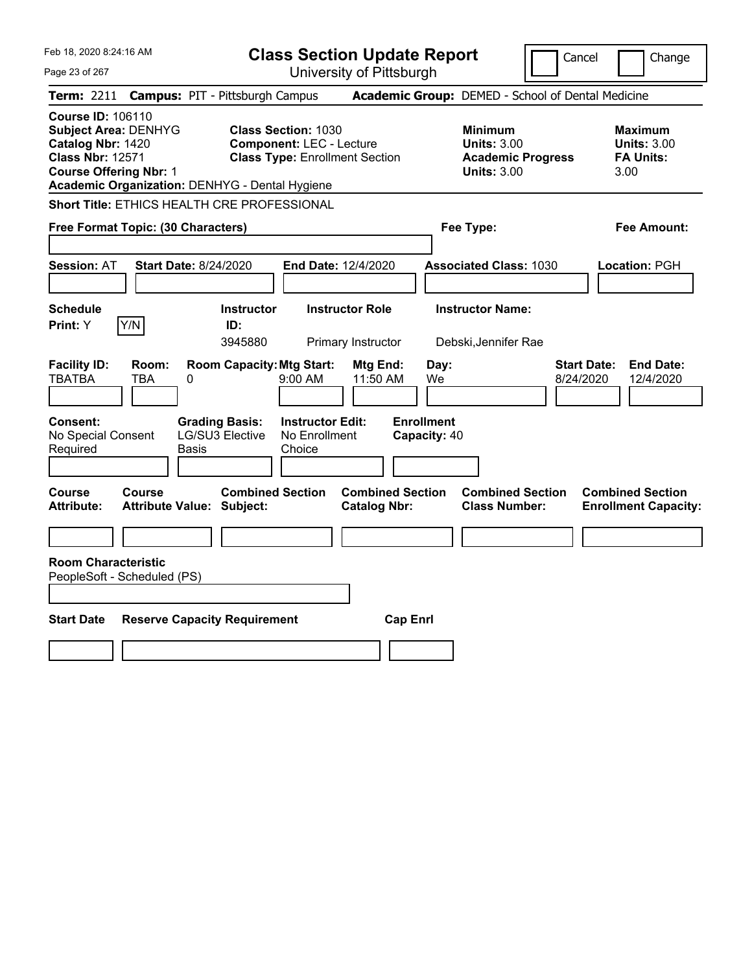| Feb 18, 2020 8:24:16 AM                                                                                                                                                                    | <b>Class Section Update Report</b>                                                                     |                                                                                        | Cancel<br>Change                                                 |
|--------------------------------------------------------------------------------------------------------------------------------------------------------------------------------------------|--------------------------------------------------------------------------------------------------------|----------------------------------------------------------------------------------------|------------------------------------------------------------------|
| Page 23 of 267                                                                                                                                                                             | University of Pittsburgh                                                                               |                                                                                        |                                                                  |
| Term: 2211                                                                                                                                                                                 | <b>Campus: PIT - Pittsburgh Campus</b>                                                                 | Academic Group: DEMED - School of Dental Medicine                                      |                                                                  |
| <b>Course ID: 106110</b><br><b>Subject Area: DENHYG</b><br>Catalog Nbr: 1420<br><b>Class Nbr: 12571</b><br><b>Course Offering Nbr: 1</b><br>Academic Organization: DENHYG - Dental Hygiene | <b>Class Section: 1030</b><br><b>Component: LEC - Lecture</b><br><b>Class Type: Enrollment Section</b> | <b>Minimum</b><br><b>Units: 3.00</b><br><b>Academic Progress</b><br><b>Units: 3.00</b> | Maximum<br><b>Units: 3.00</b><br><b>FA Units:</b><br>3.00        |
| Short Title: ETHICS HEALTH CRE PROFESSIONAL                                                                                                                                                |                                                                                                        |                                                                                        |                                                                  |
| Free Format Topic: (30 Characters)                                                                                                                                                         |                                                                                                        | Fee Type:                                                                              | Fee Amount:                                                      |
| <b>Session: AT</b><br><b>Start Date: 8/24/2020</b>                                                                                                                                         | End Date: 12/4/2020                                                                                    | <b>Associated Class: 1030</b>                                                          | Location: PGH                                                    |
| <b>Schedule</b><br>Y/N<br>Print: Y                                                                                                                                                         | <b>Instructor Role</b><br><b>Instructor</b><br>ID:<br>3945880<br>Primary Instructor                    | <b>Instructor Name:</b><br>Debski, Jennifer Rae                                        |                                                                  |
| <b>Facility ID:</b><br>Room:<br><b>TBATBA</b><br><b>TBA</b><br>0                                                                                                                           | <b>Room Capacity: Mtg Start:</b><br>Mtg End:<br>$9:00 \, \text{AM}$<br>11:50 AM                        | Day:<br>We                                                                             | <b>Start Date:</b><br><b>End Date:</b><br>8/24/2020<br>12/4/2020 |
| <b>Consent:</b><br>No Special Consent<br>Required<br>Basis                                                                                                                                 | <b>Grading Basis:</b><br><b>Instructor Edit:</b><br>LG/SU3 Elective<br>No Enrollment<br>Choice         | <b>Enrollment</b><br>Capacity: 40                                                      |                                                                  |
| <b>Course</b><br><b>Course</b><br><b>Attribute:</b><br><b>Attribute Value: Subject:</b>                                                                                                    | <b>Combined Section</b><br><b>Catalog Nbr:</b>                                                         | <b>Combined Section</b><br><b>Combined Section</b><br><b>Class Number:</b>             | <b>Combined Section</b><br><b>Enrollment Capacity:</b>           |
|                                                                                                                                                                                            |                                                                                                        |                                                                                        |                                                                  |
| <b>Room Characteristic</b><br>PeopleSoft - Scheduled (PS)                                                                                                                                  |                                                                                                        |                                                                                        |                                                                  |
| <b>Start Date</b>                                                                                                                                                                          | <b>Reserve Capacity Requirement</b>                                                                    | <b>Cap Enrl</b>                                                                        |                                                                  |
|                                                                                                                                                                                            |                                                                                                        |                                                                                        |                                                                  |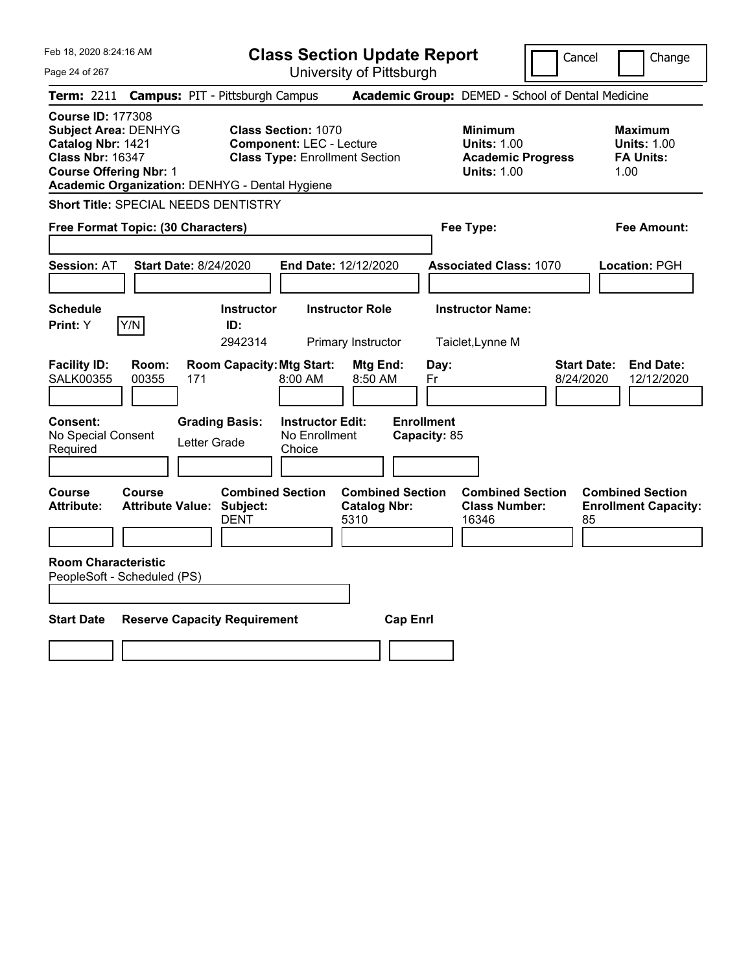| Feb 18, 2020 8:24:16 AM                                                                                                                                                                    |                                                                            | <b>Class Section Update Report</b>                                                                     |                                                |                                                                                        | Cancel<br>Change                                                  |
|--------------------------------------------------------------------------------------------------------------------------------------------------------------------------------------------|----------------------------------------------------------------------------|--------------------------------------------------------------------------------------------------------|------------------------------------------------|----------------------------------------------------------------------------------------|-------------------------------------------------------------------|
| Page 24 of 267                                                                                                                                                                             |                                                                            | University of Pittsburgh                                                                               |                                                |                                                                                        |                                                                   |
| <b>Term: 2211</b>                                                                                                                                                                          | <b>Campus: PIT - Pittsburgh Campus</b>                                     |                                                                                                        |                                                | Academic Group: DEMED - School of Dental Medicine                                      |                                                                   |
| <b>Course ID: 177308</b><br><b>Subject Area: DENHYG</b><br>Catalog Nbr: 1421<br><b>Class Nbr: 16347</b><br><b>Course Offering Nbr: 1</b><br>Academic Organization: DENHYG - Dental Hygiene |                                                                            | <b>Class Section: 1070</b><br><b>Component: LEC - Lecture</b><br><b>Class Type: Enrollment Section</b> |                                                | <b>Minimum</b><br><b>Units: 1.00</b><br><b>Academic Progress</b><br><b>Units: 1.00</b> | <b>Maximum</b><br><b>Units: 1.00</b><br><b>FA Units:</b><br>1.00  |
| <b>Short Title: SPECIAL NEEDS DENTISTRY</b>                                                                                                                                                |                                                                            |                                                                                                        |                                                |                                                                                        |                                                                   |
| Free Format Topic: (30 Characters)                                                                                                                                                         |                                                                            |                                                                                                        |                                                | Fee Type:                                                                              | Fee Amount:                                                       |
| <b>Session: AT</b>                                                                                                                                                                         | <b>Start Date: 8/24/2020</b>                                               | End Date: 12/12/2020                                                                                   |                                                | <b>Associated Class: 1070</b>                                                          | Location: PGH                                                     |
| <b>Schedule</b><br>Y/N<br><b>Print:</b> Y                                                                                                                                                  | <b>Instructor</b><br>ID:<br>2942314                                        | <b>Instructor Role</b><br>Primary Instructor                                                           |                                                | <b>Instructor Name:</b><br>Taiclet, Lynne M                                            |                                                                   |
| <b>Facility ID:</b><br>Room:<br><b>SALK00355</b><br>00355                                                                                                                                  | <b>Room Capacity: Mtg Start:</b><br>171                                    | 8:00 AM<br>8:50 AM                                                                                     | Mtg End:<br>Day:<br>Fr                         |                                                                                        | <b>Start Date:</b><br><b>End Date:</b><br>8/24/2020<br>12/12/2020 |
| Consent:<br>No Special Consent<br>Required                                                                                                                                                 | <b>Grading Basis:</b><br>Letter Grade                                      | <b>Instructor Edit:</b><br>No Enrollment<br>Choice                                                     | <b>Enrollment</b><br>Capacity: 85              |                                                                                        |                                                                   |
| Course<br>Course<br><b>Attribute:</b>                                                                                                                                                      | <b>Combined Section</b><br><b>Attribute Value: Subject:</b><br><b>DENT</b> | 5310                                                                                                   | <b>Combined Section</b><br><b>Catalog Nbr:</b> | <b>Combined Section</b><br><b>Class Number:</b><br>16346                               | <b>Combined Section</b><br><b>Enrollment Capacity:</b><br>85      |
| <b>Room Characteristic</b><br>PeopleSoft - Scheduled (PS)                                                                                                                                  |                                                                            |                                                                                                        |                                                |                                                                                        |                                                                   |
| <b>Start Date</b>                                                                                                                                                                          | <b>Reserve Capacity Requirement</b>                                        |                                                                                                        | <b>Cap Enrl</b>                                |                                                                                        |                                                                   |
|                                                                                                                                                                                            |                                                                            |                                                                                                        |                                                |                                                                                        |                                                                   |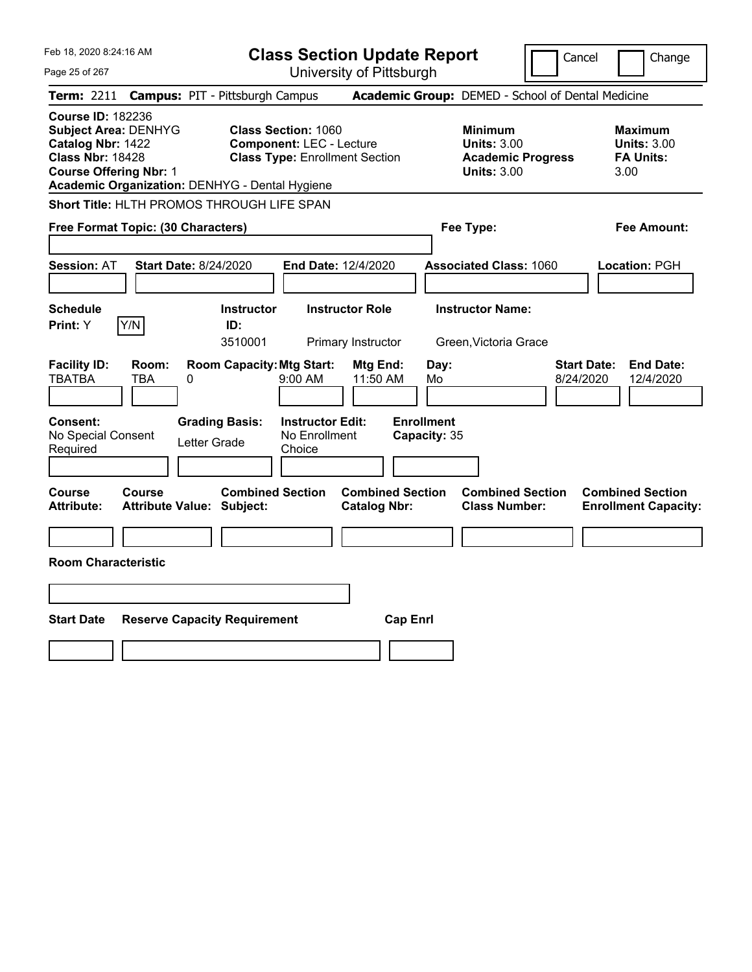| Feb 18, 2020 8:24:16 AM                                                                                                                  |                                                             | <b>Class Section Update Report</b>                                                                     |                                   |                                                                                        | Cancel<br>Change                                                 |
|------------------------------------------------------------------------------------------------------------------------------------------|-------------------------------------------------------------|--------------------------------------------------------------------------------------------------------|-----------------------------------|----------------------------------------------------------------------------------------|------------------------------------------------------------------|
| Page 25 of 267                                                                                                                           |                                                             | University of Pittsburgh                                                                               |                                   |                                                                                        |                                                                  |
| Term: 2211                                                                                                                               | <b>Campus: PIT - Pittsburgh Campus</b>                      |                                                                                                        |                                   | Academic Group: DEMED - School of Dental Medicine                                      |                                                                  |
| <b>Course ID: 182236</b><br><b>Subject Area: DENHYG</b><br>Catalog Nbr: 1422<br><b>Class Nbr: 18428</b><br><b>Course Offering Nbr: 1</b> | Academic Organization: DENHYG - Dental Hygiene              | <b>Class Section: 1060</b><br><b>Component: LEC - Lecture</b><br><b>Class Type: Enrollment Section</b> |                                   | <b>Minimum</b><br><b>Units: 3.00</b><br><b>Academic Progress</b><br><b>Units: 3.00</b> | Maximum<br><b>Units: 3.00</b><br><b>FA Units:</b><br>3.00        |
|                                                                                                                                          | Short Title: HLTH PROMOS THROUGH LIFE SPAN                  |                                                                                                        |                                   |                                                                                        |                                                                  |
| Free Format Topic: (30 Characters)                                                                                                       |                                                             |                                                                                                        |                                   | Fee Type:                                                                              | Fee Amount:                                                      |
| <b>Session: AT</b>                                                                                                                       | <b>Start Date: 8/24/2020</b>                                | End Date: 12/4/2020                                                                                    |                                   | <b>Associated Class: 1060</b>                                                          | Location: PGH                                                    |
| <b>Schedule</b><br>Y/N<br>Print: Y                                                                                                       | <b>Instructor</b><br>ID:<br>3510001                         | <b>Instructor Role</b><br>Primary Instructor                                                           |                                   | <b>Instructor Name:</b><br>Green, Victoria Grace                                       |                                                                  |
| <b>Facility ID:</b><br>Room:<br><b>TBATBA</b><br><b>TBA</b>                                                                              | <b>Room Capacity: Mtg Start:</b><br>0                       | Mtg End:<br>9:00 AM<br>11:50 AM                                                                        | Day:<br>Mo                        |                                                                                        | <b>Start Date:</b><br><b>End Date:</b><br>8/24/2020<br>12/4/2020 |
| Consent:<br>No Special Consent<br>Required                                                                                               | <b>Grading Basis:</b><br>Letter Grade                       | <b>Instructor Edit:</b><br>No Enrollment<br>Choice                                                     | <b>Enrollment</b><br>Capacity: 35 |                                                                                        |                                                                  |
| <b>Course</b><br><b>Course</b><br><b>Attribute:</b>                                                                                      | <b>Combined Section</b><br><b>Attribute Value: Subject:</b> | <b>Catalog Nbr:</b>                                                                                    | <b>Combined Section</b>           | <b>Combined Section</b><br><b>Class Number:</b>                                        | <b>Combined Section</b><br><b>Enrollment Capacity:</b>           |
|                                                                                                                                          |                                                             |                                                                                                        |                                   |                                                                                        |                                                                  |
| <b>Room Characteristic</b>                                                                                                               |                                                             |                                                                                                        |                                   |                                                                                        |                                                                  |
|                                                                                                                                          |                                                             |                                                                                                        |                                   |                                                                                        |                                                                  |
| <b>Start Date</b>                                                                                                                        | <b>Reserve Capacity Requirement</b>                         |                                                                                                        | <b>Cap Enrl</b>                   |                                                                                        |                                                                  |
|                                                                                                                                          |                                                             |                                                                                                        |                                   |                                                                                        |                                                                  |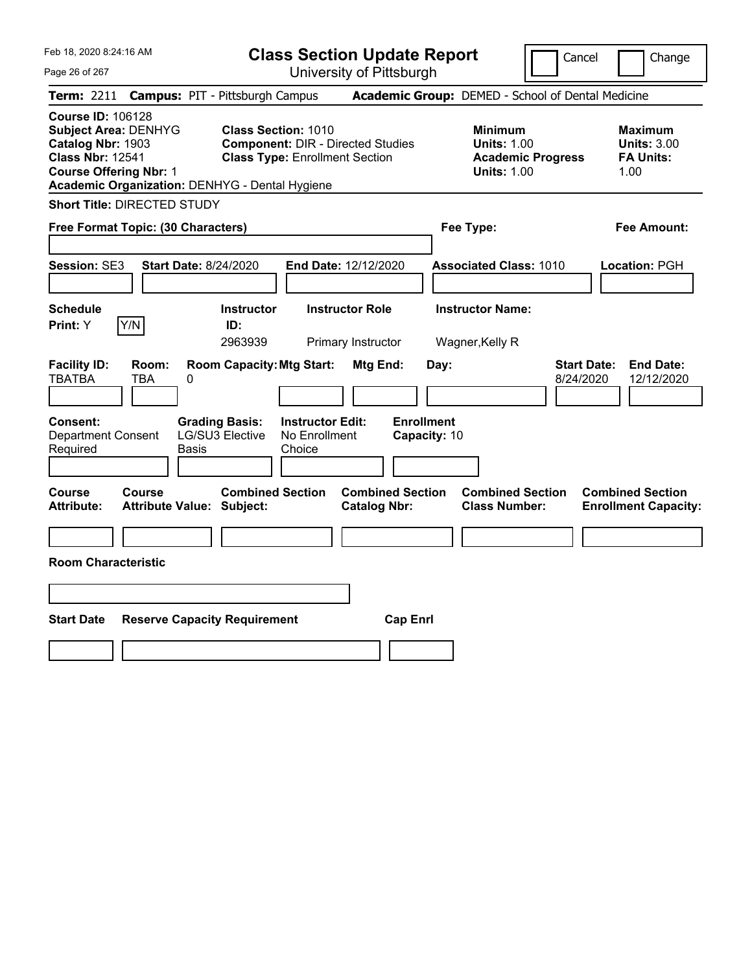| Feb 18, 2020 8:24:16 AM<br>Page 26 of 267                                                                                                                                                  | <b>Class Section Update Report</b><br>University of Pittsburgh                                                  | Cancel                                                                                 | Change                                                           |
|--------------------------------------------------------------------------------------------------------------------------------------------------------------------------------------------|-----------------------------------------------------------------------------------------------------------------|----------------------------------------------------------------------------------------|------------------------------------------------------------------|
| Term: 2211                                                                                                                                                                                 | <b>Campus: PIT - Pittsburgh Campus</b>                                                                          | Academic Group: DEMED - School of Dental Medicine                                      |                                                                  |
| <b>Course ID: 106128</b><br><b>Subject Area: DENHYG</b><br>Catalog Nbr: 1903<br><b>Class Nbr: 12541</b><br><b>Course Offering Nbr: 1</b><br>Academic Organization: DENHYG - Dental Hygiene | <b>Class Section: 1010</b><br><b>Component: DIR - Directed Studies</b><br><b>Class Type: Enrollment Section</b> | <b>Minimum</b><br><b>Units: 1.00</b><br><b>Academic Progress</b><br><b>Units: 1.00</b> | <b>Maximum</b><br><b>Units: 3.00</b><br><b>FA Units:</b><br>1.00 |
| <b>Short Title: DIRECTED STUDY</b>                                                                                                                                                         |                                                                                                                 |                                                                                        |                                                                  |
| Free Format Topic: (30 Characters)                                                                                                                                                         |                                                                                                                 | Fee Type:                                                                              | Fee Amount:                                                      |
| <b>Start Date: 8/24/2020</b><br>Session: SE3                                                                                                                                               | End Date: 12/12/2020                                                                                            | <b>Associated Class: 1010</b>                                                          | Location: PGH                                                    |
| <b>Schedule</b><br>Y/N<br>Print: Y                                                                                                                                                         | <b>Instructor Role</b><br><b>Instructor</b><br>ID:<br>2963939<br>Primary Instructor                             | <b>Instructor Name:</b><br>Wagner, Kelly R                                             |                                                                  |
| <b>Facility ID:</b><br>Room:<br><b>TBATBA</b><br>TBA<br>0                                                                                                                                  | <b>Room Capacity: Mtg Start:</b><br>Mtg End:                                                                    | <b>Start Date:</b><br>Day:<br>8/24/2020                                                | <b>End Date:</b><br>12/12/2020                                   |
| <b>Consent:</b><br><b>Grading Basis:</b><br><b>Department Consent</b><br>Required<br><b>Basis</b>                                                                                          | <b>Enrollment</b><br><b>Instructor Edit:</b><br>LG/SU3 Elective<br>No Enrollment<br>Capacity: 10<br>Choice      |                                                                                        |                                                                  |
| Course<br><b>Course</b><br><b>Attribute:</b><br><b>Attribute Value: Subject:</b>                                                                                                           | <b>Combined Section</b><br><b>Combined Section</b><br><b>Catalog Nbr:</b>                                       | <b>Combined Section</b><br><b>Class Number:</b>                                        | <b>Combined Section</b><br><b>Enrollment Capacity:</b>           |
| <b>Room Characteristic</b>                                                                                                                                                                 |                                                                                                                 |                                                                                        |                                                                  |
|                                                                                                                                                                                            |                                                                                                                 |                                                                                        |                                                                  |
| <b>Start Date</b><br><b>Reserve Capacity Requirement</b>                                                                                                                                   | <b>Cap Enrl</b>                                                                                                 |                                                                                        |                                                                  |
|                                                                                                                                                                                            |                                                                                                                 |                                                                                        |                                                                  |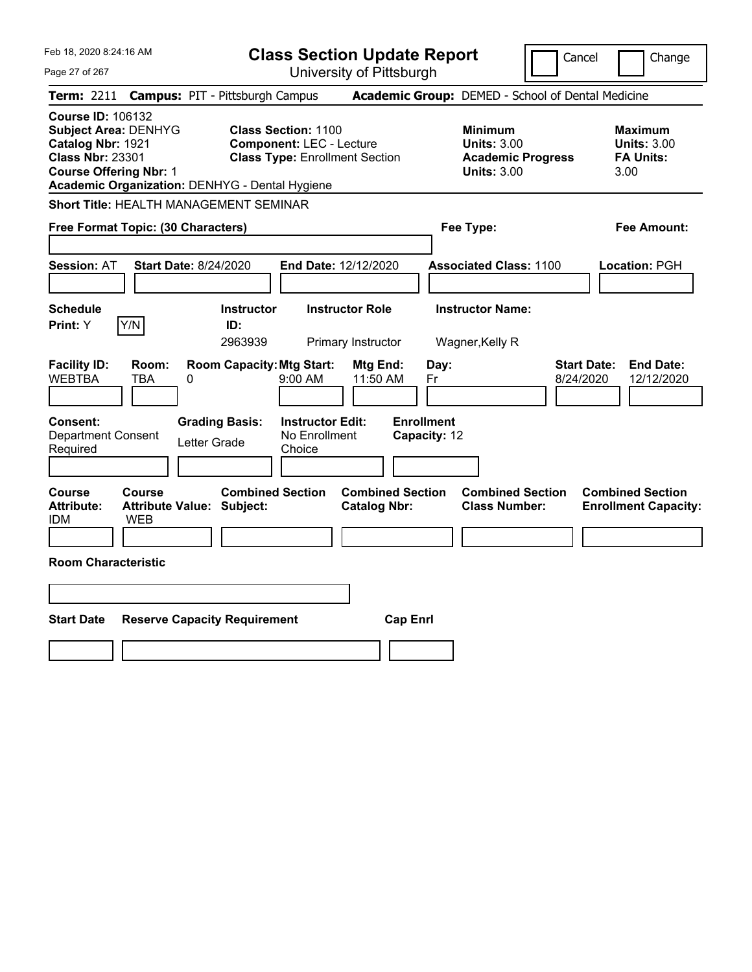| Feb 18, 2020 8:24:16 AM                                                                                                                                                                    |                                                                                                        | <b>Class Section Update Report</b>             |                                                                                        | Cancel<br>Change                                                  |
|--------------------------------------------------------------------------------------------------------------------------------------------------------------------------------------------|--------------------------------------------------------------------------------------------------------|------------------------------------------------|----------------------------------------------------------------------------------------|-------------------------------------------------------------------|
| Page 27 of 267                                                                                                                                                                             |                                                                                                        | University of Pittsburgh                       |                                                                                        |                                                                   |
| Term: 2211                                                                                                                                                                                 | <b>Campus: PIT - Pittsburgh Campus</b>                                                                 |                                                | Academic Group: DEMED - School of Dental Medicine                                      |                                                                   |
| <b>Course ID: 106132</b><br><b>Subject Area: DENHYG</b><br>Catalog Nbr: 1921<br><b>Class Nbr: 23301</b><br><b>Course Offering Nbr: 1</b><br>Academic Organization: DENHYG - Dental Hygiene | <b>Class Section: 1100</b><br><b>Component: LEC - Lecture</b><br><b>Class Type: Enrollment Section</b> |                                                | <b>Minimum</b><br><b>Units: 3.00</b><br><b>Academic Progress</b><br><b>Units: 3.00</b> | <b>Maximum</b><br><b>Units: 3.00</b><br><b>FA Units:</b><br>3.00  |
| Short Title: HEALTH MANAGEMENT SEMINAR                                                                                                                                                     |                                                                                                        |                                                |                                                                                        |                                                                   |
| Free Format Topic: (30 Characters)                                                                                                                                                         |                                                                                                        |                                                | Fee Type:                                                                              | Fee Amount:                                                       |
| <b>Session: AT</b>                                                                                                                                                                         | Start Date: 8/24/2020                                                                                  | <b>End Date: 12/12/2020</b>                    | <b>Associated Class: 1100</b>                                                          | Location: PGH                                                     |
| <b>Schedule</b><br>Y/N<br>Print: Y                                                                                                                                                         | <b>Instructor</b><br>ID:<br>2963939                                                                    | <b>Instructor Role</b><br>Primary Instructor   | <b>Instructor Name:</b><br>Wagner, Kelly R                                             |                                                                   |
| <b>Facility ID:</b><br>Room:<br><b>WEBTBA</b><br><b>TBA</b>                                                                                                                                | <b>Room Capacity: Mtg Start:</b><br>0<br>9:00 AM                                                       | Mtg End:<br>11:50 AM                           | Day:<br>Fr                                                                             | <b>Start Date:</b><br><b>End Date:</b><br>8/24/2020<br>12/12/2020 |
| Consent:<br><b>Department Consent</b><br>Required                                                                                                                                          | <b>Grading Basis:</b><br>Letter Grade<br>Choice                                                        | <b>Instructor Edit:</b><br>No Enrollment       | <b>Enrollment</b><br>Capacity: 12                                                      |                                                                   |
| Course<br><b>Course</b><br><b>Attribute:</b><br><b>WEB</b><br>IDM                                                                                                                          | <b>Combined Section</b><br><b>Attribute Value: Subject:</b>                                            | <b>Combined Section</b><br><b>Catalog Nbr:</b> | <b>Combined Section</b><br><b>Class Number:</b>                                        | <b>Combined Section</b><br><b>Enrollment Capacity:</b>            |
| <b>Room Characteristic</b>                                                                                                                                                                 |                                                                                                        |                                                |                                                                                        |                                                                   |
|                                                                                                                                                                                            |                                                                                                        |                                                |                                                                                        |                                                                   |
| <b>Start Date</b>                                                                                                                                                                          | <b>Reserve Capacity Requirement</b>                                                                    | <b>Cap Enrl</b>                                |                                                                                        |                                                                   |
|                                                                                                                                                                                            |                                                                                                        |                                                |                                                                                        |                                                                   |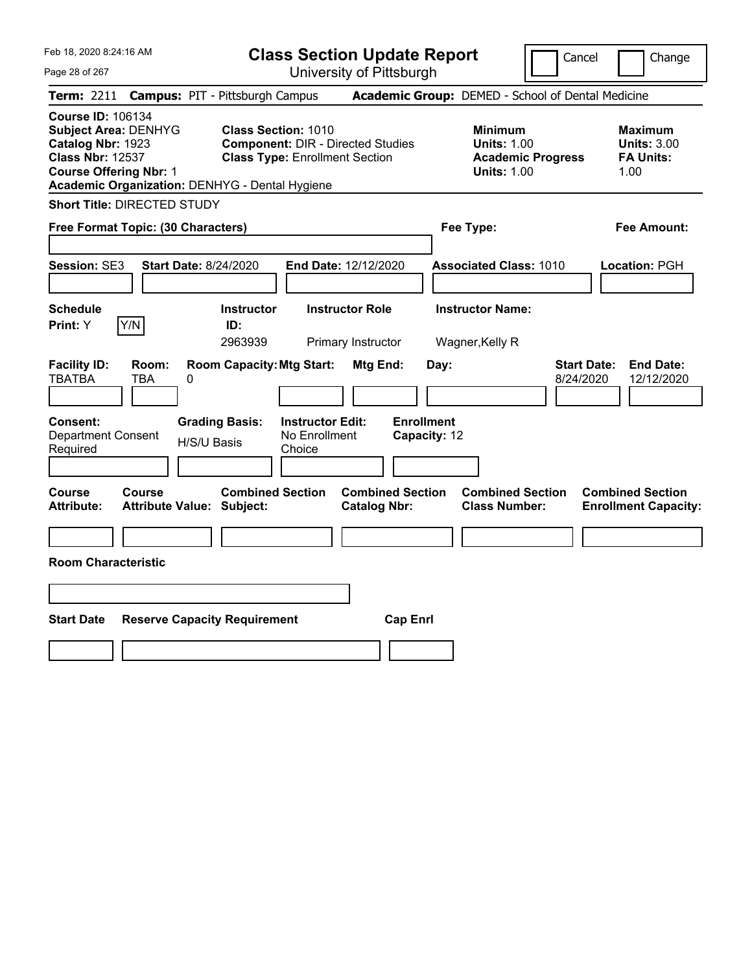| Feb 18, 2020 8:24:16 AM<br>Page 28 of 267                                                                                                                                                  | <b>Class Section Update Report</b><br>University of Pittsburgh                                                  | Cancel                                                                                 | Change                                                           |
|--------------------------------------------------------------------------------------------------------------------------------------------------------------------------------------------|-----------------------------------------------------------------------------------------------------------------|----------------------------------------------------------------------------------------|------------------------------------------------------------------|
| <b>Term: 2211</b>                                                                                                                                                                          | <b>Campus: PIT - Pittsburgh Campus</b>                                                                          | Academic Group: DEMED - School of Dental Medicine                                      |                                                                  |
| <b>Course ID: 106134</b><br><b>Subject Area: DENHYG</b><br>Catalog Nbr: 1923<br><b>Class Nbr: 12537</b><br><b>Course Offering Nbr: 1</b><br>Academic Organization: DENHYG - Dental Hygiene | <b>Class Section: 1010</b><br><b>Component: DIR - Directed Studies</b><br><b>Class Type: Enrollment Section</b> | <b>Minimum</b><br><b>Units: 1.00</b><br><b>Academic Progress</b><br><b>Units: 1.00</b> | <b>Maximum</b><br><b>Units: 3.00</b><br><b>FA Units:</b><br>1.00 |
| <b>Short Title: DIRECTED STUDY</b>                                                                                                                                                         |                                                                                                                 |                                                                                        |                                                                  |
| Free Format Topic: (30 Characters)                                                                                                                                                         |                                                                                                                 | Fee Type:                                                                              | Fee Amount:                                                      |
| Session: SE3<br><b>Start Date: 8/24/2020</b>                                                                                                                                               | End Date: 12/12/2020                                                                                            | <b>Associated Class: 1010</b>                                                          | Location: PGH                                                    |
| <b>Schedule</b><br>Y/N<br>Print: Y                                                                                                                                                         | <b>Instructor Role</b><br><b>Instructor</b><br>ID:<br>2963939<br>Primary Instructor                             | <b>Instructor Name:</b><br>Wagner, Kelly R                                             |                                                                  |
| <b>Facility ID:</b><br>Room:<br><b>TBATBA</b><br>TBA<br>$\pmb{0}$                                                                                                                          | <b>Room Capacity: Mtg Start:</b><br>Mtg End:                                                                    | Day:<br>8/24/2020                                                                      | <b>Start Date:</b><br><b>End Date:</b><br>12/12/2020             |
| <b>Consent:</b><br><b>Department Consent</b><br>H/S/U Basis<br>Required                                                                                                                    | <b>Enrollment</b><br><b>Instructor Edit:</b><br><b>Grading Basis:</b><br>No Enrollment<br>Choice                | Capacity: 12                                                                           |                                                                  |
| Course<br><b>Course</b><br><b>Attribute:</b><br><b>Attribute Value: Subject:</b>                                                                                                           | <b>Combined Section</b><br><b>Combined Section</b><br><b>Catalog Nbr:</b>                                       | <b>Combined Section</b><br><b>Class Number:</b>                                        | <b>Combined Section</b><br><b>Enrollment Capacity:</b>           |
| <b>Room Characteristic</b>                                                                                                                                                                 |                                                                                                                 |                                                                                        |                                                                  |
|                                                                                                                                                                                            |                                                                                                                 |                                                                                        |                                                                  |
| <b>Start Date</b><br><b>Reserve Capacity Requirement</b>                                                                                                                                   | <b>Cap Enrl</b>                                                                                                 |                                                                                        |                                                                  |
|                                                                                                                                                                                            |                                                                                                                 |                                                                                        |                                                                  |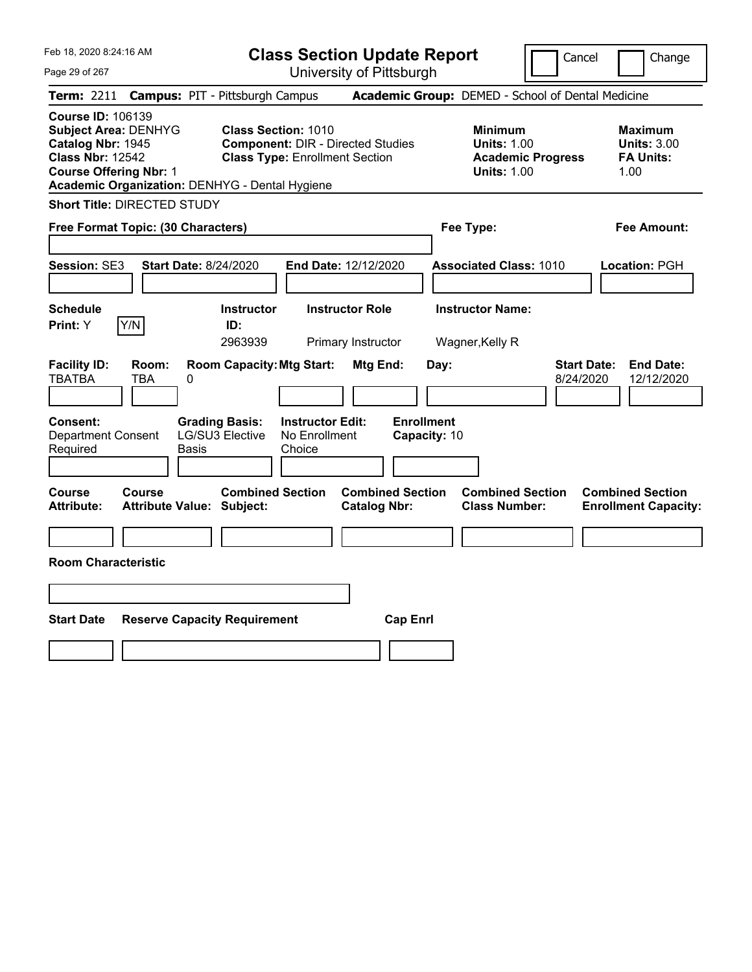| Feb 18, 2020 8:24:16 AM<br>Page 29 of 267                                                                                                                                                  | <b>Class Section Update Report</b><br>University of Pittsburgh                                                                      | Cancel                                                                                 | Change                                                           |
|--------------------------------------------------------------------------------------------------------------------------------------------------------------------------------------------|-------------------------------------------------------------------------------------------------------------------------------------|----------------------------------------------------------------------------------------|------------------------------------------------------------------|
| <b>Term: 2211</b>                                                                                                                                                                          | <b>Campus: PIT - Pittsburgh Campus</b>                                                                                              | Academic Group: DEMED - School of Dental Medicine                                      |                                                                  |
| <b>Course ID: 106139</b><br><b>Subject Area: DENHYG</b><br>Catalog Nbr: 1945<br><b>Class Nbr: 12542</b><br><b>Course Offering Nbr: 1</b><br>Academic Organization: DENHYG - Dental Hygiene | <b>Class Section: 1010</b><br><b>Component: DIR - Directed Studies</b><br><b>Class Type: Enrollment Section</b>                     | <b>Minimum</b><br><b>Units: 1.00</b><br><b>Academic Progress</b><br><b>Units: 1.00</b> | <b>Maximum</b><br><b>Units: 3.00</b><br><b>FA Units:</b><br>1.00 |
| <b>Short Title: DIRECTED STUDY</b>                                                                                                                                                         |                                                                                                                                     |                                                                                        |                                                                  |
| Free Format Topic: (30 Characters)                                                                                                                                                         |                                                                                                                                     | Fee Type:                                                                              | Fee Amount:                                                      |
| Session: SE3<br><b>Start Date: 8/24/2020</b>                                                                                                                                               | End Date: 12/12/2020                                                                                                                | <b>Associated Class: 1010</b>                                                          | Location: PGH                                                    |
| <b>Schedule</b><br>Y/N<br>Print: Y                                                                                                                                                         | <b>Instructor Role</b><br><b>Instructor</b><br>ID:<br>2963939<br>Primary Instructor                                                 | <b>Instructor Name:</b><br>Wagner, Kelly R                                             |                                                                  |
| <b>Facility ID:</b><br>Room:<br><b>TBATBA</b><br>TBA<br>$\pmb{0}$                                                                                                                          | <b>Room Capacity: Mtg Start:</b><br>Mtg End:                                                                                        | Day:<br>8/24/2020                                                                      | <b>Start Date:</b><br><b>End Date:</b><br>12/12/2020             |
| <b>Consent:</b><br><b>Department Consent</b><br>Required<br>Basis                                                                                                                          | <b>Enrollment</b><br><b>Instructor Edit:</b><br><b>Grading Basis:</b><br>LG/SU3 Elective<br>No Enrollment<br>Capacity: 10<br>Choice |                                                                                        |                                                                  |
| Course<br><b>Course</b><br><b>Attribute:</b><br><b>Attribute Value: Subject:</b>                                                                                                           | <b>Combined Section</b><br><b>Combined Section</b><br><b>Catalog Nbr:</b>                                                           | <b>Combined Section</b><br><b>Class Number:</b>                                        | <b>Combined Section</b><br><b>Enrollment Capacity:</b>           |
| <b>Room Characteristic</b>                                                                                                                                                                 |                                                                                                                                     |                                                                                        |                                                                  |
|                                                                                                                                                                                            |                                                                                                                                     |                                                                                        |                                                                  |
| <b>Start Date</b><br><b>Reserve Capacity Requirement</b>                                                                                                                                   | <b>Cap Enrl</b>                                                                                                                     |                                                                                        |                                                                  |
|                                                                                                                                                                                            |                                                                                                                                     |                                                                                        |                                                                  |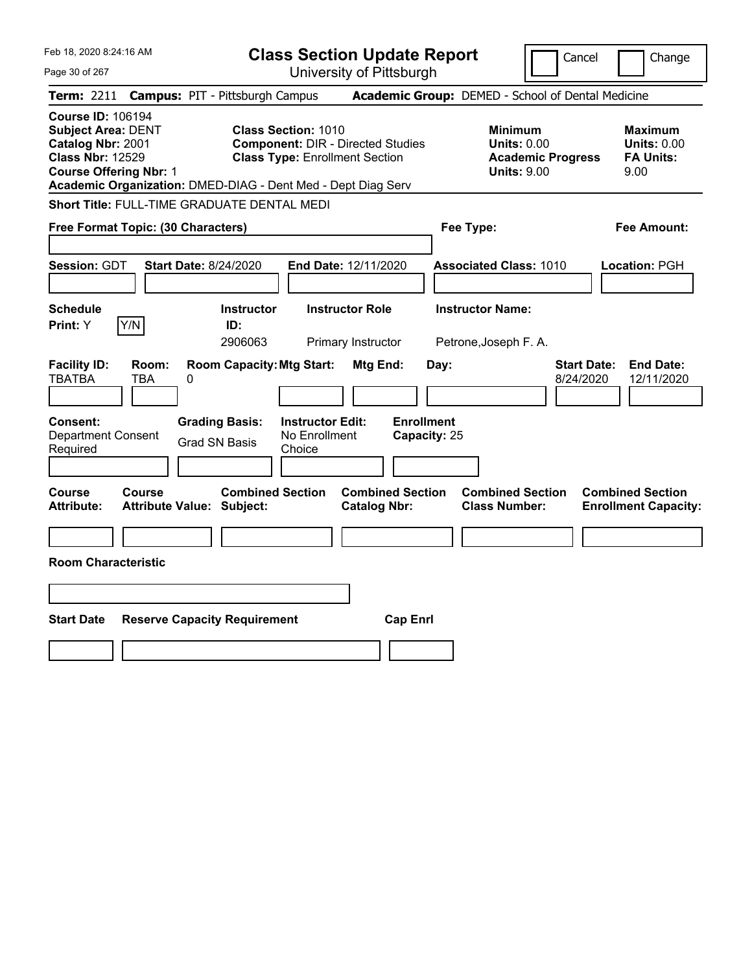| Feb 18, 2020 8:24:16 AM                                                                                                                | <b>Class Section Update Report</b>                                                                                                                                              | Cancel                                                                                 | Change                                                           |
|----------------------------------------------------------------------------------------------------------------------------------------|---------------------------------------------------------------------------------------------------------------------------------------------------------------------------------|----------------------------------------------------------------------------------------|------------------------------------------------------------------|
| Page 30 of 267                                                                                                                         | University of Pittsburgh                                                                                                                                                        |                                                                                        |                                                                  |
| <b>Term: 2211</b>                                                                                                                      | <b>Campus: PIT - Pittsburgh Campus</b>                                                                                                                                          | Academic Group: DEMED - School of Dental Medicine                                      |                                                                  |
| <b>Course ID: 106194</b><br><b>Subject Area: DENT</b><br>Catalog Nbr: 2001<br><b>Class Nbr: 12529</b><br><b>Course Offering Nbr: 1</b> | <b>Class Section: 1010</b><br><b>Component: DIR - Directed Studies</b><br><b>Class Type: Enrollment Section</b><br>Academic Organization: DMED-DIAG - Dent Med - Dept Diag Serv | <b>Minimum</b><br><b>Units: 0.00</b><br><b>Academic Progress</b><br><b>Units: 9.00</b> | <b>Maximum</b><br><b>Units: 0.00</b><br><b>FA Units:</b><br>9.00 |
| Short Title: FULL-TIME GRADUATE DENTAL MEDI                                                                                            |                                                                                                                                                                                 |                                                                                        |                                                                  |
| Free Format Topic: (30 Characters)                                                                                                     |                                                                                                                                                                                 | Fee Type:                                                                              | Fee Amount:                                                      |
| Session: GDT<br><b>Start Date: 8/24/2020</b>                                                                                           | End Date: 12/11/2020                                                                                                                                                            | <b>Associated Class: 1010</b>                                                          | Location: PGH                                                    |
| <b>Schedule</b><br>Y/N<br>Print: Y                                                                                                     | <b>Instructor</b><br><b>Instructor Role</b><br>ID:<br>2906063<br>Primary Instructor                                                                                             | <b>Instructor Name:</b><br>Petrone, Joseph F. A.                                       |                                                                  |
| <b>Facility ID:</b><br>Room:<br><b>TBATBA</b><br>TBA<br>0                                                                              | <b>Room Capacity: Mtg Start:</b><br><b>Mtg End:</b>                                                                                                                             | <b>Start Date:</b><br>Day:<br>8/24/2020                                                | <b>End Date:</b><br>12/11/2020                                   |
| Consent:<br><b>Department Consent</b><br>Required                                                                                      | <b>Enrollment</b><br><b>Instructor Edit:</b><br><b>Grading Basis:</b><br>No Enrollment<br><b>Grad SN Basis</b><br>Choice                                                        | Capacity: 25                                                                           |                                                                  |
| Course<br>Course<br><b>Attribute:</b><br><b>Attribute Value: Subject:</b>                                                              | <b>Combined Section</b><br><b>Combined Section</b><br><b>Catalog Nbr:</b>                                                                                                       | <b>Combined Section</b><br><b>Class Number:</b>                                        | <b>Combined Section</b><br><b>Enrollment Capacity:</b>           |
|                                                                                                                                        |                                                                                                                                                                                 |                                                                                        |                                                                  |
| <b>Room Characteristic</b>                                                                                                             |                                                                                                                                                                                 |                                                                                        |                                                                  |
|                                                                                                                                        |                                                                                                                                                                                 |                                                                                        |                                                                  |
| <b>Start Date</b><br><b>Reserve Capacity Requirement</b>                                                                               | <b>Cap Enrl</b>                                                                                                                                                                 |                                                                                        |                                                                  |
|                                                                                                                                        |                                                                                                                                                                                 |                                                                                        |                                                                  |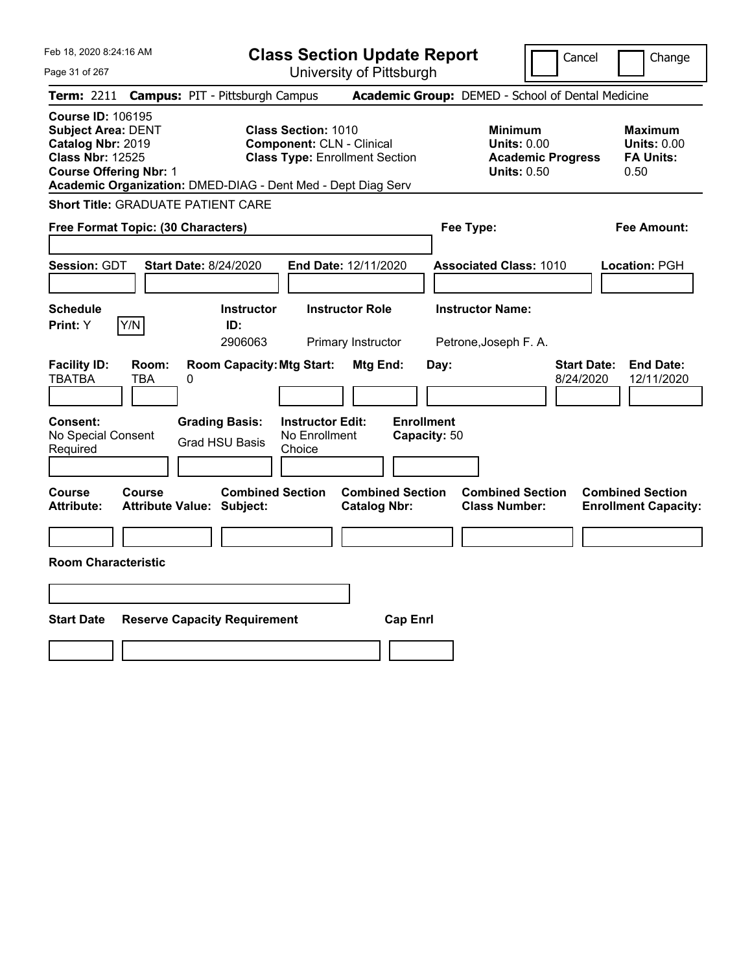**Class Section Update Report** University of Pittsburgh

Cancel Change

Page 31 of 267

| <b>Term: 2211 Campus: PIT - Pittsburgh Campus</b>                                                                                      |                     |                                                |                                                                                                                                                                         |                                                | <b>Academic Group:</b> DEMED - School of Dental Medicine |                                                                                        |                                                                  |
|----------------------------------------------------------------------------------------------------------------------------------------|---------------------|------------------------------------------------|-------------------------------------------------------------------------------------------------------------------------------------------------------------------------|------------------------------------------------|----------------------------------------------------------|----------------------------------------------------------------------------------------|------------------------------------------------------------------|
| <b>Course ID: 106195</b><br><b>Subject Area: DENT</b><br>Catalog Nbr: 2019<br><b>Class Nbr: 12525</b><br><b>Course Offering Nbr: 1</b> |                     |                                                | <b>Class Section: 1010</b><br><b>Component: CLN - Clinical</b><br><b>Class Type: Enrollment Section</b><br>Academic Organization: DMED-DIAG - Dent Med - Dept Diag Serv |                                                |                                                          | <b>Minimum</b><br><b>Units: 0.00</b><br><b>Academic Progress</b><br><b>Units: 0.50</b> | <b>Maximum</b><br><b>Units: 0.00</b><br><b>FA Units:</b><br>0.50 |
| <b>Short Title: GRADUATE PATIENT CARE</b>                                                                                              |                     |                                                |                                                                                                                                                                         |                                                |                                                          |                                                                                        |                                                                  |
| Free Format Topic: (30 Characters)                                                                                                     |                     |                                                |                                                                                                                                                                         |                                                | Fee Type:                                                |                                                                                        | <b>Fee Amount:</b>                                               |
| Session: GDT                                                                                                                           |                     | <b>Start Date: 8/24/2020</b>                   |                                                                                                                                                                         | End Date: 12/11/2020                           | <b>Associated Class: 1010</b>                            |                                                                                        | Location: PGH                                                    |
| <b>Schedule</b><br>Print: Y                                                                                                            | Y/N                 | <b>Instructor</b><br>ID:<br>2906063            |                                                                                                                                                                         | <b>Instructor Role</b><br>Primary Instructor   | <b>Instructor Name:</b><br>Petrone, Joseph F. A.         |                                                                                        |                                                                  |
| <b>Facility ID:</b><br><b>TBATBA</b>                                                                                                   | Room:<br><b>TBA</b> | 0                                              | <b>Room Capacity: Mtg Start:</b>                                                                                                                                        | Mtg End:                                       | Day:                                                     | <b>Start Date:</b><br>8/24/2020                                                        | <b>End Date:</b><br>12/11/2020                                   |
| <b>Consent:</b><br>No Special Consent<br>Required                                                                                      |                     | <b>Grading Basis:</b><br><b>Grad HSU Basis</b> | <b>Instructor Edit:</b><br>No Enrollment<br>Choice                                                                                                                      |                                                | <b>Enrollment</b><br>Capacity: 50                        |                                                                                        |                                                                  |
| <b>Course</b><br><b>Attribute:</b>                                                                                                     | <b>Course</b>       | <b>Attribute Value: Subject:</b>               | <b>Combined Section</b>                                                                                                                                                 | <b>Combined Section</b><br><b>Catalog Nbr:</b> | <b>Class Number:</b>                                     | <b>Combined Section</b>                                                                | <b>Combined Section</b><br><b>Enrollment Capacity:</b>           |
| <b>Room Characteristic</b>                                                                                                             |                     |                                                |                                                                                                                                                                         |                                                |                                                          |                                                                                        |                                                                  |
|                                                                                                                                        |                     |                                                |                                                                                                                                                                         |                                                |                                                          |                                                                                        |                                                                  |
| <b>Start Date</b>                                                                                                                      |                     | <b>Reserve Capacity Requirement</b>            |                                                                                                                                                                         | <b>Cap Enrl</b>                                |                                                          |                                                                                        |                                                                  |
|                                                                                                                                        |                     |                                                |                                                                                                                                                                         |                                                |                                                          |                                                                                        |                                                                  |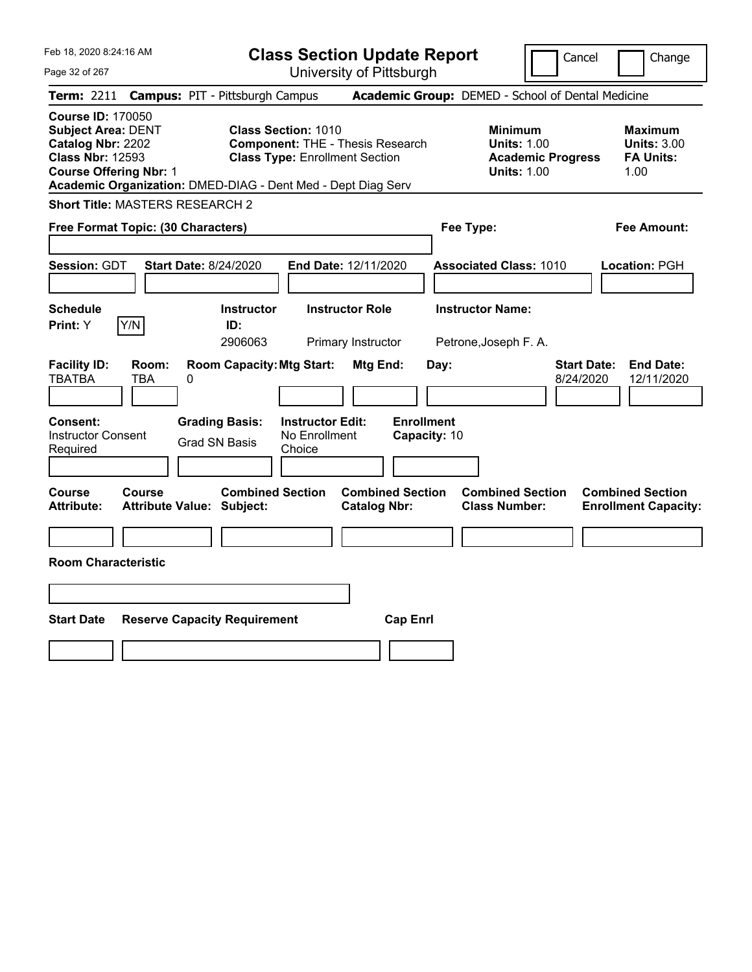Feb 18, 2020 8:24:16 AM Page 32 of 267 **Class Section Update Report** University of Pittsburgh Cancel | Change **Term:** 2211 **Campus:** PIT - Pittsburgh Campus **Academic Group:** DEMED - School of Dental Medicine **Course ID:** 170050 **Subject Area:** DENT **Class Section:** 1010 **Minimum Maximum Catalog Nbr:** 2202 **Component:** THE - Thesis Research **Units:** 1.00 **Units:** 3.00 **Class Nbr:** 12593 **Class Type:** Enrollment Section **Academic Progress FA Units: Course Offering Nbr:** 1 **Units:** 1.00 1.00 **Academic Organization:** DMED-DIAG - Dent Med - Dept Diag Serv **Short Title:** MASTERS RESEARCH 2 **Free Format Topic: (30 Characters) Fee Type: Fee Amount: Session:** GDT **Start Date:** 8/24/2020 **End Date:** 12/11/2020 **Associated Class:** 1010 **Location:** PGH **Schedule Instructor Instructor Role Instructor Name: Print:**  $Y$   $|Y/N|$  **ID:** 2906063 Primary Instructor Petrone,Joseph F. A. **Facility ID: Room: Room Capacity:Mtg Start: Mtg End: Day: Start Date: End Date:** TBATBA TBA 0 8/24/2020 12/11/2020 **Consent: Grading Basis: Instructor Edit: Enrollment** Instructor Consent Required Grad SN Basis No Enrollment Choice **Capacity:** 10 **Course Course Combined Section Combined Section Combined Section Combined Section Attribute: Attribute Value: Subject: Catalog Nbr: Class Number: Enrollment Capacity: Room Characteristic Start Date Reserve Capacity Requirement Cap Enrl**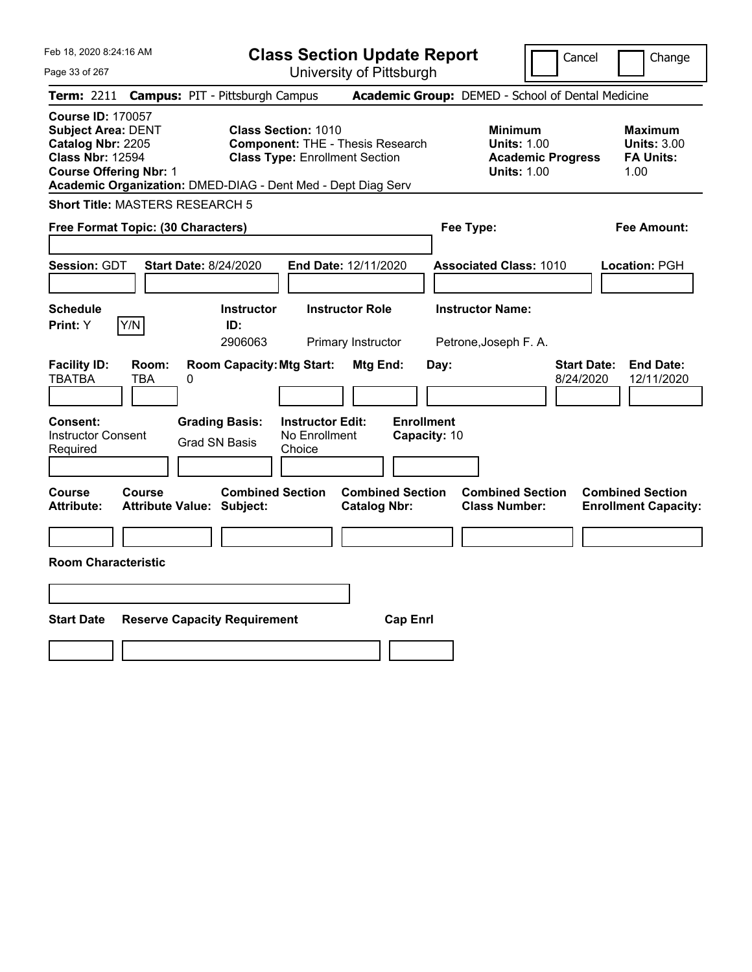| Feb 18, 2020 8:24:16 AM<br>Page 33 of 267                                                                                                                              | <b>Class Section Update Report</b><br>University of Pittsburgh                                                                                                                 |                                                            | Cancel<br>Change                                                                             |
|------------------------------------------------------------------------------------------------------------------------------------------------------------------------|--------------------------------------------------------------------------------------------------------------------------------------------------------------------------------|------------------------------------------------------------|----------------------------------------------------------------------------------------------|
| <b>Term: 2211</b>                                                                                                                                                      | <b>Campus: PIT - Pittsburgh Campus</b>                                                                                                                                         | Academic Group: DEMED - School of Dental Medicine          |                                                                                              |
| <b>Course ID: 170057</b><br><b>Subject Area: DENT</b><br>Catalog Nbr: 2205<br><b>Class Nbr: 12594</b><br><b>Course Offering Nbr: 1</b>                                 | <b>Class Section: 1010</b><br><b>Component: THE - Thesis Research</b><br><b>Class Type: Enrollment Section</b><br>Academic Organization: DMED-DIAG - Dent Med - Dept Diag Serv | <b>Minimum</b><br><b>Units: 1.00</b><br><b>Units: 1.00</b> | <b>Maximum</b><br><b>Units: 3.00</b><br><b>Academic Progress</b><br><b>FA Units:</b><br>1.00 |
| Short Title: MASTERS RESEARCH 5                                                                                                                                        |                                                                                                                                                                                |                                                            |                                                                                              |
| Free Format Topic: (30 Characters)                                                                                                                                     |                                                                                                                                                                                | Fee Type:                                                  | Fee Amount:                                                                                  |
| <b>Session: GDT</b><br><b>Start Date: 8/24/2020</b>                                                                                                                    | End Date: 12/11/2020                                                                                                                                                           | <b>Associated Class: 1010</b>                              | <b>Location: PGH</b>                                                                         |
| <b>Schedule</b>                                                                                                                                                        | <b>Instructor</b><br><b>Instructor Role</b>                                                                                                                                    | <b>Instructor Name:</b>                                    |                                                                                              |
| Y/N<br>Print: Y                                                                                                                                                        | ID:<br>2906063<br>Primary Instructor                                                                                                                                           | Petrone, Joseph F. A.                                      |                                                                                              |
| <b>Facility ID:</b><br>Room:<br><b>TBATBA</b><br>TBA<br>0<br><b>Grading Basis:</b><br><b>Consent:</b><br><b>Instructor Consent</b><br><b>Grad SN Basis</b><br>Required | <b>Room Capacity: Mtg Start:</b><br>Mtg End:<br><b>Instructor Edit:</b><br>No Enrollment<br>Choice                                                                             | Day:<br><b>Enrollment</b><br>Capacity: 10                  | <b>Start Date:</b><br><b>End Date:</b><br>8/24/2020<br>12/11/2020                            |
| <b>Course</b><br>Course<br><b>Attribute:</b><br><b>Attribute Value: Subject:</b>                                                                                       | <b>Combined Section</b><br><b>Combined Section</b><br><b>Catalog Nbr:</b>                                                                                                      | <b>Combined Section</b><br><b>Class Number:</b>            | <b>Combined Section</b><br><b>Enrollment Capacity:</b>                                       |
|                                                                                                                                                                        |                                                                                                                                                                                |                                                            |                                                                                              |
| <b>Room Characteristic</b>                                                                                                                                             |                                                                                                                                                                                |                                                            |                                                                                              |
|                                                                                                                                                                        |                                                                                                                                                                                |                                                            |                                                                                              |
|                                                                                                                                                                        |                                                                                                                                                                                |                                                            |                                                                                              |
| <b>Start Date</b><br><b>Reserve Capacity Requirement</b>                                                                                                               |                                                                                                                                                                                | <b>Cap Enri</b>                                            |                                                                                              |
|                                                                                                                                                                        |                                                                                                                                                                                |                                                            |                                                                                              |
|                                                                                                                                                                        |                                                                                                                                                                                |                                                            |                                                                                              |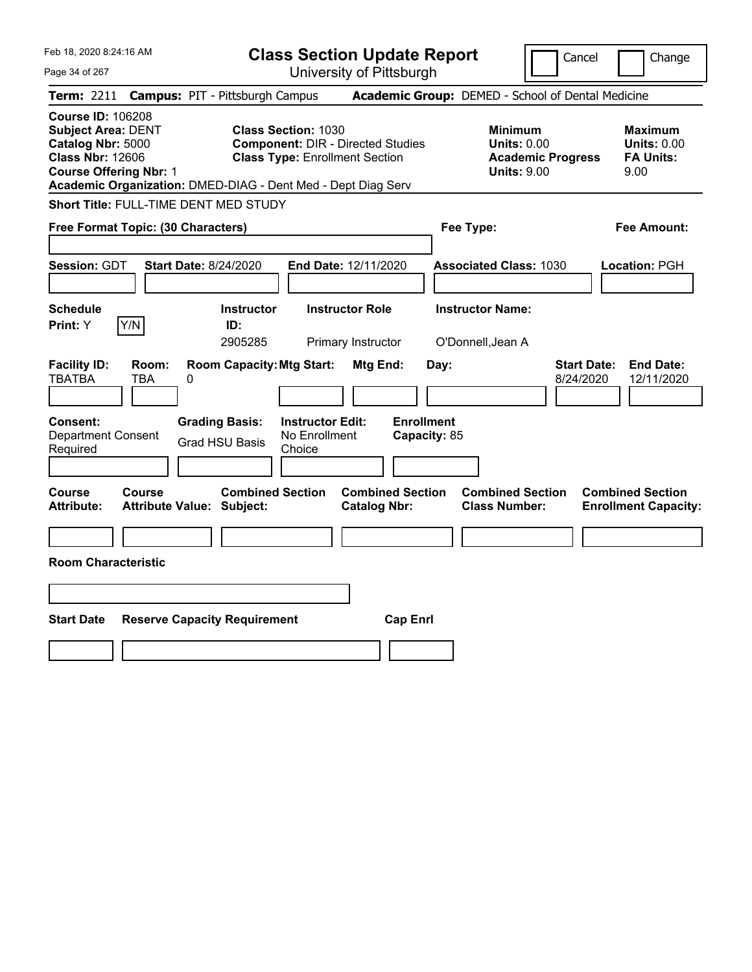| Feb 18, 2020 8:24:16 AM                                                                                                                                                                                | <b>Class Section Update Report</b>                                                                              | Cancel                                                                                 | Change                                                           |
|--------------------------------------------------------------------------------------------------------------------------------------------------------------------------------------------------------|-----------------------------------------------------------------------------------------------------------------|----------------------------------------------------------------------------------------|------------------------------------------------------------------|
| Page 34 of 267                                                                                                                                                                                         | University of Pittsburgh                                                                                        |                                                                                        |                                                                  |
| <b>Campus: PIT - Pittsburgh Campus</b><br><b>Term: 2211</b>                                                                                                                                            |                                                                                                                 | Academic Group: DEMED - School of Dental Medicine                                      |                                                                  |
| <b>Course ID: 106208</b><br><b>Subject Area: DENT</b><br>Catalog Nbr: 5000<br><b>Class Nbr: 12606</b><br><b>Course Offering Nbr: 1</b><br>Academic Organization: DMED-DIAG - Dent Med - Dept Diag Serv | <b>Class Section: 1030</b><br><b>Component: DIR - Directed Studies</b><br><b>Class Type: Enrollment Section</b> | <b>Minimum</b><br><b>Units: 0.00</b><br><b>Academic Progress</b><br><b>Units: 9.00</b> | <b>Maximum</b><br><b>Units: 0.00</b><br><b>FA Units:</b><br>9.00 |
| <b>Short Title: FULL-TIME DENT MED STUDY</b>                                                                                                                                                           |                                                                                                                 |                                                                                        |                                                                  |
| Free Format Topic: (30 Characters)                                                                                                                                                                     |                                                                                                                 | Fee Type:                                                                              | <b>Fee Amount:</b>                                               |
| Session: GDT<br><b>Start Date: 8/24/2020</b>                                                                                                                                                           | End Date: 12/11/2020                                                                                            | <b>Associated Class: 1030</b>                                                          | Location: PGH                                                    |
| <b>Schedule</b><br>Y/N<br><b>Print:</b> Y                                                                                                                                                              | <b>Instructor</b><br><b>Instructor Role</b><br>ID:<br>2905285<br>Primary Instructor                             | <b>Instructor Name:</b><br>O'Donnell, Jean A                                           |                                                                  |
| <b>Facility ID:</b><br>Room:<br><b>TBATBA</b><br>TBA<br>0                                                                                                                                              | <b>Room Capacity: Mtg Start:</b><br>Mtg End:                                                                    | <b>Start Date:</b><br>Day:<br>8/24/2020                                                | <b>End Date:</b><br>12/11/2020                                   |
| <b>Consent:</b><br><b>Grading Basis:</b><br><b>Department Consent</b><br><b>Grad HSU Basis</b><br>Required                                                                                             | <b>Enrollment</b><br><b>Instructor Edit:</b><br>No Enrollment<br>Capacity: 85<br>Choice                         |                                                                                        |                                                                  |
| Course<br><b>Course</b><br><b>Attribute Value: Subject:</b><br><b>Attribute:</b>                                                                                                                       | <b>Combined Section</b><br><b>Combined Section</b><br><b>Catalog Nbr:</b>                                       | <b>Combined Section</b><br><b>Class Number:</b>                                        | <b>Combined Section</b><br><b>Enrollment Capacity:</b>           |
| <b>Room Characteristic</b>                                                                                                                                                                             |                                                                                                                 |                                                                                        |                                                                  |
|                                                                                                                                                                                                        |                                                                                                                 |                                                                                        |                                                                  |
| <b>Start Date</b><br><b>Reserve Capacity Requirement</b>                                                                                                                                               | <b>Cap Enrl</b>                                                                                                 |                                                                                        |                                                                  |
|                                                                                                                                                                                                        |                                                                                                                 |                                                                                        |                                                                  |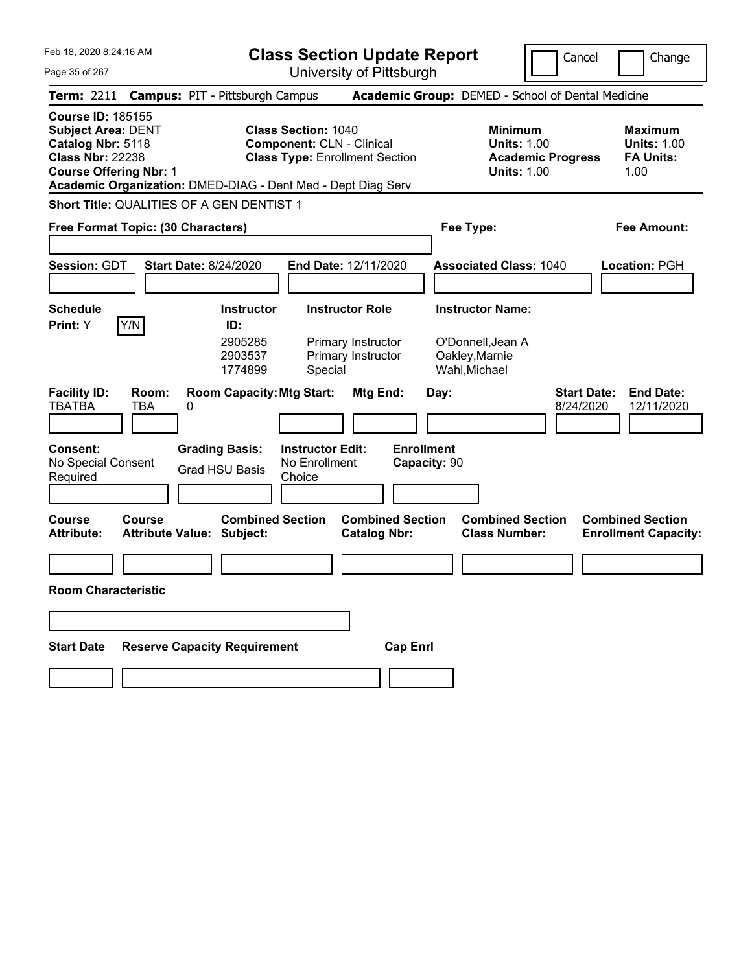|  | Feb 18, 2020 8:24:16 AM |  |
|--|-------------------------|--|
|  |                         |  |

Page 35 of 267

**Class Section Update Report**

Cancel **Change** 

University of Pittsburgh

| <b>Term: 2211</b>                                                                                                                      |                                            | <b>Campus: PIT - Pittsburgh Campus</b>                       |                                                    |                                                                           |                                   | Academic Group: DEMED - School of Dental Medicine                                      |                                                                   |  |  |
|----------------------------------------------------------------------------------------------------------------------------------------|--------------------------------------------|--------------------------------------------------------------|----------------------------------------------------|---------------------------------------------------------------------------|-----------------------------------|----------------------------------------------------------------------------------------|-------------------------------------------------------------------|--|--|
| <b>Course ID: 185155</b><br><b>Subject Area: DENT</b><br>Catalog Nbr: 5118<br><b>Class Nbr: 22238</b><br><b>Course Offering Nbr: 1</b> |                                            | Academic Organization: DMED-DIAG - Dent Med - Dept Diag Serv | <b>Class Section: 1040</b>                         | <b>Component: CLN - Clinical</b><br><b>Class Type: Enrollment Section</b> |                                   | <b>Minimum</b><br><b>Units: 1.00</b><br><b>Academic Progress</b><br><b>Units: 1.00</b> | <b>Maximum</b><br><b>Units: 1.00</b><br><b>FA Units:</b><br>1.00  |  |  |
| <b>Short Title: QUALITIES OF A GEN DENTIST 1</b>                                                                                       |                                            |                                                              |                                                    |                                                                           |                                   |                                                                                        |                                                                   |  |  |
| Free Format Topic: (30 Characters)                                                                                                     |                                            |                                                              |                                                    |                                                                           |                                   | Fee Type:                                                                              | Fee Amount:                                                       |  |  |
| Session: GDT                                                                                                                           |                                            | <b>Start Date: 8/24/2020</b>                                 |                                                    | End Date: 12/11/2020                                                      |                                   | <b>Associated Class: 1040</b>                                                          | Location: PGH                                                     |  |  |
| <b>Schedule</b>                                                                                                                        |                                            | <b>Instructor</b>                                            |                                                    | <b>Instructor Role</b>                                                    |                                   | <b>Instructor Name:</b>                                                                |                                                                   |  |  |
| <b>Print: Y</b>                                                                                                                        | Y/N                                        | ID:<br>2905285<br>2903537<br>1774899                         | Special                                            | Primary Instructor<br>Primary Instructor                                  |                                   | O'Donnell, Jean A<br>Oakley, Marnie<br>Wahl, Michael                                   |                                                                   |  |  |
| <b>Facility ID:</b><br><b>TBATBA</b>                                                                                                   | Room:<br><b>TBA</b><br>0                   | <b>Room Capacity: Mtg Start:</b>                             |                                                    | Mtg End:                                                                  | Day:                              |                                                                                        | <b>Start Date:</b><br><b>End Date:</b><br>12/11/2020<br>8/24/2020 |  |  |
| <b>Consent:</b><br>No Special Consent<br>Required                                                                                      |                                            | <b>Grading Basis:</b><br><b>Grad HSU Basis</b>               | <b>Instructor Edit:</b><br>No Enrollment<br>Choice |                                                                           | <b>Enrollment</b><br>Capacity: 90 |                                                                                        |                                                                   |  |  |
| Course<br><b>Attribute:</b>                                                                                                            | Course<br><b>Attribute Value: Subject:</b> | <b>Combined Section</b>                                      |                                                    | <b>Combined Section</b><br><b>Catalog Nbr:</b>                            |                                   | <b>Combined Section</b><br><b>Class Number:</b>                                        | <b>Combined Section</b><br><b>Enrollment Capacity:</b>            |  |  |
|                                                                                                                                        |                                            |                                                              |                                                    |                                                                           |                                   |                                                                                        |                                                                   |  |  |
| <b>Room Characteristic</b>                                                                                                             |                                            |                                                              |                                                    |                                                                           |                                   |                                                                                        |                                                                   |  |  |
|                                                                                                                                        |                                            |                                                              |                                                    |                                                                           |                                   |                                                                                        |                                                                   |  |  |
| <b>Start Date</b>                                                                                                                      |                                            | <b>Reserve Capacity Requirement</b>                          |                                                    |                                                                           | <b>Cap Enrl</b>                   |                                                                                        |                                                                   |  |  |
|                                                                                                                                        |                                            |                                                              |                                                    |                                                                           |                                   |                                                                                        |                                                                   |  |  |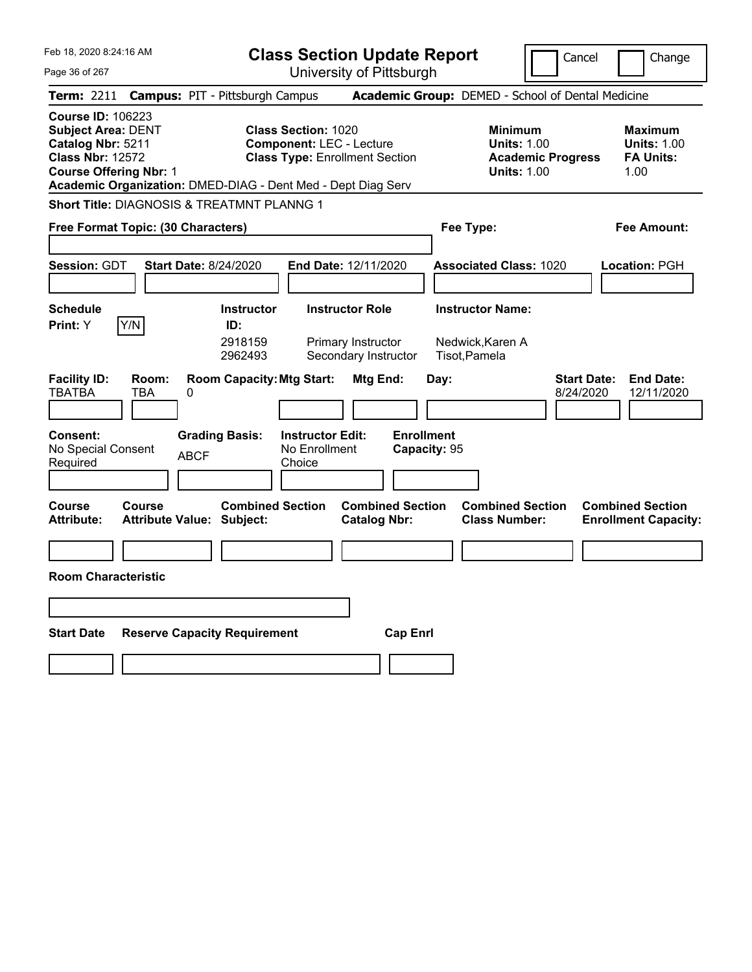|                                                                                                        | Cancel                                                                                                                                                                                                                                                                                                                                                                                                                                             | Change                                                                                                                                                                                                 |
|--------------------------------------------------------------------------------------------------------|----------------------------------------------------------------------------------------------------------------------------------------------------------------------------------------------------------------------------------------------------------------------------------------------------------------------------------------------------------------------------------------------------------------------------------------------------|--------------------------------------------------------------------------------------------------------------------------------------------------------------------------------------------------------|
|                                                                                                        |                                                                                                                                                                                                                                                                                                                                                                                                                                                    |                                                                                                                                                                                                        |
|                                                                                                        |                                                                                                                                                                                                                                                                                                                                                                                                                                                    |                                                                                                                                                                                                        |
| <b>Class Section: 1020</b><br><b>Component: LEC - Lecture</b><br><b>Class Type: Enrollment Section</b> | <b>Minimum</b><br><b>Units: 1.00</b><br><b>Academic Progress</b><br><b>Units: 1.00</b>                                                                                                                                                                                                                                                                                                                                                             | <b>Maximum</b><br><b>Units: 1.00</b><br><b>FA Units:</b><br>1.00                                                                                                                                       |
|                                                                                                        |                                                                                                                                                                                                                                                                                                                                                                                                                                                    |                                                                                                                                                                                                        |
|                                                                                                        | Fee Type:                                                                                                                                                                                                                                                                                                                                                                                                                                          | Fee Amount:                                                                                                                                                                                            |
| End Date: 12/11/2020                                                                                   | <b>Associated Class: 1020</b>                                                                                                                                                                                                                                                                                                                                                                                                                      | Location: PGH                                                                                                                                                                                          |
| <b>Instructor Role</b><br>Primary Instructor<br>Secondary Instructor                                   | <b>Instructor Name:</b><br>Nedwick, Karen A<br>Tisot, Pamela                                                                                                                                                                                                                                                                                                                                                                                       |                                                                                                                                                                                                        |
| Mtg End:<br><b>Instructor Edit:</b><br>No Enrollment                                                   | Day:<br>8/24/2020                                                                                                                                                                                                                                                                                                                                                                                                                                  | <b>Start Date:</b><br><b>End Date:</b><br>12/11/2020                                                                                                                                                   |
|                                                                                                        |                                                                                                                                                                                                                                                                                                                                                                                                                                                    |                                                                                                                                                                                                        |
| <b>Catalog Nbr:</b>                                                                                    | <b>Combined Section</b><br><b>Class Number:</b>                                                                                                                                                                                                                                                                                                                                                                                                    | <b>Combined Section</b><br><b>Enrollment Capacity:</b>                                                                                                                                                 |
|                                                                                                        |                                                                                                                                                                                                                                                                                                                                                                                                                                                    |                                                                                                                                                                                                        |
|                                                                                                        |                                                                                                                                                                                                                                                                                                                                                                                                                                                    |                                                                                                                                                                                                        |
|                                                                                                        |                                                                                                                                                                                                                                                                                                                                                                                                                                                    |                                                                                                                                                                                                        |
| ID:                                                                                                    | <b>Campus: PIT - Pittsburgh Campus</b><br>Academic Organization: DMED-DIAG - Dent Med - Dept Diag Serv<br>Short Title: DIAGNOSIS & TREATMNT PLANNG 1<br>Free Format Topic: (30 Characters)<br><b>Start Date: 8/24/2020</b><br><b>Instructor</b><br>2918159<br>2962493<br><b>Room Capacity: Mtg Start:</b><br><b>Grading Basis:</b><br>Choice<br><b>Combined Section</b><br><b>Attribute Value: Subject:</b><br><b>Reserve Capacity Requirement</b> | <b>Class Section Update Report</b><br>University of Pittsburgh<br>Academic Group: DEMED - School of Dental Medicine<br><b>Enrollment</b><br>Capacity: 95<br><b>Combined Section</b><br><b>Cap Enri</b> |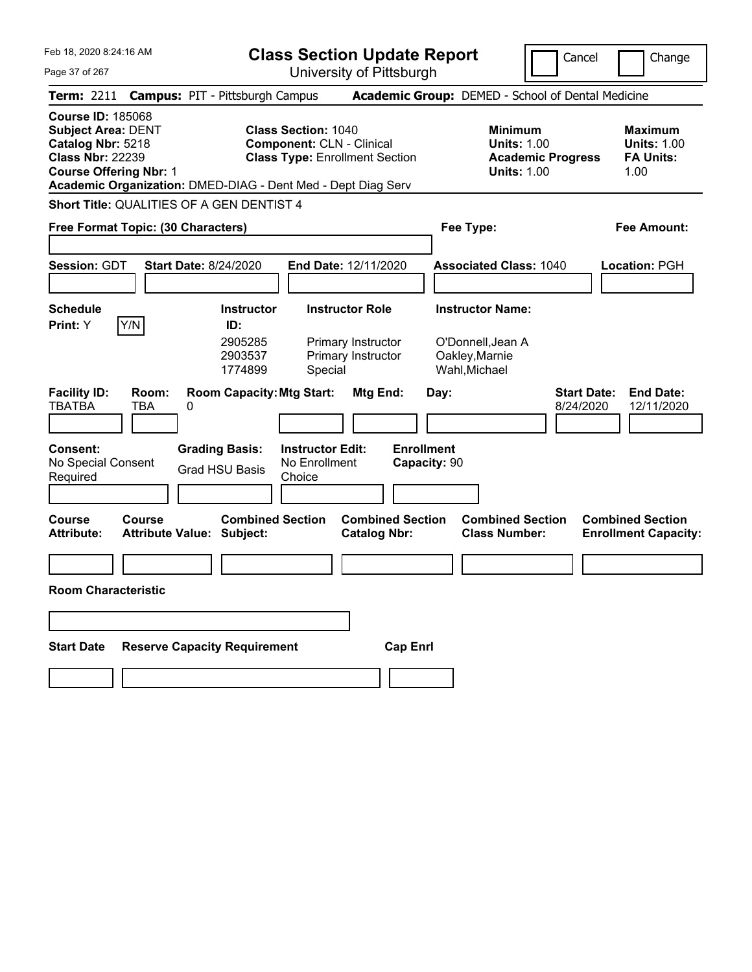|  |  |  | Feb 18, 2020 8:24:16 AM |  |
|--|--|--|-------------------------|--|
|--|--|--|-------------------------|--|

Page 37 of 267

**Class Section Update Report**

Cancel **Change** 

| <b>Term: 2211</b>                                                                                                                      |                     | <b>Campus: PIT - Pittsburgh Campus</b>                       |                                                    |                                                                           |                                   | Academic Group: DEMED - School of Dental Medicine                                      |                                                                  |
|----------------------------------------------------------------------------------------------------------------------------------------|---------------------|--------------------------------------------------------------|----------------------------------------------------|---------------------------------------------------------------------------|-----------------------------------|----------------------------------------------------------------------------------------|------------------------------------------------------------------|
| <b>Course ID: 185068</b><br><b>Subject Area: DENT</b><br>Catalog Nbr: 5218<br><b>Class Nbr: 22239</b><br><b>Course Offering Nbr: 1</b> |                     | Academic Organization: DMED-DIAG - Dent Med - Dept Diag Serv | <b>Class Section: 1040</b>                         | <b>Component: CLN - Clinical</b><br><b>Class Type: Enrollment Section</b> |                                   | <b>Minimum</b><br><b>Units: 1.00</b><br><b>Academic Progress</b><br><b>Units: 1.00</b> | <b>Maximum</b><br><b>Units: 1.00</b><br><b>FA Units:</b><br>1.00 |
|                                                                                                                                        |                     | Short Title: QUALITIES OF A GEN DENTIST 4                    |                                                    |                                                                           |                                   |                                                                                        |                                                                  |
| Free Format Topic: (30 Characters)                                                                                                     |                     |                                                              |                                                    |                                                                           |                                   | Fee Type:                                                                              | <b>Fee Amount:</b>                                               |
| Session: GDT                                                                                                                           |                     | <b>Start Date: 8/24/2020</b>                                 |                                                    | End Date: 12/11/2020                                                      |                                   | <b>Associated Class: 1040</b>                                                          | Location: PGH                                                    |
| <b>Schedule</b>                                                                                                                        |                     | <b>Instructor</b>                                            |                                                    | <b>Instructor Role</b>                                                    |                                   | <b>Instructor Name:</b>                                                                |                                                                  |
| Print: Y                                                                                                                               | Y/N                 | ID:<br>2905285<br>2903537<br>1774899                         | Special                                            | Primary Instructor<br>Primary Instructor                                  |                                   | O'Donnell, Jean A<br>Oakley, Marnie<br>Wahl, Michael                                   |                                                                  |
| <b>Facility ID:</b><br>TBATBA                                                                                                          | Room:<br><b>TBA</b> | <b>Room Capacity: Mtg Start:</b><br>0                        |                                                    | Mtg End:                                                                  | Day:                              | 8/24/2020                                                                              | <b>Start Date:</b><br><b>End Date:</b><br>12/11/2020             |
| Consent:<br>No Special Consent<br>Required                                                                                             |                     | <b>Grading Basis:</b><br><b>Grad HSU Basis</b>               | <b>Instructor Edit:</b><br>No Enrollment<br>Choice |                                                                           | <b>Enrollment</b><br>Capacity: 90 |                                                                                        |                                                                  |
| <b>Course</b><br><b>Attribute:</b>                                                                                                     | <b>Course</b>       | <b>Combined Section</b><br>Attribute Value: Subject:         |                                                    | <b>Combined Section</b><br><b>Catalog Nbr:</b>                            |                                   | <b>Combined Section</b><br><b>Class Number:</b>                                        | <b>Combined Section</b><br><b>Enrollment Capacity:</b>           |
|                                                                                                                                        |                     |                                                              |                                                    |                                                                           |                                   |                                                                                        |                                                                  |
| <b>Room Characteristic</b>                                                                                                             |                     |                                                              |                                                    |                                                                           |                                   |                                                                                        |                                                                  |
|                                                                                                                                        |                     |                                                              |                                                    |                                                                           |                                   |                                                                                        |                                                                  |
| <b>Start Date</b>                                                                                                                      |                     | <b>Reserve Capacity Requirement</b>                          |                                                    | <b>Cap Enrl</b>                                                           |                                   |                                                                                        |                                                                  |
|                                                                                                                                        |                     |                                                              |                                                    |                                                                           |                                   |                                                                                        |                                                                  |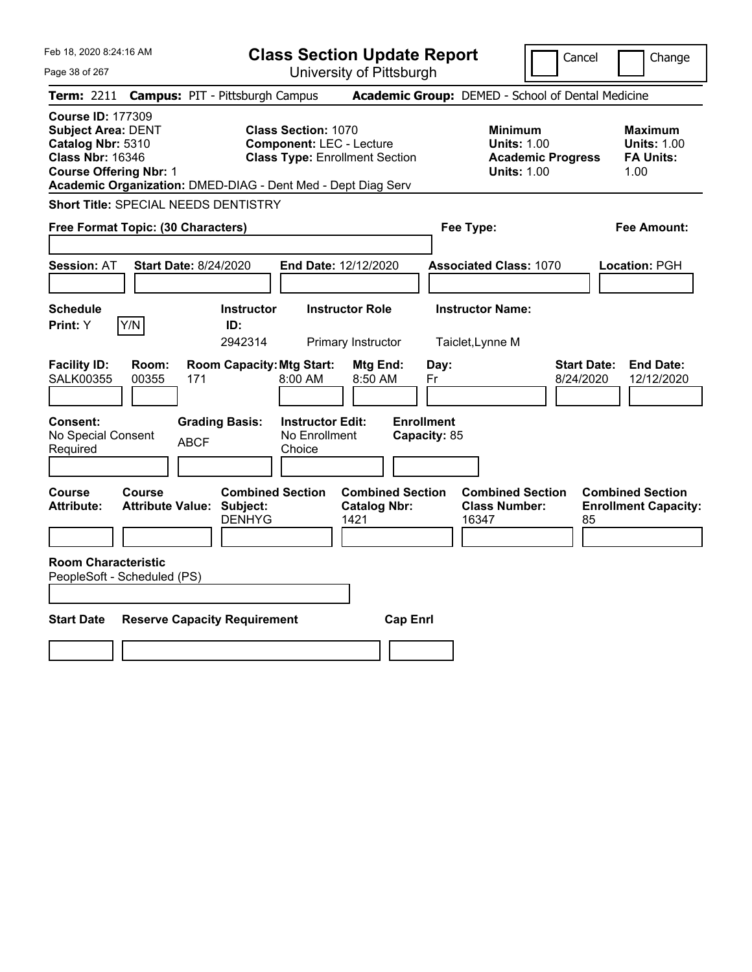| Feb 18, 2020 8:24:16 AM<br>Page 38 of 267                                                                                                                                                              | <b>Class Section Update Report</b><br>University of Pittsburgh                                         | Cancel                                                                                 | Change                                                           |
|--------------------------------------------------------------------------------------------------------------------------------------------------------------------------------------------------------|--------------------------------------------------------------------------------------------------------|----------------------------------------------------------------------------------------|------------------------------------------------------------------|
| <b>Campus: PIT - Pittsburgh Campus</b><br><b>Term: 2211</b>                                                                                                                                            |                                                                                                        | Academic Group: DEMED - School of Dental Medicine                                      |                                                                  |
| <b>Course ID: 177309</b><br><b>Subject Area: DENT</b><br>Catalog Nbr: 5310<br><b>Class Nbr: 16346</b><br><b>Course Offering Nbr: 1</b><br>Academic Organization: DMED-DIAG - Dent Med - Dept Diag Serv | <b>Class Section: 1070</b><br><b>Component: LEC - Lecture</b><br><b>Class Type: Enrollment Section</b> | <b>Minimum</b><br><b>Units: 1.00</b><br><b>Academic Progress</b><br><b>Units: 1.00</b> | <b>Maximum</b><br><b>Units: 1.00</b><br><b>FA Units:</b><br>1.00 |
| <b>Short Title: SPECIAL NEEDS DENTISTRY</b>                                                                                                                                                            |                                                                                                        |                                                                                        |                                                                  |
| Free Format Topic: (30 Characters)                                                                                                                                                                     |                                                                                                        | Fee Type:                                                                              | <b>Fee Amount:</b>                                               |
| <b>Session: AT</b><br><b>Start Date: 8/24/2020</b>                                                                                                                                                     | End Date: 12/12/2020                                                                                   | <b>Associated Class: 1070</b>                                                          | <b>Location: PGH</b>                                             |
| <b>Schedule</b><br>Y/N<br>Print: Y<br>ID:                                                                                                                                                              | <b>Instructor</b><br><b>Instructor Role</b><br>2942314<br>Primary Instructor                           | <b>Instructor Name:</b><br>Taiclet, Lynne M                                            |                                                                  |
| <b>Facility ID:</b><br>Room:<br><b>SALK00355</b><br>00355<br>171                                                                                                                                       | <b>Room Capacity: Mtg Start:</b><br>Mtg End:<br>8:00 AM<br>8:50 AM                                     | <b>Start Date:</b><br>Day:<br>8/24/2020<br>Fr                                          | <b>End Date:</b><br>12/12/2020                                   |
| <b>Consent:</b><br><b>Grading Basis:</b><br>No Special Consent<br><b>ABCF</b><br>Required                                                                                                              | <b>Enrollment</b><br><b>Instructor Edit:</b><br>No Enrollment<br>Capacity: 85<br>Choice                |                                                                                        |                                                                  |
| <b>Course</b><br>Course<br><b>Attribute:</b><br><b>Attribute Value: Subject:</b>                                                                                                                       | <b>Combined Section</b><br><b>Combined Section</b><br><b>Catalog Nbr:</b><br><b>DENHYG</b><br>1421     | <b>Combined Section</b><br><b>Class Number:</b><br>16347<br>85                         | <b>Combined Section</b><br><b>Enrollment Capacity:</b>           |
| <b>Room Characteristic</b><br>PeopleSoft - Scheduled (PS)                                                                                                                                              |                                                                                                        |                                                                                        |                                                                  |
| <b>Start Date</b><br><b>Reserve Capacity Requirement</b>                                                                                                                                               | <b>Cap Enrl</b>                                                                                        |                                                                                        |                                                                  |
|                                                                                                                                                                                                        |                                                                                                        |                                                                                        |                                                                  |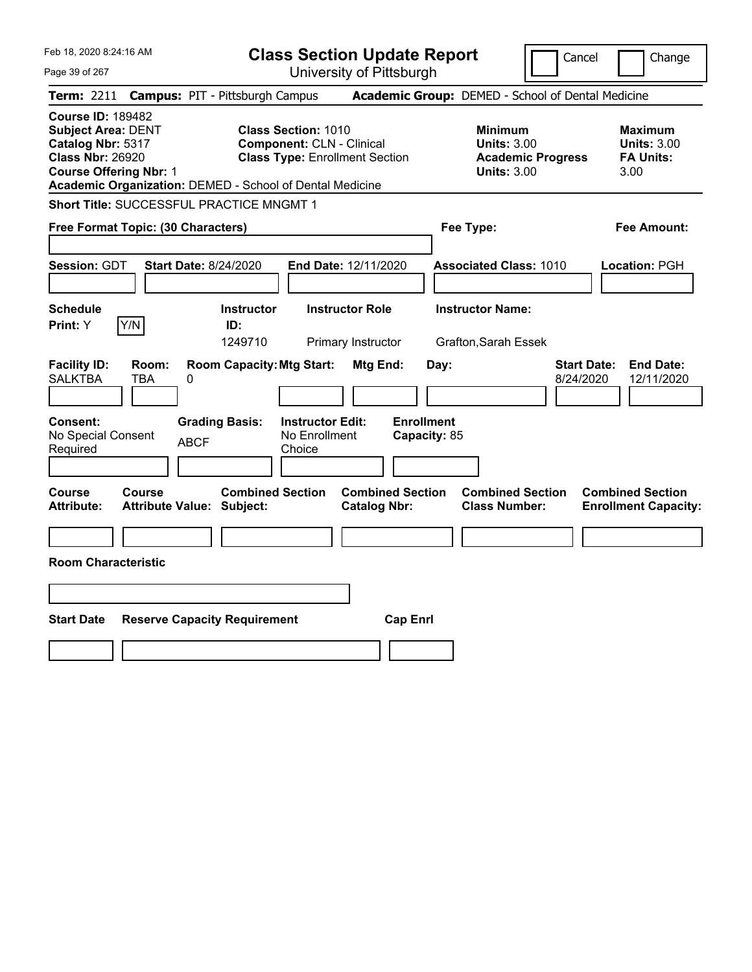|  | Feb 18, 2020 8:24:16 AM |  |
|--|-------------------------|--|
|  |                         |  |

Page 39 of 267

**Class Section Update Report**

Cancel Change

|                                                                                                                                        | Term: 2211 Campus: PIT - Pittsburgh Campus                                                                                                                          | Academic Group: DEMED - School of Dental Medicine                                      |                                                                  |
|----------------------------------------------------------------------------------------------------------------------------------------|---------------------------------------------------------------------------------------------------------------------------------------------------------------------|----------------------------------------------------------------------------------------|------------------------------------------------------------------|
| <b>Course ID: 189482</b><br><b>Subject Area: DENT</b><br>Catalog Nbr: 5317<br><b>Class Nbr: 26920</b><br><b>Course Offering Nbr: 1</b> | <b>Class Section: 1010</b><br><b>Component: CLN - Clinical</b><br><b>Class Type: Enrollment Section</b><br>Academic Organization: DEMED - School of Dental Medicine | <b>Minimum</b><br><b>Units: 3.00</b><br><b>Academic Progress</b><br><b>Units: 3.00</b> | <b>Maximum</b><br><b>Units: 3.00</b><br><b>FA Units:</b><br>3.00 |
|                                                                                                                                        | Short Title: SUCCESSFUL PRACTICE MNGMT 1                                                                                                                            |                                                                                        |                                                                  |
| Free Format Topic: (30 Characters)                                                                                                     |                                                                                                                                                                     | Fee Type:                                                                              | <b>Fee Amount:</b>                                               |
| Session: GDT                                                                                                                           | <b>Start Date: 8/24/2020</b><br>End Date: 12/11/2020                                                                                                                | <b>Associated Class: 1010</b>                                                          | Location: PGH                                                    |
| <b>Schedule</b><br>Y/N<br>Print: Y                                                                                                     | <b>Instructor Role</b><br><b>Instructor</b><br>ID:                                                                                                                  | <b>Instructor Name:</b>                                                                |                                                                  |
|                                                                                                                                        | 1249710<br>Primary Instructor                                                                                                                                       | Grafton, Sarah Essek                                                                   |                                                                  |
| <b>Facility ID:</b><br>Room:<br><b>SALKTBA</b><br><b>TBA</b><br>Consent:<br>No Special Consent<br>Required                             | <b>Room Capacity: Mtg Start:</b><br>Mtg End:<br>0<br><b>Grading Basis:</b><br><b>Instructor Edit:</b><br>No Enrollment<br><b>ABCF</b><br>Choice                     | <b>Start Date:</b><br>Day:<br>8/24/2020<br><b>Enrollment</b><br>Capacity: 85           | <b>End Date:</b><br>12/11/2020                                   |
| Course<br>Course<br>Attribute:                                                                                                         | <b>Combined Section</b><br><b>Attribute Value: Subject:</b><br><b>Catalog Nbr:</b>                                                                                  | <b>Combined Section</b><br><b>Combined Section</b><br><b>Class Number:</b>             | <b>Combined Section</b><br><b>Enrollment Capacity:</b>           |
|                                                                                                                                        |                                                                                                                                                                     |                                                                                        |                                                                  |
| <b>Room Characteristic</b>                                                                                                             |                                                                                                                                                                     |                                                                                        |                                                                  |
|                                                                                                                                        |                                                                                                                                                                     |                                                                                        |                                                                  |
| <b>Start Date</b>                                                                                                                      | <b>Reserve Capacity Requirement</b>                                                                                                                                 | <b>Cap Enrl</b>                                                                        |                                                                  |
|                                                                                                                                        |                                                                                                                                                                     |                                                                                        |                                                                  |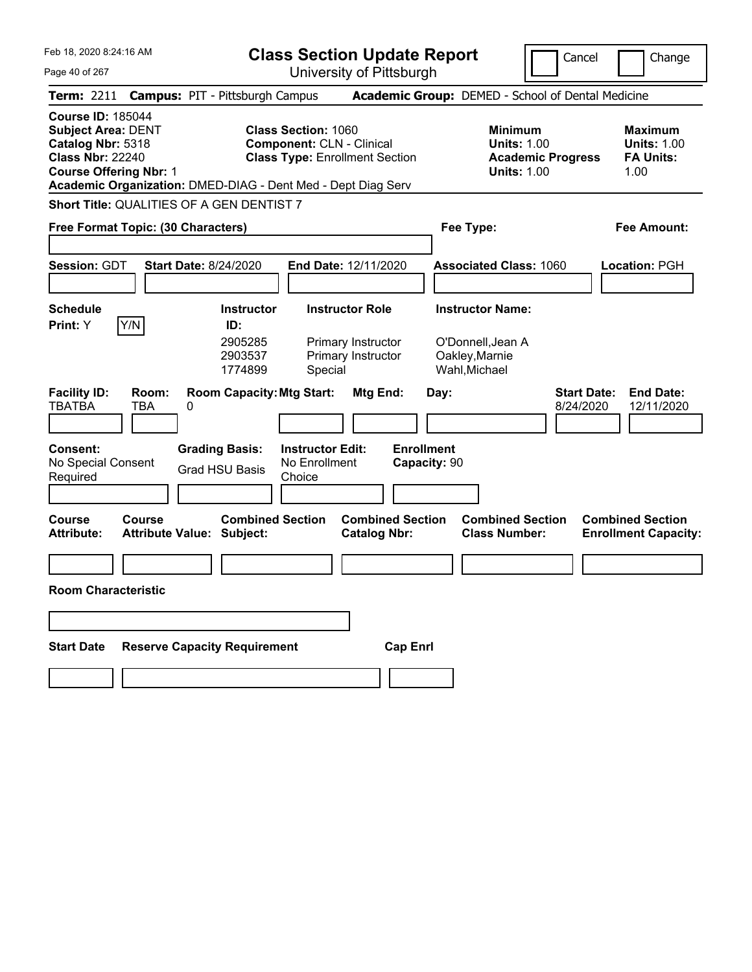|  | Feb 18, 2020 8:24:16 AM |  |
|--|-------------------------|--|
|  |                         |  |

Page 40 of 267

**Class Section Update Report**

Cancel **Change** 

| <b>Term: 2211</b>                                                                                                                      |                                            | <b>Campus: PIT - Pittsburgh Campus</b>                       |                                                    |                                                                           |                                   | Academic Group: DEMED - School of Dental Medicine                                      |                                                                   |
|----------------------------------------------------------------------------------------------------------------------------------------|--------------------------------------------|--------------------------------------------------------------|----------------------------------------------------|---------------------------------------------------------------------------|-----------------------------------|----------------------------------------------------------------------------------------|-------------------------------------------------------------------|
| <b>Course ID: 185044</b><br><b>Subject Area: DENT</b><br>Catalog Nbr: 5318<br><b>Class Nbr: 22240</b><br><b>Course Offering Nbr: 1</b> |                                            | Academic Organization: DMED-DIAG - Dent Med - Dept Diag Serv | <b>Class Section: 1060</b>                         | <b>Component: CLN - Clinical</b><br><b>Class Type: Enrollment Section</b> |                                   | <b>Minimum</b><br><b>Units: 1.00</b><br><b>Academic Progress</b><br><b>Units: 1.00</b> | <b>Maximum</b><br><b>Units: 1.00</b><br><b>FA Units:</b><br>1.00  |
|                                                                                                                                        |                                            | <b>Short Title: QUALITIES OF A GEN DENTIST 7</b>             |                                                    |                                                                           |                                   |                                                                                        |                                                                   |
|                                                                                                                                        | Free Format Topic: (30 Characters)         |                                                              |                                                    |                                                                           |                                   | Fee Type:                                                                              | Fee Amount:                                                       |
| Session: GDT                                                                                                                           |                                            | <b>Start Date: 8/24/2020</b>                                 |                                                    | End Date: 12/11/2020                                                      |                                   | <b>Associated Class: 1060</b>                                                          | Location: PGH                                                     |
| <b>Schedule</b>                                                                                                                        |                                            | <b>Instructor</b>                                            |                                                    | <b>Instructor Role</b>                                                    |                                   | <b>Instructor Name:</b>                                                                |                                                                   |
| <b>Print:</b> Y                                                                                                                        | Y/N                                        | ID:<br>2905285<br>2903537<br>1774899                         | Special                                            | Primary Instructor<br>Primary Instructor                                  |                                   | O'Donnell, Jean A<br>Oakley, Marnie<br>Wahl, Michael                                   |                                                                   |
| <b>Facility ID:</b><br><b>TBATBA</b>                                                                                                   | Room:<br><b>TBA</b><br>0                   | <b>Room Capacity: Mtg Start:</b>                             |                                                    | Mtg End:                                                                  | Day:                              |                                                                                        | <b>Start Date:</b><br><b>End Date:</b><br>12/11/2020<br>8/24/2020 |
| <b>Consent:</b><br>No Special Consent<br>Required                                                                                      |                                            | <b>Grading Basis:</b><br><b>Grad HSU Basis</b>               | <b>Instructor Edit:</b><br>No Enrollment<br>Choice |                                                                           | <b>Enrollment</b><br>Capacity: 90 |                                                                                        |                                                                   |
| Course<br><b>Attribute:</b>                                                                                                            | Course<br><b>Attribute Value: Subject:</b> | <b>Combined Section</b>                                      |                                                    | <b>Combined Section</b><br><b>Catalog Nbr:</b>                            |                                   | <b>Combined Section</b><br><b>Class Number:</b>                                        | <b>Combined Section</b><br><b>Enrollment Capacity:</b>            |
|                                                                                                                                        |                                            |                                                              |                                                    |                                                                           |                                   |                                                                                        |                                                                   |
| <b>Room Characteristic</b>                                                                                                             |                                            |                                                              |                                                    |                                                                           |                                   |                                                                                        |                                                                   |
|                                                                                                                                        |                                            |                                                              |                                                    |                                                                           |                                   |                                                                                        |                                                                   |
| <b>Start Date</b>                                                                                                                      |                                            | <b>Reserve Capacity Requirement</b>                          |                                                    |                                                                           | <b>Cap Enrl</b>                   |                                                                                        |                                                                   |
|                                                                                                                                        |                                            |                                                              |                                                    |                                                                           |                                   |                                                                                        |                                                                   |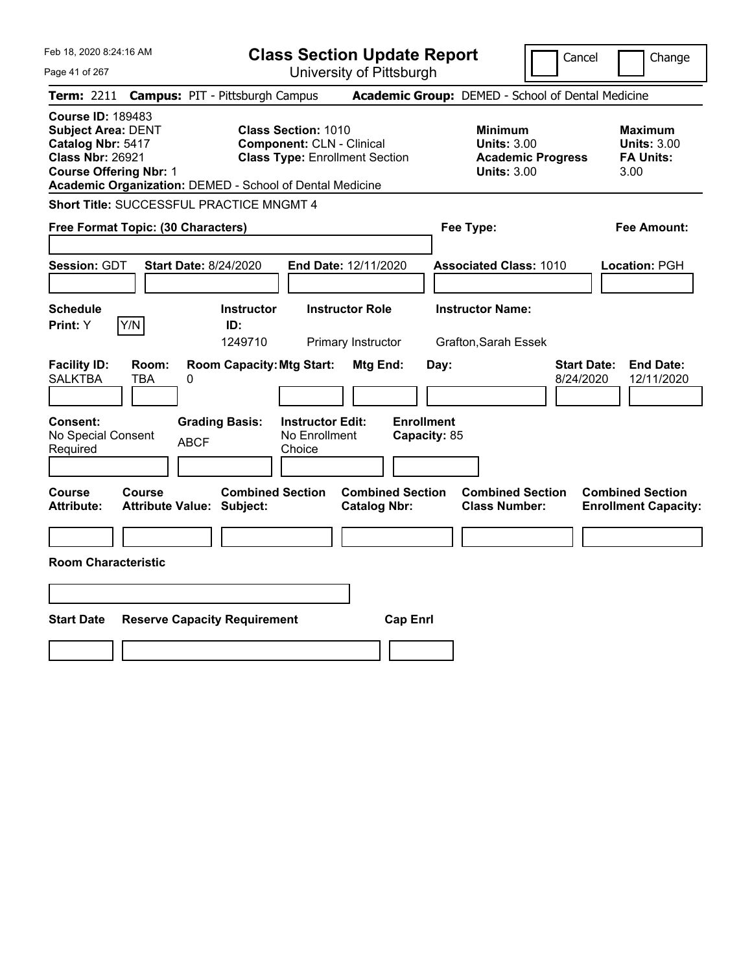Feb 18, 2020 8:24:16 AM Page 41 of 267 **Class Section Update Report** University of Pittsburgh Cancel | Change **Term:** 2211 **Campus:** PIT - Pittsburgh Campus **Academic Group:** DEMED - School of Dental Medicine **Course ID:** 189483 **Subject Area:** DENT **Class Section:** 1010 **Minimum Maximum Catalog Nbr:** 5417 **Component:** CLN - Clinical **Units: 3.00 Units: 3.00 Units: 3.00 Class Nbr: 26921 Class Type:** Enrollment Section **Academic Progress FA Units: Class Type: Enrollment Section <b>Academic Progress FA Units: Course Offering Nbr:** 1 **Units:** 3.00 3.00 **Academic Organization:** DEMED - School of Dental Medicine **Short Title:** SUCCESSFUL PRACTICE MNGMT 4 **Free Format Topic: (30 Characters) Fee Type: Fee Amount: Session:** GDT **Start Date:** 8/24/2020 **End Date:** 12/11/2020 **Associated Class:** 1010 **Location:** PGH **Schedule Instructor Instructor Role Instructor Name: Print:**  $Y$   $|Y/N|$  **ID:** 1249710 Primary Instructor Grafton,Sarah Essek **Facility ID: Room: Room Capacity:Mtg Start: Mtg End: Day: Start Date: End Date:** SALKTBA TBA 0 8/24/2020 12/11/2020 **Consent: Grading Basis: Instructor Edit: Enrollment** No Special Consent BCF No Enrollment<br>Required ABCF Choice Choice **Capacity:** 85 **Course Course Combined Section Combined Section Combined Section Combined Section Attribute: Attribute Value: Subject: Catalog Nbr: Class Number: Enrollment Capacity: Room Characteristic Start Date Reserve Capacity Requirement Cap Enrl**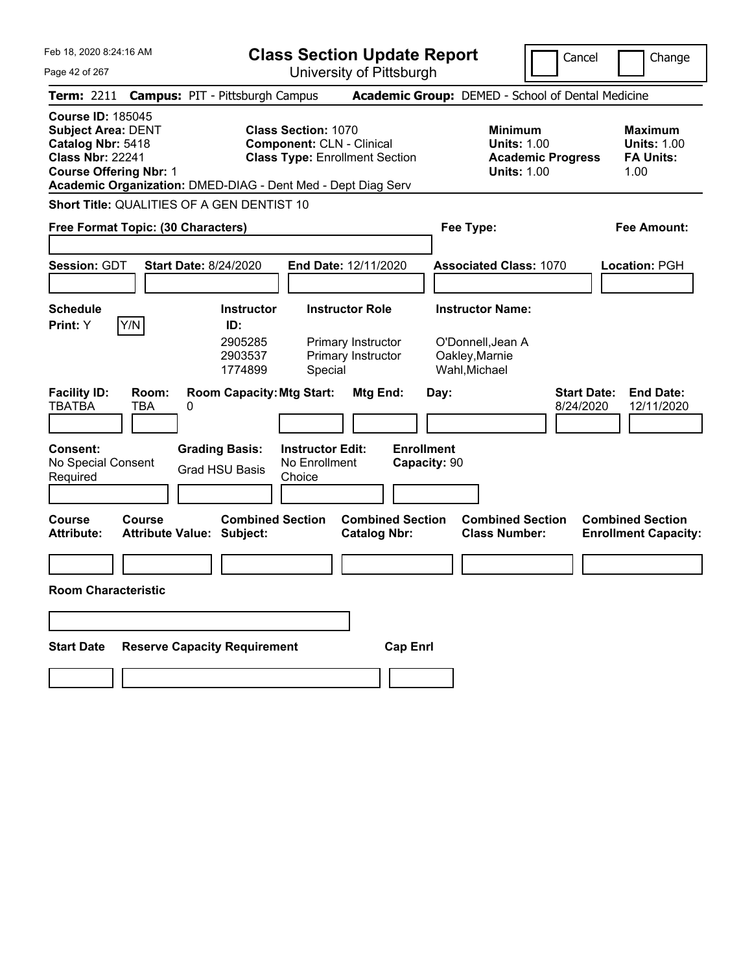Feb 18, 2020 8:24:16 AM Page 42 of 267 **Class Section Update Report** University of Pittsburgh Cancel Change **Term:** 2211 **Campus:** PIT - Pittsburgh Campus **Academic Group:** DEMED - School of Dental Medicine **Course ID:** 185045 **Subject Area:** DENT **Class Section:** 1070 **Minimum Maximum Catalog Nbr:** 5418 **Component:** CLN - Clinical **Units:** 1.00 **Units:** 1.00 **Class Nbr:** 22241 **Class Type:** Enrollment Section **Academic Progress FA Units: Course Offering Nbr:** 1 **Units:** 1.00 1.00 **Academic Organization:** DMED-DIAG - Dent Med - Dept Diag Serv **Short Title:** QUALITIES OF A GEN DENTIST 10 **Free Format Topic: (30 Characters) Fee Type: Fee Amount: Session:** GDT **Start Date:** 8/24/2020 **End Date:** 12/11/2020 **Associated Class:** 1070 **Location:** PGH **Schedule Instructor Instructor Role Instructor Name: Print:**  $Y$   $|Y/N|$  **ID:** 2905285 Primary Instructor O'Donnell,Jean A 2903537 Primary Instructor Oakley,Marnie 1774899 Special Wahl,Michael **Facility ID: Room: Room Capacity:Mtg Start: Mtg End: Day: Start Date: End Date:** TBATBA TBA 0 8/24/2020 12/11/2020 **Consent: Grading Basis: Instructor Edit: Enrollment** No Special Consent Required Grad HSU Basis No Enrollment **Choice Capacity:** 90 **Course Course Combined Section Combined Section Combined Section Combined Section**  Attribute Value: Subject: Catalog Nbr: Class Number: Enrollment Capacity: **Room Characteristic Start Date Reserve Capacity Requirement Cap Enrl**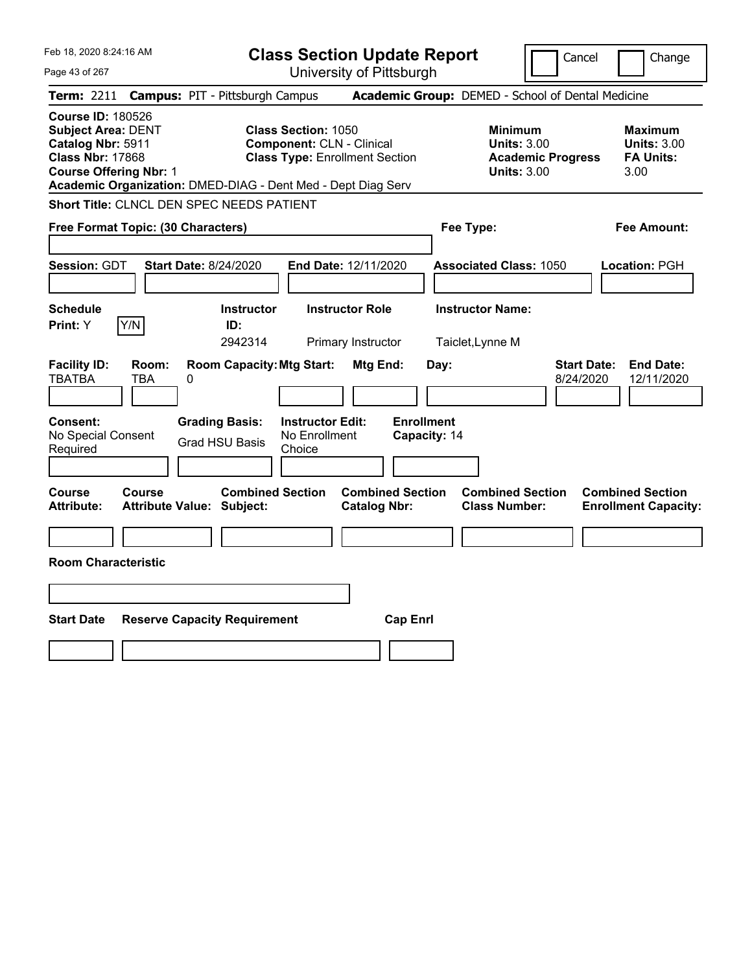| Feb 18, 2020 8:24:16 AM                                                                                                                                                                                | <b>Class Section Update Report</b>                                                                      | Cancel                                                                                 | Change                                                           |
|--------------------------------------------------------------------------------------------------------------------------------------------------------------------------------------------------------|---------------------------------------------------------------------------------------------------------|----------------------------------------------------------------------------------------|------------------------------------------------------------------|
| Page 43 of 267                                                                                                                                                                                         | University of Pittsburgh                                                                                |                                                                                        |                                                                  |
| <b>Term: 2211</b><br><b>Campus: PIT - Pittsburgh Campus</b>                                                                                                                                            |                                                                                                         | Academic Group: DEMED - School of Dental Medicine                                      |                                                                  |
| <b>Course ID: 180526</b><br><b>Subject Area: DENT</b><br>Catalog Nbr: 5911<br><b>Class Nbr: 17868</b><br><b>Course Offering Nbr: 1</b><br>Academic Organization: DMED-DIAG - Dent Med - Dept Diag Serv | <b>Class Section: 1050</b><br><b>Component: CLN - Clinical</b><br><b>Class Type: Enrollment Section</b> | <b>Minimum</b><br><b>Units: 3.00</b><br><b>Academic Progress</b><br><b>Units: 3.00</b> | <b>Maximum</b><br><b>Units: 3.00</b><br><b>FA Units:</b><br>3.00 |
| Short Title: CLNCL DEN SPEC NEEDS PATIENT                                                                                                                                                              |                                                                                                         |                                                                                        |                                                                  |
| Free Format Topic: (30 Characters)                                                                                                                                                                     |                                                                                                         | Fee Type:                                                                              | Fee Amount:                                                      |
| Session: GDT<br><b>Start Date: 8/24/2020</b>                                                                                                                                                           | End Date: 12/11/2020                                                                                    | <b>Associated Class: 1050</b>                                                          | Location: PGH                                                    |
| <b>Schedule</b><br>Y/N<br>ID:<br><b>Print:</b> Y                                                                                                                                                       | <b>Instructor</b><br><b>Instructor Role</b><br>2942314<br>Primary Instructor                            | <b>Instructor Name:</b><br>Taiclet, Lynne M                                            |                                                                  |
| <b>Facility ID:</b><br>Room:<br><b>TBATBA</b><br>TBA<br>0                                                                                                                                              | <b>Room Capacity: Mtg Start:</b><br><b>Mtg End:</b>                                                     | <b>Start Date:</b><br>Day:<br>8/24/2020                                                | <b>End Date:</b><br>12/11/2020                                   |
| <b>Consent:</b><br><b>Grading Basis:</b><br>No Special Consent<br><b>Grad HSU Basis</b><br>Required                                                                                                    | <b>Enrollment</b><br><b>Instructor Edit:</b><br>No Enrollment<br>Capacity: 14<br>Choice                 |                                                                                        |                                                                  |
| Course<br>Course<br><b>Attribute:</b><br><b>Attribute Value: Subject:</b>                                                                                                                              | <b>Combined Section</b><br><b>Combined Section</b><br><b>Catalog Nbr:</b>                               | <b>Combined Section</b><br><b>Class Number:</b>                                        | <b>Combined Section</b><br><b>Enrollment Capacity:</b>           |
|                                                                                                                                                                                                        |                                                                                                         |                                                                                        |                                                                  |
| <b>Room Characteristic</b>                                                                                                                                                                             |                                                                                                         |                                                                                        |                                                                  |
|                                                                                                                                                                                                        |                                                                                                         |                                                                                        |                                                                  |
| <b>Start Date</b><br><b>Reserve Capacity Requirement</b>                                                                                                                                               | <b>Cap Enrl</b>                                                                                         |                                                                                        |                                                                  |
|                                                                                                                                                                                                        |                                                                                                         |                                                                                        |                                                                  |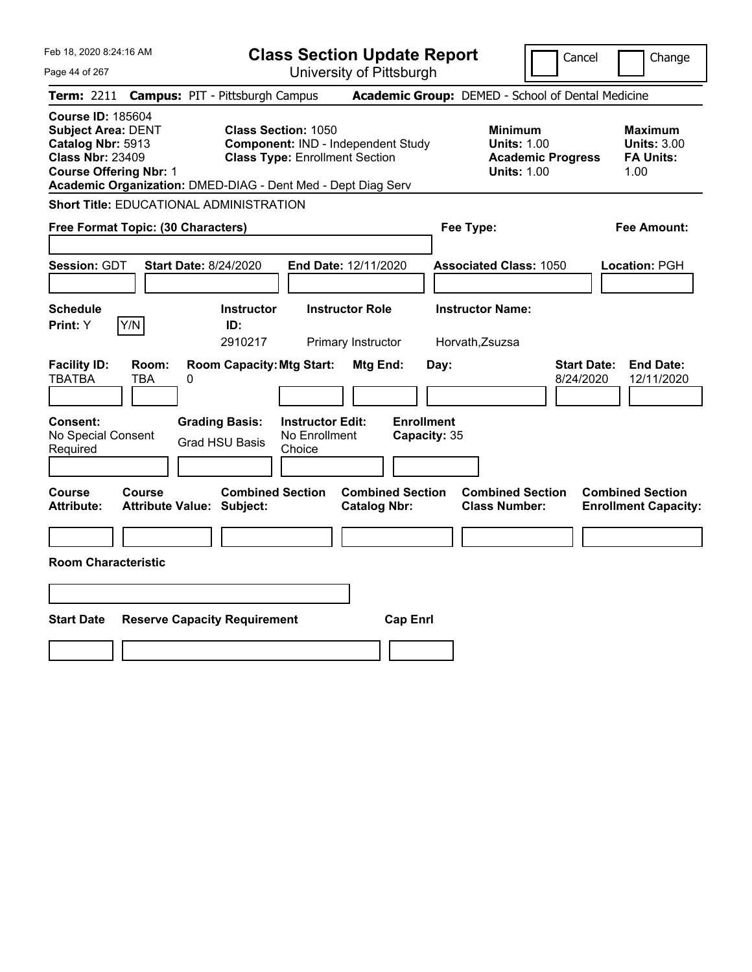| Feb 18, 2020 8:24:16 AM                                                                                                                |               |                                                              |                                                                     | <b>Class Section Update Report</b>                |                                   |                                                            |                          | Cancel<br>Change                                                  |
|----------------------------------------------------------------------------------------------------------------------------------------|---------------|--------------------------------------------------------------|---------------------------------------------------------------------|---------------------------------------------------|-----------------------------------|------------------------------------------------------------|--------------------------|-------------------------------------------------------------------|
| Page 44 of 267                                                                                                                         |               |                                                              |                                                                     | University of Pittsburgh                          |                                   |                                                            |                          |                                                                   |
| Term: 2211                                                                                                                             |               | <b>Campus: PIT - Pittsburgh Campus</b>                       |                                                                     | Academic Group: DEMED - School of Dental Medicine |                                   |                                                            |                          |                                                                   |
| <b>Course ID: 185604</b><br><b>Subject Area: DENT</b><br>Catalog Nbr: 5913<br><b>Class Nbr: 23409</b><br><b>Course Offering Nbr: 1</b> |               | Academic Organization: DMED-DIAG - Dent Med - Dept Diag Serv | <b>Class Section: 1050</b><br><b>Class Type: Enrollment Section</b> | Component: IND - Independent Study                |                                   | <b>Minimum</b><br><b>Units: 1.00</b><br><b>Units: 1.00</b> | <b>Academic Progress</b> | <b>Maximum</b><br><b>Units: 3.00</b><br><b>FA Units:</b><br>1.00  |
|                                                                                                                                        |               | <b>Short Title: EDUCATIONAL ADMINISTRATION</b>               |                                                                     |                                                   |                                   |                                                            |                          |                                                                   |
| Free Format Topic: (30 Characters)                                                                                                     |               |                                                              |                                                                     |                                                   |                                   | Fee Type:                                                  |                          | Fee Amount:                                                       |
| Session: GDT                                                                                                                           |               | <b>Start Date: 8/24/2020</b>                                 |                                                                     | End Date: 12/11/2020                              |                                   | <b>Associated Class: 1050</b>                              |                          | Location: PGH                                                     |
| <b>Schedule</b><br>Print: Y                                                                                                            | Y/N           | <b>Instructor</b><br>ID:<br>2910217                          |                                                                     | <b>Instructor Role</b><br>Primary Instructor      |                                   | <b>Instructor Name:</b><br>Horvath, Zsuzsa                 |                          |                                                                   |
| <b>Facility ID:</b><br><b>TBATBA</b>                                                                                                   | Room:<br>TBA  | <b>Room Capacity: Mtg Start:</b><br>0                        |                                                                     | <b>Mtg End:</b>                                   | Day:                              |                                                            |                          | <b>Start Date:</b><br><b>End Date:</b><br>8/24/2020<br>12/11/2020 |
| <b>Consent:</b><br>No Special Consent<br>Required                                                                                      |               | <b>Grading Basis:</b><br><b>Grad HSU Basis</b>               | <b>Instructor Edit:</b><br>No Enrollment<br>Choice                  |                                                   | <b>Enrollment</b><br>Capacity: 35 |                                                            |                          |                                                                   |
| <b>Course</b><br><b>Attribute:</b>                                                                                                     | <b>Course</b> | <b>Combined Section</b><br><b>Attribute Value: Subject:</b>  |                                                                     | <b>Combined Section</b><br><b>Catalog Nbr:</b>    |                                   | <b>Combined Section</b><br><b>Class Number:</b>            |                          | <b>Combined Section</b><br><b>Enrollment Capacity:</b>            |
|                                                                                                                                        |               |                                                              |                                                                     |                                                   |                                   |                                                            |                          |                                                                   |
| <b>Room Characteristic</b>                                                                                                             |               |                                                              |                                                                     |                                                   |                                   |                                                            |                          |                                                                   |
|                                                                                                                                        |               |                                                              |                                                                     |                                                   |                                   |                                                            |                          |                                                                   |
| <b>Start Date</b>                                                                                                                      |               | <b>Reserve Capacity Requirement</b>                          |                                                                     | <b>Cap Enrl</b>                                   |                                   |                                                            |                          |                                                                   |
|                                                                                                                                        |               |                                                              |                                                                     |                                                   |                                   |                                                            |                          |                                                                   |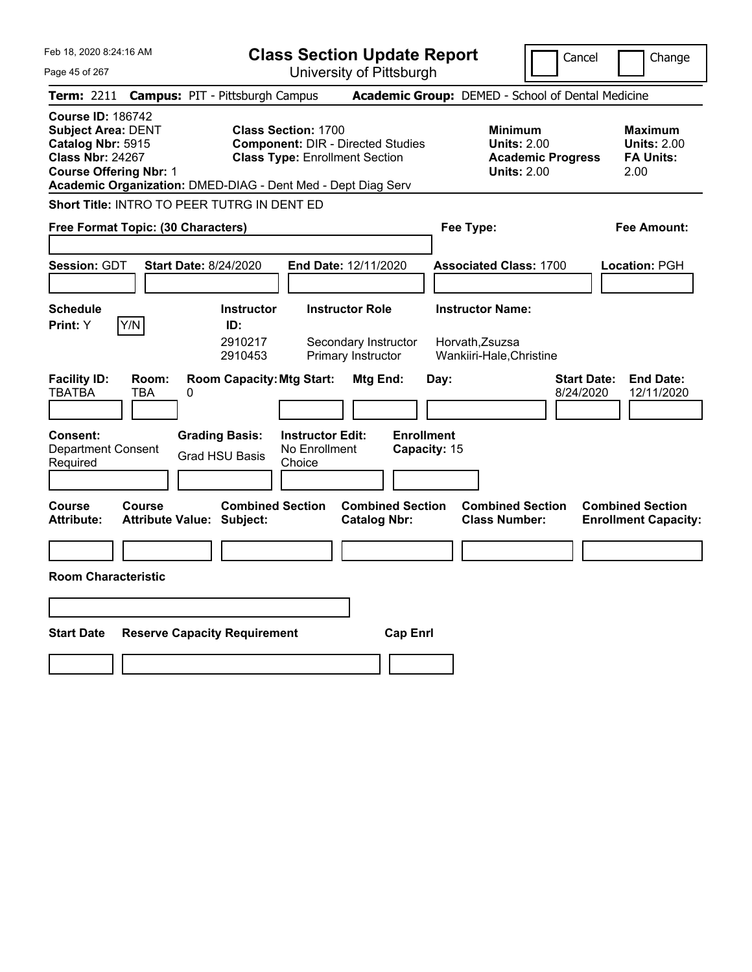| Feb 18, 2020 8:24:16 AM                                                                                                                |                                                              | <b>Class Section Update Report</b>                                                                              |                                                |                                                                        | Cancel                          | Change                                                           |
|----------------------------------------------------------------------------------------------------------------------------------------|--------------------------------------------------------------|-----------------------------------------------------------------------------------------------------------------|------------------------------------------------|------------------------------------------------------------------------|---------------------------------|------------------------------------------------------------------|
| Page 45 of 267                                                                                                                         |                                                              | University of Pittsburgh                                                                                        |                                                |                                                                        |                                 |                                                                  |
| <b>Term: 2211</b>                                                                                                                      | <b>Campus: PIT - Pittsburgh Campus</b>                       |                                                                                                                 |                                                | Academic Group: DEMED - School of Dental Medicine                      |                                 |                                                                  |
| <b>Course ID: 186742</b><br><b>Subject Area: DENT</b><br>Catalog Nbr: 5915<br><b>Class Nbr: 24267</b><br><b>Course Offering Nbr: 1</b> | Academic Organization: DMED-DIAG - Dent Med - Dept Diag Serv | <b>Class Section: 1700</b><br><b>Component: DIR - Directed Studies</b><br><b>Class Type: Enrollment Section</b> |                                                | <b>Minimum</b><br><b>Units: 2.00</b><br><b>Units: 2.00</b>             | <b>Academic Progress</b>        | <b>Maximum</b><br><b>Units: 2.00</b><br><b>FA Units:</b><br>2.00 |
|                                                                                                                                        | Short Title: INTRO TO PEER TUTRG IN DENT ED                  |                                                                                                                 |                                                |                                                                        |                                 |                                                                  |
| Free Format Topic: (30 Characters)                                                                                                     |                                                              |                                                                                                                 |                                                | Fee Type:                                                              |                                 | Fee Amount:                                                      |
| <b>Session: GDT</b>                                                                                                                    | <b>Start Date: 8/24/2020</b>                                 | End Date: 12/11/2020                                                                                            |                                                | <b>Associated Class: 1700</b>                                          |                                 | Location: PGH                                                    |
| <b>Schedule</b><br>Y/N<br>Print: Y                                                                                                     | <b>Instructor</b><br>ID:<br>2910217<br>2910453               | <b>Instructor Role</b><br>Secondary Instructor<br>Primary Instructor                                            |                                                | <b>Instructor Name:</b><br>Horvath, Zsuzsa<br>Wankiiri-Hale, Christine |                                 |                                                                  |
| <b>Facility ID:</b><br>Room:<br><b>TBATBA</b><br>TBA                                                                                   | <b>Room Capacity: Mtg Start:</b><br>0                        |                                                                                                                 | Mtg End:<br>Day:                               |                                                                        | <b>Start Date:</b><br>8/24/2020 | <b>End Date:</b><br>12/11/2020                                   |
| <b>Consent:</b><br><b>Department Consent</b><br>Required                                                                               | <b>Grading Basis:</b><br><b>Grad HSU Basis</b>               | <b>Instructor Edit:</b><br>No Enrollment<br>Choice                                                              | <b>Enrollment</b><br>Capacity: 15              |                                                                        |                                 |                                                                  |
| <b>Course</b><br>Course<br><b>Attribute:</b>                                                                                           | <b>Combined Section</b><br>Attribute Value: Subject:         |                                                                                                                 | <b>Combined Section</b><br><b>Catalog Nbr:</b> | <b>Combined Section</b><br><b>Class Number:</b>                        |                                 | <b>Combined Section</b><br><b>Enrollment Capacity:</b>           |
|                                                                                                                                        |                                                              |                                                                                                                 |                                                |                                                                        |                                 |                                                                  |
| <b>Room Characteristic</b>                                                                                                             |                                                              |                                                                                                                 |                                                |                                                                        |                                 |                                                                  |
|                                                                                                                                        |                                                              |                                                                                                                 |                                                |                                                                        |                                 |                                                                  |
| <b>Start Date</b>                                                                                                                      | <b>Reserve Capacity Requirement</b>                          |                                                                                                                 | <b>Cap Enrl</b>                                |                                                                        |                                 |                                                                  |
|                                                                                                                                        |                                                              |                                                                                                                 |                                                |                                                                        |                                 |                                                                  |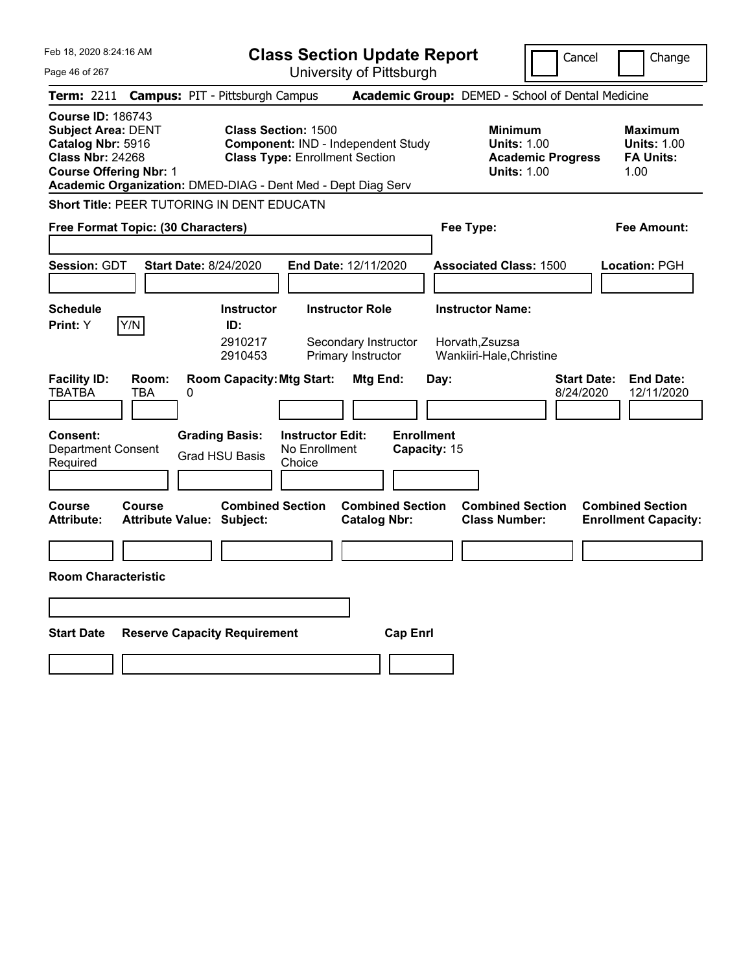| Feb 18, 2020 8:24:16 AM                                                                                                                                                                                |                                                                                         | <b>Class Section Update Report</b>                                                                        |                                                |                                                                        | Cancel                                                                                 | Change                                                           |
|--------------------------------------------------------------------------------------------------------------------------------------------------------------------------------------------------------|-----------------------------------------------------------------------------------------|-----------------------------------------------------------------------------------------------------------|------------------------------------------------|------------------------------------------------------------------------|----------------------------------------------------------------------------------------|------------------------------------------------------------------|
| Page 46 of 267                                                                                                                                                                                         |                                                                                         | University of Pittsburgh                                                                                  |                                                |                                                                        |                                                                                        |                                                                  |
| Term: 2211                                                                                                                                                                                             | <b>Campus: PIT - Pittsburgh Campus</b>                                                  |                                                                                                           |                                                |                                                                        | Academic Group: DEMED - School of Dental Medicine                                      |                                                                  |
| <b>Course ID: 186743</b><br><b>Subject Area: DENT</b><br>Catalog Nbr: 5916<br><b>Class Nbr: 24268</b><br><b>Course Offering Nbr: 1</b><br>Academic Organization: DMED-DIAG - Dent Med - Dept Diag Serv |                                                                                         | <b>Class Section: 1500</b><br>Component: IND - Independent Study<br><b>Class Type: Enrollment Section</b> |                                                |                                                                        | <b>Minimum</b><br><b>Units: 1.00</b><br><b>Academic Progress</b><br><b>Units: 1.00</b> | <b>Maximum</b><br><b>Units: 1.00</b><br><b>FA Units:</b><br>1.00 |
| Short Title: PEER TUTORING IN DENT EDUCATN                                                                                                                                                             |                                                                                         |                                                                                                           |                                                |                                                                        |                                                                                        |                                                                  |
| Free Format Topic: (30 Characters)                                                                                                                                                                     |                                                                                         |                                                                                                           |                                                | Fee Type:                                                              |                                                                                        | Fee Amount:                                                      |
| <b>Session: GDT</b>                                                                                                                                                                                    | <b>Start Date: 8/24/2020</b>                                                            | <b>End Date: 12/11/2020</b>                                                                               |                                                | <b>Associated Class: 1500</b>                                          |                                                                                        | Location: PGH                                                    |
| <b>Schedule</b><br>Y/N<br>Print: Y                                                                                                                                                                     | <b>Instructor</b><br>ID:<br>2910217<br>2910453                                          | <b>Instructor Role</b><br>Primary Instructor                                                              | Secondary Instructor                           | <b>Instructor Name:</b><br>Horvath, Zsuzsa<br>Wankiiri-Hale, Christine |                                                                                        |                                                                  |
| <b>Facility ID:</b><br>Room:<br><b>TBATBA</b><br>TBA<br><b>Consent:</b><br><b>Department Consent</b><br>Required                                                                                       | <b>Room Capacity: Mtg Start:</b><br>0<br><b>Grading Basis:</b><br><b>Grad HSU Basis</b> | <b>Instructor Edit:</b><br>No Enrollment<br>Choice                                                        | Mtg End:<br><b>Enrollment</b>                  | Day:<br>Capacity: 15                                                   | 8/24/2020                                                                              | <b>Start Date:</b><br><b>End Date:</b><br>12/11/2020             |
| <b>Course</b><br>Course<br><b>Attribute:</b>                                                                                                                                                           | <b>Combined Section</b><br><b>Attribute Value: Subject:</b>                             |                                                                                                           | <b>Combined Section</b><br><b>Catalog Nbr:</b> | <b>Class Number:</b>                                                   | <b>Combined Section</b>                                                                | <b>Combined Section</b><br><b>Enrollment Capacity:</b>           |
|                                                                                                                                                                                                        |                                                                                         |                                                                                                           |                                                |                                                                        |                                                                                        |                                                                  |
| <b>Room Characteristic</b>                                                                                                                                                                             |                                                                                         |                                                                                                           |                                                |                                                                        |                                                                                        |                                                                  |
|                                                                                                                                                                                                        |                                                                                         |                                                                                                           |                                                |                                                                        |                                                                                        |                                                                  |
| <b>Start Date</b>                                                                                                                                                                                      | <b>Reserve Capacity Requirement</b>                                                     |                                                                                                           | <b>Cap Enri</b>                                |                                                                        |                                                                                        |                                                                  |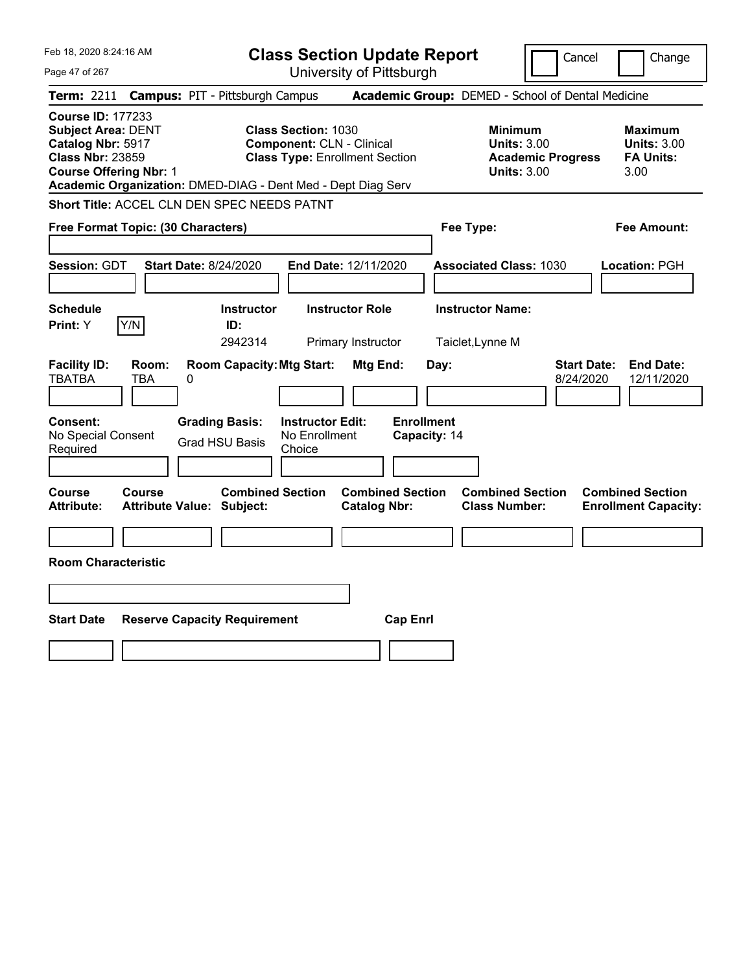| Feb 18, 2020 8:24:16 AM                                                                                                                                                                                | <b>Class Section Update Report</b>                                                                      | Cancel                                                                                 | Change                                                           |
|--------------------------------------------------------------------------------------------------------------------------------------------------------------------------------------------------------|---------------------------------------------------------------------------------------------------------|----------------------------------------------------------------------------------------|------------------------------------------------------------------|
| Page 47 of 267                                                                                                                                                                                         | University of Pittsburgh                                                                                |                                                                                        |                                                                  |
| <b>Campus: PIT - Pittsburgh Campus</b><br><b>Term: 2211</b>                                                                                                                                            |                                                                                                         | Academic Group: DEMED - School of Dental Medicine                                      |                                                                  |
| <b>Course ID: 177233</b><br><b>Subject Area: DENT</b><br>Catalog Nbr: 5917<br><b>Class Nbr: 23859</b><br><b>Course Offering Nbr: 1</b><br>Academic Organization: DMED-DIAG - Dent Med - Dept Diag Serv | <b>Class Section: 1030</b><br><b>Component: CLN - Clinical</b><br><b>Class Type: Enrollment Section</b> | <b>Minimum</b><br><b>Units: 3.00</b><br><b>Academic Progress</b><br><b>Units: 3.00</b> | <b>Maximum</b><br><b>Units: 3.00</b><br><b>FA Units:</b><br>3.00 |
| Short Title: ACCEL CLN DEN SPEC NEEDS PATNT                                                                                                                                                            |                                                                                                         |                                                                                        |                                                                  |
| Free Format Topic: (30 Characters)                                                                                                                                                                     |                                                                                                         | Fee Type:                                                                              | Fee Amount:                                                      |
| Session: GDT<br><b>Start Date: 8/24/2020</b>                                                                                                                                                           | End Date: 12/11/2020                                                                                    | <b>Associated Class: 1030</b>                                                          | Location: PGH                                                    |
| <b>Schedule</b>                                                                                                                                                                                        | <b>Instructor Role</b><br><b>Instructor</b>                                                             | <b>Instructor Name:</b>                                                                |                                                                  |
| Y/N<br>ID:<br><b>Print:</b> Y                                                                                                                                                                          | 2942314<br>Primary Instructor                                                                           | Taiclet, Lynne M                                                                       |                                                                  |
| <b>Facility ID:</b><br>Room:<br><b>TBATBA</b><br>TBA<br>0                                                                                                                                              | <b>Room Capacity: Mtg Start:</b><br><b>Mtg End:</b>                                                     | <b>Start Date:</b><br>Day:<br>8/24/2020                                                | <b>End Date:</b><br>12/11/2020                                   |
| Consent:<br><b>Grading Basis:</b><br>No Special Consent<br><b>Grad HSU Basis</b><br>Required                                                                                                           | <b>Enrollment</b><br><b>Instructor Edit:</b><br>No Enrollment<br>Capacity: 14<br>Choice                 |                                                                                        |                                                                  |
| Course<br>Course<br><b>Attribute Value: Subject:</b><br><b>Attribute:</b>                                                                                                                              | <b>Combined Section</b><br><b>Combined Section</b><br><b>Catalog Nbr:</b>                               | <b>Combined Section</b><br><b>Class Number:</b>                                        | <b>Combined Section</b><br><b>Enrollment Capacity:</b>           |
|                                                                                                                                                                                                        |                                                                                                         |                                                                                        |                                                                  |
| <b>Room Characteristic</b>                                                                                                                                                                             |                                                                                                         |                                                                                        |                                                                  |
|                                                                                                                                                                                                        |                                                                                                         |                                                                                        |                                                                  |
| <b>Start Date</b><br><b>Reserve Capacity Requirement</b>                                                                                                                                               | <b>Cap Enrl</b>                                                                                         |                                                                                        |                                                                  |
|                                                                                                                                                                                                        |                                                                                                         |                                                                                        |                                                                  |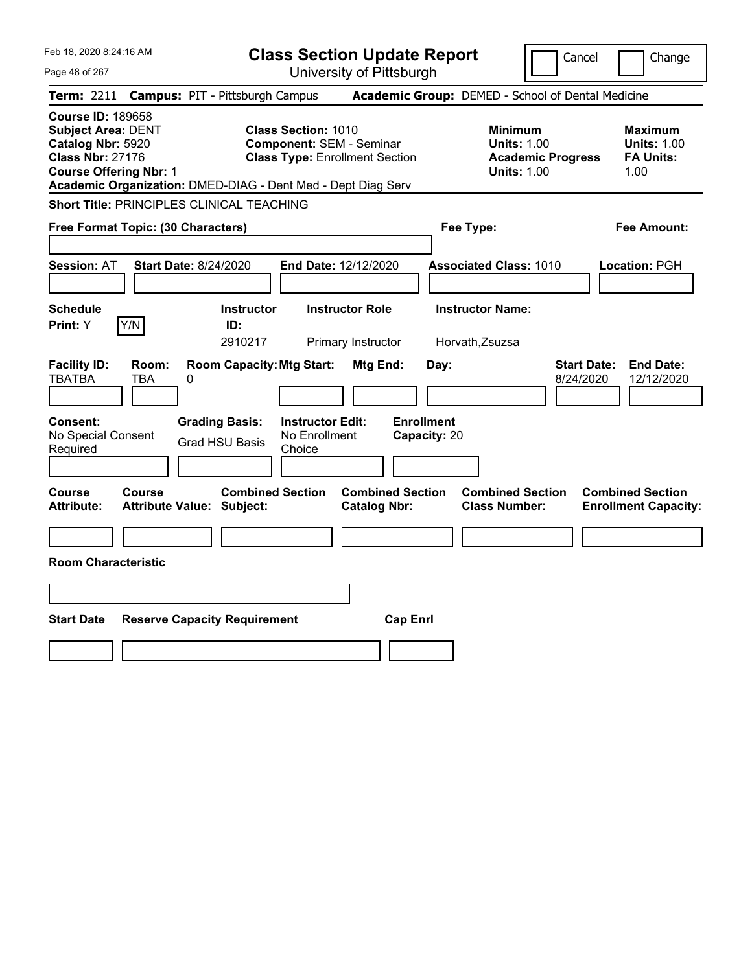| Feb 18, 2020 8:24:16 AM                                                                                                                                                                                | <b>Class Section Update Report</b>                                                                     | Cancel<br>Change                                                                                                                                           |
|--------------------------------------------------------------------------------------------------------------------------------------------------------------------------------------------------------|--------------------------------------------------------------------------------------------------------|------------------------------------------------------------------------------------------------------------------------------------------------------------|
| Page 48 of 267                                                                                                                                                                                         | University of Pittsburgh                                                                               |                                                                                                                                                            |
| Term: 2211<br><b>Campus: PIT - Pittsburgh Campus</b>                                                                                                                                                   |                                                                                                        | Academic Group: DEMED - School of Dental Medicine                                                                                                          |
| <b>Course ID: 189658</b><br><b>Subject Area: DENT</b><br>Catalog Nbr: 5920<br><b>Class Nbr: 27176</b><br><b>Course Offering Nbr: 1</b><br>Academic Organization: DMED-DIAG - Dent Med - Dept Diag Serv | <b>Class Section: 1010</b><br><b>Component: SEM - Seminar</b><br><b>Class Type: Enrollment Section</b> | <b>Minimum</b><br><b>Maximum</b><br><b>Units: 1.00</b><br><b>Units: 1.00</b><br><b>Academic Progress</b><br><b>FA Units:</b><br><b>Units: 1.00</b><br>1.00 |
| <b>Short Title: PRINCIPLES CLINICAL TEACHING</b>                                                                                                                                                       |                                                                                                        |                                                                                                                                                            |
| Free Format Topic: (30 Characters)                                                                                                                                                                     |                                                                                                        | Fee Type:<br>Fee Amount:                                                                                                                                   |
| <b>Start Date: 8/24/2020</b><br><b>Session: AT</b>                                                                                                                                                     | End Date: 12/12/2020                                                                                   | <b>Associated Class: 1010</b><br>Location: PGH                                                                                                             |
| <b>Schedule</b><br>Y/N<br>Print: Y<br>ID:                                                                                                                                                              | <b>Instructor Role</b><br><b>Instructor</b><br>2910217<br>Primary Instructor                           | <b>Instructor Name:</b><br>Horvath, Zsuzsa                                                                                                                 |
| <b>Facility ID:</b><br>Room:<br><b>TBATBA</b><br>TBA<br>0                                                                                                                                              | <b>Room Capacity: Mtg Start:</b><br>Mtg End:<br>Day:                                                   | <b>End Date:</b><br><b>Start Date:</b><br>12/12/2020<br>8/24/2020                                                                                          |
| Consent:<br><b>Grading Basis:</b><br>No Special Consent<br><b>Grad HSU Basis</b><br>Required                                                                                                           | <b>Enrollment</b><br><b>Instructor Edit:</b><br>No Enrollment<br>Capacity: 20<br>Choice                |                                                                                                                                                            |
| Course<br>Course<br><b>Attribute:</b><br><b>Attribute Value: Subject:</b>                                                                                                                              | <b>Combined Section</b><br><b>Combined Section</b><br><b>Catalog Nbr:</b>                              | <b>Combined Section</b><br><b>Combined Section</b><br><b>Class Number:</b><br><b>Enrollment Capacity:</b>                                                  |
|                                                                                                                                                                                                        |                                                                                                        |                                                                                                                                                            |
| <b>Room Characteristic</b>                                                                                                                                                                             |                                                                                                        |                                                                                                                                                            |
|                                                                                                                                                                                                        |                                                                                                        |                                                                                                                                                            |
| <b>Start Date</b><br><b>Reserve Capacity Requirement</b>                                                                                                                                               | <b>Cap Enrl</b>                                                                                        |                                                                                                                                                            |
|                                                                                                                                                                                                        |                                                                                                        |                                                                                                                                                            |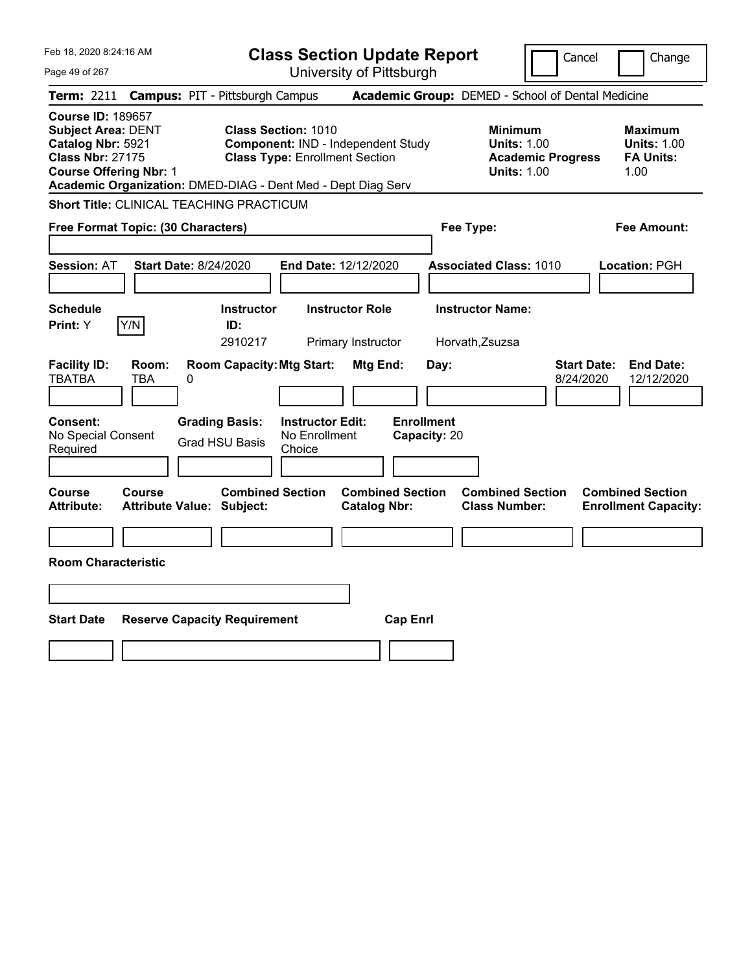| Feb 18, 2020 8:24:16 AM                                                                                                                |                                                              | <b>Class Section Update Report</b>                                                                        |                                                |                                                 | Cancel                                                                                 | Change                                                           |
|----------------------------------------------------------------------------------------------------------------------------------------|--------------------------------------------------------------|-----------------------------------------------------------------------------------------------------------|------------------------------------------------|-------------------------------------------------|----------------------------------------------------------------------------------------|------------------------------------------------------------------|
| Page 49 of 267                                                                                                                         |                                                              |                                                                                                           | University of Pittsburgh                       |                                                 |                                                                                        |                                                                  |
| <b>Term: 2211</b>                                                                                                                      | <b>Campus: PIT - Pittsburgh Campus</b>                       |                                                                                                           |                                                |                                                 | Academic Group: DEMED - School of Dental Medicine                                      |                                                                  |
| <b>Course ID: 189657</b><br><b>Subject Area: DENT</b><br>Catalog Nbr: 5921<br><b>Class Nbr: 27175</b><br><b>Course Offering Nbr: 1</b> | Academic Organization: DMED-DIAG - Dent Med - Dept Diag Serv | <b>Class Section: 1010</b><br>Component: IND - Independent Study<br><b>Class Type: Enrollment Section</b> |                                                |                                                 | <b>Minimum</b><br><b>Units: 1.00</b><br><b>Academic Progress</b><br><b>Units: 1.00</b> | <b>Maximum</b><br><b>Units: 1.00</b><br><b>FA Units:</b><br>1.00 |
|                                                                                                                                        | <b>Short Title: CLINICAL TEACHING PRACTICUM</b>              |                                                                                                           |                                                |                                                 |                                                                                        |                                                                  |
|                                                                                                                                        | Free Format Topic: (30 Characters)                           |                                                                                                           |                                                | Fee Type:                                       |                                                                                        | Fee Amount:                                                      |
| <b>Session: AT</b>                                                                                                                     | <b>Start Date: 8/24/2020</b>                                 |                                                                                                           | End Date: 12/12/2020                           | <b>Associated Class: 1010</b>                   |                                                                                        | Location: PGH                                                    |
| <b>Schedule</b><br>Y/N<br>Print: Y                                                                                                     | <b>Instructor</b><br>ID:                                     |                                                                                                           | <b>Instructor Role</b>                         | <b>Instructor Name:</b>                         |                                                                                        |                                                                  |
|                                                                                                                                        | 2910217                                                      |                                                                                                           | Primary Instructor                             | Horvath, Zsuzsa                                 |                                                                                        |                                                                  |
| <b>Facility ID:</b><br><b>TBATBA</b><br>TBA<br>Consent:<br>No Special Consent<br>Required                                              | Room:<br>0<br><b>Grading Basis:</b><br><b>Grad HSU Basis</b> | <b>Room Capacity: Mtg Start:</b><br><b>Instructor Edit:</b><br>No Enrollment<br>Choice                    | Mtg End:<br><b>Enrollment</b>                  | Day:<br>Capacity: 20                            | <b>Start Date:</b><br>8/24/2020                                                        | <b>End Date:</b><br>12/12/2020                                   |
|                                                                                                                                        |                                                              |                                                                                                           |                                                |                                                 |                                                                                        |                                                                  |
| <b>Course</b><br>Course<br><b>Attribute:</b>                                                                                           | <b>Attribute Value: Subject:</b>                             | <b>Combined Section</b>                                                                                   | <b>Combined Section</b><br><b>Catalog Nbr:</b> | <b>Combined Section</b><br><b>Class Number:</b> |                                                                                        | <b>Combined Section</b><br><b>Enrollment Capacity:</b>           |
|                                                                                                                                        |                                                              |                                                                                                           |                                                |                                                 |                                                                                        |                                                                  |
| <b>Room Characteristic</b>                                                                                                             |                                                              |                                                                                                           |                                                |                                                 |                                                                                        |                                                                  |
|                                                                                                                                        |                                                              |                                                                                                           |                                                |                                                 |                                                                                        |                                                                  |
| <b>Start Date</b>                                                                                                                      | <b>Reserve Capacity Requirement</b>                          |                                                                                                           | <b>Cap Enrl</b>                                |                                                 |                                                                                        |                                                                  |
|                                                                                                                                        |                                                              |                                                                                                           |                                                |                                                 |                                                                                        |                                                                  |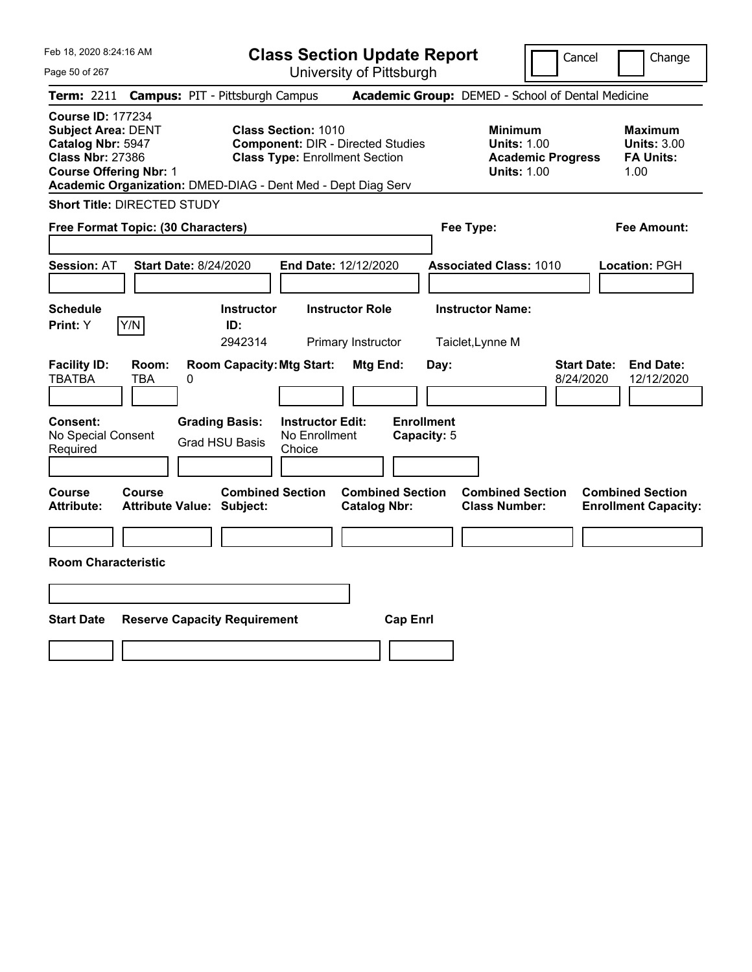| Feb 18, 2020 8:24:16 AM<br>Page 50 of 267                                                                                                                                                              | <b>Class Section Update Report</b><br>University of Pittsburgh                                                  |                                                          | Cancel                                                                                 | Change                                                           |
|--------------------------------------------------------------------------------------------------------------------------------------------------------------------------------------------------------|-----------------------------------------------------------------------------------------------------------------|----------------------------------------------------------|----------------------------------------------------------------------------------------|------------------------------------------------------------------|
| <b>Campus: PIT - Pittsburgh Campus</b><br><b>Term: 2211</b>                                                                                                                                            |                                                                                                                 | Academic Group: DEMED - School of Dental Medicine        |                                                                                        |                                                                  |
| <b>Course ID: 177234</b><br><b>Subject Area: DENT</b><br>Catalog Nbr: 5947<br><b>Class Nbr: 27386</b><br><b>Course Offering Nbr: 1</b><br>Academic Organization: DMED-DIAG - Dent Med - Dept Diag Serv | <b>Class Section: 1010</b><br><b>Component: DIR - Directed Studies</b><br><b>Class Type: Enrollment Section</b> |                                                          | <b>Minimum</b><br><b>Units: 1.00</b><br><b>Academic Progress</b><br><b>Units: 1.00</b> | <b>Maximum</b><br><b>Units: 3.00</b><br><b>FA Units:</b><br>1.00 |
| <b>Short Title: DIRECTED STUDY</b>                                                                                                                                                                     |                                                                                                                 |                                                          |                                                                                        |                                                                  |
| Free Format Topic: (30 Characters)                                                                                                                                                                     |                                                                                                                 | Fee Type:                                                |                                                                                        | <b>Fee Amount:</b>                                               |
| <b>Session: AT</b><br><b>Start Date: 8/24/2020</b><br><b>Schedule</b>                                                                                                                                  | End Date: 12/12/2020<br><b>Instructor</b><br><b>Instructor Role</b>                                             | <b>Associated Class: 1010</b><br><b>Instructor Name:</b> |                                                                                        | <b>Location: PGH</b>                                             |
| Y/N<br>Print: Y                                                                                                                                                                                        | ID:<br>2942314<br>Primary Instructor                                                                            | Taiclet, Lynne M                                         |                                                                                        |                                                                  |
| <b>Facility ID:</b><br>Room:<br><b>TBATBA</b><br>TBA<br>0<br><b>Grading Basis:</b><br><b>Consent:</b><br>No Special Consent<br><b>Grad HSU Basis</b><br>Required                                       | <b>Room Capacity: Mtg Start:</b><br>Mtg End:<br><b>Instructor Edit:</b><br>No Enrollment<br>Choice              | Day:<br><b>Enrollment</b><br>Capacity: 5                 | <b>Start Date:</b><br>8/24/2020                                                        | <b>End Date:</b><br>12/12/2020                                   |
|                                                                                                                                                                                                        |                                                                                                                 |                                                          |                                                                                        |                                                                  |
| <b>Course</b><br><b>Course</b><br><b>Attribute:</b><br><b>Attribute Value: Subject:</b>                                                                                                                | <b>Combined Section</b><br><b>Catalog Nbr:</b>                                                                  | <b>Combined Section</b><br><b>Class Number:</b>          | <b>Combined Section</b>                                                                | <b>Combined Section</b><br><b>Enrollment Capacity:</b>           |
|                                                                                                                                                                                                        |                                                                                                                 |                                                          |                                                                                        |                                                                  |
| <b>Room Characteristic</b>                                                                                                                                                                             |                                                                                                                 |                                                          |                                                                                        |                                                                  |
|                                                                                                                                                                                                        |                                                                                                                 |                                                          |                                                                                        |                                                                  |
| <b>Start Date</b><br><b>Reserve Capacity Requirement</b>                                                                                                                                               |                                                                                                                 | <b>Cap Enrl</b>                                          |                                                                                        |                                                                  |
|                                                                                                                                                                                                        |                                                                                                                 |                                                          |                                                                                        |                                                                  |
|                                                                                                                                                                                                        |                                                                                                                 |                                                          |                                                                                        |                                                                  |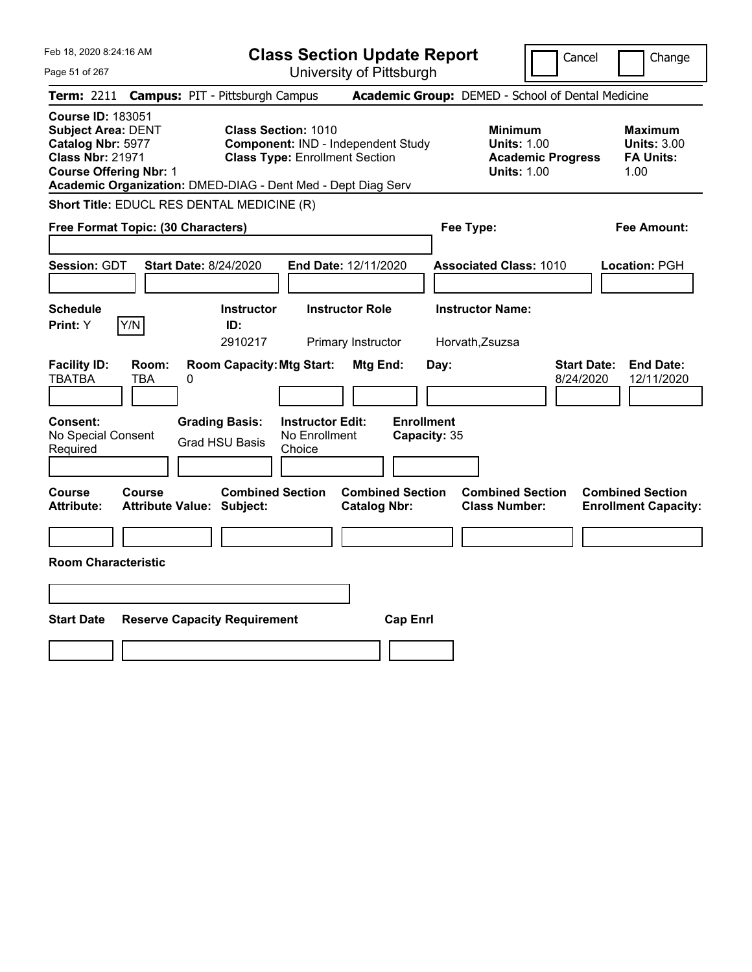| Feb 18, 2020 8:24:16 AM                                                                                                                | <b>Class Section Update Report</b>                                                                                                                                        | Cancel                                                                                 | Change                                                           |
|----------------------------------------------------------------------------------------------------------------------------------------|---------------------------------------------------------------------------------------------------------------------------------------------------------------------------|----------------------------------------------------------------------------------------|------------------------------------------------------------------|
| Page 51 of 267                                                                                                                         | University of Pittsburgh                                                                                                                                                  |                                                                                        |                                                                  |
| <b>Term: 2211</b>                                                                                                                      | <b>Campus: PIT - Pittsburgh Campus</b>                                                                                                                                    | Academic Group: DEMED - School of Dental Medicine                                      |                                                                  |
| <b>Course ID: 183051</b><br><b>Subject Area: DENT</b><br>Catalog Nbr: 5977<br><b>Class Nbr: 21971</b><br><b>Course Offering Nbr: 1</b> | <b>Class Section: 1010</b><br>Component: IND - Independent Study<br><b>Class Type: Enrollment Section</b><br>Academic Organization: DMED-DIAG - Dent Med - Dept Diag Serv | <b>Minimum</b><br><b>Units: 1.00</b><br><b>Academic Progress</b><br><b>Units: 1.00</b> | <b>Maximum</b><br><b>Units: 3.00</b><br><b>FA Units:</b><br>1.00 |
| Short Title: EDUCL RES DENTAL MEDICINE (R)                                                                                             |                                                                                                                                                                           |                                                                                        |                                                                  |
| Free Format Topic: (30 Characters)                                                                                                     |                                                                                                                                                                           | Fee Type:                                                                              | <b>Fee Amount:</b>                                               |
| Session: GDT<br><b>Start Date: 8/24/2020</b><br><b>Schedule</b>                                                                        | End Date: 12/11/2020<br><b>Instructor Role</b><br><b>Instructor</b>                                                                                                       | <b>Associated Class: 1010</b><br><b>Instructor Name:</b>                               | Location: PGH                                                    |
| Y/N<br>Print: Y                                                                                                                        | ID:                                                                                                                                                                       |                                                                                        |                                                                  |
|                                                                                                                                        | 2910217<br>Primary Instructor                                                                                                                                             | Horvath, Zsuzsa                                                                        |                                                                  |
| <b>Facility ID:</b><br>Room:<br><b>TBATBA</b><br>TBA<br>0<br>Consent:<br><b>Grading Basis:</b>                                         | <b>Room Capacity: Mtg Start:</b><br>Mtg End:<br><b>Instructor Edit:</b>                                                                                                   | <b>Start Date:</b><br>Day:<br>8/24/2020<br><b>Enrollment</b>                           | <b>End Date:</b><br>12/11/2020                                   |
| No Special Consent                                                                                                                     | No Enrollment<br><b>Grad HSU Basis</b>                                                                                                                                    | Capacity: 35                                                                           |                                                                  |
| Required                                                                                                                               | Choice                                                                                                                                                                    |                                                                                        |                                                                  |
| <b>Course</b><br>Course<br><b>Attribute:</b><br><b>Attribute Value: Subject:</b>                                                       | <b>Combined Section</b><br><b>Combined Section</b><br><b>Catalog Nbr:</b>                                                                                                 | <b>Combined Section</b><br><b>Class Number:</b>                                        | <b>Combined Section</b><br><b>Enrollment Capacity:</b>           |
|                                                                                                                                        |                                                                                                                                                                           |                                                                                        |                                                                  |
| <b>Room Characteristic</b>                                                                                                             |                                                                                                                                                                           |                                                                                        |                                                                  |
|                                                                                                                                        |                                                                                                                                                                           |                                                                                        |                                                                  |
| <b>Start Date</b><br><b>Reserve Capacity Requirement</b>                                                                               | <b>Cap Enrl</b>                                                                                                                                                           |                                                                                        |                                                                  |
|                                                                                                                                        |                                                                                                                                                                           |                                                                                        |                                                                  |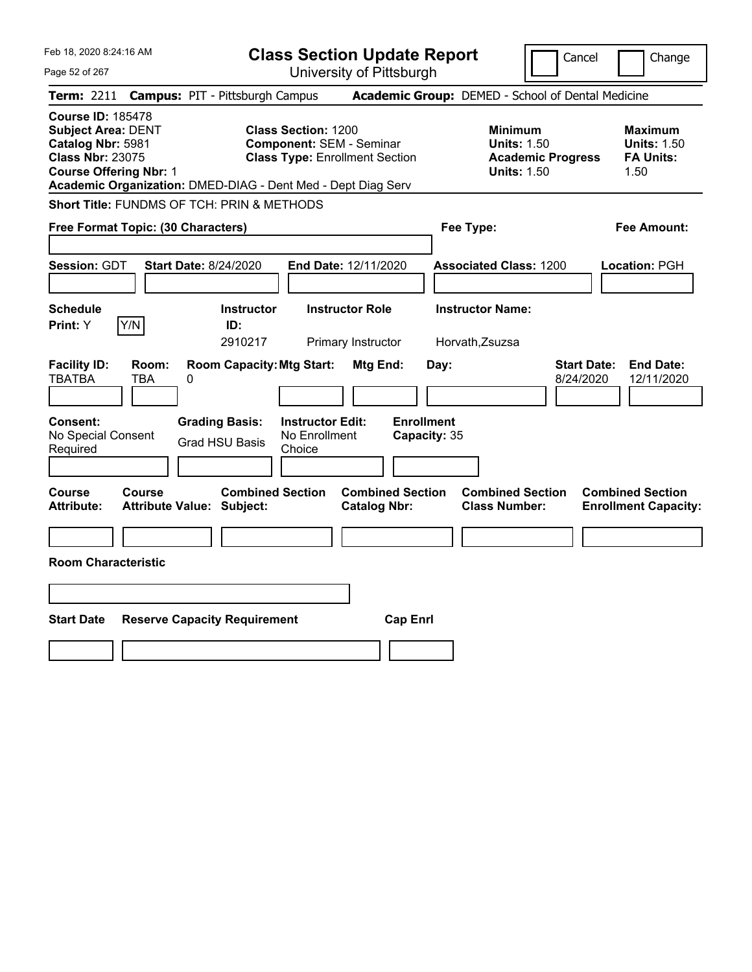| Feb 18, 2020 8:24:16 AM                                                                                                                                                                                | <b>Class Section Update Report</b>                                                                     | Cancel                                                                                                                                              | Change |
|--------------------------------------------------------------------------------------------------------------------------------------------------------------------------------------------------------|--------------------------------------------------------------------------------------------------------|-----------------------------------------------------------------------------------------------------------------------------------------------------|--------|
| Page 52 of 267                                                                                                                                                                                         | University of Pittsburgh                                                                               |                                                                                                                                                     |        |
| <b>Term: 2211</b><br><b>Campus: PIT - Pittsburgh Campus</b>                                                                                                                                            |                                                                                                        | Academic Group: DEMED - School of Dental Medicine                                                                                                   |        |
| <b>Course ID: 185478</b><br><b>Subject Area: DENT</b><br>Catalog Nbr: 5981<br><b>Class Nbr: 23075</b><br><b>Course Offering Nbr: 1</b><br>Academic Organization: DMED-DIAG - Dent Med - Dept Diag Serv | <b>Class Section: 1200</b><br><b>Component: SEM - Seminar</b><br><b>Class Type: Enrollment Section</b> | <b>Minimum</b><br>Maximum<br><b>Units: 1.50</b><br><b>Units: 1.50</b><br><b>Academic Progress</b><br><b>FA Units:</b><br><b>Units: 1.50</b><br>1.50 |        |
| Short Title: FUNDMS OF TCH: PRIN & METHODS                                                                                                                                                             |                                                                                                        |                                                                                                                                                     |        |
| Free Format Topic: (30 Characters)                                                                                                                                                                     |                                                                                                        | Fee Type:<br>Fee Amount:                                                                                                                            |        |
| Session: GDT<br><b>Start Date: 8/24/2020</b>                                                                                                                                                           | End Date: 12/11/2020                                                                                   | <b>Associated Class: 1200</b><br>Location: PGH                                                                                                      |        |
| <b>Schedule</b><br>Y/N<br>Print: Y<br>ID:                                                                                                                                                              | <b>Instructor Role</b><br><b>Instructor</b><br>2910217<br>Primary Instructor                           | <b>Instructor Name:</b><br>Horvath, Zsuzsa                                                                                                          |        |
| <b>Facility ID:</b><br>Room:<br><b>TBATBA</b><br>TBA<br>0                                                                                                                                              | <b>Room Capacity: Mtg Start:</b><br>Mtg End:                                                           | <b>End Date:</b><br><b>Start Date:</b><br>Day:<br>8/24/2020<br>12/11/2020                                                                           |        |
| Consent:<br><b>Grading Basis:</b><br>No Special Consent<br><b>Grad HSU Basis</b><br>Required                                                                                                           | <b>Enrollment</b><br><b>Instructor Edit:</b><br>No Enrollment<br>Choice                                | Capacity: 35                                                                                                                                        |        |
| Course<br>Course<br><b>Attribute:</b><br><b>Attribute Value: Subject:</b>                                                                                                                              | <b>Combined Section</b><br><b>Combined Section</b><br><b>Catalog Nbr:</b>                              | <b>Combined Section</b><br><b>Combined Section</b><br><b>Class Number:</b><br><b>Enrollment Capacity:</b>                                           |        |
|                                                                                                                                                                                                        |                                                                                                        |                                                                                                                                                     |        |
| <b>Room Characteristic</b>                                                                                                                                                                             |                                                                                                        |                                                                                                                                                     |        |
|                                                                                                                                                                                                        |                                                                                                        |                                                                                                                                                     |        |
| <b>Start Date</b><br><b>Reserve Capacity Requirement</b>                                                                                                                                               | <b>Cap Enrl</b>                                                                                        |                                                                                                                                                     |        |
|                                                                                                                                                                                                        |                                                                                                        |                                                                                                                                                     |        |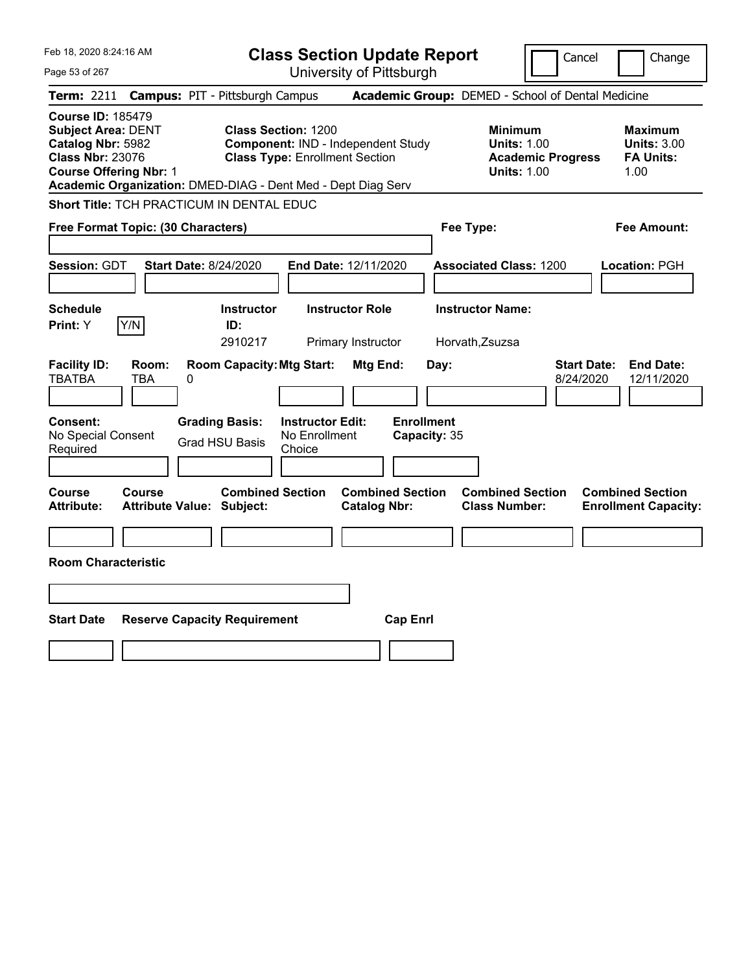| Feb 18, 2020 8:24:16 AM                                                                                                                                   | <b>Class Section Update Report</b>                                                                                                                                        | Cancel                                                                                 | Change                                                           |
|-----------------------------------------------------------------------------------------------------------------------------------------------------------|---------------------------------------------------------------------------------------------------------------------------------------------------------------------------|----------------------------------------------------------------------------------------|------------------------------------------------------------------|
| Page 53 of 267                                                                                                                                            | University of Pittsburgh                                                                                                                                                  |                                                                                        |                                                                  |
| Term: 2211                                                                                                                                                | <b>Campus: PIT - Pittsburgh Campus</b>                                                                                                                                    | Academic Group: DEMED - School of Dental Medicine                                      |                                                                  |
| <b>Course ID: 185479</b><br><b>Subject Area: DENT</b><br>Catalog Nbr: 5982<br><b>Class Nbr: 23076</b><br><b>Course Offering Nbr: 1</b>                    | <b>Class Section: 1200</b><br>Component: IND - Independent Study<br><b>Class Type: Enrollment Section</b><br>Academic Organization: DMED-DIAG - Dent Med - Dept Diag Serv | <b>Minimum</b><br><b>Units: 1.00</b><br><b>Academic Progress</b><br><b>Units: 1.00</b> | <b>Maximum</b><br><b>Units: 3.00</b><br><b>FA Units:</b><br>1.00 |
| Short Title: TCH PRACTICUM IN DENTAL EDUC                                                                                                                 |                                                                                                                                                                           |                                                                                        |                                                                  |
| Free Format Topic: (30 Characters)                                                                                                                        |                                                                                                                                                                           | Fee Type:                                                                              | <b>Fee Amount:</b>                                               |
| Session: GDT<br><b>Start Date: 8/24/2020</b>                                                                                                              | End Date: 12/11/2020                                                                                                                                                      | <b>Associated Class: 1200</b>                                                          | Location: PGH                                                    |
| <b>Schedule</b>                                                                                                                                           | <b>Instructor</b><br><b>Instructor Role</b>                                                                                                                               | <b>Instructor Name:</b>                                                                |                                                                  |
| Y/N<br>Print: Y                                                                                                                                           | ID:<br>2910217<br>Primary Instructor                                                                                                                                      | Horvath, Zsuzsa                                                                        |                                                                  |
| <b>Facility ID:</b><br>Room:<br><b>TBATBA</b><br>TBA<br>0<br>Consent:<br><b>Grading Basis:</b><br>No Special Consent<br><b>Grad HSU Basis</b><br>Required | <b>Room Capacity: Mtg Start:</b><br>Mtg End:<br>Day:<br><b>Enrollment</b><br><b>Instructor Edit:</b><br>No Enrollment<br>Capacity: 35<br>Choice                           | <b>Start Date:</b><br>8/24/2020                                                        | <b>End Date:</b><br>12/11/2020                                   |
|                                                                                                                                                           |                                                                                                                                                                           |                                                                                        |                                                                  |
| Course<br><b>Course</b><br><b>Attribute:</b><br><b>Attribute Value: Subject:</b>                                                                          | <b>Combined Section</b><br><b>Combined Section</b><br><b>Catalog Nbr:</b>                                                                                                 | <b>Combined Section</b><br><b>Class Number:</b>                                        | <b>Combined Section</b><br><b>Enrollment Capacity:</b>           |
|                                                                                                                                                           |                                                                                                                                                                           |                                                                                        |                                                                  |
| <b>Room Characteristic</b>                                                                                                                                |                                                                                                                                                                           |                                                                                        |                                                                  |
|                                                                                                                                                           |                                                                                                                                                                           |                                                                                        |                                                                  |
| <b>Start Date</b><br><b>Reserve Capacity Requirement</b>                                                                                                  | <b>Cap Enrl</b>                                                                                                                                                           |                                                                                        |                                                                  |
|                                                                                                                                                           |                                                                                                                                                                           |                                                                                        |                                                                  |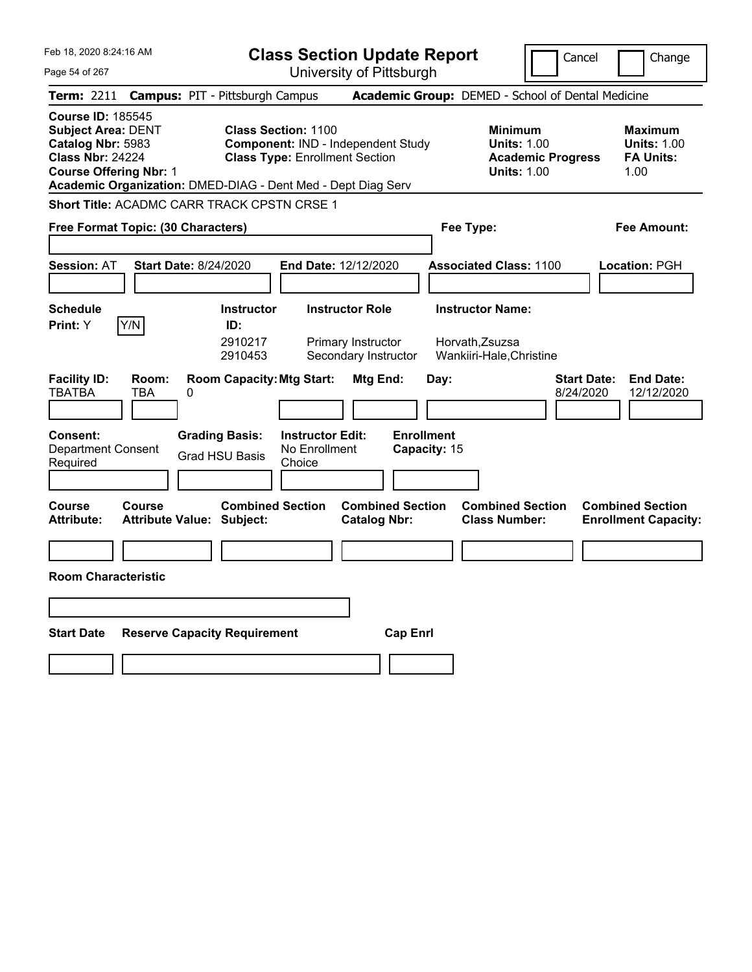| Feb 18, 2020 8:24:16 AM                                                                                                                |                                                              |                                                | <b>Class Section Update Report</b>                                                                        |                                                                      |                   |              |                                                                        |                          | Cancel                          | Change                                                           |
|----------------------------------------------------------------------------------------------------------------------------------------|--------------------------------------------------------------|------------------------------------------------|-----------------------------------------------------------------------------------------------------------|----------------------------------------------------------------------|-------------------|--------------|------------------------------------------------------------------------|--------------------------|---------------------------------|------------------------------------------------------------------|
| Page 54 of 267                                                                                                                         |                                                              |                                                | University of Pittsburgh                                                                                  |                                                                      |                   |              |                                                                        |                          |                                 |                                                                  |
| <b>Term: 2211</b>                                                                                                                      | <b>Campus: PIT - Pittsburgh Campus</b>                       |                                                |                                                                                                           |                                                                      |                   |              | Academic Group: DEMED - School of Dental Medicine                      |                          |                                 |                                                                  |
| <b>Course ID: 185545</b><br><b>Subject Area: DENT</b><br>Catalog Nbr: 5983<br><b>Class Nbr: 24224</b><br><b>Course Offering Nbr: 1</b> | Academic Organization: DMED-DIAG - Dent Med - Dept Diag Serv |                                                | <b>Class Section: 1100</b><br>Component: IND - Independent Study<br><b>Class Type: Enrollment Section</b> |                                                                      |                   |              | <b>Minimum</b><br><b>Units: 1.00</b><br><b>Units: 1.00</b>             | <b>Academic Progress</b> |                                 | <b>Maximum</b><br><b>Units: 1.00</b><br><b>FA Units:</b><br>1.00 |
|                                                                                                                                        | <b>Short Title: ACADMC CARR TRACK CPSTN CRSE 1</b>           |                                                |                                                                                                           |                                                                      |                   |              |                                                                        |                          |                                 |                                                                  |
|                                                                                                                                        | Free Format Topic: (30 Characters)                           |                                                |                                                                                                           |                                                                      |                   |              | Fee Type:                                                              |                          |                                 | Fee Amount:                                                      |
| <b>Session: AT</b>                                                                                                                     | <b>Start Date: 8/24/2020</b>                                 |                                                | End Date: 12/12/2020                                                                                      |                                                                      |                   |              | <b>Associated Class: 1100</b>                                          |                          |                                 | Location: PGH                                                    |
| <b>Schedule</b><br>Print: Y                                                                                                            | Y/N                                                          | <b>Instructor</b><br>ID:<br>2910217<br>2910453 |                                                                                                           | <b>Instructor Role</b><br>Primary Instructor<br>Secondary Instructor |                   |              | <b>Instructor Name:</b><br>Horvath, Zsuzsa<br>Wankiiri-Hale, Christine |                          |                                 |                                                                  |
| <b>Facility ID:</b><br><b>TBATBA</b>                                                                                                   | Room:<br>TBA<br>0                                            | <b>Room Capacity: Mtg Start:</b>               |                                                                                                           | Mtg End:                                                             |                   | Day:         |                                                                        |                          | <b>Start Date:</b><br>8/24/2020 | <b>End Date:</b><br>12/12/2020                                   |
| <b>Consent:</b><br><b>Department Consent</b><br>Required                                                                               |                                                              | <b>Grading Basis:</b><br><b>Grad HSU Basis</b> | <b>Instructor Edit:</b><br>No Enrollment<br>Choice                                                        |                                                                      | <b>Enrollment</b> | Capacity: 15 |                                                                        |                          |                                 |                                                                  |
| Course<br><b>Attribute:</b>                                                                                                            | <b>Course</b><br>Attribute Value: Subject:                   | <b>Combined Section</b>                        |                                                                                                           | <b>Combined Section</b><br><b>Catalog Nbr:</b>                       |                   |              | <b>Combined Section</b><br><b>Class Number:</b>                        |                          |                                 | <b>Combined Section</b><br><b>Enrollment Capacity:</b>           |
|                                                                                                                                        |                                                              |                                                |                                                                                                           |                                                                      |                   |              |                                                                        |                          |                                 |                                                                  |
| <b>Room Characteristic</b>                                                                                                             |                                                              |                                                |                                                                                                           |                                                                      |                   |              |                                                                        |                          |                                 |                                                                  |
|                                                                                                                                        |                                                              |                                                |                                                                                                           |                                                                      |                   |              |                                                                        |                          |                                 |                                                                  |
| <b>Start Date</b>                                                                                                                      | <b>Reserve Capacity Requirement</b>                          |                                                |                                                                                                           |                                                                      | <b>Cap Enrl</b>   |              |                                                                        |                          |                                 |                                                                  |
|                                                                                                                                        |                                                              |                                                |                                                                                                           |                                                                      |                   |              |                                                                        |                          |                                 |                                                                  |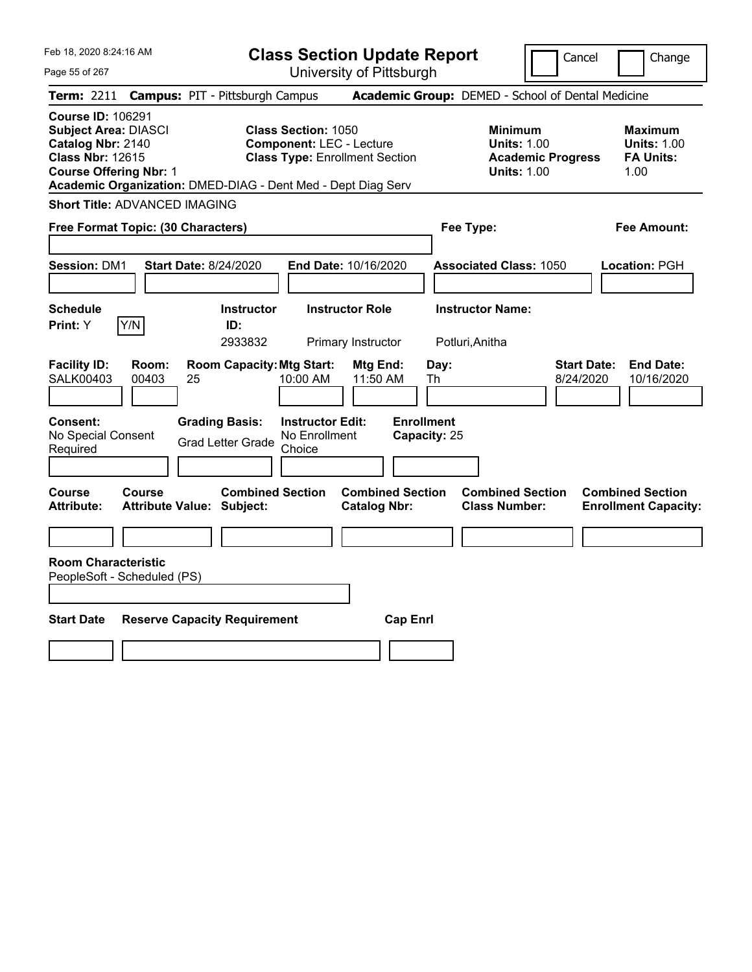Page 55 of 267

**Class Section Update Report**

Cancel Change

| <b>Term: 2211</b>                                                                                                                        |                | <b>Campus: PIT - Pittsburgh Campus</b>                       |                                                                                                        | Academic Group: DEMED - School of Dental Medicine |                                            |                                                                                        |                                 |                                                                  |
|------------------------------------------------------------------------------------------------------------------------------------------|----------------|--------------------------------------------------------------|--------------------------------------------------------------------------------------------------------|---------------------------------------------------|--------------------------------------------|----------------------------------------------------------------------------------------|---------------------------------|------------------------------------------------------------------|
| <b>Course ID: 106291</b><br><b>Subject Area: DIASCI</b><br>Catalog Nbr: 2140<br><b>Class Nbr: 12615</b><br><b>Course Offering Nbr: 1</b> |                | Academic Organization: DMED-DIAG - Dent Med - Dept Diag Serv | <b>Class Section: 1050</b><br><b>Component: LEC - Lecture</b><br><b>Class Type: Enrollment Section</b> |                                                   |                                            | <b>Minimum</b><br><b>Units: 1.00</b><br><b>Academic Progress</b><br><b>Units: 1.00</b> |                                 | <b>Maximum</b><br><b>Units: 1.00</b><br><b>FA Units:</b><br>1.00 |
| <b>Short Title: ADVANCED IMAGING</b>                                                                                                     |                |                                                              |                                                                                                        |                                                   |                                            |                                                                                        |                                 |                                                                  |
| Free Format Topic: (30 Characters)                                                                                                       |                |                                                              |                                                                                                        |                                                   | Fee Type:                                  |                                                                                        |                                 | <b>Fee Amount:</b>                                               |
| <b>Session: DM1</b>                                                                                                                      |                | <b>Start Date: 8/24/2020</b>                                 | End Date: 10/16/2020                                                                                   |                                                   |                                            | <b>Associated Class: 1050</b>                                                          |                                 | Location: PGH                                                    |
| <b>Schedule</b><br>Print: Y                                                                                                              | Y/N            | <b>Instructor</b><br>ID:<br>2933832                          | <b>Instructor Role</b><br>Primary Instructor                                                           |                                                   | <b>Instructor Name:</b><br>Potluri, Anitha |                                                                                        |                                 |                                                                  |
| <b>Facility ID:</b><br><b>SALK00403</b>                                                                                                  | Room:<br>00403 | <b>Room Capacity: Mtg Start:</b><br>25                       | 10:00 AM                                                                                               | <b>Mtg End:</b><br>11:50 AM                       | Day:<br>Th                                 |                                                                                        | <b>Start Date:</b><br>8/24/2020 | <b>End Date:</b><br>10/16/2020                                   |
| Consent:<br>No Special Consent<br>Required                                                                                               |                | <b>Grading Basis:</b><br><b>Grad Letter Grade</b>            | <b>Instructor Edit:</b><br>No Enrollment<br>Choice                                                     | <b>Enrollment</b>                                 | Capacity: 25                               |                                                                                        |                                 |                                                                  |
| Course<br><b>Attribute:</b>                                                                                                              | Course         | <b>Combined Section</b><br><b>Attribute Value: Subject:</b>  |                                                                                                        | <b>Combined Section</b><br><b>Catalog Nbr:</b>    |                                            | <b>Combined Section</b><br><b>Class Number:</b>                                        |                                 | <b>Combined Section</b><br><b>Enrollment Capacity:</b>           |
|                                                                                                                                          |                |                                                              |                                                                                                        |                                                   |                                            |                                                                                        |                                 |                                                                  |
| <b>Room Characteristic</b><br>PeopleSoft - Scheduled (PS)<br><b>Start Date</b>                                                           |                | <b>Reserve Capacity Requirement</b>                          |                                                                                                        | <b>Cap Enrl</b>                                   |                                            |                                                                                        |                                 |                                                                  |
|                                                                                                                                          |                |                                                              |                                                                                                        |                                                   |                                            |                                                                                        |                                 |                                                                  |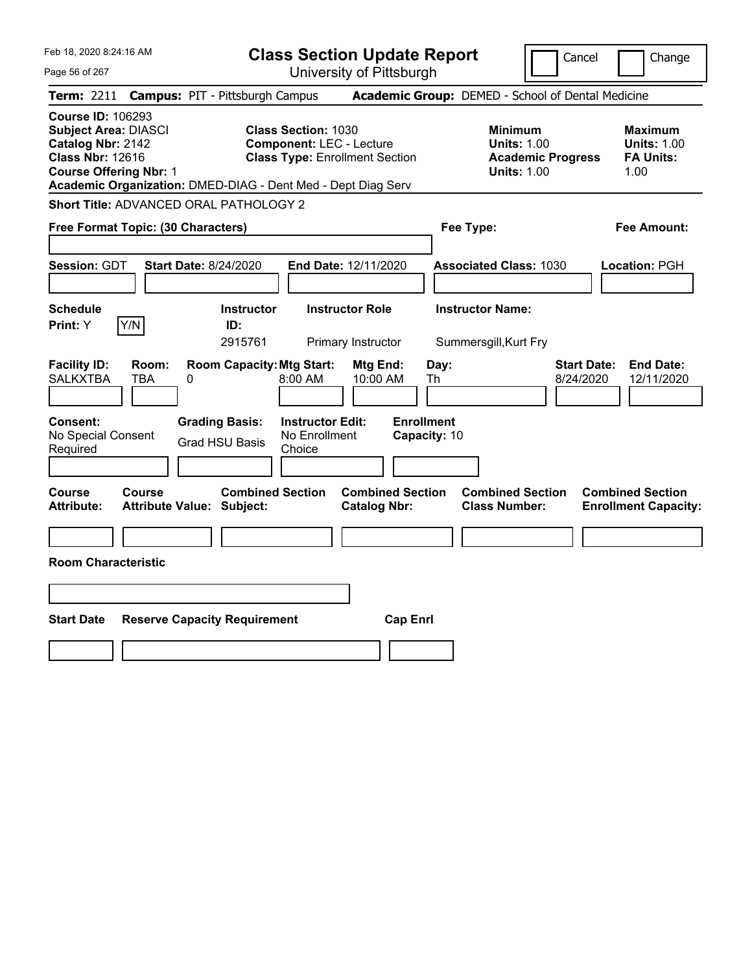| Feb 18, 2020 8:24:16 AM                                                                                                                                                                                  | <b>Class Section Update Report</b>                                                                     | Cancel                                                                                 | Change                                                           |
|----------------------------------------------------------------------------------------------------------------------------------------------------------------------------------------------------------|--------------------------------------------------------------------------------------------------------|----------------------------------------------------------------------------------------|------------------------------------------------------------------|
| Page 56 of 267                                                                                                                                                                                           | University of Pittsburgh                                                                               |                                                                                        |                                                                  |
| <b>Campus: PIT - Pittsburgh Campus</b><br>Term: 2211                                                                                                                                                     |                                                                                                        | Academic Group: DEMED - School of Dental Medicine                                      |                                                                  |
| <b>Course ID: 106293</b><br><b>Subject Area: DIASCI</b><br>Catalog Nbr: 2142<br><b>Class Nbr: 12616</b><br><b>Course Offering Nbr: 1</b><br>Academic Organization: DMED-DIAG - Dent Med - Dept Diag Serv | <b>Class Section: 1030</b><br><b>Component: LEC - Lecture</b><br><b>Class Type: Enrollment Section</b> | <b>Minimum</b><br><b>Units: 1.00</b><br><b>Academic Progress</b><br><b>Units: 1.00</b> | <b>Maximum</b><br><b>Units: 1.00</b><br><b>FA Units:</b><br>1.00 |
| Short Title: ADVANCED ORAL PATHOLOGY 2                                                                                                                                                                   |                                                                                                        |                                                                                        |                                                                  |
| Free Format Topic: (30 Characters)                                                                                                                                                                       |                                                                                                        | Fee Type:                                                                              | Fee Amount:                                                      |
| <b>Session: GDT</b><br><b>Start Date: 8/24/2020</b>                                                                                                                                                      | End Date: 12/11/2020                                                                                   | <b>Associated Class: 1030</b>                                                          | Location: PGH                                                    |
| <b>Schedule</b><br>Y/N<br>Print: Y<br>ID:                                                                                                                                                                | <b>Instructor Role</b><br><b>Instructor</b><br>2915761<br>Primary Instructor                           | <b>Instructor Name:</b><br>Summersgill, Kurt Fry                                       |                                                                  |
| <b>Facility ID:</b><br>Room:<br><b>SALKXTBA</b><br>TBA<br>0                                                                                                                                              | <b>Room Capacity: Mtg Start:</b><br>Mtg End:<br>10:00 AM<br>8:00 AM                                    | <b>Start Date:</b><br>Day:<br>Th<br>8/24/2020                                          | <b>End Date:</b><br>12/11/2020                                   |
| Consent:<br><b>Grading Basis:</b><br>No Special Consent<br><b>Grad HSU Basis</b><br>Required                                                                                                             | <b>Enrollment</b><br><b>Instructor Edit:</b><br>No Enrollment<br>Capacity: 10<br>Choice                |                                                                                        |                                                                  |
| Course<br>Course<br><b>Attribute:</b><br><b>Attribute Value: Subject:</b>                                                                                                                                | <b>Combined Section</b><br><b>Combined Section</b><br><b>Catalog Nbr:</b>                              | <b>Combined Section</b><br><b>Class Number:</b>                                        | <b>Combined Section</b><br><b>Enrollment Capacity:</b>           |
|                                                                                                                                                                                                          |                                                                                                        |                                                                                        |                                                                  |
| <b>Room Characteristic</b>                                                                                                                                                                               |                                                                                                        |                                                                                        |                                                                  |
|                                                                                                                                                                                                          |                                                                                                        |                                                                                        |                                                                  |
| <b>Start Date</b><br><b>Reserve Capacity Requirement</b>                                                                                                                                                 | <b>Cap Enrl</b>                                                                                        |                                                                                        |                                                                  |
|                                                                                                                                                                                                          |                                                                                                        |                                                                                        |                                                                  |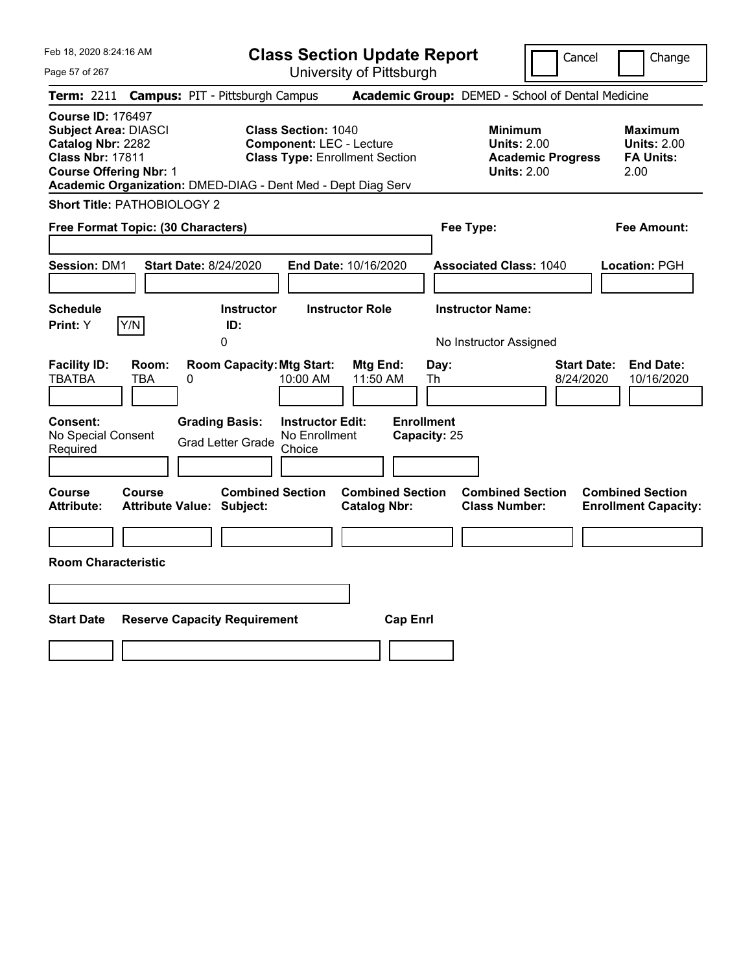Feb 18, 2020 8:24:16 AM Page 57 of 267 **Class Section Update Report** University of Pittsburgh Cancel | Change **Term:** 2211 **Campus:** PIT - Pittsburgh Campus **Academic Group:** DEMED - School of Dental Medicine **Course ID:** 176497 **Subject Area:** DIASCI **Class Section:** 1040 **Minimum Maximum Catalog Nbr: 2282 Component: LEC - Lecture <b>Component: LEC - Lecture Units: 2.00** Units: 2.00<br> **Class Nbr: 17811** Class Type: Enrollment Section **Academic Progress** FA Units: **Class Type: Enrollment Section <b>Academic Progress FA Units: Course Offering Nbr:** 1 **Units:** 2.00 2.00 **Academic Organization:** DMED-DIAG - Dent Med - Dept Diag Serv **Short Title:** PATHOBIOLOGY 2 **Free Format Topic: (30 Characters) Fee Type: Fee Amount: Session:** DM1 **Start Date:** 8/24/2020 **End Date:** 10/16/2020 **Associated Class:** 1040 **Location:** PGH **Schedule Instructor Instructor Role Instructor Name: Print:**  $Y$   $|Y/N|$  **ID:** 0 **No Instructor Assigned Facility ID: Room: Room Capacity:Mtg Start: Mtg End: Day: Start Date: End Date:** TBATBA TBA 0 10:00 AM 11:50 AM Th 8/24/2020 10/16/2020 **Consent: Grading Basis: Instructor Edit: Enrollment** No Special Consent Grad Letter Grade No Enrollment Choice **Capacity:** 25 **Course Course Combined Section Combined Section Combined Section Combined Section Attribute: Attribute Value: Subject: Catalog Nbr: Class Number: Enrollment Capacity: Room Characteristic Start Date Reserve Capacity Requirement Cap Enrl**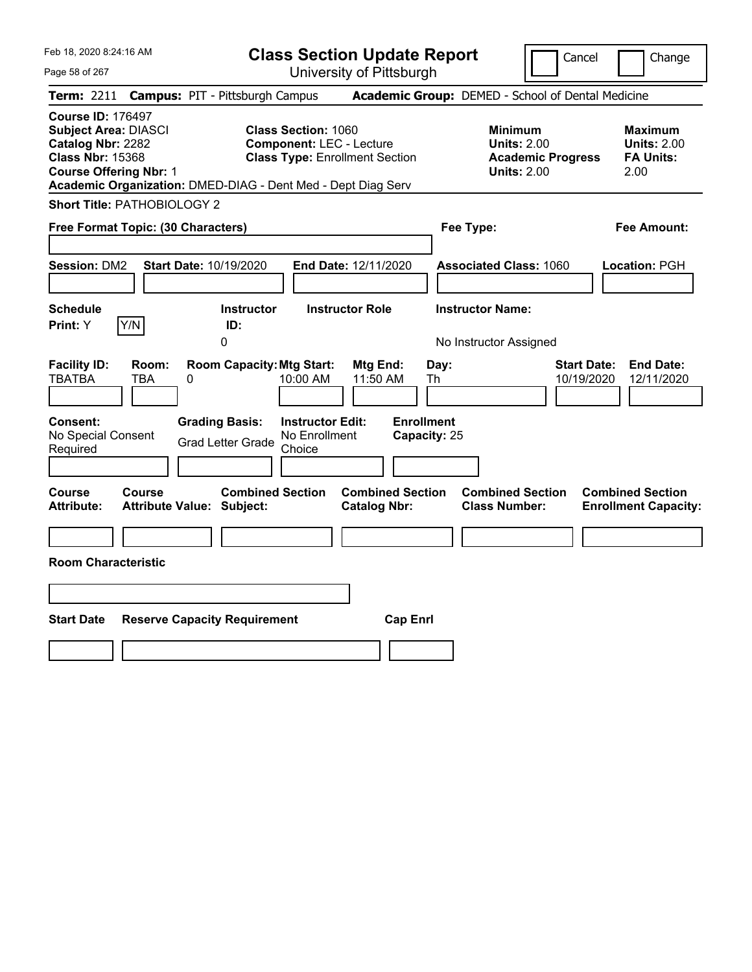Feb 18, 2020 8:24:16 AM Page 58 of 267 **Class Section Update Report** University of Pittsburgh Cancel | Change **Term:** 2211 **Campus:** PIT - Pittsburgh Campus **Academic Group:** DEMED - School of Dental Medicine **Course ID:** 176497 **Subject Area:** DIASCI **Class Section:** 1060 **Minimum Maximum Catalog Nbr:** 2282 **Component:** LEC - Lecture **Units:** 2.00 **Units:** 2.00 **Class Nbr:** 15368 **Class Type:** Enrollment Section **Academic Progress FA Units: Course Offering Nbr:** 1 **Units:** 2.00 2.00 **Academic Organization:** DMED-DIAG - Dent Med - Dept Diag Serv **Short Title:** PATHOBIOLOGY 2 **Free Format Topic: (30 Characters) Fee Type: Fee Amount: Session:** DM2 **Start Date:** 10/19/2020 **End Date:** 12/11/2020 **Associated Class:** 1060 **Location:** PGH **Schedule Instructor Instructor Role Instructor Name: Print:**  $Y$   $|Y/N|$  **ID:** 0 **No Instructor Assigned Facility ID: Room: Room Capacity:Mtg Start: Mtg End: Day: Start Date: End Date:** TBATBA TBA 0 10:00 AM 11:50 AM Th 10/19/2020 12/11/2020 **Consent: Grading Basis: Instructor Edit: Enrollment** No Special Consent Grad Letter Grade No Enrollment Choice **Capacity:** 25 **Course Course Combined Section Combined Section Combined Section Combined Section Attribute: Attribute Value: Subject: Catalog Nbr: Class Number: Enrollment Capacity: Room Characteristic Start Date Reserve Capacity Requirement Cap Enrl**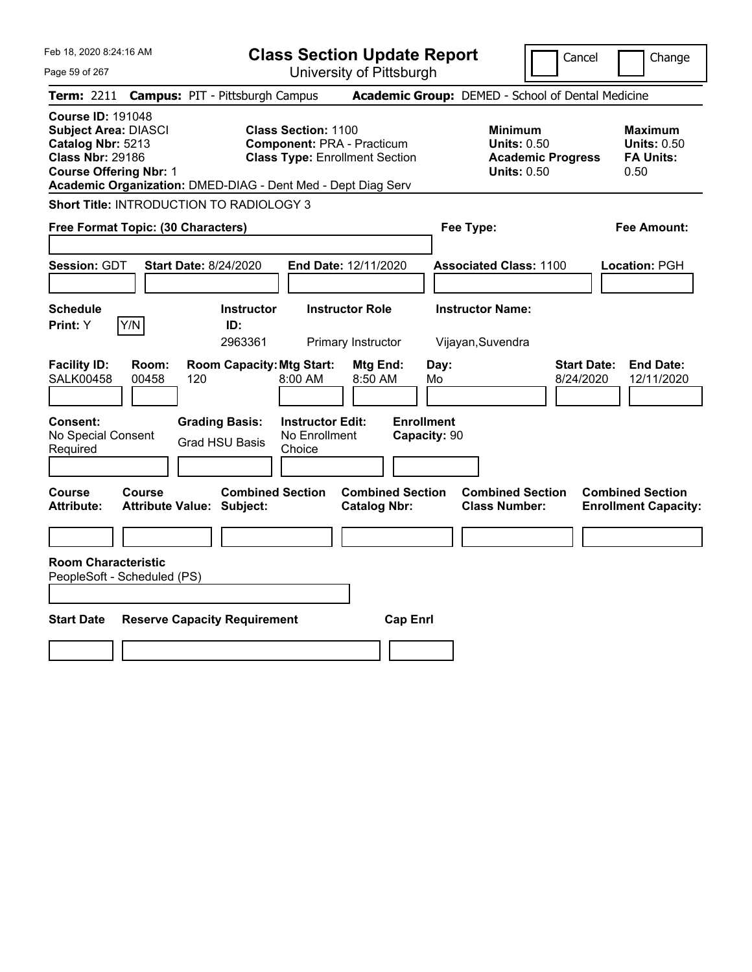| Feb 18, 2020 8:24:16 AM                                                                                                                                                                                  | <b>Class Section Update Report</b>                                                                                                                            | Cancel                                                                                 | Change                                                           |
|----------------------------------------------------------------------------------------------------------------------------------------------------------------------------------------------------------|---------------------------------------------------------------------------------------------------------------------------------------------------------------|----------------------------------------------------------------------------------------|------------------------------------------------------------------|
| Page 59 of 267                                                                                                                                                                                           | University of Pittsburgh                                                                                                                                      |                                                                                        |                                                                  |
| <b>Campus: PIT - Pittsburgh Campus</b><br><b>Term:</b> 2211                                                                                                                                              |                                                                                                                                                               | Academic Group: DEMED - School of Dental Medicine                                      |                                                                  |
| <b>Course ID: 191048</b><br><b>Subject Area: DIASCI</b><br>Catalog Nbr: 5213<br><b>Class Nbr: 29186</b><br><b>Course Offering Nbr: 1</b><br>Academic Organization: DMED-DIAG - Dent Med - Dept Diag Serv | <b>Class Section: 1100</b><br><b>Component: PRA - Practicum</b><br><b>Class Type: Enrollment Section</b>                                                      | <b>Minimum</b><br><b>Units: 0.50</b><br><b>Academic Progress</b><br><b>Units: 0.50</b> | <b>Maximum</b><br><b>Units: 0.50</b><br><b>FA Units:</b><br>0.50 |
| Short Title: INTRODUCTION TO RADIOLOGY 3                                                                                                                                                                 |                                                                                                                                                               |                                                                                        |                                                                  |
| Free Format Topic: (30 Characters)                                                                                                                                                                       |                                                                                                                                                               | Fee Type:                                                                              | Fee Amount:                                                      |
| <b>Session: GDT</b><br><b>Start Date: 8/24/2020</b><br><b>Schedule</b>                                                                                                                                   | <b>End Date: 12/11/2020</b><br><b>Instructor Role</b><br><b>Instructor</b>                                                                                    | <b>Associated Class: 1100</b><br><b>Instructor Name:</b>                               | Location: PGH                                                    |
| Y/N<br>Print: Y<br>ID:                                                                                                                                                                                   | 2963361<br>Primary Instructor                                                                                                                                 | Vijayan, Suvendra                                                                      |                                                                  |
| <b>Facility ID:</b><br>Room:<br><b>SALK00458</b><br>00458<br>120<br>Consent:<br><b>Grading Basis:</b><br>No Special Consent<br><b>Grad HSU Basis</b><br>Required                                         | <b>Room Capacity: Mtg Start:</b><br>Mtg End:<br>8:00 AM<br>8:50 AM<br><b>Enrollment</b><br><b>Instructor Edit:</b><br>No Enrollment<br>Capacity: 90<br>Choice | Day:<br><b>Start Date:</b><br>8/24/2020<br>Mo                                          | <b>End Date:</b><br>12/11/2020                                   |
| Course<br>Course<br><b>Attribute:</b><br><b>Attribute Value: Subject:</b>                                                                                                                                | <b>Combined Section</b><br><b>Combined Section</b><br><b>Catalog Nbr:</b>                                                                                     | <b>Combined Section</b><br><b>Class Number:</b>                                        | <b>Combined Section</b><br><b>Enrollment Capacity:</b>           |
| <b>Room Characteristic</b><br>PeopleSoft - Scheduled (PS)                                                                                                                                                |                                                                                                                                                               |                                                                                        |                                                                  |
| <b>Start Date</b><br><b>Reserve Capacity Requirement</b>                                                                                                                                                 | <b>Cap Enrl</b>                                                                                                                                               |                                                                                        |                                                                  |
|                                                                                                                                                                                                          |                                                                                                                                                               |                                                                                        |                                                                  |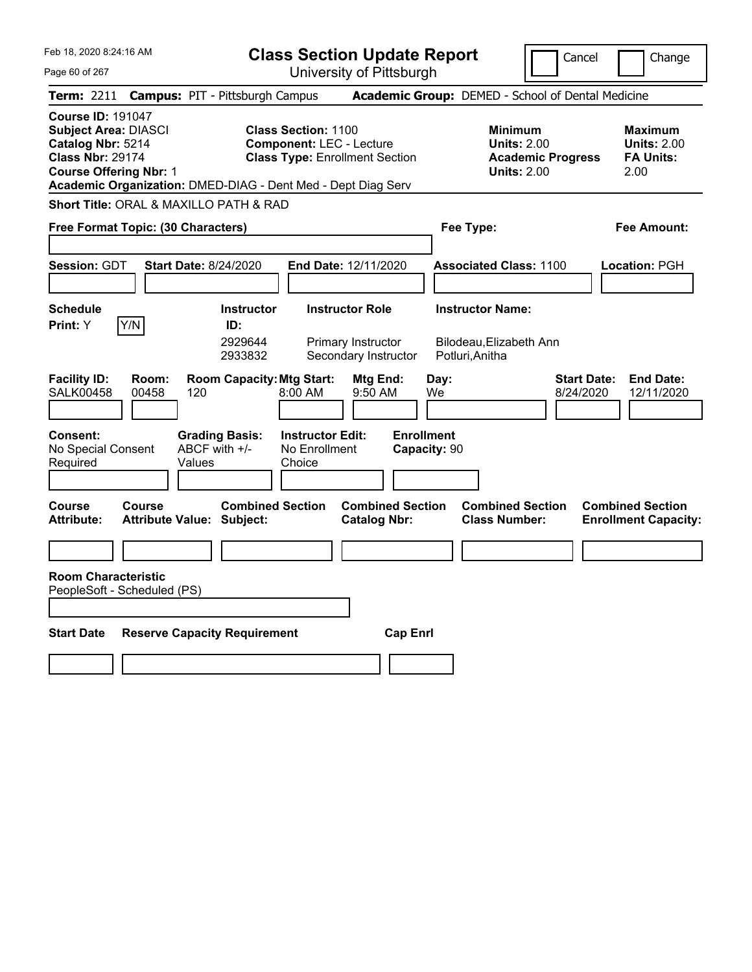|  | Feb 18, 2020 8:24:16 AM |  |
|--|-------------------------|--|
|  |                         |  |

**Class Section Update Report** University of Pittsburgh

Cancel Change

Page 60 of 267

| <b>Term: 2211 Campus: PIT - Pittsburgh Campus</b>                                                                                                                                                        |                                                   |                                                  |                                  |                                                                                                        |                                                |                                   |            |                         |                                                                                        |                                 | <b>Academic Group:</b> DEMED - School of Dental Medicine         |
|----------------------------------------------------------------------------------------------------------------------------------------------------------------------------------------------------------|---------------------------------------------------|--------------------------------------------------|----------------------------------|--------------------------------------------------------------------------------------------------------|------------------------------------------------|-----------------------------------|------------|-------------------------|----------------------------------------------------------------------------------------|---------------------------------|------------------------------------------------------------------|
| <b>Course ID: 191047</b><br><b>Subject Area: DIASCI</b><br>Catalog Nbr: 5214<br><b>Class Nbr: 29174</b><br><b>Course Offering Nbr: 1</b><br>Academic Organization: DMED-DIAG - Dent Med - Dept Diag Serv |                                                   |                                                  |                                  | <b>Class Section: 1100</b><br><b>Component: LEC - Lecture</b><br><b>Class Type: Enrollment Section</b> |                                                |                                   |            |                         | <b>Minimum</b><br><b>Units: 2.00</b><br><b>Academic Progress</b><br><b>Units: 2.00</b> |                                 | <b>Maximum</b><br><b>Units: 2.00</b><br><b>FA Units:</b><br>2.00 |
| <b>Short Title: ORAL &amp; MAXILLO PATH &amp; RAD</b>                                                                                                                                                    |                                                   |                                                  |                                  |                                                                                                        |                                                |                                   |            |                         |                                                                                        |                                 |                                                                  |
| Free Format Topic: (30 Characters)                                                                                                                                                                       |                                                   |                                                  |                                  |                                                                                                        |                                                |                                   |            | Fee Type:               |                                                                                        |                                 | <b>Fee Amount:</b>                                               |
|                                                                                                                                                                                                          |                                                   |                                                  |                                  |                                                                                                        |                                                |                                   |            |                         |                                                                                        |                                 |                                                                  |
| <b>Session: GDT</b>                                                                                                                                                                                      |                                                   | <b>Start Date: 8/24/2020</b>                     |                                  | End Date: 12/11/2020                                                                                   |                                                |                                   |            |                         | <b>Associated Class: 1100</b>                                                          |                                 | Location: PGH                                                    |
| <b>Schedule</b><br>Print: Y                                                                                                                                                                              | Y/N                                               |                                                  | <b>Instructor</b><br>ID:         |                                                                                                        | <b>Instructor Role</b>                         |                                   |            | <b>Instructor Name:</b> |                                                                                        |                                 |                                                                  |
|                                                                                                                                                                                                          |                                                   |                                                  | 2929644<br>2933832               |                                                                                                        | Primary Instructor<br>Secondary Instructor     |                                   |            | Potluri, Anitha         | Bilodeau, Elizabeth Ann                                                                |                                 |                                                                  |
| <b>Facility ID:</b><br><b>SALK00458</b>                                                                                                                                                                  | Room:<br>00458                                    | 120                                              | <b>Room Capacity: Mtg Start:</b> | 8:00 AM                                                                                                | Mtg End:<br>9:50 AM                            |                                   | Day:<br>We |                         |                                                                                        | <b>Start Date:</b><br>8/24/2020 | <b>End Date:</b><br>12/11/2020                                   |
| <b>Consent:</b><br>No Special Consent<br>Required                                                                                                                                                        |                                                   | <b>Grading Basis:</b><br>ABCF with +/-<br>Values |                                  | <b>Instructor Edit:</b><br>No Enrollment<br>Choice                                                     |                                                | <b>Enrollment</b><br>Capacity: 90 |            |                         |                                                                                        |                                 |                                                                  |
| Course<br><b>Attribute:</b>                                                                                                                                                                              | <b>Course</b><br><b>Attribute Value: Subject:</b> |                                                  | <b>Combined Section</b>          |                                                                                                        | <b>Combined Section</b><br><b>Catalog Nbr:</b> |                                   |            | <b>Class Number:</b>    | <b>Combined Section</b>                                                                |                                 | <b>Combined Section</b><br><b>Enrollment Capacity:</b>           |
| <b>Room Characteristic</b><br>PeopleSoft - Scheduled (PS)                                                                                                                                                |                                                   |                                                  |                                  |                                                                                                        |                                                |                                   |            |                         |                                                                                        |                                 |                                                                  |
| <b>Start Date</b>                                                                                                                                                                                        | <b>Reserve Capacity Requirement</b>               |                                                  |                                  |                                                                                                        |                                                | <b>Cap Enrl</b>                   |            |                         |                                                                                        |                                 |                                                                  |
|                                                                                                                                                                                                          |                                                   |                                                  |                                  |                                                                                                        |                                                |                                   |            |                         |                                                                                        |                                 |                                                                  |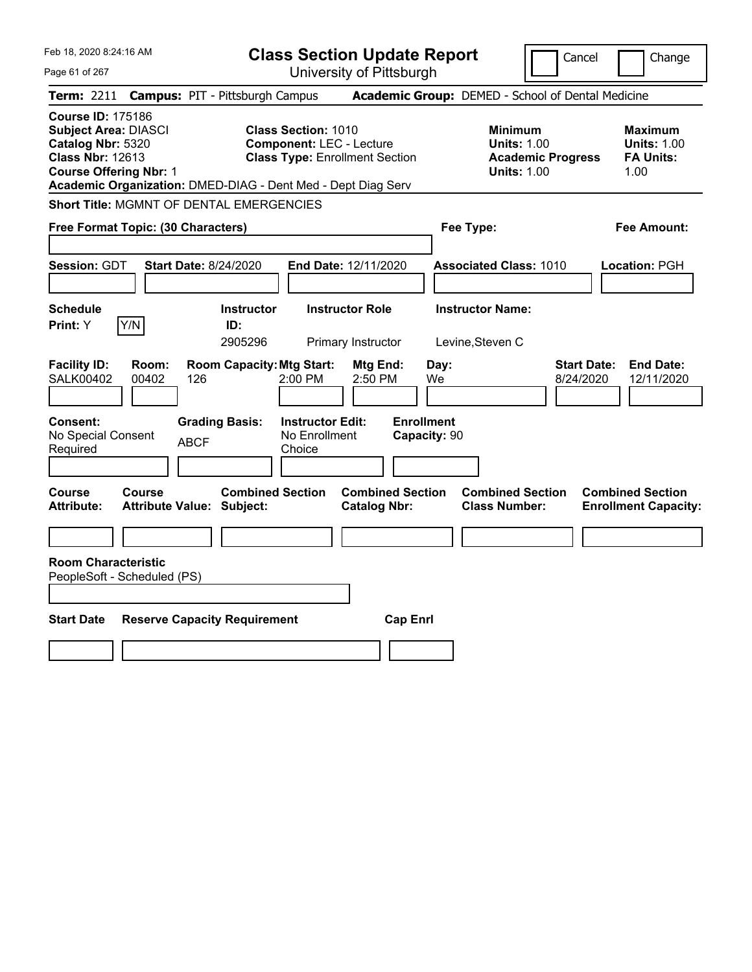| Feb 18, 2020 8:24:16 AM                                                                                                                                                                                  | <b>Class Section Update Report</b>                                                                     | Cancel<br>Change                                                                                                                                           |
|----------------------------------------------------------------------------------------------------------------------------------------------------------------------------------------------------------|--------------------------------------------------------------------------------------------------------|------------------------------------------------------------------------------------------------------------------------------------------------------------|
| Page 61 of 267                                                                                                                                                                                           | University of Pittsburgh                                                                               |                                                                                                                                                            |
| <b>Campus: PIT - Pittsburgh Campus</b><br><b>Term:</b> 2211                                                                                                                                              |                                                                                                        | Academic Group: DEMED - School of Dental Medicine                                                                                                          |
| <b>Course ID: 175186</b><br><b>Subject Area: DIASCI</b><br>Catalog Nbr: 5320<br><b>Class Nbr: 12613</b><br><b>Course Offering Nbr: 1</b><br>Academic Organization: DMED-DIAG - Dent Med - Dept Diag Serv | <b>Class Section: 1010</b><br><b>Component: LEC - Lecture</b><br><b>Class Type: Enrollment Section</b> | <b>Minimum</b><br><b>Maximum</b><br><b>Units: 1.00</b><br><b>Units: 1.00</b><br><b>Academic Progress</b><br><b>FA Units:</b><br><b>Units: 1.00</b><br>1.00 |
| Short Title: MGMNT OF DENTAL EMERGENCIES                                                                                                                                                                 |                                                                                                        |                                                                                                                                                            |
| Free Format Topic: (30 Characters)                                                                                                                                                                       |                                                                                                        | Fee Type:<br>Fee Amount:                                                                                                                                   |
| <b>Session: GDT</b><br><b>Start Date: 8/24/2020</b>                                                                                                                                                      | End Date: 12/11/2020                                                                                   | <b>Associated Class: 1010</b><br>Location: PGH                                                                                                             |
| <b>Schedule</b><br>Y/N<br>Print: Y<br>ID:                                                                                                                                                                | <b>Instructor Role</b><br><b>Instructor</b><br>2905296<br>Primary Instructor                           | <b>Instructor Name:</b><br>Levine, Steven C                                                                                                                |
| <b>Facility ID:</b><br>Room:<br><b>SALK00402</b><br>00402<br>126                                                                                                                                         | <b>Room Capacity: Mtg Start:</b><br>Mtg End:<br>2:50 PM<br>2:00 PM                                     | <b>Start Date:</b><br><b>End Date:</b><br>Day:<br>We<br>8/24/2020<br>12/11/2020                                                                            |
| Consent:<br><b>Grading Basis:</b><br>No Special Consent<br><b>ABCF</b><br>Required                                                                                                                       | <b>Enrollment</b><br><b>Instructor Edit:</b><br>No Enrollment<br>Capacity: 90<br>Choice                |                                                                                                                                                            |
| <b>Course</b><br>Course<br><b>Attribute:</b><br><b>Attribute Value: Subject:</b>                                                                                                                         | <b>Combined Section</b><br><b>Combined Section</b><br><b>Catalog Nbr:</b>                              | <b>Combined Section</b><br><b>Combined Section</b><br><b>Class Number:</b><br><b>Enrollment Capacity:</b>                                                  |
|                                                                                                                                                                                                          |                                                                                                        |                                                                                                                                                            |
| <b>Room Characteristic</b><br>PeopleSoft - Scheduled (PS)                                                                                                                                                |                                                                                                        |                                                                                                                                                            |
| <b>Start Date</b><br><b>Reserve Capacity Requirement</b>                                                                                                                                                 | <b>Cap Enrl</b>                                                                                        |                                                                                                                                                            |
|                                                                                                                                                                                                          |                                                                                                        |                                                                                                                                                            |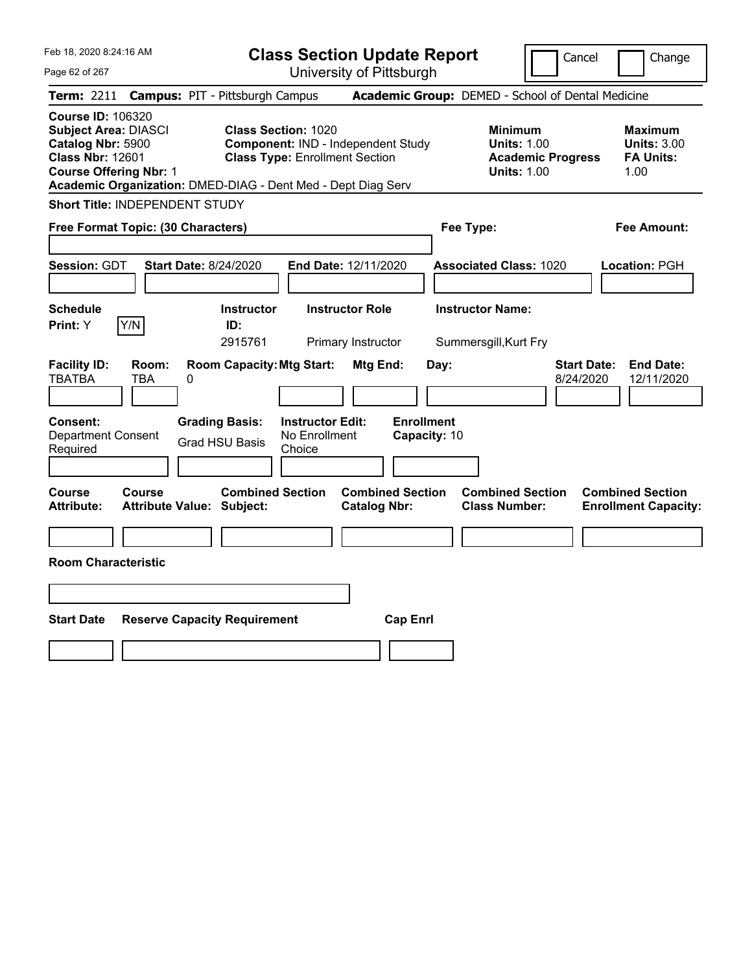| Feb 18, 2020 8:24:16 AM<br>Page 62 of 267                                                                                                | <b>Class Section Update Report</b><br>University of Pittsburgh                                                                                                            |                                                                                        | Cancel<br>Change                                                  |
|------------------------------------------------------------------------------------------------------------------------------------------|---------------------------------------------------------------------------------------------------------------------------------------------------------------------------|----------------------------------------------------------------------------------------|-------------------------------------------------------------------|
| <b>Campus: PIT - Pittsburgh Campus</b><br><b>Term: 2211</b>                                                                              |                                                                                                                                                                           | Academic Group: DEMED - School of Dental Medicine                                      |                                                                   |
| <b>Course ID: 106320</b><br><b>Subject Area: DIASCI</b><br>Catalog Nbr: 5900<br><b>Class Nbr: 12601</b><br><b>Course Offering Nbr: 1</b> | <b>Class Section: 1020</b><br>Component: IND - Independent Study<br><b>Class Type: Enrollment Section</b><br>Academic Organization: DMED-DIAG - Dent Med - Dept Diag Serv | <b>Minimum</b><br><b>Units: 1.00</b><br><b>Academic Progress</b><br><b>Units: 1.00</b> | <b>Maximum</b><br><b>Units: 3.00</b><br><b>FA Units:</b><br>1.00  |
| Short Title: INDEPENDENT STUDY                                                                                                           |                                                                                                                                                                           |                                                                                        |                                                                   |
| Free Format Topic: (30 Characters)                                                                                                       |                                                                                                                                                                           | Fee Type:                                                                              | Fee Amount:                                                       |
| Session: GDT<br><b>Start Date: 8/24/2020</b><br><b>Schedule</b><br>Y/N<br>Print: Y                                                       | End Date: 12/11/2020<br><b>Instructor</b><br><b>Instructor Role</b><br>ID:<br>2915761<br>Primary Instructor                                                               | <b>Associated Class: 1020</b><br><b>Instructor Name:</b><br>Summersgill, Kurt Fry      | Location: PGH                                                     |
| <b>Facility ID:</b><br>Room:<br><b>TBATBA</b><br>TBA<br>0                                                                                | <b>Room Capacity: Mtg Start:</b><br>Mtg End:                                                                                                                              | Day:                                                                                   | <b>Start Date:</b><br><b>End Date:</b><br>8/24/2020<br>12/11/2020 |
| <b>Grading Basis:</b><br><b>Consent:</b><br><b>Department Consent</b><br><b>Grad HSU Basis</b><br>Required                               | <b>Instructor Edit:</b><br><b>Enrollment</b><br>No Enrollment<br>Choice                                                                                                   | Capacity: 10                                                                           |                                                                   |
| <b>Course</b><br>Course<br><b>Attribute:</b><br><b>Attribute Value: Subject:</b>                                                         | <b>Combined Section</b><br><b>Combined Section</b><br><b>Catalog Nbr:</b>                                                                                                 | <b>Combined Section</b><br><b>Class Number:</b>                                        | <b>Combined Section</b><br><b>Enrollment Capacity:</b>            |
| <b>Room Characteristic</b>                                                                                                               |                                                                                                                                                                           |                                                                                        |                                                                   |
|                                                                                                                                          |                                                                                                                                                                           |                                                                                        |                                                                   |
| <b>Start Date</b><br><b>Reserve Capacity Requirement</b>                                                                                 | <b>Cap Enrl</b>                                                                                                                                                           |                                                                                        |                                                                   |
|                                                                                                                                          |                                                                                                                                                                           |                                                                                        |                                                                   |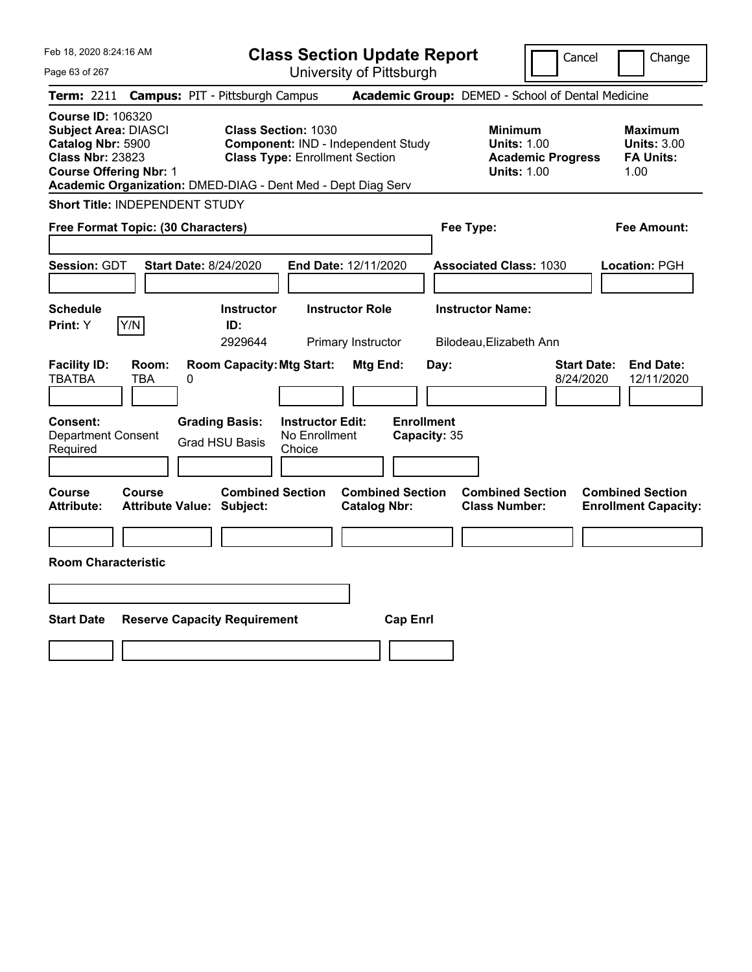| Feb 18, 2020 8:24:16 AM<br>Page 63 of 267                                                                                                | <b>Class Section Update Report</b><br>University of Pittsburgh                                                                                                            |                                                                                        | Cancel<br>Change                                                  |
|------------------------------------------------------------------------------------------------------------------------------------------|---------------------------------------------------------------------------------------------------------------------------------------------------------------------------|----------------------------------------------------------------------------------------|-------------------------------------------------------------------|
| <b>Term: 2211</b>                                                                                                                        | <b>Campus: PIT - Pittsburgh Campus</b>                                                                                                                                    | Academic Group: DEMED - School of Dental Medicine                                      |                                                                   |
| <b>Course ID: 106320</b><br><b>Subject Area: DIASCI</b><br>Catalog Nbr: 5900<br><b>Class Nbr: 23823</b><br><b>Course Offering Nbr: 1</b> | <b>Class Section: 1030</b><br>Component: IND - Independent Study<br><b>Class Type: Enrollment Section</b><br>Academic Organization: DMED-DIAG - Dent Med - Dept Diag Serv | <b>Minimum</b><br><b>Units: 1.00</b><br><b>Academic Progress</b><br><b>Units: 1.00</b> | <b>Maximum</b><br><b>Units: 3.00</b><br><b>FA Units:</b><br>1.00  |
| Short Title: INDEPENDENT STUDY                                                                                                           |                                                                                                                                                                           |                                                                                        |                                                                   |
| Free Format Topic: (30 Characters)                                                                                                       |                                                                                                                                                                           | Fee Type:                                                                              | <b>Fee Amount:</b>                                                |
| <b>Session: GDT</b><br><b>Start Date: 8/24/2020</b><br>Schedule                                                                          | End Date: 12/11/2020<br><b>Instructor Role</b><br><b>Instructor</b>                                                                                                       | <b>Associated Class: 1030</b><br><b>Instructor Name:</b>                               | Location: PGH                                                     |
| Y/N<br>Print: Y                                                                                                                          | ID:                                                                                                                                                                       |                                                                                        |                                                                   |
|                                                                                                                                          | 2929644<br>Primary Instructor                                                                                                                                             | Bilodeau, Elizabeth Ann                                                                |                                                                   |
| <b>Facility ID:</b><br>Room:<br><b>TBATBA</b><br>TBA<br>0                                                                                | <b>Room Capacity: Mtg Start:</b><br>Mtg End:                                                                                                                              | Day:                                                                                   | <b>Start Date:</b><br><b>End Date:</b><br>8/24/2020<br>12/11/2020 |
| <b>Consent:</b><br><b>Department Consent</b><br>Required                                                                                 | <b>Grading Basis:</b><br><b>Instructor Edit:</b><br>No Enrollment<br><b>Grad HSU Basis</b><br>Choice                                                                      | <b>Enrollment</b><br>Capacity: 35                                                      |                                                                   |
| Course<br>Course<br><b>Attribute:</b><br><b>Attribute Value: Subject:</b>                                                                | <b>Combined Section</b><br><b>Combined Section</b><br><b>Catalog Nbr:</b>                                                                                                 | <b>Combined Section</b><br><b>Class Number:</b>                                        | <b>Combined Section</b><br><b>Enrollment Capacity:</b>            |
|                                                                                                                                          |                                                                                                                                                                           |                                                                                        |                                                                   |
| <b>Room Characteristic</b>                                                                                                               |                                                                                                                                                                           |                                                                                        |                                                                   |
|                                                                                                                                          |                                                                                                                                                                           |                                                                                        |                                                                   |
|                                                                                                                                          |                                                                                                                                                                           |                                                                                        |                                                                   |
| <b>Start Date</b><br><b>Reserve Capacity Requirement</b>                                                                                 | <b>Cap Enrl</b>                                                                                                                                                           |                                                                                        |                                                                   |
|                                                                                                                                          |                                                                                                                                                                           |                                                                                        |                                                                   |
|                                                                                                                                          |                                                                                                                                                                           |                                                                                        |                                                                   |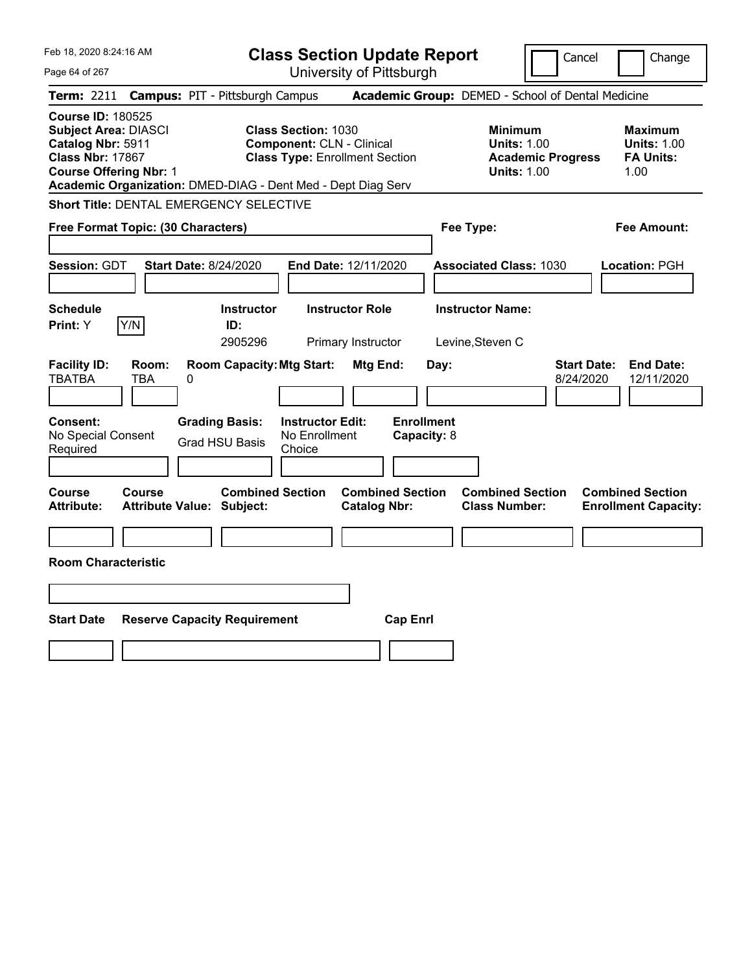| Feb 18, 2020 8:24:16 AM                                                                                                                                                                                  | <b>Class Section Update Report</b>                                                                      | Cancel                                                                                 | Change                                                           |
|----------------------------------------------------------------------------------------------------------------------------------------------------------------------------------------------------------|---------------------------------------------------------------------------------------------------------|----------------------------------------------------------------------------------------|------------------------------------------------------------------|
| Page 64 of 267                                                                                                                                                                                           | University of Pittsburgh                                                                                |                                                                                        |                                                                  |
| <b>Campus: PIT - Pittsburgh Campus</b><br><b>Term: 2211</b>                                                                                                                                              |                                                                                                         | Academic Group: DEMED - School of Dental Medicine                                      |                                                                  |
| <b>Course ID: 180525</b><br><b>Subject Area: DIASCI</b><br>Catalog Nbr: 5911<br><b>Class Nbr: 17867</b><br><b>Course Offering Nbr: 1</b><br>Academic Organization: DMED-DIAG - Dent Med - Dept Diag Serv | <b>Class Section: 1030</b><br><b>Component: CLN - Clinical</b><br><b>Class Type: Enrollment Section</b> | <b>Minimum</b><br><b>Units: 1.00</b><br><b>Academic Progress</b><br><b>Units: 1.00</b> | <b>Maximum</b><br><b>Units: 1.00</b><br><b>FA Units:</b><br>1.00 |
| Short Title: DENTAL EMERGENCY SELECTIVE                                                                                                                                                                  |                                                                                                         |                                                                                        |                                                                  |
| Free Format Topic: (30 Characters)                                                                                                                                                                       |                                                                                                         | Fee Type:                                                                              | Fee Amount:                                                      |
| Session: GDT<br><b>Start Date: 8/24/2020</b>                                                                                                                                                             | End Date: 12/11/2020                                                                                    | <b>Associated Class: 1030</b>                                                          | Location: PGH                                                    |
| <b>Schedule</b><br>Y/N<br>Print: Y<br>ID:                                                                                                                                                                | <b>Instructor Role</b><br><b>Instructor</b><br>2905296<br>Primary Instructor                            | <b>Instructor Name:</b><br>Levine, Steven C                                            |                                                                  |
| <b>Facility ID:</b><br>Room:<br><b>TBATBA</b><br>TBA<br>0                                                                                                                                                | <b>Room Capacity: Mtg Start:</b><br><b>Mtg End:</b>                                                     | <b>Start Date:</b><br>Day:<br>8/24/2020                                                | <b>End Date:</b><br>12/11/2020                                   |
| Consent:<br><b>Grading Basis:</b><br>No Special Consent<br><b>Grad HSU Basis</b><br>Required                                                                                                             | <b>Enrollment</b><br><b>Instructor Edit:</b><br>No Enrollment<br>Capacity: 8<br>Choice                  |                                                                                        |                                                                  |
| Course<br><b>Course</b><br><b>Attribute:</b><br><b>Attribute Value: Subject:</b>                                                                                                                         | <b>Combined Section</b><br><b>Combined Section</b><br><b>Catalog Nbr:</b>                               | <b>Combined Section</b><br><b>Class Number:</b>                                        | <b>Combined Section</b><br><b>Enrollment Capacity:</b>           |
|                                                                                                                                                                                                          |                                                                                                         |                                                                                        |                                                                  |
| <b>Room Characteristic</b>                                                                                                                                                                               |                                                                                                         |                                                                                        |                                                                  |
|                                                                                                                                                                                                          |                                                                                                         |                                                                                        |                                                                  |
| <b>Start Date</b><br><b>Reserve Capacity Requirement</b>                                                                                                                                                 | <b>Cap Enrl</b>                                                                                         |                                                                                        |                                                                  |
|                                                                                                                                                                                                          |                                                                                                         |                                                                                        |                                                                  |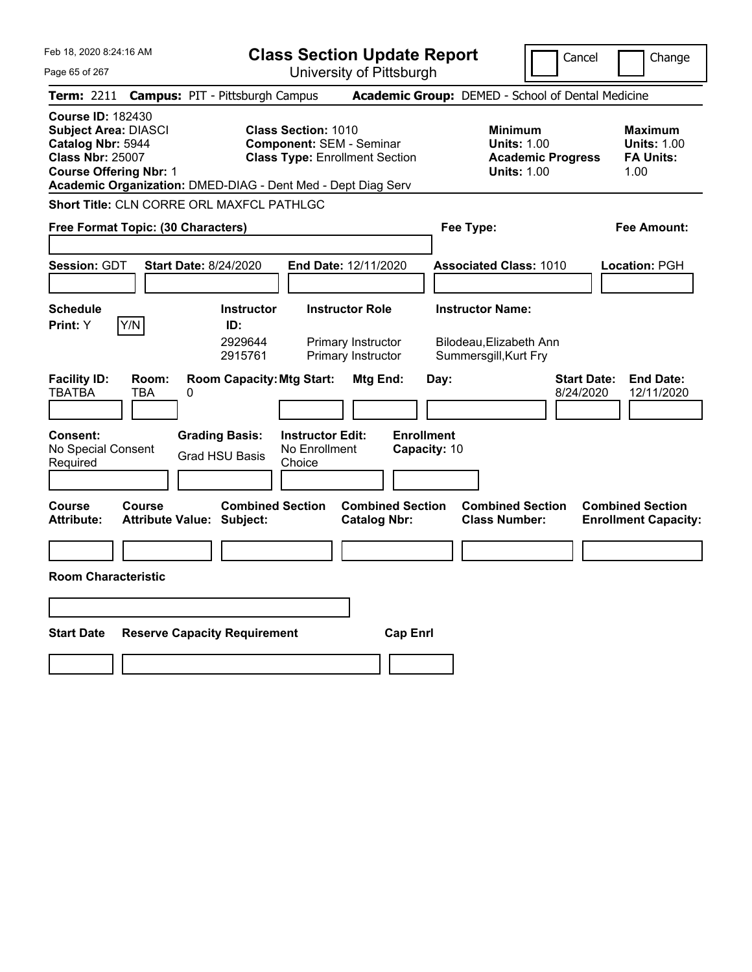| Feb 18, 2020 8:24:16 AM                                                                                                                                                                                  | <b>Class Section Update Report</b>                                                                                                      | Cancel                                                                                 | Change                                                           |
|----------------------------------------------------------------------------------------------------------------------------------------------------------------------------------------------------------|-----------------------------------------------------------------------------------------------------------------------------------------|----------------------------------------------------------------------------------------|------------------------------------------------------------------|
| Page 65 of 267                                                                                                                                                                                           | University of Pittsburgh                                                                                                                |                                                                                        |                                                                  |
| <b>Campus: PIT - Pittsburgh Campus</b><br><b>Term: 2211</b>                                                                                                                                              |                                                                                                                                         | Academic Group: DEMED - School of Dental Medicine                                      |                                                                  |
| <b>Course ID: 182430</b><br><b>Subject Area: DIASCI</b><br>Catalog Nbr: 5944<br><b>Class Nbr: 25007</b><br><b>Course Offering Nbr: 1</b><br>Academic Organization: DMED-DIAG - Dent Med - Dept Diag Serv | <b>Class Section: 1010</b><br><b>Component: SEM - Seminar</b><br><b>Class Type: Enrollment Section</b>                                  | <b>Minimum</b><br><b>Units: 1.00</b><br><b>Academic Progress</b><br><b>Units: 1.00</b> | <b>Maximum</b><br><b>Units: 1.00</b><br><b>FA Units:</b><br>1.00 |
| <b>Short Title: CLN CORRE ORL MAXFCL PATHLGC</b>                                                                                                                                                         |                                                                                                                                         |                                                                                        |                                                                  |
| Free Format Topic: (30 Characters)                                                                                                                                                                       |                                                                                                                                         | Fee Type:                                                                              | Fee Amount:                                                      |
| Session: GDT<br><b>Start Date: 8/24/2020</b>                                                                                                                                                             | End Date: 12/11/2020                                                                                                                    | <b>Associated Class: 1010</b>                                                          | Location: PGH                                                    |
| <b>Schedule</b><br>Y/N<br>Print: Y<br>ID:                                                                                                                                                                | <b>Instructor Role</b><br><b>Instructor</b><br>2929644<br>Primary Instructor<br>Primary Instructor<br>2915761                           | <b>Instructor Name:</b><br>Bilodeau, Elizabeth Ann<br>Summersgill, Kurt Fry            |                                                                  |
| <b>Facility ID:</b><br>Room:<br><b>TBATBA</b><br>TBA<br>0<br><b>Consent:</b><br><b>Grading Basis:</b><br>No Special Consent<br><b>Grad HSU Basis</b><br>Required                                         | <b>Room Capacity: Mtg Start:</b><br>Mtg End:<br><b>Enrollment</b><br><b>Instructor Edit:</b><br>No Enrollment<br>Capacity: 10<br>Choice | <b>Start Date:</b><br>Day:<br>8/24/2020                                                | <b>End Date:</b><br>12/11/2020                                   |
| <b>Course</b><br>Course<br><b>Attribute:</b><br>Attribute Value: Subject:                                                                                                                                | <b>Combined Section</b><br><b>Combined Section</b><br><b>Catalog Nbr:</b>                                                               | <b>Combined Section</b><br><b>Class Number:</b>                                        | <b>Combined Section</b><br><b>Enrollment Capacity:</b>           |
| <b>Room Characteristic</b>                                                                                                                                                                               |                                                                                                                                         |                                                                                        |                                                                  |
|                                                                                                                                                                                                          |                                                                                                                                         |                                                                                        |                                                                  |
| <b>Start Date</b><br><b>Reserve Capacity Requirement</b>                                                                                                                                                 | <b>Cap Enrl</b>                                                                                                                         |                                                                                        |                                                                  |
|                                                                                                                                                                                                          |                                                                                                                                         |                                                                                        |                                                                  |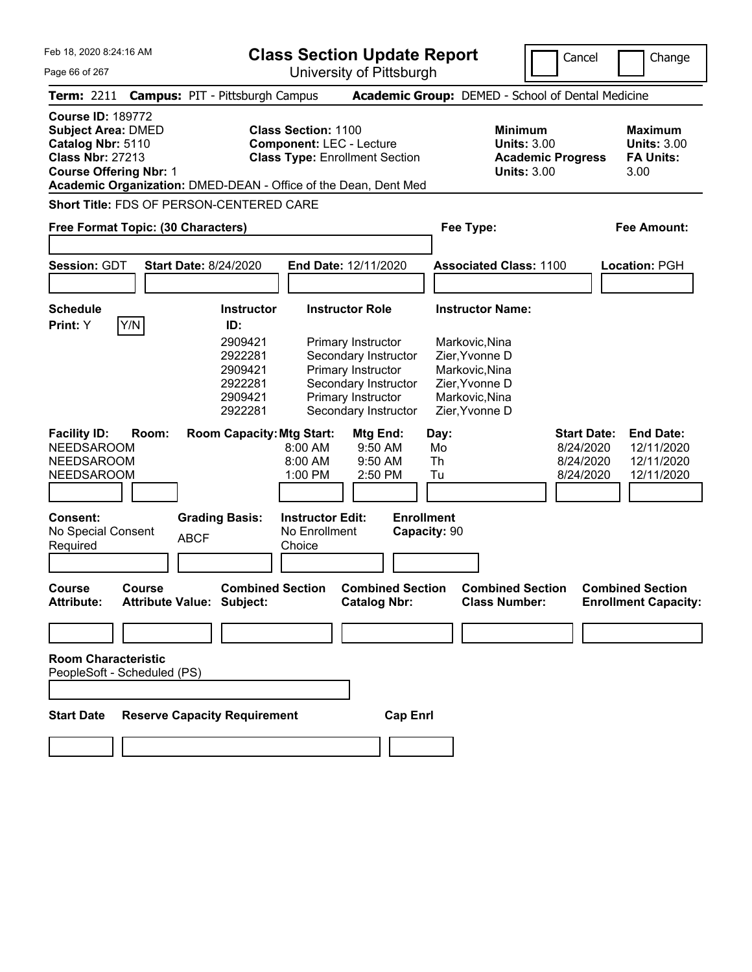| Feb 18, 2020 8:24:16 AM                                                                                                                                                                                   |                                                                                                    |                   | <b>Class Section Update Report</b>                                                                     |                                                                                                                                                    |                                   |          |                                                                                                          | Cancel                   | Change                                                           |
|-----------------------------------------------------------------------------------------------------------------------------------------------------------------------------------------------------------|----------------------------------------------------------------------------------------------------|-------------------|--------------------------------------------------------------------------------------------------------|----------------------------------------------------------------------------------------------------------------------------------------------------|-----------------------------------|----------|----------------------------------------------------------------------------------------------------------|--------------------------|------------------------------------------------------------------|
| Page 66 of 267                                                                                                                                                                                            |                                                                                                    |                   | University of Pittsburgh                                                                               |                                                                                                                                                    |                                   |          |                                                                                                          |                          |                                                                  |
| <b>Term: 2211</b>                                                                                                                                                                                         | <b>Campus: PIT - Pittsburgh Campus</b>                                                             |                   |                                                                                                        |                                                                                                                                                    |                                   |          | Academic Group: DEMED - School of Dental Medicine                                                        |                          |                                                                  |
| <b>Course ID: 189772</b><br><b>Subject Area: DMED</b><br>Catalog Nbr: 5110<br><b>Class Nbr: 27213</b><br><b>Course Offering Nbr: 1</b><br>Academic Organization: DMED-DEAN - Office of the Dean, Dent Med |                                                                                                    |                   | <b>Class Section: 1100</b><br><b>Component: LEC - Lecture</b><br><b>Class Type: Enrollment Section</b> |                                                                                                                                                    |                                   |          | <b>Minimum</b><br><b>Units: 3.00</b><br><b>Units: 3.00</b>                                               | <b>Academic Progress</b> | <b>Maximum</b><br><b>Units: 3.00</b><br><b>FA Units:</b><br>3.00 |
| Short Title: FDS OF PERSON-CENTERED CARE                                                                                                                                                                  |                                                                                                    |                   |                                                                                                        |                                                                                                                                                    |                                   |          |                                                                                                          |                          |                                                                  |
| Free Format Topic: (30 Characters)                                                                                                                                                                        |                                                                                                    |                   |                                                                                                        |                                                                                                                                                    |                                   |          | Fee Type:                                                                                                |                          | <b>Fee Amount:</b>                                               |
|                                                                                                                                                                                                           |                                                                                                    |                   |                                                                                                        |                                                                                                                                                    |                                   |          |                                                                                                          |                          |                                                                  |
| <b>Session: GDT</b>                                                                                                                                                                                       | <b>Start Date: 8/24/2020</b>                                                                       |                   | End Date: 12/11/2020                                                                                   |                                                                                                                                                    |                                   |          | <b>Associated Class: 1100</b>                                                                            |                          | <b>Location: PGH</b>                                             |
|                                                                                                                                                                                                           |                                                                                                    |                   |                                                                                                        |                                                                                                                                                    |                                   |          |                                                                                                          |                          |                                                                  |
| <b>Schedule</b><br>Y/N<br>Print: Y                                                                                                                                                                        | ID:                                                                                                | <b>Instructor</b> |                                                                                                        | <b>Instructor Role</b>                                                                                                                             |                                   |          | <b>Instructor Name:</b>                                                                                  |                          |                                                                  |
| <b>Facility ID:</b><br>Room:                                                                                                                                                                              | 2909421<br>2922281<br>2909421<br>2922281<br>2909421<br>2922281<br><b>Room Capacity: Mtg Start:</b> |                   |                                                                                                        | Primary Instructor<br>Secondary Instructor<br>Primary Instructor<br>Secondary Instructor<br>Primary Instructor<br>Secondary Instructor<br>Mtg End: |                                   | Day:     | Markovic, Nina<br>Zier, Yvonne D<br>Markovic, Nina<br>Zier, Yvonne D<br>Markovic, Nina<br>Zier, Yvonne D | <b>Start Date:</b>       | <b>End Date:</b>                                                 |
| <b>NEEDSAROOM</b><br><b>NEEDSAROOM</b>                                                                                                                                                                    |                                                                                                    |                   | 8:00 AM<br>8:00 AM                                                                                     | 9:50 AM                                                                                                                                            | 9:50 AM                           | Mo<br>Th |                                                                                                          | 8/24/2020<br>8/24/2020   | 12/11/2020<br>12/11/2020                                         |
| <b>NEEDSAROOM</b>                                                                                                                                                                                         |                                                                                                    |                   | 1:00 PM                                                                                                | 2:50 PM                                                                                                                                            |                                   | Tu       |                                                                                                          | 8/24/2020                | 12/11/2020                                                       |
|                                                                                                                                                                                                           |                                                                                                    |                   |                                                                                                        |                                                                                                                                                    |                                   |          |                                                                                                          |                          |                                                                  |
| Consent:<br>No Special Consent<br>Required                                                                                                                                                                | <b>Grading Basis:</b><br><b>ABCF</b>                                                               |                   | <b>Instructor Edit:</b><br>No Enrollment<br>Choice                                                     |                                                                                                                                                    | <b>Enrollment</b><br>Capacity: 90 |          |                                                                                                          |                          |                                                                  |
|                                                                                                                                                                                                           |                                                                                                    |                   |                                                                                                        |                                                                                                                                                    |                                   |          |                                                                                                          |                          |                                                                  |
| <b>Course</b><br>Course<br><b>Attribute:</b>                                                                                                                                                              | <b>Attribute Value: Subject:</b>                                                                   |                   | <b>Combined Section</b>                                                                                | <b>Catalog Nbr:</b>                                                                                                                                | <b>Combined Section</b>           |          | <b>Combined Section</b><br><b>Class Number:</b>                                                          |                          | <b>Combined Section</b><br><b>Enrollment Capacity:</b>           |
|                                                                                                                                                                                                           |                                                                                                    |                   |                                                                                                        |                                                                                                                                                    |                                   |          |                                                                                                          |                          |                                                                  |
| <b>Room Characteristic</b><br>PeopleSoft - Scheduled (PS)                                                                                                                                                 |                                                                                                    |                   |                                                                                                        |                                                                                                                                                    |                                   |          |                                                                                                          |                          |                                                                  |
|                                                                                                                                                                                                           |                                                                                                    |                   |                                                                                                        |                                                                                                                                                    |                                   |          |                                                                                                          |                          |                                                                  |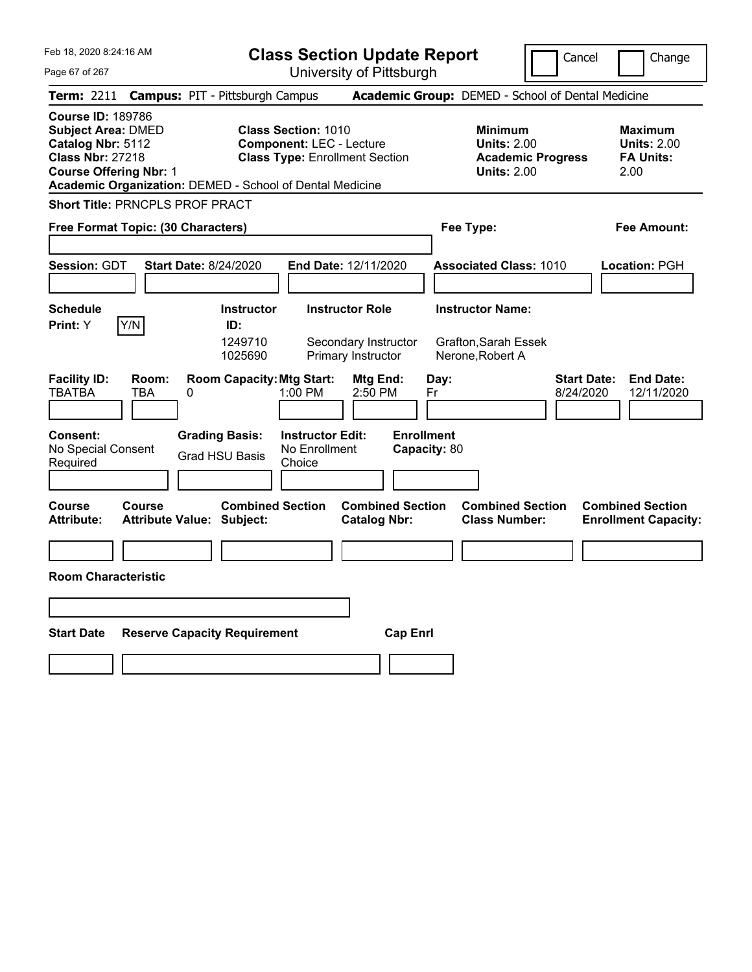**Class Section Update Report** University of Pittsburgh

Cancel Change

Page 67 of 267

**Term:** 2211 **Campus:** PIT - Pittsburgh Campus **Academic Group:** DEMED - School of Dental Medicine **Course ID:** 189786 **Subject Area:** DMED **Class Section:** 1010 **Minimum Maximum Catalog Nbr:** 5112 **Component:** LEC - Lecture **Units:** 2.00 **Units:** 2.00 **Class Nbr:** 27218 **Class Type:** Enrollment Section **Academic Progress FA Units: Course Offering Nbr:** 1 **Units:** 2.00 2.00 **Academic Organization:** DEMED - School of Dental Medicine **Short Title:** PRNCPLS PROF PRACT **Free Format Topic: (30 Characters) Fee Type: Fee Amount: Session:** GDT **Start Date:** 8/24/2020 **End Date:** 12/11/2020 **Associated Class:** 1010 **Location:** PGH **Schedule Instructor Instructor Role Instructor Name: Print:**  $Y$   $|Y/N|$  **ID:** 1249710 Secondary Instructor Grafton,Sarah Essek 1025690 Primary Instructor Nerone,Robert A **Facility ID: Room: Room Capacity:Mtg Start: Mtg End: Day: Start Date: End Date:** TBATBA TBA 0 1:00 PM 2:50 PM Fr 8/24/2020 12/11/2020 **Consent: Grading Basis: Instructor Edit: Enrollment** No Special Consent Required Grad HSU Basis No Enrollment **Choice Capacity:** 80 **Course Course Combined Section Combined Section Combined Section Combined Section**  Attribute: Attribute Value: Subject: Catalog Nbr: Class Number: Enrollment Capacity: **Room Characteristic Start Date Reserve Capacity Requirement Cap Enrl**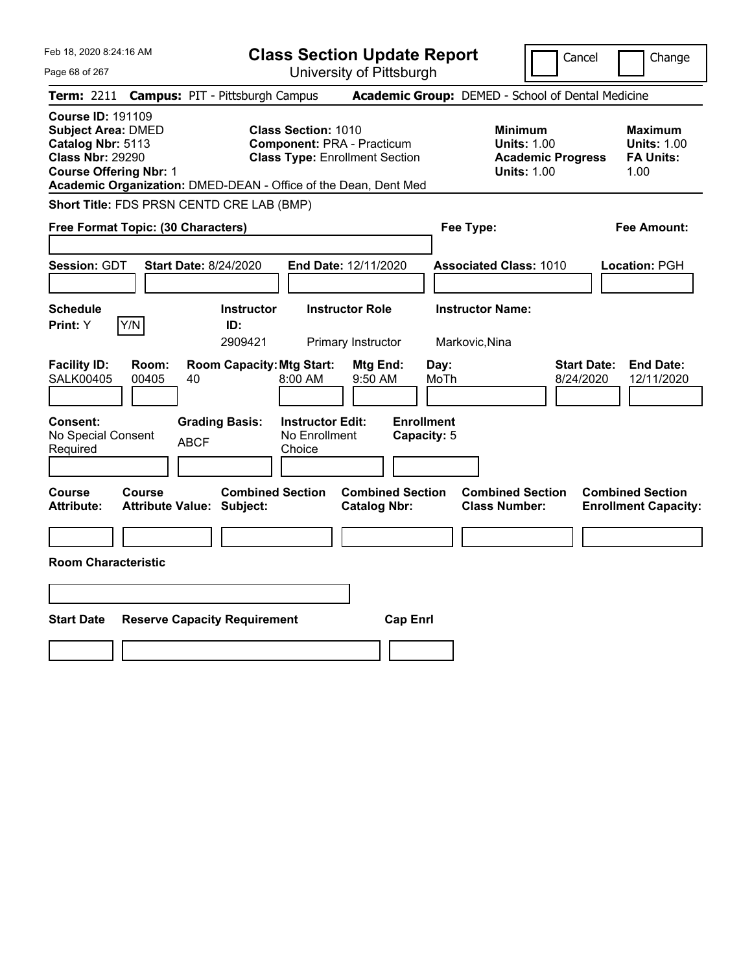| Feb 18, 2020 8:24:16 AM                                                                                                                | <b>Class Section Update Report</b>                                                                                                                                          | Cancel<br>Change                                                                                                                                           |
|----------------------------------------------------------------------------------------------------------------------------------------|-----------------------------------------------------------------------------------------------------------------------------------------------------------------------------|------------------------------------------------------------------------------------------------------------------------------------------------------------|
| Page 68 of 267                                                                                                                         | University of Pittsburgh                                                                                                                                                    |                                                                                                                                                            |
| <b>Campus: PIT - Pittsburgh Campus</b><br><b>Term: 2211</b>                                                                            |                                                                                                                                                                             | Academic Group: DEMED - School of Dental Medicine                                                                                                          |
| <b>Course ID: 191109</b><br><b>Subject Area: DMED</b><br>Catalog Nbr: 5113<br><b>Class Nbr: 29290</b><br><b>Course Offering Nbr: 1</b> | <b>Class Section: 1010</b><br><b>Component: PRA - Practicum</b><br><b>Class Type: Enrollment Section</b><br>Academic Organization: DMED-DEAN - Office of the Dean, Dent Med | <b>Minimum</b><br><b>Maximum</b><br><b>Units: 1.00</b><br><b>Units: 1.00</b><br><b>Academic Progress</b><br><b>FA Units:</b><br><b>Units: 1.00</b><br>1.00 |
| Short Title: FDS PRSN CENTD CRE LAB (BMP)                                                                                              |                                                                                                                                                                             |                                                                                                                                                            |
| Free Format Topic: (30 Characters)                                                                                                     | Fee Type:                                                                                                                                                                   | Fee Amount:                                                                                                                                                |
| Session: GDT<br><b>Start Date: 8/24/2020</b>                                                                                           | End Date: 12/11/2020                                                                                                                                                        | <b>Associated Class: 1010</b><br>Location: PGH                                                                                                             |
| <b>Schedule</b><br>Y/N<br>Print: Y<br>ID:                                                                                              | <b>Instructor Role</b><br><b>Instructor</b><br>2909421<br>Primary Instructor<br>Markovic, Nina                                                                              | <b>Instructor Name:</b>                                                                                                                                    |
| <b>Facility ID:</b><br>Room:<br><b>SALK00405</b><br>00405<br>40                                                                        | <b>Room Capacity: Mtg Start:</b><br>Day:<br>Mtg End:<br>8:00 AM<br>$9:50$ AM<br>MoTh                                                                                        | <b>Start Date:</b><br><b>End Date:</b><br>8/24/2020<br>12/11/2020                                                                                          |
| Consent:<br><b>Grading Basis:</b><br>No Special Consent<br><b>ABCF</b><br>Required                                                     | <b>Enrollment</b><br><b>Instructor Edit:</b><br>No Enrollment<br>Capacity: 5<br>Choice                                                                                      |                                                                                                                                                            |
| Course<br><b>Course</b><br><b>Attribute:</b><br><b>Attribute Value: Subject:</b>                                                       | <b>Combined Section</b><br><b>Combined Section</b><br><b>Catalog Nbr:</b>                                                                                                   | <b>Combined Section</b><br><b>Combined Section</b><br><b>Class Number:</b><br><b>Enrollment Capacity:</b>                                                  |
| <b>Room Characteristic</b>                                                                                                             |                                                                                                                                                                             |                                                                                                                                                            |
|                                                                                                                                        |                                                                                                                                                                             |                                                                                                                                                            |
|                                                                                                                                        |                                                                                                                                                                             |                                                                                                                                                            |
| <b>Start Date</b><br><b>Reserve Capacity Requirement</b>                                                                               | <b>Cap Enrl</b>                                                                                                                                                             |                                                                                                                                                            |
|                                                                                                                                        |                                                                                                                                                                             |                                                                                                                                                            |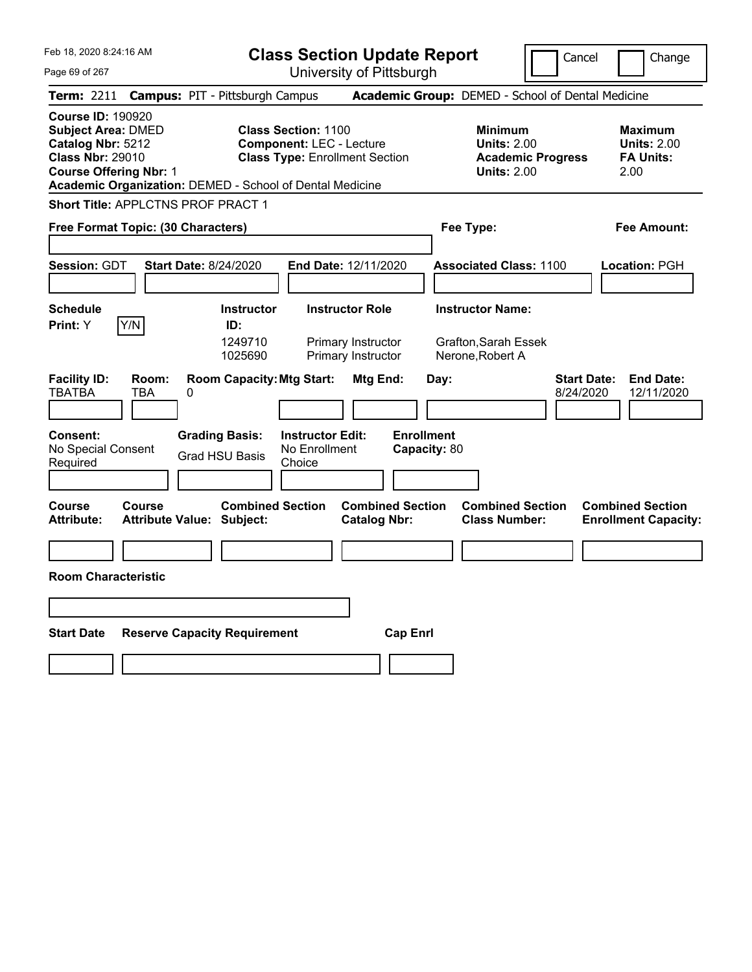**Class Section Update Report**

University of Pittsburgh

Cancel Change

| Page 69 of 267 |  |  |  |
|----------------|--|--|--|
|----------------|--|--|--|

|                                                                                                                                        |                     | <b>Term: 2211 Campus: PIT - Pittsburgh Campus</b>           |                                                                                                        |                                                |                                   |      | <b>Academic Group:</b> DEMED - School of Dental Medicine                               |           |                                                                  |
|----------------------------------------------------------------------------------------------------------------------------------------|---------------------|-------------------------------------------------------------|--------------------------------------------------------------------------------------------------------|------------------------------------------------|-----------------------------------|------|----------------------------------------------------------------------------------------|-----------|------------------------------------------------------------------|
| <b>Course ID: 190920</b><br><b>Subject Area: DMED</b><br>Catalog Nbr: 5212<br><b>Class Nbr: 29010</b><br><b>Course Offering Nbr: 1</b> |                     | Academic Organization: DEMED - School of Dental Medicine    | <b>Class Section: 1100</b><br><b>Component: LEC - Lecture</b><br><b>Class Type: Enrollment Section</b> |                                                |                                   |      | <b>Minimum</b><br><b>Units: 2.00</b><br><b>Academic Progress</b><br><b>Units: 2.00</b> |           | <b>Maximum</b><br><b>Units: 2.00</b><br><b>FA Units:</b><br>2.00 |
|                                                                                                                                        |                     | Short Title: APPLCTNS PROF PRACT 1                          |                                                                                                        |                                                |                                   |      |                                                                                        |           |                                                                  |
| Free Format Topic: (30 Characters)                                                                                                     |                     |                                                             |                                                                                                        |                                                |                                   |      | Fee Type:                                                                              |           | <b>Fee Amount:</b>                                               |
|                                                                                                                                        |                     |                                                             |                                                                                                        |                                                |                                   |      |                                                                                        |           |                                                                  |
| Session: GDT                                                                                                                           |                     | <b>Start Date: 8/24/2020</b>                                | End Date: 12/11/2020                                                                                   |                                                |                                   |      | <b>Associated Class: 1100</b>                                                          |           | Location: PGH                                                    |
|                                                                                                                                        |                     |                                                             |                                                                                                        |                                                |                                   |      |                                                                                        |           |                                                                  |
| <b>Schedule</b>                                                                                                                        |                     | <b>Instructor</b>                                           |                                                                                                        | <b>Instructor Role</b>                         |                                   |      | <b>Instructor Name:</b>                                                                |           |                                                                  |
| Print: Y                                                                                                                               | Y/N                 | ID:<br>1249710<br>1025690                                   |                                                                                                        | Primary Instructor<br>Primary Instructor       |                                   |      | Grafton, Sarah Essek<br>Nerone, Robert A                                               |           |                                                                  |
| <b>Facility ID:</b><br><b>TBATBA</b>                                                                                                   | Room:<br><b>TBA</b> | <b>Room Capacity: Mtg Start:</b><br>0                       |                                                                                                        | Mtg End:                                       |                                   | Day: |                                                                                        | 8/24/2020 | <b>Start Date:</b><br><b>End Date:</b><br>12/11/2020             |
| Consent:<br>No Special Consent<br>Required                                                                                             |                     | <b>Grading Basis:</b><br><b>Grad HSU Basis</b>              | <b>Instructor Edit:</b><br>No Enrollment<br>Choice                                                     |                                                | <b>Enrollment</b><br>Capacity: 80 |      |                                                                                        |           |                                                                  |
| <b>Course</b><br>Attribute:                                                                                                            | Course              | <b>Combined Section</b><br><b>Attribute Value: Subject:</b> |                                                                                                        | <b>Combined Section</b><br><b>Catalog Nbr:</b> |                                   |      | <b>Combined Section</b><br><b>Class Number:</b>                                        |           | <b>Combined Section</b><br><b>Enrollment Capacity:</b>           |
| <b>Room Characteristic</b>                                                                                                             |                     |                                                             |                                                                                                        |                                                |                                   |      |                                                                                        |           |                                                                  |
|                                                                                                                                        |                     |                                                             |                                                                                                        |                                                |                                   |      |                                                                                        |           |                                                                  |
| <b>Start Date</b>                                                                                                                      |                     | <b>Reserve Capacity Requirement</b>                         |                                                                                                        |                                                | <b>Cap Enrl</b>                   |      |                                                                                        |           |                                                                  |
|                                                                                                                                        |                     |                                                             |                                                                                                        |                                                |                                   |      |                                                                                        |           |                                                                  |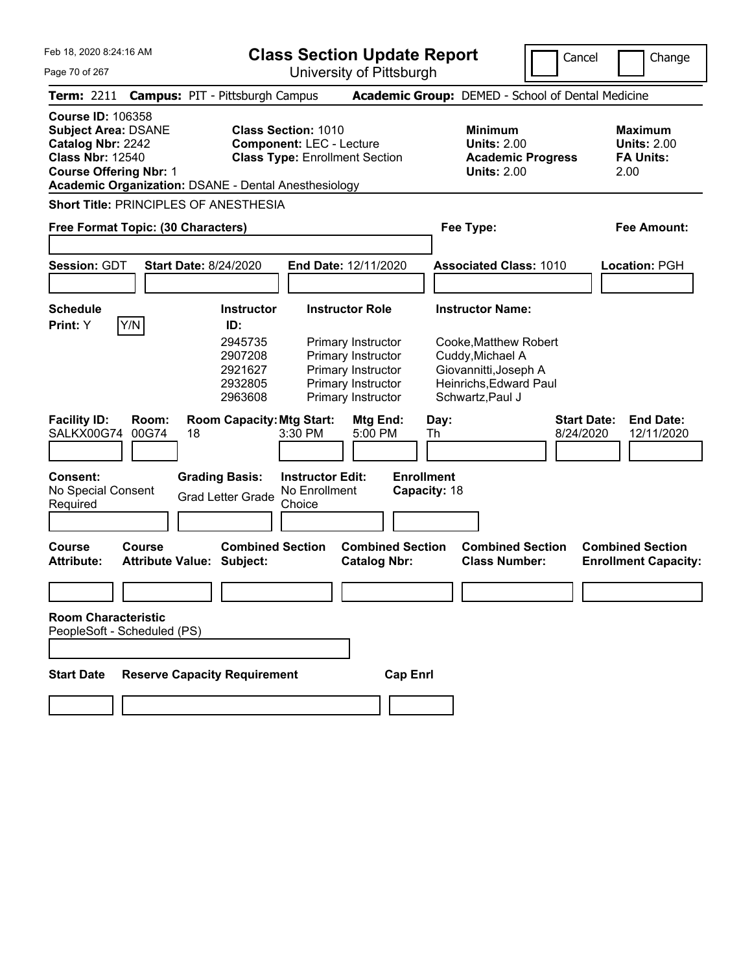**Class Section Update Report**

University of Pittsburgh

Cancel **Change** 

Page 70 of 267

| Term: 2211 Campus: PIT - Pittsburgh Campus                                                                                                                                                             |                                  |                                                     |                                                               |                                                                                                                   | Academic Group: DEMED - School of Dental Medicine                                                                |                          |                                                                  |
|--------------------------------------------------------------------------------------------------------------------------------------------------------------------------------------------------------|----------------------------------|-----------------------------------------------------|---------------------------------------------------------------|-------------------------------------------------------------------------------------------------------------------|------------------------------------------------------------------------------------------------------------------|--------------------------|------------------------------------------------------------------|
| <b>Course ID: 106358</b><br><b>Subject Area: DSANE</b><br>Catalog Nbr: 2242<br><b>Class Nbr: 12540</b><br><b>Course Offering Nbr: 1</b><br><b>Academic Organization: DSANE - Dental Anesthesiology</b> |                                  |                                                     | <b>Class Section: 1010</b><br><b>Component: LEC - Lecture</b> | <b>Class Type: Enrollment Section</b>                                                                             | <b>Minimum</b><br><b>Units: 2.00</b><br><b>Units: 2.00</b>                                                       | <b>Academic Progress</b> | <b>Maximum</b><br><b>Units: 2.00</b><br><b>FA Units:</b><br>2.00 |
| Short Title: PRINCIPLES OF ANESTHESIA                                                                                                                                                                  |                                  |                                                     |                                                               |                                                                                                                   |                                                                                                                  |                          |                                                                  |
| Free Format Topic: (30 Characters)                                                                                                                                                                     |                                  |                                                     |                                                               |                                                                                                                   | Fee Type:                                                                                                        |                          | Fee Amount:                                                      |
| <b>Session: GDT</b>                                                                                                                                                                                    | <b>Start Date: 8/24/2020</b>     |                                                     |                                                               | End Date: 12/11/2020                                                                                              | <b>Associated Class: 1010</b>                                                                                    |                          | Location: PGH                                                    |
|                                                                                                                                                                                                        |                                  |                                                     |                                                               |                                                                                                                   |                                                                                                                  |                          |                                                                  |
| <b>Schedule</b><br>Y/N<br>Print: Y                                                                                                                                                                     |                                  | <b>Instructor</b><br>ID:                            |                                                               | <b>Instructor Role</b>                                                                                            | <b>Instructor Name:</b>                                                                                          |                          |                                                                  |
|                                                                                                                                                                                                        |                                  | 2945735<br>2907208<br>2921627<br>2932805<br>2963608 |                                                               | <b>Primary Instructor</b><br>Primary Instructor<br>Primary Instructor<br>Primary Instructor<br>Primary Instructor | Cooke, Matthew Robert<br>Cuddy, Michael A<br>Giovannitti, Joseph A<br>Heinrichs, Edward Paul<br>Schwartz, Paul J |                          |                                                                  |
| <b>Facility ID:</b><br>SALKX00G74                                                                                                                                                                      | Room:<br>00G74<br>18             | <b>Room Capacity: Mtg Start:</b>                    | 3:30 PM                                                       | Mtg End:<br>5:00 PM                                                                                               | Day:<br>Th                                                                                                       | 8/24/2020                | <b>Start Date:</b><br><b>End Date:</b><br>12/11/2020             |
| Consent:<br>No Special Consent<br>Required                                                                                                                                                             |                                  | <b>Grading Basis:</b><br><b>Grad Letter Grade</b>   | <b>Instructor Edit:</b><br>No Enrollment<br>Choice            |                                                                                                                   | <b>Enrollment</b><br>Capacity: 18                                                                                |                          |                                                                  |
| <b>Course</b><br><b>Course</b><br><b>Attribute:</b>                                                                                                                                                    | <b>Attribute Value: Subject:</b> | <b>Combined Section</b>                             |                                                               | <b>Combined Section</b><br><b>Catalog Nbr:</b>                                                                    | <b>Class Number:</b>                                                                                             | <b>Combined Section</b>  | <b>Combined Section</b><br><b>Enrollment Capacity:</b>           |
|                                                                                                                                                                                                        |                                  |                                                     |                                                               |                                                                                                                   |                                                                                                                  |                          |                                                                  |
| <b>Room Characteristic</b><br>PeopleSoft - Scheduled (PS)                                                                                                                                              |                                  |                                                     |                                                               |                                                                                                                   |                                                                                                                  |                          |                                                                  |
| <b>Start Date</b>                                                                                                                                                                                      |                                  | <b>Reserve Capacity Requirement</b>                 |                                                               | <b>Cap Enrl</b>                                                                                                   |                                                                                                                  |                          |                                                                  |
|                                                                                                                                                                                                        |                                  |                                                     |                                                               |                                                                                                                   |                                                                                                                  |                          |                                                                  |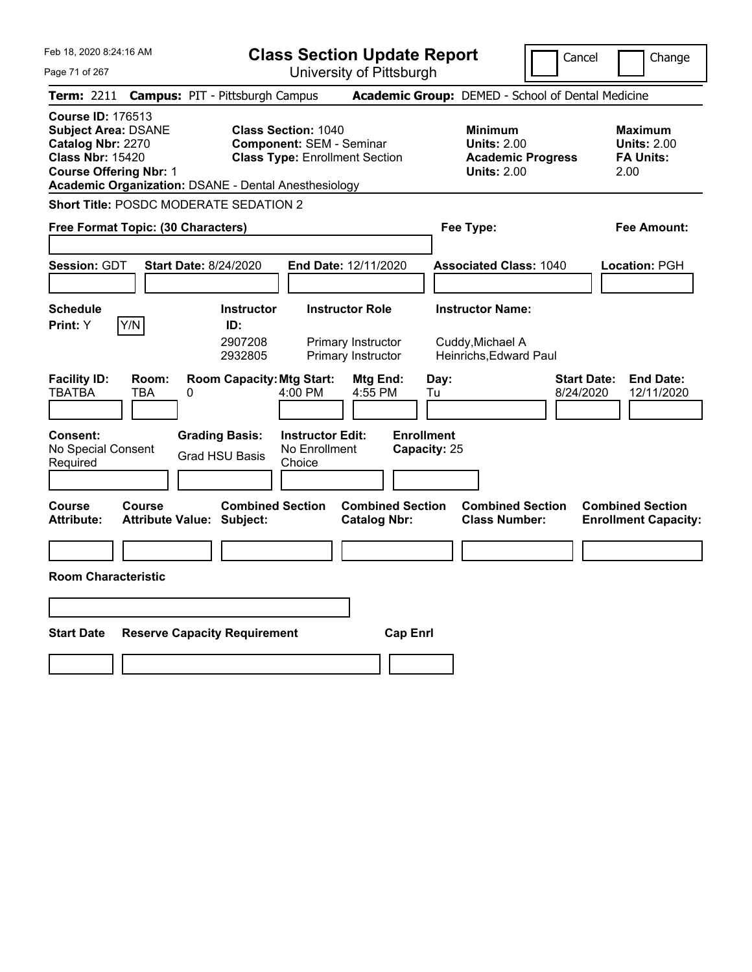|  | Feb 18, 2020 8:24:16 AM |  |
|--|-------------------------|--|
|  |                         |  |

**Class Section Update Report**

Cancel **Change** 

| Page 71 of 267                                                                                                                          | University of Pittsburgh                                                                                                                                       |                                                                                        |                                                                  |
|-----------------------------------------------------------------------------------------------------------------------------------------|----------------------------------------------------------------------------------------------------------------------------------------------------------------|----------------------------------------------------------------------------------------|------------------------------------------------------------------|
| <b>Term: 2211</b>                                                                                                                       | <b>Campus: PIT - Pittsburgh Campus</b>                                                                                                                         | Academic Group: DEMED - School of Dental Medicine                                      |                                                                  |
| <b>Course ID: 176513</b><br><b>Subject Area: DSANE</b><br>Catalog Nbr: 2270<br><b>Class Nbr: 15420</b><br><b>Course Offering Nbr: 1</b> | <b>Class Section: 1040</b><br><b>Component: SEM - Seminar</b><br><b>Class Type: Enrollment Section</b><br>Academic Organization: DSANE - Dental Anesthesiology | <b>Minimum</b><br><b>Units: 2.00</b><br><b>Academic Progress</b><br><b>Units: 2.00</b> | <b>Maximum</b><br><b>Units: 2.00</b><br><b>FA Units:</b><br>2.00 |
| <b>Short Title: POSDC MODERATE SEDATION 2</b>                                                                                           |                                                                                                                                                                |                                                                                        |                                                                  |
| Free Format Topic: (30 Characters)                                                                                                      |                                                                                                                                                                | Fee Type:                                                                              | Fee Amount:                                                      |
| Session: GDT                                                                                                                            | <b>Start Date: 8/24/2020</b><br>End Date: 12/11/2020                                                                                                           | <b>Associated Class: 1040</b>                                                          | Location: PGH                                                    |
| <b>Schedule</b><br>Print: Y<br>Y/N                                                                                                      | <b>Instructor Role</b><br><b>Instructor</b><br>ID:<br>2907208<br>Primary Instructor<br>2932805<br>Primary Instructor                                           | <b>Instructor Name:</b><br>Cuddy, Michael A<br>Heinrichs, Edward Paul                  |                                                                  |
| <b>Facility ID:</b><br>Room:<br><b>TBATBA</b><br>TBA                                                                                    | <b>Room Capacity: Mtg Start:</b><br>Mtg End:<br>4:00 PM<br>4:55 PM<br>0                                                                                        | <b>Start Date:</b><br>Day:<br>Tu<br>8/24/2020                                          | <b>End Date:</b><br>12/11/2020                                   |
| <b>Consent:</b><br>No Special Consent<br>Required                                                                                       | <b>Grading Basis:</b><br><b>Instructor Edit:</b><br>No Enrollment<br><b>Grad HSU Basis</b><br>Choice                                                           | <b>Enrollment</b><br>Capacity: 25                                                      |                                                                  |
| Course<br>Course<br><b>Attribute:</b>                                                                                                   | <b>Combined Section</b><br><b>Combined Section</b><br>Attribute Value: Subject:<br><b>Catalog Nbr:</b>                                                         | <b>Combined Section</b><br><b>Class Number:</b>                                        | <b>Combined Section</b><br><b>Enrollment Capacity:</b>           |
|                                                                                                                                         |                                                                                                                                                                |                                                                                        |                                                                  |
| <b>Room Characteristic</b>                                                                                                              |                                                                                                                                                                |                                                                                        |                                                                  |
|                                                                                                                                         |                                                                                                                                                                |                                                                                        |                                                                  |
| <b>Start Date</b><br><b>Reserve Capacity Requirement</b><br><b>Cap Enrl</b>                                                             |                                                                                                                                                                |                                                                                        |                                                                  |
|                                                                                                                                         |                                                                                                                                                                |                                                                                        |                                                                  |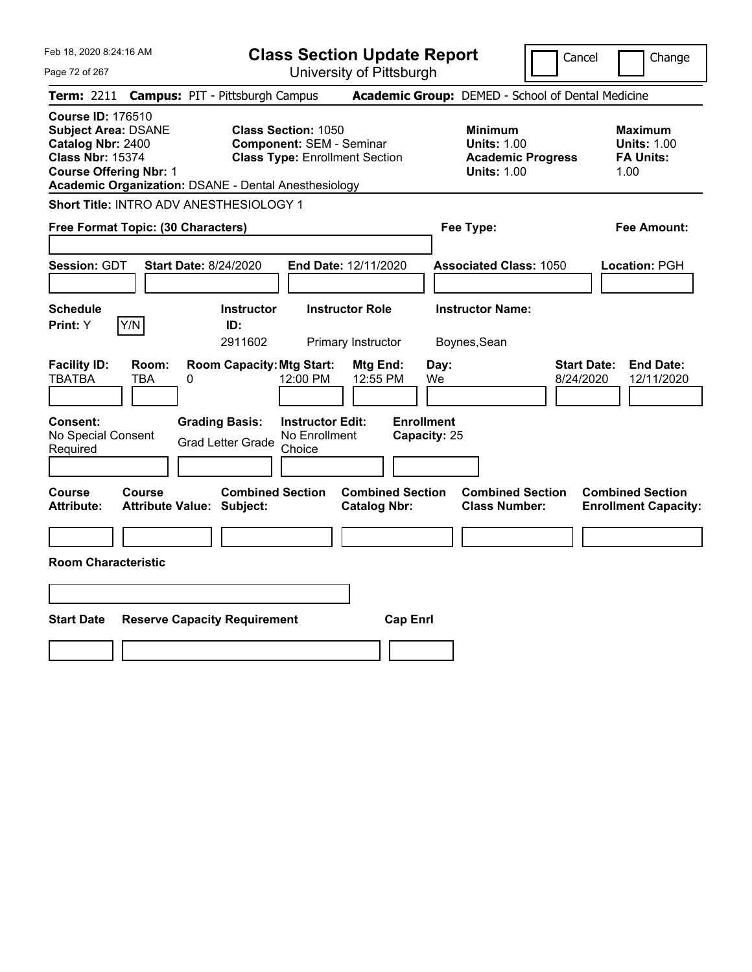Feb 18, 2020 8:24:16 AM Page 72 of 267 **Class Section Update Report** University of Pittsburgh Cancel | Change **Term:** 2211 **Campus:** PIT - Pittsburgh Campus **Academic Group:** DEMED - School of Dental Medicine **Course ID:** 176510 **Subject Area:** DSANE **Class Section:** 1050 **Minimum Maximum Catalog Nbr: 2400 Component: SEM - Seminar <b>Component: SEM - Seminar Units: 1.00 Units: 1.00 Class Nbr: 15374 Class Type: Enrollment Section Academic Progress FA Units: Class Type: Enrollment Section <b>Academic Progress FA Units: Course Offering Nbr: 1 1.00 1.00 1.00 1.00 1.00 1.00 1.00 1.00 1.00 Academic Organization:** DSANE - Dental Anesthesiology **Short Title:** INTRO ADV ANESTHESIOLOGY 1 **Free Format Topic: (30 Characters) Fee Type: Fee Amount: Session:** GDT **Start Date:** 8/24/2020 **End Date:** 12/11/2020 **Associated Class:** 1050 **Location:** PGH **Schedule Instructor Instructor Role Instructor Name: Print:**  $Y$   $|Y/N|$  **ID:** 2911602 Primary Instructor Boynes,Sean **Facility ID: Room: Room Capacity:Mtg Start: Mtg End: Day: Start Date: End Date:** TBATBA TBA 0 12:00 PM 12:55 PM We 8/24/2020 12/11/2020 **Consent: Grading Basis: Instructor Edit: Enrollment** No Special Consent No Special Consent Grad Letter Grade No Enrollment<br>Required Choice Choice **Capacity:** 25 **Course Course Combined Section Combined Section Combined Section Combined Section Attribute: Attribute Value: Subject: Catalog Nbr: Class Number: Enrollment Capacity: Room Characteristic Start Date Reserve Capacity Requirement Cap Enrl**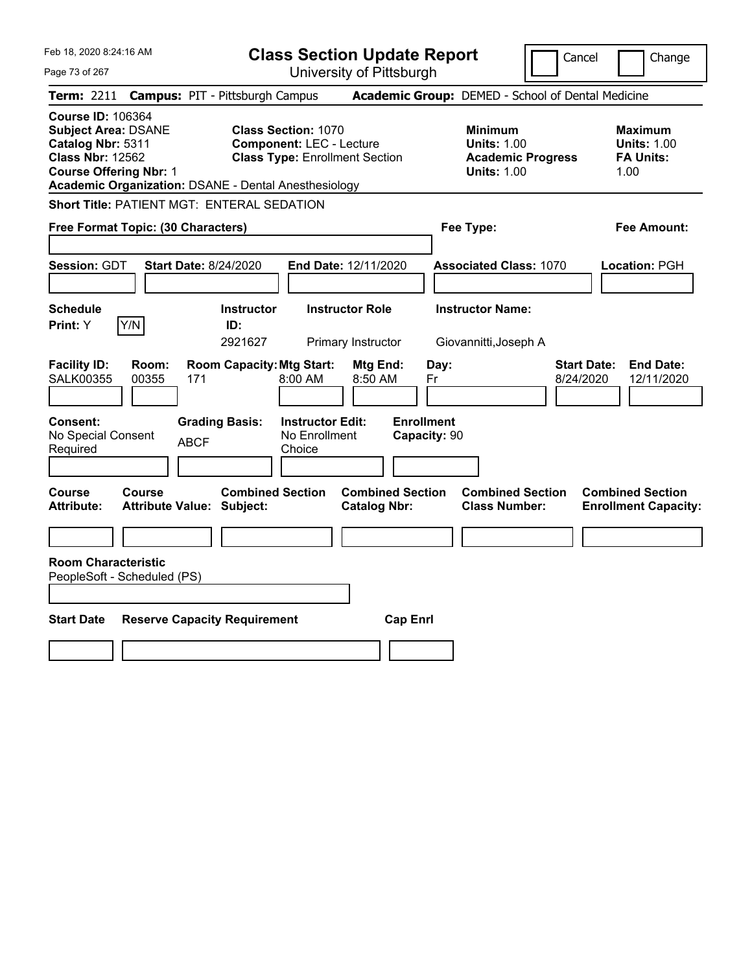Feb 18, 2020 8:24:16 AM Page 73 of 267 **Class Section Update Report** University of Pittsburgh Cancel | Change **Term:** 2211 **Campus:** PIT - Pittsburgh Campus **Academic Group:** DEMED - School of Dental Medicine **Course ID:** 106364 **Subject Area:** DSANE **Class Section:** 1070 **Minimum Maximum Catalog Nbr:** 5311 **Component:** LEC - Lecture **Units:** 1.00 **Units:** 1.00 **Class Nbr:** 12562 **Class Type:** Enrollment Section **Academic Progress FA Units: Course Offering Nbr: 1 1.00 1.00 1.00 1.00 1.00 1.00 1.00 1.00 1.00 Academic Organization:** DSANE - Dental Anesthesiology **Short Title:** PATIENT MGT: ENTERAL SEDATION **Free Format Topic: (30 Characters) Fee Type: Fee Amount: Session:** GDT **Start Date:** 8/24/2020 **End Date:** 12/11/2020 **Associated Class:** 1070 **Location:** PGH **Schedule Instructor Instructor Role Instructor Name: Print:**  $Y$   $|Y/N|$  **ID:** 2921627 Primary Instructor Giovannitti,Joseph A **Facility ID: Room: Room Capacity:Mtg Start: Mtg End: Day: Start Date: End Date:** SALK00355 00355 171 8:00 AM 8:50 AM Fr 8/24/2020 12/11/2020 **Consent: Grading Basis: Instructor Edit: Enrollment** No Special Consent BCF No Enrollment<br>Required ABCF Choice Choice **Capacity:** 90 **Course Course Combined Section Combined Section Combined Section Combined Section Attribute: Attribute Value: Subject: Catalog Nbr: Class Number: Enrollment Capacity: Room Characteristic** PeopleSoft - Scheduled (PS) **Start Date Reserve Capacity Requirement Cap Enrl**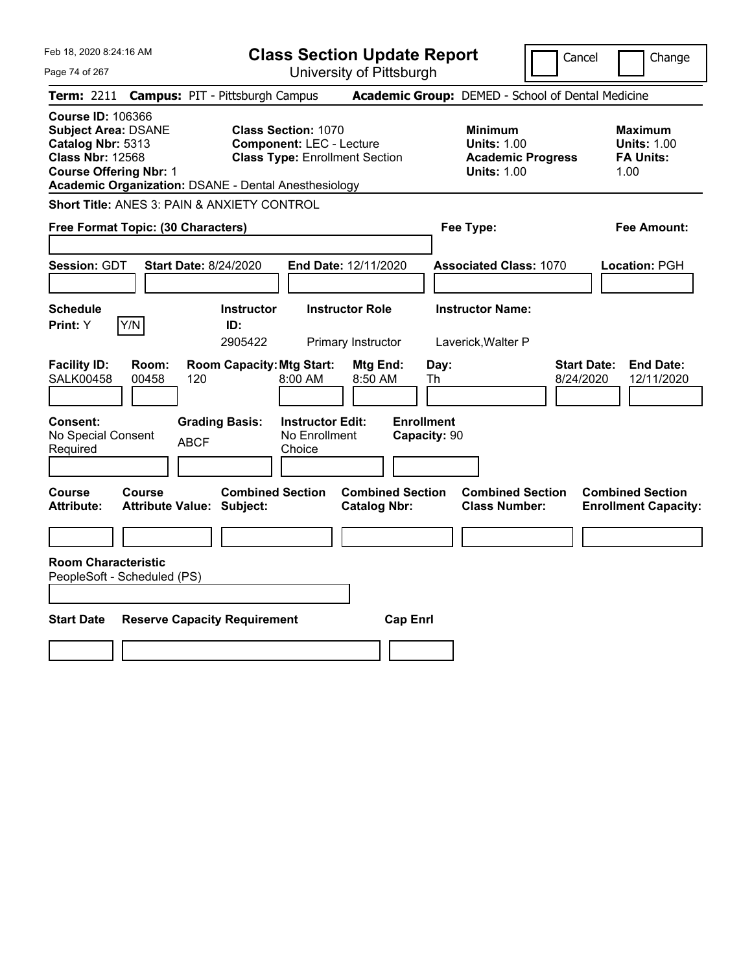Feb 18, 2020 8:24:16 AM Page 74 of 267 **Class Section Update Report** University of Pittsburgh Cancel Change **Term:** 2211 **Campus:** PIT - Pittsburgh Campus **Academic Group:** DEMED - School of Dental Medicine **Course ID:** 106366 **Subject Area:** DSANE **Class Section:** 1070 **Minimum Maximum Catalog Nbr:** 5313 **Component:** LEC - Lecture **Units:** 1.00 **Units:** 1.00 **Class Nbr:** 12568 **Class Type:** Enrollment Section **Academic Progress FA Units: Course Offering Nbr: 1 1.00 1.00 1.00 1.00 1.00 1.00 1.00 1.00 1.00 Academic Organization:** DSANE - Dental Anesthesiology **Short Title:** ANES 3: PAIN & ANXIETY CONTROL **Free Format Topic: (30 Characters) Fee Type: Fee Amount: Session:** GDT **Start Date:** 8/24/2020 **End Date:** 12/11/2020 **Associated Class:** 1070 **Location:** PGH **Schedule Instructor Instructor Role Instructor Name: Print:**  $Y$   $|Y/N|$  **ID:** 2905422 Primary Instructor Laverick,Walter P **Facility ID: Room: Room Capacity:Mtg Start: Mtg End: Day: Start Date: End Date:** SALK00458 00458 120 8:00 AM 8:50 AM Th 8/24/2020 12/11/2020 **Consent: Grading Basis: Instructor Edit: Enrollment** No Special Consent BCF No Enrollment<br>Required ABCF Choice Choice **Capacity:** 90 **Course Course Combined Section Combined Section Combined Section Combined Section Attribute: Attribute Value: Subject: Catalog Nbr: Class Number: Enrollment Capacity: Room Characteristic** PeopleSoft - Scheduled (PS) **Start Date Reserve Capacity Requirement Cap Enrl**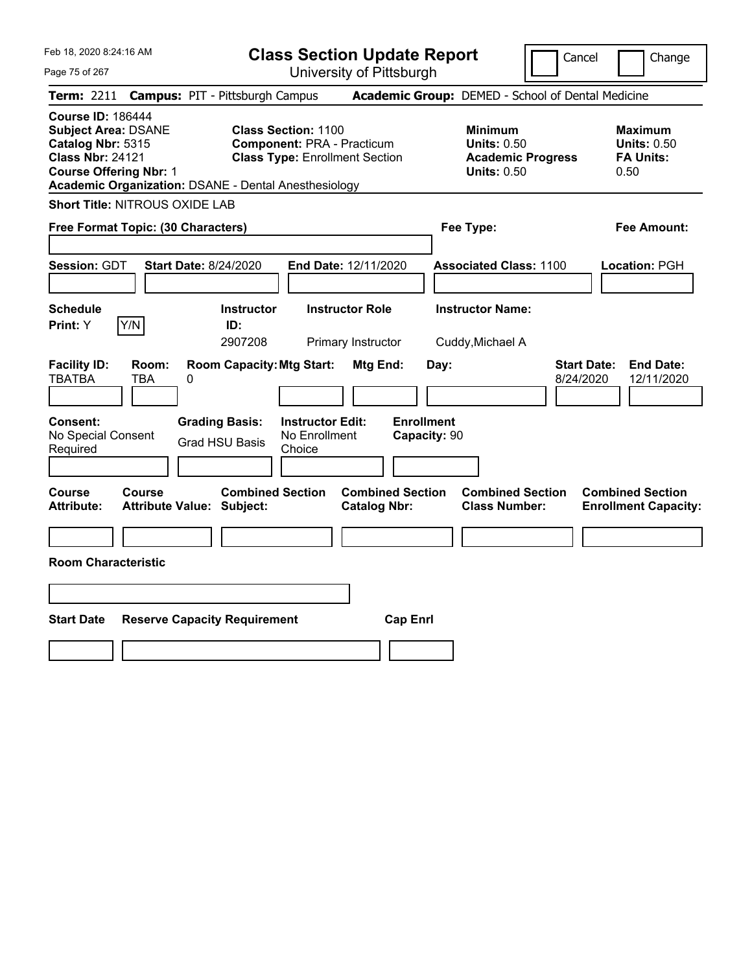**Class Section Update Report** University of Pittsburgh

Cancel Change

Page 75 of 267

|                                                                                                                                                                                                                                                                                                                    |               | Term: 2211 Campus: PIT - Pittsburgh Campus                  |                                                    |                                                                                 |                                   | Academic Group: DEMED - School of Dental Medicine         |                                 |                                                        |
|--------------------------------------------------------------------------------------------------------------------------------------------------------------------------------------------------------------------------------------------------------------------------------------------------------------------|---------------|-------------------------------------------------------------|----------------------------------------------------|---------------------------------------------------------------------------------|-----------------------------------|-----------------------------------------------------------|---------------------------------|--------------------------------------------------------|
| <b>Course ID: 186444</b><br><b>Class Section: 1100</b><br><b>Subject Area: DSANE</b><br>Catalog Nbr: 5315<br><b>Component: PRA - Practicum</b><br><b>Class Nbr: 24121</b><br><b>Class Type: Enrollment Section</b><br><b>Course Offering Nbr: 1</b><br><b>Academic Organization: DSANE - Dental Anesthesiology</b> |               |                                                             |                                                    | Minimum<br><b>Units: 0.50</b><br><b>Academic Progress</b><br><b>Units: 0.50</b> |                                   | Maximum<br><b>Units: 0.50</b><br><b>FA Units:</b><br>0.50 |                                 |                                                        |
| Short Title: NITROUS OXIDE LAB                                                                                                                                                                                                                                                                                     |               |                                                             |                                                    |                                                                                 |                                   |                                                           |                                 |                                                        |
| Free Format Topic: (30 Characters)                                                                                                                                                                                                                                                                                 |               |                                                             |                                                    |                                                                                 | Fee Type:                         |                                                           |                                 | <b>Fee Amount:</b>                                     |
| Session: GDT                                                                                                                                                                                                                                                                                                       |               | <b>Start Date: 8/24/2020</b>                                |                                                    | End Date: 12/11/2020                                                            |                                   | <b>Associated Class: 1100</b>                             |                                 | Location: PGH                                          |
| <b>Schedule</b><br>Print: Y                                                                                                                                                                                                                                                                                        | Y/N           | <b>Instructor</b><br>ID:<br>2907208                         |                                                    | <b>Instructor Role</b><br>Primary Instructor                                    |                                   | <b>Instructor Name:</b><br>Cuddy, Michael A               |                                 |                                                        |
| <b>Facility ID:</b><br>TBATBA                                                                                                                                                                                                                                                                                      | Room:<br>TBA  | <b>Room Capacity: Mtg Start:</b><br>0                       |                                                    | Mtg End:                                                                        | Day:                              |                                                           | <b>Start Date:</b><br>8/24/2020 | <b>End Date:</b><br>12/11/2020                         |
| <b>Consent:</b><br>No Special Consent<br>Required                                                                                                                                                                                                                                                                  |               | <b>Grading Basis:</b><br><b>Grad HSU Basis</b>              | <b>Instructor Edit:</b><br>No Enrollment<br>Choice |                                                                                 | <b>Enrollment</b><br>Capacity: 90 |                                                           |                                 |                                                        |
| <b>Course</b><br><b>Attribute:</b>                                                                                                                                                                                                                                                                                 | <b>Course</b> | <b>Combined Section</b><br><b>Attribute Value: Subject:</b> |                                                    | <b>Combined Section</b><br><b>Catalog Nbr:</b>                                  |                                   | <b>Combined Section</b><br><b>Class Number:</b>           |                                 | <b>Combined Section</b><br><b>Enrollment Capacity:</b> |
| <b>Room Characteristic</b>                                                                                                                                                                                                                                                                                         |               |                                                             |                                                    |                                                                                 |                                   |                                                           |                                 |                                                        |
| <b>Start Date</b>                                                                                                                                                                                                                                                                                                  |               | <b>Reserve Capacity Requirement</b>                         |                                                    | <b>Cap Enrl</b>                                                                 |                                   |                                                           |                                 |                                                        |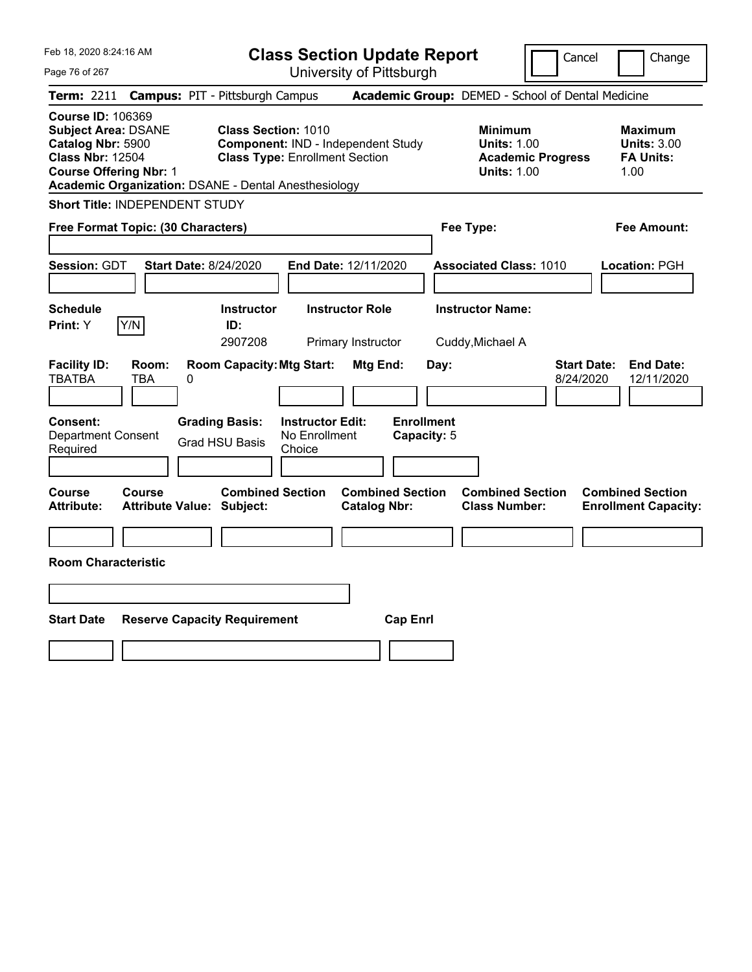Feb 18, 2020 8:24:16 AM Page 76 of 267 **Class Section Update Report** University of Pittsburgh Cancel | Change **Term:** 2211 **Campus:** PIT - Pittsburgh Campus **Academic Group:** DEMED - School of Dental Medicine **Course ID:** 106369 **Subject Area:** DSANE **Class Section:** 1010 **Minimum Maximum Catalog Nbr: 5900 Component:** IND - Independent Study **Units: 1.00 Units: 3.00**<br> **Class Nbr: 12504** Class Type: Enrollment Section **Academic Progress** FA Units: **Class Type: Enrollment Section <b>Academic Progress FA Units: Course Offering Nbr:** 1 **Units:** 1.00 1.00 **Academic Organization:** DSANE - Dental Anesthesiology **Short Title:** INDEPENDENT STUDY **Free Format Topic: (30 Characters) Fee Type: Fee Amount: Session:** GDT **Start Date:** 8/24/2020 **End Date:** 12/11/2020 **Associated Class:** 1010 **Location:** PGH **Schedule Instructor Instructor Role Instructor Name: Print:**  $Y$   $|Y/N|$  **ID:** 2907208 Primary Instructor Cuddy,Michael A **Facility ID: Room: Room Capacity:Mtg Start: Mtg End: Day: Start Date: End Date:** TBATBA TBA 0 8/24/2020 12/11/2020 **Consent: Grading Basis: Instructor Edit: Enrollment** Department Consent Required Grad HSU Basis No Enrollment Choice **Capacity:** 5 **Course Course Combined Section Combined Section Combined Section Combined Section Attribute: Attribute Value: Subject: Catalog Nbr: Class Number: Enrollment Capacity: Room Characteristic Start Date Reserve Capacity Requirement Cap Enrl**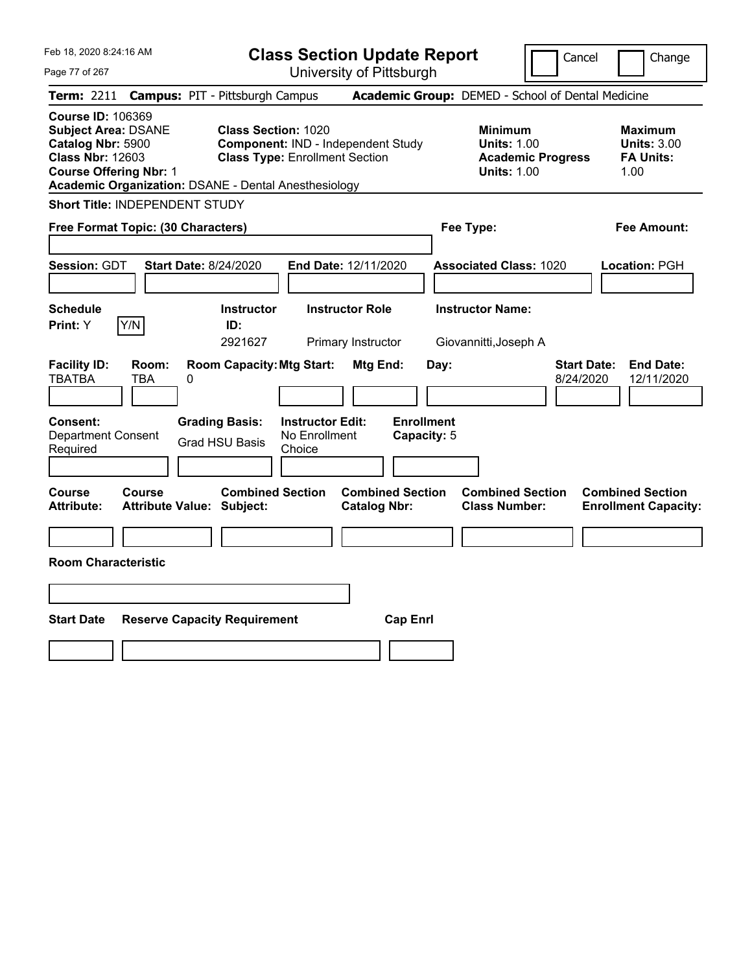|  | Feb 18, 2020 8:24:16 AM |  |
|--|-------------------------|--|
|  |                         |  |

**Class Section Update Report** University of Pittsburgh

Cancel Change

Page 77 of 267

|                                                                                                                                         |                     | Term: 2211 Campus: PIT - Pittsburgh Campus                                                |                                                    |                                                |                                  | Academic Group: DEMED - School of Dental Medicine                                      |                                 |                                                                  |
|-----------------------------------------------------------------------------------------------------------------------------------------|---------------------|-------------------------------------------------------------------------------------------|----------------------------------------------------|------------------------------------------------|----------------------------------|----------------------------------------------------------------------------------------|---------------------------------|------------------------------------------------------------------|
| <b>Course ID: 106369</b><br><b>Subject Area: DSANE</b><br>Catalog Nbr: 5900<br><b>Class Nbr: 12603</b><br><b>Course Offering Nbr: 1</b> |                     | <b>Class Section: 1020</b><br><b>Academic Organization: DSANE - Dental Anesthesiology</b> | <b>Class Type: Enrollment Section</b>              | <b>Component: IND - Independent Study</b>      |                                  | <b>Minimum</b><br><b>Units: 1.00</b><br><b>Academic Progress</b><br><b>Units: 1.00</b> |                                 | <b>Maximum</b><br><b>Units: 3.00</b><br><b>FA Units:</b><br>1.00 |
| <b>Short Title: INDEPENDENT STUDY</b>                                                                                                   |                     |                                                                                           |                                                    |                                                |                                  |                                                                                        |                                 |                                                                  |
|                                                                                                                                         |                     | Free Format Topic: (30 Characters)                                                        |                                                    |                                                |                                  | Fee Type:                                                                              |                                 | <b>Fee Amount:</b>                                               |
| Session: GDT                                                                                                                            |                     | <b>Start Date: 8/24/2020</b>                                                              |                                                    | End Date: 12/11/2020                           |                                  | <b>Associated Class: 1020</b>                                                          |                                 | Location: PGH                                                    |
| <b>Schedule</b><br>Print: Y                                                                                                             | Y/N                 | <b>Instructor</b><br>ID:<br>2921627                                                       |                                                    | <b>Instructor Role</b><br>Primary Instructor   |                                  | <b>Instructor Name:</b><br>Giovannitti, Joseph A                                       |                                 |                                                                  |
| <b>Facility ID:</b><br><b>TBATBA</b>                                                                                                    | Room:<br><b>TBA</b> | <b>Room Capacity: Mtg Start:</b><br>0                                                     |                                                    | Mtg End:                                       | Day:                             |                                                                                        | <b>Start Date:</b><br>8/24/2020 | <b>End Date:</b><br>12/11/2020                                   |
| <b>Consent:</b><br><b>Department Consent</b><br>Required                                                                                |                     | <b>Grading Basis:</b><br><b>Grad HSU Basis</b>                                            | <b>Instructor Edit:</b><br>No Enrollment<br>Choice |                                                | <b>Enrollment</b><br>Capacity: 5 |                                                                                        |                                 |                                                                  |
| <b>Course</b><br><b>Attribute:</b>                                                                                                      | <b>Course</b>       | <b>Combined Section</b><br><b>Attribute Value: Subject:</b>                               |                                                    | <b>Combined Section</b><br><b>Catalog Nbr:</b> |                                  | <b>Combined Section</b><br><b>Class Number:</b>                                        |                                 | <b>Combined Section</b><br><b>Enrollment Capacity:</b>           |
| <b>Room Characteristic</b>                                                                                                              |                     |                                                                                           |                                                    |                                                |                                  |                                                                                        |                                 |                                                                  |
| <b>Start Date</b>                                                                                                                       |                     | <b>Reserve Capacity Requirement</b>                                                       |                                                    | <b>Cap Enrl</b>                                |                                  |                                                                                        |                                 |                                                                  |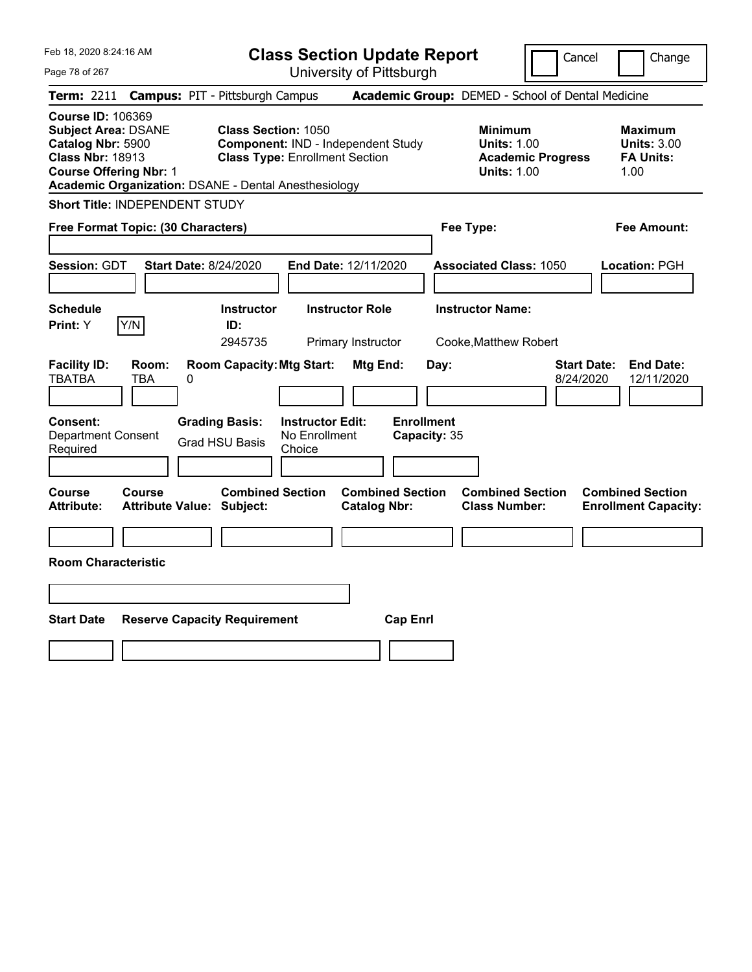|  | Feb 18, 2020 8:24:16 AM |  |
|--|-------------------------|--|
|  |                         |  |

**Class Section Update Report**

Cancel Change

Page 78 of 267

| Term: 2211 Campus: PIT - Pittsburgh Campus                                                                                                                                                                                                                                                                   | Academic Group: DEMED - School of Dental Medicine                                      |                                                                  |
|--------------------------------------------------------------------------------------------------------------------------------------------------------------------------------------------------------------------------------------------------------------------------------------------------------------|----------------------------------------------------------------------------------------|------------------------------------------------------------------|
| <b>Course ID: 106369</b><br><b>Subject Area: DSANE</b><br><b>Class Section: 1050</b><br>Catalog Nbr: 5900<br>Component: IND - Independent Study<br><b>Class Nbr: 18913</b><br><b>Class Type: Enrollment Section</b><br><b>Course Offering Nbr: 1</b><br>Academic Organization: DSANE - Dental Anesthesiology | <b>Minimum</b><br><b>Units: 1.00</b><br><b>Academic Progress</b><br><b>Units: 1.00</b> | <b>Maximum</b><br><b>Units: 3.00</b><br><b>FA Units:</b><br>1.00 |
| <b>Short Title: INDEPENDENT STUDY</b>                                                                                                                                                                                                                                                                        |                                                                                        |                                                                  |
| Free Format Topic: (30 Characters)                                                                                                                                                                                                                                                                           | Fee Type:                                                                              | Fee Amount:                                                      |
| Session: GDT<br><b>Start Date: 8/24/2020</b><br>End Date: 12/11/2020                                                                                                                                                                                                                                         | <b>Associated Class: 1050</b>                                                          | Location: PGH                                                    |
| <b>Instructor Role</b><br><b>Schedule</b><br><b>Instructor</b><br>Y/N<br>ID:<br>Print: Y<br>2945735<br>Primary Instructor                                                                                                                                                                                    | <b>Instructor Name:</b><br>Cooke, Matthew Robert                                       |                                                                  |
| <b>Room Capacity: Mtg Start:</b><br><b>Facility ID:</b><br>Room:<br>Mtg End:<br><b>TBATBA</b><br><b>TBA</b><br>0<br><b>Enrollment</b><br><b>Instructor Edit:</b><br><b>Consent:</b><br><b>Grading Basis:</b><br><b>Department Consent</b><br>No Enrollment<br><b>Grad HSU Basis</b>                          | Day:<br><b>Start Date:</b><br>8/24/2020<br>Capacity: 35                                | <b>End Date:</b><br>12/11/2020                                   |
| Required<br>Choice<br><b>Combined Section</b><br><b>Combined Section</b><br>Course<br>Course<br><b>Attribute:</b><br><b>Attribute Value: Subject:</b><br><b>Catalog Nbr:</b>                                                                                                                                 | <b>Combined Section</b><br><b>Class Number:</b>                                        | <b>Combined Section</b><br><b>Enrollment Capacity:</b>           |
| <b>Room Characteristic</b>                                                                                                                                                                                                                                                                                   |                                                                                        |                                                                  |
|                                                                                                                                                                                                                                                                                                              |                                                                                        |                                                                  |
|                                                                                                                                                                                                                                                                                                              |                                                                                        |                                                                  |
| <b>Start Date</b><br><b>Reserve Capacity Requirement</b><br><b>Cap Enrl</b>                                                                                                                                                                                                                                  |                                                                                        |                                                                  |
|                                                                                                                                                                                                                                                                                                              |                                                                                        |                                                                  |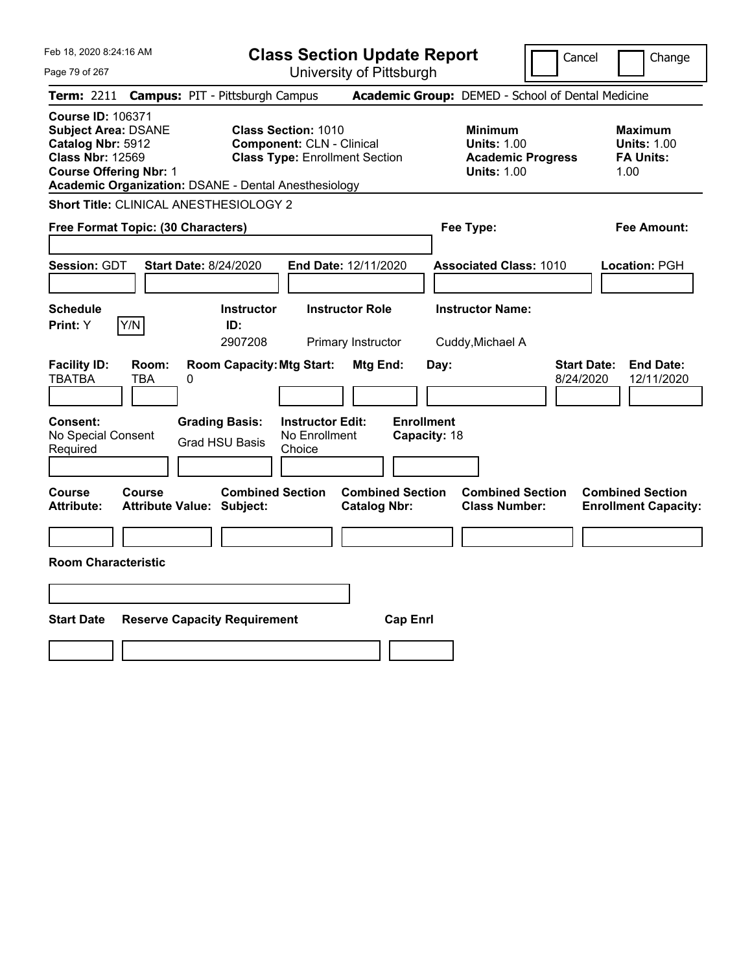|  | Feb 18, 2020 8:24:16 AM |  |
|--|-------------------------|--|
|  |                         |  |

Page 79 of 267

**Class Section Update Report**

Cancel **Change** 

|                                                                                                                                         |                   | Term: 2211 Campus: PIT - Pittsburgh Campus                  |                                                                                                         |                                                |                                   | Academic Group: DEMED - School of Dental Medicine                                      |                                 |                                                                  |
|-----------------------------------------------------------------------------------------------------------------------------------------|-------------------|-------------------------------------------------------------|---------------------------------------------------------------------------------------------------------|------------------------------------------------|-----------------------------------|----------------------------------------------------------------------------------------|---------------------------------|------------------------------------------------------------------|
| <b>Course ID: 106371</b><br><b>Subject Area: DSANE</b><br>Catalog Nbr: 5912<br><b>Class Nbr: 12569</b><br><b>Course Offering Nbr: 1</b> |                   | <b>Academic Organization: DSANE - Dental Anesthesiology</b> | <b>Class Section: 1010</b><br><b>Component: CLN - Clinical</b><br><b>Class Type: Enrollment Section</b> |                                                |                                   | <b>Minimum</b><br><b>Units: 1.00</b><br><b>Academic Progress</b><br><b>Units: 1.00</b> |                                 | <b>Maximum</b><br><b>Units: 1.00</b><br><b>FA Units:</b><br>1.00 |
|                                                                                                                                         |                   | Short Title: CLINICAL ANESTHESIOLOGY 2                      |                                                                                                         |                                                |                                   |                                                                                        |                                 |                                                                  |
| Free Format Topic: (30 Characters)                                                                                                      |                   |                                                             |                                                                                                         |                                                |                                   | Fee Type:                                                                              |                                 | Fee Amount:                                                      |
| <b>Session: GDT</b>                                                                                                                     |                   | <b>Start Date: 8/24/2020</b>                                | End Date: 12/11/2020                                                                                    |                                                |                                   | <b>Associated Class: 1010</b>                                                          |                                 | Location: PGH                                                    |
| <b>Schedule</b><br><b>Print:</b> Y                                                                                                      | Y/N               | <b>Instructor</b><br>ID:<br>2907208                         | <b>Instructor Role</b>                                                                                  | Primary Instructor                             |                                   | <b>Instructor Name:</b><br>Cuddy, Michael A                                            |                                 |                                                                  |
| <b>Facility ID:</b><br><b>TBATBA</b>                                                                                                    | Room:<br>TBA<br>0 | <b>Room Capacity: Mtg Start:</b>                            |                                                                                                         | Mtg End:                                       | Day:                              |                                                                                        | <b>Start Date:</b><br>8/24/2020 | <b>End Date:</b><br>12/11/2020                                   |
| <b>Consent:</b><br>No Special Consent<br>Required                                                                                       |                   | <b>Grading Basis:</b><br><b>Grad HSU Basis</b>              | <b>Instructor Edit:</b><br>No Enrollment<br>Choice                                                      |                                                | <b>Enrollment</b><br>Capacity: 18 |                                                                                        |                                 |                                                                  |
| Course<br><b>Attribute:</b>                                                                                                             | Course            | <b>Combined Section</b><br><b>Attribute Value: Subject:</b> |                                                                                                         | <b>Combined Section</b><br><b>Catalog Nbr:</b> |                                   | <b>Combined Section</b><br><b>Class Number:</b>                                        |                                 | <b>Combined Section</b><br><b>Enrollment Capacity:</b>           |
| <b>Room Characteristic</b>                                                                                                              |                   |                                                             |                                                                                                         |                                                |                                   |                                                                                        |                                 |                                                                  |
|                                                                                                                                         |                   |                                                             |                                                                                                         |                                                |                                   |                                                                                        |                                 |                                                                  |
| <b>Start Date</b>                                                                                                                       |                   | <b>Reserve Capacity Requirement</b>                         |                                                                                                         | <b>Cap Enrl</b>                                |                                   |                                                                                        |                                 |                                                                  |
|                                                                                                                                         |                   |                                                             |                                                                                                         |                                                |                                   |                                                                                        |                                 |                                                                  |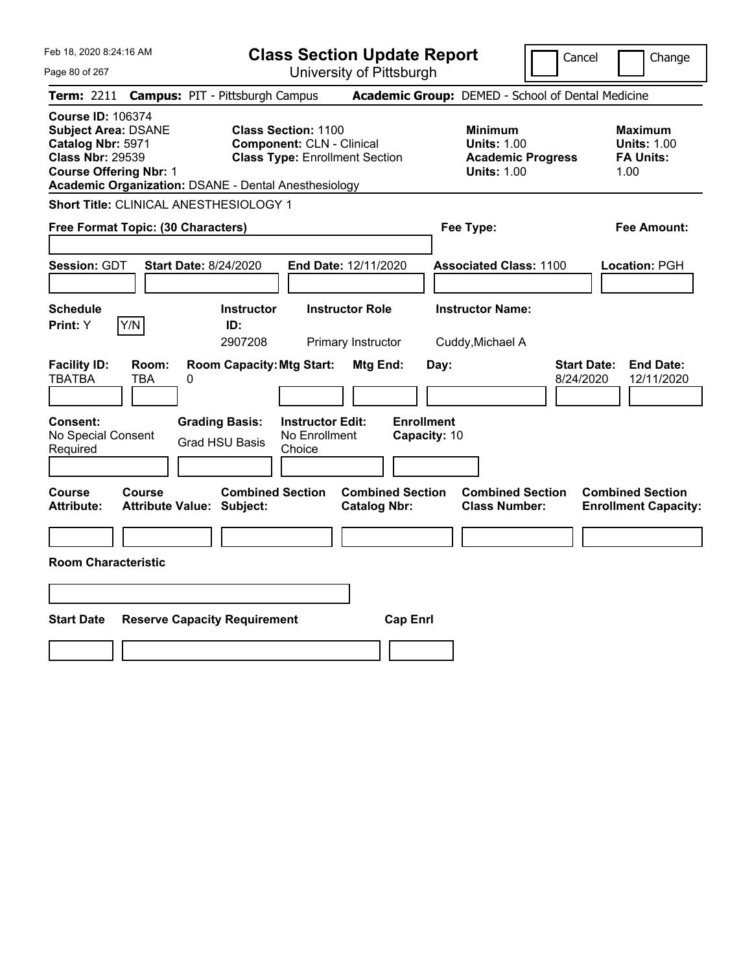Feb 18, 2020 8:24:16 AM Page 80 of 267 **Class Section Update Report** University of Pittsburgh Cancel | Change **Term:** 2211 **Campus:** PIT - Pittsburgh Campus **Academic Group:** DEMED - School of Dental Medicine **Course ID:** 106374 **Subject Area:** DSANE **Class Section:** 1100 **Minimum Maximum Catalog Nbr: 5971 Component: CLN - Clinical <b>Units: 1.00** Units: 1.00 **Units: 1.00**<br> **Class Nbr: 29539 Class Type: Enrollment Section Academic Progress FA Units: Class Type: Enrollment Section <b>Academic Progress FA Units: Course Offering Nbr: 1 1.00 1.00 1.00 1.00 1.00 1.00 1.00 1.00 1.00 Academic Organization:** DSANE - Dental Anesthesiology **Short Title:** CLINICAL ANESTHESIOLOGY 1 **Free Format Topic: (30 Characters) Fee Type: Fee Amount: Session:** GDT **Start Date:** 8/24/2020 **End Date:** 12/11/2020 **Associated Class:** 1100 **Location:** PGH **Schedule Instructor Instructor Role Instructor Name: Print:**  $Y$   $|Y/N|$  **ID:** 2907208 Primary Instructor Cuddy,Michael A **Facility ID: Room: Room Capacity:Mtg Start: Mtg End: Day: Start Date: End Date:** TBATBA TBA 0 8/24/2020 12/11/2020 **Consent: Grading Basis: Instructor Edit: Enrollment** No Special Consent Required Grad HSU Basis No Enrollment Choice **Capacity:** 10 **Course Course Combined Section Combined Section Combined Section Combined Section Attribute: Attribute Value: Subject: Catalog Nbr: Class Number: Enrollment Capacity: Room Characteristic Start Date Reserve Capacity Requirement Cap Enrl**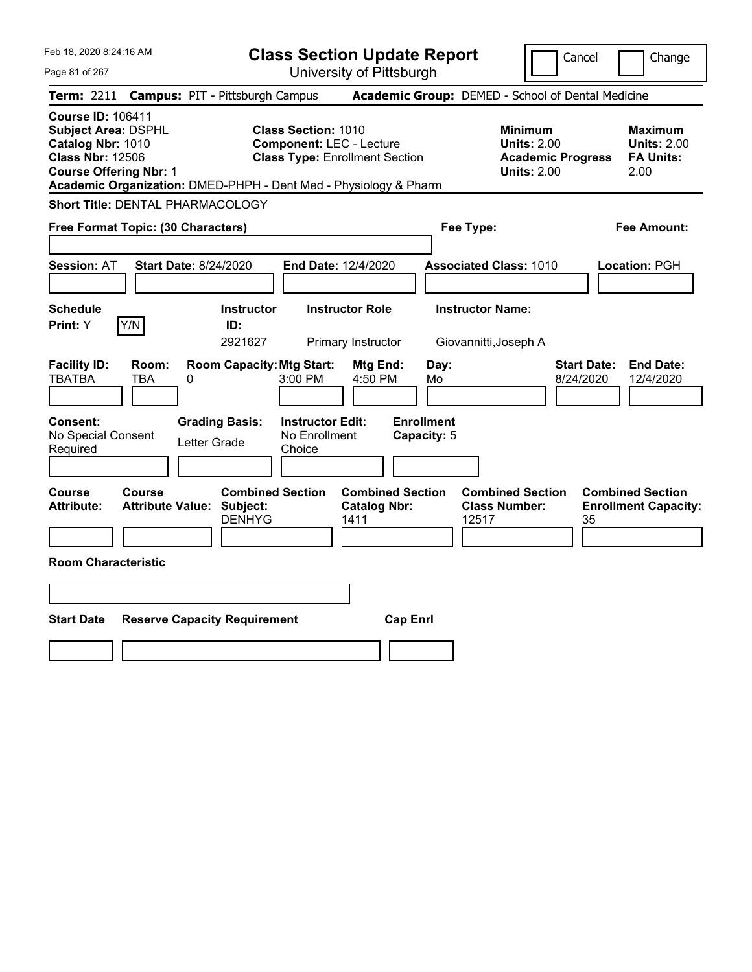Feb 18, 2020 8:24:16 AM Page 81 of 267 **Class Section Update Report** University of Pittsburgh Cancel | Change **Term:** 2211 **Campus:** PIT - Pittsburgh Campus **Academic Group:** DEMED - School of Dental Medicine **Course ID:** 106411 **Subject Area:** DSPHL **Class Section:** 1010 **Minimum Maximum Catalog Nbr:** 1010 **Component:** LEC - Lecture **Units: 2.00** Units: 2.00 **Units: 2.00**<br>**Class Type:** Enrollment Section **Academic Progress** FA Units: **Class Type: Enrollment Section <b>Academic Progress FA Units: Course Offering Nbr:** 1 **Units:** 2.00 2.00 **Academic Organization:** DMED-PHPH - Dent Med - Physiology & Pharm **Short Title:** DENTAL PHARMACOLOGY **Free Format Topic: (30 Characters) Fee Type: Fee Amount: Session:** AT **Start Date:** 8/24/2020 **End Date:** 12/4/2020 **Associated Class:** 1010 **Location:** PGH **Schedule Instructor Instructor Role Instructor Name: Print:**  $Y$   $|Y/N|$  **ID:** 2921627 Primary Instructor Giovannitti,Joseph A **Facility ID: Room: Room Capacity:Mtg Start: Mtg End: Day: Start Date: End Date:** TBATBA TBA 0 3:00 PM 4:50 PM Mo 8/24/2020 12/4/2020 **Consent: Grading Basis: Instructor Edit: Enrollment** No Special Consent Required Letter Grade No Enrollment Choice **Capacity:** 5 **Course Course Combined Section Combined Section Combined Section Combined Section Attribute: Attribute Value: Subject: Catalog Nbr: Class Number: Enrollment Capacity:**  DENHYG 1411 12517 35 **Room Characteristic Start Date Reserve Capacity Requirement Cap Enrl**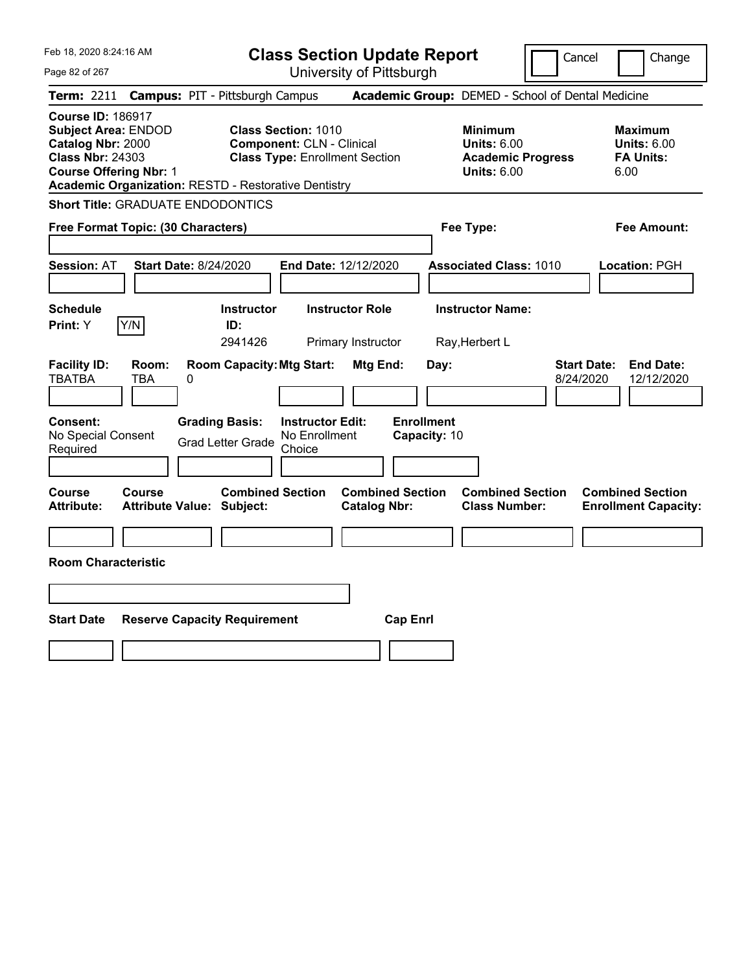|  | Feb 18, 2020 8:24:16 AM |  |
|--|-------------------------|--|
|  |                         |  |

**Class Section Update Report**

Cancel | Change

Page 82 of 267 University of Pittsburgh **Term:** 2211 **Campus:** PIT - Pittsburgh Campus **Academic Group:** DEMED - School of Dental Medicine **Course ID:** 186917 **Subject Area:** ENDOD **Class Section:** 1010 **Minimum Maximum Catalog Nbr:** 2000 **Component:** CLN - Clinical **Units:** 6.00 **Units:** 6.00 **Class Nbr:** 24303 **Class Type:** Enrollment Section **Academic Progress FA Units: Course Offering Nbr:** 1 **Units:** 6.00 6.00 **Academic Organization:** RESTD - Restorative Dentistry **Short Title:** GRADUATE ENDODONTICS **Free Format Topic: (30 Characters) Fee Type: Fee Amount: Session:** AT **Start Date:** 8/24/2020 **End Date:** 12/12/2020 **Associated Class:** 1010 **Location:** PGH **Schedule Instructor Instructor Role Instructor Name: Print:**  $Y$   $|Y/N|$  **ID:** 2941426 Primary Instructor Ray,Herbert L **Facility ID: Room: Room Capacity:Mtg Start: Mtg End: Day: Start Date: End Date:** TBATBA TBA 0 8/24/2020 12/12/2020 **Consent: Grading Basis: Instructor Edit: Enrollment** No Special Consent Grad Letter Grade No Enrollment Choice **Capacity:** 10 **Course Course Combined Section Combined Section Combined Section Combined Section Attribute: Attribute Value: Subject: Catalog Nbr: Class Number: Enrollment Capacity: Room Characteristic Start Date Reserve Capacity Requirement Cap Enrl**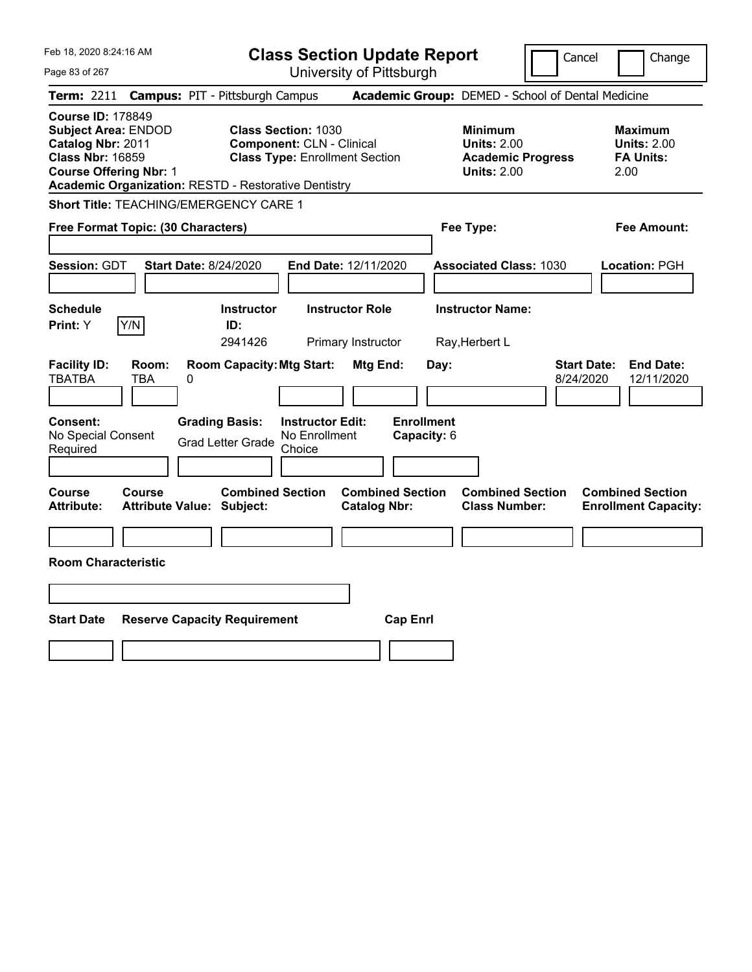Feb 18, 2020 8:24:16 AM Page 83 of 267 **Class Section Update Report** University of Pittsburgh Cancel Change **Term:** 2211 **Campus:** PIT - Pittsburgh Campus **Academic Group:** DEMED - School of Dental Medicine **Course ID:** 178849 **Subject Area:** ENDOD **Class Section:** 1030 **Minimum Maximum Catalog Nbr:** 2011 **Component:** CLN - Clinical **Units:** 2.00 **Units:** 2.00 **Class Nbr:** 16859 **Class Type:** Enrollment Section **Academic Progress FA Units: Course Offering Nbr:** 1 **Units:** 2.00 2.00 **Academic Organization:** RESTD - Restorative Dentistry **Short Title:** TEACHING/EMERGENCY CARE 1 **Free Format Topic: (30 Characters) Fee Type: Fee Amount: Session:** GDT **Start Date:** 8/24/2020 **End Date:** 12/11/2020 **Associated Class:** 1030 **Location:** PGH **Schedule Instructor Instructor Role Instructor Name: Print:**  $Y$   $|Y/N|$  **ID:** 2941426 Primary Instructor Ray,Herbert L **Facility ID: Room: Room Capacity:Mtg Start: Mtg End: Day: Start Date: End Date:** TBATBA TBA 0 8/24/2020 12/11/2020 **Consent: Grading Basis: Instructor Edit: Enrollment** No Special Consent Grad Letter Grade No Enrollment Choice **Capacity:** 6 **Course Course Combined Section Combined Section Combined Section Combined Section Attribute: Attribute Value: Subject: Catalog Nbr: Class Number: Enrollment Capacity: Room Characteristic Start Date Reserve Capacity Requirement Cap Enrl**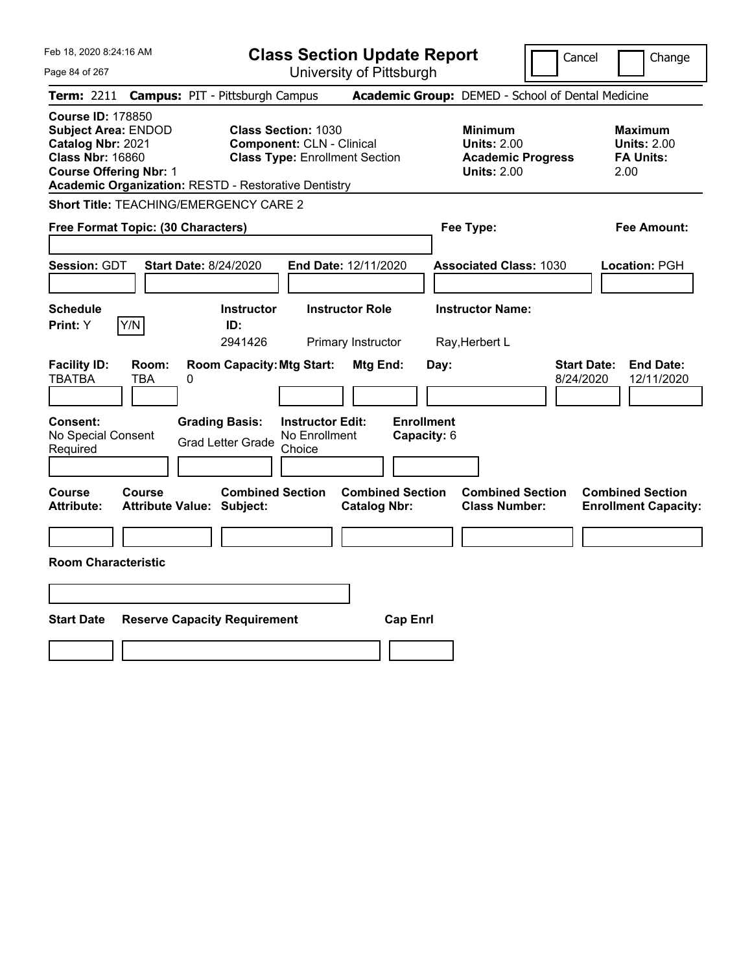Feb 18, 2020 8:24:16 AM Page 84 of 267 **Class Section Update Report** University of Pittsburgh Cancel Change **Term:** 2211 **Campus:** PIT - Pittsburgh Campus **Academic Group:** DEMED - School of Dental Medicine **Course ID:** 178850 **Subject Area:** ENDOD **Class Section:** 1030 **Minimum Maximum Catalog Nbr:** 2021 **Component:** CLN - Clinical **Units:** 2.00 **Units:** 2.00 **Class Nbr:** 16860 **Class Type:** Enrollment Section **Academic Progress FA Units: Course Offering Nbr:** 1 **Units:** 2.00 2.00 **Academic Organization:** RESTD - Restorative Dentistry **Short Title:** TEACHING/EMERGENCY CARE 2 **Free Format Topic: (30 Characters) Fee Type: Fee Amount: Session:** GDT **Start Date:** 8/24/2020 **End Date:** 12/11/2020 **Associated Class:** 1030 **Location:** PGH **Schedule Instructor Instructor Role Instructor Name: Print:**  $Y$   $|Y/N|$  **ID:** 2941426 Primary Instructor Ray,Herbert L **Facility ID: Room: Room Capacity:Mtg Start: Mtg End: Day: Start Date: End Date:** TBATBA TBA 0 8/24/2020 12/11/2020 **Consent: Grading Basis: Instructor Edit: Enrollment** No Special Consent Grad Letter Grade No Enrollment Choice **Capacity:** 6 **Course Course Combined Section Combined Section Combined Section Combined Section Attribute: Attribute Value: Subject: Catalog Nbr: Class Number: Enrollment Capacity: Room Characteristic Start Date Reserve Capacity Requirement Cap Enrl**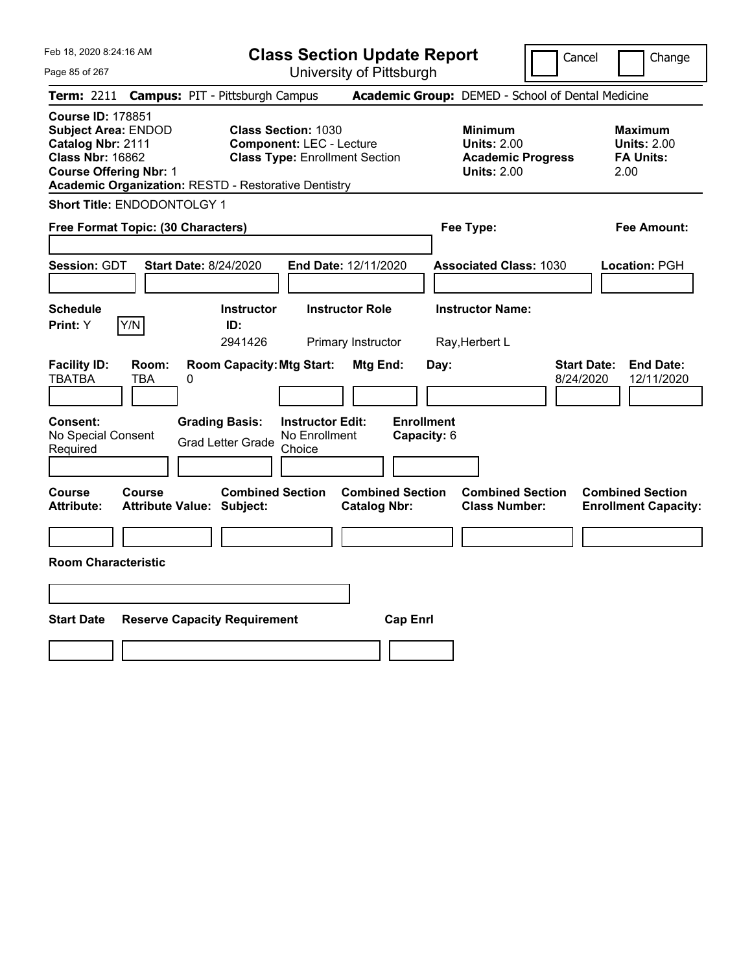|  | Feb 18, 2020 8:24:16 AM |
|--|-------------------------|
|  |                         |

Page 85 of 267

**Class Section Update Report**

Cancel **Change** 

| <b>Term: 2211</b>                                                                                                                       |                                            | <b>Campus: PIT - Pittsburgh Campus</b>                                                                                                                                |                                                      | Academic Group: DEMED - School of Dental Medicine                                      |                                                                   |
|-----------------------------------------------------------------------------------------------------------------------------------------|--------------------------------------------|-----------------------------------------------------------------------------------------------------------------------------------------------------------------------|------------------------------------------------------|----------------------------------------------------------------------------------------|-------------------------------------------------------------------|
| <b>Course ID: 178851</b><br><b>Subject Area: ENDOD</b><br>Catalog Nbr: 2111<br><b>Class Nbr: 16862</b><br><b>Course Offering Nbr: 1</b> |                                            | <b>Class Section: 1030</b><br><b>Component: LEC - Lecture</b><br><b>Class Type: Enrollment Section</b><br><b>Academic Organization: RESTD - Restorative Dentistry</b> |                                                      | <b>Minimum</b><br><b>Units: 2.00</b><br><b>Academic Progress</b><br><b>Units: 2.00</b> | Maximum<br><b>Units: 2.00</b><br><b>FA Units:</b><br>2.00         |
|                                                                                                                                         | <b>Short Title: ENDODONTOLGY 1</b>         |                                                                                                                                                                       |                                                      |                                                                                        |                                                                   |
|                                                                                                                                         | Free Format Topic: (30 Characters)         |                                                                                                                                                                       |                                                      | Fee Type:                                                                              | <b>Fee Amount:</b>                                                |
| <b>Session: GDT</b>                                                                                                                     | <b>Start Date: 8/24/2020</b>               |                                                                                                                                                                       | End Date: 12/11/2020                                 | <b>Associated Class: 1030</b>                                                          | Location: PGH                                                     |
| <b>Schedule</b><br>Print: Y                                                                                                             | Y/N                                        | <b>Instructor</b><br>ID:<br>2941426                                                                                                                                   | <b>Instructor Role</b><br>Primary Instructor         | <b>Instructor Name:</b><br>Ray, Herbert L                                              |                                                                   |
| <b>Facility ID:</b><br><b>TBATBA</b><br>Consent:<br>No Special Consent<br>Required                                                      | Room:<br><b>TBA</b><br>0                   | <b>Room Capacity: Mtg Start:</b><br><b>Grading Basis:</b><br><b>Instructor Edit:</b><br>No Enrollment<br><b>Grad Letter Grade</b><br>Choice                           | Mtg End:<br>Day:<br><b>Enrollment</b><br>Capacity: 6 |                                                                                        | <b>Start Date:</b><br><b>End Date:</b><br>8/24/2020<br>12/11/2020 |
| Course<br><b>Attribute:</b>                                                                                                             | Course<br><b>Attribute Value: Subject:</b> | <b>Combined Section</b>                                                                                                                                               | <b>Combined Section</b><br><b>Catalog Nbr:</b>       | <b>Combined Section</b><br><b>Class Number:</b>                                        | <b>Combined Section</b><br><b>Enrollment Capacity:</b>            |
| <b>Room Characteristic</b>                                                                                                              |                                            |                                                                                                                                                                       |                                                      |                                                                                        |                                                                   |
|                                                                                                                                         |                                            |                                                                                                                                                                       |                                                      |                                                                                        |                                                                   |
| <b>Start Date</b>                                                                                                                       |                                            | <b>Reserve Capacity Requirement</b>                                                                                                                                   | <b>Cap Enrl</b>                                      |                                                                                        |                                                                   |
|                                                                                                                                         |                                            |                                                                                                                                                                       |                                                      |                                                                                        |                                                                   |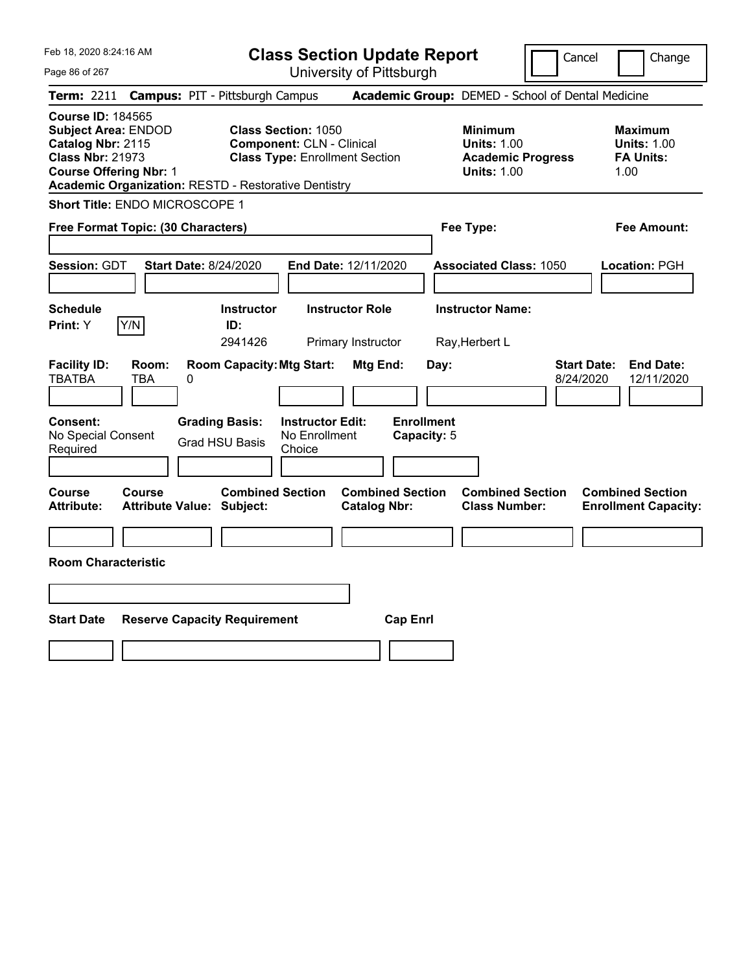|  | Feb 18, 2020 8:24:16 AM |  |
|--|-------------------------|--|
|  |                         |  |

**Class Section Update Report**

Cancel | Change

Page 86 of 267

University of Pittsburgh **Term:** 2211 **Campus:** PIT - Pittsburgh Campus **Academic Group:** DEMED - School of Dental Medicine **Course ID:** 184565 **Subject Area:** ENDOD **Class Section:** 1050 **Minimum Maximum Catalog Nbr:** 2115 **Component:** CLN - Clinical **Units:** 1.00 **Units:** 1.00 **Class Nbr:** 21973 **Class Type:** Enrollment Section **Academic Progress FA Units: Course Offering Nbr:** 1 **Units:** 1.00 1.00 **Academic Organization:** RESTD - Restorative Dentistry **Short Title:** ENDO MICROSCOPE 1 **Free Format Topic: (30 Characters) Fee Type: Fee Amount: Session:** GDT **Start Date:** 8/24/2020 **End Date:** 12/11/2020 **Associated Class:** 1050 **Location:** PGH **Schedule Instructor Instructor Role Instructor Name: Print:**  $Y$   $|Y/N|$  **ID:** 2941426 Primary Instructor Ray,Herbert L **Facility ID: Room: Room Capacity:Mtg Start: Mtg End: Day: Start Date: End Date:** TBATBA TBA 0 8/24/2020 12/11/2020 **Consent: Grading Basis: Instructor Edit: Enrollment** No Special Consent Required Grad HSU Basis No Enrollment Choice **Capacity:** 5 **Course Course Combined Section Combined Section Combined Section Combined Section Attribute: Attribute Value: Subject: Catalog Nbr: Class Number: Enrollment Capacity: Room Characteristic Start Date Reserve Capacity Requirement Cap Enrl**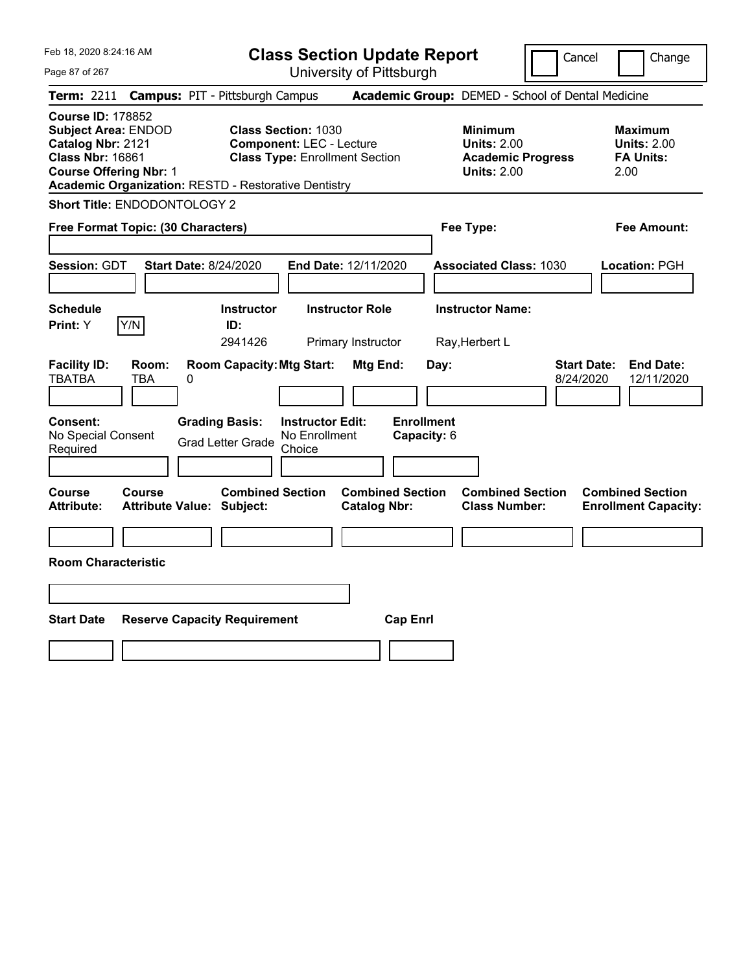Feb 18, 2020 8:24:16 AM Page 87 of 267 **Class Section Update Report** University of Pittsburgh Cancel | Change **Term:** 2211 **Campus:** PIT - Pittsburgh Campus **Academic Group:** DEMED - School of Dental Medicine **Course ID:** 178852 **Subject Area:** ENDOD **Class Section:** 1030 **Minimum Maximum Catalog Nbr:** 2121 **Component:** LEC - Lecture **Units:** 2.00 **Units:** 2.00 **Class Nbr:** 16861 **Class Type:** Enrollment Section **Academic Progress FA Units: Course Offering Nbr:** 1 **Units:** 2.00 2.00 **Academic Organization:** RESTD - Restorative Dentistry **Short Title:** ENDODONTOLOGY 2 **Free Format Topic: (30 Characters) Fee Type: Fee Amount: Session:** GDT **Start Date:** 8/24/2020 **End Date:** 12/11/2020 **Associated Class:** 1030 **Location:** PGH **Schedule Instructor Instructor Role Instructor Name: Print:**  $Y$   $|Y/N|$  **ID:** 2941426 Primary Instructor Ray,Herbert L **Facility ID: Room: Room Capacity:Mtg Start: Mtg End: Day: Start Date: End Date:** TBATBA TBA 0 8/24/2020 12/11/2020 **Consent: Grading Basis: Instructor Edit: Enrollment** No Special Consent Grad Letter Grade No Enrollment Choice **Capacity:** 6 **Course Course Combined Section Combined Section Combined Section Combined Section Attribute: Attribute Value: Subject: Catalog Nbr: Class Number: Enrollment Capacity: Room Characteristic Start Date Reserve Capacity Requirement Cap Enrl**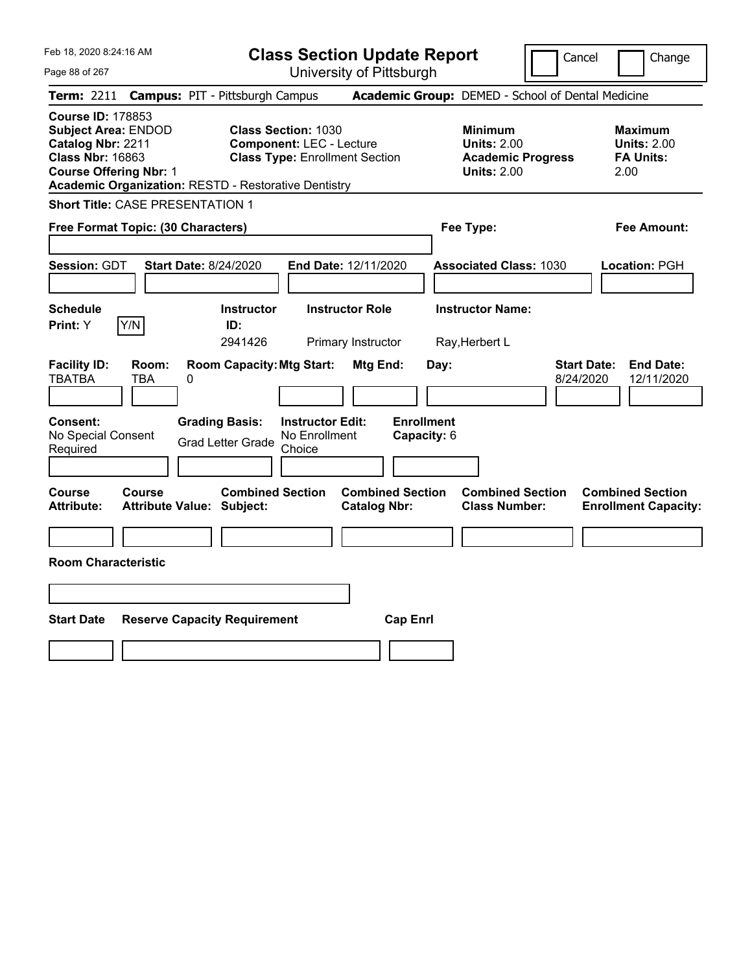| Feb 18, 2020 8:24:16 AM<br>Page 88 of 267                                                                                                                                                              | <b>Class Section Update Report</b><br>University of Pittsburgh                                          |                                                |                                                                                        | Cancel<br>Change                                                  |
|--------------------------------------------------------------------------------------------------------------------------------------------------------------------------------------------------------|---------------------------------------------------------------------------------------------------------|------------------------------------------------|----------------------------------------------------------------------------------------|-------------------------------------------------------------------|
| <b>Term: 2211</b>                                                                                                                                                                                      | <b>Campus: PIT - Pittsburgh Campus</b>                                                                  |                                                | Academic Group: DEMED - School of Dental Medicine                                      |                                                                   |
| <b>Course ID: 178853</b><br><b>Subject Area: ENDOD</b><br>Catalog Nbr: 2211<br><b>Class Nbr: 16863</b><br><b>Course Offering Nbr: 1</b><br><b>Academic Organization: RESTD - Restorative Dentistry</b> | <b>Class Section: 1030</b><br><b>Component: LEC - Lecture</b><br><b>Class Type: Enrollment Section</b>  |                                                | <b>Minimum</b><br><b>Units: 2.00</b><br><b>Academic Progress</b><br><b>Units: 2.00</b> | <b>Maximum</b><br><b>Units: 2.00</b><br><b>FA Units:</b><br>2.00  |
| <b>Short Title: CASE PRESENTATION 1</b>                                                                                                                                                                |                                                                                                         |                                                |                                                                                        |                                                                   |
| Free Format Topic: (30 Characters)                                                                                                                                                                     |                                                                                                         |                                                | Fee Type:                                                                              | <b>Fee Amount:</b>                                                |
| <b>Session: GDT</b><br><b>Start Date: 8/24/2020</b>                                                                                                                                                    | End Date: 12/11/2020                                                                                    |                                                | <b>Associated Class: 1030</b>                                                          | Location: PGH                                                     |
| <b>Schedule</b><br>Y/N<br><b>Print:</b> Y                                                                                                                                                              | <b>Instructor</b><br><b>Instructor Role</b><br>ID:                                                      |                                                | <b>Instructor Name:</b>                                                                |                                                                   |
|                                                                                                                                                                                                        | 2941426<br>Primary Instructor                                                                           |                                                | Ray, Herbert L                                                                         |                                                                   |
| <b>Facility ID:</b><br>Room:<br><b>TBATBA</b><br><b>TBA</b><br>0                                                                                                                                       | <b>Room Capacity: Mtg Start:</b>                                                                        | Mtg End:<br>Day:                               |                                                                                        | <b>Start Date:</b><br><b>End Date:</b><br>8/24/2020<br>12/11/2020 |
| <b>Consent:</b><br>No Special Consent<br>Required                                                                                                                                                      | <b>Grading Basis:</b><br><b>Instructor Edit:</b><br>No Enrollment<br><b>Grad Letter Grade</b><br>Choice | <b>Enrollment</b><br>Capacity: 6               |                                                                                        |                                                                   |
| Course<br>Course<br><b>Attribute:</b><br><b>Attribute Value: Subject:</b>                                                                                                                              | <b>Combined Section</b>                                                                                 | <b>Combined Section</b><br><b>Catalog Nbr:</b> | <b>Combined Section</b><br><b>Class Number:</b>                                        | <b>Combined Section</b><br><b>Enrollment Capacity:</b>            |
|                                                                                                                                                                                                        |                                                                                                         |                                                |                                                                                        |                                                                   |
| <b>Room Characteristic</b>                                                                                                                                                                             |                                                                                                         |                                                |                                                                                        |                                                                   |
|                                                                                                                                                                                                        |                                                                                                         |                                                |                                                                                        |                                                                   |
|                                                                                                                                                                                                        |                                                                                                         |                                                |                                                                                        |                                                                   |
| <b>Start Date</b><br><b>Reserve Capacity Requirement</b>                                                                                                                                               |                                                                                                         | <b>Cap Enrl</b>                                |                                                                                        |                                                                   |
|                                                                                                                                                                                                        |                                                                                                         |                                                |                                                                                        |                                                                   |
|                                                                                                                                                                                                        |                                                                                                         |                                                |                                                                                        |                                                                   |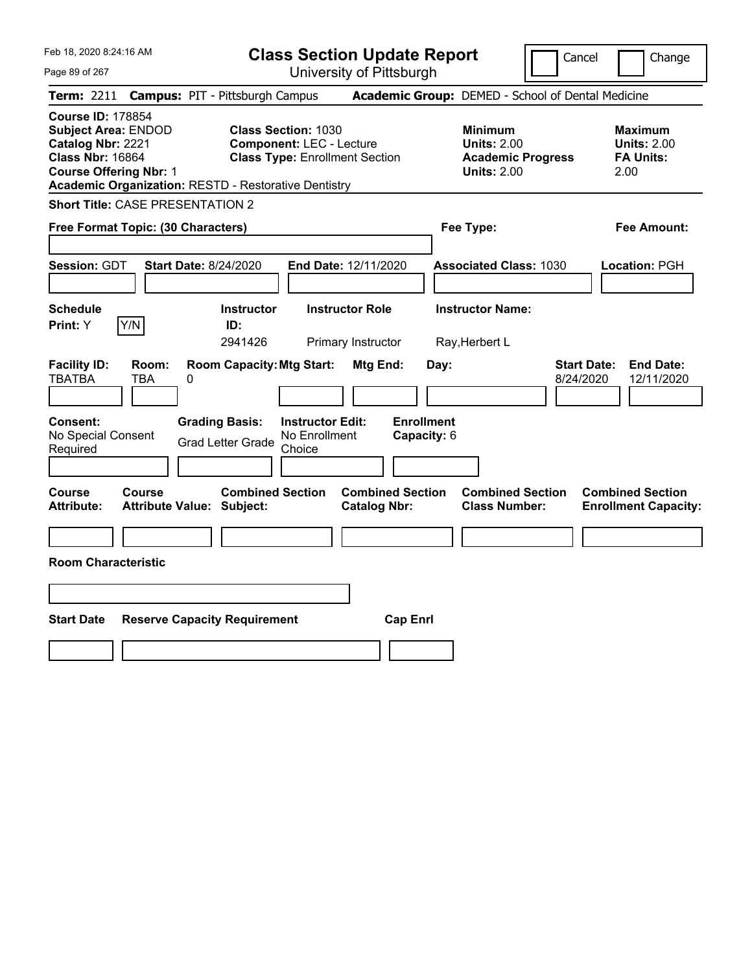Feb 18, 2020 8:24:16 AM Page 89 of 267 **Class Section Update Report** University of Pittsburgh Cancel | Change **Term:** 2211 **Campus:** PIT - Pittsburgh Campus **Academic Group:** DEMED - School of Dental Medicine **Course ID:** 178854 **Subject Area:** ENDOD **Class Section:** 1030 **Minimum Maximum Catalog Nbr:** 2221 **Component:** LEC - Lecture **Units:** 2.00 **Units:** 2.00 **Class Nbr:** 16864 **Class Type:** Enrollment Section **Academic Progress FA Units: Course Offering Nbr:** 1 **Units:** 2.00 2.00 **Academic Organization:** RESTD - Restorative Dentistry **Short Title:** CASE PRESENTATION 2 **Free Format Topic: (30 Characters) Fee Type: Fee Amount: Session:** GDT **Start Date:** 8/24/2020 **End Date:** 12/11/2020 **Associated Class:** 1030 **Location:** PGH **Schedule Instructor Instructor Role Instructor Name: Print:**  $Y$   $|Y/N|$  **ID:** 2941426 Primary Instructor Ray,Herbert L **Facility ID: Room: Room Capacity:Mtg Start: Mtg End: Day: Start Date: End Date:** TBATBA TBA 0 8/24/2020 12/11/2020 **Consent: Grading Basis: Instructor Edit: Enrollment** No Special Consent Grad Letter Grade No Enrollment Choice **Capacity:** 6 **Course Course Combined Section Combined Section Combined Section Combined Section Attribute: Attribute Value: Subject: Catalog Nbr: Class Number: Enrollment Capacity: Room Characteristic Start Date Reserve Capacity Requirement Cap Enrl**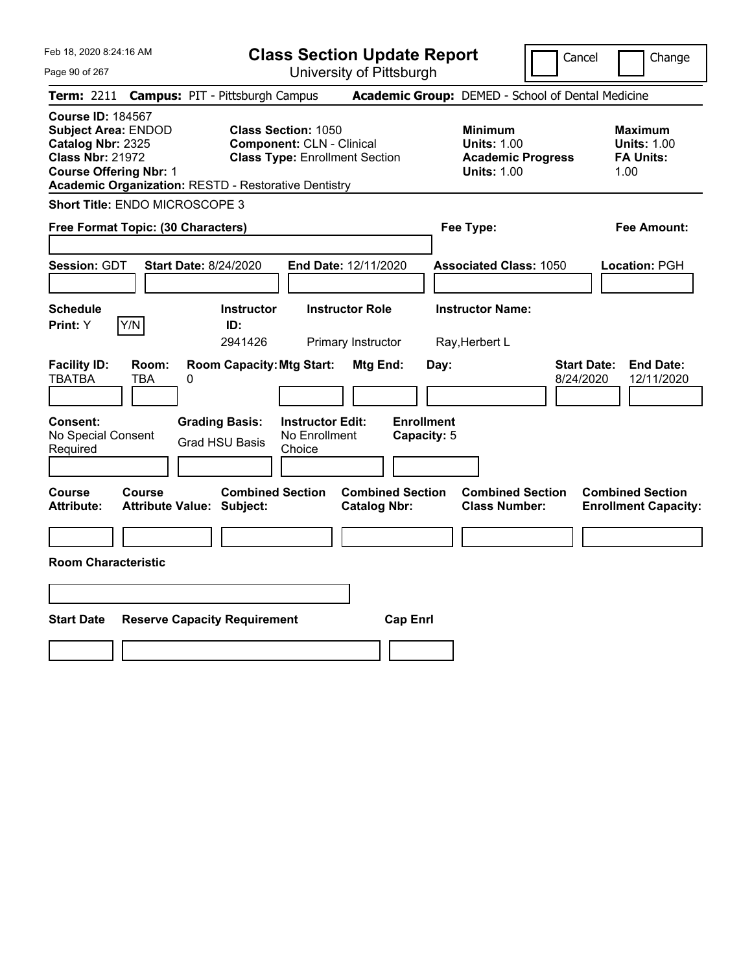|  | Feb 18, 2020 8:24:16 AM |  |
|--|-------------------------|--|
|  |                         |  |

**Class Section Update Report**

Cancel **Change** 

Page 90 of 267

| Page 90 of 267                                                                                                                          | University of Pittsburgh                                                                                                                                               |                                                                                        |                                                                  |
|-----------------------------------------------------------------------------------------------------------------------------------------|------------------------------------------------------------------------------------------------------------------------------------------------------------------------|----------------------------------------------------------------------------------------|------------------------------------------------------------------|
| Term: 2211                                                                                                                              | <b>Campus: PIT - Pittsburgh Campus</b>                                                                                                                                 | Academic Group: DEMED - School of Dental Medicine                                      |                                                                  |
| <b>Course ID: 184567</b><br><b>Subject Area: ENDOD</b><br>Catalog Nbr: 2325<br><b>Class Nbr: 21972</b><br><b>Course Offering Nbr: 1</b> | <b>Class Section: 1050</b><br><b>Component: CLN - Clinical</b><br><b>Class Type: Enrollment Section</b><br><b>Academic Organization: RESTD - Restorative Dentistry</b> | <b>Minimum</b><br><b>Units: 1.00</b><br><b>Academic Progress</b><br><b>Units: 1.00</b> | <b>Maximum</b><br><b>Units: 1.00</b><br><b>FA Units:</b><br>1.00 |
| Short Title: ENDO MICROSCOPE 3                                                                                                          |                                                                                                                                                                        |                                                                                        |                                                                  |
| Free Format Topic: (30 Characters)                                                                                                      |                                                                                                                                                                        | Fee Type:                                                                              | Fee Amount:                                                      |
| Session: GDT                                                                                                                            | <b>Start Date: 8/24/2020</b><br>End Date: 12/11/2020                                                                                                                   | <b>Associated Class: 1050</b>                                                          | Location: PGH                                                    |
| <b>Schedule</b><br>Y/N<br><b>Print: Y</b>                                                                                               | <b>Instructor Role</b><br><b>Instructor</b><br>ID:<br>2941426<br>Primary Instructor                                                                                    | <b>Instructor Name:</b><br>Ray, Herbert L                                              |                                                                  |
| <b>Facility ID:</b><br>Room:<br><b>TBATBA</b><br>TBA                                                                                    | <b>Room Capacity: Mtg Start:</b><br>Mtg End:<br>0                                                                                                                      | <b>Start Date:</b><br>Day:<br>8/24/2020                                                | <b>End Date:</b><br>12/11/2020                                   |
| Consent:<br>No Special Consent<br>Required                                                                                              | <b>Grading Basis:</b><br><b>Instructor Edit:</b><br>No Enrollment<br><b>Grad HSU Basis</b><br>Choice                                                                   | <b>Enrollment</b><br>Capacity: 5                                                       |                                                                  |
| <b>Course</b><br>Course<br><b>Attribute:</b>                                                                                            | <b>Combined Section</b><br><b>Combined Section</b><br><b>Attribute Value: Subject:</b><br><b>Catalog Nbr:</b>                                                          | <b>Combined Section</b><br><b>Class Number:</b>                                        | <b>Combined Section</b><br><b>Enrollment Capacity:</b>           |
| <b>Room Characteristic</b>                                                                                                              |                                                                                                                                                                        |                                                                                        |                                                                  |
| <b>Start Date</b>                                                                                                                       | <b>Reserve Capacity Requirement</b><br><b>Cap Enrl</b>                                                                                                                 |                                                                                        |                                                                  |
|                                                                                                                                         |                                                                                                                                                                        |                                                                                        |                                                                  |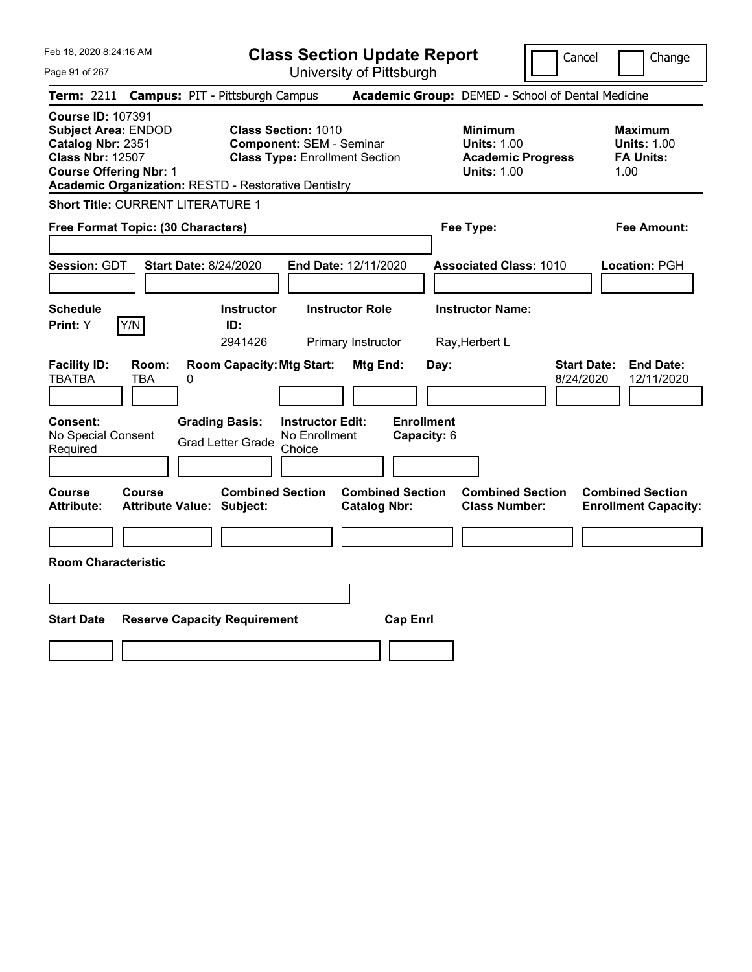| Feb 18, 2020 8:24:16 AM |  |
|-------------------------|--|
|                         |  |

**Class Section Update Report**

Cancel | Change

Page 91 of 267

University of Pittsburgh **Term:** 2211 **Campus:** PIT - Pittsburgh Campus **Academic Group:** DEMED - School of Dental Medicine

**Course ID:** 107391 **Subject Area: ENDOD Class Section: 1010 Minimum <b>Maximum Catalog Nbr: 2351 Component: SEM - Seminar Component: SEM - Seminar Component: SEM - Seminar Component: SEM - Seminar Component: SEM - Seminar Com Catalog Nbr: 2351 Component: SEM - Seminar Component: SEM - Units: 1.00 Units: 1.00 Units: 1.00<br>
<b>Class Nbr: 12507** Class Type: Enrollment Section **Academic Progress** FA Units: **Class Type: Enrollment Section Course Offering Nbr: 1 Course Offering Nbr: 1 Units: 1.00** 1.00 **Academic Organization:** RESTD - Restorative Dentistry

**Short Title:** CURRENT LITERATURE 1

| Free Format Topic: (30 Characters)            |                                                             |                                                    | Fee Type:                                      |                                                 | <b>Fee Amount:</b>              |                                                        |
|-----------------------------------------------|-------------------------------------------------------------|----------------------------------------------------|------------------------------------------------|-------------------------------------------------|---------------------------------|--------------------------------------------------------|
| <b>Session: GDT</b>                           | <b>Start Date: 8/24/2020</b>                                | End Date: 12/11/2020                               |                                                | <b>Associated Class: 1010</b>                   |                                 | <b>Location: PGH</b>                                   |
| <b>Schedule</b><br>Y/N<br>Print: Y            | <b>Instructor</b><br>ID:<br>2941426                         | <b>Instructor Role</b><br>Primary Instructor       |                                                | <b>Instructor Name:</b><br>Ray, Herbert L       |                                 |                                                        |
| <b>Facility ID:</b><br>Room:<br>TBATBA<br>TBA | <b>Room Capacity: Mtg Start:</b><br>0                       |                                                    | Mtg End:<br>Day:                               |                                                 | <b>Start Date:</b><br>8/24/2020 | <b>End Date:</b><br>12/11/2020                         |
| Consent:<br>No Special Consent<br>Required    | <b>Grading Basis:</b><br><b>Grad Letter Grade</b>           | <b>Instructor Edit:</b><br>No Enrollment<br>Choice | <b>Enrollment</b><br>Capacity: 6               |                                                 |                                 |                                                        |
| <b>Course</b><br>Course<br><b>Attribute:</b>  | <b>Combined Section</b><br><b>Attribute Value: Subject:</b> |                                                    | <b>Combined Section</b><br><b>Catalog Nbr:</b> | <b>Combined Section</b><br><b>Class Number:</b> |                                 | <b>Combined Section</b><br><b>Enrollment Capacity:</b> |
| <b>Room Characteristic</b>                    |                                                             |                                                    |                                                |                                                 |                                 |                                                        |
| <b>Start Date</b>                             | <b>Reserve Capacity Requirement</b>                         |                                                    | <b>Cap Enrl</b>                                |                                                 |                                 |                                                        |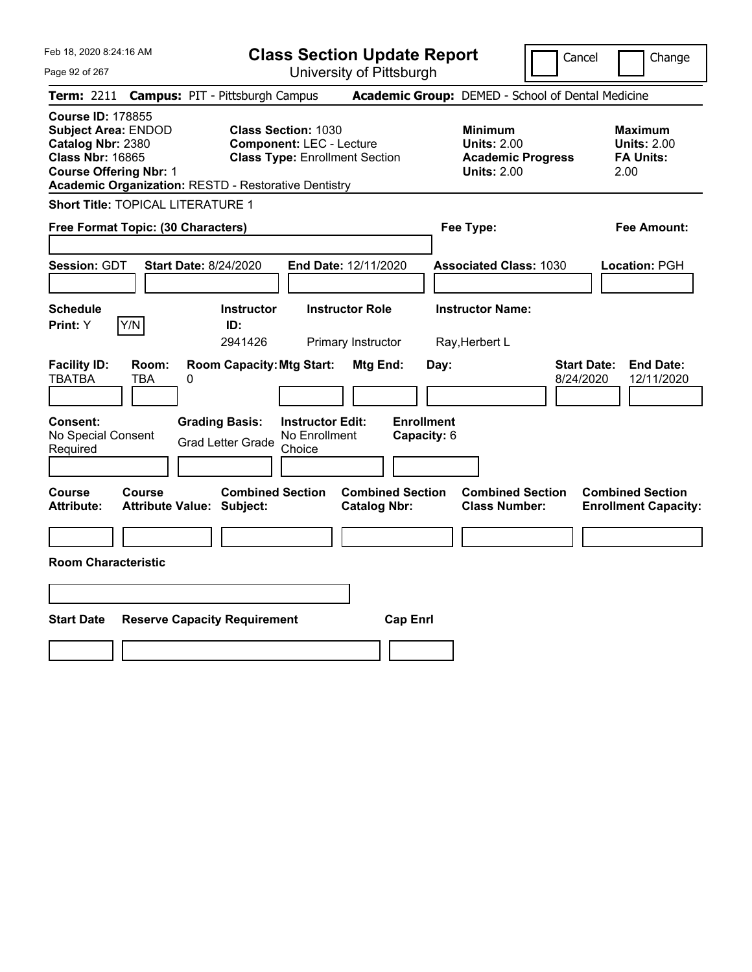Feb 18, 2020 8:24:16 AM Page 92 of 267 **Class Section Update Report** University of Pittsburgh Cancel Change **Term:** 2211 **Campus:** PIT - Pittsburgh Campus **Academic Group:** DEMED - School of Dental Medicine **Course ID:** 178855 **Subject Area:** ENDOD **Class Section:** 1030 **Minimum Maximum Catalog Nbr:** 2380 **Component:** LEC - Lecture **Units:** 2.00 **Units:** 2.00 **Class Nbr:** 16865 **Class Type:** Enrollment Section **Academic Progress FA Units: Course Offering Nbr:** 1 **Units:** 2.00 2.00 **Academic Organization:** RESTD - Restorative Dentistry **Short Title:** TOPICAL LITERATURE 1 **Free Format Topic: (30 Characters) Fee Type: Fee Amount: Session:** GDT **Start Date:** 8/24/2020 **End Date:** 12/11/2020 **Associated Class:** 1030 **Location:** PGH **Schedule Instructor Instructor Role Instructor Name: Print:**  $Y$   $|Y/N|$  **ID:** 2941426 Primary Instructor Ray,Herbert L **Facility ID: Room: Room Capacity:Mtg Start: Mtg End: Day: Start Date: End Date:** TBATBA TBA 0 8/24/2020 12/11/2020 **Consent: Grading Basis: Instructor Edit: Enrollment** No Special Consent Grad Letter Grade No Enrollment Choice **Capacity:** 6 **Course Course Combined Section Combined Section Combined Section Combined Section Attribute: Attribute Value: Subject: Catalog Nbr: Class Number: Enrollment Capacity: Room Characteristic Start Date Reserve Capacity Requirement Cap Enrl**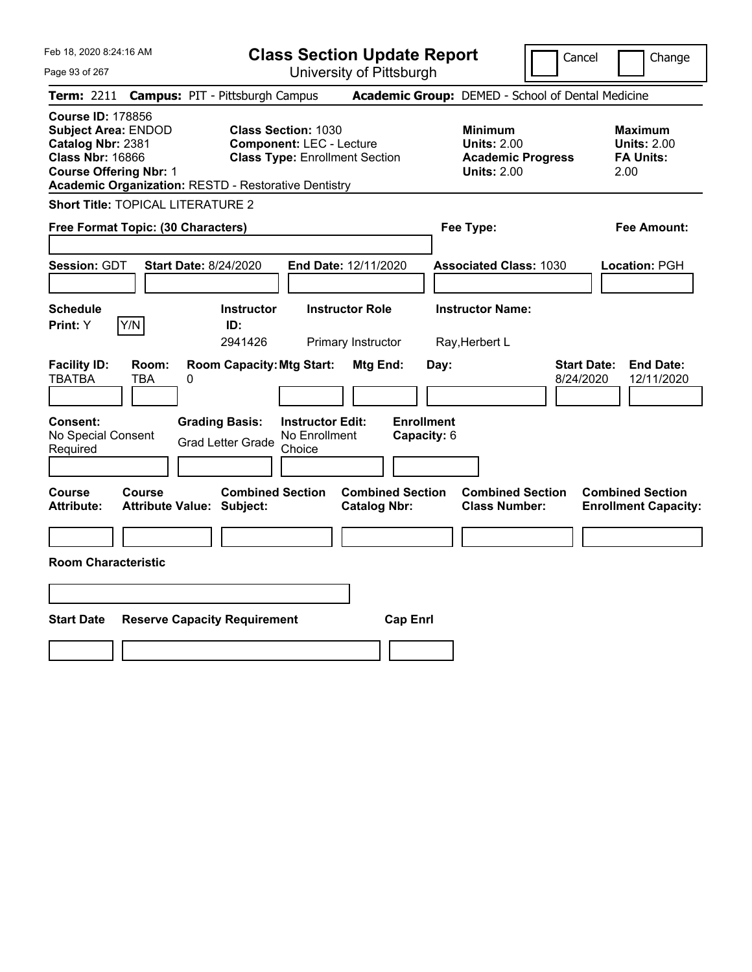Feb 18, 2020 8:24:16 AM Page 93 of 267 **Class Section Update Report** University of Pittsburgh Cancel Change **Term:** 2211 **Campus:** PIT - Pittsburgh Campus **Academic Group:** DEMED - School of Dental Medicine **Course ID:** 178856 **Subject Area:** ENDOD **Class Section:** 1030 **Minimum Maximum Catalog Nbr:** 2381 **Component:** LEC - Lecture **Units:** 2.00 **Units:** 2.00 **Class Nbr:** 16866 **Class Type:** Enrollment Section **Academic Progress FA Units: Course Offering Nbr:** 1 **Units:** 2.00 2.00 **Academic Organization:** RESTD - Restorative Dentistry **Short Title:** TOPICAL LITERATURE 2 **Free Format Topic: (30 Characters) Fee Type: Fee Amount: Session:** GDT **Start Date:** 8/24/2020 **End Date:** 12/11/2020 **Associated Class:** 1030 **Location:** PGH **Schedule Instructor Instructor Role Instructor Name: Print:**  $Y$   $|Y/N|$  **ID:** 2941426 Primary Instructor Ray,Herbert L **Facility ID: Room: Room Capacity:Mtg Start: Mtg End: Day: Start Date: End Date:** TBATBA TBA 0 8/24/2020 12/11/2020 **Consent: Grading Basis: Instructor Edit: Enrollment** No Special Consent Grad Letter Grade No Enrollment Choice **Capacity:** 6 **Course Course Combined Section Combined Section Combined Section Combined Section Attribute: Attribute Value: Subject: Catalog Nbr: Class Number: Enrollment Capacity: Room Characteristic Start Date Reserve Capacity Requirement Cap Enrl**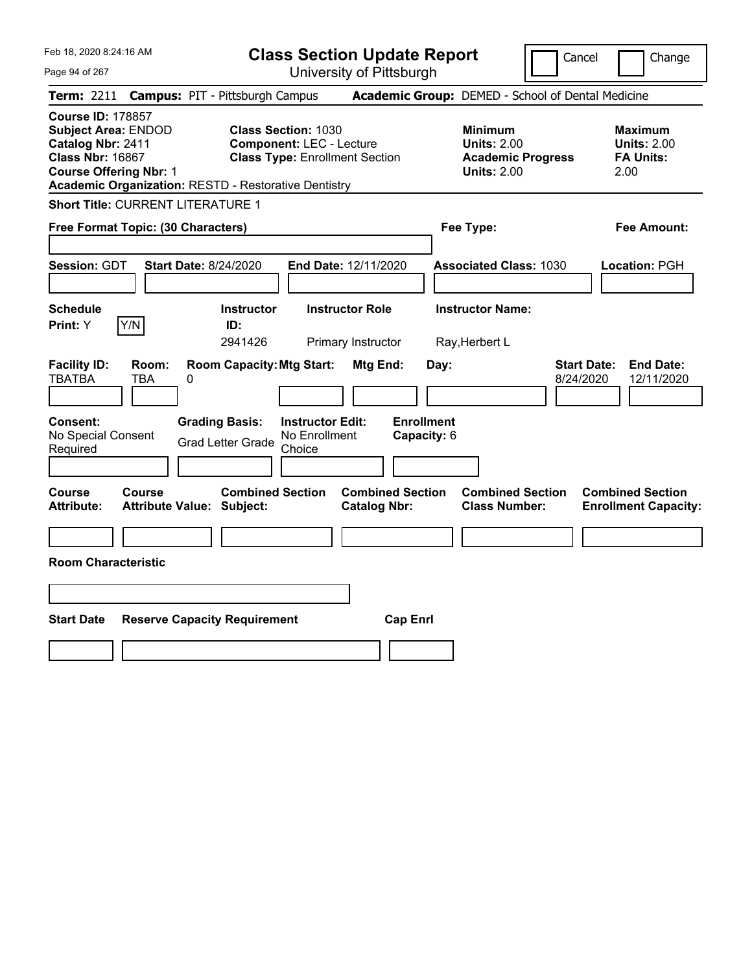| Feb 18, 2020 8:24:16 AM<br>Page 94 of 267                                                                                                                                                              | <b>Class Section Update Report</b><br>University of Pittsburgh                                         | Cancel                                                                                 | Change                                                           |
|--------------------------------------------------------------------------------------------------------------------------------------------------------------------------------------------------------|--------------------------------------------------------------------------------------------------------|----------------------------------------------------------------------------------------|------------------------------------------------------------------|
| <b>Campus: PIT - Pittsburgh Campus</b><br><b>Term: 2211</b>                                                                                                                                            |                                                                                                        | Academic Group: DEMED - School of Dental Medicine                                      |                                                                  |
| <b>Course ID: 178857</b><br><b>Subject Area: ENDOD</b><br>Catalog Nbr: 2411<br><b>Class Nbr: 16867</b><br><b>Course Offering Nbr: 1</b><br><b>Academic Organization: RESTD - Restorative Dentistry</b> | <b>Class Section: 1030</b><br><b>Component: LEC - Lecture</b><br><b>Class Type: Enrollment Section</b> | <b>Minimum</b><br><b>Units: 2.00</b><br><b>Academic Progress</b><br><b>Units: 2.00</b> | <b>Maximum</b><br><b>Units: 2.00</b><br><b>FA Units:</b><br>2.00 |
| <b>Short Title: CURRENT LITERATURE 1</b>                                                                                                                                                               |                                                                                                        |                                                                                        |                                                                  |
| Free Format Topic: (30 Characters)                                                                                                                                                                     |                                                                                                        | Fee Type:                                                                              | Fee Amount:                                                      |
| <b>Session: GDT</b><br><b>Start Date: 8/24/2020</b>                                                                                                                                                    | End Date: 12/11/2020                                                                                   | <b>Associated Class: 1030</b>                                                          | Location: PGH                                                    |
| <b>Schedule</b>                                                                                                                                                                                        | <b>Instructor Role</b><br><b>Instructor</b>                                                            | <b>Instructor Name:</b>                                                                |                                                                  |
| Y/N<br>Print: Y                                                                                                                                                                                        | ID:<br>2941426<br>Primary Instructor                                                                   | Ray, Herbert L                                                                         |                                                                  |
| <b>Facility ID:</b><br>Room:<br><b>TBATBA</b><br>TBA<br>0                                                                                                                                              | <b>Room Capacity: Mtg Start:</b><br>Mtg End:                                                           | <b>Start Date:</b><br>Day:<br>8/24/2020                                                | <b>End Date:</b><br>12/11/2020                                   |
| <b>Grading Basis:</b><br><b>Consent:</b><br>No Special Consent<br><b>Grad Letter Grade</b><br>Required                                                                                                 | <b>Enrollment</b><br><b>Instructor Edit:</b><br>No Enrollment<br>Capacity: 6<br>Choice                 |                                                                                        |                                                                  |
| Course<br><b>Course</b><br><b>Attribute:</b><br><b>Attribute Value: Subject:</b>                                                                                                                       | <b>Combined Section</b><br><b>Combined Section</b><br><b>Catalog Nbr:</b>                              | <b>Combined Section</b><br><b>Class Number:</b>                                        | <b>Combined Section</b><br><b>Enrollment Capacity:</b>           |
|                                                                                                                                                                                                        |                                                                                                        |                                                                                        |                                                                  |
| <b>Room Characteristic</b>                                                                                                                                                                             |                                                                                                        |                                                                                        |                                                                  |
|                                                                                                                                                                                                        |                                                                                                        |                                                                                        |                                                                  |
| <b>Start Date</b><br><b>Reserve Capacity Requirement</b>                                                                                                                                               | <b>Cap Enrl</b>                                                                                        |                                                                                        |                                                                  |
|                                                                                                                                                                                                        |                                                                                                        |                                                                                        |                                                                  |
|                                                                                                                                                                                                        |                                                                                                        |                                                                                        |                                                                  |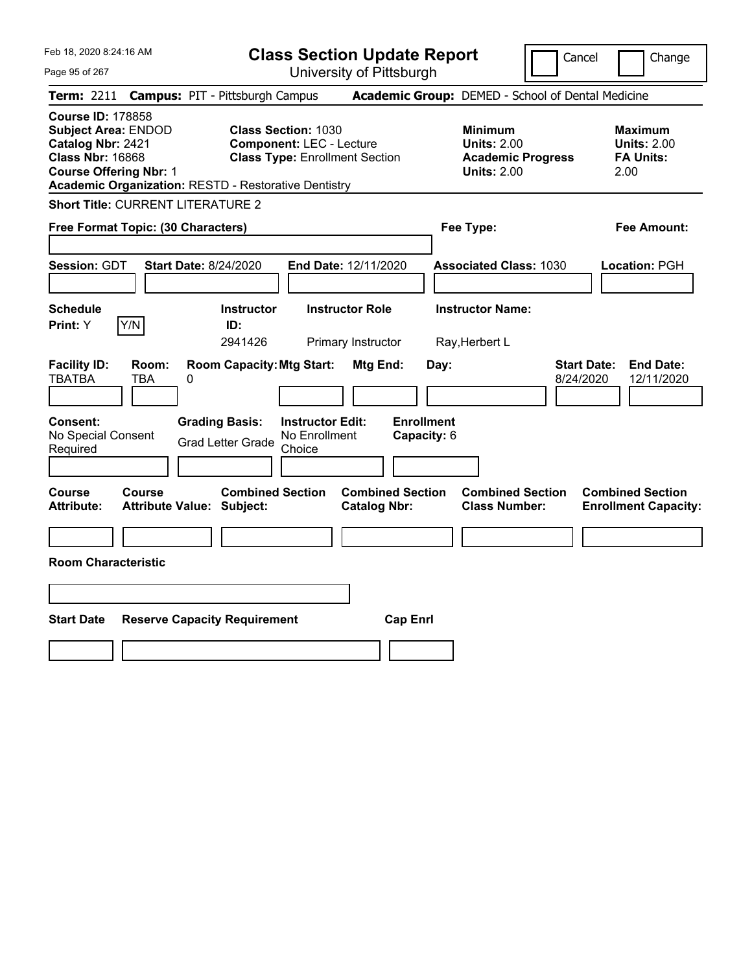Feb 18, 2020 8:24:16 AM Page 95 of 267 **Class Section Update Report** University of Pittsburgh Cancel Change **Term:** 2211 **Campus:** PIT - Pittsburgh Campus **Academic Group:** DEMED - School of Dental Medicine **Course ID:** 178858 **Subject Area:** ENDOD **Class Section:** 1030 **Minimum Maximum Catalog Nbr:** 2421 **Component:** LEC - Lecture **Units:** 2.00 **Units:** 2.00 **Class Nbr:** 16868 **Class Type:** Enrollment Section **Academic Progress FA Units: Course Offering Nbr:** 1 **Units:** 2.00 2.00 **Academic Organization:** RESTD - Restorative Dentistry **Short Title:** CURRENT LITERATURE 2 **Free Format Topic: (30 Characters) Fee Type: Fee Amount: Session:** GDT **Start Date:** 8/24/2020 **End Date:** 12/11/2020 **Associated Class:** 1030 **Location:** PGH **Schedule Instructor Instructor Role Instructor Name: Print:**  $Y$   $|Y/N|$  **ID:** 2941426 Primary Instructor Ray,Herbert L **Facility ID: Room: Room Capacity:Mtg Start: Mtg End: Day: Start Date: End Date:** TBATBA TBA 0 8/24/2020 12/11/2020 **Consent: Grading Basis: Instructor Edit: Enrollment** No Special Consent Grad Letter Grade No Enrollment Choice **Capacity:** 6 **Course Course Combined Section Combined Section Combined Section Combined Section Attribute: Attribute Value: Subject: Catalog Nbr: Class Number: Enrollment Capacity: Room Characteristic Start Date Reserve Capacity Requirement Cap Enrl**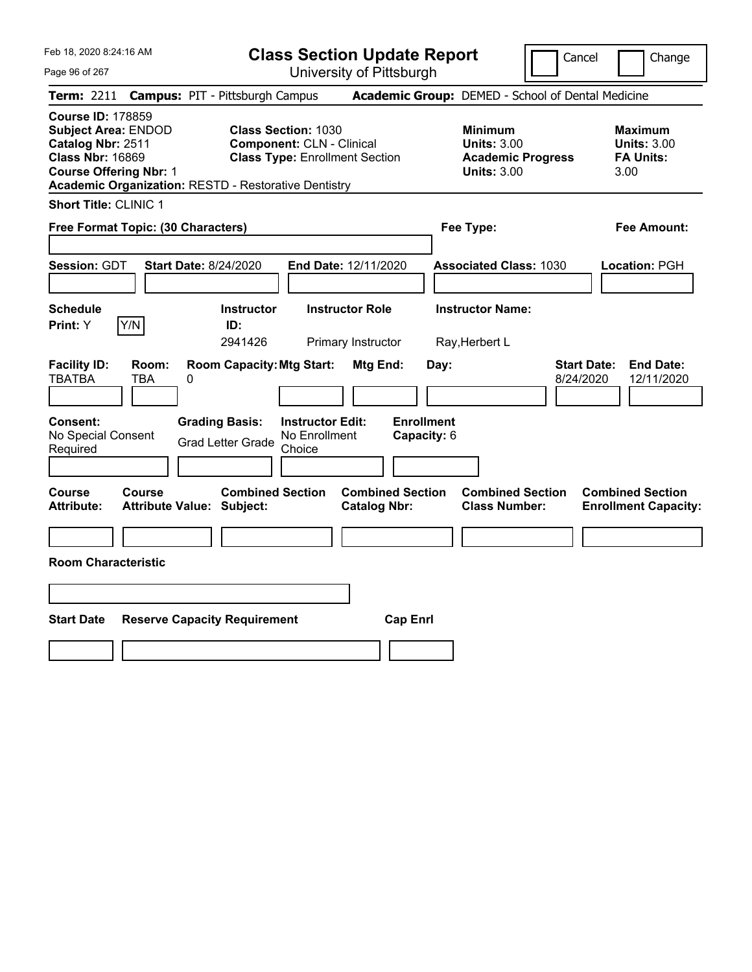Page 96 of 267

**Class Section Update Report**

Cancel Change

|                                                                          |                                                             |   | Term: 2211 Campus: PIT - Pittsburgh Campus                  |                                                                                                         |                                              |                                  |      | Academic Group: DEMED - School of Dental Medicine                                      |                                 |                                                                  |
|--------------------------------------------------------------------------|-------------------------------------------------------------|---|-------------------------------------------------------------|---------------------------------------------------------------------------------------------------------|----------------------------------------------|----------------------------------|------|----------------------------------------------------------------------------------------|---------------------------------|------------------------------------------------------------------|
| <b>Course ID: 178859</b><br>Catalog Nbr: 2511<br><b>Class Nbr: 16869</b> | <b>Subject Area: ENDOD</b><br><b>Course Offering Nbr: 1</b> |   | <b>Academic Organization: RESTD - Restorative Dentistry</b> | <b>Class Section: 1030</b><br><b>Component: CLN - Clinical</b><br><b>Class Type: Enrollment Section</b> |                                              |                                  |      | <b>Minimum</b><br><b>Units: 3.00</b><br><b>Academic Progress</b><br><b>Units: 3.00</b> |                                 | <b>Maximum</b><br><b>Units: 3.00</b><br><b>FA Units:</b><br>3.00 |
|                                                                          | <b>Short Title: CLINIC 1</b>                                |   |                                                             |                                                                                                         |                                              |                                  |      |                                                                                        |                                 |                                                                  |
|                                                                          | Free Format Topic: (30 Characters)                          |   |                                                             |                                                                                                         |                                              |                                  |      | Fee Type:                                                                              |                                 | Fee Amount:                                                      |
| Session: GDT                                                             |                                                             |   | <b>Start Date: 8/24/2020</b>                                | End Date: 12/11/2020                                                                                    |                                              |                                  |      | <b>Associated Class: 1030</b>                                                          |                                 | Location: PGH                                                    |
| <b>Schedule</b><br>Print: Y                                              | Y/N                                                         |   | <b>Instructor</b><br>ID:<br>2941426                         |                                                                                                         | <b>Instructor Role</b><br>Primary Instructor |                                  |      | <b>Instructor Name:</b><br>Ray, Herbert L                                              |                                 |                                                                  |
| <b>Facility ID:</b><br><b>TBATBA</b>                                     | Room:<br>TBA                                                | 0 | <b>Room Capacity: Mtg Start:</b>                            |                                                                                                         | Mtg End:                                     |                                  | Day: |                                                                                        | <b>Start Date:</b><br>8/24/2020 | <b>End Date:</b><br>12/11/2020                                   |
| Consent:<br>No Special Consent<br>Required                               |                                                             |   | <b>Grading Basis:</b><br><b>Grad Letter Grade</b>           | <b>Instructor Edit:</b><br>No Enrollment<br>Choice                                                      |                                              | <b>Enrollment</b><br>Capacity: 6 |      |                                                                                        |                                 |                                                                  |
| Course<br><b>Attribute:</b>                                              | Course<br><b>Attribute Value:</b>                           |   | <b>Combined Section</b><br>Subject:                         |                                                                                                         | <b>Catalog Nbr:</b>                          | <b>Combined Section</b>          |      | <b>Combined Section</b><br><b>Class Number:</b>                                        |                                 | <b>Combined Section</b><br><b>Enrollment Capacity:</b>           |
|                                                                          | <b>Room Characteristic</b>                                  |   |                                                             |                                                                                                         |                                              |                                  |      |                                                                                        |                                 |                                                                  |
| <b>Start Date</b>                                                        |                                                             |   | <b>Reserve Capacity Requirement</b>                         |                                                                                                         |                                              | <b>Cap Enrl</b>                  |      |                                                                                        |                                 |                                                                  |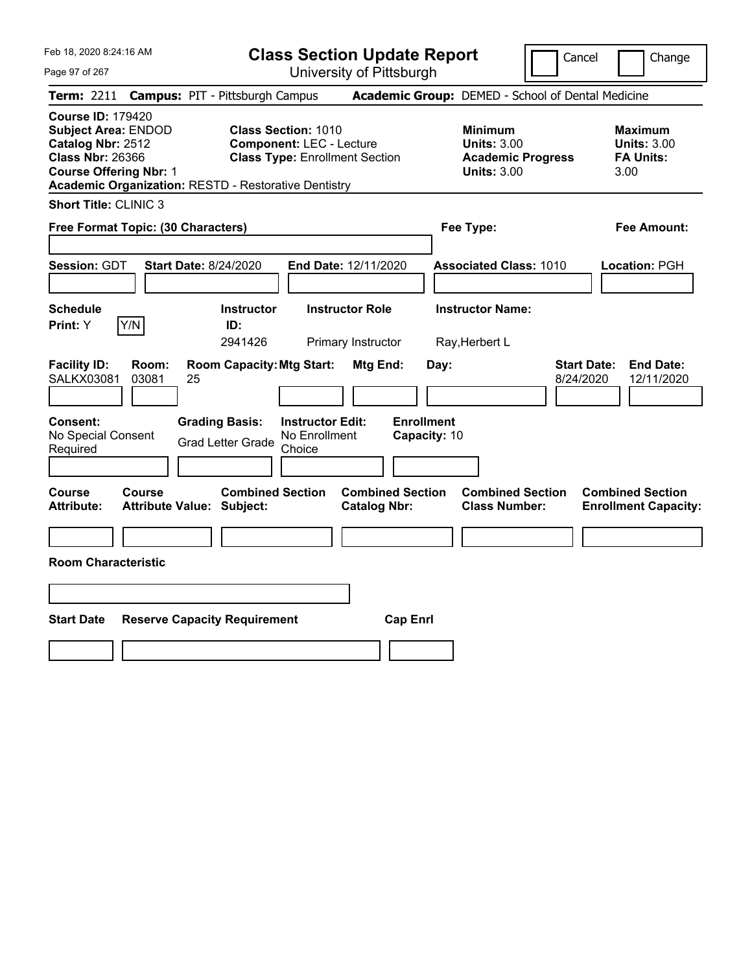Page 97 of 267

**Class Section Update Report**

Cancel Change

| <b>Term: 2211</b>                                                                                                                       |                                    | <b>Campus: PIT - Pittsburgh Campus</b>                                                      |                                                                                                        |                                                |                      | Academic Group: DEMED - School of Dental Medicine                                 |                                 |                                                                  |
|-----------------------------------------------------------------------------------------------------------------------------------------|------------------------------------|---------------------------------------------------------------------------------------------|--------------------------------------------------------------------------------------------------------|------------------------------------------------|----------------------|-----------------------------------------------------------------------------------|---------------------------------|------------------------------------------------------------------|
| <b>Course ID: 179420</b><br><b>Subject Area: ENDOD</b><br>Catalog Nbr: 2512<br><b>Class Nbr: 26366</b><br><b>Course Offering Nbr: 1</b> |                                    | Academic Organization: RESTD - Restorative Dentistry                                        | <b>Class Section: 1010</b><br><b>Component: LEC - Lecture</b><br><b>Class Type: Enrollment Section</b> |                                                |                      | <b>Minimum</b><br>Units: $3.00$<br><b>Academic Progress</b><br><b>Units: 3.00</b> |                                 | <b>Maximum</b><br><b>Units: 3.00</b><br><b>FA Units:</b><br>3.00 |
| <b>Short Title: CLINIC 3</b>                                                                                                            |                                    |                                                                                             |                                                                                                        |                                                |                      |                                                                                   |                                 |                                                                  |
|                                                                                                                                         | Free Format Topic: (30 Characters) |                                                                                             |                                                                                                        |                                                |                      | Fee Type:                                                                         |                                 | <b>Fee Amount:</b>                                               |
| Session: GDT                                                                                                                            |                                    | <b>Start Date: 8/24/2020</b>                                                                | End Date: 12/11/2020                                                                                   |                                                |                      | <b>Associated Class: 1010</b>                                                     |                                 | Location: PGH                                                    |
| <b>Schedule</b><br><b>Print:</b> Y                                                                                                      | Y/N                                | <b>Instructor</b><br>ID:<br>2941426                                                         | <b>Instructor Role</b><br>Primary Instructor                                                           |                                                |                      | <b>Instructor Name:</b><br>Ray, Herbert L                                         |                                 |                                                                  |
| <b>Facility ID:</b><br><b>SALKX03081</b><br>Consent:<br>No Special Consent<br>Required                                                  | Room:<br>03081                     | <b>Room Capacity: Mtg Start:</b><br>25<br><b>Grading Basis:</b><br><b>Grad Letter Grade</b> | <b>Instructor Edit:</b><br>No Enrollment<br>Choice                                                     | Mtg End:<br><b>Enrollment</b>                  | Day:<br>Capacity: 10 |                                                                                   | <b>Start Date:</b><br>8/24/2020 | <b>End Date:</b><br>12/11/2020                                   |
| Course<br><b>Attribute:</b>                                                                                                             | Course                             | <b>Combined Section</b><br><b>Attribute Value: Subject:</b>                                 |                                                                                                        | <b>Combined Section</b><br><b>Catalog Nbr:</b> |                      | <b>Combined Section</b><br><b>Class Number:</b>                                   |                                 | <b>Combined Section</b><br><b>Enrollment Capacity:</b>           |
| <b>Room Characteristic</b>                                                                                                              |                                    |                                                                                             |                                                                                                        |                                                |                      |                                                                                   |                                 |                                                                  |
|                                                                                                                                         |                                    |                                                                                             |                                                                                                        |                                                |                      |                                                                                   |                                 |                                                                  |
| <b>Start Date</b>                                                                                                                       |                                    | <b>Reserve Capacity Requirement</b>                                                         |                                                                                                        | <b>Cap Enrl</b>                                |                      |                                                                                   |                                 |                                                                  |
|                                                                                                                                         |                                    |                                                                                             |                                                                                                        |                                                |                      |                                                                                   |                                 |                                                                  |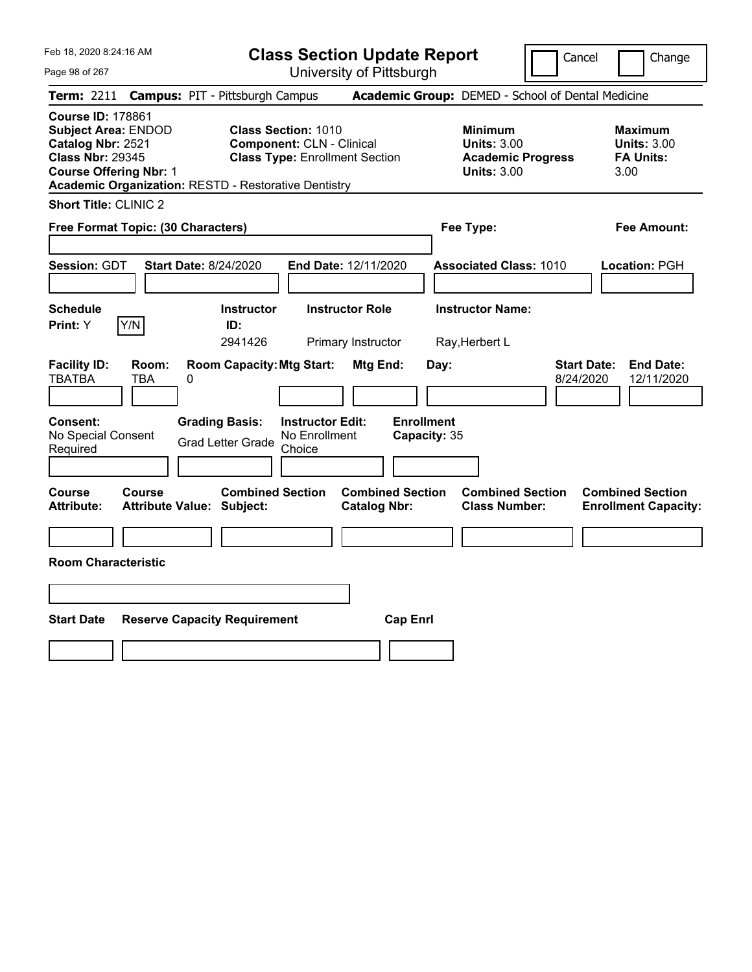Page 98 of 267

**Class Section Update Report**

Cancel Change

| <b>Term: 2211</b>                                                                                      |                                    | <b>Campus: PIT - Pittsburgh Campus</b>                      |                                                                                                         |                                                |                                   | Academic Group: DEMED - School of Dental Medicine                                      |                                 |                                                           |
|--------------------------------------------------------------------------------------------------------|------------------------------------|-------------------------------------------------------------|---------------------------------------------------------------------------------------------------------|------------------------------------------------|-----------------------------------|----------------------------------------------------------------------------------------|---------------------------------|-----------------------------------------------------------|
| <b>Course ID: 178861</b><br><b>Subject Area: ENDOD</b><br>Catalog Nbr: 2521<br><b>Class Nbr: 29345</b> | <b>Course Offering Nbr: 1</b>      | <b>Academic Organization: RESTD - Restorative Dentistry</b> | <b>Class Section: 1010</b><br><b>Component: CLN - Clinical</b><br><b>Class Type: Enrollment Section</b> |                                                |                                   | <b>Minimum</b><br><b>Units: 3.00</b><br><b>Academic Progress</b><br><b>Units: 3.00</b> |                                 | Maximum<br><b>Units: 3.00</b><br><b>FA Units:</b><br>3.00 |
| <b>Short Title: CLINIC 2</b>                                                                           |                                    |                                                             |                                                                                                         |                                                |                                   |                                                                                        |                                 |                                                           |
|                                                                                                        | Free Format Topic: (30 Characters) |                                                             |                                                                                                         |                                                |                                   | Fee Type:                                                                              |                                 | <b>Fee Amount:</b>                                        |
| <b>Session: GDT</b>                                                                                    |                                    | <b>Start Date: 8/24/2020</b>                                |                                                                                                         | End Date: 12/11/2020                           |                                   | <b>Associated Class: 1010</b>                                                          |                                 | Location: PGH                                             |
| <b>Schedule</b><br>Print: Y                                                                            | Y/N                                | <b>Instructor</b><br>ID:<br>2941426                         |                                                                                                         | <b>Instructor Role</b><br>Primary Instructor   |                                   | <b>Instructor Name:</b><br>Ray, Herbert L                                              |                                 |                                                           |
| <b>Facility ID:</b><br><b>TBATBA</b>                                                                   | Room:<br>TBA                       | <b>Room Capacity: Mtg Start:</b><br>0                       |                                                                                                         | Mtg End:                                       | Day:                              |                                                                                        | <b>Start Date:</b><br>8/24/2020 | <b>End Date:</b><br>12/11/2020                            |
| Consent:<br>No Special Consent<br>Required                                                             |                                    | <b>Grading Basis:</b><br><b>Grad Letter Grade</b>           | <b>Instructor Edit:</b><br>No Enrollment<br>Choice                                                      |                                                | <b>Enrollment</b><br>Capacity: 35 |                                                                                        |                                 |                                                           |
| <b>Course</b><br><b>Attribute:</b>                                                                     | Course                             | <b>Combined Section</b><br><b>Attribute Value: Subject:</b> |                                                                                                         | <b>Combined Section</b><br><b>Catalog Nbr:</b> |                                   | <b>Combined Section</b><br><b>Class Number:</b>                                        |                                 | <b>Combined Section</b><br><b>Enrollment Capacity:</b>    |
| <b>Room Characteristic</b>                                                                             |                                    |                                                             |                                                                                                         |                                                |                                   |                                                                                        |                                 |                                                           |
|                                                                                                        |                                    |                                                             |                                                                                                         |                                                |                                   |                                                                                        |                                 |                                                           |
| <b>Start Date</b>                                                                                      |                                    | <b>Reserve Capacity Requirement</b>                         |                                                                                                         | <b>Cap Enrl</b>                                |                                   |                                                                                        |                                 |                                                           |
|                                                                                                        |                                    |                                                             |                                                                                                         |                                                |                                   |                                                                                        |                                 |                                                           |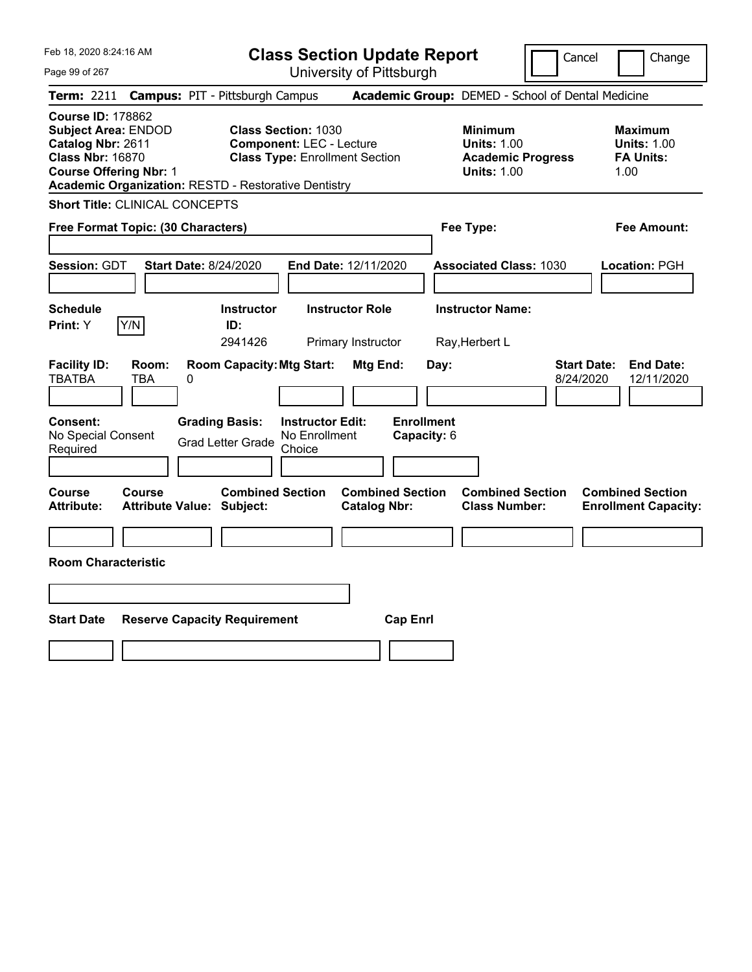|  | Feb 18, 2020 8:24:16 AM |  |
|--|-------------------------|--|
|  |                         |  |

**Class Section Update Report** University of Pittsburgh

Cancel Change

Page 99 of 267

| Term: 2211 Campus: PIT - Pittsburgh Campus                                                                                                                                                                                                                                                                       |                   |                                                             |                                                    |                                                |                                  | Academic Group: DEMED - School of Dental Medicine                                      |                                 |                                                                  |
|------------------------------------------------------------------------------------------------------------------------------------------------------------------------------------------------------------------------------------------------------------------------------------------------------------------|-------------------|-------------------------------------------------------------|----------------------------------------------------|------------------------------------------------|----------------------------------|----------------------------------------------------------------------------------------|---------------------------------|------------------------------------------------------------------|
| <b>Course ID: 178862</b><br><b>Class Section: 1030</b><br><b>Subject Area: ENDOD</b><br>Catalog Nbr: 2611<br><b>Component: LEC - Lecture</b><br><b>Class Nbr: 16870</b><br><b>Class Type: Enrollment Section</b><br><b>Course Offering Nbr: 1</b><br><b>Academic Organization: RESTD - Restorative Dentistry</b> |                   |                                                             |                                                    |                                                |                                  | <b>Minimum</b><br><b>Units: 1.00</b><br><b>Academic Progress</b><br><b>Units: 1.00</b> |                                 | <b>Maximum</b><br><b>Units: 1.00</b><br><b>FA Units:</b><br>1.00 |
| <b>Short Title: CLINICAL CONCEPTS</b>                                                                                                                                                                                                                                                                            |                   |                                                             |                                                    |                                                |                                  |                                                                                        |                                 |                                                                  |
| Free Format Topic: (30 Characters)                                                                                                                                                                                                                                                                               |                   |                                                             |                                                    |                                                |                                  | Fee Type:                                                                              |                                 | <b>Fee Amount:</b>                                               |
| Session: GDT                                                                                                                                                                                                                                                                                                     |                   | <b>Start Date: 8/24/2020</b>                                |                                                    | End Date: 12/11/2020                           |                                  | <b>Associated Class: 1030</b>                                                          |                                 | Location: PGH                                                    |
| <b>Schedule</b><br>Y/N<br>Print: Y                                                                                                                                                                                                                                                                               |                   | <b>Instructor</b><br>ID:<br>2941426                         |                                                    | <b>Instructor Role</b><br>Primary Instructor   |                                  | <b>Instructor Name:</b><br>Ray, Herbert L                                              |                                 |                                                                  |
| <b>Facility ID:</b><br>TBATBA                                                                                                                                                                                                                                                                                    | Room:<br>TBA<br>0 | <b>Room Capacity: Mtg Start:</b>                            |                                                    | Mtg End:                                       | Day:                             |                                                                                        | <b>Start Date:</b><br>8/24/2020 | <b>End Date:</b><br>12/11/2020                                   |
| <b>Consent:</b><br>No Special Consent<br>Required                                                                                                                                                                                                                                                                |                   | <b>Grading Basis:</b><br><b>Grad Letter Grade</b>           | <b>Instructor Edit:</b><br>No Enrollment<br>Choice |                                                | <b>Enrollment</b><br>Capacity: 6 |                                                                                        |                                 |                                                                  |
| <b>Course</b><br><b>Attribute:</b>                                                                                                                                                                                                                                                                               | <b>Course</b>     | <b>Combined Section</b><br><b>Attribute Value: Subject:</b> |                                                    | <b>Combined Section</b><br><b>Catalog Nbr:</b> |                                  | <b>Combined Section</b><br><b>Class Number:</b>                                        |                                 | <b>Combined Section</b><br><b>Enrollment Capacity:</b>           |
| <b>Room Characteristic</b>                                                                                                                                                                                                                                                                                       |                   |                                                             |                                                    |                                                |                                  |                                                                                        |                                 |                                                                  |
| <b>Start Date</b>                                                                                                                                                                                                                                                                                                |                   | <b>Reserve Capacity Requirement</b>                         |                                                    |                                                | <b>Cap Enrl</b>                  |                                                                                        |                                 |                                                                  |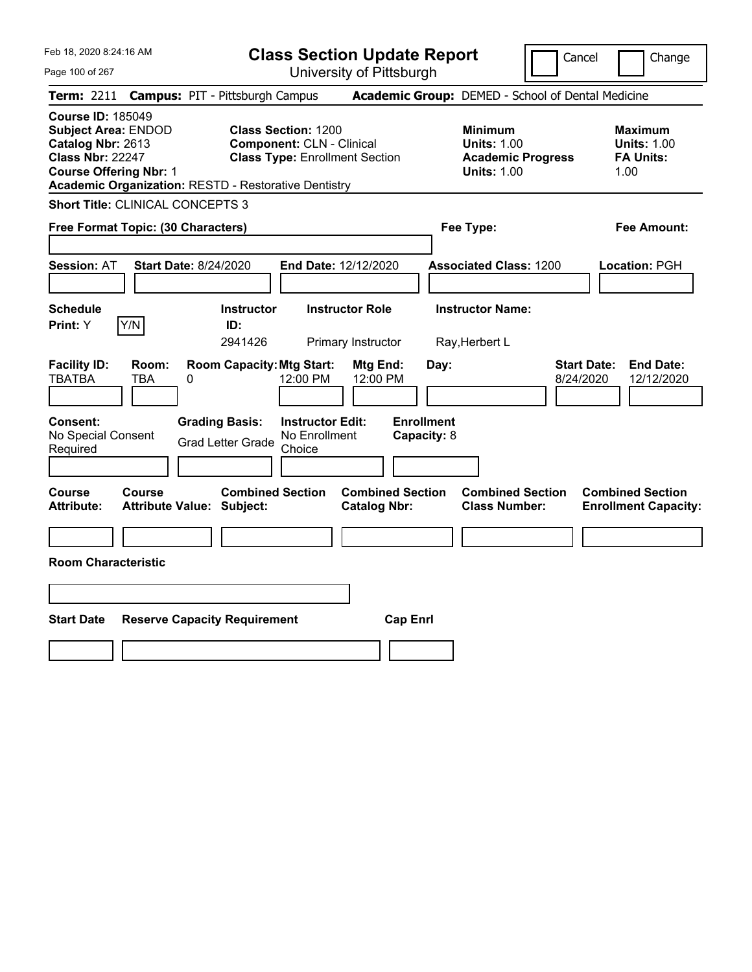Feb 18, 2020 8:24:16 AM Page 100 of 267 **Class Section Update Report** University of Pittsburgh Cancel | Change **Term:** 2211 **Campus:** PIT - Pittsburgh Campus **Academic Group:** DEMED - School of Dental Medicine **Course ID:** 185049 **Subject Area:** ENDOD **Class Section:** 1200 **Minimum Maximum Catalog Nbr:** 2613 **Component:** CLN - Clinical **Clinical Units: 1.00 Units: 1.00 Units: 1.00**<br> **Class Nbr: 22247** Class Type: Enrollment Section **Academic Progress** FA Units: **Class Type:** Enrollment Section **Academic Progress FA Units: Course Offering Nbr:** 1 **Units:** 1.00 1.00 **Academic Organization:** RESTD - Restorative Dentistry **Short Title:** CLINICAL CONCEPTS 3 **Free Format Topic: (30 Characters) Fee Type: Fee Amount: Session:** AT **Start Date:** 8/24/2020 **End Date:** 12/12/2020 **Associated Class:** 1200 **Location:** PGH **Schedule Instructor Instructor Role Instructor Name: Print:**  $Y$   $|Y/N|$  **ID:** 2941426 Primary Instructor Ray,Herbert L **Facility ID: Room: Room Capacity:Mtg Start: Mtg End: Day: Start Date: End Date:** TBATBA TBA 0 12:00 PM 12:00 PM 8/24/2020 12/12/2020 **Consent: Grading Basis: Instructor Edit: Enrollment** No Special Consent No Special Consent Grad Letter Grade No Enrollment<br>Required Choice Choice **Capacity:** 8 **Course Course Combined Section Combined Section Combined Section Combined Section Attribute: Attribute Value: Subject: Catalog Nbr: Class Number: Enrollment Capacity: Room Characteristic Start Date Reserve Capacity Requirement Cap Enrl**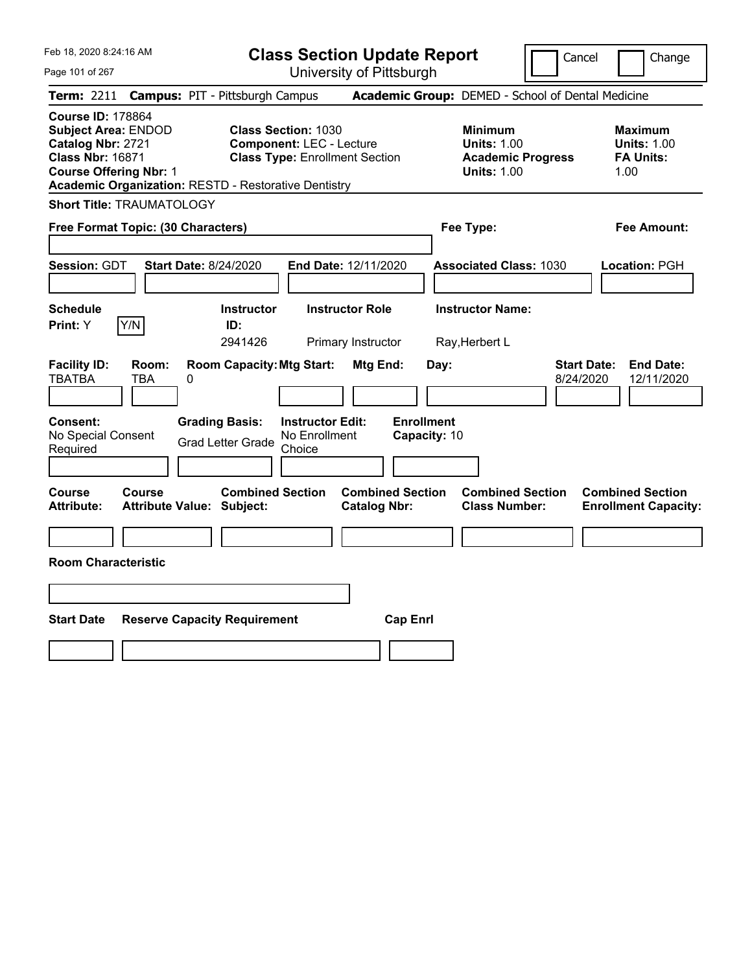Page 101 of 267

**Class Section Update Report**

Cancel Change

|                                                                                                                                                                                                                         |                                            | Term: 2211 Campus: PIT - Pittsburgh Campus                                                                                                                            |                                                                                        | Academic Group: DEMED - School of Dental Medicine                |                                                                   |
|-------------------------------------------------------------------------------------------------------------------------------------------------------------------------------------------------------------------------|--------------------------------------------|-----------------------------------------------------------------------------------------------------------------------------------------------------------------------|----------------------------------------------------------------------------------------|------------------------------------------------------------------|-------------------------------------------------------------------|
| <b>Course ID: 178864</b><br><b>Subject Area: ENDOD</b><br>Catalog Nbr: 2721<br><b>Class Nbr: 16871</b><br><b>Course Offering Nbr: 1</b>                                                                                 |                                            | <b>Class Section: 1030</b><br><b>Component: LEC - Lecture</b><br><b>Class Type: Enrollment Section</b><br><b>Academic Organization: RESTD - Restorative Dentistry</b> | <b>Minimum</b><br><b>Units: 1.00</b><br><b>Academic Progress</b><br><b>Units: 1.00</b> | <b>Maximum</b><br><b>Units: 1.00</b><br><b>FA Units:</b><br>1.00 |                                                                   |
|                                                                                                                                                                                                                         | <b>Short Title: TRAUMATOLOGY</b>           |                                                                                                                                                                       |                                                                                        |                                                                  |                                                                   |
|                                                                                                                                                                                                                         | Free Format Topic: (30 Characters)         |                                                                                                                                                                       |                                                                                        | Fee Type:                                                        | <b>Fee Amount:</b>                                                |
| Session: GDT                                                                                                                                                                                                            | <b>Start Date: 8/24/2020</b>               |                                                                                                                                                                       | End Date: 12/11/2020                                                                   | <b>Associated Class: 1030</b>                                    | Location: PGH                                                     |
| <b>Schedule</b><br><b>Print:</b> Y                                                                                                                                                                                      | Y/N                                        | <b>Instructor</b><br>ID:<br>2941426                                                                                                                                   | <b>Instructor Role</b><br>Primary Instructor                                           | <b>Instructor Name:</b><br>Ray, Herbert L                        |                                                                   |
| <b>Room Capacity: Mtg Start:</b><br><b>Facility ID:</b><br>Mtg End:<br>Room:<br><b>TBATBA</b><br><b>TBA</b><br>0<br>Consent:<br><b>Grading Basis:</b><br><b>Instructor Edit:</b><br>No Special Consent<br>No Enrollment |                                            |                                                                                                                                                                       |                                                                                        | Day:<br><b>Enrollment</b><br>Capacity: 10                        | <b>End Date:</b><br><b>Start Date:</b><br>8/24/2020<br>12/11/2020 |
| Required                                                                                                                                                                                                                |                                            | <b>Grad Letter Grade</b><br>Choice                                                                                                                                    |                                                                                        |                                                                  |                                                                   |
| Course<br><b>Attribute:</b>                                                                                                                                                                                             | Course<br><b>Attribute Value: Subject:</b> | <b>Combined Section</b>                                                                                                                                               | <b>Combined Section</b><br><b>Catalog Nbr:</b>                                         | <b>Combined Section</b><br><b>Class Number:</b>                  | <b>Combined Section</b><br><b>Enrollment Capacity:</b>            |
| <b>Room Characteristic</b>                                                                                                                                                                                              |                                            |                                                                                                                                                                       |                                                                                        |                                                                  |                                                                   |
| <b>Start Date</b>                                                                                                                                                                                                       | <b>Reserve Capacity Requirement</b>        |                                                                                                                                                                       | <b>Cap Enrl</b>                                                                        |                                                                  |                                                                   |
|                                                                                                                                                                                                                         |                                            |                                                                                                                                                                       |                                                                                        |                                                                  |                                                                   |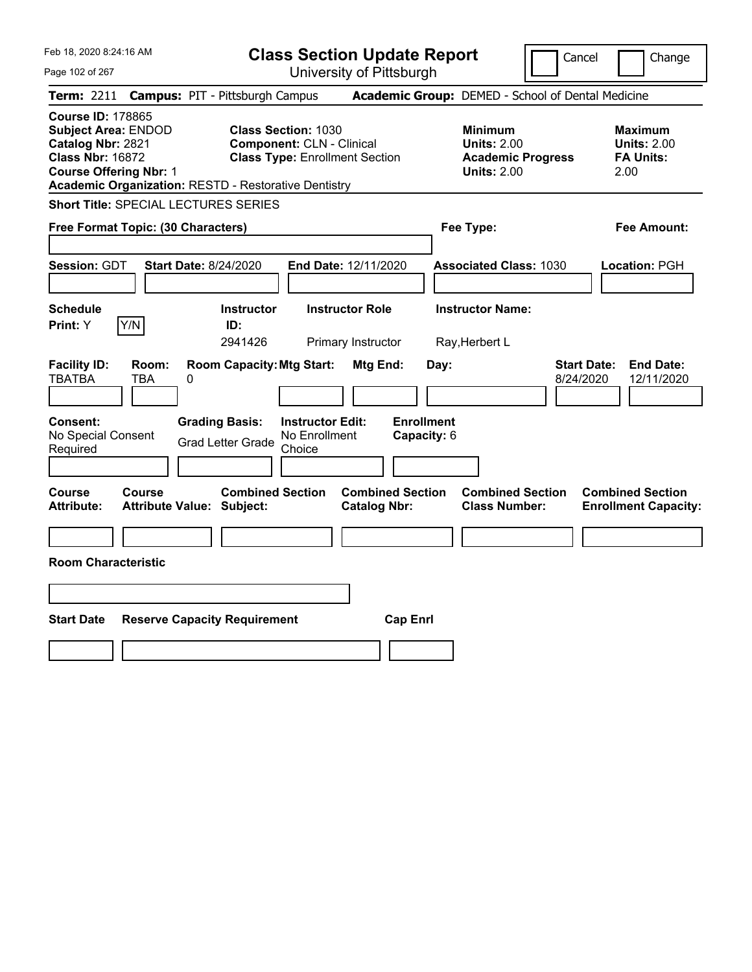|  | Feb 18, 2020 8:24:16 AM |  |
|--|-------------------------|--|
|  |                         |  |

**Class Section Update Report** University of Pittsburgh

Cancel Change

Page 102 of 267

|                                                                                                                                         |              | Term: 2211 Campus: PIT - Pittsburgh Campus                                                |                                                                           |                                                | Academic Group: DEMED - School of Dental Medicine                                      |                                                                   |  |
|-----------------------------------------------------------------------------------------------------------------------------------------|--------------|-------------------------------------------------------------------------------------------|---------------------------------------------------------------------------|------------------------------------------------|----------------------------------------------------------------------------------------|-------------------------------------------------------------------|--|
| <b>Course ID: 178865</b><br><b>Subject Area: ENDOD</b><br>Catalog Nbr: 2821<br><b>Class Nbr: 16872</b><br><b>Course Offering Nbr: 1</b> |              | <b>Class Section: 1030</b><br><b>Academic Organization: RESTD - Restorative Dentistry</b> | <b>Component: CLN - Clinical</b><br><b>Class Type: Enrollment Section</b> |                                                | <b>Minimum</b><br><b>Units: 2.00</b><br><b>Academic Progress</b><br><b>Units: 2.00</b> | <b>Maximum</b><br><b>Units: 2.00</b><br><b>FA Units:</b><br>2.00  |  |
|                                                                                                                                         |              | <b>Short Title: SPECIAL LECTURES SERIES</b>                                               |                                                                           |                                                |                                                                                        |                                                                   |  |
| Free Format Topic: (30 Characters)                                                                                                      |              |                                                                                           |                                                                           |                                                | Fee Type:                                                                              | <b>Fee Amount:</b>                                                |  |
| <b>Session: GDT</b>                                                                                                                     |              | <b>Start Date: 8/24/2020</b>                                                              | End Date: 12/11/2020                                                      |                                                | <b>Associated Class: 1030</b>                                                          | Location: PGH                                                     |  |
| <b>Schedule</b><br>Print: Y                                                                                                             | Y/N          | <b>Instructor</b><br>ID:<br>2941426                                                       | <b>Instructor Role</b><br>Primary Instructor                              |                                                | <b>Instructor Name:</b><br>Ray, Herbert L                                              |                                                                   |  |
| <b>Facility ID:</b><br><b>TBATBA</b>                                                                                                    | Room:<br>TBA | <b>Room Capacity: Mtg Start:</b><br>0                                                     |                                                                           | Mtg End:<br>Day:                               |                                                                                        | <b>Start Date:</b><br><b>End Date:</b><br>8/24/2020<br>12/11/2020 |  |
| Consent:<br>No Special Consent<br>Required                                                                                              |              | <b>Grading Basis:</b><br><b>Grad Letter Grade</b>                                         | <b>Instructor Edit:</b><br>No Enrollment<br>Choice                        | <b>Enrollment</b><br>Capacity: 6               |                                                                                        |                                                                   |  |
| Course<br><b>Attribute:</b>                                                                                                             | Course       | <b>Combined Section</b><br><b>Attribute Value: Subject:</b>                               |                                                                           | <b>Combined Section</b><br><b>Catalog Nbr:</b> | <b>Combined Section</b><br><b>Class Number:</b>                                        | <b>Combined Section</b><br><b>Enrollment Capacity:</b>            |  |
| <b>Room Characteristic</b>                                                                                                              |              |                                                                                           |                                                                           |                                                |                                                                                        |                                                                   |  |
|                                                                                                                                         |              |                                                                                           |                                                                           |                                                |                                                                                        |                                                                   |  |
| <b>Start Date</b>                                                                                                                       |              | <b>Reserve Capacity Requirement</b>                                                       |                                                                           | <b>Cap Enrl</b>                                |                                                                                        |                                                                   |  |
|                                                                                                                                         |              |                                                                                           |                                                                           |                                                |                                                                                        |                                                                   |  |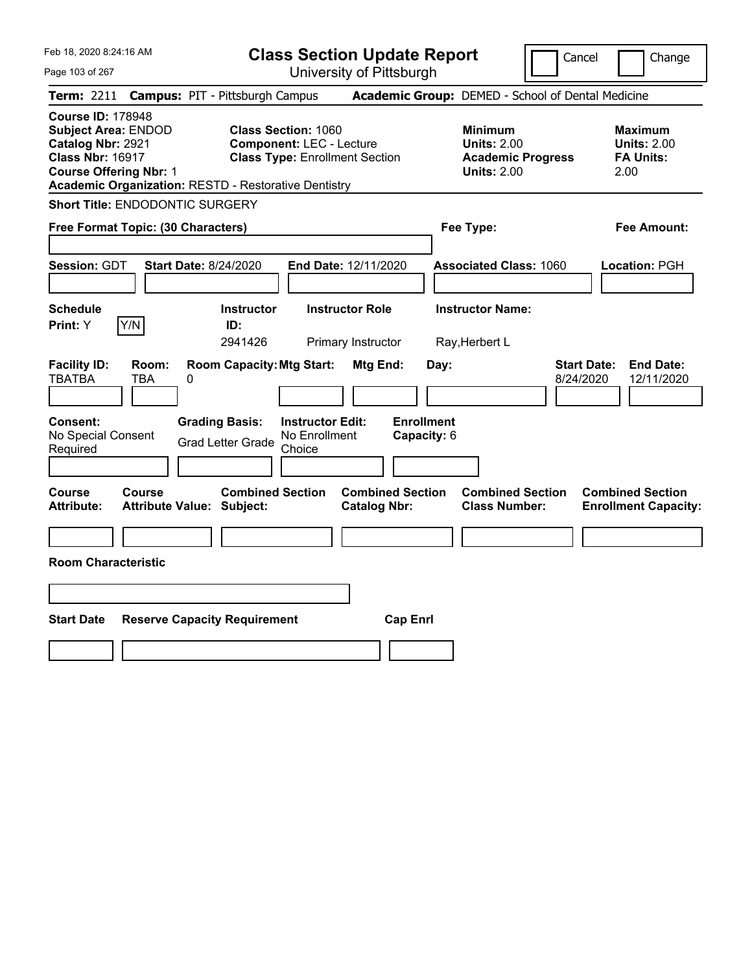| Feb 18, 2020 8:24:16 AM<br>Page 103 of 267                                                                                                                                                             | <b>Class Section Update Report</b><br>University of Pittsburgh                                           |                                                                                        | Cancel<br>Change                                                  |
|--------------------------------------------------------------------------------------------------------------------------------------------------------------------------------------------------------|----------------------------------------------------------------------------------------------------------|----------------------------------------------------------------------------------------|-------------------------------------------------------------------|
| <b>Campus: PIT - Pittsburgh Campus</b><br><b>Term: 2211</b>                                                                                                                                            |                                                                                                          | Academic Group: DEMED - School of Dental Medicine                                      |                                                                   |
| <b>Course ID: 178948</b><br><b>Subject Area: ENDOD</b><br>Catalog Nbr: 2921<br><b>Class Nbr: 16917</b><br><b>Course Offering Nbr: 1</b><br><b>Academic Organization: RESTD - Restorative Dentistry</b> | <b>Class Section: 1060</b><br><b>Component: LEC - Lecture</b><br><b>Class Type: Enrollment Section</b>   | <b>Minimum</b><br><b>Units: 2.00</b><br><b>Academic Progress</b><br><b>Units: 2.00</b> | <b>Maximum</b><br><b>Units: 2.00</b><br><b>FA Units:</b><br>2.00  |
| <b>Short Title: ENDODONTIC SURGERY</b>                                                                                                                                                                 |                                                                                                          |                                                                                        |                                                                   |
| Free Format Topic: (30 Characters)                                                                                                                                                                     |                                                                                                          | Fee Type:                                                                              | <b>Fee Amount:</b>                                                |
| <b>Session: GDT</b><br><b>Start Date: 8/24/2020</b><br><b>Schedule</b>                                                                                                                                 | End Date: 12/11/2020<br><b>Instructor</b><br><b>Instructor Role</b>                                      | <b>Associated Class: 1060</b><br><b>Instructor Name:</b>                               | Location: PGH                                                     |
| Y/N<br><b>Print:</b> Y                                                                                                                                                                                 | ID:                                                                                                      |                                                                                        |                                                                   |
| <b>Facility ID:</b><br>Room:<br><b>TBATBA</b><br><b>TBA</b><br>0<br><b>Grading Basis:</b><br><b>Consent:</b>                                                                                           | 2941426<br>Primary Instructor<br><b>Room Capacity: Mtg Start:</b><br>Mtg End:<br><b>Instructor Edit:</b> | Ray, Herbert L<br>Day:<br><b>Enrollment</b>                                            | <b>Start Date:</b><br><b>End Date:</b><br>8/24/2020<br>12/11/2020 |
| No Special Consent<br><b>Grad Letter Grade</b><br>Required<br>Course                                                                                                                                   | No Enrollment<br>Choice                                                                                  | Capacity: 6<br><b>Combined Section</b>                                                 |                                                                   |
| Course<br><b>Attribute:</b><br><b>Attribute Value: Subject:</b>                                                                                                                                        | <b>Combined Section</b><br><b>Combined Section</b><br><b>Catalog Nbr:</b>                                | <b>Class Number:</b>                                                                   | <b>Combined Section</b><br><b>Enrollment Capacity:</b>            |
| <b>Room Characteristic</b>                                                                                                                                                                             |                                                                                                          |                                                                                        |                                                                   |
|                                                                                                                                                                                                        |                                                                                                          |                                                                                        |                                                                   |
| <b>Start Date</b><br><b>Reserve Capacity Requirement</b>                                                                                                                                               |                                                                                                          | <b>Cap Enrl</b>                                                                        |                                                                   |
|                                                                                                                                                                                                        |                                                                                                          |                                                                                        |                                                                   |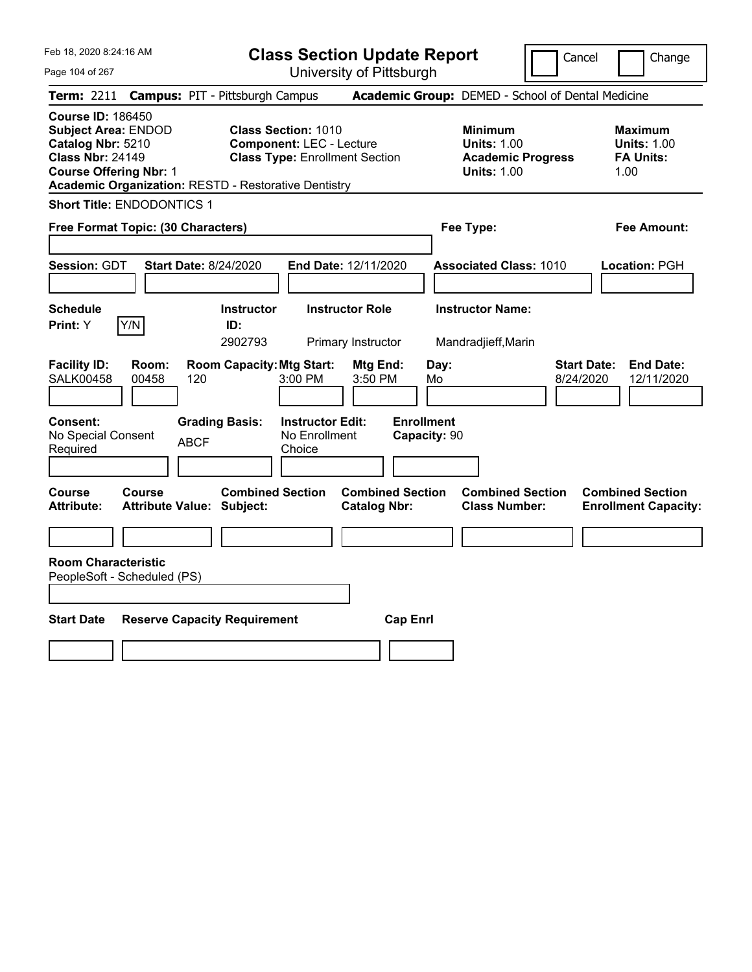Page 104 of 267

**Class Section Update Report**

Cancel **Change** 

| <b>Campus: PIT - Pittsburgh Campus</b><br><b>Term: 2211</b>                                                                                                                                                                                                                                                      | Academic Group: DEMED - School of Dental Medicine                                      |                                                           |
|------------------------------------------------------------------------------------------------------------------------------------------------------------------------------------------------------------------------------------------------------------------------------------------------------------------|----------------------------------------------------------------------------------------|-----------------------------------------------------------|
| <b>Course ID: 186450</b><br><b>Class Section: 1010</b><br><b>Subject Area: ENDOD</b><br>Catalog Nbr: 5210<br><b>Component: LEC - Lecture</b><br><b>Class Nbr: 24149</b><br><b>Class Type: Enrollment Section</b><br><b>Course Offering Nbr: 1</b><br><b>Academic Organization: RESTD - Restorative Dentistry</b> | <b>Minimum</b><br><b>Units: 1.00</b><br><b>Academic Progress</b><br><b>Units: 1.00</b> | Maximum<br><b>Units: 1.00</b><br><b>FA Units:</b><br>1.00 |
| <b>Short Title: ENDODONTICS 1</b>                                                                                                                                                                                                                                                                                |                                                                                        |                                                           |
| Free Format Topic: (30 Characters)                                                                                                                                                                                                                                                                               | Fee Type:                                                                              | <b>Fee Amount:</b>                                        |
| Session: GDT<br><b>Start Date: 8/24/2020</b><br>End Date: 12/11/2020                                                                                                                                                                                                                                             | <b>Associated Class: 1010</b>                                                          | Location: PGH                                             |
| <b>Schedule</b><br><b>Instructor Role</b><br><b>Instructor</b><br>Y/N<br>ID:<br>Print: Y<br>2902793<br>Primary Instructor                                                                                                                                                                                        | <b>Instructor Name:</b><br>Mandradjieff, Marin                                         |                                                           |
| <b>Facility ID:</b><br><b>Room Capacity: Mtg Start:</b><br>Room:<br>Mtg End:<br>Day:<br>SALK00458<br>00458<br>120<br>$3:00$ PM<br>3:50 PM<br>Mo                                                                                                                                                                  | <b>Start Date:</b><br>8/24/2020                                                        | <b>End Date:</b><br>12/11/2020                            |
| <b>Enrollment</b><br>Consent:<br><b>Grading Basis:</b><br><b>Instructor Edit:</b><br>No Special Consent<br>No Enrollment<br>Capacity: 90<br><b>ABCF</b><br>Choice<br>Required                                                                                                                                    |                                                                                        |                                                           |
| <b>Combined Section</b><br><b>Combined Section</b><br><b>Course</b><br><b>Course</b><br>Attribute:<br><b>Attribute Value: Subject:</b><br><b>Catalog Nbr:</b>                                                                                                                                                    | <b>Combined Section</b><br><b>Class Number:</b>                                        | <b>Combined Section</b><br><b>Enrollment Capacity:</b>    |
|                                                                                                                                                                                                                                                                                                                  |                                                                                        |                                                           |
| <b>Room Characteristic</b><br>PeopleSoft - Scheduled (PS)<br><b>Start Date</b><br><b>Reserve Capacity Requirement</b><br><b>Cap Enrl</b>                                                                                                                                                                         |                                                                                        |                                                           |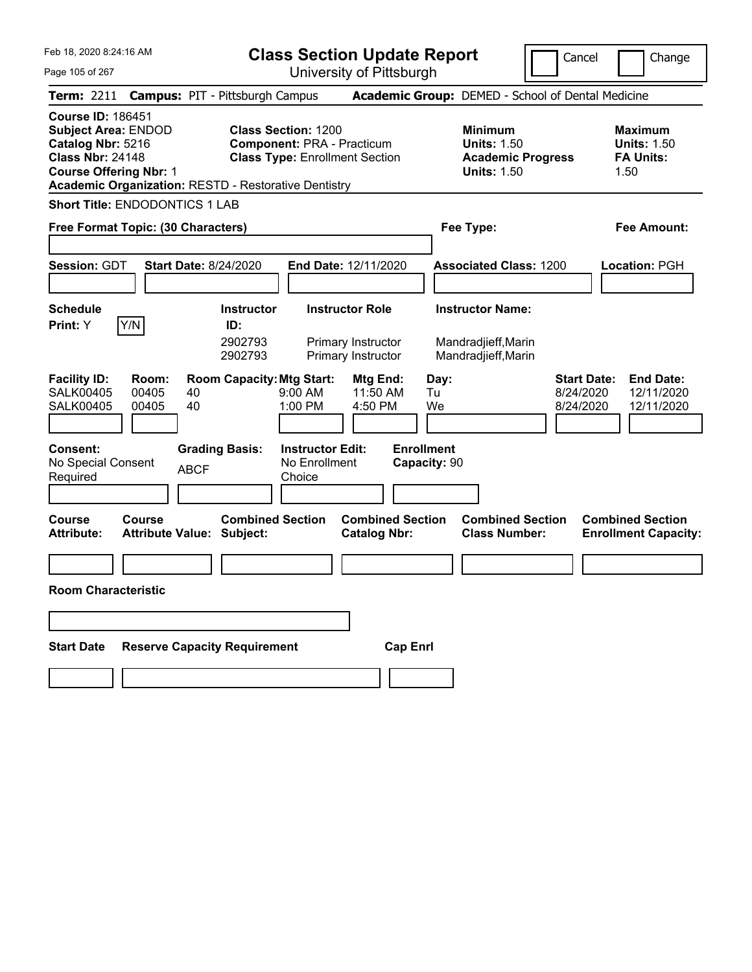**Class Section Update Report**

University of Pittsburgh

Cancel **Change** 

| Page 105 of 267 |
|-----------------|
|-----------------|

| <b>Term: 2211</b>                                                                                                                       |                         |             | <b>Campus: PIT - Pittsburgh Campus</b>                      |                                                                 |                                                                    |                                   | Academic Group: DEMED - School of Dental Medicine                                      |                                              |                                                                  |
|-----------------------------------------------------------------------------------------------------------------------------------------|-------------------------|-------------|-------------------------------------------------------------|-----------------------------------------------------------------|--------------------------------------------------------------------|-----------------------------------|----------------------------------------------------------------------------------------|----------------------------------------------|------------------------------------------------------------------|
| <b>Course ID: 186451</b><br><b>Subject Area: ENDOD</b><br>Catalog Nbr: 5216<br><b>Class Nbr: 24148</b><br><b>Course Offering Nbr: 1</b> |                         |             | Academic Organization: RESTD - Restorative Dentistry        | <b>Class Section: 1200</b><br><b>Component: PRA - Practicum</b> | <b>Class Type: Enrollment Section</b>                              |                                   | <b>Minimum</b><br><b>Units: 1.50</b><br><b>Academic Progress</b><br><b>Units: 1.50</b> |                                              | <b>Maximum</b><br><b>Units: 1.50</b><br><b>FA Units:</b><br>1.50 |
| Short Title: ENDODONTICS 1 LAB                                                                                                          |                         |             |                                                             |                                                                 |                                                                    |                                   |                                                                                        |                                              |                                                                  |
| Free Format Topic: (30 Characters)                                                                                                      |                         |             |                                                             |                                                                 |                                                                    |                                   | Fee Type:                                                                              |                                              | <b>Fee Amount:</b>                                               |
| <b>Session: GDT</b>                                                                                                                     |                         |             | <b>Start Date: 8/24/2020</b>                                |                                                                 | End Date: 12/11/2020                                               |                                   | <b>Associated Class: 1200</b>                                                          |                                              | Location: PGH                                                    |
| <b>Schedule</b><br>Print: Y                                                                                                             | Y/N                     |             | <b>Instructor</b><br>ID:<br>2902793<br>2902793              |                                                                 | <b>Instructor Role</b><br>Primary Instructor<br>Primary Instructor |                                   | <b>Instructor Name:</b><br>Mandradjieff, Marin<br>Mandradjieff, Marin                  |                                              |                                                                  |
| <b>Facility ID:</b><br><b>SALK00405</b><br><b>SALK00405</b>                                                                             | Room:<br>00405<br>00405 | 40<br>40    | <b>Room Capacity: Mtg Start:</b>                            | $9:00$ AM<br>1:00 PM                                            | Mtg End:<br>11:50 AM<br>4:50 PM                                    | Day:<br>Tu<br>We                  |                                                                                        | <b>Start Date:</b><br>8/24/2020<br>8/24/2020 | <b>End Date:</b><br>12/11/2020<br>12/11/2020                     |
| Consent:<br>No Special Consent<br>Required                                                                                              |                         | <b>ABCF</b> | <b>Grading Basis:</b>                                       | <b>Instructor Edit:</b><br>No Enrollment<br>Choice              |                                                                    | <b>Enrollment</b><br>Capacity: 90 |                                                                                        |                                              |                                                                  |
| Course<br><b>Attribute:</b>                                                                                                             | Course                  |             | <b>Combined Section</b><br><b>Attribute Value: Subject:</b> |                                                                 | <b>Combined Section</b><br><b>Catalog Nbr:</b>                     |                                   | <b>Combined Section</b><br><b>Class Number:</b>                                        |                                              | <b>Combined Section</b><br><b>Enrollment Capacity:</b>           |
| <b>Room Characteristic</b>                                                                                                              |                         |             |                                                             |                                                                 |                                                                    |                                   |                                                                                        |                                              |                                                                  |
| <b>Start Date</b>                                                                                                                       |                         |             | <b>Reserve Capacity Requirement</b>                         |                                                                 |                                                                    | <b>Cap Enrl</b>                   |                                                                                        |                                              |                                                                  |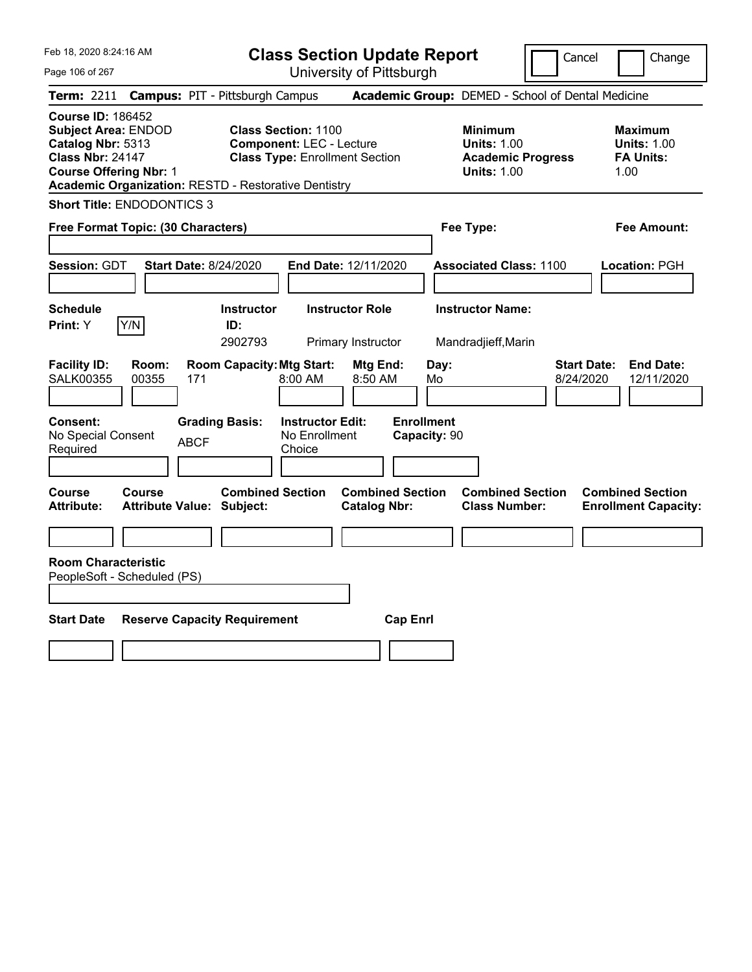Page 106 of 267

**Class Section Update Report**

Cancel **Change** 

|                                                                                                                                                                                                        |                                                                                 | UNIVUOILY ULI RODULYN                                                                                  |                                                                        |                                                                                        |                                                                   |
|--------------------------------------------------------------------------------------------------------------------------------------------------------------------------------------------------------|---------------------------------------------------------------------------------|--------------------------------------------------------------------------------------------------------|------------------------------------------------------------------------|----------------------------------------------------------------------------------------|-------------------------------------------------------------------|
| <b>Term: 2211</b>                                                                                                                                                                                      | <b>Campus: PIT - Pittsburgh Campus</b>                                          |                                                                                                        |                                                                        | Academic Group: DEMED - School of Dental Medicine                                      |                                                                   |
| <b>Course ID: 186452</b><br><b>Subject Area: ENDOD</b><br>Catalog Nbr: 5313<br><b>Class Nbr: 24147</b><br><b>Course Offering Nbr: 1</b><br><b>Academic Organization: RESTD - Restorative Dentistry</b> |                                                                                 | <b>Class Section: 1100</b><br><b>Component: LEC - Lecture</b><br><b>Class Type: Enrollment Section</b> |                                                                        | <b>Minimum</b><br><b>Units: 1.00</b><br><b>Academic Progress</b><br><b>Units: 1.00</b> | <b>Maximum</b><br><b>Units: 1.00</b><br><b>FA Units:</b><br>1.00  |
| <b>Short Title: ENDODONTICS 3</b>                                                                                                                                                                      |                                                                                 |                                                                                                        |                                                                        |                                                                                        |                                                                   |
| Free Format Topic: (30 Characters)                                                                                                                                                                     |                                                                                 |                                                                                                        |                                                                        | Fee Type:                                                                              | Fee Amount:                                                       |
| <b>Session: GDT</b>                                                                                                                                                                                    | <b>Start Date: 8/24/2020</b>                                                    | End Date: 12/11/2020                                                                                   |                                                                        | <b>Associated Class: 1100</b>                                                          | Location: PGH                                                     |
| <b>Schedule</b><br>Y/N<br>Print: Y                                                                                                                                                                     | <b>Instructor</b><br>ID:<br>2902793                                             | <b>Instructor Role</b><br>Primary Instructor                                                           |                                                                        | <b>Instructor Name:</b><br>Mandradjieff, Marin                                         |                                                                   |
| <b>Facility ID:</b><br>Room:<br><b>SALK00355</b><br>00355<br>Consent:<br>No Special Consent<br>Required                                                                                                | <b>Room Capacity: Mtg Start:</b><br>171<br><b>Grading Basis:</b><br><b>ABCF</b> | 8:00 AM<br><b>Instructor Edit:</b><br>No Enrollment<br>Choice                                          | Mtg End:<br>Day:<br>8:50 AM<br>Mo<br><b>Enrollment</b><br>Capacity: 90 |                                                                                        | <b>Start Date:</b><br><b>End Date:</b><br>8/24/2020<br>12/11/2020 |
| <b>Course</b><br><b>Course</b><br><b>Attribute:</b>                                                                                                                                                    | <b>Combined Section</b><br><b>Attribute Value: Subject:</b>                     |                                                                                                        | <b>Combined Section</b><br><b>Catalog Nbr:</b>                         | <b>Combined Section</b><br><b>Class Number:</b>                                        | <b>Combined Section</b><br><b>Enrollment Capacity:</b>            |
| <b>Room Characteristic</b><br>PeopleSoft - Scheduled (PS)<br><b>Start Date</b>                                                                                                                         | <b>Reserve Capacity Requirement</b>                                             |                                                                                                        | <b>Cap Enrl</b>                                                        |                                                                                        |                                                                   |
|                                                                                                                                                                                                        |                                                                                 |                                                                                                        |                                                                        |                                                                                        |                                                                   |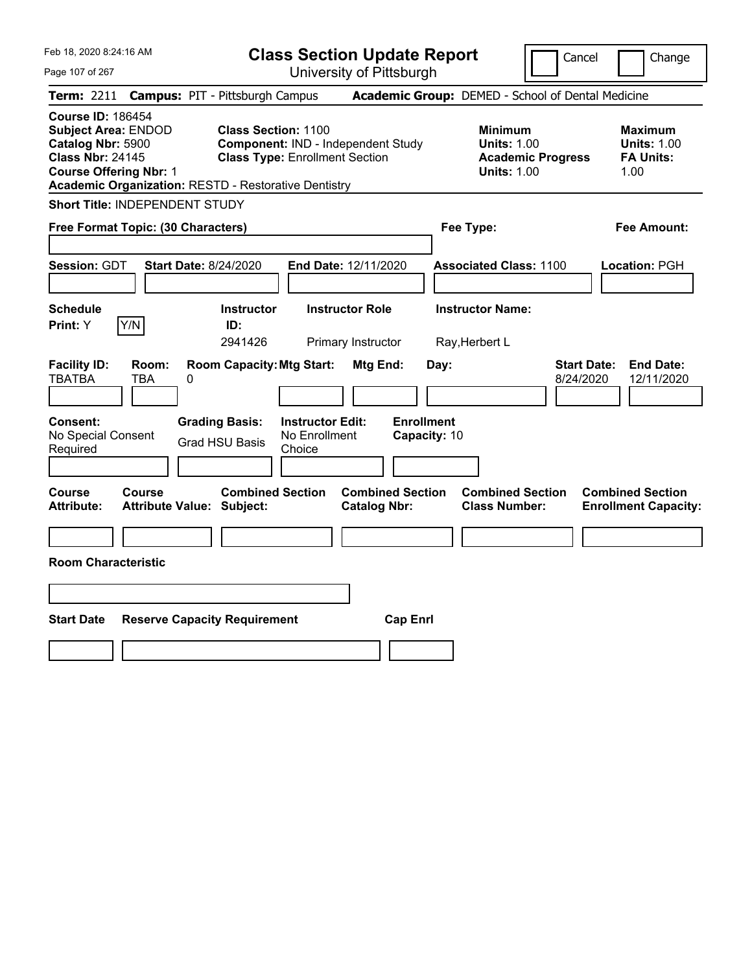| Feb 18, 2020 8:24:16 AM<br>Page 107 of 267                                                                                                                                                             | <b>Class Section Update Report</b><br>University of Pittsburgh                                            |                                                                                        | Cancel<br>Change                                                  |
|--------------------------------------------------------------------------------------------------------------------------------------------------------------------------------------------------------|-----------------------------------------------------------------------------------------------------------|----------------------------------------------------------------------------------------|-------------------------------------------------------------------|
| <b>Term: 2211</b>                                                                                                                                                                                      | <b>Campus: PIT - Pittsburgh Campus</b>                                                                    | Academic Group: DEMED - School of Dental Medicine                                      |                                                                   |
| <b>Course ID: 186454</b><br><b>Subject Area: ENDOD</b><br>Catalog Nbr: 5900<br><b>Class Nbr: 24145</b><br><b>Course Offering Nbr: 1</b><br><b>Academic Organization: RESTD - Restorative Dentistry</b> | <b>Class Section: 1100</b><br>Component: IND - Independent Study<br><b>Class Type: Enrollment Section</b> | <b>Minimum</b><br><b>Units: 1.00</b><br><b>Academic Progress</b><br><b>Units: 1.00</b> | <b>Maximum</b><br><b>Units: 1.00</b><br><b>FA Units:</b><br>1.00  |
| <b>Short Title: INDEPENDENT STUDY</b>                                                                                                                                                                  |                                                                                                           |                                                                                        |                                                                   |
| Free Format Topic: (30 Characters)                                                                                                                                                                     |                                                                                                           | Fee Type:                                                                              | <b>Fee Amount:</b>                                                |
| <b>Session: GDT</b><br><b>Start Date: 8/24/2020</b>                                                                                                                                                    | End Date: 12/11/2020                                                                                      | <b>Associated Class: 1100</b>                                                          | Location: PGH                                                     |
| <b>Schedule</b>                                                                                                                                                                                        | <b>Instructor</b><br><b>Instructor Role</b>                                                               | <b>Instructor Name:</b>                                                                |                                                                   |
| Y/N<br><b>Print: Y</b>                                                                                                                                                                                 | ID:<br>2941426<br>Primary Instructor                                                                      | Ray, Herbert L                                                                         |                                                                   |
| <b>Facility ID:</b><br>Room:<br><b>TBATBA</b><br><b>TBA</b><br>0<br>Consent:                                                                                                                           | <b>Room Capacity: Mtg Start:</b><br>Mtg End:<br><b>Grading Basis:</b><br><b>Instructor Edit:</b>          | Day:<br><b>Enrollment</b>                                                              | <b>Start Date:</b><br><b>End Date:</b><br>8/24/2020<br>12/11/2020 |
| No Special Consent<br>Required                                                                                                                                                                         | No Enrollment<br><b>Grad HSU Basis</b><br>Choice                                                          | Capacity: 10                                                                           |                                                                   |
|                                                                                                                                                                                                        |                                                                                                           |                                                                                        |                                                                   |
| Course<br>Course<br><b>Attribute:</b><br><b>Attribute Value: Subject:</b>                                                                                                                              | <b>Combined Section</b><br><b>Combined Section</b><br><b>Catalog Nbr:</b>                                 | <b>Combined Section</b><br><b>Class Number:</b>                                        | <b>Combined Section</b><br><b>Enrollment Capacity:</b>            |
|                                                                                                                                                                                                        |                                                                                                           |                                                                                        |                                                                   |
| <b>Room Characteristic</b>                                                                                                                                                                             |                                                                                                           |                                                                                        |                                                                   |
|                                                                                                                                                                                                        |                                                                                                           |                                                                                        |                                                                   |
| <b>Start Date</b><br><b>Reserve Capacity Requirement</b>                                                                                                                                               |                                                                                                           | <b>Cap Enrl</b>                                                                        |                                                                   |
|                                                                                                                                                                                                        |                                                                                                           |                                                                                        |                                                                   |
|                                                                                                                                                                                                        |                                                                                                           |                                                                                        |                                                                   |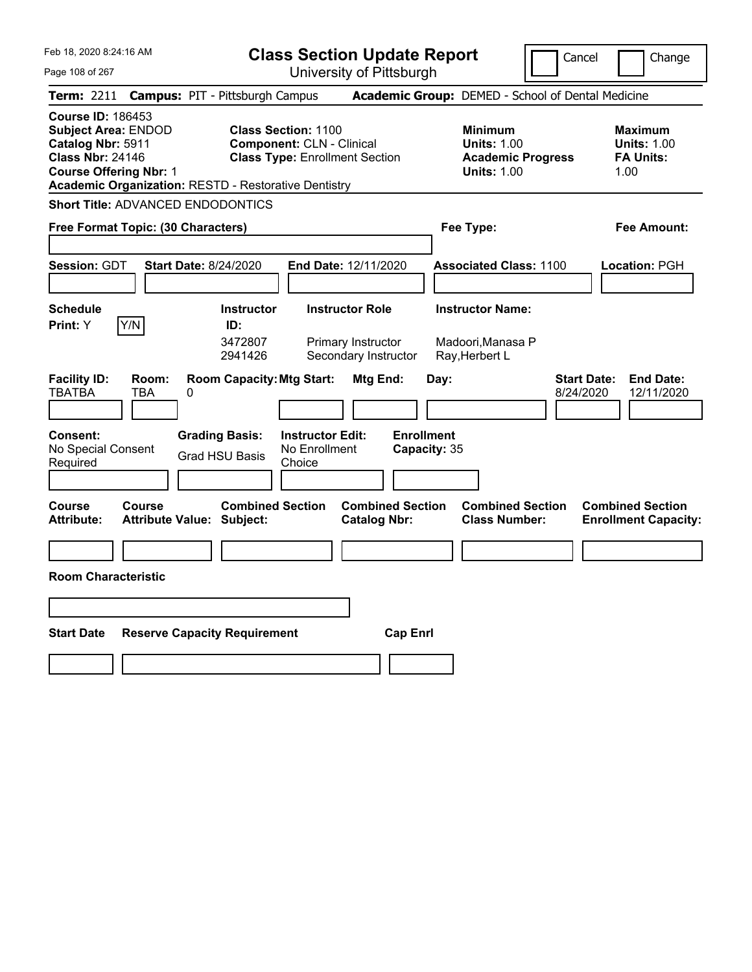Feb 18, 2020 8:24:16 AM

**Class Section Update Report**

Cancel **I** Change

| Page 108 of 267                                                                                                                         | University of Pittsburgh                                                                                                                                               |                                                                                        |                                                                   |
|-----------------------------------------------------------------------------------------------------------------------------------------|------------------------------------------------------------------------------------------------------------------------------------------------------------------------|----------------------------------------------------------------------------------------|-------------------------------------------------------------------|
| <b>Term: 2211</b>                                                                                                                       | <b>Campus: PIT - Pittsburgh Campus</b>                                                                                                                                 | Academic Group: DEMED - School of Dental Medicine                                      |                                                                   |
| <b>Course ID: 186453</b><br><b>Subject Area: ENDOD</b><br>Catalog Nbr: 5911<br><b>Class Nbr: 24146</b><br><b>Course Offering Nbr: 1</b> | <b>Class Section: 1100</b><br><b>Component: CLN - Clinical</b><br><b>Class Type: Enrollment Section</b><br><b>Academic Organization: RESTD - Restorative Dentistry</b> | <b>Minimum</b><br><b>Units: 1.00</b><br><b>Academic Progress</b><br><b>Units: 1.00</b> | <b>Maximum</b><br><b>Units: 1.00</b><br><b>FA Units:</b><br>1.00  |
| <b>Short Title: ADVANCED ENDODONTICS</b>                                                                                                |                                                                                                                                                                        |                                                                                        |                                                                   |
| Free Format Topic: (30 Characters)                                                                                                      |                                                                                                                                                                        | Fee Type:                                                                              | Fee Amount:                                                       |
| <b>Session: GDT</b>                                                                                                                     | <b>Start Date: 8/24/2020</b><br>End Date: 12/11/2020                                                                                                                   | <b>Associated Class: 1100</b>                                                          | Location: PGH                                                     |
| <b>Schedule</b><br>Y/N<br><b>Print:</b> Y                                                                                               | <b>Instructor Role</b><br><b>Instructor</b><br>ID:<br>3472807<br>Primary Instructor<br>2941426<br>Secondary Instructor                                                 | <b>Instructor Name:</b><br>Madoori, Manasa P<br>Ray, Herbert L                         |                                                                   |
| <b>Facility ID:</b><br>Room:<br><b>TBATBA</b><br><b>TBA</b>                                                                             | <b>Room Capacity: Mtg Start:</b><br>Mtg End:<br>0                                                                                                                      | Day:                                                                                   | <b>Start Date:</b><br><b>End Date:</b><br>8/24/2020<br>12/11/2020 |
| Consent:<br>No Special Consent<br>Required                                                                                              | <b>Grading Basis:</b><br><b>Instructor Edit:</b><br>No Enrollment<br><b>Grad HSU Basis</b><br>Choice                                                                   | <b>Enrollment</b><br>Capacity: 35                                                      |                                                                   |
| Course<br>Course<br><b>Attribute:</b>                                                                                                   | <b>Combined Section</b><br><b>Combined Section</b><br><b>Attribute Value: Subject:</b><br><b>Catalog Nbr:</b>                                                          | <b>Combined Section</b><br><b>Class Number:</b>                                        | <b>Combined Section</b><br><b>Enrollment Capacity:</b>            |
| <b>Room Characteristic</b>                                                                                                              |                                                                                                                                                                        |                                                                                        |                                                                   |
|                                                                                                                                         |                                                                                                                                                                        |                                                                                        |                                                                   |
| <b>Start Date</b>                                                                                                                       | <b>Reserve Capacity Requirement</b><br><b>Cap Enrl</b>                                                                                                                 |                                                                                        |                                                                   |
|                                                                                                                                         |                                                                                                                                                                        |                                                                                        |                                                                   |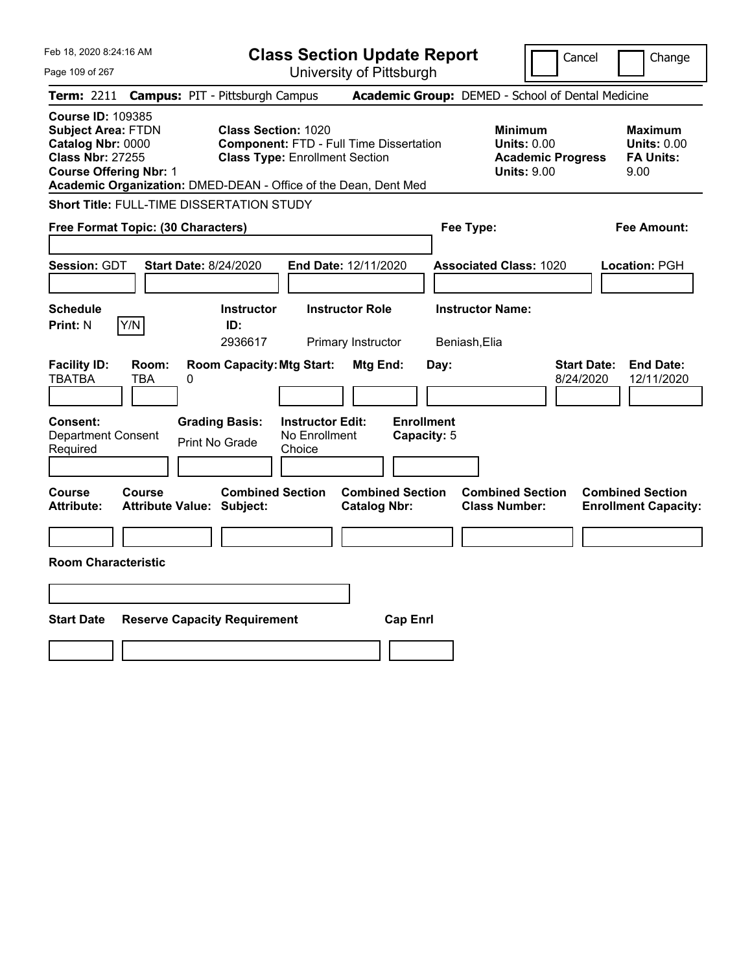| Feb 18, 2020 8:24:16 AM                                                                                                                                                                                   |                                                                                                                       | <b>Class Section Update Report</b>             |                                                                                        | Cancel<br>Change                                                  |
|-----------------------------------------------------------------------------------------------------------------------------------------------------------------------------------------------------------|-----------------------------------------------------------------------------------------------------------------------|------------------------------------------------|----------------------------------------------------------------------------------------|-------------------------------------------------------------------|
| Page 109 of 267                                                                                                                                                                                           |                                                                                                                       | University of Pittsburgh                       |                                                                                        |                                                                   |
| <b>Term: 2211</b>                                                                                                                                                                                         | <b>Campus: PIT - Pittsburgh Campus</b>                                                                                |                                                | Academic Group: DEMED - School of Dental Medicine                                      |                                                                   |
| <b>Course ID: 109385</b><br><b>Subject Area: FTDN</b><br>Catalog Nbr: 0000<br><b>Class Nbr: 27255</b><br><b>Course Offering Nbr: 1</b><br>Academic Organization: DMED-DEAN - Office of the Dean, Dent Med | <b>Class Section: 1020</b><br><b>Component: FTD - Full Time Dissertation</b><br><b>Class Type: Enrollment Section</b> |                                                | <b>Minimum</b><br><b>Units: 0.00</b><br><b>Academic Progress</b><br><b>Units: 9.00</b> | <b>Maximum</b><br><b>Units: 0.00</b><br><b>FA Units:</b><br>9.00  |
| Short Title: FULL-TIME DISSERTATION STUDY                                                                                                                                                                 |                                                                                                                       |                                                |                                                                                        |                                                                   |
| Free Format Topic: (30 Characters)                                                                                                                                                                        |                                                                                                                       |                                                | Fee Type:                                                                              | Fee Amount:                                                       |
| <b>Session: GDT</b><br><b>Start Date: 8/24/2020</b>                                                                                                                                                       |                                                                                                                       | <b>End Date: 12/11/2020</b>                    | <b>Associated Class: 1020</b>                                                          | Location: PGH                                                     |
| <b>Schedule</b><br>Y/N<br><b>Print: N</b>                                                                                                                                                                 | <b>Instructor</b><br>ID:<br>2936617                                                                                   | <b>Instructor Role</b><br>Primary Instructor   | <b>Instructor Name:</b><br>Beniash, Elia                                               |                                                                   |
| <b>Facility ID:</b><br>Room:<br><b>TBATBA</b><br>TBA<br>0                                                                                                                                                 | <b>Room Capacity: Mtg Start:</b>                                                                                      | Mtg End:<br>Day:                               |                                                                                        | <b>Start Date:</b><br><b>End Date:</b><br>8/24/2020<br>12/11/2020 |
| Consent:<br><b>Department Consent</b><br>Required                                                                                                                                                         | <b>Grading Basis:</b><br><b>Instructor Edit:</b><br>No Enrollment<br><b>Print No Grade</b><br>Choice                  | <b>Enrollment</b><br>Capacity: 5               |                                                                                        |                                                                   |
| Course<br>Course<br><b>Attribute:</b><br><b>Attribute Value: Subject:</b>                                                                                                                                 | <b>Combined Section</b>                                                                                               | <b>Combined Section</b><br><b>Catalog Nbr:</b> | <b>Combined Section</b><br><b>Class Number:</b>                                        | <b>Combined Section</b><br><b>Enrollment Capacity:</b>            |
|                                                                                                                                                                                                           |                                                                                                                       |                                                |                                                                                        |                                                                   |
| <b>Room Characteristic</b>                                                                                                                                                                                |                                                                                                                       |                                                |                                                                                        |                                                                   |
|                                                                                                                                                                                                           |                                                                                                                       |                                                |                                                                                        |                                                                   |
| <b>Start Date</b>                                                                                                                                                                                         | <b>Reserve Capacity Requirement</b>                                                                                   | <b>Cap Enrl</b>                                |                                                                                        |                                                                   |
|                                                                                                                                                                                                           |                                                                                                                       |                                                |                                                                                        |                                                                   |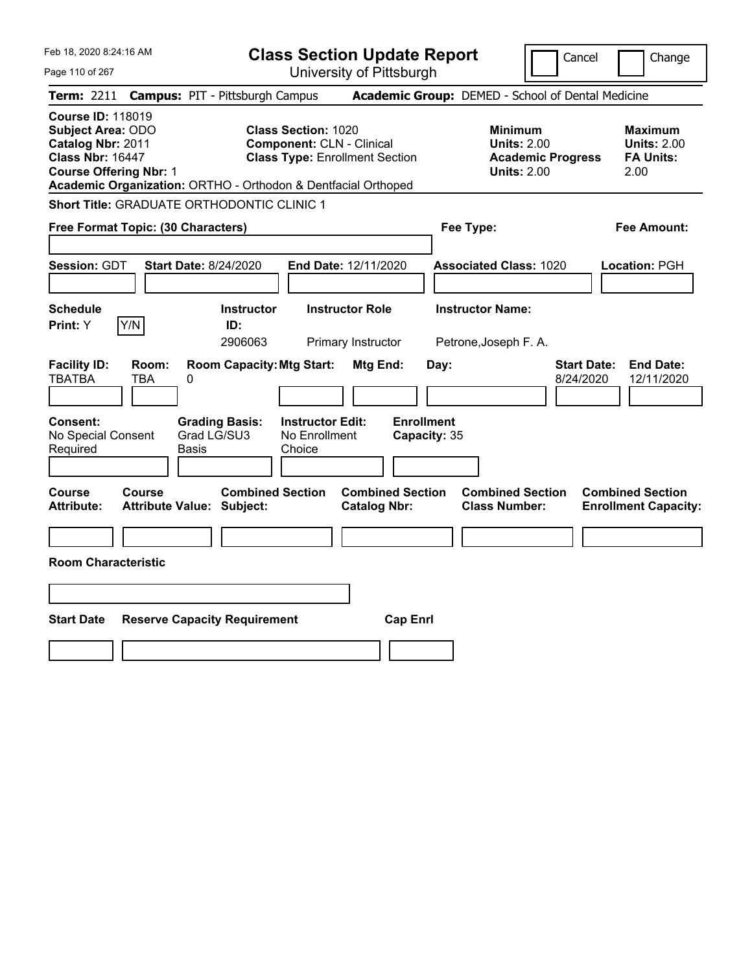|  | Feb 18, 2020 8:24:16 AM |  |
|--|-------------------------|--|
|  |                         |  |

Page 110 of 267

**Class Section Update Report**

Cancel **Change** 

| <b>Term: 2211</b>                                                                                    |                               | <b>Campus: PIT - Pittsburgh Campus</b>                        |                                                                |                                                |                                   | Academic Group: DEMED - School of Dental Medicine                               |                                 |                                                                  |
|------------------------------------------------------------------------------------------------------|-------------------------------|---------------------------------------------------------------|----------------------------------------------------------------|------------------------------------------------|-----------------------------------|---------------------------------------------------------------------------------|---------------------------------|------------------------------------------------------------------|
| <b>Course ID: 118019</b><br><b>Subject Area: ODO</b><br>Catalog Nbr: 2011<br><b>Class Nbr: 16447</b> | <b>Course Offering Nbr: 1</b> | Academic Organization: ORTHO - Orthodon & Dentfacial Orthoped | <b>Class Section: 1020</b><br><b>Component: CLN - Clinical</b> | <b>Class Type: Enrollment Section</b>          |                                   | Minimum<br><b>Units: 2.00</b><br><b>Academic Progress</b><br><b>Units: 2.00</b> |                                 | <b>Maximum</b><br><b>Units: 2.00</b><br><b>FA Units:</b><br>2.00 |
|                                                                                                      |                               | <b>Short Title: GRADUATE ORTHODONTIC CLINIC 1</b>             |                                                                |                                                |                                   |                                                                                 |                                 |                                                                  |
|                                                                                                      |                               | Free Format Topic: (30 Characters)                            |                                                                |                                                |                                   | Fee Type:                                                                       |                                 | Fee Amount:                                                      |
| <b>Session: GDT</b>                                                                                  |                               | <b>Start Date: 8/24/2020</b>                                  |                                                                | End Date: 12/11/2020                           |                                   | <b>Associated Class: 1020</b>                                                   |                                 | Location: PGH                                                    |
| <b>Schedule</b><br><b>Print:</b> Y                                                                   | Y/N                           | <b>Instructor</b><br>ID:<br>2906063                           |                                                                | <b>Instructor Role</b><br>Primary Instructor   |                                   | <b>Instructor Name:</b><br>Petrone, Joseph F. A.                                |                                 |                                                                  |
| <b>Facility ID:</b><br><b>TBATBA</b>                                                                 | Room:<br><b>TBA</b>           | <b>Room Capacity: Mtg Start:</b><br>0                         |                                                                | Mtg End:                                       | Day:                              |                                                                                 | <b>Start Date:</b><br>8/24/2020 | <b>End Date:</b><br>12/11/2020                                   |
| <b>Consent:</b><br>No Special Consent<br>Required                                                    |                               | <b>Grading Basis:</b><br>Grad LG/SU3<br>Basis                 | <b>Instructor Edit:</b><br>No Enrollment<br>Choice             |                                                | <b>Enrollment</b><br>Capacity: 35 |                                                                                 |                                 |                                                                  |
| <b>Course</b><br><b>Attribute:</b>                                                                   | Course                        | <b>Combined Section</b><br><b>Attribute Value: Subject:</b>   |                                                                | <b>Combined Section</b><br><b>Catalog Nbr:</b> |                                   | <b>Combined Section</b><br><b>Class Number:</b>                                 |                                 | <b>Combined Section</b><br><b>Enrollment Capacity:</b>           |
| <b>Room Characteristic</b>                                                                           |                               |                                                               |                                                                |                                                |                                   |                                                                                 |                                 |                                                                  |
| <b>Start Date</b>                                                                                    |                               | <b>Reserve Capacity Requirement</b>                           |                                                                | <b>Cap Enrl</b>                                |                                   |                                                                                 |                                 |                                                                  |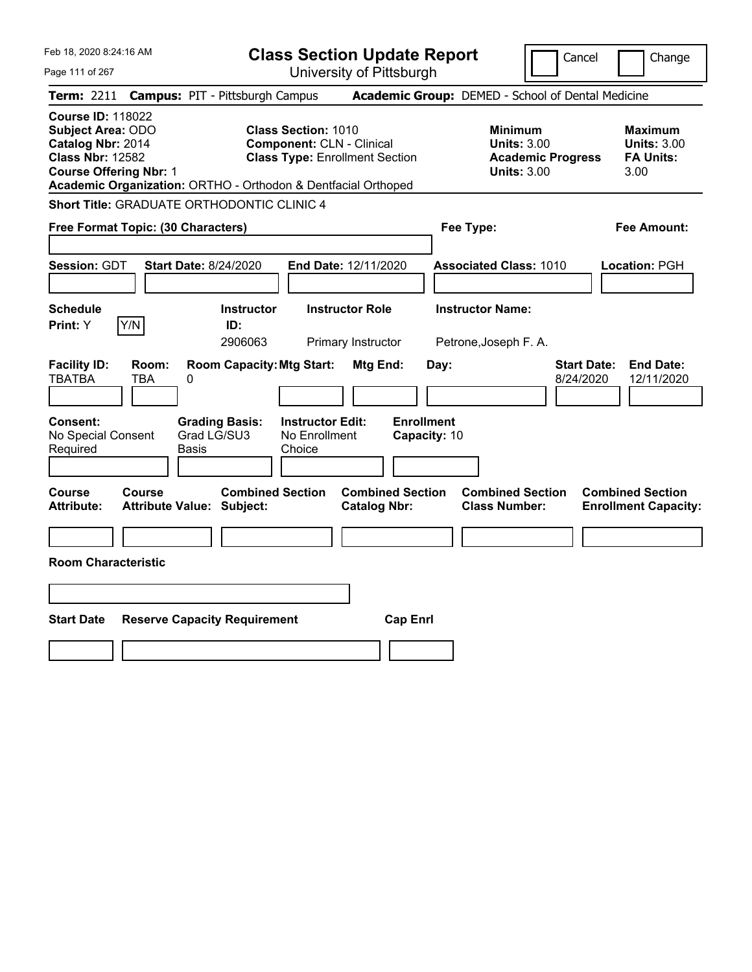Feb 18, 2020 8:24:16 AM Page 111 of 267 **Class Section Update Report** University of Pittsburgh Cancel | Change **Term:** 2211 **Campus:** PIT - Pittsburgh Campus **Academic Group:** DEMED - School of Dental Medicine **Course ID:** 118022 **Subject Area:** ODO **Class Section:** 1010 **Minimum Maximum Catalog Nbr:** 2014 **Component:** CLN - Clinical **Units:** 3.00 **Units:** 3.00 **Class Nbr:** 12582 **Class Type:** Enrollment Section **Academic Progress FA Units: Course Offering Nbr: 1 Course Offering Nbr: 1 Units: 3.00** 3.00 **Academic Organization:** ORTHO - Orthodon & Dentfacial Orthoped **Short Title:** GRADUATE ORTHODONTIC CLINIC 4 **Free Format Topic: (30 Characters) Fee Type: Fee Amount: Session:** GDT **Start Date:** 8/24/2020 **End Date:** 12/11/2020 **Associated Class:** 1010 **Location:** PGH **Schedule Instructor Instructor Role Instructor Name: Print:**  $Y$   $|Y/N|$  **ID:** 2906063 Primary Instructor Petrone,Joseph F. A. **Facility ID: Room: Room Capacity:Mtg Start: Mtg End: Day: Start Date: End Date:** TBATBA TBA 0 8/24/2020 12/11/2020 **Consent: Grading Basis: Instructor Edit: Enrollment** No Special Consent Required Grad LG/SU3 Basis No Enrollment Choice **Capacity:** 10 **Course Course Combined Section Combined Section Combined Section Combined Section Attribute: Attribute Value: Subject: Catalog Nbr: Class Number: Enrollment Capacity: Room Characteristic Start Date Reserve Capacity Requirement Cap Enrl**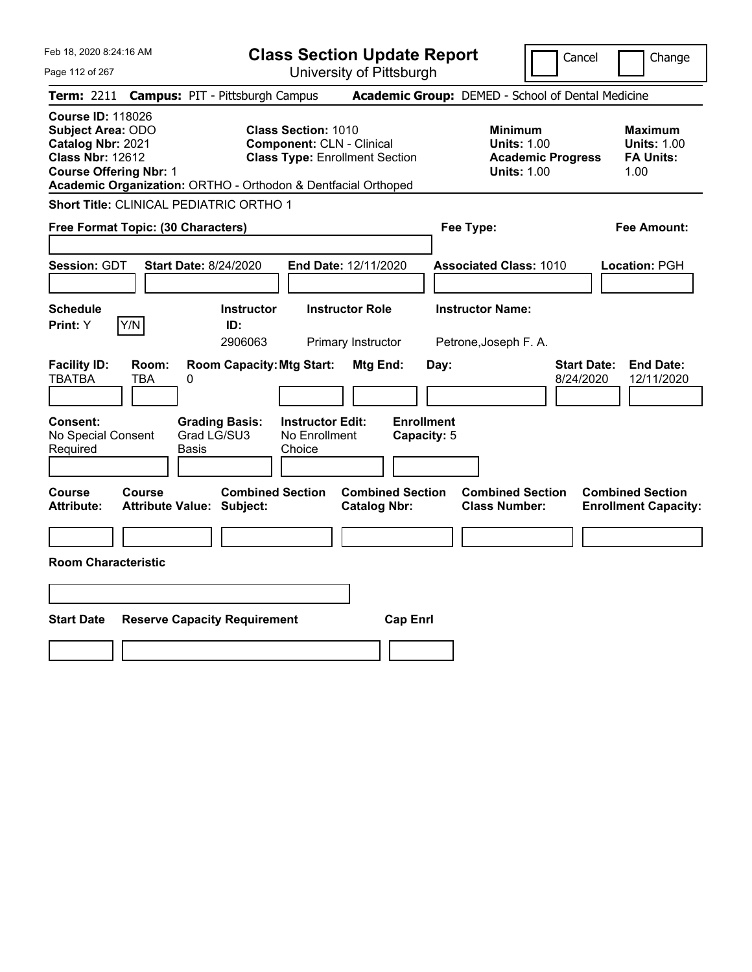|  | Feb 18, 2020 8:24:16 AM |  |
|--|-------------------------|--|
|  |                         |  |

Page 112 of 267

**Class Section Update Report**

Cancel **Change** 

|                                                                                                                                |              | Term: 2211 Campus: PIT - Pittsburgh Campus                                             |                                                                                                                                                                          | Academic Group: DEMED - School of Dental Medicine                               |                                                                  |
|--------------------------------------------------------------------------------------------------------------------------------|--------------|----------------------------------------------------------------------------------------|--------------------------------------------------------------------------------------------------------------------------------------------------------------------------|---------------------------------------------------------------------------------|------------------------------------------------------------------|
| <b>Course ID: 118026</b><br>Subject Area: ODO<br>Catalog Nbr: 2021<br><b>Class Nbr: 12612</b><br><b>Course Offering Nbr: 1</b> |              |                                                                                        | <b>Class Section: 1010</b><br><b>Component: CLN - Clinical</b><br><b>Class Type: Enrollment Section</b><br>Academic Organization: ORTHO - Orthodon & Dentfacial Orthoped | Minimum<br><b>Units: 1.00</b><br><b>Academic Progress</b><br><b>Units: 1.00</b> | <b>Maximum</b><br><b>Units: 1.00</b><br><b>FA Units:</b><br>1.00 |
|                                                                                                                                |              | Short Title: CLINICAL PEDIATRIC ORTHO 1                                                |                                                                                                                                                                          |                                                                                 |                                                                  |
| Free Format Topic: (30 Characters)                                                                                             |              |                                                                                        |                                                                                                                                                                          | Fee Type:                                                                       | <b>Fee Amount:</b>                                               |
| Session: GDT                                                                                                                   |              | <b>Start Date: 8/24/2020</b>                                                           | End Date: 12/11/2020                                                                                                                                                     | <b>Associated Class: 1010</b>                                                   | Location: PGH                                                    |
| <b>Schedule</b><br>Print: Y                                                                                                    | Y/N          | <b>Instructor</b><br>ID:<br>2906063                                                    | <b>Instructor Role</b><br>Primary Instructor                                                                                                                             | <b>Instructor Name:</b><br>Petrone, Joseph F. A.                                |                                                                  |
| <b>Facility ID:</b><br><b>TBATBA</b><br>Consent:<br>No Special Consent<br>Required                                             | Room:<br>TBA | <b>Room Capacity: Mtg Start:</b><br>0<br><b>Grading Basis:</b><br>Grad LG/SU3<br>Basis | Mtg End:<br><b>Instructor Edit:</b><br>No Enrollment<br>Choice                                                                                                           | <b>Start Date:</b><br>Day:<br>8/24/2020<br><b>Enrollment</b><br>Capacity: 5     | <b>End Date:</b><br>12/11/2020                                   |
| Course<br><b>Attribute:</b>                                                                                                    | Course       | <b>Combined Section</b><br><b>Attribute Value: Subject:</b>                            | <b>Combined Section</b><br><b>Catalog Nbr:</b>                                                                                                                           | <b>Combined Section</b><br><b>Class Number:</b>                                 | <b>Combined Section</b><br><b>Enrollment Capacity:</b>           |
| <b>Room Characteristic</b>                                                                                                     |              |                                                                                        |                                                                                                                                                                          |                                                                                 |                                                                  |
| <b>Start Date</b>                                                                                                              |              | <b>Reserve Capacity Requirement</b>                                                    | <b>Cap Enrl</b>                                                                                                                                                          |                                                                                 |                                                                  |
|                                                                                                                                |              |                                                                                        |                                                                                                                                                                          |                                                                                 |                                                                  |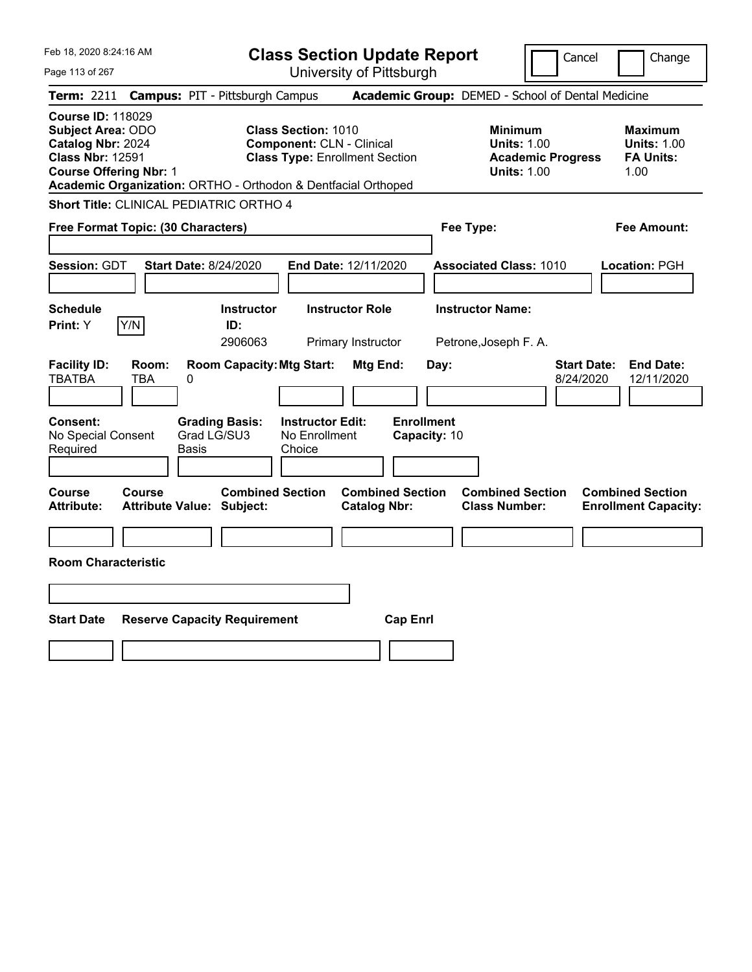|  | Feb 18, 2020 8:24:16 AM |  |
|--|-------------------------|--|
|  |                         |  |

Page 113 of 267

**Class Section Update Report**

Cancel **Change** 

| <b>Term: 2211</b>                                                                                                                     |                     | <b>Campus: PIT - Pittsburgh Campus</b>                                                 |                                                                                                                                                                          | Academic Group: DEMED - School of Dental Medicine                                      |                                                                  |
|---------------------------------------------------------------------------------------------------------------------------------------|---------------------|----------------------------------------------------------------------------------------|--------------------------------------------------------------------------------------------------------------------------------------------------------------------------|----------------------------------------------------------------------------------------|------------------------------------------------------------------|
| <b>Course ID: 118029</b><br><b>Subject Area: ODO</b><br>Catalog Nbr: 2024<br><b>Class Nbr: 12591</b><br><b>Course Offering Nbr: 1</b> |                     |                                                                                        | <b>Class Section: 1010</b><br><b>Component: CLN - Clinical</b><br><b>Class Type: Enrollment Section</b><br>Academic Organization: ORTHO - Orthodon & Dentfacial Orthoped | <b>Minimum</b><br><b>Units: 1.00</b><br><b>Academic Progress</b><br><b>Units: 1.00</b> | <b>Maximum</b><br><b>Units: 1.00</b><br><b>FA Units:</b><br>1.00 |
|                                                                                                                                       |                     | <b>Short Title: CLINICAL PEDIATRIC ORTHO 4</b>                                         |                                                                                                                                                                          |                                                                                        |                                                                  |
| Free Format Topic: (30 Characters)                                                                                                    |                     |                                                                                        |                                                                                                                                                                          | Fee Type:                                                                              | <b>Fee Amount:</b>                                               |
| Session: GDT                                                                                                                          |                     | <b>Start Date: 8/24/2020</b>                                                           | End Date: 12/11/2020                                                                                                                                                     | <b>Associated Class: 1010</b>                                                          | Location: PGH                                                    |
| <b>Schedule</b><br>Print: Y                                                                                                           | Y/N                 | <b>Instructor</b><br>ID:<br>2906063                                                    | <b>Instructor Role</b><br>Primary Instructor                                                                                                                             | <b>Instructor Name:</b><br>Petrone, Joseph F. A.                                       |                                                                  |
| <b>Facility ID:</b><br><b>TBATBA</b><br>Consent:<br>No Special Consent<br>Required                                                    | Room:<br><b>TBA</b> | <b>Room Capacity: Mtg Start:</b><br>0<br><b>Grading Basis:</b><br>Grad LG/SU3<br>Basis | Mtg End:<br><b>Instructor Edit:</b><br><b>Enrollment</b><br>No Enrollment<br>Choice                                                                                      | <b>Start Date:</b><br>Day:<br>8/24/2020<br>Capacity: 10                                | <b>End Date:</b><br>12/11/2020                                   |
| Course<br><b>Attribute:</b>                                                                                                           | <b>Course</b>       | <b>Combined Section</b><br><b>Attribute Value: Subject:</b>                            | <b>Combined Section</b><br><b>Catalog Nbr:</b>                                                                                                                           | <b>Combined Section</b><br><b>Class Number:</b>                                        | <b>Combined Section</b><br><b>Enrollment Capacity:</b>           |
| <b>Room Characteristic</b>                                                                                                            |                     |                                                                                        |                                                                                                                                                                          |                                                                                        |                                                                  |
| <b>Start Date</b>                                                                                                                     |                     | <b>Reserve Capacity Requirement</b>                                                    | <b>Cap Enrl</b>                                                                                                                                                          |                                                                                        |                                                                  |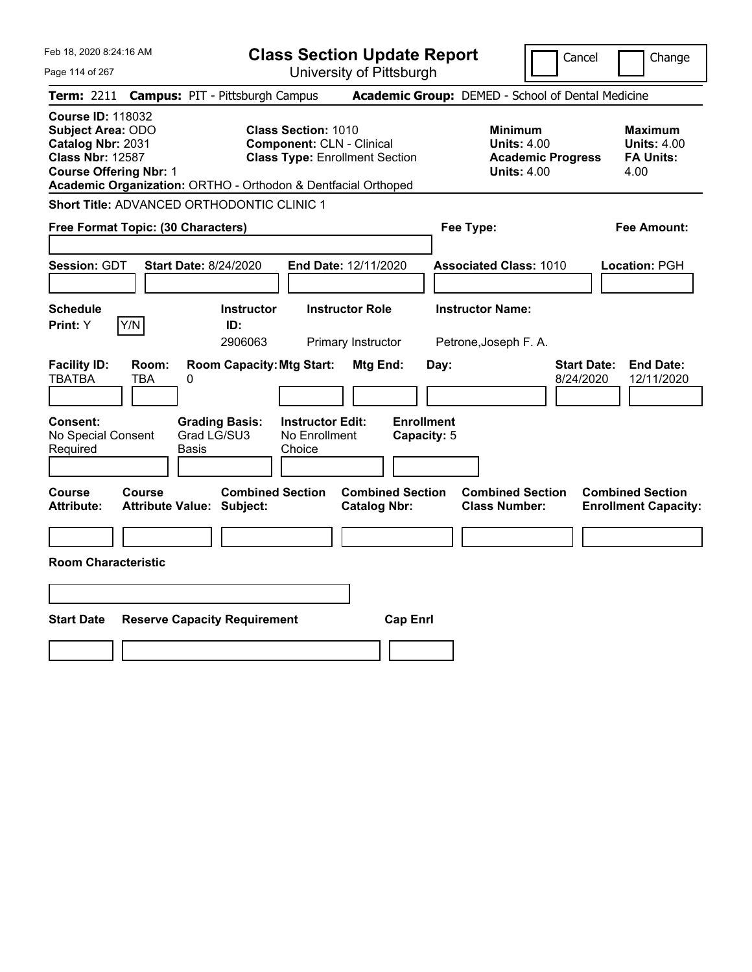|  | Feb 18, 2020 8:24:16 AM |  |
|--|-------------------------|--|
|  |                         |  |

Page 114 of 267

**Class Section Update Report**

Cancel Change

|                                                                                               |                                            |            | Term: 2211 Campus: PIT - Pittsburgh Campus                               |                                                                                                         |                                              |                                  |      | Academic Group: DEMED - School of Dental Medicine                                      |                                 |                                                                  |
|-----------------------------------------------------------------------------------------------|--------------------------------------------|------------|--------------------------------------------------------------------------|---------------------------------------------------------------------------------------------------------|----------------------------------------------|----------------------------------|------|----------------------------------------------------------------------------------------|---------------------------------|------------------------------------------------------------------|
| <b>Course ID: 118032</b><br>Subject Area: ODO<br>Catalog Nbr: 2031<br><b>Class Nbr: 12587</b> | <b>Course Offering Nbr: 1</b>              |            | Academic Organization: ORTHO - Orthodon & Dentfacial Orthoped            | <b>Class Section: 1010</b><br><b>Component: CLN - Clinical</b><br><b>Class Type: Enrollment Section</b> |                                              |                                  |      | <b>Minimum</b><br><b>Units: 4.00</b><br><b>Academic Progress</b><br><b>Units: 4.00</b> |                                 | <b>Maximum</b><br><b>Units: 4.00</b><br><b>FA Units:</b><br>4.00 |
|                                                                                               |                                            |            | <b>Short Title: ADVANCED ORTHODONTIC CLINIC 1</b>                        |                                                                                                         |                                              |                                  |      |                                                                                        |                                 |                                                                  |
|                                                                                               | Free Format Topic: (30 Characters)         |            |                                                                          |                                                                                                         |                                              |                                  |      | Fee Type:                                                                              |                                 | <b>Fee Amount:</b>                                               |
| Session: GDT                                                                                  |                                            |            | <b>Start Date: 8/24/2020</b>                                             | End Date: 12/11/2020                                                                                    |                                              |                                  |      | <b>Associated Class: 1010</b>                                                          |                                 | Location: PGH                                                    |
| <b>Schedule</b><br>Print: Y                                                                   | Y/N                                        |            | <b>Instructor</b><br>ID:<br>2906063                                      |                                                                                                         | <b>Instructor Role</b><br>Primary Instructor |                                  |      | <b>Instructor Name:</b><br>Petrone, Joseph F. A.                                       |                                 |                                                                  |
| <b>Facility ID:</b><br><b>TBATBA</b><br>Consent:<br>No Special Consent<br>Required            | Room:<br><b>TBA</b>                        | 0<br>Basis | <b>Room Capacity: Mtg Start:</b><br><b>Grading Basis:</b><br>Grad LG/SU3 | <b>Instructor Edit:</b><br>No Enrollment<br>Choice                                                      | Mtg End:                                     | <b>Enrollment</b><br>Capacity: 5 | Day: |                                                                                        | <b>Start Date:</b><br>8/24/2020 | <b>End Date:</b><br>12/11/2020                                   |
| <b>Course</b><br><b>Attribute:</b>                                                            | Course<br><b>Attribute Value: Subject:</b> |            | <b>Combined Section</b>                                                  |                                                                                                         | <b>Catalog Nbr:</b>                          | <b>Combined Section</b>          |      | <b>Combined Section</b><br><b>Class Number:</b>                                        |                                 | <b>Combined Section</b><br><b>Enrollment Capacity:</b>           |
|                                                                                               | <b>Room Characteristic</b>                 |            |                                                                          |                                                                                                         |                                              |                                  |      |                                                                                        |                                 |                                                                  |
| <b>Start Date</b>                                                                             |                                            |            | <b>Reserve Capacity Requirement</b>                                      |                                                                                                         |                                              | <b>Cap Enrl</b>                  |      |                                                                                        |                                 |                                                                  |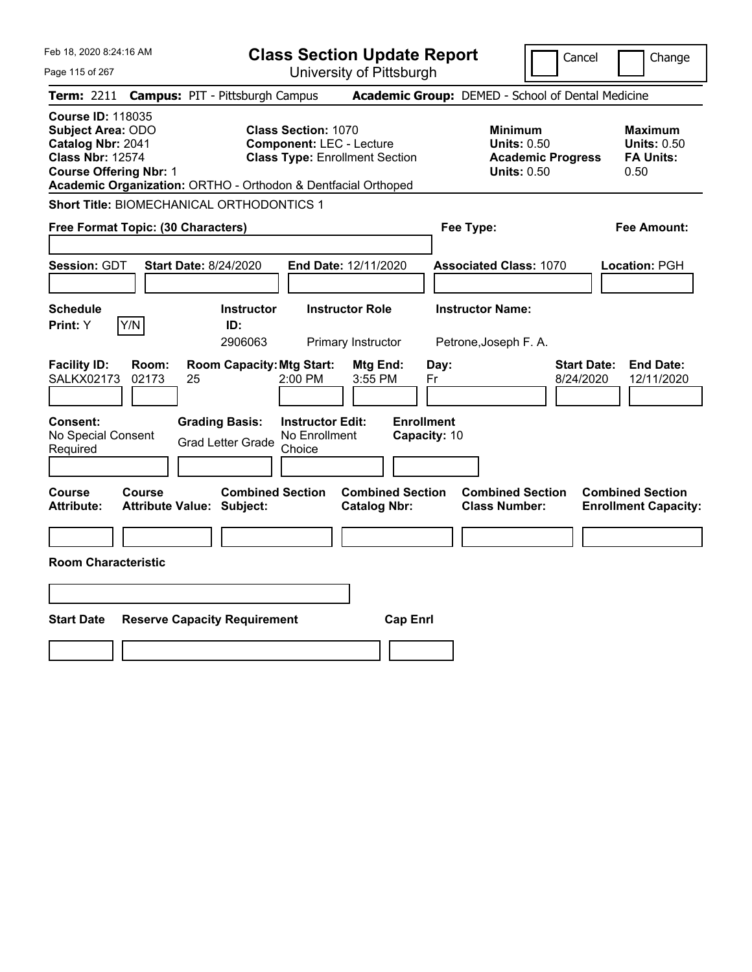| Feb 18, 2020 8:24:16 AM                                                                                                               | <b>Class Section Update Report</b>                                                                                                                                      | Cancel                                                                                 | Change                                                           |
|---------------------------------------------------------------------------------------------------------------------------------------|-------------------------------------------------------------------------------------------------------------------------------------------------------------------------|----------------------------------------------------------------------------------------|------------------------------------------------------------------|
| Page 115 of 267                                                                                                                       | University of Pittsburgh                                                                                                                                                |                                                                                        |                                                                  |
| <b>Term: 2211</b>                                                                                                                     | <b>Campus: PIT - Pittsburgh Campus</b>                                                                                                                                  | Academic Group: DEMED - School of Dental Medicine                                      |                                                                  |
| <b>Course ID: 118035</b><br><b>Subject Area: ODO</b><br>Catalog Nbr: 2041<br><b>Class Nbr: 12574</b><br><b>Course Offering Nbr: 1</b> | <b>Class Section: 1070</b><br><b>Component: LEC - Lecture</b><br><b>Class Type: Enrollment Section</b><br>Academic Organization: ORTHO - Orthodon & Dentfacial Orthoped | <b>Minimum</b><br><b>Units: 0.50</b><br><b>Academic Progress</b><br><b>Units: 0.50</b> | <b>Maximum</b><br><b>Units: 0.50</b><br><b>FA Units:</b><br>0.50 |
| <b>Short Title: BIOMECHANICAL ORTHODONTICS 1</b>                                                                                      |                                                                                                                                                                         |                                                                                        |                                                                  |
| Free Format Topic: (30 Characters)                                                                                                    |                                                                                                                                                                         | Fee Type:                                                                              | Fee Amount:                                                      |
| <b>Session: GDT</b><br><b>Start Date: 8/24/2020</b>                                                                                   | End Date: 12/11/2020                                                                                                                                                    | <b>Associated Class: 1070</b>                                                          | Location: PGH                                                    |
| <b>Schedule</b><br>Y/N<br>Print: Y                                                                                                    | <b>Instructor Role</b><br><b>Instructor</b><br>ID:<br>2906063<br>Primary Instructor                                                                                     | <b>Instructor Name:</b><br>Petrone, Joseph F. A.                                       |                                                                  |
| <b>Facility ID:</b><br>Room:<br><b>SALKX02173</b><br>02173<br>25                                                                      | <b>Room Capacity: Mtg Start:</b><br>Mtg End:<br>2:00 PM<br>3:55 PM                                                                                                      | <b>Start Date:</b><br>Day:<br>8/24/2020<br>Fr                                          | <b>End Date:</b><br>12/11/2020                                   |
| Consent:<br>No Special Consent<br>Required                                                                                            | <b>Grading Basis:</b><br><b>Instructor Edit:</b><br>No Enrollment<br><b>Grad Letter Grade</b><br>Choice                                                                 | <b>Enrollment</b><br>Capacity: 10                                                      |                                                                  |
| Course<br>Course<br><b>Attribute Value: Subject:</b><br>Attribute:                                                                    | <b>Combined Section</b><br><b>Combined Section</b><br><b>Catalog Nbr:</b>                                                                                               | <b>Combined Section</b><br><b>Class Number:</b>                                        | <b>Combined Section</b><br><b>Enrollment Capacity:</b>           |
|                                                                                                                                       |                                                                                                                                                                         |                                                                                        |                                                                  |
| <b>Room Characteristic</b>                                                                                                            |                                                                                                                                                                         |                                                                                        |                                                                  |
|                                                                                                                                       |                                                                                                                                                                         |                                                                                        |                                                                  |
| <b>Start Date</b><br><b>Reserve Capacity Requirement</b>                                                                              |                                                                                                                                                                         | <b>Cap Enrl</b>                                                                        |                                                                  |
|                                                                                                                                       |                                                                                                                                                                         |                                                                                        |                                                                  |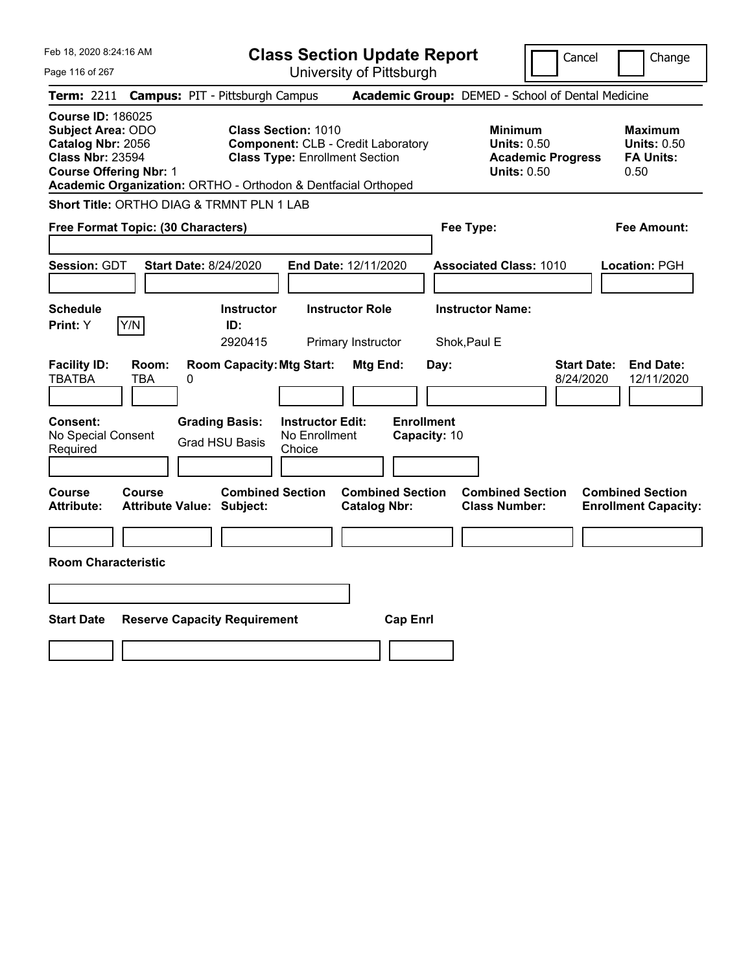| Feb 18, 2020 8:24:16 AM                                                                                                                                                                                |                                            |                                                                                    | <b>Class Section Update Report</b>                                                                               |                                                |                                   |              |                                                            |                          | Cancel                          | Change                                                           |
|--------------------------------------------------------------------------------------------------------------------------------------------------------------------------------------------------------|--------------------------------------------|------------------------------------------------------------------------------------|------------------------------------------------------------------------------------------------------------------|------------------------------------------------|-----------------------------------|--------------|------------------------------------------------------------|--------------------------|---------------------------------|------------------------------------------------------------------|
| Page 116 of 267                                                                                                                                                                                        |                                            |                                                                                    |                                                                                                                  | University of Pittsburgh                       |                                   |              |                                                            |                          |                                 |                                                                  |
| Term: 2211                                                                                                                                                                                             | <b>Campus: PIT - Pittsburgh Campus</b>     |                                                                                    |                                                                                                                  |                                                |                                   |              | Academic Group: DEMED - School of Dental Medicine          |                          |                                 |                                                                  |
| <b>Course ID: 186025</b><br><b>Subject Area: ODO</b><br>Catalog Nbr: 2056<br><b>Class Nbr: 23594</b><br><b>Course Offering Nbr: 1</b><br>Academic Organization: ORTHO - Orthodon & Dentfacial Orthoped |                                            |                                                                                    | <b>Class Section: 1010</b><br><b>Component: CLB - Credit Laboratory</b><br><b>Class Type: Enrollment Section</b> |                                                |                                   |              | <b>Minimum</b><br><b>Units: 0.50</b><br><b>Units: 0.50</b> | <b>Academic Progress</b> |                                 | <b>Maximum</b><br><b>Units: 0.50</b><br><b>FA Units:</b><br>0.50 |
| Short Title: ORTHO DIAG & TRMNT PLN 1 LAB                                                                                                                                                              |                                            |                                                                                    |                                                                                                                  |                                                |                                   |              |                                                            |                          |                                 |                                                                  |
| Free Format Topic: (30 Characters)                                                                                                                                                                     |                                            |                                                                                    |                                                                                                                  |                                                |                                   | Fee Type:    |                                                            |                          |                                 | Fee Amount:                                                      |
| Session: GDT                                                                                                                                                                                           | <b>Start Date: 8/24/2020</b>               |                                                                                    |                                                                                                                  | End Date: 12/11/2020                           |                                   |              | <b>Associated Class: 1010</b>                              |                          |                                 | Location: PGH                                                    |
| <b>Schedule</b><br>Print: Y                                                                                                                                                                            | Y/N                                        | <b>Instructor</b><br>ID:                                                           |                                                                                                                  | <b>Instructor Role</b>                         |                                   |              | <b>Instructor Name:</b>                                    |                          |                                 |                                                                  |
|                                                                                                                                                                                                        |                                            | 2920415                                                                            |                                                                                                                  | Primary Instructor                             |                                   | Shok, Paul E |                                                            |                          |                                 |                                                                  |
| <b>Facility ID:</b><br><b>TBATBA</b><br>Consent:<br>No Special Consent<br>Required                                                                                                                     | Room:<br>0<br>TBA                          | <b>Room Capacity: Mtg Start:</b><br><b>Grading Basis:</b><br><b>Grad HSU Basis</b> | <b>Instructor Edit:</b><br>No Enrollment<br>Choice                                                               | Mtg End:                                       | <b>Enrollment</b><br>Capacity: 10 | Day:         |                                                            |                          | <b>Start Date:</b><br>8/24/2020 | <b>End Date:</b><br>12/11/2020                                   |
|                                                                                                                                                                                                        |                                            |                                                                                    |                                                                                                                  |                                                |                                   |              |                                                            |                          |                                 |                                                                  |
| Course<br><b>Attribute:</b>                                                                                                                                                                            | <b>Course</b><br>Attribute Value: Subject: | <b>Combined Section</b>                                                            |                                                                                                                  | <b>Combined Section</b><br><b>Catalog Nbr:</b> |                                   |              | <b>Combined Section</b><br><b>Class Number:</b>            |                          |                                 | <b>Combined Section</b><br><b>Enrollment Capacity:</b>           |
|                                                                                                                                                                                                        |                                            |                                                                                    |                                                                                                                  |                                                |                                   |              |                                                            |                          |                                 |                                                                  |
| <b>Room Characteristic</b>                                                                                                                                                                             |                                            |                                                                                    |                                                                                                                  |                                                |                                   |              |                                                            |                          |                                 |                                                                  |
|                                                                                                                                                                                                        |                                            |                                                                                    |                                                                                                                  |                                                |                                   |              |                                                            |                          |                                 |                                                                  |
| <b>Start Date</b>                                                                                                                                                                                      | <b>Reserve Capacity Requirement</b>        |                                                                                    |                                                                                                                  |                                                | <b>Cap Enrl</b>                   |              |                                                            |                          |                                 |                                                                  |
|                                                                                                                                                                                                        |                                            |                                                                                    |                                                                                                                  |                                                |                                   |              |                                                            |                          |                                 |                                                                  |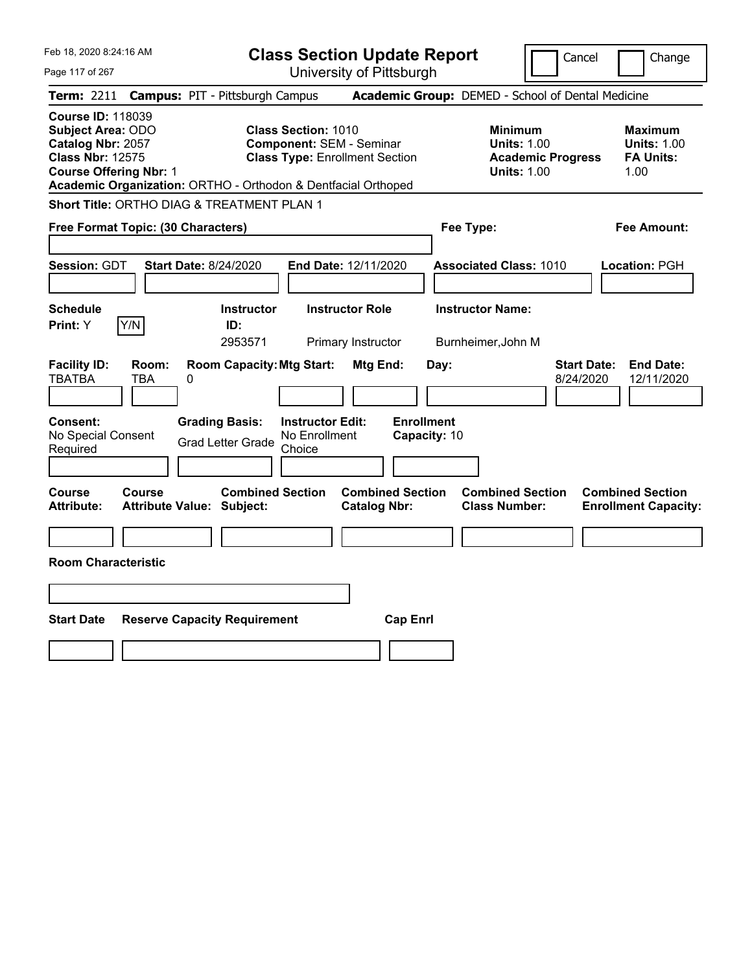| Feb 18, 2020 8:24:16 AM                                                                                                                                                                                | <b>Class Section Update Report</b>                                                                     | Change<br>Cancel                                                                                                                                           |
|--------------------------------------------------------------------------------------------------------------------------------------------------------------------------------------------------------|--------------------------------------------------------------------------------------------------------|------------------------------------------------------------------------------------------------------------------------------------------------------------|
| Page 117 of 267                                                                                                                                                                                        | University of Pittsburgh                                                                               |                                                                                                                                                            |
| <b>Campus: PIT - Pittsburgh Campus</b><br><b>Term: 2211</b>                                                                                                                                            |                                                                                                        | Academic Group: DEMED - School of Dental Medicine                                                                                                          |
| <b>Course ID: 118039</b><br><b>Subject Area: ODO</b><br>Catalog Nbr: 2057<br><b>Class Nbr: 12575</b><br><b>Course Offering Nbr: 1</b><br>Academic Organization: ORTHO - Orthodon & Dentfacial Orthoped | <b>Class Section: 1010</b><br><b>Component: SEM - Seminar</b><br><b>Class Type: Enrollment Section</b> | <b>Minimum</b><br><b>Maximum</b><br><b>Units: 1.00</b><br><b>Units: 1.00</b><br><b>Academic Progress</b><br><b>FA Units:</b><br><b>Units: 1.00</b><br>1.00 |
| Short Title: ORTHO DIAG & TREATMENT PLAN 1                                                                                                                                                             |                                                                                                        |                                                                                                                                                            |
| Free Format Topic: (30 Characters)                                                                                                                                                                     |                                                                                                        | Fee Type:<br>Fee Amount:                                                                                                                                   |
| <b>Session: GDT</b><br><b>Start Date: 8/24/2020</b>                                                                                                                                                    | End Date: 12/11/2020                                                                                   | <b>Associated Class: 1010</b><br>Location: PGH                                                                                                             |
| <b>Schedule</b><br>Y/N<br>Print: Y<br>ID:                                                                                                                                                              | <b>Instructor</b><br><b>Instructor Role</b><br>2953571<br>Primary Instructor                           | <b>Instructor Name:</b><br>Burnheimer, John M                                                                                                              |
| <b>Facility ID:</b><br>Room:<br><b>TBATBA</b><br>TBA<br>0                                                                                                                                              | <b>Room Capacity: Mtg Start:</b><br>Mtg End:<br>Day:                                                   | <b>Start Date:</b><br><b>End Date:</b><br>8/24/2020<br>12/11/2020                                                                                          |
| Consent:<br><b>Grading Basis:</b><br>No Special Consent<br><b>Grad Letter Grade</b><br>Required                                                                                                        | <b>Enrollment</b><br><b>Instructor Edit:</b><br>No Enrollment<br>Capacity: 10<br>Choice                |                                                                                                                                                            |
| Course<br><b>Course</b><br><b>Attribute:</b><br><b>Attribute Value: Subject:</b>                                                                                                                       | <b>Combined Section</b><br><b>Combined Section</b><br><b>Catalog Nbr:</b>                              | <b>Combined Section</b><br><b>Combined Section</b><br><b>Class Number:</b><br><b>Enrollment Capacity:</b>                                                  |
|                                                                                                                                                                                                        |                                                                                                        |                                                                                                                                                            |
| <b>Room Characteristic</b>                                                                                                                                                                             |                                                                                                        |                                                                                                                                                            |
|                                                                                                                                                                                                        |                                                                                                        |                                                                                                                                                            |
| <b>Start Date</b><br><b>Reserve Capacity Requirement</b>                                                                                                                                               | <b>Cap Enrl</b>                                                                                        |                                                                                                                                                            |
|                                                                                                                                                                                                        |                                                                                                        |                                                                                                                                                            |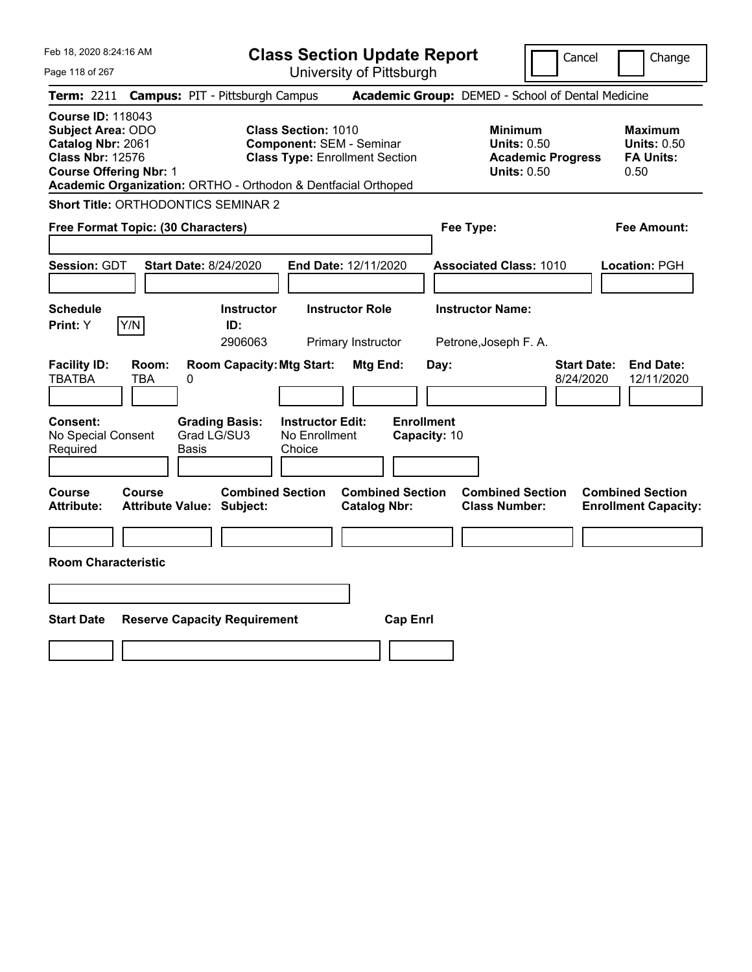|  | Feb 18, 2020 8:24:16 AM |  |
|--|-------------------------|--|
|  |                         |  |

Cancel Change

Page 118 of 267

|                                                                                                                                       |              | <b>Term: 2211 Campus: PIT - Pittsburgh Campus</b>             |                                                               |                                                |                                   | <b>Academic Group:</b> DEMED - School of Dental Medicine                               |                                 |                                                                  |
|---------------------------------------------------------------------------------------------------------------------------------------|--------------|---------------------------------------------------------------|---------------------------------------------------------------|------------------------------------------------|-----------------------------------|----------------------------------------------------------------------------------------|---------------------------------|------------------------------------------------------------------|
| <b>Course ID: 118043</b><br><b>Subject Area: ODO</b><br>Catalog Nbr: 2061<br><b>Class Nbr: 12576</b><br><b>Course Offering Nbr: 1</b> |              | Academic Organization: ORTHO - Orthodon & Dentfacial Orthoped | <b>Class Section: 1010</b><br><b>Component: SEM - Seminar</b> | <b>Class Type: Enrollment Section</b>          |                                   | <b>Minimum</b><br><b>Units: 0.50</b><br><b>Academic Progress</b><br><b>Units: 0.50</b> |                                 | <b>Maximum</b><br><b>Units: 0.50</b><br><b>FA Units:</b><br>0.50 |
|                                                                                                                                       |              | Short Title: ORTHODONTICS SEMINAR 2                           |                                                               |                                                |                                   |                                                                                        |                                 |                                                                  |
| Free Format Topic: (30 Characters)                                                                                                    |              |                                                               |                                                               |                                                |                                   | Fee Type:                                                                              |                                 | <b>Fee Amount:</b>                                               |
| <b>Session: GDT</b>                                                                                                                   |              | <b>Start Date: 8/24/2020</b>                                  |                                                               | End Date: 12/11/2020                           |                                   | <b>Associated Class: 1010</b>                                                          |                                 | Location: PGH                                                    |
| <b>Schedule</b><br>Print: Y                                                                                                           | Y/N          | <b>Instructor</b><br>ID:<br>2906063                           |                                                               | <b>Instructor Role</b><br>Primary Instructor   |                                   | <b>Instructor Name:</b><br>Petrone, Joseph F. A.                                       |                                 |                                                                  |
| <b>Facility ID:</b><br><b>TBATBA</b>                                                                                                  | Room:<br>TBA | <b>Room Capacity: Mtg Start:</b><br>0                         |                                                               | Mtg End:                                       | Day:                              |                                                                                        | <b>Start Date:</b><br>8/24/2020 | <b>End Date:</b><br>12/11/2020                                   |
| Consent:<br>No Special Consent<br>Required                                                                                            |              | <b>Grading Basis:</b><br>Grad LG/SU3<br>Basis                 | <b>Instructor Edit:</b><br>No Enrollment<br>Choice            |                                                | <b>Enrollment</b><br>Capacity: 10 |                                                                                        |                                 |                                                                  |
| <b>Course</b><br>Attribute:                                                                                                           | Course       | <b>Combined Section</b><br><b>Attribute Value: Subject:</b>   |                                                               | <b>Combined Section</b><br><b>Catalog Nbr:</b> |                                   | <b>Combined Section</b><br><b>Class Number:</b>                                        |                                 | <b>Combined Section</b><br><b>Enrollment Capacity:</b>           |
| <b>Room Characteristic</b>                                                                                                            |              |                                                               |                                                               |                                                |                                   |                                                                                        |                                 |                                                                  |
|                                                                                                                                       |              |                                                               |                                                               |                                                |                                   |                                                                                        |                                 |                                                                  |
| <b>Start Date</b>                                                                                                                     |              | <b>Reserve Capacity Requirement</b>                           |                                                               | <b>Cap Enrl</b>                                |                                   |                                                                                        |                                 |                                                                  |
|                                                                                                                                       |              |                                                               |                                                               |                                                |                                   |                                                                                        |                                 |                                                                  |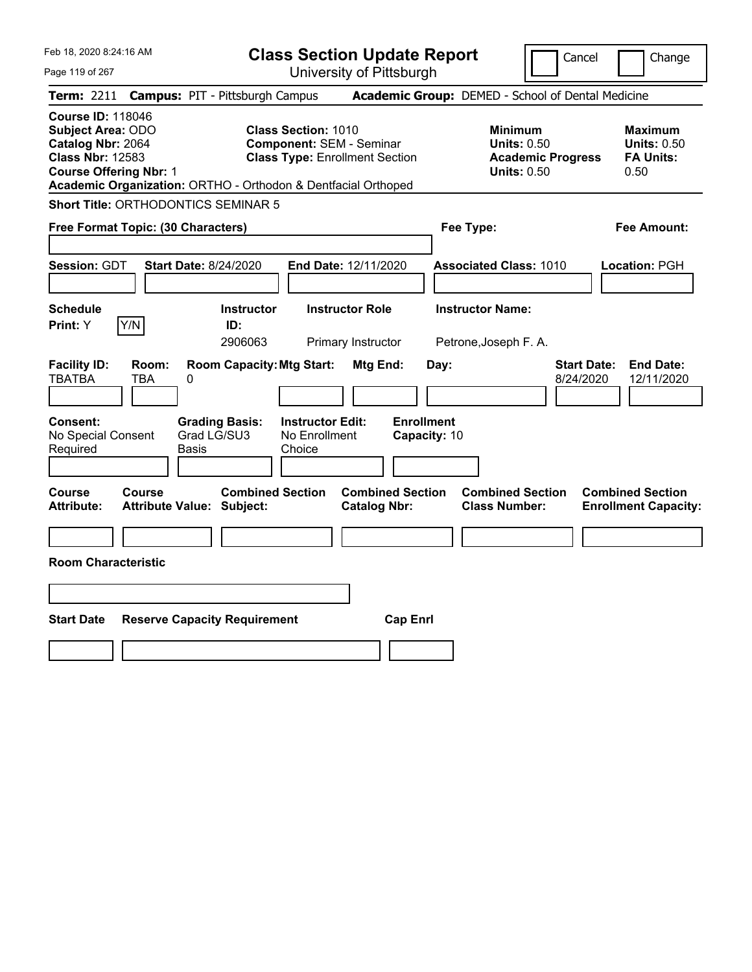|  | Feb 18, 2020 8:24:16 AM |  |
|--|-------------------------|--|
|  |                         |  |

Cancel Change

Page 119 of 267

|                                                                                                                                                                                                        |            | <b>Term: 2211 Campus: PIT - Pittsburgh Campus</b>           |                                                                                                        |                                                |                   |              | <b>Academic Group:</b> DEMED - School of Dental Medicine                               |                                 |                                                                  |
|--------------------------------------------------------------------------------------------------------------------------------------------------------------------------------------------------------|------------|-------------------------------------------------------------|--------------------------------------------------------------------------------------------------------|------------------------------------------------|-------------------|--------------|----------------------------------------------------------------------------------------|---------------------------------|------------------------------------------------------------------|
| <b>Course ID: 118046</b><br><b>Subject Area: ODO</b><br>Catalog Nbr: 2064<br><b>Class Nbr: 12583</b><br><b>Course Offering Nbr: 1</b><br>Academic Organization: ORTHO - Orthodon & Dentfacial Orthoped |            |                                                             | <b>Class Section: 1010</b><br><b>Component: SEM - Seminar</b><br><b>Class Type: Enrollment Section</b> |                                                |                   |              | <b>Minimum</b><br><b>Units: 0.50</b><br><b>Academic Progress</b><br><b>Units: 0.50</b> |                                 | <b>Maximum</b><br><b>Units: 0.50</b><br><b>FA Units:</b><br>0.50 |
| Short Title: ORTHODONTICS SEMINAR 5                                                                                                                                                                    |            |                                                             |                                                                                                        |                                                |                   |              |                                                                                        |                                 |                                                                  |
| Free Format Topic: (30 Characters)                                                                                                                                                                     |            |                                                             |                                                                                                        |                                                |                   |              | Fee Type:                                                                              |                                 | <b>Fee Amount:</b>                                               |
| <b>Session: GDT</b>                                                                                                                                                                                    |            | <b>Start Date: 8/24/2020</b>                                | End Date: 12/11/2020                                                                                   |                                                |                   |              | <b>Associated Class: 1010</b>                                                          |                                 | Location: PGH                                                    |
| <b>Schedule</b><br>Y/N<br>Print: Y                                                                                                                                                                     |            | <b>Instructor</b><br>ID:<br>2906063                         |                                                                                                        | <b>Instructor Role</b><br>Primary Instructor   |                   |              | <b>Instructor Name:</b><br>Petrone, Joseph F. A.                                       |                                 |                                                                  |
| <b>Facility ID:</b><br><b>TBATBA</b><br>TBA                                                                                                                                                            | Room:<br>0 | <b>Room Capacity: Mtg Start:</b>                            |                                                                                                        | Mtg End:                                       |                   | Day:         |                                                                                        | <b>Start Date:</b><br>8/24/2020 | <b>End Date:</b><br>12/11/2020                                   |
| <b>Consent:</b><br>No Special Consent<br>Required                                                                                                                                                      | Basis      | <b>Grading Basis:</b><br>Grad LG/SU3                        | <b>Instructor Edit:</b><br>No Enrollment<br>Choice                                                     |                                                | <b>Enrollment</b> | Capacity: 10 |                                                                                        |                                 |                                                                  |
| <b>Course</b><br><b>Course</b><br><b>Attribute:</b>                                                                                                                                                    |            | <b>Combined Section</b><br><b>Attribute Value: Subject:</b> |                                                                                                        | <b>Combined Section</b><br><b>Catalog Nbr:</b> |                   |              | <b>Combined Section</b><br><b>Class Number:</b>                                        |                                 | <b>Combined Section</b><br><b>Enrollment Capacity:</b>           |
| <b>Room Characteristic</b>                                                                                                                                                                             |            |                                                             |                                                                                                        |                                                |                   |              |                                                                                        |                                 |                                                                  |
|                                                                                                                                                                                                        |            |                                                             |                                                                                                        |                                                |                   |              |                                                                                        |                                 |                                                                  |
| <b>Start Date</b>                                                                                                                                                                                      |            | <b>Reserve Capacity Requirement</b>                         |                                                                                                        |                                                | <b>Cap Enrl</b>   |              |                                                                                        |                                 |                                                                  |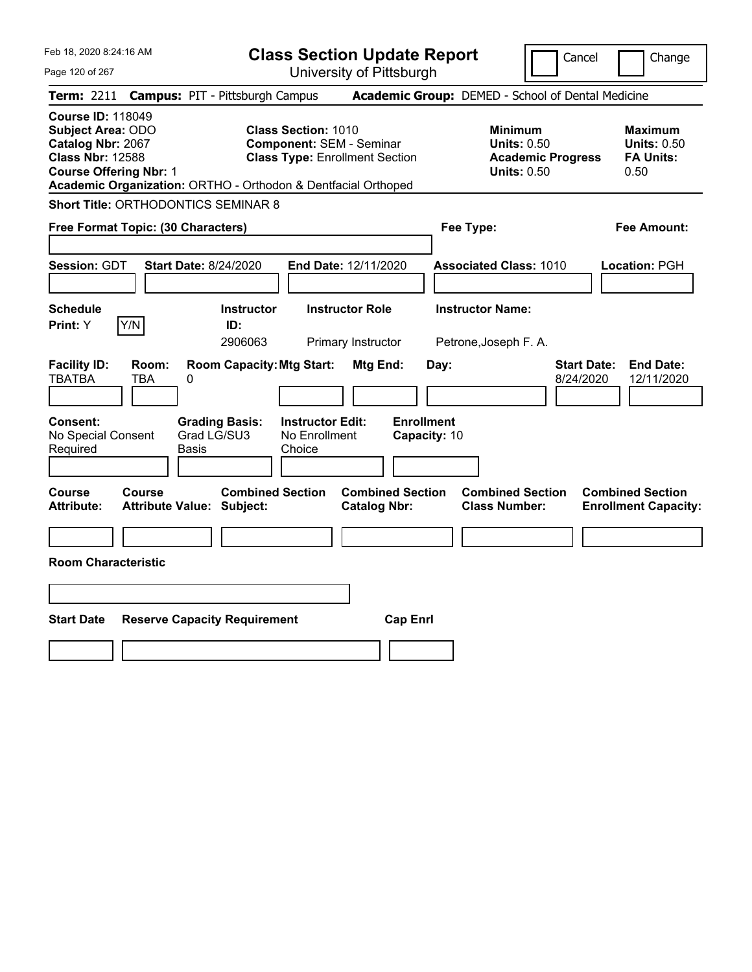|  | Feb 18, 2020 8:24:16 AM |  |
|--|-------------------------|--|
|  |                         |  |

Cancel Change

Page 120 of 267

|                                                                                                                                       |              | <b>Term: 2211 Campus: PIT - Pittsburgh Campus</b>             |                                                               |                                                |                                   | <b>Academic Group:</b> DEMED - School of Dental Medicine                               |                                 |                                                                  |
|---------------------------------------------------------------------------------------------------------------------------------------|--------------|---------------------------------------------------------------|---------------------------------------------------------------|------------------------------------------------|-----------------------------------|----------------------------------------------------------------------------------------|---------------------------------|------------------------------------------------------------------|
| <b>Course ID: 118049</b><br><b>Subject Area: ODO</b><br>Catalog Nbr: 2067<br><b>Class Nbr: 12588</b><br><b>Course Offering Nbr: 1</b> |              | Academic Organization: ORTHO - Orthodon & Dentfacial Orthoped | <b>Class Section: 1010</b><br><b>Component: SEM - Seminar</b> | <b>Class Type: Enrollment Section</b>          |                                   | <b>Minimum</b><br><b>Units: 0.50</b><br><b>Academic Progress</b><br><b>Units: 0.50</b> |                                 | <b>Maximum</b><br><b>Units: 0.50</b><br><b>FA Units:</b><br>0.50 |
|                                                                                                                                       |              | <b>Short Title: ORTHODONTICS SEMINAR 8</b>                    |                                                               |                                                |                                   |                                                                                        |                                 |                                                                  |
| Free Format Topic: (30 Characters)                                                                                                    |              |                                                               |                                                               |                                                |                                   | Fee Type:                                                                              |                                 | <b>Fee Amount:</b>                                               |
| Session: GDT                                                                                                                          |              | <b>Start Date: 8/24/2020</b>                                  |                                                               | End Date: 12/11/2020                           |                                   | <b>Associated Class: 1010</b>                                                          |                                 | Location: PGH                                                    |
| <b>Schedule</b><br>Print: Y                                                                                                           | Y/N          | <b>Instructor</b><br>ID:<br>2906063                           |                                                               | <b>Instructor Role</b><br>Primary Instructor   |                                   | <b>Instructor Name:</b><br>Petrone, Joseph F. A.                                       |                                 |                                                                  |
| <b>Facility ID:</b><br><b>TBATBA</b>                                                                                                  | Room:<br>TBA | <b>Room Capacity: Mtg Start:</b><br>0                         |                                                               | Mtg End:                                       | Day:                              |                                                                                        | <b>Start Date:</b><br>8/24/2020 | <b>End Date:</b><br>12/11/2020                                   |
| Consent:<br>No Special Consent<br>Required                                                                                            |              | <b>Grading Basis:</b><br>Grad LG/SU3<br>Basis                 | <b>Instructor Edit:</b><br>No Enrollment<br>Choice            |                                                | <b>Enrollment</b><br>Capacity: 10 |                                                                                        |                                 |                                                                  |
| Course<br><b>Attribute:</b>                                                                                                           | Course       | <b>Combined Section</b><br><b>Attribute Value: Subject:</b>   |                                                               | <b>Combined Section</b><br><b>Catalog Nbr:</b> |                                   | <b>Combined Section</b><br><b>Class Number:</b>                                        |                                 | <b>Combined Section</b><br><b>Enrollment Capacity:</b>           |
| <b>Room Characteristic</b>                                                                                                            |              |                                                               |                                                               |                                                |                                   |                                                                                        |                                 |                                                                  |
|                                                                                                                                       |              |                                                               |                                                               |                                                |                                   |                                                                                        |                                 |                                                                  |
| <b>Start Date</b>                                                                                                                     |              | <b>Reserve Capacity Requirement</b>                           |                                                               | <b>Cap Enrl</b>                                |                                   |                                                                                        |                                 |                                                                  |
|                                                                                                                                       |              |                                                               |                                                               |                                                |                                   |                                                                                        |                                 |                                                                  |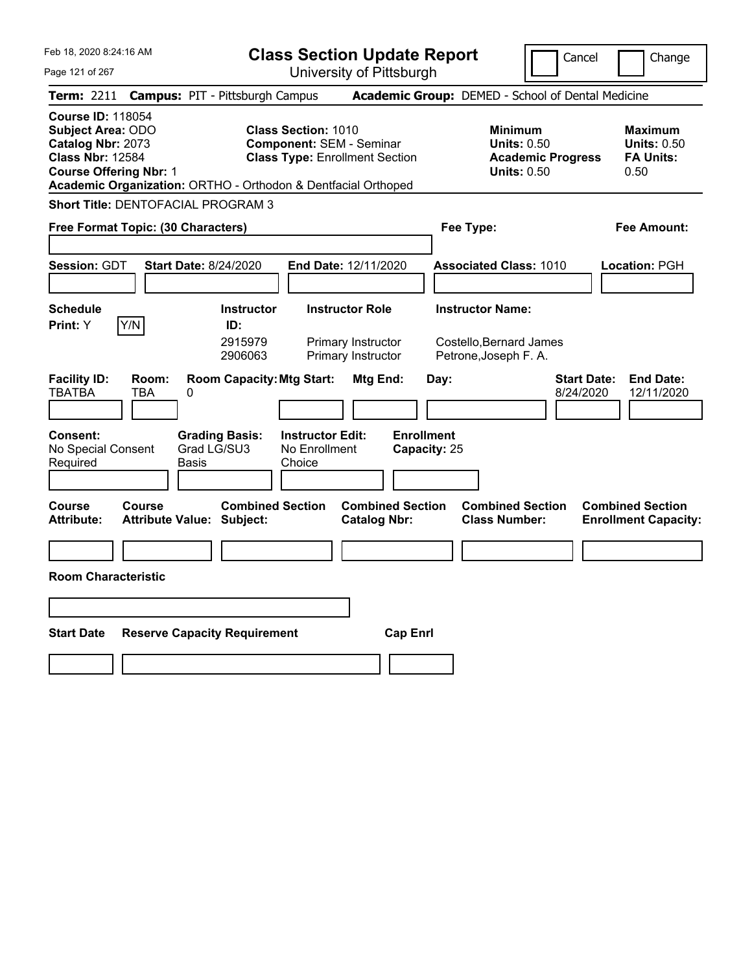|  | Feb 18, 2020 8:24:16 AM |  |
|--|-------------------------|--|
|  |                         |  |

Page 121 of 267

**Class Section Update Report**

Cancel **Change** 

|                                                                                                                                       |              |                                                                                        |                                                    | וועשטטטר רוט עטנטריטע                                                    |                                           |                                                                                        |                                                                  |
|---------------------------------------------------------------------------------------------------------------------------------------|--------------|----------------------------------------------------------------------------------------|----------------------------------------------------|--------------------------------------------------------------------------|-------------------------------------------|----------------------------------------------------------------------------------------|------------------------------------------------------------------|
|                                                                                                                                       |              | Term: 2211 Campus: PIT - Pittsburgh Campus                                             |                                                    |                                                                          |                                           | <b>Academic Group: DEMED - School of Dental Medicine</b>                               |                                                                  |
| <b>Course ID: 118054</b><br><b>Subject Area: ODO</b><br>Catalog Nbr: 2073<br><b>Class Nbr: 12584</b><br><b>Course Offering Nbr: 1</b> |              | Academic Organization: ORTHO - Orthodon & Dentfacial Orthoped                          | <b>Class Section: 1010</b>                         | <b>Component: SEM - Seminar</b><br><b>Class Type: Enrollment Section</b> |                                           | <b>Minimum</b><br><b>Units: 0.50</b><br><b>Academic Progress</b><br><b>Units: 0.50</b> | <b>Maximum</b><br><b>Units: 0.50</b><br><b>FA Units:</b><br>0.50 |
|                                                                                                                                       |              | Short Title: DENTOFACIAL PROGRAM 3                                                     |                                                    |                                                                          |                                           |                                                                                        |                                                                  |
| Free Format Topic: (30 Characters)                                                                                                    |              |                                                                                        |                                                    |                                                                          |                                           | Fee Type:                                                                              | <b>Fee Amount:</b>                                               |
| Session: GDT                                                                                                                          |              | <b>Start Date: 8/24/2020</b>                                                           |                                                    | End Date: 12/11/2020                                                     |                                           | <b>Associated Class: 1010</b>                                                          | Location: PGH                                                    |
| <b>Schedule</b><br><b>Print:</b> Y                                                                                                    | Y/N          | <b>Instructor</b><br>ID:<br>2915979<br>2906063                                         |                                                    | <b>Instructor Role</b><br>Primary Instructor<br>Primary Instructor       |                                           | <b>Instructor Name:</b><br>Costello, Bernard James<br>Petrone, Joseph F. A.            |                                                                  |
| <b>Facility ID:</b><br>TBATBA<br>Consent:<br>No Special Consent<br>Required                                                           | Room:<br>TBA | <b>Room Capacity: Mtg Start:</b><br>0<br><b>Grading Basis:</b><br>Grad LG/SU3<br>Basis | <b>Instructor Edit:</b><br>No Enrollment<br>Choice | Mtg End:                                                                 | Day:<br><b>Enrollment</b><br>Capacity: 25 | 8/24/2020                                                                              | <b>Start Date:</b><br><b>End Date:</b><br>12/11/2020             |
| Course<br><b>Attribute:</b>                                                                                                           | Course       | <b>Combined Section</b><br><b>Attribute Value: Subject:</b>                            |                                                    | <b>Combined Section</b><br><b>Catalog Nbr:</b>                           |                                           | <b>Combined Section</b><br><b>Class Number:</b>                                        | <b>Combined Section</b><br><b>Enrollment Capacity:</b>           |
| <b>Room Characteristic</b>                                                                                                            |              |                                                                                        |                                                    |                                                                          |                                           |                                                                                        |                                                                  |
| <b>Start Date</b>                                                                                                                     |              | <b>Reserve Capacity Requirement</b>                                                    |                                                    | <b>Cap Enrl</b>                                                          |                                           |                                                                                        |                                                                  |
|                                                                                                                                       |              |                                                                                        |                                                    |                                                                          |                                           |                                                                                        |                                                                  |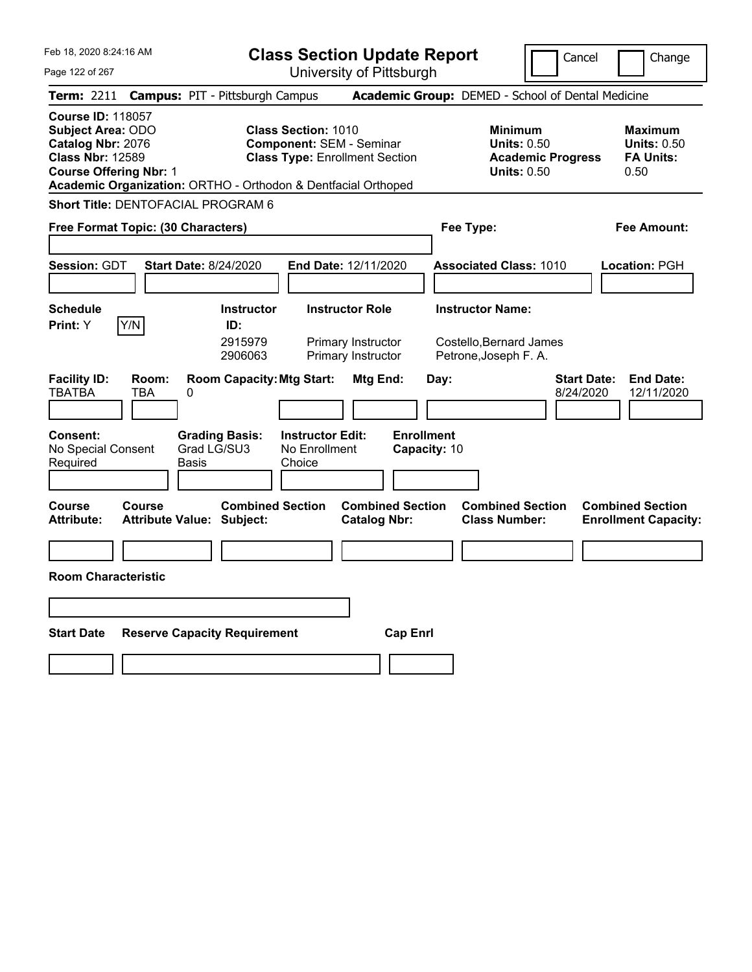|  | Feb 18, 2020 8:24:16 AM |  |
|--|-------------------------|--|
|  |                         |  |

Page 122 of 267

**Class Section Update Report**

Cancel Change

|                                                                                                                                |              | Term: 2211 Campus: PIT - Pittsburgh Campus                    |                                                                                                        |                                                |      | Academic Group: DEMED - School of Dental Medicine                               |                                 |                                                                  |
|--------------------------------------------------------------------------------------------------------------------------------|--------------|---------------------------------------------------------------|--------------------------------------------------------------------------------------------------------|------------------------------------------------|------|---------------------------------------------------------------------------------|---------------------------------|------------------------------------------------------------------|
| <b>Course ID: 118057</b><br>Subject Area: ODO<br>Catalog Nbr: 2076<br><b>Class Nbr: 12589</b><br><b>Course Offering Nbr: 1</b> |              | Academic Organization: ORTHO - Orthodon & Dentfacial Orthoped | <b>Class Section: 1010</b><br><b>Component: SEM - Seminar</b><br><b>Class Type: Enrollment Section</b> |                                                |      | Minimum<br><b>Units: 0.50</b><br><b>Academic Progress</b><br><b>Units: 0.50</b> |                                 | <b>Maximum</b><br><b>Units: 0.50</b><br><b>FA Units:</b><br>0.50 |
|                                                                                                                                |              | <b>Short Title: DENTOFACIAL PROGRAM 6</b>                     |                                                                                                        |                                                |      |                                                                                 |                                 |                                                                  |
| Free Format Topic: (30 Characters)                                                                                             |              |                                                               |                                                                                                        |                                                |      | Fee Type:                                                                       |                                 | <b>Fee Amount:</b>                                               |
| <b>Session: GDT</b>                                                                                                            |              | <b>Start Date: 8/24/2020</b>                                  | End Date: 12/11/2020                                                                                   |                                                |      | <b>Associated Class: 1010</b>                                                   |                                 | Location: PGH                                                    |
| <b>Schedule</b>                                                                                                                |              | <b>Instructor</b>                                             | <b>Instructor Role</b>                                                                                 |                                                |      | <b>Instructor Name:</b>                                                         |                                 |                                                                  |
| <b>Print:</b> Y                                                                                                                | Y/N          | ID:<br>2915979<br>2906063                                     | Primary Instructor<br>Primary Instructor                                                               |                                                |      | Costello, Bernard James<br>Petrone, Joseph F. A.                                |                                 |                                                                  |
| <b>Facility ID:</b><br><b>TBATBA</b>                                                                                           | Room:<br>TBA | <b>Room Capacity: Mtg Start:</b><br>0                         |                                                                                                        | Mtg End:                                       | Day: |                                                                                 | <b>Start Date:</b><br>8/24/2020 | <b>End Date:</b><br>12/11/2020                                   |
| Consent:<br>No Special Consent<br>Required                                                                                     |              | <b>Grading Basis:</b><br>Grad LG/SU3<br><b>Basis</b>          | <b>Instructor Edit:</b><br>No Enrollment<br>Choice                                                     | <b>Enrollment</b><br>Capacity: 10              |      |                                                                                 |                                 |                                                                  |
| <b>Course</b><br><b>Attribute:</b>                                                                                             | Course       | <b>Combined Section</b><br><b>Attribute Value: Subject:</b>   |                                                                                                        | <b>Combined Section</b><br><b>Catalog Nbr:</b> |      | <b>Combined Section</b><br><b>Class Number:</b>                                 |                                 | <b>Combined Section</b><br><b>Enrollment Capacity:</b>           |
|                                                                                                                                |              |                                                               |                                                                                                        |                                                |      |                                                                                 |                                 |                                                                  |
| <b>Room Characteristic</b>                                                                                                     |              |                                                               |                                                                                                        |                                                |      |                                                                                 |                                 |                                                                  |
|                                                                                                                                |              |                                                               |                                                                                                        |                                                |      |                                                                                 |                                 |                                                                  |
| <b>Start Date</b>                                                                                                              |              | <b>Reserve Capacity Requirement</b>                           |                                                                                                        | <b>Cap Enrl</b>                                |      |                                                                                 |                                 |                                                                  |
|                                                                                                                                |              |                                                               |                                                                                                        |                                                |      |                                                                                 |                                 |                                                                  |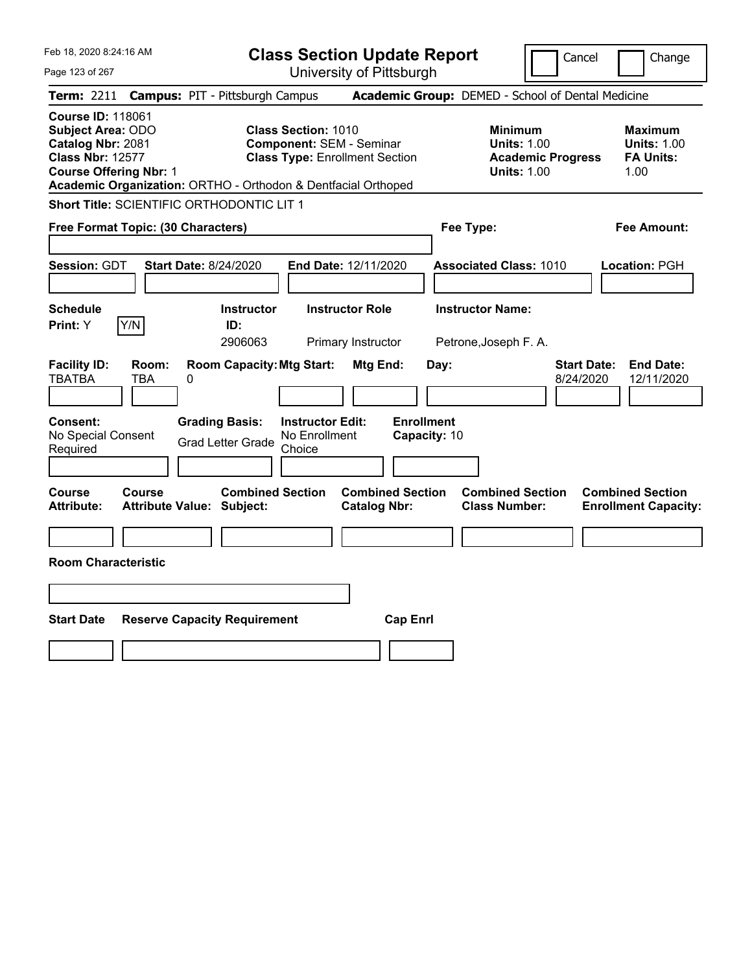| Feb 18, 2020 8:24:16 AM                                                                                                                                                                                | <b>Class Section Update Report</b>                                                                                                      | Cancel                                                                                 | Change                                                           |
|--------------------------------------------------------------------------------------------------------------------------------------------------------------------------------------------------------|-----------------------------------------------------------------------------------------------------------------------------------------|----------------------------------------------------------------------------------------|------------------------------------------------------------------|
| Page 123 of 267                                                                                                                                                                                        | University of Pittsburgh                                                                                                                |                                                                                        |                                                                  |
| <b>Campus: PIT - Pittsburgh Campus</b><br>Term: 2211                                                                                                                                                   |                                                                                                                                         | Academic Group: DEMED - School of Dental Medicine                                      |                                                                  |
| <b>Course ID: 118061</b><br><b>Subject Area: ODO</b><br>Catalog Nbr: 2081<br><b>Class Nbr: 12577</b><br><b>Course Offering Nbr: 1</b><br>Academic Organization: ORTHO - Orthodon & Dentfacial Orthoped | <b>Class Section: 1010</b><br><b>Component: SEM - Seminar</b><br><b>Class Type: Enrollment Section</b>                                  | <b>Minimum</b><br><b>Units: 1.00</b><br><b>Academic Progress</b><br><b>Units: 1.00</b> | <b>Maximum</b><br><b>Units: 1.00</b><br><b>FA Units:</b><br>1.00 |
| Short Title: SCIENTIFIC ORTHODONTIC LIT 1                                                                                                                                                              |                                                                                                                                         |                                                                                        |                                                                  |
| Free Format Topic: (30 Characters)                                                                                                                                                                     |                                                                                                                                         | Fee Type:                                                                              | Fee Amount:                                                      |
| <b>Start Date: 8/24/2020</b><br><b>Session: GDT</b>                                                                                                                                                    | End Date: 12/11/2020                                                                                                                    | <b>Associated Class: 1010</b>                                                          | Location: PGH                                                    |
| <b>Schedule</b>                                                                                                                                                                                        | <b>Instructor Role</b><br><b>Instructor</b>                                                                                             | <b>Instructor Name:</b>                                                                |                                                                  |
| Y/N<br>Print: Y<br>ID:                                                                                                                                                                                 | 2906063<br>Primary Instructor                                                                                                           | Petrone, Joseph F. A.                                                                  |                                                                  |
| <b>Facility ID:</b><br>Room:<br><b>TBATBA</b><br><b>TBA</b><br>0<br><b>Grading Basis:</b><br><b>Consent:</b><br>No Special Consent<br><b>Grad Letter Grade</b><br>Required                             | <b>Room Capacity: Mtg Start:</b><br>Mtg End:<br><b>Enrollment</b><br><b>Instructor Edit:</b><br>No Enrollment<br>Capacity: 10<br>Choice | Day:<br>8/24/2020                                                                      | <b>Start Date:</b><br><b>End Date:</b><br>12/11/2020             |
| <b>Course</b><br><b>Course</b><br><b>Attribute Value: Subject:</b><br><b>Attribute:</b>                                                                                                                | <b>Combined Section</b><br><b>Combined Section</b><br><b>Catalog Nbr:</b>                                                               | <b>Combined Section</b><br><b>Class Number:</b>                                        | <b>Combined Section</b><br><b>Enrollment Capacity:</b>           |
|                                                                                                                                                                                                        |                                                                                                                                         |                                                                                        |                                                                  |
| <b>Room Characteristic</b>                                                                                                                                                                             |                                                                                                                                         |                                                                                        |                                                                  |
|                                                                                                                                                                                                        |                                                                                                                                         |                                                                                        |                                                                  |
| <b>Start Date</b><br><b>Reserve Capacity Requirement</b>                                                                                                                                               | <b>Cap Enrl</b>                                                                                                                         |                                                                                        |                                                                  |
|                                                                                                                                                                                                        |                                                                                                                                         |                                                                                        |                                                                  |
|                                                                                                                                                                                                        |                                                                                                                                         |                                                                                        |                                                                  |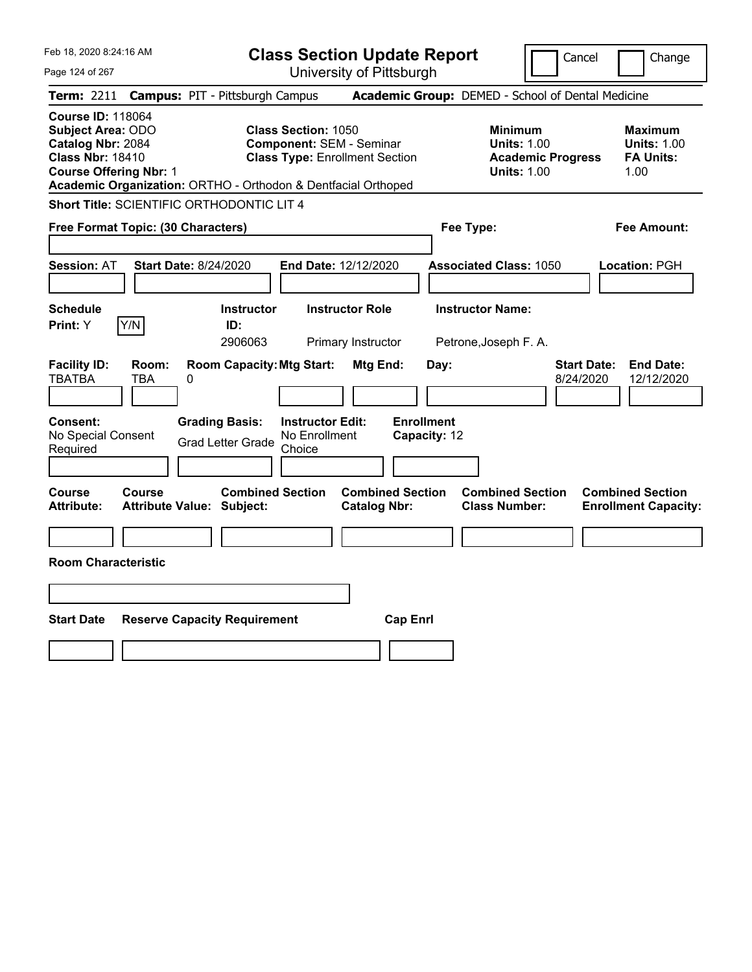| Feb 18, 2020 8:24:16 AM                                                                                                                                                                                | <b>Class Section Update Report</b>                                                                     | Cancel<br>Change                                                                                                                                           |
|--------------------------------------------------------------------------------------------------------------------------------------------------------------------------------------------------------|--------------------------------------------------------------------------------------------------------|------------------------------------------------------------------------------------------------------------------------------------------------------------|
| Page 124 of 267                                                                                                                                                                                        | University of Pittsburgh                                                                               |                                                                                                                                                            |
| <b>Campus: PIT - Pittsburgh Campus</b><br>Term: 2211                                                                                                                                                   |                                                                                                        | Academic Group: DEMED - School of Dental Medicine                                                                                                          |
| <b>Course ID: 118064</b><br><b>Subject Area: ODO</b><br>Catalog Nbr: 2084<br><b>Class Nbr: 18410</b><br><b>Course Offering Nbr: 1</b><br>Academic Organization: ORTHO - Orthodon & Dentfacial Orthoped | <b>Class Section: 1050</b><br><b>Component: SEM - Seminar</b><br><b>Class Type: Enrollment Section</b> | <b>Minimum</b><br><b>Maximum</b><br><b>Units: 1.00</b><br><b>Units: 1.00</b><br><b>Academic Progress</b><br><b>FA Units:</b><br><b>Units: 1.00</b><br>1.00 |
| <b>Short Title: SCIENTIFIC ORTHODONTIC LIT 4</b>                                                                                                                                                       |                                                                                                        |                                                                                                                                                            |
| Free Format Topic: (30 Characters)                                                                                                                                                                     |                                                                                                        | Fee Type:<br><b>Fee Amount:</b>                                                                                                                            |
| <b>Start Date: 8/24/2020</b><br><b>Session: AT</b>                                                                                                                                                     | End Date: 12/12/2020                                                                                   | <b>Associated Class: 1050</b><br>Location: PGH                                                                                                             |
| <b>Schedule</b><br>Y/N<br>ID:<br><b>Print:</b> Y                                                                                                                                                       | <b>Instructor</b><br><b>Instructor Role</b><br>2906063<br>Primary Instructor                           | <b>Instructor Name:</b><br>Petrone, Joseph F. A.                                                                                                           |
| <b>Facility ID:</b><br>Room:<br><b>TBATBA</b><br>TBA<br>0                                                                                                                                              | <b>Room Capacity: Mtg Start:</b><br>Mtg End:<br>Day:                                                   | <b>Start Date:</b><br><b>End Date:</b><br>8/24/2020<br>12/12/2020                                                                                          |
| <b>Grading Basis:</b><br><b>Consent:</b><br>No Special Consent<br><b>Grad Letter Grade</b><br>Required                                                                                                 | <b>Enrollment</b><br><b>Instructor Edit:</b><br>No Enrollment<br>Capacity: 12<br>Choice                |                                                                                                                                                            |
| Course<br><b>Course</b><br><b>Attribute Value: Subject:</b><br><b>Attribute:</b>                                                                                                                       | <b>Combined Section</b><br><b>Combined Section</b><br><b>Catalog Nbr:</b>                              | <b>Combined Section</b><br><b>Combined Section</b><br><b>Class Number:</b><br><b>Enrollment Capacity:</b>                                                  |
| <b>Room Characteristic</b>                                                                                                                                                                             |                                                                                                        |                                                                                                                                                            |
|                                                                                                                                                                                                        |                                                                                                        |                                                                                                                                                            |
|                                                                                                                                                                                                        |                                                                                                        |                                                                                                                                                            |
| <b>Start Date</b><br><b>Reserve Capacity Requirement</b>                                                                                                                                               | <b>Cap Enrl</b>                                                                                        |                                                                                                                                                            |
|                                                                                                                                                                                                        |                                                                                                        |                                                                                                                                                            |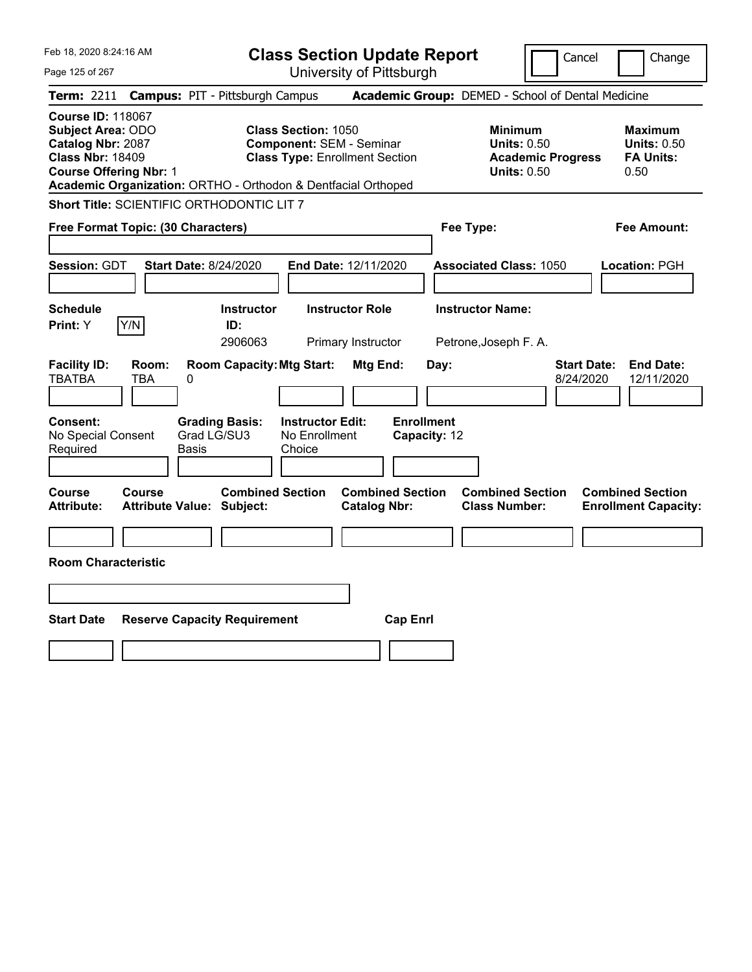| Feb 18, 2020 8:24:16 AM<br>Page 125 of 267                                                                                                                                                             | <b>Class Section Update Report</b><br>University of Pittsburgh                                         | Cancel                                                                                 | Change                                                           |
|--------------------------------------------------------------------------------------------------------------------------------------------------------------------------------------------------------|--------------------------------------------------------------------------------------------------------|----------------------------------------------------------------------------------------|------------------------------------------------------------------|
| <b>Campus: PIT - Pittsburgh Campus</b><br><b>Term: 2211</b>                                                                                                                                            |                                                                                                        | Academic Group: DEMED - School of Dental Medicine                                      |                                                                  |
| <b>Course ID: 118067</b><br><b>Subject Area: ODO</b><br>Catalog Nbr: 2087<br><b>Class Nbr: 18409</b><br><b>Course Offering Nbr: 1</b><br>Academic Organization: ORTHO - Orthodon & Dentfacial Orthoped | <b>Class Section: 1050</b><br><b>Component: SEM - Seminar</b><br><b>Class Type: Enrollment Section</b> | <b>Minimum</b><br><b>Units: 0.50</b><br><b>Academic Progress</b><br><b>Units: 0.50</b> | <b>Maximum</b><br><b>Units: 0.50</b><br><b>FA Units:</b><br>0.50 |
| Short Title: SCIENTIFIC ORTHODONTIC LIT 7                                                                                                                                                              |                                                                                                        |                                                                                        |                                                                  |
| Free Format Topic: (30 Characters)                                                                                                                                                                     |                                                                                                        | Fee Type:                                                                              | Fee Amount:                                                      |
| Session: GDT<br><b>Start Date: 8/24/2020</b>                                                                                                                                                           | End Date: 12/11/2020                                                                                   | <b>Associated Class: 1050</b>                                                          | Location: PGH                                                    |
| <b>Schedule</b>                                                                                                                                                                                        | <b>Instructor Role</b><br><b>Instructor</b>                                                            | <b>Instructor Name:</b>                                                                |                                                                  |
| Y/N<br>Print: Y<br>ID:                                                                                                                                                                                 | 2906063<br>Primary Instructor                                                                          | Petrone, Joseph F. A.                                                                  |                                                                  |
| <b>Facility ID:</b><br>Room:<br><b>TBATBA</b><br><b>TBA</b><br>0                                                                                                                                       | <b>Room Capacity: Mtg Start:</b><br>Mtg End:                                                           | <b>Start Date:</b><br>Day:<br>8/24/2020                                                | <b>End Date:</b><br>12/11/2020                                   |
| Consent:<br><b>Grading Basis:</b><br>Grad LG/SU3<br>No Special Consent<br>Required<br><b>Basis</b>                                                                                                     | <b>Enrollment</b><br><b>Instructor Edit:</b><br>No Enrollment<br>Capacity: 12<br>Choice                |                                                                                        |                                                                  |
| Course<br>Course<br><b>Attribute:</b><br><b>Attribute Value: Subject:</b>                                                                                                                              | <b>Combined Section</b><br><b>Combined Section</b><br><b>Catalog Nbr:</b>                              | <b>Combined Section</b><br><b>Class Number:</b>                                        | <b>Combined Section</b><br><b>Enrollment Capacity:</b>           |
|                                                                                                                                                                                                        |                                                                                                        |                                                                                        |                                                                  |
| <b>Room Characteristic</b>                                                                                                                                                                             |                                                                                                        |                                                                                        |                                                                  |
|                                                                                                                                                                                                        |                                                                                                        |                                                                                        |                                                                  |
| <b>Start Date</b><br><b>Reserve Capacity Requirement</b>                                                                                                                                               | <b>Cap Enrl</b>                                                                                        |                                                                                        |                                                                  |
|                                                                                                                                                                                                        |                                                                                                        |                                                                                        |                                                                  |
|                                                                                                                                                                                                        |                                                                                                        |                                                                                        |                                                                  |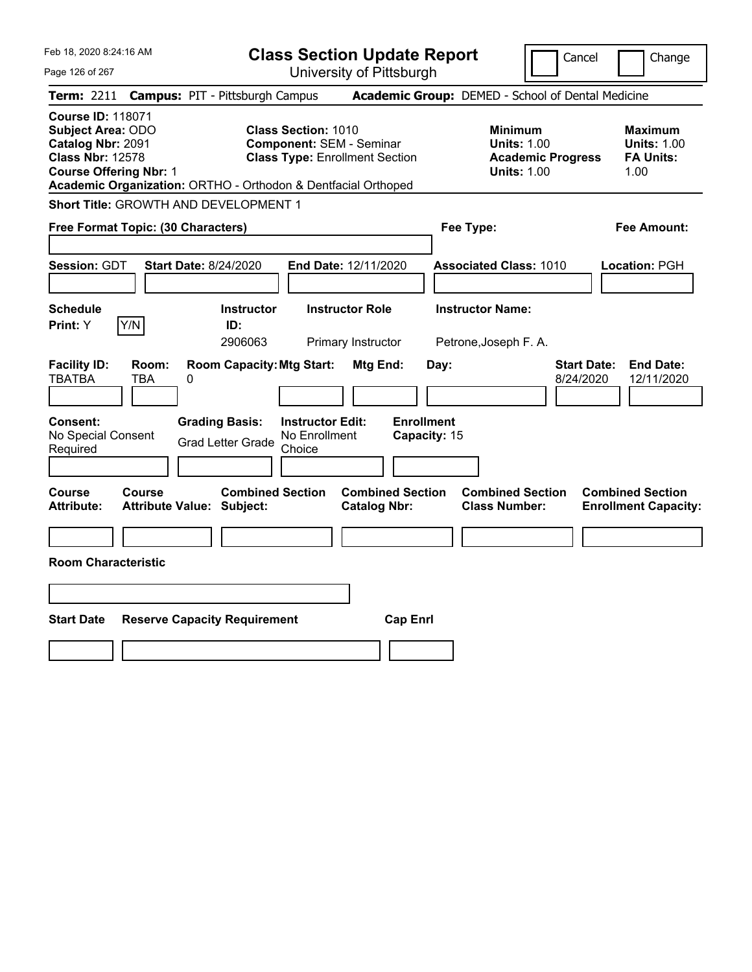| Feb 18, 2020 8:24:16 AM                                                                                                                                                                                | <b>Class Section Update Report</b>                                                                                            |                                                                                        | Cancel<br>Change                                                  |
|--------------------------------------------------------------------------------------------------------------------------------------------------------------------------------------------------------|-------------------------------------------------------------------------------------------------------------------------------|----------------------------------------------------------------------------------------|-------------------------------------------------------------------|
| Page 126 of 267                                                                                                                                                                                        | University of Pittsburgh                                                                                                      |                                                                                        |                                                                   |
| <b>Campus: PIT - Pittsburgh Campus</b><br>Term: 2211                                                                                                                                                   |                                                                                                                               | Academic Group: DEMED - School of Dental Medicine                                      |                                                                   |
| <b>Course ID: 118071</b><br><b>Subject Area: ODO</b><br>Catalog Nbr: 2091<br><b>Class Nbr: 12578</b><br><b>Course Offering Nbr: 1</b><br>Academic Organization: ORTHO - Orthodon & Dentfacial Orthoped | Class Section: 1010<br><b>Component: SEM - Seminar</b><br><b>Class Type: Enrollment Section</b>                               | <b>Minimum</b><br><b>Units: 1.00</b><br><b>Academic Progress</b><br><b>Units: 1.00</b> | <b>Maximum</b><br><b>Units: 1.00</b><br><b>FA Units:</b><br>1.00  |
| Short Title: GROWTH AND DEVELOPMENT 1                                                                                                                                                                  |                                                                                                                               |                                                                                        |                                                                   |
| Free Format Topic: (30 Characters)                                                                                                                                                                     |                                                                                                                               | Fee Type:                                                                              | Fee Amount:                                                       |
| <b>Session: GDT</b><br><b>Start Date: 8/24/2020</b>                                                                                                                                                    | <b>End Date: 12/11/2020</b>                                                                                                   | <b>Associated Class: 1010</b>                                                          | Location: PGH                                                     |
| <b>Schedule</b>                                                                                                                                                                                        | <b>Instructor</b><br><b>Instructor Role</b>                                                                                   | <b>Instructor Name:</b>                                                                |                                                                   |
| Y/N<br>ID:<br>Print: Y                                                                                                                                                                                 | 2906063<br>Primary Instructor                                                                                                 | Petrone, Joseph F. A.                                                                  |                                                                   |
| <b>Facility ID:</b><br>Room:<br><b>TBATBA</b><br><b>TBA</b><br>0<br>Consent:<br><b>Grading Basis:</b><br>No Special Consent                                                                            | <b>Room Capacity: Mtg Start:</b><br>Mtg End:<br><b>Enrollment</b><br><b>Instructor Edit:</b><br>No Enrollment<br>Capacity: 15 | Day:                                                                                   | <b>Start Date:</b><br><b>End Date:</b><br>8/24/2020<br>12/11/2020 |
| <b>Grad Letter Grade</b><br>Required                                                                                                                                                                   | Choice                                                                                                                        |                                                                                        |                                                                   |
|                                                                                                                                                                                                        |                                                                                                                               |                                                                                        |                                                                   |
| Course<br>Course<br>Attribute Value: Subject:<br><b>Attribute:</b>                                                                                                                                     | <b>Combined Section</b><br><b>Combined Section</b><br><b>Catalog Nbr:</b>                                                     | <b>Combined Section</b><br><b>Class Number:</b>                                        | <b>Combined Section</b><br><b>Enrollment Capacity:</b>            |
|                                                                                                                                                                                                        |                                                                                                                               |                                                                                        |                                                                   |
| <b>Room Characteristic</b>                                                                                                                                                                             |                                                                                                                               |                                                                                        |                                                                   |
|                                                                                                                                                                                                        |                                                                                                                               |                                                                                        |                                                                   |
| <b>Start Date</b><br><b>Reserve Capacity Requirement</b>                                                                                                                                               | <b>Cap Enrl</b>                                                                                                               |                                                                                        |                                                                   |
|                                                                                                                                                                                                        |                                                                                                                               |                                                                                        |                                                                   |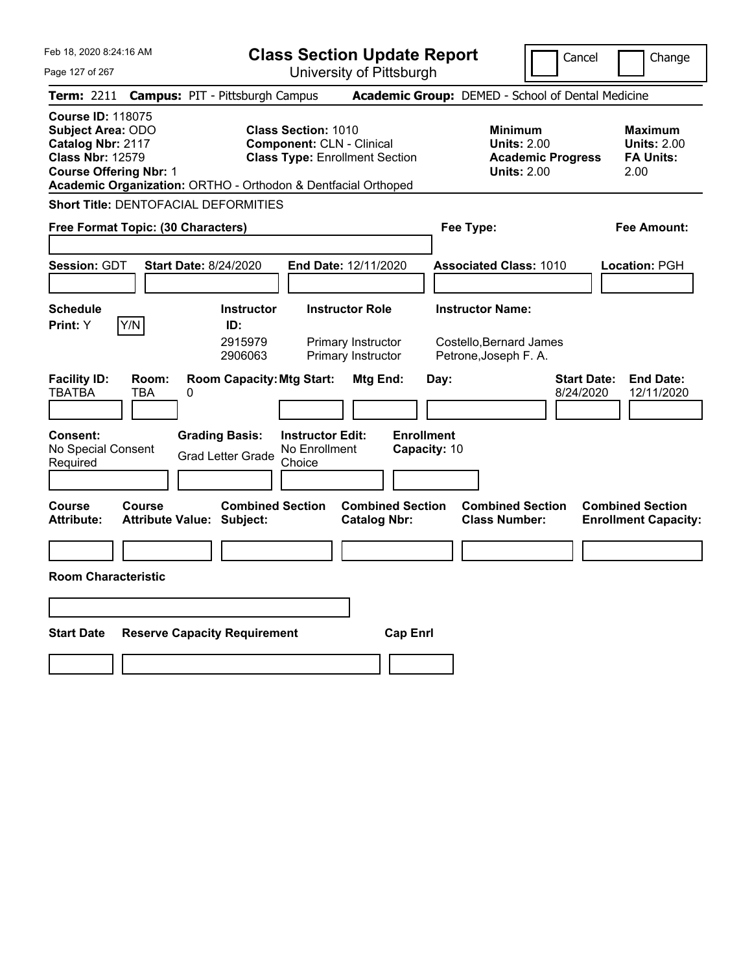| Feb 18, 2020 8:24:16 AM |  |  |  |  |  |
|-------------------------|--|--|--|--|--|
|-------------------------|--|--|--|--|--|

Page 127 of 267

**Class Section Update Report**

Cancel Change

| <b>Term: 2211</b>                                                                             |                                    |   | <b>Campus: PIT - Pittsburgh Campus</b>                        |                                                                                                         |                                                                    |                                   |      | Academic Group: DEMED - School of Dental Medicine                                      |                                 |                                                                  |
|-----------------------------------------------------------------------------------------------|------------------------------------|---|---------------------------------------------------------------|---------------------------------------------------------------------------------------------------------|--------------------------------------------------------------------|-----------------------------------|------|----------------------------------------------------------------------------------------|---------------------------------|------------------------------------------------------------------|
| <b>Course ID: 118075</b><br>Subject Area: ODO<br>Catalog Nbr: 2117<br><b>Class Nbr: 12579</b> | <b>Course Offering Nbr: 1</b>      |   | Academic Organization: ORTHO - Orthodon & Dentfacial Orthoped | <b>Class Section: 1010</b><br><b>Component: CLN - Clinical</b><br><b>Class Type: Enrollment Section</b> |                                                                    |                                   |      | <b>Minimum</b><br><b>Units: 2.00</b><br><b>Academic Progress</b><br><b>Units: 2.00</b> |                                 | <b>Maximum</b><br><b>Units: 2.00</b><br><b>FA Units:</b><br>2.00 |
|                                                                                               |                                    |   | <b>Short Title: DENTOFACIAL DEFORMITIES</b>                   |                                                                                                         |                                                                    |                                   |      |                                                                                        |                                 |                                                                  |
|                                                                                               | Free Format Topic: (30 Characters) |   |                                                               |                                                                                                         |                                                                    |                                   |      | Fee Type:                                                                              |                                 | Fee Amount:                                                      |
| Session: GDT                                                                                  |                                    |   | <b>Start Date: 8/24/2020</b>                                  | End Date: 12/11/2020                                                                                    |                                                                    |                                   |      | <b>Associated Class: 1010</b>                                                          |                                 | Location: PGH                                                    |
| <b>Schedule</b><br>Print: Y                                                                   | Y/N                                |   | <b>Instructor</b><br>ID:<br>2915979<br>2906063                |                                                                                                         | <b>Instructor Role</b><br>Primary Instructor<br>Primary Instructor |                                   |      | <b>Instructor Name:</b><br>Costello, Bernard James<br>Petrone, Joseph F. A.            |                                 |                                                                  |
| <b>Facility ID:</b><br><b>TBATBA</b>                                                          | Room:<br><b>TBA</b>                | 0 | <b>Room Capacity: Mtg Start:</b>                              |                                                                                                         | Mtg End:                                                           |                                   | Day: |                                                                                        | <b>Start Date:</b><br>8/24/2020 | <b>End Date:</b><br>12/11/2020                                   |
| <b>Consent:</b><br>No Special Consent<br>Required                                             |                                    |   | <b>Grading Basis:</b><br><b>Grad Letter Grade</b>             | <b>Instructor Edit:</b><br>No Enrollment<br>Choice                                                      |                                                                    | <b>Enrollment</b><br>Capacity: 10 |      |                                                                                        |                                 |                                                                  |
| Course<br><b>Attribute:</b>                                                                   | Course                             |   | <b>Combined Section</b><br><b>Attribute Value: Subject:</b>   |                                                                                                         | <b>Catalog Nbr:</b>                                                | <b>Combined Section</b>           |      | <b>Combined Section</b><br><b>Class Number:</b>                                        |                                 | <b>Combined Section</b><br><b>Enrollment Capacity:</b>           |
|                                                                                               | <b>Room Characteristic</b>         |   |                                                               |                                                                                                         |                                                                    |                                   |      |                                                                                        |                                 |                                                                  |
| <b>Start Date</b>                                                                             |                                    |   | <b>Reserve Capacity Requirement</b>                           |                                                                                                         |                                                                    | <b>Cap Enrl</b>                   |      |                                                                                        |                                 |                                                                  |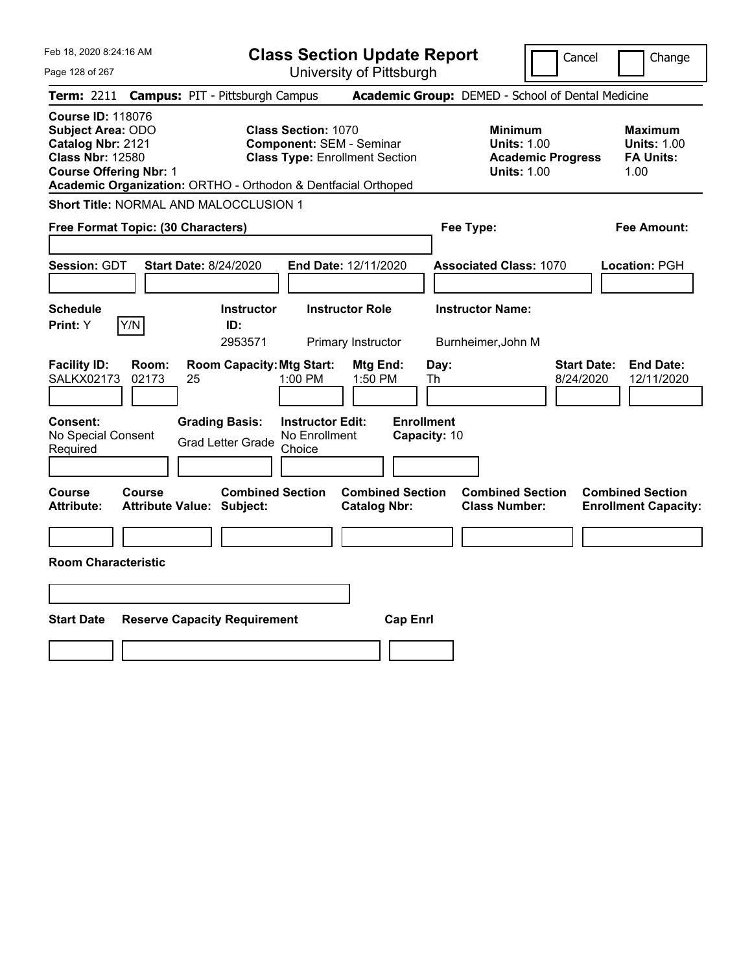| Feb 18, 2020 8:24:16 AM<br>Page 128 of 267                                                                                                                                                             | <b>Class Section Update Report</b><br>University of Pittsburgh                                                     | Cancel                                                                                 | Change                                                           |
|--------------------------------------------------------------------------------------------------------------------------------------------------------------------------------------------------------|--------------------------------------------------------------------------------------------------------------------|----------------------------------------------------------------------------------------|------------------------------------------------------------------|
| <b>Campus: PIT - Pittsburgh Campus</b><br><b>Term: 2211</b>                                                                                                                                            |                                                                                                                    | Academic Group: DEMED - School of Dental Medicine                                      |                                                                  |
| <b>Course ID: 118076</b><br><b>Subject Area: ODO</b><br>Catalog Nbr: 2121<br><b>Class Nbr: 12580</b><br><b>Course Offering Nbr: 1</b><br>Academic Organization: ORTHO - Orthodon & Dentfacial Orthoped | <b>Class Section: 1070</b><br><b>Component: SEM - Seminar</b><br><b>Class Type: Enrollment Section</b>             | <b>Minimum</b><br><b>Units: 1.00</b><br><b>Academic Progress</b><br><b>Units: 1.00</b> | <b>Maximum</b><br><b>Units: 1.00</b><br><b>FA Units:</b><br>1.00 |
| Short Title: NORMAL AND MALOCCLUSION 1                                                                                                                                                                 |                                                                                                                    |                                                                                        |                                                                  |
| Free Format Topic: (30 Characters)                                                                                                                                                                     |                                                                                                                    | Fee Type:                                                                              | Fee Amount:                                                      |
| Session: GDT<br><b>Start Date: 8/24/2020</b>                                                                                                                                                           | End Date: 12/11/2020                                                                                               | <b>Associated Class: 1070</b>                                                          | Location: PGH                                                    |
| <b>Schedule</b>                                                                                                                                                                                        | <b>Instructor</b><br><b>Instructor Role</b>                                                                        | <b>Instructor Name:</b>                                                                |                                                                  |
| Y/N<br>Print: Y<br>ID:                                                                                                                                                                                 | 2953571<br>Primary Instructor                                                                                      | Burnheimer, John M                                                                     |                                                                  |
| <b>Facility ID:</b><br>Room:<br><b>SALKX02173</b><br>02173<br>25<br><b>Consent:</b><br><b>Grading Basis:</b>                                                                                           | <b>Room Capacity: Mtg Start:</b><br>Mtg End:<br>1:00 PM<br>1:50 PM<br><b>Enrollment</b><br><b>Instructor Edit:</b> | Day:<br>Th<br>8/24/2020                                                                | <b>Start Date:</b><br><b>End Date:</b><br>12/11/2020             |
| No Special Consent<br><b>Grad Letter Grade</b><br>Required                                                                                                                                             | No Enrollment<br>Capacity: 10<br>Choice                                                                            |                                                                                        |                                                                  |
|                                                                                                                                                                                                        |                                                                                                                    |                                                                                        |                                                                  |
| Course<br>Course<br><b>Attribute:</b><br><b>Attribute Value: Subject:</b>                                                                                                                              | <b>Combined Section</b><br><b>Combined Section</b><br><b>Catalog Nbr:</b>                                          | <b>Combined Section</b><br><b>Class Number:</b>                                        | <b>Combined Section</b><br><b>Enrollment Capacity:</b>           |
|                                                                                                                                                                                                        |                                                                                                                    |                                                                                        |                                                                  |
| <b>Room Characteristic</b>                                                                                                                                                                             |                                                                                                                    |                                                                                        |                                                                  |
|                                                                                                                                                                                                        |                                                                                                                    |                                                                                        |                                                                  |
| <b>Start Date</b>                                                                                                                                                                                      |                                                                                                                    |                                                                                        |                                                                  |
| <b>Reserve Capacity Requirement</b>                                                                                                                                                                    | <b>Cap Enrl</b>                                                                                                    |                                                                                        |                                                                  |
|                                                                                                                                                                                                        |                                                                                                                    |                                                                                        |                                                                  |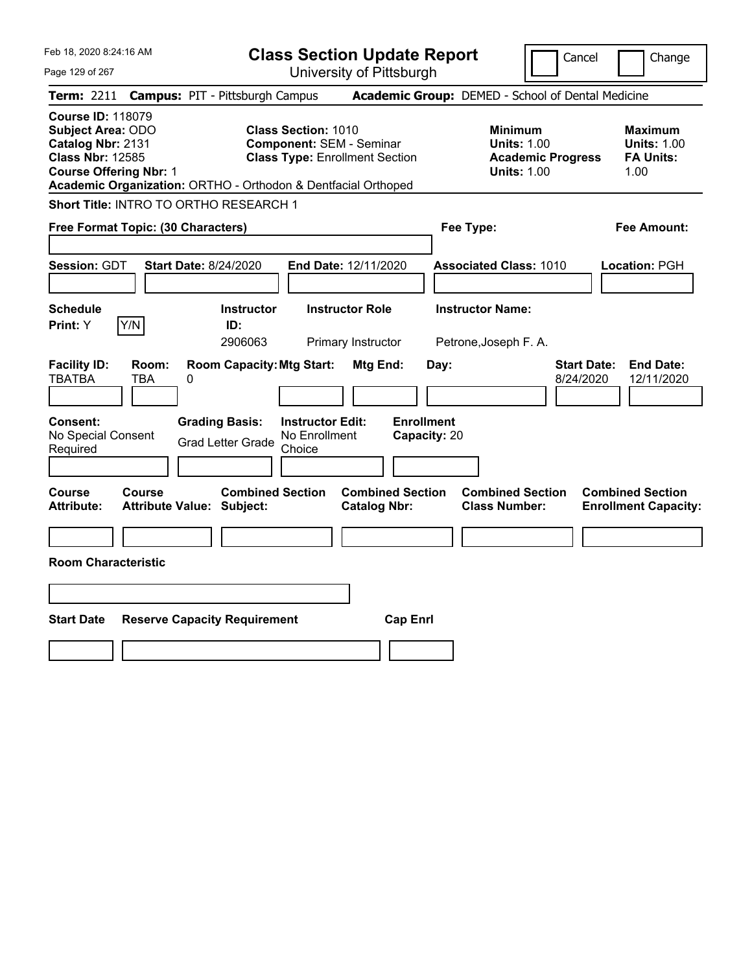| Academic Group: DEMED - School of Dental Medicine<br><b>Campus: PIT - Pittsburgh Campus</b><br><b>Class Section: 1010</b><br><b>Minimum</b><br><b>Maximum</b><br><b>Component: SEM - Seminar</b><br><b>Units: 1.00</b><br><b>Units: 1.00</b><br><b>Class Type: Enrollment Section</b><br><b>FA Units:</b><br><b>Academic Progress</b><br><b>Units: 1.00</b><br>1.00<br>Academic Organization: ORTHO - Orthodon & Dentfacial Orthoped<br>Short Title: INTRO TO ORTHO RESEARCH 1<br><b>Fee Amount:</b><br>Free Format Topic: (30 Characters)<br>Fee Type:<br><b>Start Date: 8/24/2020</b><br>End Date: 12/11/2020<br><b>Associated Class: 1010</b><br>Location: PGH<br><b>Instructor Name:</b><br><b>Schedule</b><br><b>Instructor</b><br><b>Instructor Role</b><br>Y/N<br>Print: Y<br>ID:<br>2906063<br>Primary Instructor<br>Petrone, Joseph F. A.<br>Room:<br><b>Room Capacity: Mtg Start:</b><br><b>Start Date:</b><br><b>End Date:</b><br>Mtg End:<br>Day:<br>TBA<br>8/24/2020<br>12/11/2020<br>0<br><b>Enrollment</b><br><b>Grading Basis:</b><br><b>Instructor Edit:</b><br>No Enrollment<br>Capacity: 20<br><b>Grad Letter Grade</b><br>Choice<br><b>Combined Section</b><br><b>Combined Section</b><br>Course<br><b>Combined Section</b><br><b>Combined Section</b><br><b>Attribute Value: Subject:</b><br><b>Catalog Nbr:</b><br><b>Class Number:</b><br><b>Enrollment Capacity:</b><br><b>Start Date</b><br><b>Reserve Capacity Requirement</b><br><b>Cap Enrl</b> | Feb 18, 2020 8:24:16 AM<br>Page 129 of 267                                                                                            | <b>Class Section Update Report</b><br>University of Pittsburgh | Cancel | Change |
|-----------------------------------------------------------------------------------------------------------------------------------------------------------------------------------------------------------------------------------------------------------------------------------------------------------------------------------------------------------------------------------------------------------------------------------------------------------------------------------------------------------------------------------------------------------------------------------------------------------------------------------------------------------------------------------------------------------------------------------------------------------------------------------------------------------------------------------------------------------------------------------------------------------------------------------------------------------------------------------------------------------------------------------------------------------------------------------------------------------------------------------------------------------------------------------------------------------------------------------------------------------------------------------------------------------------------------------------------------------------------------------------------------------------------------------------------------------------------------|---------------------------------------------------------------------------------------------------------------------------------------|----------------------------------------------------------------|--------|--------|
|                                                                                                                                                                                                                                                                                                                                                                                                                                                                                                                                                                                                                                                                                                                                                                                                                                                                                                                                                                                                                                                                                                                                                                                                                                                                                                                                                                                                                                                                             | <b>Term: 2211</b>                                                                                                                     |                                                                |        |        |
|                                                                                                                                                                                                                                                                                                                                                                                                                                                                                                                                                                                                                                                                                                                                                                                                                                                                                                                                                                                                                                                                                                                                                                                                                                                                                                                                                                                                                                                                             | <b>Course ID: 118079</b><br><b>Subject Area: ODO</b><br>Catalog Nbr: 2131<br><b>Class Nbr: 12585</b><br><b>Course Offering Nbr: 1</b> |                                                                |        |        |
|                                                                                                                                                                                                                                                                                                                                                                                                                                                                                                                                                                                                                                                                                                                                                                                                                                                                                                                                                                                                                                                                                                                                                                                                                                                                                                                                                                                                                                                                             |                                                                                                                                       |                                                                |        |        |
|                                                                                                                                                                                                                                                                                                                                                                                                                                                                                                                                                                                                                                                                                                                                                                                                                                                                                                                                                                                                                                                                                                                                                                                                                                                                                                                                                                                                                                                                             |                                                                                                                                       |                                                                |        |        |
|                                                                                                                                                                                                                                                                                                                                                                                                                                                                                                                                                                                                                                                                                                                                                                                                                                                                                                                                                                                                                                                                                                                                                                                                                                                                                                                                                                                                                                                                             | <b>Session: GDT</b>                                                                                                                   |                                                                |        |        |
|                                                                                                                                                                                                                                                                                                                                                                                                                                                                                                                                                                                                                                                                                                                                                                                                                                                                                                                                                                                                                                                                                                                                                                                                                                                                                                                                                                                                                                                                             |                                                                                                                                       |                                                                |        |        |
|                                                                                                                                                                                                                                                                                                                                                                                                                                                                                                                                                                                                                                                                                                                                                                                                                                                                                                                                                                                                                                                                                                                                                                                                                                                                                                                                                                                                                                                                             |                                                                                                                                       |                                                                |        |        |
|                                                                                                                                                                                                                                                                                                                                                                                                                                                                                                                                                                                                                                                                                                                                                                                                                                                                                                                                                                                                                                                                                                                                                                                                                                                                                                                                                                                                                                                                             | <b>Facility ID:</b><br><b>TBATBA</b>                                                                                                  |                                                                |        |        |
|                                                                                                                                                                                                                                                                                                                                                                                                                                                                                                                                                                                                                                                                                                                                                                                                                                                                                                                                                                                                                                                                                                                                                                                                                                                                                                                                                                                                                                                                             | <b>Consent:</b><br>No Special Consent<br>Required                                                                                     |                                                                |        |        |
|                                                                                                                                                                                                                                                                                                                                                                                                                                                                                                                                                                                                                                                                                                                                                                                                                                                                                                                                                                                                                                                                                                                                                                                                                                                                                                                                                                                                                                                                             | Course<br><b>Attribute:</b>                                                                                                           |                                                                |        |        |
|                                                                                                                                                                                                                                                                                                                                                                                                                                                                                                                                                                                                                                                                                                                                                                                                                                                                                                                                                                                                                                                                                                                                                                                                                                                                                                                                                                                                                                                                             |                                                                                                                                       |                                                                |        |        |
|                                                                                                                                                                                                                                                                                                                                                                                                                                                                                                                                                                                                                                                                                                                                                                                                                                                                                                                                                                                                                                                                                                                                                                                                                                                                                                                                                                                                                                                                             | <b>Room Characteristic</b>                                                                                                            |                                                                |        |        |
|                                                                                                                                                                                                                                                                                                                                                                                                                                                                                                                                                                                                                                                                                                                                                                                                                                                                                                                                                                                                                                                                                                                                                                                                                                                                                                                                                                                                                                                                             |                                                                                                                                       |                                                                |        |        |
|                                                                                                                                                                                                                                                                                                                                                                                                                                                                                                                                                                                                                                                                                                                                                                                                                                                                                                                                                                                                                                                                                                                                                                                                                                                                                                                                                                                                                                                                             |                                                                                                                                       |                                                                |        |        |
|                                                                                                                                                                                                                                                                                                                                                                                                                                                                                                                                                                                                                                                                                                                                                                                                                                                                                                                                                                                                                                                                                                                                                                                                                                                                                                                                                                                                                                                                             |                                                                                                                                       |                                                                |        |        |
|                                                                                                                                                                                                                                                                                                                                                                                                                                                                                                                                                                                                                                                                                                                                                                                                                                                                                                                                                                                                                                                                                                                                                                                                                                                                                                                                                                                                                                                                             |                                                                                                                                       |                                                                |        |        |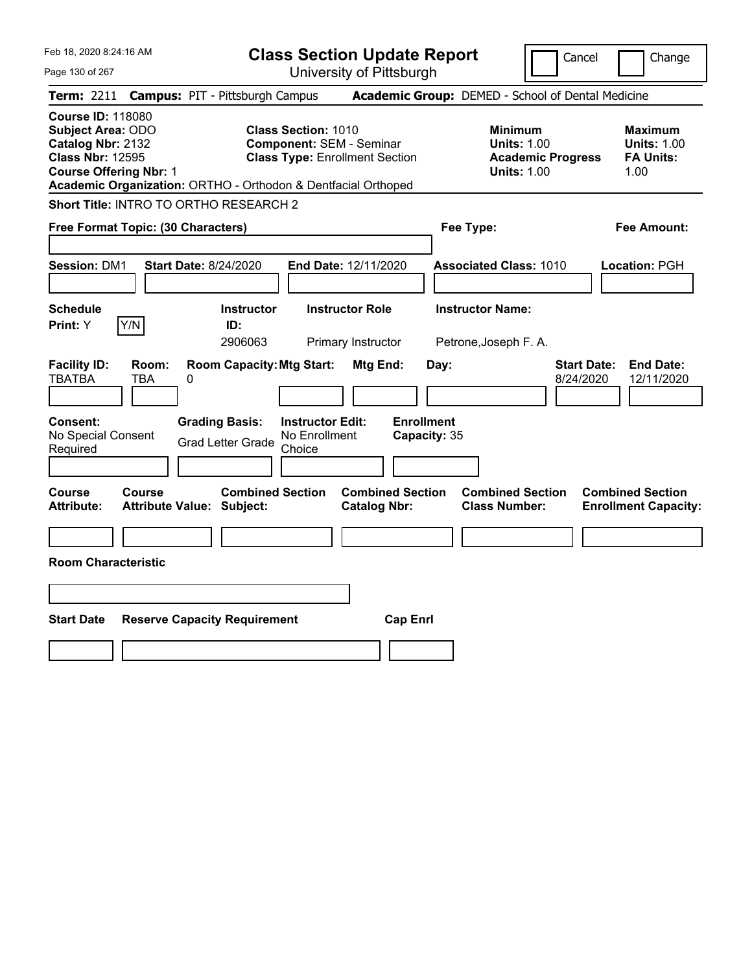|  | Feb 18, 2020 8:24:16 AM |  |
|--|-------------------------|--|
|  |                         |  |

Page 130 of 267

**Class Section Update Report**

Cancel Change

| <b>Term: 2211</b>                                                                                                              |                     | <b>Campus: PIT - Pittsburgh Campus</b>                                                                                                                                  |                                                | Academic Group: DEMED - School of Dental Medicine                                      |                                                                  |
|--------------------------------------------------------------------------------------------------------------------------------|---------------------|-------------------------------------------------------------------------------------------------------------------------------------------------------------------------|------------------------------------------------|----------------------------------------------------------------------------------------|------------------------------------------------------------------|
| <b>Course ID: 118080</b><br>Subject Area: ODO<br>Catalog Nbr: 2132<br><b>Class Nbr: 12595</b><br><b>Course Offering Nbr: 1</b> |                     | <b>Class Section: 1010</b><br><b>Component: SEM - Seminar</b><br><b>Class Type: Enrollment Section</b><br>Academic Organization: ORTHO - Orthodon & Dentfacial Orthoped |                                                | <b>Minimum</b><br><b>Units: 1.00</b><br><b>Academic Progress</b><br><b>Units: 1.00</b> | <b>Maximum</b><br><b>Units: 1.00</b><br><b>FA Units:</b><br>1.00 |
|                                                                                                                                |                     | <b>Short Title: INTRO TO ORTHO RESEARCH 2</b>                                                                                                                           |                                                |                                                                                        |                                                                  |
| Free Format Topic: (30 Characters)                                                                                             |                     |                                                                                                                                                                         |                                                | Fee Type:                                                                              | <b>Fee Amount:</b>                                               |
| Session: DM1                                                                                                                   |                     | <b>Start Date: 8/24/2020</b>                                                                                                                                            | End Date: 12/11/2020                           | <b>Associated Class: 1010</b>                                                          | <b>Location: PGH</b>                                             |
| <b>Schedule</b><br>Print: Y                                                                                                    | Y/N                 | <b>Instructor</b><br>ID:<br>2906063                                                                                                                                     | <b>Instructor Role</b><br>Primary Instructor   | <b>Instructor Name:</b><br>Petrone, Joseph F. A.                                       |                                                                  |
| <b>Facility ID:</b><br><b>TBATBA</b>                                                                                           | Room:<br><b>TBA</b> | <b>Room Capacity: Mtg Start:</b><br>0                                                                                                                                   | Mtg End:<br>Day:                               | <b>Start Date:</b><br>8/24/2020                                                        | <b>End Date:</b><br>12/11/2020                                   |
| Consent:<br>No Special Consent<br>Required                                                                                     |                     | <b>Grading Basis:</b><br><b>Instructor Edit:</b><br>No Enrollment<br><b>Grad Letter Grade</b><br>Choice                                                                 | <b>Enrollment</b><br>Capacity: 35              |                                                                                        |                                                                  |
| Course<br><b>Attribute:</b>                                                                                                    | Course              | <b>Combined Section</b><br><b>Attribute Value: Subject:</b>                                                                                                             | <b>Combined Section</b><br><b>Catalog Nbr:</b> | <b>Combined Section</b><br><b>Class Number:</b>                                        | <b>Combined Section</b><br><b>Enrollment Capacity:</b>           |
| <b>Room Characteristic</b>                                                                                                     |                     |                                                                                                                                                                         |                                                |                                                                                        |                                                                  |
|                                                                                                                                |                     |                                                                                                                                                                         |                                                |                                                                                        |                                                                  |
| <b>Start Date</b>                                                                                                              |                     | <b>Reserve Capacity Requirement</b>                                                                                                                                     | <b>Cap Enrl</b>                                |                                                                                        |                                                                  |
|                                                                                                                                |                     |                                                                                                                                                                         |                                                |                                                                                        |                                                                  |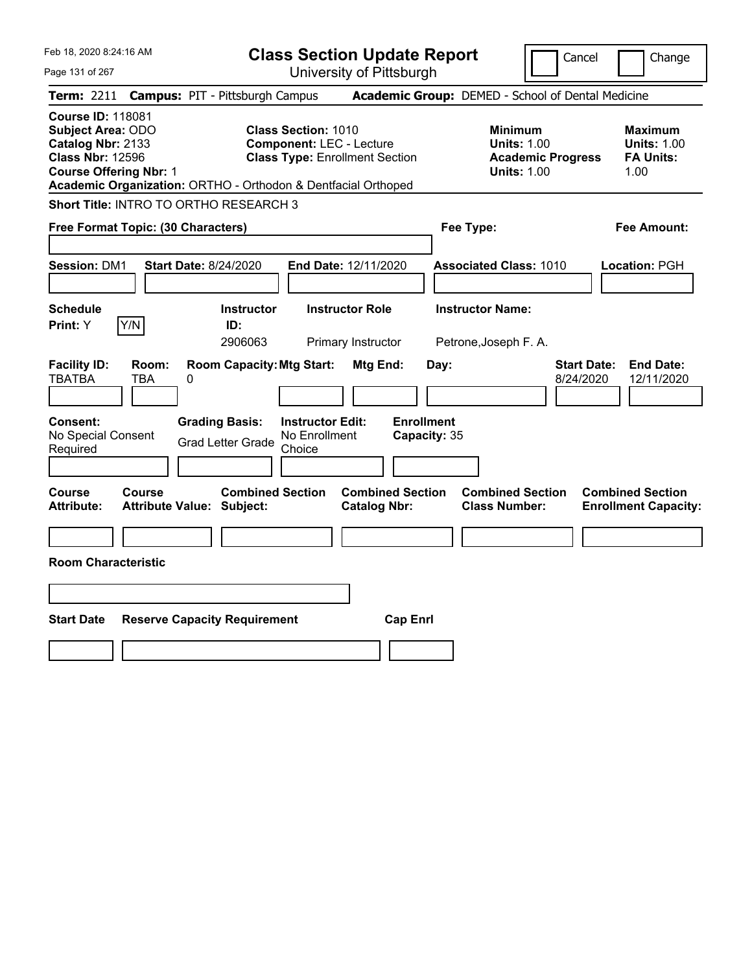| Feb 18, 2020 8:24:16 AM |  |
|-------------------------|--|
| Page 131 of 267         |  |

**Class Section Update Report**

Cancel Change

|                                                                                                                                |                     | Term: 2211 Campus: PIT - Pittsburgh Campus                                                 |                                                                                                        |                                                       | Academic Group: DEMED - School of Dental Medicine                               |                                 |                                                                  |
|--------------------------------------------------------------------------------------------------------------------------------|---------------------|--------------------------------------------------------------------------------------------|--------------------------------------------------------------------------------------------------------|-------------------------------------------------------|---------------------------------------------------------------------------------|---------------------------------|------------------------------------------------------------------|
| <b>Course ID: 118081</b><br>Subject Area: ODO<br>Catalog Nbr: 2133<br><b>Class Nbr: 12596</b><br><b>Course Offering Nbr: 1</b> |                     | Academic Organization: ORTHO - Orthodon & Dentfacial Orthoped                              | <b>Class Section: 1010</b><br><b>Component: LEC - Lecture</b><br><b>Class Type: Enrollment Section</b> |                                                       | Minimum<br><b>Units: 1.00</b><br><b>Academic Progress</b><br><b>Units: 1.00</b> |                                 | <b>Maximum</b><br><b>Units: 1.00</b><br><b>FA Units:</b><br>1.00 |
|                                                                                                                                |                     | Short Title: INTRO TO ORTHO RESEARCH 3                                                     |                                                                                                        |                                                       |                                                                                 |                                 |                                                                  |
| Free Format Topic: (30 Characters)                                                                                             |                     |                                                                                            |                                                                                                        |                                                       | Fee Type:                                                                       |                                 | <b>Fee Amount:</b>                                               |
| <b>Session: DM1</b>                                                                                                            |                     | <b>Start Date: 8/24/2020</b>                                                               | End Date: 12/11/2020                                                                                   |                                                       | <b>Associated Class: 1010</b>                                                   |                                 | Location: PGH                                                    |
| <b>Schedule</b>                                                                                                                |                     | <b>Instructor</b>                                                                          | <b>Instructor Role</b>                                                                                 |                                                       | <b>Instructor Name:</b>                                                         |                                 |                                                                  |
| <b>Print:</b> Y                                                                                                                | Y/N                 | ID:<br>2906063                                                                             | Primary Instructor                                                                                     |                                                       | Petrone, Joseph F. A.                                                           |                                 |                                                                  |
| <b>Facility ID:</b><br><b>TBATBA</b><br>Consent:<br>No Special Consent<br>Required                                             | Room:<br><b>TBA</b> | <b>Room Capacity: Mtg Start:</b><br>0<br><b>Grading Basis:</b><br><b>Grad Letter Grade</b> | <b>Instructor Edit:</b><br>No Enrollment<br>Choice                                                     | Mtg End:<br>Day:<br><b>Enrollment</b><br>Capacity: 35 |                                                                                 | <b>Start Date:</b><br>8/24/2020 | <b>End Date:</b><br>12/11/2020                                   |
| <b>Course</b><br><b>Attribute:</b>                                                                                             | Course              | <b>Combined Section</b><br><b>Attribute Value: Subject:</b>                                |                                                                                                        | <b>Combined Section</b><br><b>Catalog Nbr:</b>        | <b>Combined Section</b><br><b>Class Number:</b>                                 |                                 | <b>Combined Section</b><br><b>Enrollment Capacity:</b>           |
| <b>Room Characteristic</b>                                                                                                     |                     |                                                                                            |                                                                                                        |                                                       |                                                                                 |                                 |                                                                  |
|                                                                                                                                |                     |                                                                                            |                                                                                                        |                                                       |                                                                                 |                                 |                                                                  |
| <b>Start Date</b>                                                                                                              |                     | <b>Reserve Capacity Requirement</b>                                                        |                                                                                                        | <b>Cap Enrl</b>                                       |                                                                                 |                                 |                                                                  |
|                                                                                                                                |                     |                                                                                            |                                                                                                        |                                                       |                                                                                 |                                 |                                                                  |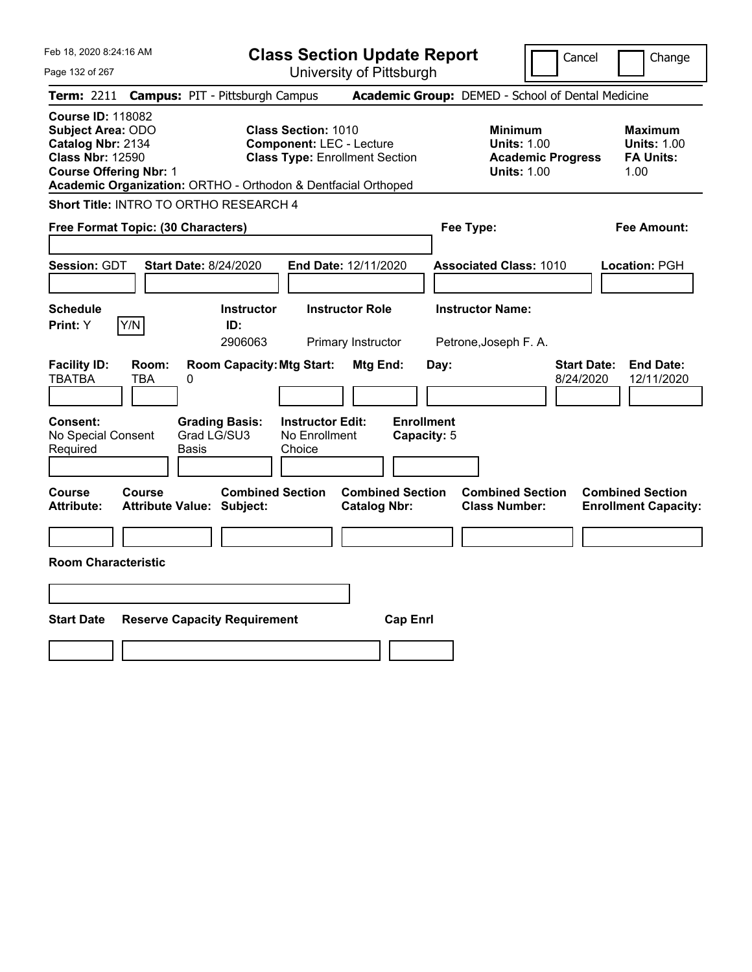| Feb 18, 2020 8:24:16 AM |  |
|-------------------------|--|
|                         |  |

Cancel Change

Page 132 of 267

|                                                                                                                                       |              | <b>Term: 2211 Campus: PIT - Pittsburgh Campus</b>             |                                                               |                                                |                                  | <b>Academic Group:</b> DEMED - School of Dental Medicine                               |                                 |                                                                  |
|---------------------------------------------------------------------------------------------------------------------------------------|--------------|---------------------------------------------------------------|---------------------------------------------------------------|------------------------------------------------|----------------------------------|----------------------------------------------------------------------------------------|---------------------------------|------------------------------------------------------------------|
| <b>Course ID: 118082</b><br><b>Subject Area: ODO</b><br>Catalog Nbr: 2134<br><b>Class Nbr: 12590</b><br><b>Course Offering Nbr: 1</b> |              | Academic Organization: ORTHO - Orthodon & Dentfacial Orthoped | <b>Class Section: 1010</b><br><b>Component: LEC - Lecture</b> | <b>Class Type: Enrollment Section</b>          |                                  | <b>Minimum</b><br><b>Units: 1.00</b><br><b>Academic Progress</b><br><b>Units: 1.00</b> |                                 | <b>Maximum</b><br><b>Units: 1.00</b><br><b>FA Units:</b><br>1.00 |
|                                                                                                                                       |              | Short Title: INTRO TO ORTHO RESEARCH 4                        |                                                               |                                                |                                  |                                                                                        |                                 |                                                                  |
| Free Format Topic: (30 Characters)                                                                                                    |              |                                                               |                                                               |                                                |                                  | Fee Type:                                                                              |                                 | <b>Fee Amount:</b>                                               |
| <b>Session: GDT</b>                                                                                                                   |              | <b>Start Date: 8/24/2020</b>                                  |                                                               | End Date: 12/11/2020                           |                                  | <b>Associated Class: 1010</b>                                                          |                                 | Location: PGH                                                    |
| <b>Schedule</b><br>Print: Y                                                                                                           | Y/N          | <b>Instructor</b><br>ID:<br>2906063                           |                                                               | <b>Instructor Role</b><br>Primary Instructor   |                                  | <b>Instructor Name:</b><br>Petrone, Joseph F. A.                                       |                                 |                                                                  |
| <b>Facility ID:</b><br><b>TBATBA</b>                                                                                                  | Room:<br>TBA | <b>Room Capacity: Mtg Start:</b><br>0                         |                                                               | Mtg End:                                       | Day:                             |                                                                                        | <b>Start Date:</b><br>8/24/2020 | <b>End Date:</b><br>12/11/2020                                   |
| <b>Consent:</b><br>No Special Consent<br>Required                                                                                     |              | <b>Grading Basis:</b><br>Grad LG/SU3<br>Basis                 | <b>Instructor Edit:</b><br>No Enrollment<br>Choice            |                                                | <b>Enrollment</b><br>Capacity: 5 |                                                                                        |                                 |                                                                  |
| <b>Course</b><br><b>Attribute:</b>                                                                                                    | Course       | <b>Combined Section</b><br><b>Attribute Value: Subject:</b>   |                                                               | <b>Combined Section</b><br><b>Catalog Nbr:</b> |                                  | <b>Combined Section</b><br><b>Class Number:</b>                                        |                                 | <b>Combined Section</b><br><b>Enrollment Capacity:</b>           |
| <b>Room Characteristic</b>                                                                                                            |              |                                                               |                                                               |                                                |                                  |                                                                                        |                                 |                                                                  |
| <b>Start Date</b>                                                                                                                     |              | <b>Reserve Capacity Requirement</b>                           |                                                               | <b>Cap Enrl</b>                                |                                  |                                                                                        |                                 |                                                                  |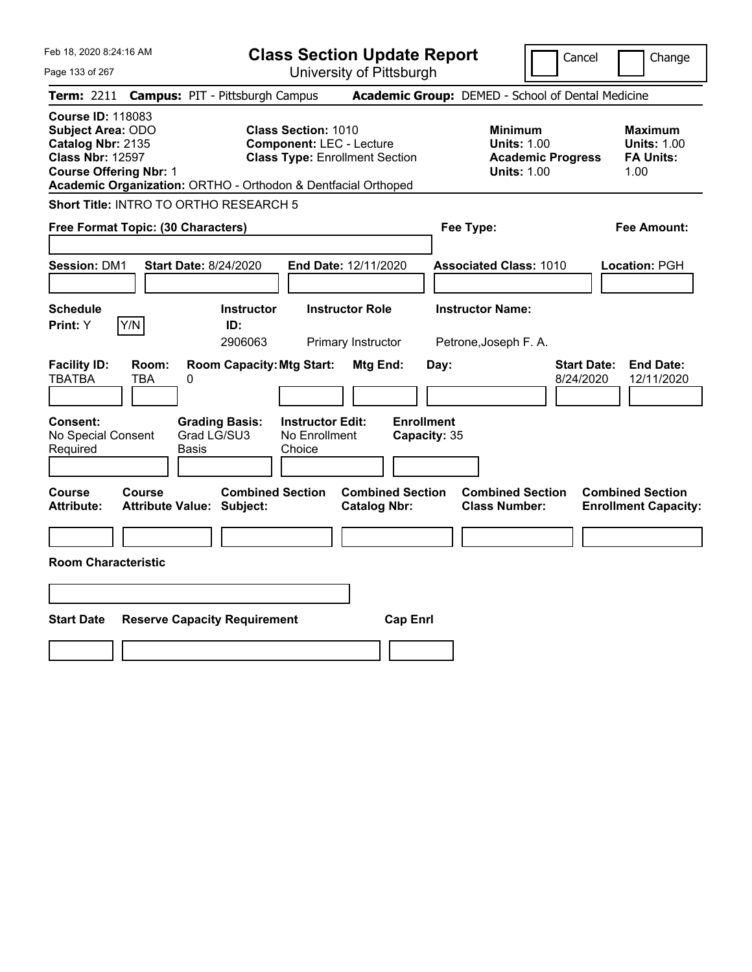|  | Feb 18, 2020 8:24:16 AM |  |
|--|-------------------------|--|
|  |                         |  |

Page 133 of 267

**Class Section Update Report**

Cancel Change

| <b>Term: 2211</b>                                                                             |                                            |                   | <b>Campus: PIT - Pittsburgh Campus</b>                                   |                                                                                                        |                                              |                                   |      | Academic Group: DEMED - School of Dental Medicine                                      |                                 |                                                                  |
|-----------------------------------------------------------------------------------------------|--------------------------------------------|-------------------|--------------------------------------------------------------------------|--------------------------------------------------------------------------------------------------------|----------------------------------------------|-----------------------------------|------|----------------------------------------------------------------------------------------|---------------------------------|------------------------------------------------------------------|
| <b>Course ID: 118083</b><br>Subject Area: ODO<br>Catalog Nbr: 2135<br><b>Class Nbr: 12597</b> | <b>Course Offering Nbr: 1</b>              |                   | Academic Organization: ORTHO - Orthodon & Dentfacial Orthoped            | <b>Class Section: 1010</b><br><b>Component: LEC - Lecture</b><br><b>Class Type: Enrollment Section</b> |                                              |                                   |      | <b>Minimum</b><br><b>Units: 1.00</b><br><b>Academic Progress</b><br><b>Units: 1.00</b> |                                 | <b>Maximum</b><br><b>Units: 1.00</b><br><b>FA Units:</b><br>1.00 |
|                                                                                               |                                            |                   | Short Title: INTRO TO ORTHO RESEARCH 5                                   |                                                                                                        |                                              |                                   |      |                                                                                        |                                 |                                                                  |
|                                                                                               | Free Format Topic: (30 Characters)         |                   |                                                                          |                                                                                                        |                                              |                                   |      | Fee Type:                                                                              |                                 | <b>Fee Amount:</b>                                               |
| <b>Session: DM1</b>                                                                           |                                            |                   | <b>Start Date: 8/24/2020</b>                                             | End Date: 12/11/2020                                                                                   |                                              |                                   |      | <b>Associated Class: 1010</b>                                                          |                                 | Location: PGH                                                    |
| <b>Schedule</b><br>Print: Y                                                                   | Y/N                                        |                   | <b>Instructor</b><br>ID:<br>2906063                                      |                                                                                                        | <b>Instructor Role</b><br>Primary Instructor |                                   |      | <b>Instructor Name:</b><br>Petrone, Joseph F. A.                                       |                                 |                                                                  |
| <b>Facility ID:</b><br><b>TBATBA</b><br>Consent:<br>No Special Consent<br>Required            | Room:<br>TBA                               | 0<br><b>Basis</b> | <b>Room Capacity: Mtg Start:</b><br><b>Grading Basis:</b><br>Grad LG/SU3 | <b>Instructor Edit:</b><br>No Enrollment<br>Choice                                                     | Mtg End:                                     | <b>Enrollment</b><br>Capacity: 35 | Day: |                                                                                        | <b>Start Date:</b><br>8/24/2020 | <b>End Date:</b><br>12/11/2020                                   |
| Course<br><b>Attribute:</b>                                                                   | Course<br><b>Attribute Value: Subject:</b> |                   | <b>Combined Section</b>                                                  |                                                                                                        | <b>Catalog Nbr:</b>                          | <b>Combined Section</b>           |      | <b>Combined Section</b><br><b>Class Number:</b>                                        |                                 | <b>Combined Section</b><br><b>Enrollment Capacity:</b>           |
| <b>Room Characteristic</b>                                                                    |                                            |                   |                                                                          |                                                                                                        |                                              |                                   |      |                                                                                        |                                 |                                                                  |
| <b>Start Date</b>                                                                             |                                            |                   | <b>Reserve Capacity Requirement</b>                                      |                                                                                                        |                                              | <b>Cap Enrl</b>                   |      |                                                                                        |                                 |                                                                  |
|                                                                                               |                                            |                   |                                                                          |                                                                                                        |                                              |                                   |      |                                                                                        |                                 |                                                                  |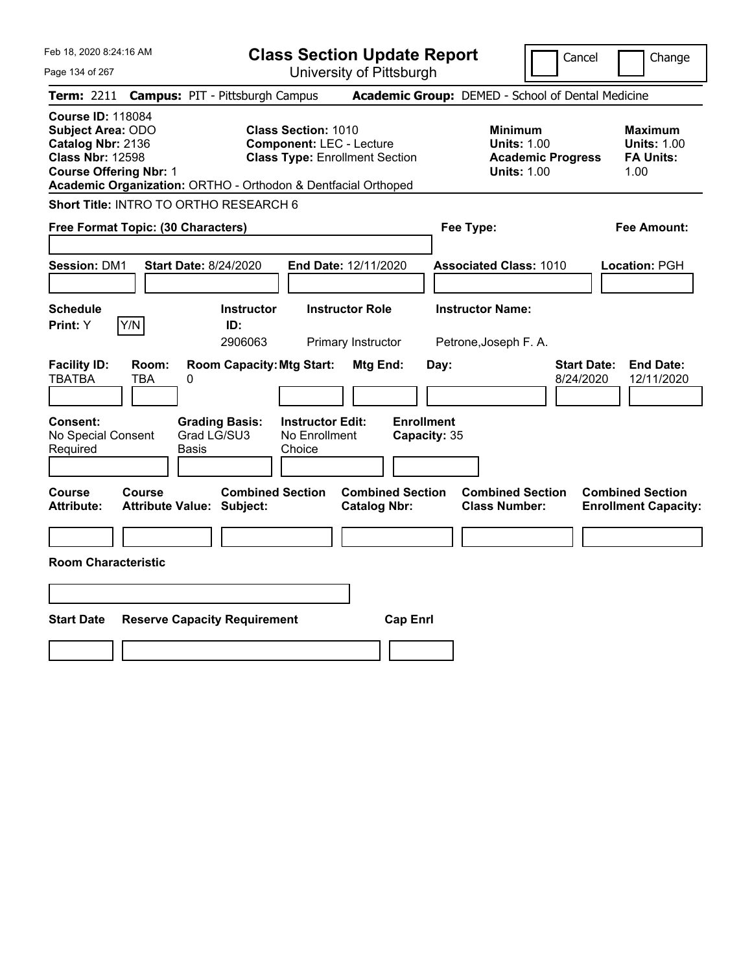|  | Feb 18, 2020 8:24:16 AM |  |
|--|-------------------------|--|
|  |                         |  |

Cancel Change

Page 134 of 267

|                                                                                                                                       |              | <b>Term: 2211 Campus: PIT - Pittsburgh Campus</b>             |                                                               |                                                |                                   | <b>Academic Group:</b> DEMED - School of Dental Medicine                               |                                 |                                                                  |
|---------------------------------------------------------------------------------------------------------------------------------------|--------------|---------------------------------------------------------------|---------------------------------------------------------------|------------------------------------------------|-----------------------------------|----------------------------------------------------------------------------------------|---------------------------------|------------------------------------------------------------------|
| <b>Course ID: 118084</b><br><b>Subject Area: ODO</b><br>Catalog Nbr: 2136<br><b>Class Nbr: 12598</b><br><b>Course Offering Nbr: 1</b> |              | Academic Organization: ORTHO - Orthodon & Dentfacial Orthoped | <b>Class Section: 1010</b><br><b>Component: LEC - Lecture</b> | <b>Class Type: Enrollment Section</b>          |                                   | <b>Minimum</b><br><b>Units: 1.00</b><br><b>Academic Progress</b><br><b>Units: 1.00</b> |                                 | <b>Maximum</b><br><b>Units: 1.00</b><br><b>FA Units:</b><br>1.00 |
|                                                                                                                                       |              | Short Title: INTRO TO ORTHO RESEARCH 6                        |                                                               |                                                |                                   |                                                                                        |                                 |                                                                  |
| Free Format Topic: (30 Characters)                                                                                                    |              |                                                               |                                                               |                                                | Fee Type:                         |                                                                                        |                                 | <b>Fee Amount:</b>                                               |
| <b>Session: DM1</b>                                                                                                                   |              | <b>Start Date: 8/24/2020</b>                                  |                                                               | End Date: 12/11/2020                           |                                   | <b>Associated Class: 1010</b>                                                          |                                 | Location: PGH                                                    |
| <b>Schedule</b><br>Print: Y                                                                                                           | Y/N          | <b>Instructor</b><br>ID:<br>2906063                           |                                                               | <b>Instructor Role</b><br>Primary Instructor   |                                   | <b>Instructor Name:</b><br>Petrone, Joseph F. A.                                       |                                 |                                                                  |
| <b>Facility ID:</b><br><b>TBATBA</b>                                                                                                  | Room:<br>TBA | <b>Room Capacity: Mtg Start:</b><br>0                         |                                                               | Mtg End:                                       | Day:                              |                                                                                        | <b>Start Date:</b><br>8/24/2020 | <b>End Date:</b><br>12/11/2020                                   |
| Consent:<br>No Special Consent<br>Required                                                                                            |              | <b>Grading Basis:</b><br>Grad LG/SU3<br>Basis                 | <b>Instructor Edit:</b><br>No Enrollment<br>Choice            |                                                | <b>Enrollment</b><br>Capacity: 35 |                                                                                        |                                 |                                                                  |
| <b>Course</b><br><b>Attribute:</b>                                                                                                    | Course       | <b>Combined Section</b><br><b>Attribute Value: Subject:</b>   |                                                               | <b>Combined Section</b><br><b>Catalog Nbr:</b> |                                   | <b>Combined Section</b><br><b>Class Number:</b>                                        |                                 | <b>Combined Section</b><br><b>Enrollment Capacity:</b>           |
| <b>Room Characteristic</b>                                                                                                            |              |                                                               |                                                               |                                                |                                   |                                                                                        |                                 |                                                                  |
|                                                                                                                                       |              |                                                               |                                                               |                                                |                                   |                                                                                        |                                 |                                                                  |
| <b>Start Date</b>                                                                                                                     |              | <b>Reserve Capacity Requirement</b>                           |                                                               | <b>Cap Enrl</b>                                |                                   |                                                                                        |                                 |                                                                  |
|                                                                                                                                       |              |                                                               |                                                               |                                                |                                   |                                                                                        |                                 |                                                                  |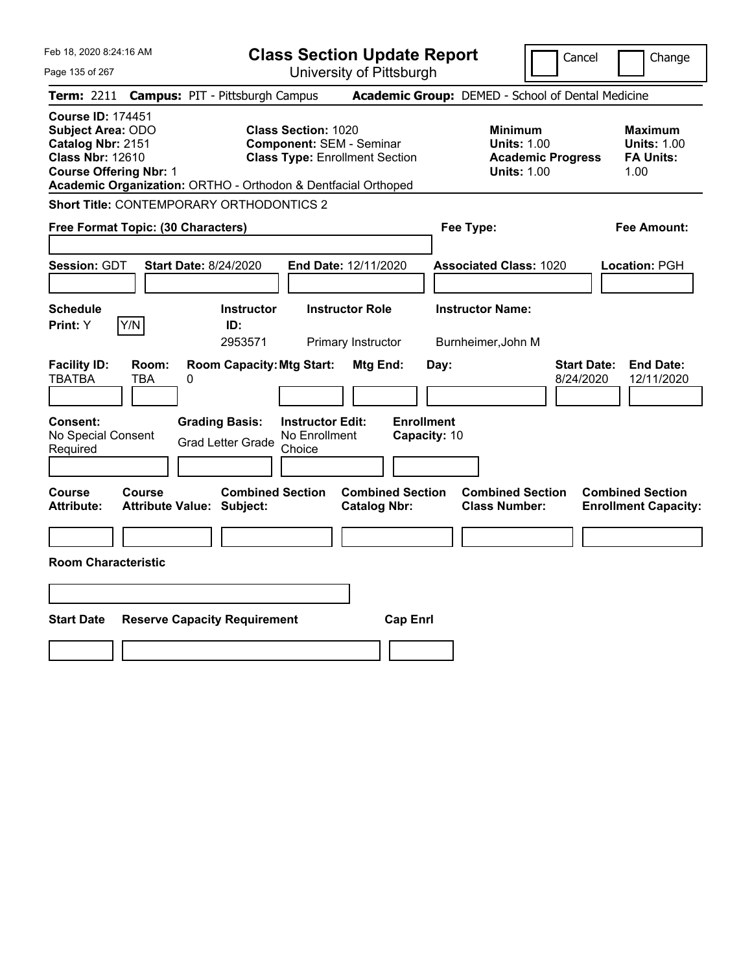Feb 18, 2020 8:24:16 AM Page 135 of 267 **Class Section Update Report** University of Pittsburgh Cancel Change **Term:** 2211 **Campus:** PIT - Pittsburgh Campus **Academic Group:** DEMED - School of Dental Medicine **Course ID:** 174451 **Subject Area:** ODO **Class Section:** 1020 **Minimum Maximum Catalog Nbr:** 2151 **Component:** SEM - Seminar **Units:** 1.00 **Units:** 1.00 **Class Nbr:** 12610 **Class Type:** Enrollment Section **Academic Progress FA Units: Course Offering Nbr:** 1 **Units:** 1.00 1.00 **Academic Organization:** ORTHO - Orthodon & Dentfacial Orthoped **Short Title:** CONTEMPORARY ORTHODONTICS 2 **Free Format Topic: (30 Characters) Fee Type: Fee Amount: Session:** GDT **Start Date:** 8/24/2020 **End Date:** 12/11/2020 **Associated Class:** 1020 **Location:** PGH **Schedule Instructor Instructor Role Instructor Name: Print:**  $Y$   $|Y/N|$  **ID:** 2953571 Primary Instructor Burnheimer,John M **Facility ID: Room: Room Capacity:Mtg Start: Mtg End: Day: Start Date: End Date:** TBATBA TBA 0 8/24/2020 12/11/2020 **Consent: Grading Basis: Instructor Edit: Enrollment** No Special Consent Grad Letter Grade No Enrollment Choice **Capacity:** 10 **Course Course Combined Section Combined Section Combined Section Combined Section Attribute: Attribute Value: Subject: Catalog Nbr: Class Number: Enrollment Capacity: Room Characteristic Start Date Reserve Capacity Requirement Cap Enrl**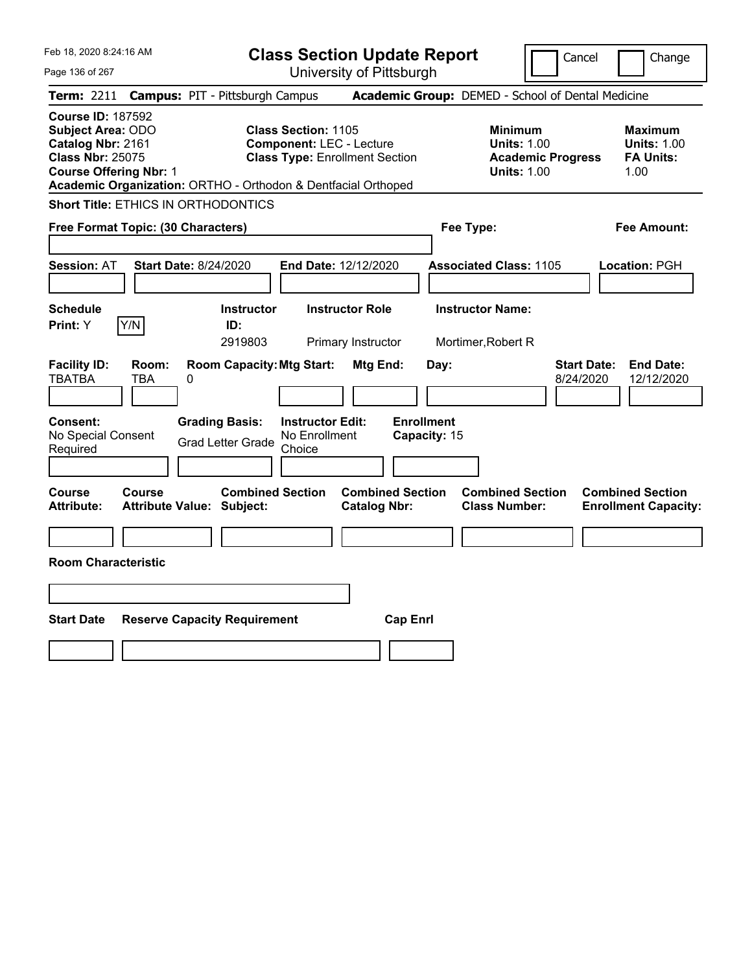|  | Feb 18, 2020 8:24:16 AM |  |
|--|-------------------------|--|
|  |                         |  |

Cancel Change

Page 136 of 267

|                                                                                                                                       |              | <b>Term: 2211 Campus: PIT - Pittsburgh Campus</b>             |                                                               |                                                |                                   | <b>Academic Group:</b> DEMED - School of Dental Medicine                               |                                 |                                                                  |
|---------------------------------------------------------------------------------------------------------------------------------------|--------------|---------------------------------------------------------------|---------------------------------------------------------------|------------------------------------------------|-----------------------------------|----------------------------------------------------------------------------------------|---------------------------------|------------------------------------------------------------------|
| <b>Course ID: 187592</b><br><b>Subject Area: ODO</b><br>Catalog Nbr: 2161<br><b>Class Nbr: 25075</b><br><b>Course Offering Nbr: 1</b> |              | Academic Organization: ORTHO - Orthodon & Dentfacial Orthoped | <b>Class Section: 1105</b><br><b>Component: LEC - Lecture</b> | <b>Class Type: Enrollment Section</b>          |                                   | <b>Minimum</b><br><b>Units: 1.00</b><br><b>Academic Progress</b><br><b>Units: 1.00</b> |                                 | <b>Maximum</b><br><b>Units: 1.00</b><br><b>FA Units:</b><br>1.00 |
|                                                                                                                                       |              | <b>Short Title: ETHICS IN ORTHODONTICS</b>                    |                                                               |                                                |                                   |                                                                                        |                                 |                                                                  |
| Free Format Topic: (30 Characters)                                                                                                    |              |                                                               |                                                               |                                                | Fee Type:                         |                                                                                        |                                 | <b>Fee Amount:</b>                                               |
| <b>Session: AT</b>                                                                                                                    |              | <b>Start Date: 8/24/2020</b>                                  | End Date: 12/12/2020                                          |                                                |                                   | <b>Associated Class: 1105</b>                                                          |                                 | Location: PGH                                                    |
| <b>Schedule</b><br>Print: Y                                                                                                           | Y/N          | <b>Instructor</b><br>ID:<br>2919803                           |                                                               | <b>Instructor Role</b><br>Primary Instructor   |                                   | <b>Instructor Name:</b><br>Mortimer, Robert R                                          |                                 |                                                                  |
| <b>Facility ID:</b><br><b>TBATBA</b>                                                                                                  | Room:<br>TBA | <b>Room Capacity: Mtg Start:</b><br>0                         |                                                               | Mtg End:                                       | Day:                              |                                                                                        | <b>Start Date:</b><br>8/24/2020 | <b>End Date:</b><br>12/12/2020                                   |
| <b>Consent:</b><br>No Special Consent<br>Required                                                                                     |              | <b>Grading Basis:</b><br><b>Grad Letter Grade</b>             | <b>Instructor Edit:</b><br>No Enrollment<br>Choice            |                                                | <b>Enrollment</b><br>Capacity: 15 |                                                                                        |                                 |                                                                  |
| <b>Course</b><br><b>Attribute:</b>                                                                                                    | Course       | <b>Combined Section</b><br><b>Attribute Value: Subject:</b>   |                                                               | <b>Combined Section</b><br><b>Catalog Nbr:</b> |                                   | <b>Combined Section</b><br><b>Class Number:</b>                                        |                                 | <b>Combined Section</b><br><b>Enrollment Capacity:</b>           |
| <b>Room Characteristic</b>                                                                                                            |              |                                                               |                                                               |                                                |                                   |                                                                                        |                                 |                                                                  |
| <b>Start Date</b>                                                                                                                     |              | <b>Reserve Capacity Requirement</b>                           |                                                               | <b>Cap Enrl</b>                                |                                   |                                                                                        |                                 |                                                                  |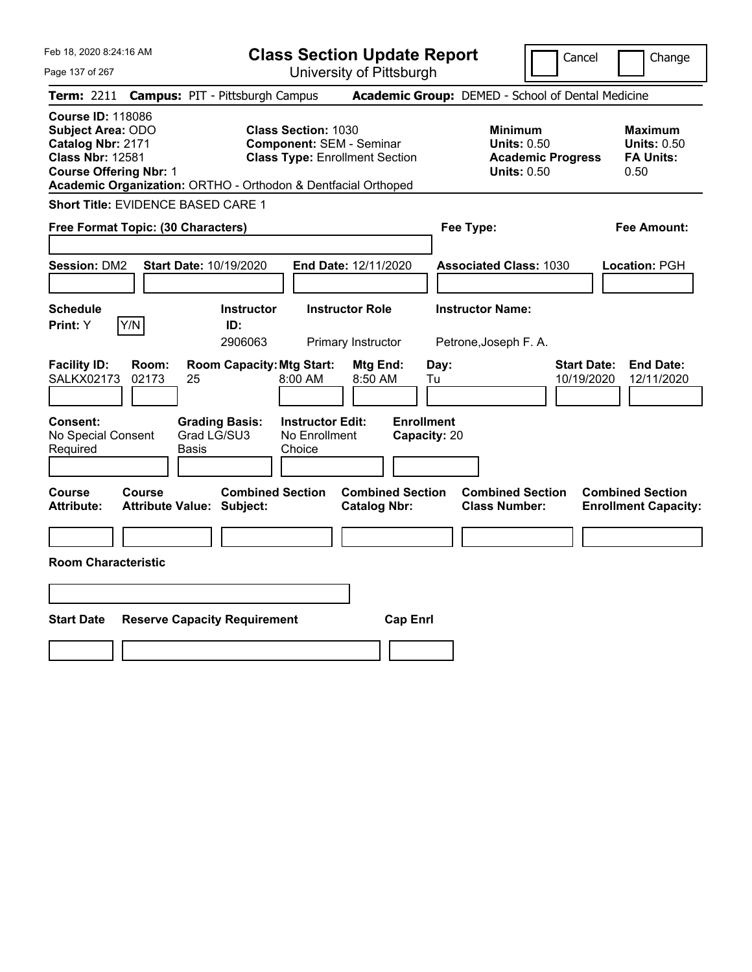|  | Feb 18, 2020 8:24:16 AM |  |
|--|-------------------------|--|
|  |                         |  |

Page 137 of 267

**Class Section Update Report** University of Pittsburgh

Cancel Change

|                                                   |                                                                                                                                                                                                                                                                                                                                                               | Term: 2211 Campus: PIT - Pittsburgh Campus                  |                                                    |                                                |                                   | Academic Group: DEMED - School of Dental Medicine                               |                                  |                                                                  |
|---------------------------------------------------|---------------------------------------------------------------------------------------------------------------------------------------------------------------------------------------------------------------------------------------------------------------------------------------------------------------------------------------------------------------|-------------------------------------------------------------|----------------------------------------------------|------------------------------------------------|-----------------------------------|---------------------------------------------------------------------------------|----------------------------------|------------------------------------------------------------------|
|                                                   | <b>Course ID: 118086</b><br><b>Subject Area: ODO</b><br><b>Class Section: 1030</b><br>Catalog Nbr: 2171<br><b>Component: SEM - Seminar</b><br><b>Class Nbr: 12581</b><br><b>Class Type: Enrollment Section</b><br><b>Course Offering Nbr: 1</b><br>Academic Organization: ORTHO - Orthodon & Dentfacial Orthoped<br><b>Short Title: EVIDENCE BASED CARE 1</b> |                                                             |                                                    |                                                |                                   | Minimum<br><b>Units: 0.50</b><br><b>Academic Progress</b><br><b>Units: 0.50</b> |                                  | <b>Maximum</b><br><b>Units: 0.50</b><br><b>FA Units:</b><br>0.50 |
|                                                   |                                                                                                                                                                                                                                                                                                                                                               |                                                             |                                                    |                                                |                                   |                                                                                 |                                  |                                                                  |
| Free Format Topic: (30 Characters)                |                                                                                                                                                                                                                                                                                                                                                               |                                                             |                                                    |                                                |                                   | Fee Type:                                                                       |                                  | <b>Fee Amount:</b>                                               |
| Session: DM2                                      |                                                                                                                                                                                                                                                                                                                                                               | Start Date: 10/19/2020                                      |                                                    | End Date: 12/11/2020                           |                                   | <b>Associated Class: 1030</b>                                                   |                                  | Location: PGH                                                    |
| <b>Schedule</b><br>Print: Y                       | Y/N                                                                                                                                                                                                                                                                                                                                                           | <b>Instructor</b><br>ID:<br>2906063                         |                                                    | <b>Instructor Role</b><br>Primary Instructor   |                                   | <b>Instructor Name:</b><br>Petrone, Joseph F. A.                                |                                  |                                                                  |
| <b>Facility ID:</b><br><b>SALKX02173</b>          | Room:<br>02173                                                                                                                                                                                                                                                                                                                                                | <b>Room Capacity: Mtg Start:</b><br>25                      | 8:00 AM                                            | Mtg End:<br>8:50 AM                            | Day:<br>Tu                        |                                                                                 | <b>Start Date:</b><br>10/19/2020 | <b>End Date:</b><br>12/11/2020                                   |
| <b>Consent:</b><br>No Special Consent<br>Required |                                                                                                                                                                                                                                                                                                                                                               | <b>Grading Basis:</b><br>Grad LG/SU3<br>Basis               | <b>Instructor Edit:</b><br>No Enrollment<br>Choice |                                                | <b>Enrollment</b><br>Capacity: 20 |                                                                                 |                                  |                                                                  |
| Course<br>Attribute:                              | <b>Course</b>                                                                                                                                                                                                                                                                                                                                                 | <b>Combined Section</b><br><b>Attribute Value: Subject:</b> |                                                    | <b>Combined Section</b><br><b>Catalog Nbr:</b> |                                   | <b>Combined Section</b><br><b>Class Number:</b>                                 |                                  | <b>Combined Section</b><br><b>Enrollment Capacity:</b>           |
| <b>Room Characteristic</b>                        |                                                                                                                                                                                                                                                                                                                                                               |                                                             |                                                    |                                                |                                   |                                                                                 |                                  |                                                                  |
| <b>Start Date</b>                                 |                                                                                                                                                                                                                                                                                                                                                               | <b>Reserve Capacity Requirement</b>                         |                                                    | <b>Cap Enrl</b>                                |                                   |                                                                                 |                                  |                                                                  |
|                                                   |                                                                                                                                                                                                                                                                                                                                                               |                                                             |                                                    |                                                |                                   |                                                                                 |                                  |                                                                  |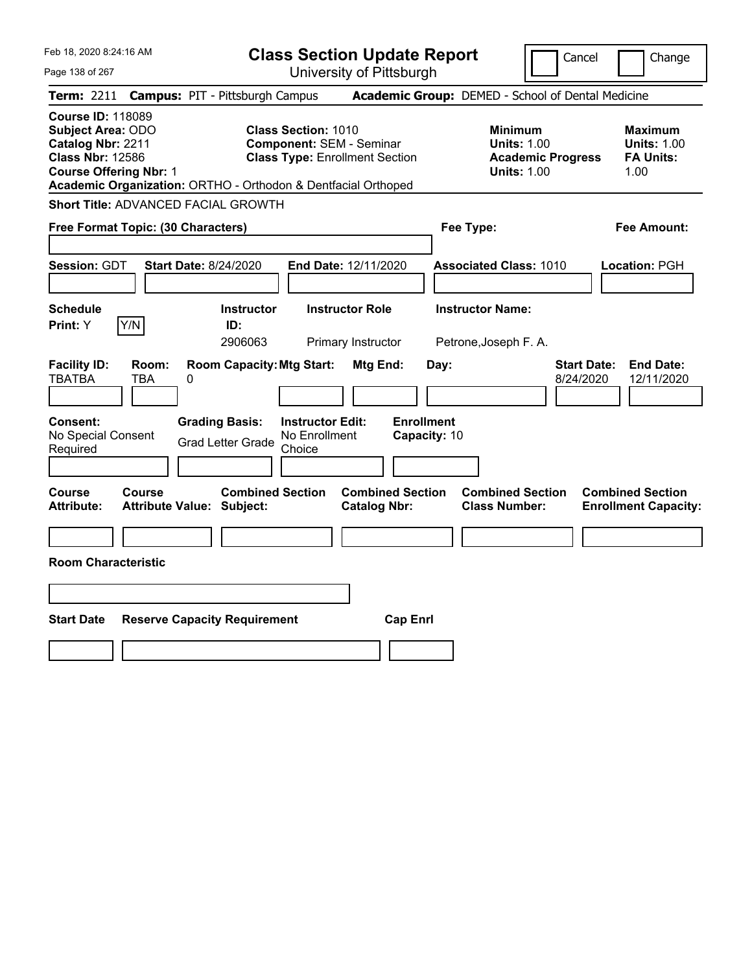|  | Feb 18, 2020 8:24:16 AM |  |
|--|-------------------------|--|
|  |                         |  |

Cancel Change

Page 138 of 267

| <b>Course ID: 118089</b><br><b>Subject Area: ODO</b>                          |                                                                                                                                                                         |                                                                                                   |                                                                  |
|-------------------------------------------------------------------------------|-------------------------------------------------------------------------------------------------------------------------------------------------------------------------|---------------------------------------------------------------------------------------------------|------------------------------------------------------------------|
| Catalog Nbr: 2211<br><b>Class Nbr: 12586</b><br><b>Course Offering Nbr: 1</b> | <b>Class Section: 1010</b><br><b>Component: SEM - Seminar</b><br><b>Class Type: Enrollment Section</b><br>Academic Organization: ORTHO - Orthodon & Dentfacial Orthoped | <b>Minimum</b><br><b>Units: 1.00</b><br><b>Academic Progress</b><br><b>Units: 1.00</b>            | <b>Maximum</b><br><b>Units: 1.00</b><br><b>FA Units:</b><br>1.00 |
| Short Title: ADVANCED FACIAL GROWTH                                           |                                                                                                                                                                         |                                                                                                   |                                                                  |
| Free Format Topic: (30 Characters)                                            |                                                                                                                                                                         | Fee Type:                                                                                         | <b>Fee Amount:</b>                                               |
| <b>Session: GDT</b>                                                           | End Date: 12/11/2020<br><b>Start Date: 8/24/2020</b>                                                                                                                    | <b>Associated Class: 1010</b>                                                                     | Location: PGH                                                    |
| <b>Schedule</b><br>Y/N<br>Print: Y                                            | <b>Instructor Role</b><br><b>Instructor</b><br>ID:<br>2906063<br>Primary Instructor                                                                                     | <b>Instructor Name:</b><br>Petrone, Joseph F. A.                                                  |                                                                  |
| <b>Facility ID:</b><br>Room:<br>TBATBA<br>TBA                                 | <b>Room Capacity: Mtg Start:</b><br>0                                                                                                                                   | <b>Start Date:</b><br>Mtg End:<br>Day:<br>8/24/2020                                               | <b>End Date:</b><br>12/11/2020                                   |
| Consent:<br>No Special Consent<br>Required                                    | <b>Grading Basis:</b><br><b>Instructor Edit:</b><br>No Enrollment<br><b>Grad Letter Grade</b><br>Choice                                                                 | <b>Enrollment</b><br>Capacity: 10                                                                 |                                                                  |
| <b>Course</b><br><b>Course</b><br><b>Attribute:</b>                           | <b>Combined Section</b><br><b>Attribute Value: Subject:</b>                                                                                                             | <b>Combined Section</b><br><b>Combined Section</b><br><b>Catalog Nbr:</b><br><b>Class Number:</b> | <b>Combined Section</b><br><b>Enrollment Capacity:</b>           |
| <b>Room Characteristic</b>                                                    |                                                                                                                                                                         |                                                                                                   |                                                                  |
| <b>Start Date</b>                                                             | <b>Reserve Capacity Requirement</b>                                                                                                                                     | <b>Cap Enrl</b>                                                                                   |                                                                  |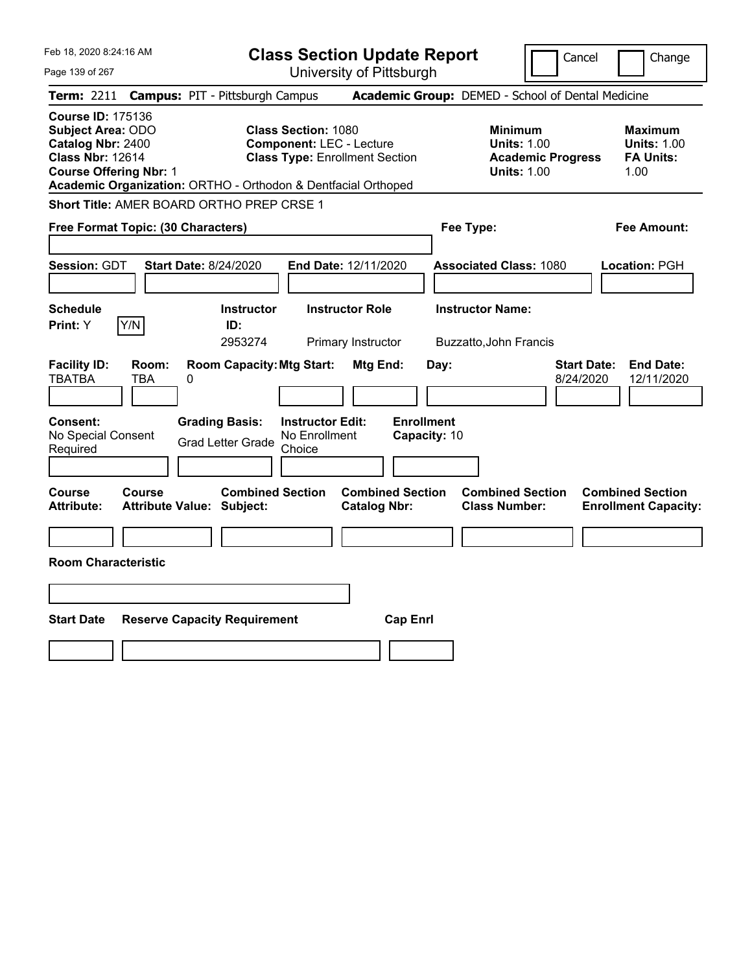|  | Feb 18, 2020 8:24:16 AM |  |
|--|-------------------------|--|
|  |                         |  |

Page 139 of 267

**Class Section Update Report**

Cancel Change

|                                                                                                                                                                                                                                                                                                           |                     | Term: 2211 Campus: PIT - Pittsburgh Campus                  |                                                    |                                                                                        |                                   | Academic Group: DEMED - School of Dental Medicine |                                                                  |                                                        |
|-----------------------------------------------------------------------------------------------------------------------------------------------------------------------------------------------------------------------------------------------------------------------------------------------------------|---------------------|-------------------------------------------------------------|----------------------------------------------------|----------------------------------------------------------------------------------------|-----------------------------------|---------------------------------------------------|------------------------------------------------------------------|--------------------------------------------------------|
| <b>Course ID: 175136</b><br>Subject Area: ODO<br><b>Class Section: 1080</b><br>Catalog Nbr: 2400<br><b>Component: LEC - Lecture</b><br><b>Class Nbr: 12614</b><br><b>Class Type: Enrollment Section</b><br><b>Course Offering Nbr: 1</b><br>Academic Organization: ORTHO - Orthodon & Dentfacial Orthoped |                     |                                                             |                                                    | <b>Minimum</b><br><b>Units: 1.00</b><br><b>Academic Progress</b><br><b>Units: 1.00</b> |                                   |                                                   | <b>Maximum</b><br><b>Units: 1.00</b><br><b>FA Units:</b><br>1.00 |                                                        |
|                                                                                                                                                                                                                                                                                                           |                     | Short Title: AMER BOARD ORTHO PREP CRSE 1                   |                                                    |                                                                                        |                                   |                                                   |                                                                  |                                                        |
| Free Format Topic: (30 Characters)                                                                                                                                                                                                                                                                        |                     |                                                             |                                                    |                                                                                        | Fee Type:                         |                                                   |                                                                  | <b>Fee Amount:</b>                                     |
| Session: GDT                                                                                                                                                                                                                                                                                              |                     | <b>Start Date: 8/24/2020</b>                                | End Date: 12/11/2020                               |                                                                                        |                                   | <b>Associated Class: 1080</b>                     |                                                                  | Location: PGH                                          |
| <b>Schedule</b><br><b>Print:</b> Y                                                                                                                                                                                                                                                                        | Y/N                 | <b>Instructor</b><br>ID:<br>2953274                         | <b>Instructor Role</b>                             | <b>Primary Instructor</b>                                                              |                                   | <b>Instructor Name:</b><br>Buzzatto, John Francis |                                                                  |                                                        |
| <b>Facility ID:</b><br><b>TBATBA</b>                                                                                                                                                                                                                                                                      | Room:<br><b>TBA</b> | <b>Room Capacity: Mtg Start:</b><br>0                       |                                                    | Mtg End:                                                                               | Day:                              |                                                   | <b>Start Date:</b><br>8/24/2020                                  | <b>End Date:</b><br>12/11/2020                         |
| <b>Consent:</b><br>No Special Consent<br>Required                                                                                                                                                                                                                                                         |                     | <b>Grading Basis:</b><br><b>Grad Letter Grade</b>           | <b>Instructor Edit:</b><br>No Enrollment<br>Choice |                                                                                        | <b>Enrollment</b><br>Capacity: 10 |                                                   |                                                                  |                                                        |
| Course<br><b>Attribute:</b>                                                                                                                                                                                                                                                                               | <b>Course</b>       | <b>Combined Section</b><br><b>Attribute Value: Subject:</b> |                                                    | <b>Combined Section</b><br><b>Catalog Nbr:</b>                                         |                                   | <b>Combined Section</b><br><b>Class Number:</b>   |                                                                  | <b>Combined Section</b><br><b>Enrollment Capacity:</b> |
| <b>Room Characteristic</b>                                                                                                                                                                                                                                                                                |                     |                                                             |                                                    |                                                                                        |                                   |                                                   |                                                                  |                                                        |
| <b>Start Date</b>                                                                                                                                                                                                                                                                                         |                     | <b>Reserve Capacity Requirement</b>                         |                                                    | <b>Cap Enrl</b>                                                                        |                                   |                                                   |                                                                  |                                                        |
|                                                                                                                                                                                                                                                                                                           |                     |                                                             |                                                    |                                                                                        |                                   |                                                   |                                                                  |                                                        |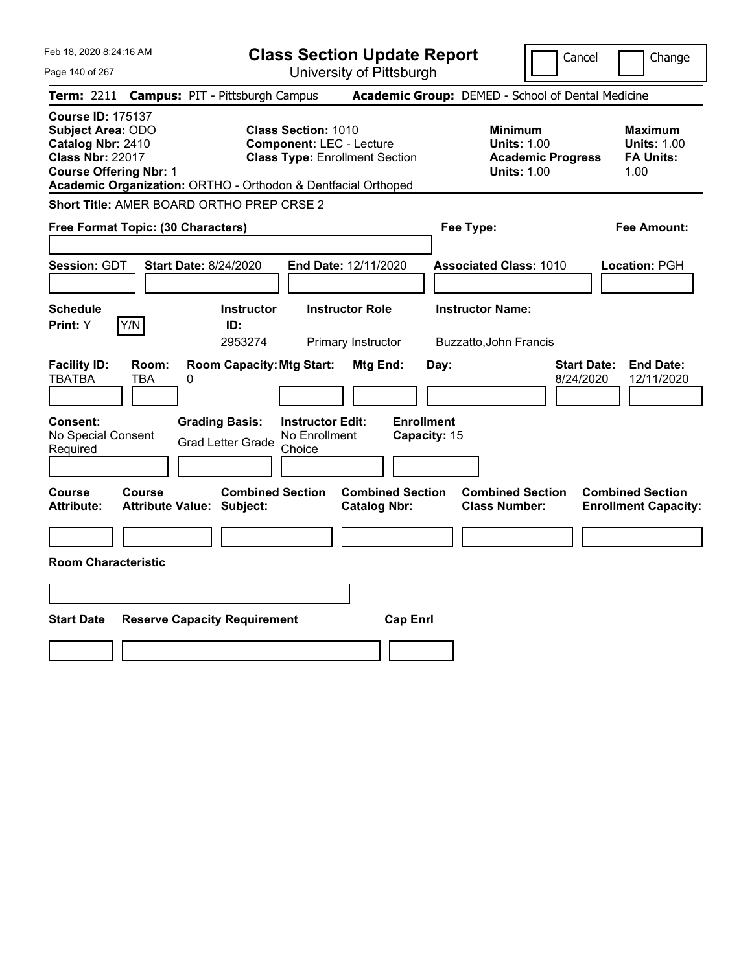Feb 18, 2020 8:24:16 AM Page 140 of 267 **Class Section Update Report** University of Pittsburgh Cancel Change **Term:** 2211 **Campus:** PIT - Pittsburgh Campus **Academic Group:** DEMED - School of Dental Medicine **Course ID:** 175137 **Subject Area:** ODO **Class Section:** 1010 **Minimum Maximum Catalog Nbr:** 2410 **Component:** LEC - Lecture **Units: 1.00** Units: 1.00 **Units: 1.00**<br> **Class Nbr: 22017 Class Type:** Enrollment Section **Academic Progress FA Units: Class Type: Enrollment Section <b>Academic Progress FA Units: Course Offering Nbr:** 1 **Units:** 1.00 1.00 **Academic Organization:** ORTHO - Orthodon & Dentfacial Orthoped **Short Title:** AMER BOARD ORTHO PREP CRSE 2 **Free Format Topic: (30 Characters) Fee Type: Fee Amount: Session:** GDT **Start Date:** 8/24/2020 **End Date:** 12/11/2020 **Associated Class:** 1010 **Location:** PGH **Schedule Instructor Instructor Role Instructor Name: Print:**  $Y$   $|Y/N|$  **ID:** 2953274 Primary Instructor Buzzatto,John Francis **Facility ID: Room: Room Capacity:Mtg Start: Mtg End: Day: Start Date: End Date:** TBATBA TBA 0 8/24/2020 12/11/2020 **Consent: Grading Basis: Instructor Edit: Enrollment** No Special Consent Grad Letter Grade No Enrollment Choice **Capacity:** 15 **Course Course Combined Section Combined Section Combined Section Combined Section Attribute: Attribute Value: Subject: Catalog Nbr: Class Number: Enrollment Capacity: Room Characteristic Start Date Reserve Capacity Requirement Cap Enrl**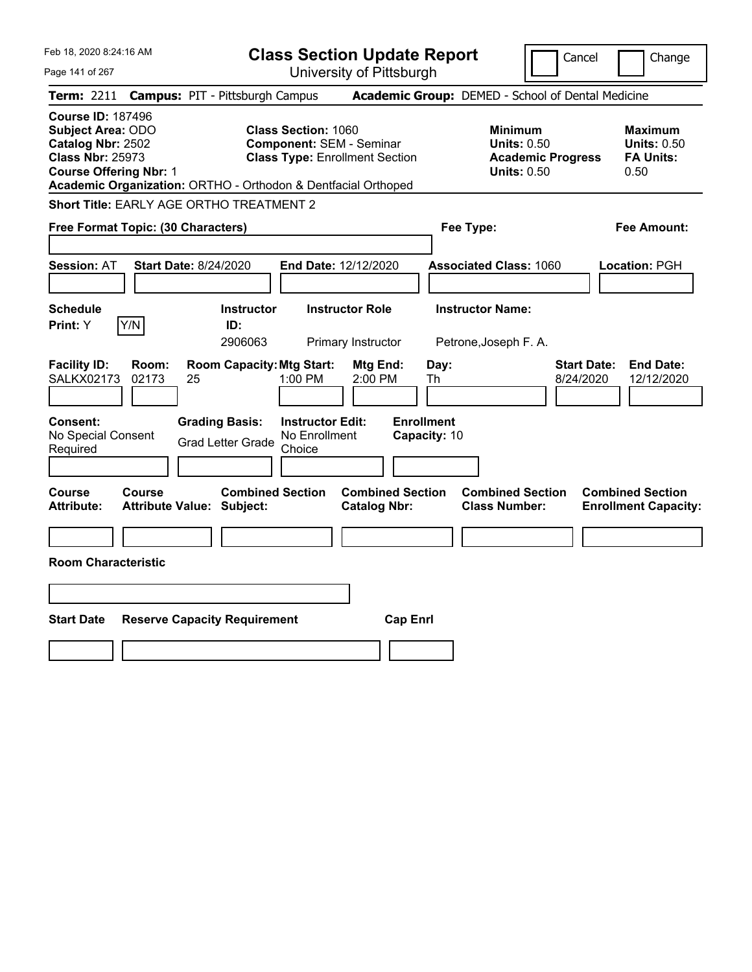| Feb 18, 2020 8:24:16 AM                                                                                                                                                                                | <b>Class Section Update Report</b>                                                                     | Cancel                                                                                 | Change                                                           |
|--------------------------------------------------------------------------------------------------------------------------------------------------------------------------------------------------------|--------------------------------------------------------------------------------------------------------|----------------------------------------------------------------------------------------|------------------------------------------------------------------|
| Page 141 of 267                                                                                                                                                                                        | University of Pittsburgh                                                                               |                                                                                        |                                                                  |
| <b>Campus: PIT - Pittsburgh Campus</b><br><b>Term:</b> 2211                                                                                                                                            |                                                                                                        | Academic Group: DEMED - School of Dental Medicine                                      |                                                                  |
| <b>Course ID: 187496</b><br><b>Subject Area: ODO</b><br>Catalog Nbr: 2502<br><b>Class Nbr: 25973</b><br><b>Course Offering Nbr: 1</b><br>Academic Organization: ORTHO - Orthodon & Dentfacial Orthoped | <b>Class Section: 1060</b><br><b>Component: SEM - Seminar</b><br><b>Class Type: Enrollment Section</b> | <b>Minimum</b><br><b>Units: 0.50</b><br><b>Academic Progress</b><br><b>Units: 0.50</b> | <b>Maximum</b><br><b>Units: 0.50</b><br><b>FA Units:</b><br>0.50 |
| <b>Short Title: EARLY AGE ORTHO TREATMENT 2</b>                                                                                                                                                        |                                                                                                        |                                                                                        |                                                                  |
| Free Format Topic: (30 Characters)                                                                                                                                                                     |                                                                                                        | Fee Type:                                                                              | Fee Amount:                                                      |
| <b>Start Date: 8/24/2020</b><br><b>Session: AT</b>                                                                                                                                                     | End Date: 12/12/2020                                                                                   | <b>Associated Class: 1060</b>                                                          | Location: PGH                                                    |
| <b>Schedule</b><br>Y/N<br>Print: Y<br>ID:                                                                                                                                                              | <b>Instructor Role</b><br><b>Instructor</b><br>2906063<br>Primary Instructor                           | <b>Instructor Name:</b><br>Petrone, Joseph F. A.                                       |                                                                  |
| <b>Facility ID:</b><br>Room:<br><b>SALKX02173</b><br>25<br>02173                                                                                                                                       | <b>Room Capacity: Mtg Start:</b><br>Mtg End:<br>Day:<br>$1:00$ PM<br>2:00 PM<br>Th                     | <b>Start Date:</b><br>8/24/2020                                                        | <b>End Date:</b><br>12/12/2020                                   |
| <b>Consent:</b><br><b>Grading Basis:</b><br>No Special Consent<br><b>Grad Letter Grade</b><br>Required                                                                                                 | <b>Enrollment</b><br><b>Instructor Edit:</b><br>No Enrollment<br>Capacity: 10<br>Choice                |                                                                                        |                                                                  |
| Course<br><b>Course</b><br>Attribute Value: Subject:<br><b>Attribute:</b>                                                                                                                              | <b>Combined Section</b><br><b>Combined Section</b><br><b>Catalog Nbr:</b>                              | <b>Combined Section</b><br><b>Class Number:</b>                                        | <b>Combined Section</b><br><b>Enrollment Capacity:</b>           |
| <b>Room Characteristic</b>                                                                                                                                                                             |                                                                                                        |                                                                                        |                                                                  |
|                                                                                                                                                                                                        |                                                                                                        |                                                                                        |                                                                  |
| <b>Start Date</b><br><b>Reserve Capacity Requirement</b>                                                                                                                                               | <b>Cap Enrl</b>                                                                                        |                                                                                        |                                                                  |
|                                                                                                                                                                                                        |                                                                                                        |                                                                                        |                                                                  |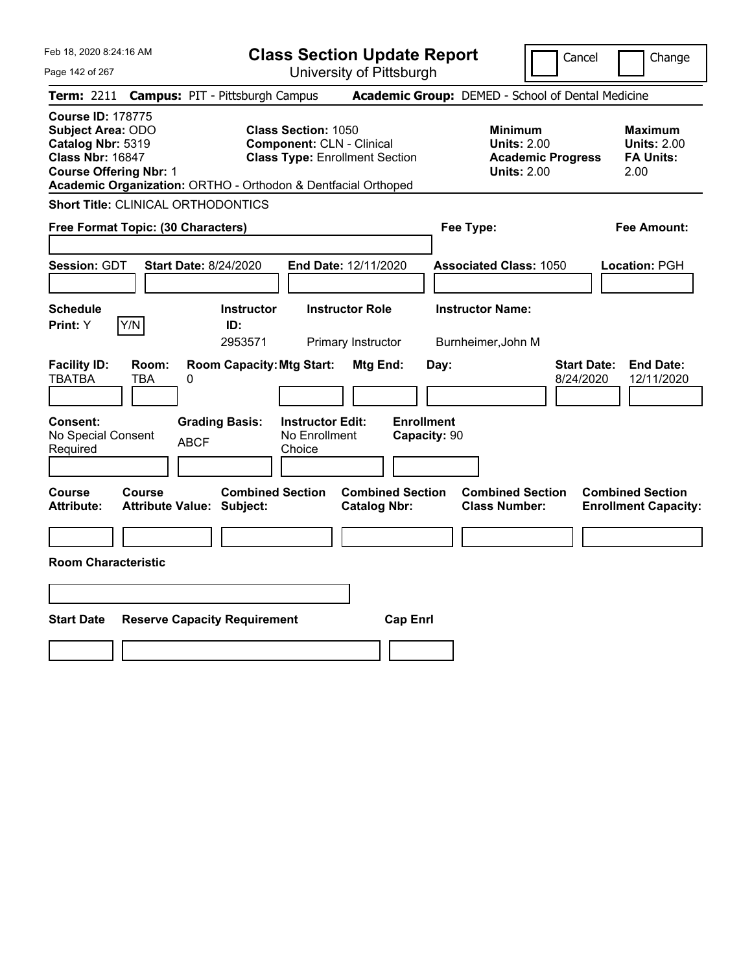Feb 18, 2020 8:24:16 AM

Page 142 of 267

**Class Section Update Report**

Cancel Change

|                                                                                                      | Term: 2211 Campus: PIT - Pittsburgh Campus                                                     |                  |                                                           |                                                                                                         |                                              |                                   |                                 |  |                                                                                        |                                 | Academic Group: DEMED - School of Dental Medicine                |  |
|------------------------------------------------------------------------------------------------------|------------------------------------------------------------------------------------------------|------------------|-----------------------------------------------------------|---------------------------------------------------------------------------------------------------------|----------------------------------------------|-----------------------------------|---------------------------------|--|----------------------------------------------------------------------------------------|---------------------------------|------------------------------------------------------------------|--|
| <b>Course ID: 178775</b><br><b>Subject Area: ODO</b><br>Catalog Nbr: 5319<br><b>Class Nbr: 16847</b> | <b>Course Offering Nbr: 1</b><br>Academic Organization: ORTHO - Orthodon & Dentfacial Orthoped |                  |                                                           | <b>Class Section: 1050</b><br><b>Component: CLN - Clinical</b><br><b>Class Type: Enrollment Section</b> |                                              |                                   |                                 |  | <b>Minimum</b><br><b>Units: 2.00</b><br><b>Academic Progress</b><br><b>Units: 2.00</b> |                                 | <b>Maximum</b><br><b>Units: 2.00</b><br><b>FA Units:</b><br>2.00 |  |
|                                                                                                      | <b>Short Title: CLINICAL ORTHODONTICS</b>                                                      |                  |                                                           |                                                                                                         |                                              |                                   |                                 |  |                                                                                        |                                 |                                                                  |  |
|                                                                                                      | Free Format Topic: (30 Characters)                                                             |                  |                                                           |                                                                                                         |                                              |                                   | <b>Fee Amount:</b><br>Fee Type: |  |                                                                                        |                                 |                                                                  |  |
| Session: GDT                                                                                         |                                                                                                |                  | <b>Start Date: 8/24/2020</b>                              |                                                                                                         | End Date: 12/11/2020                         |                                   |                                 |  | <b>Associated Class: 1050</b>                                                          |                                 | Location: PGH                                                    |  |
| <b>Schedule</b><br>Print: Y                                                                          | Y/N                                                                                            |                  | <b>Instructor</b><br>ID:<br>2953571                       |                                                                                                         | <b>Instructor Role</b><br>Primary Instructor |                                   |                                 |  | <b>Instructor Name:</b><br>Burnheimer, John M                                          |                                 |                                                                  |  |
| <b>Facility ID:</b><br><b>TBATBA</b><br><b>Consent:</b><br>No Special Consent<br>Required            | Room:<br><b>TBA</b>                                                                            | 0<br><b>ABCF</b> | <b>Room Capacity: Mtg Start:</b><br><b>Grading Basis:</b> | <b>Instructor Edit:</b><br>No Enrollment<br>Choice                                                      | Mtg End:                                     | <b>Enrollment</b><br>Capacity: 90 | Day:                            |  |                                                                                        | <b>Start Date:</b><br>8/24/2020 | <b>End Date:</b><br>12/11/2020                                   |  |
| Course<br><b>Attribute:</b>                                                                          | Course<br><b>Attribute Value: Subject:</b>                                                     |                  | <b>Combined Section</b>                                   |                                                                                                         | <b>Catalog Nbr:</b>                          | <b>Combined Section</b>           |                                 |  | <b>Combined Section</b><br><b>Class Number:</b>                                        |                                 | <b>Combined Section</b><br><b>Enrollment Capacity:</b>           |  |
| <b>Room Characteristic</b>                                                                           |                                                                                                |                  |                                                           |                                                                                                         |                                              |                                   |                                 |  |                                                                                        |                                 |                                                                  |  |
| <b>Start Date</b>                                                                                    | <b>Reserve Capacity Requirement</b>                                                            |                  |                                                           |                                                                                                         |                                              | <b>Cap Enrl</b>                   |                                 |  |                                                                                        |                                 |                                                                  |  |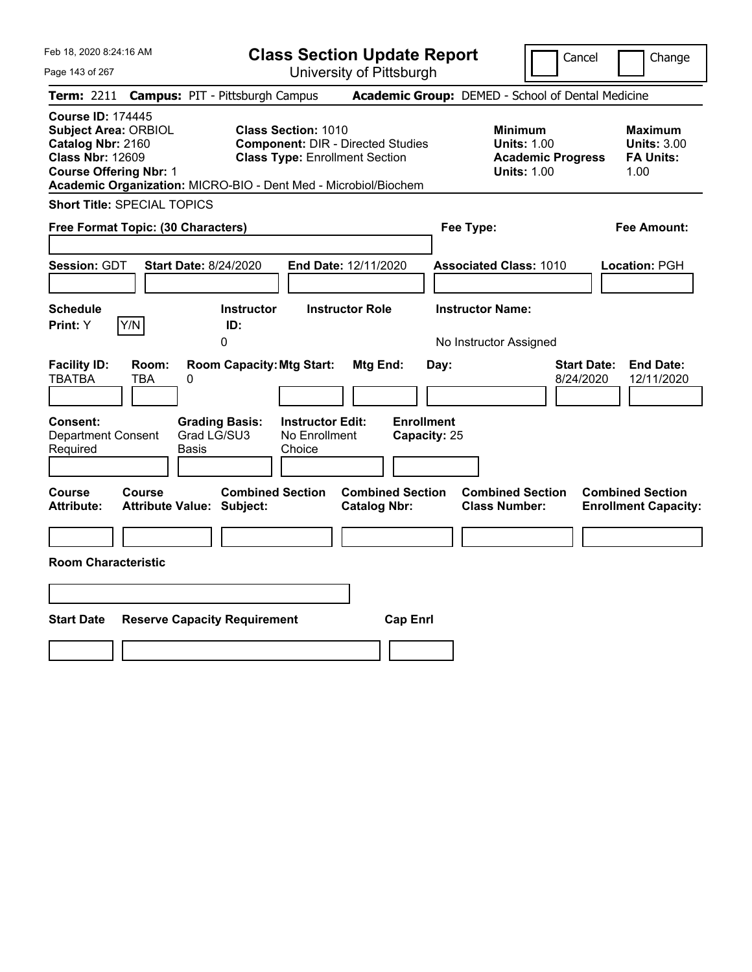Feb 18, 2020 8:24:16 AM

**Class Section Update Report**

Cancel Change

Page 143 of 267

|                                                                                                                                          |                     | Term: 2211 Campus: PIT - Pittsburgh Campus                                             |                                                                                                                 | Academic Group: DEMED - School of Dental Medicine |                         |                                                                                        |                                 |                                                                  |
|------------------------------------------------------------------------------------------------------------------------------------------|---------------------|----------------------------------------------------------------------------------------|-----------------------------------------------------------------------------------------------------------------|---------------------------------------------------|-------------------------|----------------------------------------------------------------------------------------|---------------------------------|------------------------------------------------------------------|
| <b>Course ID: 174445</b><br><b>Subject Area: ORBIOL</b><br>Catalog Nbr: 2160<br><b>Class Nbr: 12609</b><br><b>Course Offering Nbr: 1</b> |                     | Academic Organization: MICRO-BIO - Dent Med - Microbiol/Biochem                        | <b>Class Section: 1010</b><br><b>Component: DIR - Directed Studies</b><br><b>Class Type: Enrollment Section</b> |                                                   |                         | <b>Minimum</b><br><b>Units: 1.00</b><br><b>Academic Progress</b><br><b>Units: 1.00</b> |                                 | <b>Maximum</b><br><b>Units: 3.00</b><br><b>FA Units:</b><br>1.00 |
| <b>Short Title: SPECIAL TOPICS</b>                                                                                                       |                     |                                                                                        |                                                                                                                 |                                                   |                         |                                                                                        |                                 |                                                                  |
| Free Format Topic: (30 Characters)                                                                                                       |                     |                                                                                        |                                                                                                                 |                                                   | Fee Type:               |                                                                                        |                                 | <b>Fee Amount:</b>                                               |
| Session: GDT                                                                                                                             |                     | <b>Start Date: 8/24/2020</b>                                                           | End Date: 12/11/2020                                                                                            |                                                   |                         | <b>Associated Class: 1010</b>                                                          |                                 | Location: PGH                                                    |
| <b>Schedule</b>                                                                                                                          |                     | <b>Instructor</b>                                                                      | <b>Instructor Role</b>                                                                                          |                                                   | <b>Instructor Name:</b> |                                                                                        |                                 |                                                                  |
| Print: Y                                                                                                                                 | Y/N                 | ID:<br>$\mathbf 0$                                                                     |                                                                                                                 |                                                   |                         | No Instructor Assigned                                                                 |                                 |                                                                  |
| <b>Facility ID:</b><br><b>TBATBA</b><br>Consent:<br><b>Department Consent</b><br>Required                                                | Room:<br><b>TBA</b> | <b>Room Capacity: Mtg Start:</b><br>0<br><b>Grading Basis:</b><br>Grad LG/SU3<br>Basis | <b>Instructor Edit:</b><br>No Enrollment<br>Choice                                                              | Mtg End:<br><b>Enrollment</b><br>Capacity: 25     | Day:                    |                                                                                        | <b>Start Date:</b><br>8/24/2020 | <b>End Date:</b><br>12/11/2020                                   |
| <b>Course</b><br><b>Attribute:</b>                                                                                                       | Course              | <b>Combined Section</b><br><b>Attribute Value: Subject:</b>                            |                                                                                                                 | <b>Combined Section</b><br><b>Catalog Nbr:</b>    |                         | <b>Combined Section</b><br><b>Class Number:</b>                                        |                                 | <b>Combined Section</b><br><b>Enrollment Capacity:</b>           |
|                                                                                                                                          |                     |                                                                                        |                                                                                                                 |                                                   |                         |                                                                                        |                                 |                                                                  |
| <b>Room Characteristic</b>                                                                                                               |                     |                                                                                        |                                                                                                                 |                                                   |                         |                                                                                        |                                 |                                                                  |
|                                                                                                                                          |                     |                                                                                        |                                                                                                                 |                                                   |                         |                                                                                        |                                 |                                                                  |
| <b>Start Date</b>                                                                                                                        |                     | <b>Reserve Capacity Requirement</b>                                                    |                                                                                                                 | <b>Cap Enrl</b>                                   |                         |                                                                                        |                                 |                                                                  |
|                                                                                                                                          |                     |                                                                                        |                                                                                                                 |                                                   |                         |                                                                                        |                                 |                                                                  |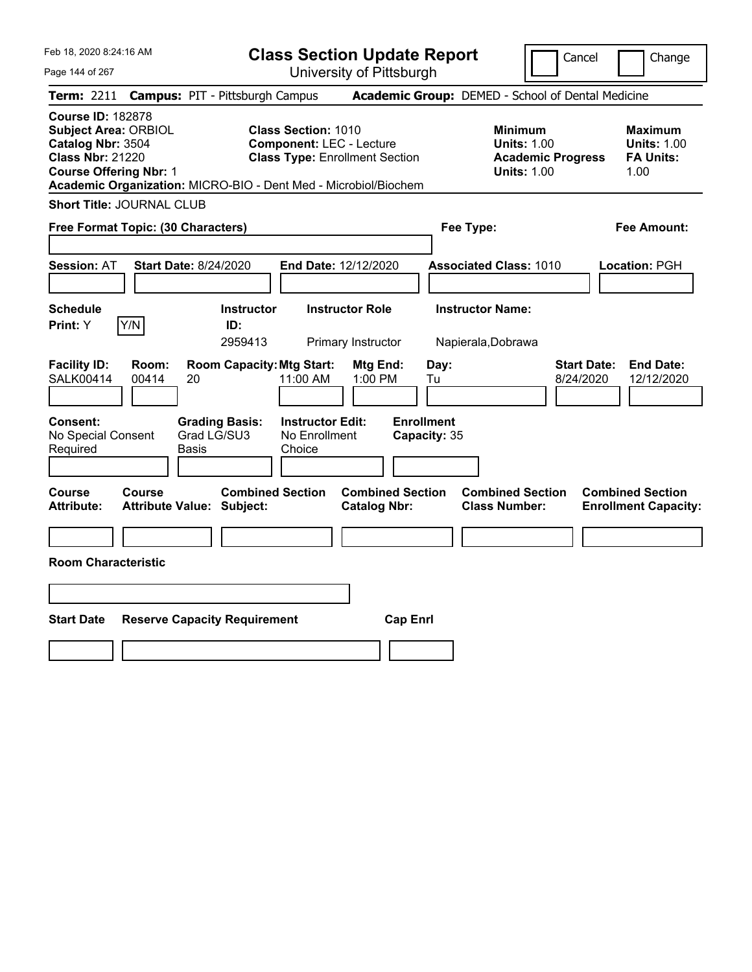Feb 18, 2020 8:24:16 AM Page 144 of 267 **Class Section Update Report** University of Pittsburgh Cancel | Change **Term:** 2211 **Campus:** PIT - Pittsburgh Campus **Academic Group:** DEMED - School of Dental Medicine **Course ID:** 182878 **Subject Area:** ORBIOL **Class Section:** 1010 **Minimum Maximum Catalog Nbr:** 3504 **Component:** LEC - Lecture **Units:** 1.00 **Units:** 1.00 **Class Type: Enrollment Section <b>Academic Progress FA Units: Course Offering Nbr: 1 Course Offering Nbr: 1 Units: 1.00** 1.00 **Academic Organization:** MICRO-BIO - Dent Med - Microbiol/Biochem **Short Title:** JOURNAL CLUB **Free Format Topic: (30 Characters) Fee Type: Fee Amount: Session:** AT **Start Date:** 8/24/2020 **End Date:** 12/12/2020 **Associated Class:** 1010 **Location:** PGH **Schedule Instructor Instructor Role Instructor Name: Print:**  $Y$   $|Y/N|$  **ID:** 2959413 Primary Instructor Napierala,Dobrawa **Facility ID: Room: Room Capacity:Mtg Start: Mtg End: Day: Start Date: End Date:** SALK00414 00414 20 11:00 AM 1:00 PM Tu 8/24/2020 12/12/2020 **Consent: Grading Basis: Instructor Edit: Enrollment** No Special Consent Required Grad LG/SU3 Basis No Enrollment Choice **Capacity:** 35 **Course Course Combined Section Combined Section Combined Section Combined Section Attribute: Attribute Value: Subject: Catalog Nbr: Class Number: Enrollment Capacity: Room Characteristic Start Date Reserve Capacity Requirement Cap Enrl**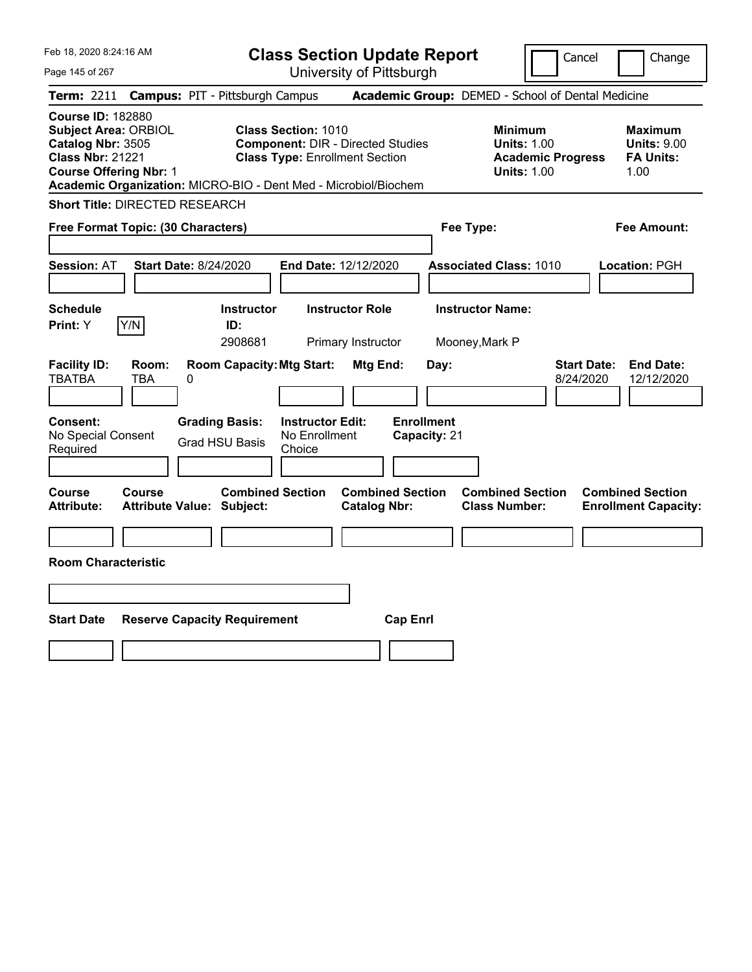| Feb 18, 2020 8:24:16 AM<br>Page 145 of 267                                                                                                                                                                  | <b>Class Section Update Report</b><br>University of Pittsburgh                                                            | Cancel<br>Change                                                                                                                                           |
|-------------------------------------------------------------------------------------------------------------------------------------------------------------------------------------------------------------|---------------------------------------------------------------------------------------------------------------------------|------------------------------------------------------------------------------------------------------------------------------------------------------------|
| <b>Campus: PIT - Pittsburgh Campus</b><br><b>Term:</b> 2211                                                                                                                                                 |                                                                                                                           | Academic Group: DEMED - School of Dental Medicine                                                                                                          |
| <b>Course ID: 182880</b><br><b>Subject Area: ORBIOL</b><br>Catalog Nbr: 3505<br><b>Class Nbr: 21221</b><br><b>Course Offering Nbr: 1</b><br>Academic Organization: MICRO-BIO - Dent Med - Microbiol/Biochem | <b>Class Section: 1010</b><br><b>Component: DIR - Directed Studies</b><br><b>Class Type: Enrollment Section</b>           | <b>Minimum</b><br><b>Maximum</b><br><b>Units: 1.00</b><br><b>Units: 9.00</b><br><b>Academic Progress</b><br><b>FA Units:</b><br><b>Units: 1.00</b><br>1.00 |
| <b>Short Title: DIRECTED RESEARCH</b>                                                                                                                                                                       |                                                                                                                           |                                                                                                                                                            |
| Free Format Topic: (30 Characters)                                                                                                                                                                          | Fee Type:                                                                                                                 | Fee Amount:                                                                                                                                                |
| <b>Session: AT</b><br><b>Start Date: 8/24/2020</b>                                                                                                                                                          | End Date: 12/12/2020                                                                                                      | <b>Associated Class: 1010</b><br><b>Location: PGH</b>                                                                                                      |
| <b>Schedule</b><br>Y/N<br>Print: Y<br>ID:                                                                                                                                                                   | <b>Instructor</b><br><b>Instructor Role</b><br><b>Instructor Name:</b><br>2908681<br>Primary Instructor<br>Mooney, Mark P |                                                                                                                                                            |
| <b>Facility ID:</b><br>Room:<br><b>TBATBA</b><br><b>TBA</b><br>0                                                                                                                                            | <b>Room Capacity: Mtg Start:</b><br>Mtg End:<br>Day:                                                                      | <b>Start Date:</b><br><b>End Date:</b><br>8/24/2020<br>12/12/2020                                                                                          |
| Consent:<br><b>Grading Basis:</b><br>No Special Consent<br><b>Grad HSU Basis</b><br>Required                                                                                                                | <b>Enrollment</b><br><b>Instructor Edit:</b><br>No Enrollment<br>Capacity: 21<br>Choice                                   |                                                                                                                                                            |
| Course<br><b>Course</b><br><b>Attribute:</b><br><b>Attribute Value: Subject:</b>                                                                                                                            | <b>Combined Section</b><br><b>Combined Section</b><br><b>Catalog Nbr:</b>                                                 | <b>Combined Section</b><br><b>Combined Section</b><br><b>Class Number:</b><br><b>Enrollment Capacity:</b>                                                  |
|                                                                                                                                                                                                             |                                                                                                                           |                                                                                                                                                            |
| <b>Room Characteristic</b>                                                                                                                                                                                  |                                                                                                                           |                                                                                                                                                            |
|                                                                                                                                                                                                             |                                                                                                                           |                                                                                                                                                            |
| <b>Start Date</b><br><b>Reserve Capacity Requirement</b>                                                                                                                                                    | <b>Cap Enrl</b>                                                                                                           |                                                                                                                                                            |
|                                                                                                                                                                                                             |                                                                                                                           |                                                                                                                                                            |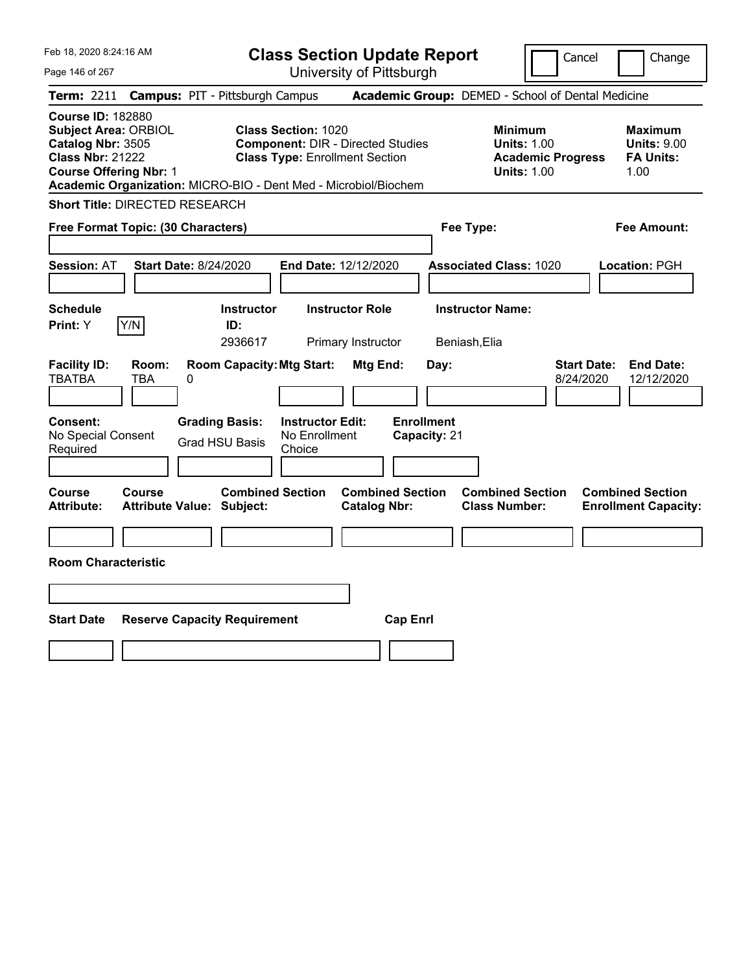| Feb 18, 2020 8:24:16 AM<br>Page 146 of 267                                                                                               | <b>Class Section Update Report</b><br>University of Pittsburgh                                                                                                                     | Cancel<br>Change                                                                                                                                           |
|------------------------------------------------------------------------------------------------------------------------------------------|------------------------------------------------------------------------------------------------------------------------------------------------------------------------------------|------------------------------------------------------------------------------------------------------------------------------------------------------------|
| <b>Campus: PIT - Pittsburgh Campus</b><br><b>Term: 2211</b>                                                                              |                                                                                                                                                                                    | Academic Group: DEMED - School of Dental Medicine                                                                                                          |
| <b>Course ID: 182880</b><br><b>Subject Area: ORBIOL</b><br>Catalog Nbr: 3505<br><b>Class Nbr: 21222</b><br><b>Course Offering Nbr: 1</b> | <b>Class Section: 1020</b><br><b>Component: DIR - Directed Studies</b><br><b>Class Type: Enrollment Section</b><br>Academic Organization: MICRO-BIO - Dent Med - Microbiol/Biochem | <b>Minimum</b><br><b>Maximum</b><br><b>Units: 1.00</b><br><b>Units: 9.00</b><br><b>FA Units:</b><br><b>Academic Progress</b><br><b>Units: 1.00</b><br>1.00 |
| <b>Short Title: DIRECTED RESEARCH</b>                                                                                                    |                                                                                                                                                                                    |                                                                                                                                                            |
| Free Format Topic: (30 Characters)                                                                                                       | Fee Type:                                                                                                                                                                          | <b>Fee Amount:</b>                                                                                                                                         |
| Session: AT<br><b>Start Date: 8/24/2020</b>                                                                                              | End Date: 12/12/2020                                                                                                                                                               | <b>Associated Class: 1020</b><br>Location: PGH                                                                                                             |
| <b>Schedule</b>                                                                                                                          | <b>Instructor</b><br><b>Instructor Role</b>                                                                                                                                        | <b>Instructor Name:</b>                                                                                                                                    |
| Y/N<br>Print: Y                                                                                                                          | ID:<br>2936617<br>Primary Instructor<br>Beniash, Elia                                                                                                                              |                                                                                                                                                            |
| <b>Facility ID:</b><br>Room:<br><b>TBATBA</b><br><b>TBA</b><br>0                                                                         | <b>Room Capacity: Mtg Start:</b><br>Mtg End:<br>Day:                                                                                                                               | <b>Start Date:</b><br><b>End Date:</b><br>8/24/2020<br>12/12/2020                                                                                          |
| <b>Consent:</b><br><b>Grading Basis:</b><br>No Special Consent<br><b>Grad HSU Basis</b><br>Required                                      | <b>Enrollment</b><br><b>Instructor Edit:</b><br>No Enrollment<br>Capacity: 21<br>Choice                                                                                            |                                                                                                                                                            |
| Course<br>Course<br><b>Attribute Value: Subject:</b><br><b>Attribute:</b>                                                                | <b>Combined Section</b><br><b>Combined Section</b><br><b>Catalog Nbr:</b>                                                                                                          | <b>Combined Section</b><br><b>Combined Section</b><br><b>Class Number:</b><br><b>Enrollment Capacity:</b>                                                  |
|                                                                                                                                          |                                                                                                                                                                                    |                                                                                                                                                            |
| <b>Room Characteristic</b>                                                                                                               |                                                                                                                                                                                    |                                                                                                                                                            |
|                                                                                                                                          |                                                                                                                                                                                    |                                                                                                                                                            |
| <b>Start Date</b><br><b>Reserve Capacity Requirement</b>                                                                                 | <b>Cap Enrl</b>                                                                                                                                                                    |                                                                                                                                                            |
|                                                                                                                                          |                                                                                                                                                                                    |                                                                                                                                                            |
|                                                                                                                                          |                                                                                                                                                                                    |                                                                                                                                                            |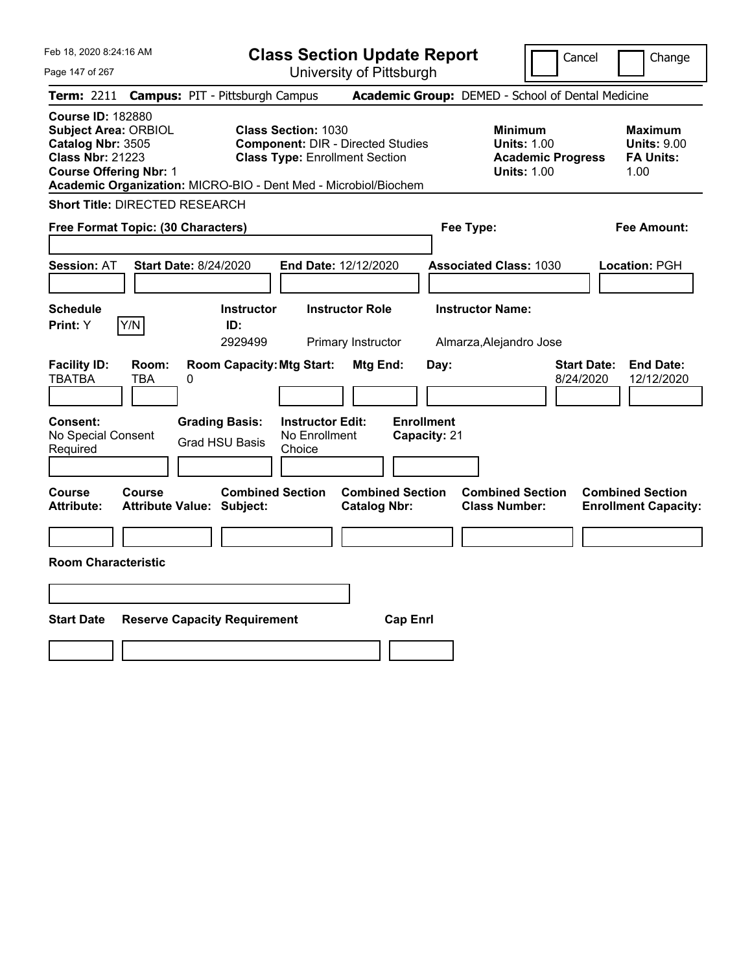| Feb 18, 2020 8:24:16 AM<br>Page 147 of 267                                                                                               |              |                                                                 |                                                                     | <b>Class Section Update Report</b><br>University of Pittsburgh |                                   |                                                                                        | Cancel<br>Change                                                  |
|------------------------------------------------------------------------------------------------------------------------------------------|--------------|-----------------------------------------------------------------|---------------------------------------------------------------------|----------------------------------------------------------------|-----------------------------------|----------------------------------------------------------------------------------------|-------------------------------------------------------------------|
| <b>Term:</b> 2211                                                                                                                        |              | <b>Campus: PIT - Pittsburgh Campus</b>                          |                                                                     |                                                                |                                   | Academic Group: DEMED - School of Dental Medicine                                      |                                                                   |
| <b>Course ID: 182880</b><br><b>Subject Area: ORBIOL</b><br>Catalog Nbr: 3505<br><b>Class Nbr: 21223</b><br><b>Course Offering Nbr: 1</b> |              | Academic Organization: MICRO-BIO - Dent Med - Microbiol/Biochem | <b>Class Section: 1030</b><br><b>Class Type: Enrollment Section</b> | <b>Component: DIR - Directed Studies</b>                       |                                   | <b>Minimum</b><br><b>Units: 1.00</b><br><b>Academic Progress</b><br><b>Units: 1.00</b> | <b>Maximum</b><br><b>Units: 9.00</b><br><b>FA Units:</b><br>1.00  |
| <b>Short Title: DIRECTED RESEARCH</b>                                                                                                    |              |                                                                 |                                                                     |                                                                |                                   |                                                                                        |                                                                   |
| <b>Free Format Topic: (30 Characters)</b>                                                                                                |              |                                                                 |                                                                     |                                                                | Fee Type:                         |                                                                                        | Fee Amount:                                                       |
| <b>Session: AT</b>                                                                                                                       |              | <b>Start Date: 8/24/2020</b>                                    | End Date: 12/12/2020                                                |                                                                |                                   | <b>Associated Class: 1030</b>                                                          | <b>Location: PGH</b>                                              |
| Schedule                                                                                                                                 |              | <b>Instructor</b>                                               |                                                                     | <b>Instructor Role</b>                                         |                                   | <b>Instructor Name:</b>                                                                |                                                                   |
| <b>Print:</b> Y                                                                                                                          | Y/N          | ID:<br>2929499                                                  |                                                                     | Primary Instructor                                             |                                   | Almarza, Alejandro Jose                                                                |                                                                   |
| <b>Facility ID:</b><br><b>TBATBA</b>                                                                                                     | Room:<br>TBA | <b>Room Capacity: Mtg Start:</b><br>0                           |                                                                     | Mtg End:                                                       | Day:                              |                                                                                        | <b>Start Date:</b><br><b>End Date:</b><br>8/24/2020<br>12/12/2020 |
| <b>Consent:</b><br>No Special Consent<br>Required                                                                                        |              | <b>Grading Basis:</b><br><b>Grad HSU Basis</b>                  | <b>Instructor Edit:</b><br>No Enrollment<br>Choice                  |                                                                | <b>Enrollment</b><br>Capacity: 21 |                                                                                        |                                                                   |
| Course<br><b>Attribute:</b>                                                                                                              | Course       | <b>Combined Section</b><br><b>Attribute Value: Subject:</b>     |                                                                     | <b>Combined Section</b><br><b>Catalog Nbr:</b>                 |                                   | <b>Combined Section</b><br><b>Class Number:</b>                                        | <b>Combined Section</b><br><b>Enrollment Capacity:</b>            |
|                                                                                                                                          |              |                                                                 |                                                                     |                                                                |                                   |                                                                                        |                                                                   |
| <b>Room Characteristic</b>                                                                                                               |              |                                                                 |                                                                     |                                                                |                                   |                                                                                        |                                                                   |
|                                                                                                                                          |              |                                                                 |                                                                     |                                                                |                                   |                                                                                        |                                                                   |
| <b>Start Date</b>                                                                                                                        |              | <b>Reserve Capacity Requirement</b>                             |                                                                     | <b>Cap Enrl</b>                                                |                                   |                                                                                        |                                                                   |
|                                                                                                                                          |              |                                                                 |                                                                     |                                                                |                                   |                                                                                        |                                                                   |
|                                                                                                                                          |              |                                                                 |                                                                     |                                                                |                                   |                                                                                        |                                                                   |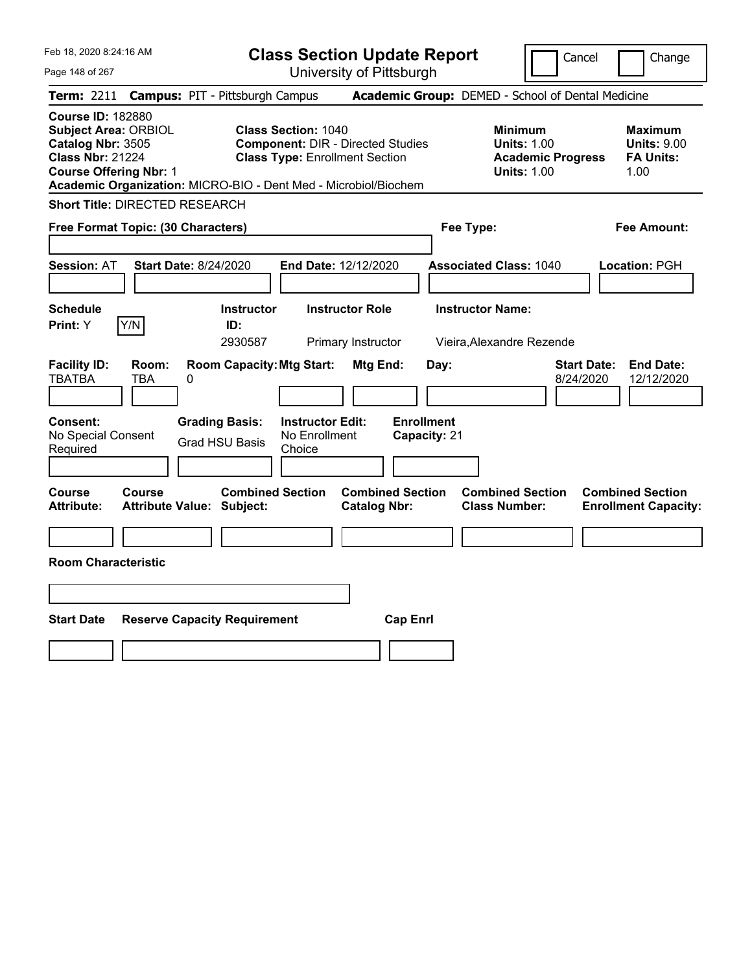| Feb 18, 2020 8:24:16 AM<br>Page 148 of 267                                                                                                                                                                  | <b>Class Section Update Report</b><br>University of Pittsburgh                                                  | Cancel<br>Change                                                                                                                                           |
|-------------------------------------------------------------------------------------------------------------------------------------------------------------------------------------------------------------|-----------------------------------------------------------------------------------------------------------------|------------------------------------------------------------------------------------------------------------------------------------------------------------|
| <b>Campus: PIT - Pittsburgh Campus</b><br>Term: 2211                                                                                                                                                        |                                                                                                                 | Academic Group: DEMED - School of Dental Medicine                                                                                                          |
| <b>Course ID: 182880</b><br><b>Subject Area: ORBIOL</b><br>Catalog Nbr: 3505<br><b>Class Nbr: 21224</b><br><b>Course Offering Nbr: 1</b><br>Academic Organization: MICRO-BIO - Dent Med - Microbiol/Biochem | <b>Class Section: 1040</b><br><b>Component: DIR - Directed Studies</b><br><b>Class Type: Enrollment Section</b> | <b>Minimum</b><br><b>Maximum</b><br><b>Units: 1.00</b><br><b>Units: 9.00</b><br><b>Academic Progress</b><br><b>FA Units:</b><br><b>Units: 1.00</b><br>1.00 |
| <b>Short Title: DIRECTED RESEARCH</b>                                                                                                                                                                       |                                                                                                                 |                                                                                                                                                            |
| Free Format Topic: (30 Characters)                                                                                                                                                                          | Fee Type:                                                                                                       | <b>Fee Amount:</b>                                                                                                                                         |
| <b>Session: AT</b><br><b>Start Date: 8/24/2020</b>                                                                                                                                                          | End Date: 12/12/2020                                                                                            | <b>Associated Class: 1040</b><br>Location: PGH                                                                                                             |
| Schedule<br><b>Instructor</b><br>Y/N<br>Print: Y<br>ID:<br>2930587                                                                                                                                          | <b>Instructor Role</b><br><b>Instructor Name:</b><br>Primary Instructor                                         | Vieira. Alexandre Rezende                                                                                                                                  |
| <b>Room Capacity: Mtg Start:</b><br><b>Facility ID:</b><br>Room:<br><b>TBATBA</b><br>TBA<br>0                                                                                                               | Mtg End:<br>Day:                                                                                                | <b>Start Date:</b><br><b>End Date:</b><br>8/24/2020<br>12/12/2020                                                                                          |
| <b>Grading Basis:</b><br><b>Consent:</b><br>No Special Consent<br><b>Grad HSU Basis</b><br>Required                                                                                                         | <b>Enrollment</b><br><b>Instructor Edit:</b><br>No Enrollment<br>Capacity: 21<br>Choice                         |                                                                                                                                                            |
| <b>Course</b><br>Course<br><b>Attribute:</b><br><b>Attribute Value: Subject:</b>                                                                                                                            | <b>Combined Section</b><br><b>Combined Section</b><br><b>Catalog Nbr:</b>                                       | <b>Combined Section</b><br><b>Combined Section</b><br><b>Class Number:</b><br><b>Enrollment Capacity:</b>                                                  |
|                                                                                                                                                                                                             |                                                                                                                 |                                                                                                                                                            |
| <b>Room Characteristic</b>                                                                                                                                                                                  |                                                                                                                 |                                                                                                                                                            |
|                                                                                                                                                                                                             |                                                                                                                 |                                                                                                                                                            |
| <b>Start Date</b><br><b>Reserve Capacity Requirement</b>                                                                                                                                                    | <b>Cap Enrl</b>                                                                                                 |                                                                                                                                                            |
|                                                                                                                                                                                                             |                                                                                                                 |                                                                                                                                                            |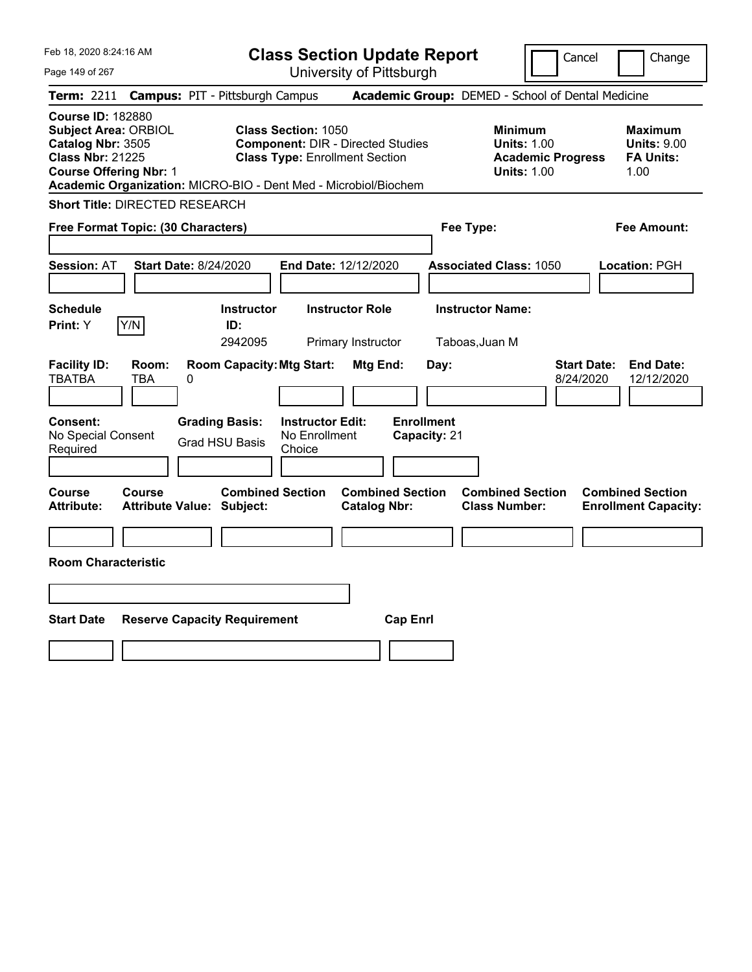| Feb 18, 2020 8:24:16 AM<br>Page 149 of 267                                                                                                                                                                  | <b>Class Section Update Report</b><br>University of Pittsburgh                                                  | Cancel<br>Change                                                                                                                                           |
|-------------------------------------------------------------------------------------------------------------------------------------------------------------------------------------------------------------|-----------------------------------------------------------------------------------------------------------------|------------------------------------------------------------------------------------------------------------------------------------------------------------|
| <b>Campus: PIT - Pittsburgh Campus</b><br>Term: 2211                                                                                                                                                        |                                                                                                                 | Academic Group: DEMED - School of Dental Medicine                                                                                                          |
| <b>Course ID: 182880</b><br><b>Subject Area: ORBIOL</b><br>Catalog Nbr: 3505<br><b>Class Nbr: 21225</b><br><b>Course Offering Nbr: 1</b><br>Academic Organization: MICRO-BIO - Dent Med - Microbiol/Biochem | <b>Class Section: 1050</b><br><b>Component: DIR - Directed Studies</b><br><b>Class Type: Enrollment Section</b> | <b>Minimum</b><br><b>Maximum</b><br><b>Units: 1.00</b><br><b>Units: 9.00</b><br><b>FA Units:</b><br><b>Academic Progress</b><br><b>Units: 1.00</b><br>1.00 |
| <b>Short Title: DIRECTED RESEARCH</b>                                                                                                                                                                       |                                                                                                                 |                                                                                                                                                            |
| Free Format Topic: (30 Characters)                                                                                                                                                                          | Fee Type:                                                                                                       | <b>Fee Amount:</b>                                                                                                                                         |
| <b>Session: AT</b><br><b>Start Date: 8/24/2020</b>                                                                                                                                                          | End Date: 12/12/2020                                                                                            | <b>Associated Class: 1050</b><br>Location: PGH                                                                                                             |
| <b>Schedule</b><br><b>Instructor</b><br>Y/N<br><b>Print:</b> Y<br>ID:<br>2942095                                                                                                                            | <b>Instructor Role</b><br>Primary Instructor<br>Taboas, Juan M                                                  | <b>Instructor Name:</b>                                                                                                                                    |
| <b>Room Capacity: Mtg Start:</b><br><b>Facility ID:</b><br>Room:<br><b>TBATBA</b><br>TBA<br>0                                                                                                               | Mtg End:<br>Day:                                                                                                | <b>Start Date:</b><br><b>End Date:</b><br>8/24/2020<br>12/12/2020                                                                                          |
| <b>Grading Basis:</b><br><b>Consent:</b><br>No Special Consent<br><b>Grad HSU Basis</b><br>Required                                                                                                         | <b>Instructor Edit:</b><br><b>Enrollment</b><br>No Enrollment<br>Capacity: 21<br>Choice                         |                                                                                                                                                            |
| <b>Course</b><br><b>Course</b><br><b>Attribute:</b><br><b>Attribute Value: Subject:</b>                                                                                                                     | <b>Combined Section</b><br><b>Combined Section</b><br><b>Catalog Nbr:</b>                                       | <b>Combined Section</b><br><b>Combined Section</b><br><b>Class Number:</b><br><b>Enrollment Capacity:</b>                                                  |
| <b>Room Characteristic</b>                                                                                                                                                                                  |                                                                                                                 |                                                                                                                                                            |
|                                                                                                                                                                                                             |                                                                                                                 |                                                                                                                                                            |
|                                                                                                                                                                                                             |                                                                                                                 |                                                                                                                                                            |
| <b>Start Date</b><br><b>Reserve Capacity Requirement</b>                                                                                                                                                    | <b>Cap Enrl</b>                                                                                                 |                                                                                                                                                            |
|                                                                                                                                                                                                             |                                                                                                                 |                                                                                                                                                            |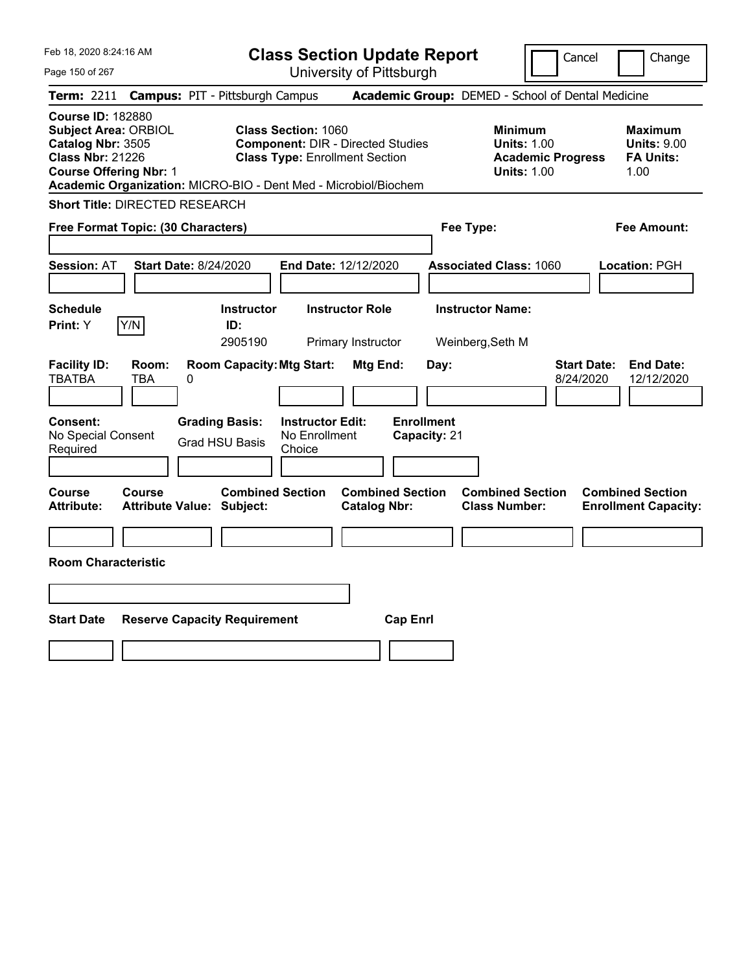| Feb 18, 2020 8:24:16 AM<br>Page 150 of 267                                                                                        | <b>Class Section Update Report</b><br>University of Pittsburgh                                                                                                                     | Cancel<br>Change                                                                                                                                           |
|-----------------------------------------------------------------------------------------------------------------------------------|------------------------------------------------------------------------------------------------------------------------------------------------------------------------------------|------------------------------------------------------------------------------------------------------------------------------------------------------------|
| <b>Campus: PIT - Pittsburgh Campus</b><br><b>Term:</b> 2211                                                                       |                                                                                                                                                                                    | Academic Group: DEMED - School of Dental Medicine                                                                                                          |
| <b>Course ID: 182880</b><br>Subject Area: ORBIOL<br>Catalog Nbr: 3505<br><b>Class Nbr: 21226</b><br><b>Course Offering Nbr: 1</b> | <b>Class Section: 1060</b><br><b>Component: DIR - Directed Studies</b><br><b>Class Type: Enrollment Section</b><br>Academic Organization: MICRO-BIO - Dent Med - Microbiol/Biochem | <b>Minimum</b><br><b>Maximum</b><br><b>Units: 1.00</b><br><b>Units: 9.00</b><br><b>FA Units:</b><br><b>Academic Progress</b><br><b>Units: 1.00</b><br>1.00 |
| <b>Short Title: DIRECTED RESEARCH</b>                                                                                             |                                                                                                                                                                                    |                                                                                                                                                            |
| Free Format Topic: (30 Characters)                                                                                                | Fee Type:                                                                                                                                                                          | <b>Fee Amount:</b>                                                                                                                                         |
| <b>Session: AT</b><br><b>Start Date: 8/24/2020</b><br><b>Schedule</b><br>Y/N<br>Print: Y                                          | End Date: 12/12/2020<br><b>Instructor</b><br><b>Instructor Role</b><br>ID:<br>2905190<br>Primary Instructor                                                                        | <b>Associated Class: 1060</b><br><b>Location: PGH</b><br><b>Instructor Name:</b><br>Weinberg, Seth M                                                       |
| <b>Facility ID:</b><br>Room:<br><b>TBATBA</b><br>TBA<br>0                                                                         | <b>Room Capacity: Mtg Start:</b><br>Mtg End:<br>Day:                                                                                                                               | <b>Start Date:</b><br><b>End Date:</b><br>8/24/2020<br>12/12/2020                                                                                          |
| <b>Grading Basis:</b><br><b>Consent:</b><br>No Special Consent<br><b>Grad HSU Basis</b><br>Required                               | <b>Enrollment</b><br><b>Instructor Edit:</b><br>No Enrollment<br>Capacity: 21<br>Choice                                                                                            |                                                                                                                                                            |
| <b>Course</b><br><b>Course</b><br><b>Attribute:</b><br><b>Attribute Value: Subject:</b>                                           | <b>Combined Section</b><br><b>Combined Section</b><br><b>Catalog Nbr:</b>                                                                                                          | <b>Combined Section</b><br><b>Combined Section</b><br><b>Class Number:</b><br><b>Enrollment Capacity:</b>                                                  |
|                                                                                                                                   |                                                                                                                                                                                    |                                                                                                                                                            |
| <b>Room Characteristic</b>                                                                                                        |                                                                                                                                                                                    |                                                                                                                                                            |
|                                                                                                                                   |                                                                                                                                                                                    |                                                                                                                                                            |
| <b>Start Date</b><br><b>Reserve Capacity Requirement</b>                                                                          | <b>Cap Enrl</b>                                                                                                                                                                    |                                                                                                                                                            |
|                                                                                                                                   |                                                                                                                                                                                    |                                                                                                                                                            |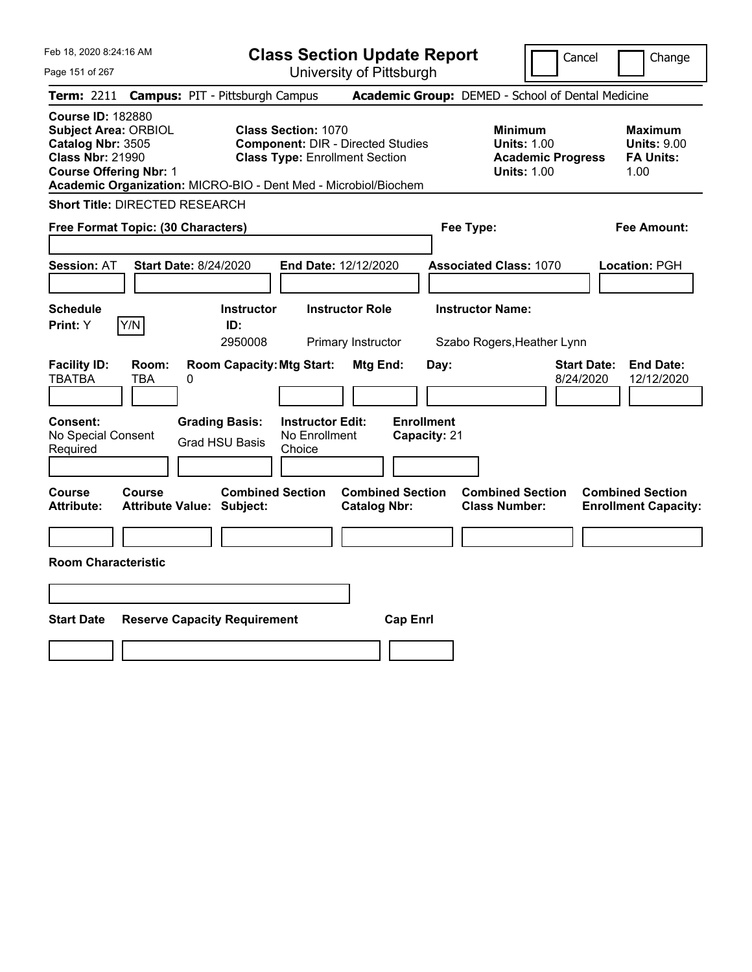| Feb 18, 2020 8:24:16 AM<br>Page 151 of 267                                                                                               | <b>Class Section Update Report</b><br>University of Pittsburgh                                                                                                                     | Cancel                                                                                 | Change                                                           |
|------------------------------------------------------------------------------------------------------------------------------------------|------------------------------------------------------------------------------------------------------------------------------------------------------------------------------------|----------------------------------------------------------------------------------------|------------------------------------------------------------------|
| Term: 2211<br><b>Campus: PIT - Pittsburgh Campus</b>                                                                                     |                                                                                                                                                                                    | Academic Group: DEMED - School of Dental Medicine                                      |                                                                  |
| <b>Course ID: 182880</b><br><b>Subject Area: ORBIOL</b><br>Catalog Nbr: 3505<br><b>Class Nbr: 21990</b><br><b>Course Offering Nbr: 1</b> | <b>Class Section: 1070</b><br><b>Component: DIR - Directed Studies</b><br><b>Class Type: Enrollment Section</b><br>Academic Organization: MICRO-BIO - Dent Med - Microbiol/Biochem | <b>Minimum</b><br><b>Units: 1.00</b><br><b>Academic Progress</b><br><b>Units: 1.00</b> | <b>Maximum</b><br><b>Units: 9.00</b><br><b>FA Units:</b><br>1.00 |
| <b>Short Title: DIRECTED RESEARCH</b>                                                                                                    |                                                                                                                                                                                    |                                                                                        |                                                                  |
| Free Format Topic: (30 Characters)                                                                                                       |                                                                                                                                                                                    | Fee Type:                                                                              | <b>Fee Amount:</b>                                               |
| <b>Session: AT</b><br><b>Start Date: 8/24/2020</b>                                                                                       | End Date: 12/12/2020                                                                                                                                                               | <b>Associated Class: 1070</b>                                                          | Location: PGH                                                    |
| <b>Schedule</b><br>Y/N<br>Print: Y                                                                                                       | <b>Instructor</b><br><b>Instructor Role</b><br>ID:<br>2950008<br>Primary Instructor                                                                                                | <b>Instructor Name:</b><br>Szabo Rogers, Heather Lynn                                  |                                                                  |
| <b>Facility ID:</b><br>Room:<br><b>TBATBA</b><br>TBA<br>0                                                                                | <b>Room Capacity: Mtg Start:</b><br>Mtg End:                                                                                                                                       | <b>Start Date:</b><br>Day:<br>8/24/2020                                                | <b>End Date:</b><br>12/12/2020                                   |
| <b>Consent:</b><br><b>Grading Basis:</b><br>No Special Consent<br><b>Grad HSU Basis</b><br>Required                                      | <b>Enrollment</b><br><b>Instructor Edit:</b><br>No Enrollment<br>Capacity: 21<br>Choice                                                                                            |                                                                                        |                                                                  |
| <b>Course</b><br><b>Course</b><br><b>Attribute Value: Subject:</b><br><b>Attribute:</b>                                                  | <b>Combined Section</b><br><b>Combined Section</b><br><b>Catalog Nbr:</b>                                                                                                          | <b>Combined Section</b><br><b>Class Number:</b>                                        | <b>Combined Section</b><br><b>Enrollment Capacity:</b>           |
| <b>Room Characteristic</b>                                                                                                               |                                                                                                                                                                                    |                                                                                        |                                                                  |
|                                                                                                                                          |                                                                                                                                                                                    |                                                                                        |                                                                  |
| <b>Start Date</b><br><b>Reserve Capacity Requirement</b>                                                                                 | <b>Cap Enrl</b>                                                                                                                                                                    |                                                                                        |                                                                  |
|                                                                                                                                          |                                                                                                                                                                                    |                                                                                        |                                                                  |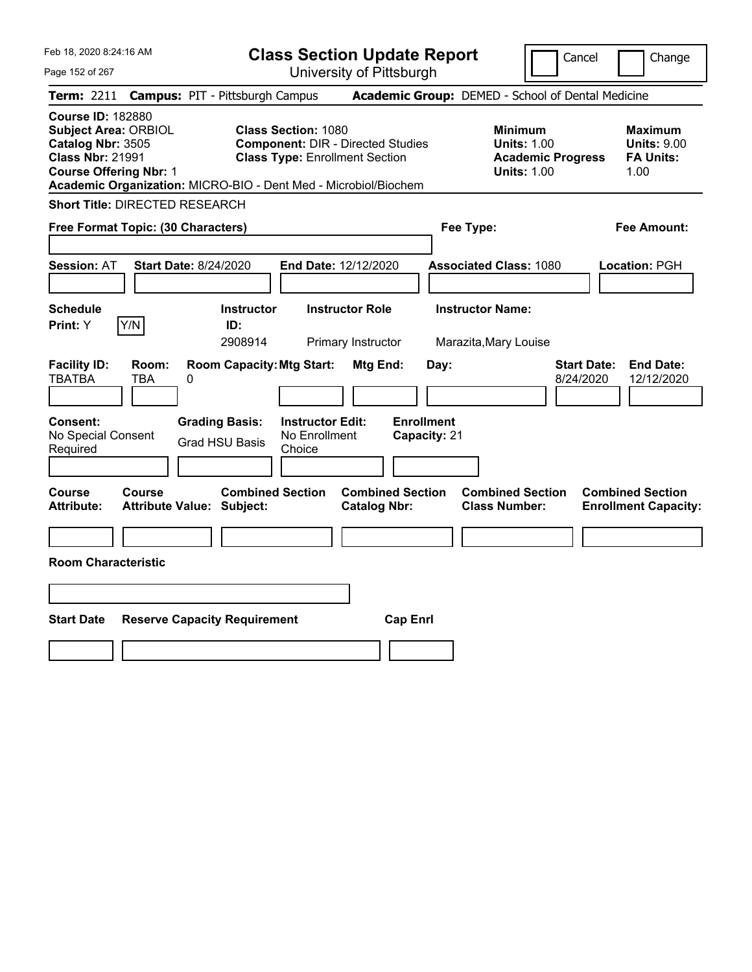| Feb 18, 2020 8:24:16 AM<br>Page 152 of 267                                                                                               | <b>Class Section Update Report</b><br>University of Pittsburgh                                                                                                                     | Cancel<br>Change                                                                                                                                           |
|------------------------------------------------------------------------------------------------------------------------------------------|------------------------------------------------------------------------------------------------------------------------------------------------------------------------------------|------------------------------------------------------------------------------------------------------------------------------------------------------------|
| <b>Campus: PIT - Pittsburgh Campus</b><br><b>Term:</b> 2211                                                                              |                                                                                                                                                                                    | Academic Group: DEMED - School of Dental Medicine                                                                                                          |
| <b>Course ID: 182880</b><br><b>Subject Area: ORBIOL</b><br>Catalog Nbr: 3505<br><b>Class Nbr: 21991</b><br><b>Course Offering Nbr: 1</b> | <b>Class Section: 1080</b><br><b>Component: DIR - Directed Studies</b><br><b>Class Type: Enrollment Section</b><br>Academic Organization: MICRO-BIO - Dent Med - Microbiol/Biochem | <b>Minimum</b><br><b>Maximum</b><br><b>Units: 1.00</b><br><b>Units: 9.00</b><br><b>FA Units:</b><br><b>Academic Progress</b><br><b>Units: 1.00</b><br>1.00 |
| <b>Short Title: DIRECTED RESEARCH</b>                                                                                                    |                                                                                                                                                                                    |                                                                                                                                                            |
| Free Format Topic: (30 Characters)                                                                                                       | Fee Type:                                                                                                                                                                          | <b>Fee Amount:</b>                                                                                                                                         |
| <b>Session: AT</b><br><b>Start Date: 8/24/2020</b><br><b>Schedule</b><br>Y/N<br>Print: Y                                                 | End Date: 12/12/2020<br><b>Instructor</b><br><b>Instructor Role</b><br>ID:                                                                                                         | <b>Associated Class: 1080</b><br><b>Location: PGH</b><br><b>Instructor Name:</b>                                                                           |
| <b>Facility ID:</b><br>Room:<br><b>TBATBA</b><br>TBA<br>0                                                                                | 2908914<br>Primary Instructor<br><b>Room Capacity: Mtg Start:</b><br>Mtg End:<br>Day:                                                                                              | Marazita, Mary Louise<br><b>Start Date:</b><br><b>End Date:</b><br>8/24/2020<br>12/12/2020                                                                 |
| <b>Grading Basis:</b><br><b>Consent:</b><br>No Special Consent<br><b>Grad HSU Basis</b><br>Required                                      | <b>Enrollment</b><br><b>Instructor Edit:</b><br>No Enrollment<br>Capacity: 21<br>Choice                                                                                            |                                                                                                                                                            |
| <b>Course</b><br><b>Course</b><br><b>Attribute:</b><br><b>Attribute Value: Subject:</b>                                                  | <b>Combined Section</b><br><b>Combined Section</b><br><b>Catalog Nbr:</b>                                                                                                          | <b>Combined Section</b><br><b>Combined Section</b><br><b>Class Number:</b><br><b>Enrollment Capacity:</b>                                                  |
| <b>Room Characteristic</b>                                                                                                               |                                                                                                                                                                                    |                                                                                                                                                            |
|                                                                                                                                          |                                                                                                                                                                                    |                                                                                                                                                            |
|                                                                                                                                          |                                                                                                                                                                                    |                                                                                                                                                            |
| <b>Start Date</b><br><b>Reserve Capacity Requirement</b>                                                                                 | <b>Cap Enrl</b>                                                                                                                                                                    |                                                                                                                                                            |
|                                                                                                                                          |                                                                                                                                                                                    |                                                                                                                                                            |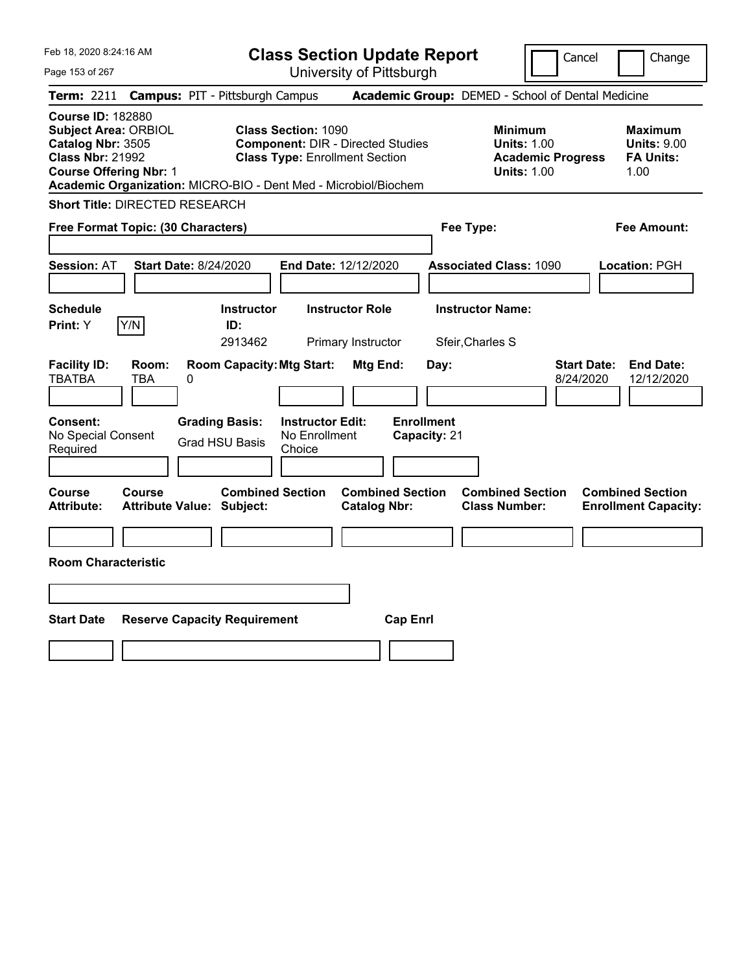| Feb 18, 2020 8:24:16 AM<br>Page 153 of 267                                                                                                                                                                  | <b>Class Section Update Report</b><br>University of Pittsburgh                                                  | Cancel<br>Change                                                                                                                                           |
|-------------------------------------------------------------------------------------------------------------------------------------------------------------------------------------------------------------|-----------------------------------------------------------------------------------------------------------------|------------------------------------------------------------------------------------------------------------------------------------------------------------|
| <b>Campus: PIT - Pittsburgh Campus</b><br><b>Term: 2211</b>                                                                                                                                                 |                                                                                                                 | Academic Group: DEMED - School of Dental Medicine                                                                                                          |
| <b>Course ID: 182880</b><br><b>Subject Area: ORBIOL</b><br>Catalog Nbr: 3505<br><b>Class Nbr: 21992</b><br><b>Course Offering Nbr: 1</b><br>Academic Organization: MICRO-BIO - Dent Med - Microbiol/Biochem | <b>Class Section: 1090</b><br><b>Component: DIR - Directed Studies</b><br><b>Class Type: Enrollment Section</b> | <b>Minimum</b><br><b>Maximum</b><br><b>Units: 1.00</b><br><b>Units: 9.00</b><br><b>Academic Progress</b><br><b>FA Units:</b><br><b>Units: 1.00</b><br>1.00 |
| <b>Short Title: DIRECTED RESEARCH</b>                                                                                                                                                                       |                                                                                                                 |                                                                                                                                                            |
| Free Format Topic: (30 Characters)                                                                                                                                                                          | Fee Type:                                                                                                       | Fee Amount:                                                                                                                                                |
| <b>Session: AT</b><br><b>Start Date: 8/24/2020</b>                                                                                                                                                          | End Date: 12/12/2020                                                                                            | <b>Associated Class: 1090</b><br>Location: PGH                                                                                                             |
| <b>Schedule</b><br><b>Instructor</b><br>Y/N<br>Print: Y<br>ID:<br>2913462                                                                                                                                   | <b>Instructor Role</b><br><b>Instructor Name:</b><br>Sfeir, Charles S<br>Primary Instructor                     |                                                                                                                                                            |
| <b>Room Capacity: Mtg Start:</b><br><b>Facility ID:</b><br>Room:<br><b>TBATBA</b><br>TBA<br>0                                                                                                               | Mtg End:<br>Day:                                                                                                | <b>Start Date:</b><br><b>End Date:</b><br>8/24/2020<br>12/12/2020                                                                                          |
| <b>Grading Basis:</b><br><b>Consent:</b><br>No Special Consent<br><b>Grad HSU Basis</b><br>Required                                                                                                         | <b>Instructor Edit:</b><br><b>Enrollment</b><br>No Enrollment<br>Capacity: 21<br>Choice                         |                                                                                                                                                            |
| <b>Course</b><br>Course<br><b>Attribute:</b><br><b>Attribute Value: Subject:</b>                                                                                                                            | <b>Combined Section</b><br><b>Combined Section</b><br><b>Catalog Nbr:</b>                                       | <b>Combined Section</b><br><b>Combined Section</b><br><b>Class Number:</b><br><b>Enrollment Capacity:</b>                                                  |
|                                                                                                                                                                                                             |                                                                                                                 |                                                                                                                                                            |
| <b>Room Characteristic</b>                                                                                                                                                                                  |                                                                                                                 |                                                                                                                                                            |
|                                                                                                                                                                                                             |                                                                                                                 |                                                                                                                                                            |
| <b>Start Date</b><br><b>Reserve Capacity Requirement</b>                                                                                                                                                    | <b>Cap Enrl</b>                                                                                                 |                                                                                                                                                            |
|                                                                                                                                                                                                             |                                                                                                                 |                                                                                                                                                            |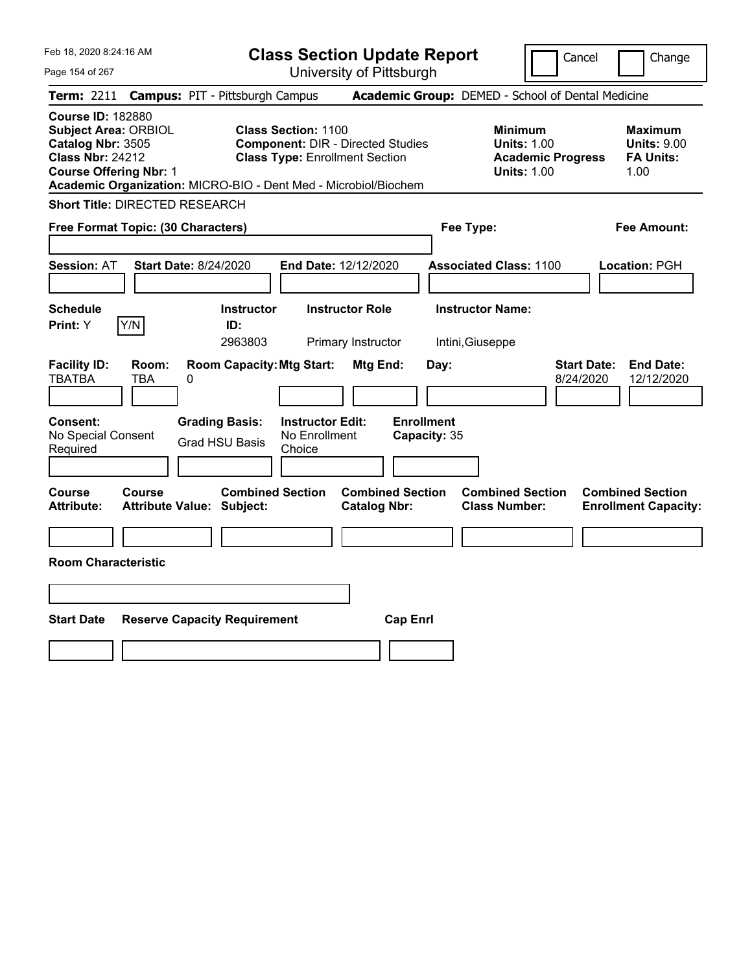| Feb 18, 2020 8:24:16 AM<br>Page 154 of 267                                                                                                                                                                  | <b>Class Section Update Report</b><br>University of Pittsburgh                                                  | Cancel<br>Change                                                                                                                                           |
|-------------------------------------------------------------------------------------------------------------------------------------------------------------------------------------------------------------|-----------------------------------------------------------------------------------------------------------------|------------------------------------------------------------------------------------------------------------------------------------------------------------|
| <b>Campus: PIT - Pittsburgh Campus</b><br>Term: 2211                                                                                                                                                        |                                                                                                                 | Academic Group: DEMED - School of Dental Medicine                                                                                                          |
| <b>Course ID: 182880</b><br><b>Subject Area: ORBIOL</b><br>Catalog Nbr: 3505<br><b>Class Nbr: 24212</b><br><b>Course Offering Nbr: 1</b><br>Academic Organization: MICRO-BIO - Dent Med - Microbiol/Biochem | <b>Class Section: 1100</b><br><b>Component: DIR - Directed Studies</b><br><b>Class Type: Enrollment Section</b> | <b>Minimum</b><br><b>Maximum</b><br><b>Units: 1.00</b><br><b>Units: 9.00</b><br><b>Academic Progress</b><br><b>FA Units:</b><br><b>Units: 1.00</b><br>1.00 |
| <b>Short Title: DIRECTED RESEARCH</b>                                                                                                                                                                       |                                                                                                                 |                                                                                                                                                            |
| Free Format Topic: (30 Characters)                                                                                                                                                                          | Fee Type:                                                                                                       | <b>Fee Amount:</b>                                                                                                                                         |
| <b>Session: AT</b><br><b>Start Date: 8/24/2020</b>                                                                                                                                                          | End Date: 12/12/2020                                                                                            | <b>Associated Class: 1100</b><br>Location: PGH                                                                                                             |
| Schedule<br><b>Instructor</b><br>Y/N<br>Print: Y<br>ID:<br>2963803                                                                                                                                          | <b>Instructor Role</b><br><b>Instructor Name:</b><br>Primary Instructor<br>Intini, Giuseppe                     |                                                                                                                                                            |
| <b>Room Capacity: Mtg Start:</b><br><b>Facility ID:</b><br>Room:<br><b>TBATBA</b><br>TBA<br>0                                                                                                               | Mtg End:<br>Day:                                                                                                | <b>Start Date:</b><br><b>End Date:</b><br>8/24/2020<br>12/12/2020                                                                                          |
| <b>Grading Basis:</b><br><b>Consent:</b><br>No Special Consent<br><b>Grad HSU Basis</b><br>Required                                                                                                         | <b>Enrollment</b><br><b>Instructor Edit:</b><br>No Enrollment<br>Capacity: 35<br>Choice                         |                                                                                                                                                            |
| <b>Course</b><br>Course<br><b>Attribute:</b><br><b>Attribute Value: Subject:</b>                                                                                                                            | <b>Combined Section</b><br><b>Combined Section</b><br><b>Catalog Nbr:</b>                                       | <b>Combined Section</b><br><b>Combined Section</b><br><b>Class Number:</b><br><b>Enrollment Capacity:</b>                                                  |
|                                                                                                                                                                                                             |                                                                                                                 |                                                                                                                                                            |
| <b>Room Characteristic</b>                                                                                                                                                                                  |                                                                                                                 |                                                                                                                                                            |
|                                                                                                                                                                                                             |                                                                                                                 |                                                                                                                                                            |
| <b>Start Date</b><br><b>Reserve Capacity Requirement</b>                                                                                                                                                    | <b>Cap Enrl</b>                                                                                                 |                                                                                                                                                            |
|                                                                                                                                                                                                             |                                                                                                                 |                                                                                                                                                            |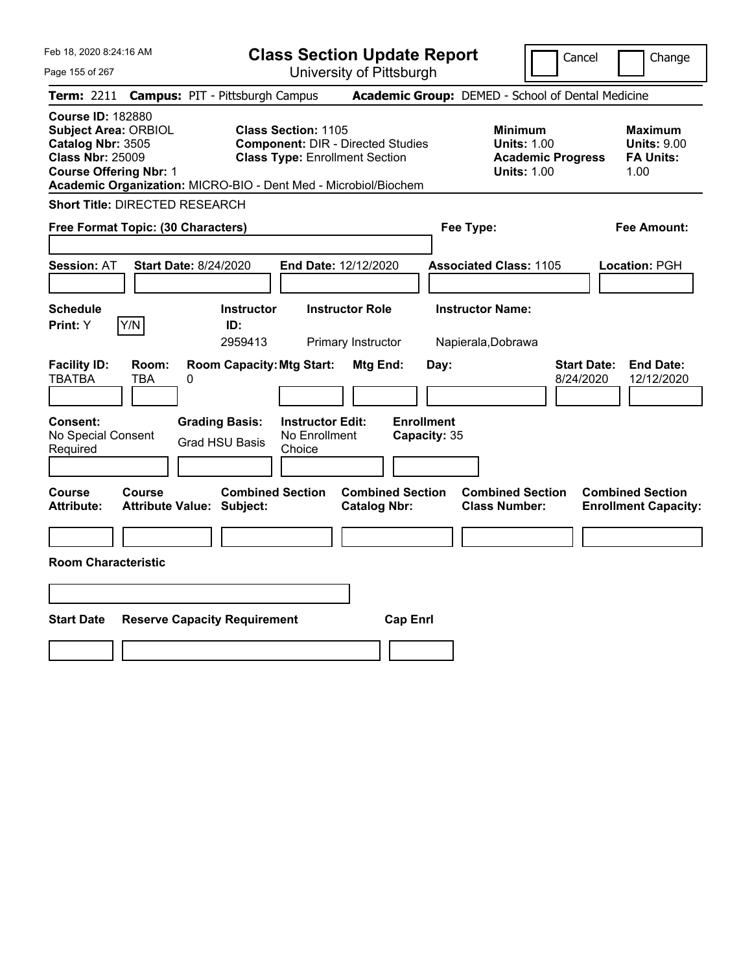| Feb 18, 2020 8:24:16 AM<br>Page 155 of 267                                                                                                                                                           | <b>Class Section Update Report</b><br>University of Pittsburgh                                                                        | Cancel<br>Change                                                                                                                                           |
|------------------------------------------------------------------------------------------------------------------------------------------------------------------------------------------------------|---------------------------------------------------------------------------------------------------------------------------------------|------------------------------------------------------------------------------------------------------------------------------------------------------------|
| <b>Campus: PIT - Pittsburgh Campus</b><br><b>Term: 2211</b>                                                                                                                                          |                                                                                                                                       | Academic Group: DEMED - School of Dental Medicine                                                                                                          |
| <b>Course ID: 182880</b><br>Subject Area: ORBIOL<br>Catalog Nbr: 3505<br><b>Class Nbr: 25009</b><br><b>Course Offering Nbr: 1</b><br>Academic Organization: MICRO-BIO - Dent Med - Microbiol/Biochem | <b>Class Section: 1105</b><br><b>Component: DIR - Directed Studies</b><br><b>Class Type: Enrollment Section</b>                       | <b>Minimum</b><br><b>Maximum</b><br><b>Units: 1.00</b><br><b>Units: 9.00</b><br><b>FA Units:</b><br><b>Academic Progress</b><br><b>Units: 1.00</b><br>1.00 |
| <b>Short Title: DIRECTED RESEARCH</b>                                                                                                                                                                |                                                                                                                                       |                                                                                                                                                            |
| Free Format Topic: (30 Characters)                                                                                                                                                                   | Fee Type:                                                                                                                             | <b>Fee Amount:</b>                                                                                                                                         |
| <b>Session: AT</b><br><b>Start Date: 8/24/2020</b><br><b>Schedule</b>                                                                                                                                | End Date: 12/12/2020<br><b>Instructor</b><br><b>Instructor Role</b>                                                                   | <b>Associated Class: 1105</b><br><b>Location: PGH</b><br><b>Instructor Name:</b>                                                                           |
| Y/N<br>Print: Y<br>ID:<br>2959413                                                                                                                                                                    | Primary Instructor                                                                                                                    | Napierala, Dobrawa                                                                                                                                         |
| <b>Facility ID:</b><br>Room:<br><b>TBATBA</b><br>TBA<br>0<br><b>Grading Basis:</b><br><b>Consent:</b><br>No Special Consent                                                                          | <b>Room Capacity: Mtg Start:</b><br>Mtg End:<br>Day:<br><b>Enrollment</b><br><b>Instructor Edit:</b><br>No Enrollment<br>Capacity: 35 | <b>Start Date:</b><br><b>End Date:</b><br>8/24/2020<br>12/12/2020                                                                                          |
| <b>Grad HSU Basis</b><br>Required                                                                                                                                                                    | Choice                                                                                                                                |                                                                                                                                                            |
| <b>Course</b><br><b>Course</b><br><b>Attribute:</b><br><b>Attribute Value: Subject:</b>                                                                                                              | <b>Combined Section</b><br><b>Combined Section</b><br><b>Catalog Nbr:</b>                                                             | <b>Combined Section</b><br><b>Combined Section</b><br><b>Class Number:</b><br><b>Enrollment Capacity:</b>                                                  |
| <b>Room Characteristic</b>                                                                                                                                                                           |                                                                                                                                       |                                                                                                                                                            |
|                                                                                                                                                                                                      |                                                                                                                                       |                                                                                                                                                            |
| <b>Start Date</b><br><b>Reserve Capacity Requirement</b>                                                                                                                                             | <b>Cap Enrl</b>                                                                                                                       |                                                                                                                                                            |
|                                                                                                                                                                                                      |                                                                                                                                       |                                                                                                                                                            |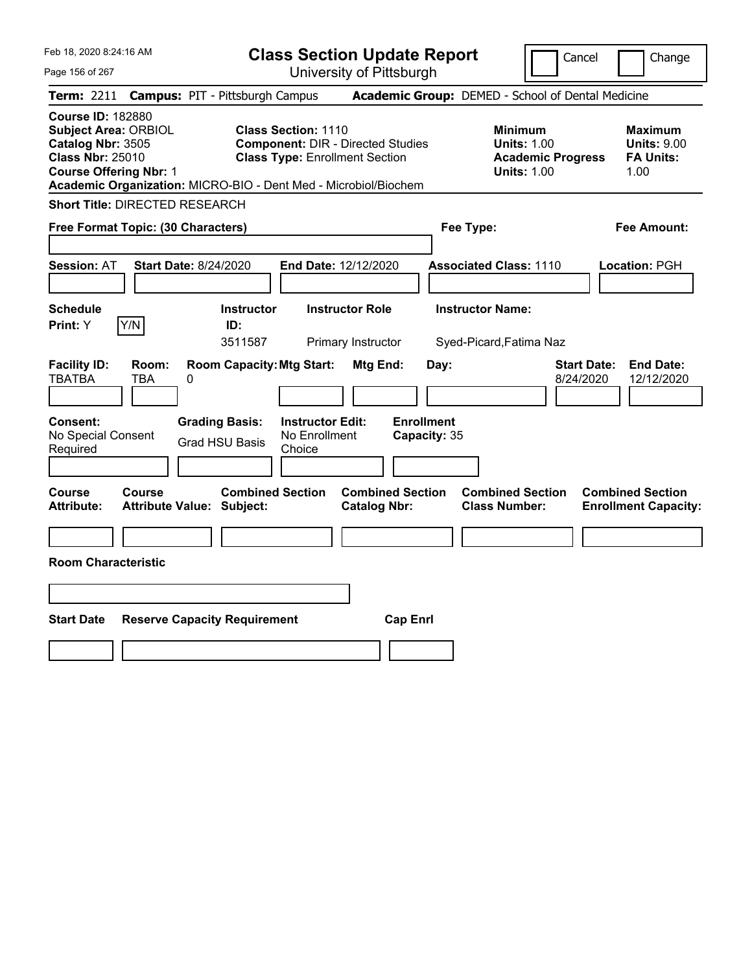| Feb 18, 2020 8:24:16 AM<br>Page 156 of 267                                                                                                                                                           | <b>Class Section Update Report</b><br>University of Pittsburgh                                                  | Cancel<br>Change                                                                                                                                           |
|------------------------------------------------------------------------------------------------------------------------------------------------------------------------------------------------------|-----------------------------------------------------------------------------------------------------------------|------------------------------------------------------------------------------------------------------------------------------------------------------------|
| <b>Campus: PIT - Pittsburgh Campus</b><br><b>Term: 2211</b>                                                                                                                                          |                                                                                                                 | Academic Group: DEMED - School of Dental Medicine                                                                                                          |
| <b>Course ID: 182880</b><br>Subject Area: ORBIOL<br>Catalog Nbr: 3505<br><b>Class Nbr: 25010</b><br><b>Course Offering Nbr: 1</b><br>Academic Organization: MICRO-BIO - Dent Med - Microbiol/Biochem | <b>Class Section: 1110</b><br><b>Component: DIR - Directed Studies</b><br><b>Class Type: Enrollment Section</b> | <b>Minimum</b><br><b>Maximum</b><br><b>Units: 1.00</b><br><b>Units: 9.00</b><br><b>FA Units:</b><br><b>Academic Progress</b><br><b>Units: 1.00</b><br>1.00 |
| <b>Short Title: DIRECTED RESEARCH</b>                                                                                                                                                                |                                                                                                                 |                                                                                                                                                            |
| Free Format Topic: (30 Characters)                                                                                                                                                                   | Fee Type:                                                                                                       | <b>Fee Amount:</b>                                                                                                                                         |
| <b>Session: AT</b><br><b>Start Date: 8/24/2020</b><br><b>Schedule</b><br><b>Instructor</b><br>Y/N<br>Print: Y<br>ID:                                                                                 | End Date: 12/12/2020<br><b>Instructor Role</b>                                                                  | <b>Associated Class: 1110</b><br><b>Location: PGH</b><br><b>Instructor Name:</b>                                                                           |
| 3511587                                                                                                                                                                                              | Primary Instructor                                                                                              | Syed-Picard, Fatima Naz                                                                                                                                    |
| <b>Facility ID:</b><br>Room:<br><b>TBATBA</b><br>TBA<br>0                                                                                                                                            | <b>Room Capacity: Mtg Start:</b><br>Mtg End:<br>Day:                                                            | <b>Start Date:</b><br><b>End Date:</b><br>8/24/2020<br>12/12/2020                                                                                          |
| <b>Grading Basis:</b><br><b>Consent:</b><br>No Special Consent<br><b>Grad HSU Basis</b><br>Required                                                                                                  | <b>Enrollment</b><br><b>Instructor Edit:</b><br>No Enrollment<br>Capacity: 35<br>Choice                         |                                                                                                                                                            |
| <b>Course</b><br><b>Course</b><br><b>Attribute:</b><br><b>Attribute Value: Subject:</b>                                                                                                              | <b>Combined Section</b><br><b>Combined Section</b><br><b>Catalog Nbr:</b>                                       | <b>Combined Section</b><br><b>Combined Section</b><br><b>Class Number:</b><br><b>Enrollment Capacity:</b>                                                  |
|                                                                                                                                                                                                      |                                                                                                                 |                                                                                                                                                            |
| <b>Room Characteristic</b>                                                                                                                                                                           |                                                                                                                 |                                                                                                                                                            |
|                                                                                                                                                                                                      |                                                                                                                 |                                                                                                                                                            |
|                                                                                                                                                                                                      |                                                                                                                 |                                                                                                                                                            |
| <b>Start Date</b><br><b>Reserve Capacity Requirement</b>                                                                                                                                             | <b>Cap Enrl</b>                                                                                                 |                                                                                                                                                            |
|                                                                                                                                                                                                      |                                                                                                                 |                                                                                                                                                            |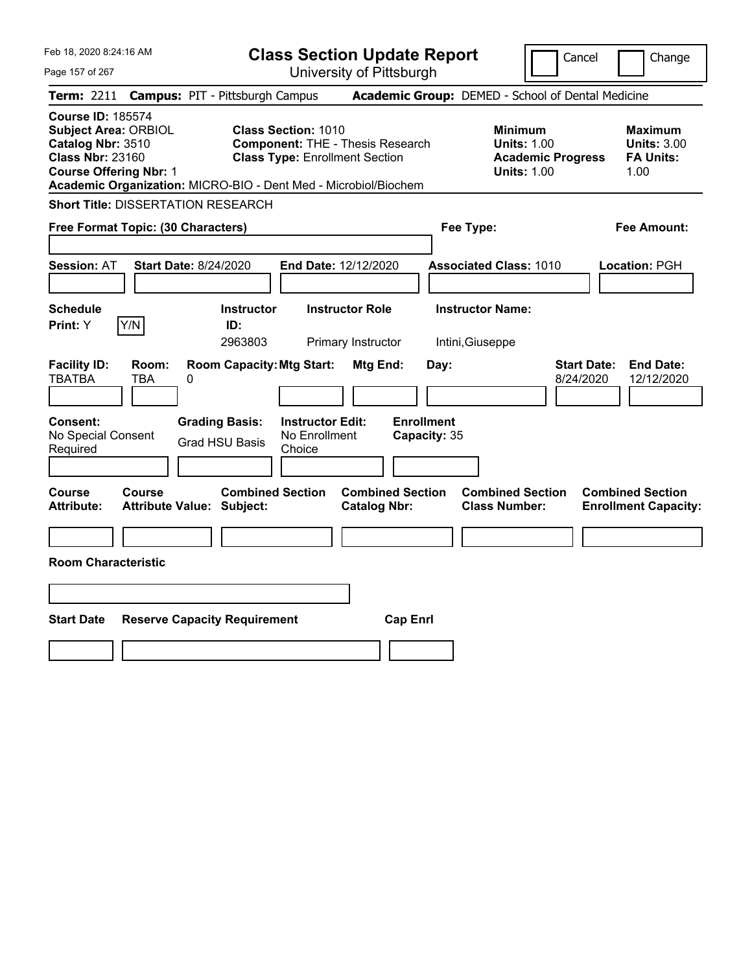| Feb 18, 2020 8:24:16 AM                                                                                                                  | <b>Class Section Update Report</b>                                                                                                                                                                | Change<br>Cancel                                                                                                                                           |
|------------------------------------------------------------------------------------------------------------------------------------------|---------------------------------------------------------------------------------------------------------------------------------------------------------------------------------------------------|------------------------------------------------------------------------------------------------------------------------------------------------------------|
| Page 157 of 267                                                                                                                          | University of Pittsburgh                                                                                                                                                                          |                                                                                                                                                            |
| Term: 2211                                                                                                                               | <b>Campus: PIT - Pittsburgh Campus</b>                                                                                                                                                            | Academic Group: DEMED - School of Dental Medicine                                                                                                          |
| <b>Course ID: 185574</b><br><b>Subject Area: ORBIOL</b><br>Catalog Nbr: 3510<br><b>Class Nbr: 23160</b><br><b>Course Offering Nbr: 1</b> | <b>Class Section: 1010</b><br><b>Component: THE - Thesis Research</b><br><b>Class Type: Enrollment Section</b><br>Academic Organization: MICRO-BIO - Dent Med - Microbiol/Biochem                 | <b>Minimum</b><br><b>Maximum</b><br><b>Units: 3.00</b><br><b>Units: 1.00</b><br><b>FA Units:</b><br><b>Academic Progress</b><br><b>Units: 1.00</b><br>1.00 |
| <b>Short Title: DISSERTATION RESEARCH</b>                                                                                                |                                                                                                                                                                                                   |                                                                                                                                                            |
| Free Format Topic: (30 Characters)                                                                                                       |                                                                                                                                                                                                   | Fee Type:<br>Fee Amount:                                                                                                                                   |
| <b>Start Date: 8/24/2020</b><br><b>Session: AT</b>                                                                                       | End Date: 12/12/2020                                                                                                                                                                              | <b>Associated Class: 1010</b><br>Location: PGH                                                                                                             |
| <b>Schedule</b>                                                                                                                          | <b>Instructor</b><br><b>Instructor Role</b>                                                                                                                                                       | <b>Instructor Name:</b>                                                                                                                                    |
| Y/N<br>Print: Y                                                                                                                          | ID:<br>2963803<br>Primary Instructor                                                                                                                                                              | Intini, Giuseppe                                                                                                                                           |
| <b>Facility ID:</b><br>Room:<br><b>TBATBA</b><br><b>TBA</b><br>0<br>Consent:<br>No Special Consent<br>Required                           | <b>Room Capacity: Mtg Start:</b><br>Mtg End:<br>Day:<br><b>Enrollment</b><br><b>Grading Basis:</b><br><b>Instructor Edit:</b><br>No Enrollment<br>Capacity: 35<br><b>Grad HSU Basis</b><br>Choice | <b>Start Date:</b><br><b>End Date:</b><br>8/24/2020<br>12/12/2020                                                                                          |
| <b>Course</b><br>Course<br><b>Attribute:</b><br><b>Attribute Value: Subject:</b>                                                         | <b>Combined Section</b><br><b>Combined Section</b><br><b>Catalog Nbr:</b>                                                                                                                         | <b>Combined Section</b><br><b>Combined Section</b><br><b>Class Number:</b><br><b>Enrollment Capacity:</b>                                                  |
| <b>Room Characteristic</b>                                                                                                               |                                                                                                                                                                                                   |                                                                                                                                                            |
|                                                                                                                                          |                                                                                                                                                                                                   |                                                                                                                                                            |
| <b>Start Date</b><br><b>Reserve Capacity Requirement</b>                                                                                 | <b>Cap Enrl</b>                                                                                                                                                                                   |                                                                                                                                                            |
|                                                                                                                                          |                                                                                                                                                                                                   |                                                                                                                                                            |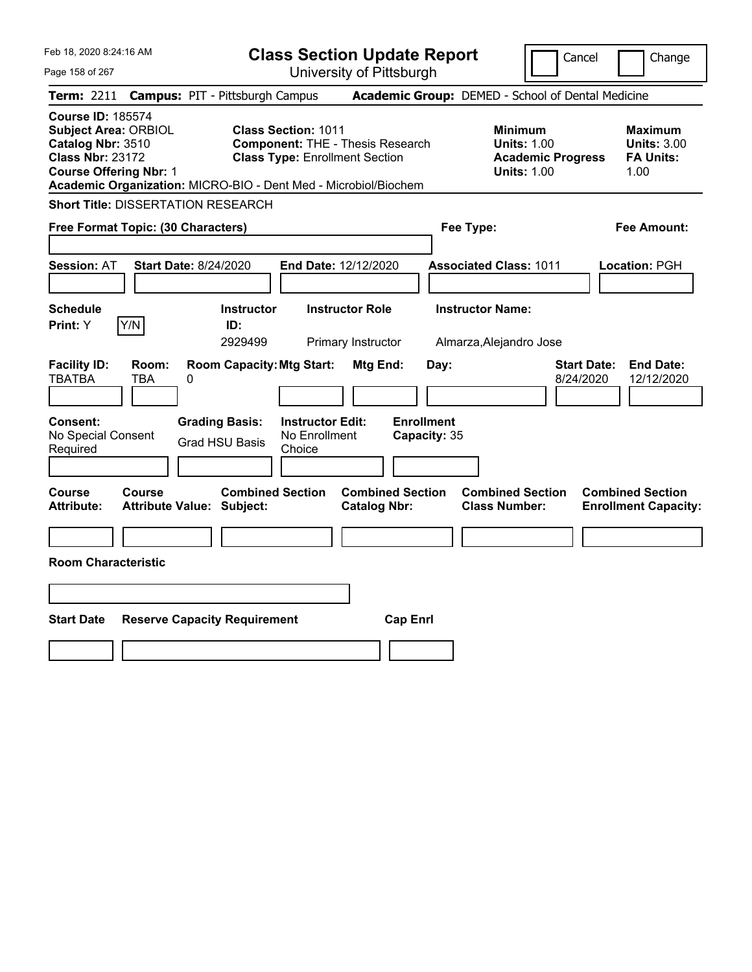| Feb 18, 2020 8:24:16 AM                                                                                                                                          | <b>Class Section Update Report</b>                                                                                                                                                | Change<br>Cancel                                                                                                                                           |
|------------------------------------------------------------------------------------------------------------------------------------------------------------------|-----------------------------------------------------------------------------------------------------------------------------------------------------------------------------------|------------------------------------------------------------------------------------------------------------------------------------------------------------|
| Page 158 of 267                                                                                                                                                  | University of Pittsburgh                                                                                                                                                          |                                                                                                                                                            |
| Term: 2211                                                                                                                                                       | <b>Campus: PIT - Pittsburgh Campus</b>                                                                                                                                            | Academic Group: DEMED - School of Dental Medicine                                                                                                          |
| <b>Course ID: 185574</b><br><b>Subject Area: ORBIOL</b><br>Catalog Nbr: 3510<br><b>Class Nbr: 23172</b><br><b>Course Offering Nbr: 1</b>                         | <b>Class Section: 1011</b><br><b>Component: THE - Thesis Research</b><br><b>Class Type: Enrollment Section</b><br>Academic Organization: MICRO-BIO - Dent Med - Microbiol/Biochem | <b>Minimum</b><br><b>Maximum</b><br><b>Units: 3.00</b><br><b>Units: 1.00</b><br><b>FA Units:</b><br><b>Academic Progress</b><br><b>Units: 1.00</b><br>1.00 |
| <b>Short Title: DISSERTATION RESEARCH</b>                                                                                                                        |                                                                                                                                                                                   |                                                                                                                                                            |
| Free Format Topic: (30 Characters)                                                                                                                               | Fee Type:                                                                                                                                                                         | Fee Amount:                                                                                                                                                |
| <b>Start Date: 8/24/2020</b><br><b>Session: AT</b>                                                                                                               | End Date: 12/12/2020                                                                                                                                                              | <b>Associated Class: 1011</b><br>Location: PGH                                                                                                             |
| <b>Schedule</b>                                                                                                                                                  | <b>Instructor</b><br><b>Instructor Role</b>                                                                                                                                       | <b>Instructor Name:</b>                                                                                                                                    |
| Y/N<br>Print: Y                                                                                                                                                  | ID:<br>2929499<br>Primary Instructor                                                                                                                                              | Almarza, Alejandro Jose                                                                                                                                    |
| <b>Facility ID:</b><br>Room:<br><b>TBATBA</b><br><b>TBA</b><br>0<br>Consent:<br><b>Grading Basis:</b><br>No Special Consent<br><b>Grad HSU Basis</b><br>Required | <b>Room Capacity: Mtg Start:</b><br>Mtg End:<br>Day:<br><b>Enrollment</b><br><b>Instructor Edit:</b><br>No Enrollment<br>Capacity: 35<br>Choice                                   | <b>Start Date:</b><br><b>End Date:</b><br>8/24/2020<br>12/12/2020                                                                                          |
| <b>Course</b><br>Course<br><b>Attribute:</b><br><b>Attribute Value: Subject:</b>                                                                                 | <b>Combined Section</b><br><b>Combined Section</b><br><b>Catalog Nbr:</b>                                                                                                         | <b>Combined Section</b><br><b>Combined Section</b><br><b>Class Number:</b><br><b>Enrollment Capacity:</b>                                                  |
|                                                                                                                                                                  |                                                                                                                                                                                   |                                                                                                                                                            |
| <b>Room Characteristic</b>                                                                                                                                       |                                                                                                                                                                                   |                                                                                                                                                            |
|                                                                                                                                                                  |                                                                                                                                                                                   |                                                                                                                                                            |
| <b>Start Date</b><br><b>Reserve Capacity Requirement</b>                                                                                                         | <b>Cap Enrl</b>                                                                                                                                                                   |                                                                                                                                                            |
|                                                                                                                                                                  |                                                                                                                                                                                   |                                                                                                                                                            |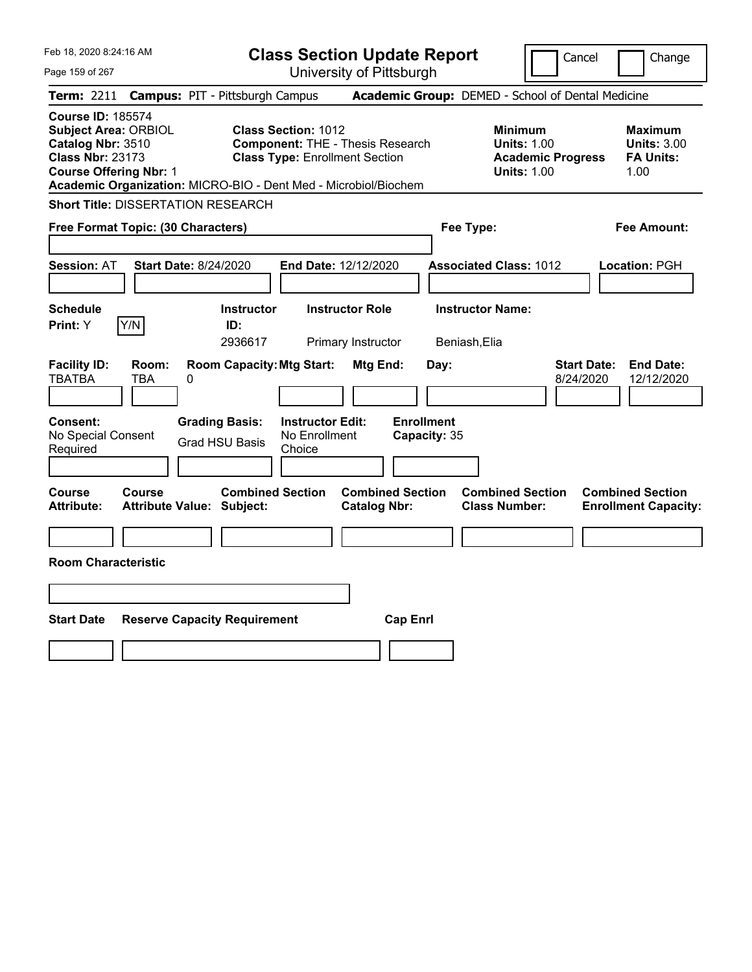| Feb 18, 2020 8:24:16 AM                                                                                                                                                                                     | <b>Class Section Update Report</b>                                                                             |                                                                            | Cancel<br>Change                                                                                                                         |
|-------------------------------------------------------------------------------------------------------------------------------------------------------------------------------------------------------------|----------------------------------------------------------------------------------------------------------------|----------------------------------------------------------------------------|------------------------------------------------------------------------------------------------------------------------------------------|
| Page 159 of 267                                                                                                                                                                                             | University of Pittsburgh                                                                                       |                                                                            |                                                                                                                                          |
| <b>Term:</b> 2211                                                                                                                                                                                           | <b>Campus: PIT - Pittsburgh Campus</b>                                                                         | Academic Group: DEMED - School of Dental Medicine                          |                                                                                                                                          |
| <b>Course ID: 185574</b><br><b>Subject Area: ORBIOL</b><br>Catalog Nbr: 3510<br><b>Class Nbr: 23173</b><br><b>Course Offering Nbr: 1</b><br>Academic Organization: MICRO-BIO - Dent Med - Microbiol/Biochem | <b>Class Section: 1012</b><br><b>Component: THE - Thesis Research</b><br><b>Class Type: Enrollment Section</b> | Minimum                                                                    | <b>Maximum</b><br><b>Units: 1.00</b><br><b>Units: 3.00</b><br><b>FA Units:</b><br><b>Academic Progress</b><br><b>Units: 1.00</b><br>1.00 |
| <b>Short Title: DISSERTATION RESEARCH</b>                                                                                                                                                                   |                                                                                                                |                                                                            |                                                                                                                                          |
| Free Format Topic: (30 Characters)                                                                                                                                                                          |                                                                                                                | Fee Type:                                                                  | Fee Amount:                                                                                                                              |
| <b>Session: AT</b><br><b>Start Date: 8/24/2020</b>                                                                                                                                                          | End Date: 12/12/2020                                                                                           | <b>Associated Class: 1012</b>                                              | Location: PGH                                                                                                                            |
| <b>Schedule</b><br>Y/N<br>Print: Y                                                                                                                                                                          | <b>Instructor Role</b><br><b>Instructor</b><br>ID:                                                             | <b>Instructor Name:</b>                                                    |                                                                                                                                          |
|                                                                                                                                                                                                             | 2936617<br>Primary Instructor                                                                                  | Beniash, Elia                                                              |                                                                                                                                          |
| <b>Facility ID:</b><br>Room:<br><b>TBATBA</b><br>TBA<br>0<br>Consent:<br><b>Grading Basis:</b><br>No Special Consent<br><b>Grad HSU Basis</b><br>Required                                                   | <b>Room Capacity: Mtg Start:</b><br><b>Mtg End:</b><br><b>Instructor Edit:</b><br>No Enrollment<br>Choice      | Day:<br><b>Enrollment</b><br>Capacity: 35                                  | <b>Start Date:</b><br><b>End Date:</b><br>8/24/2020<br>12/12/2020                                                                        |
|                                                                                                                                                                                                             |                                                                                                                |                                                                            |                                                                                                                                          |
| <b>Course</b><br><b>Course</b><br><b>Attribute:</b><br><b>Attribute Value: Subject:</b>                                                                                                                     | <b>Combined Section</b><br><b>Catalog Nbr:</b>                                                                 | <b>Combined Section</b><br><b>Combined Section</b><br><b>Class Number:</b> | <b>Combined Section</b><br><b>Enrollment Capacity:</b>                                                                                   |
| <b>Room Characteristic</b>                                                                                                                                                                                  |                                                                                                                |                                                                            |                                                                                                                                          |
|                                                                                                                                                                                                             |                                                                                                                |                                                                            |                                                                                                                                          |
| <b>Start Date</b><br><b>Reserve Capacity Requirement</b>                                                                                                                                                    |                                                                                                                | <b>Cap Enrl</b>                                                            |                                                                                                                                          |
|                                                                                                                                                                                                             |                                                                                                                |                                                                            |                                                                                                                                          |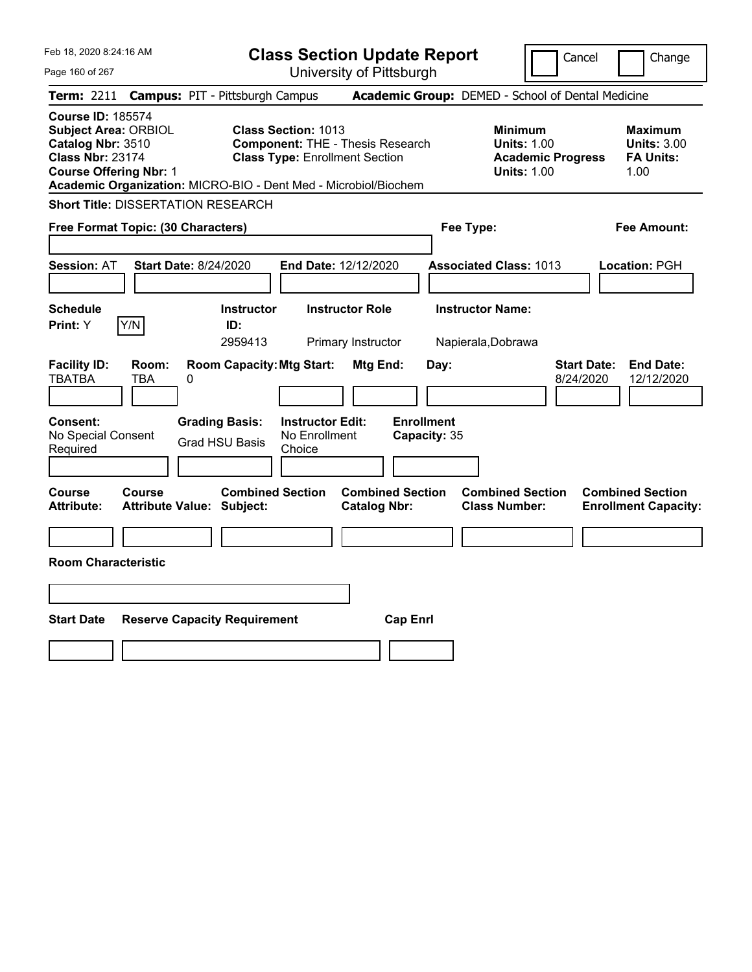| Feb 18, 2020 8:24:16 AM                                                                                                                                                                                     |                                                                                                                                          | <b>Class Section Update Report</b>                    |                                                                                        | Cancel<br>Change                                                  |
|-------------------------------------------------------------------------------------------------------------------------------------------------------------------------------------------------------------|------------------------------------------------------------------------------------------------------------------------------------------|-------------------------------------------------------|----------------------------------------------------------------------------------------|-------------------------------------------------------------------|
| Page 160 of 267                                                                                                                                                                                             |                                                                                                                                          | University of Pittsburgh                              |                                                                                        |                                                                   |
| <b>Term: 2211</b>                                                                                                                                                                                           | <b>Campus: PIT - Pittsburgh Campus</b>                                                                                                   |                                                       | Academic Group: DEMED - School of Dental Medicine                                      |                                                                   |
| <b>Course ID: 185574</b><br><b>Subject Area: ORBIOL</b><br>Catalog Nbr: 3510<br><b>Class Nbr: 23174</b><br><b>Course Offering Nbr: 1</b><br>Academic Organization: MICRO-BIO - Dent Med - Microbiol/Biochem | Class Section: 1013<br><b>Component: THE - Thesis Research</b><br><b>Class Type: Enrollment Section</b>                                  |                                                       | <b>Minimum</b><br><b>Units: 1.00</b><br><b>Academic Progress</b><br><b>Units: 1.00</b> | <b>Maximum</b><br><b>Units: 3.00</b><br><b>FA Units:</b><br>1.00  |
| <b>Short Title: DISSERTATION RESEARCH</b>                                                                                                                                                                   |                                                                                                                                          |                                                       |                                                                                        |                                                                   |
| Free Format Topic: (30 Characters)                                                                                                                                                                          |                                                                                                                                          |                                                       | Fee Type:                                                                              | Fee Amount:                                                       |
| Start Date: 8/24/2020<br><b>Session: AT</b>                                                                                                                                                                 | End Date: 12/12/2020                                                                                                                     |                                                       | <b>Associated Class: 1013</b>                                                          | Location: PGH                                                     |
| <b>Schedule</b>                                                                                                                                                                                             | <b>Instructor</b>                                                                                                                        | <b>Instructor Role</b>                                | <b>Instructor Name:</b>                                                                |                                                                   |
| Y/N<br>Print: Y                                                                                                                                                                                             | ID:<br>2959413                                                                                                                           | Primary Instructor                                    | Napierala, Dobrawa                                                                     |                                                                   |
| <b>Facility ID:</b><br>Room:<br><b>TBATBA</b><br><b>TBA</b><br>0<br>Consent:<br>No Special Consent<br>Required                                                                                              | <b>Room Capacity: Mtg Start:</b><br><b>Grading Basis:</b><br><b>Instructor Edit:</b><br>No Enrollment<br><b>Grad HSU Basis</b><br>Choice | Mtg End:<br>Day:<br><b>Enrollment</b><br>Capacity: 35 |                                                                                        | <b>Start Date:</b><br><b>End Date:</b><br>8/24/2020<br>12/12/2020 |
|                                                                                                                                                                                                             |                                                                                                                                          |                                                       |                                                                                        |                                                                   |
| <b>Course</b><br>Course<br><b>Attribute:</b><br>Attribute Value: Subject:                                                                                                                                   | <b>Combined Section</b>                                                                                                                  | <b>Combined Section</b><br><b>Catalog Nbr:</b>        | <b>Combined Section</b><br><b>Class Number:</b>                                        | <b>Combined Section</b><br><b>Enrollment Capacity:</b>            |
|                                                                                                                                                                                                             |                                                                                                                                          |                                                       |                                                                                        |                                                                   |
| <b>Room Characteristic</b>                                                                                                                                                                                  |                                                                                                                                          |                                                       |                                                                                        |                                                                   |
|                                                                                                                                                                                                             |                                                                                                                                          |                                                       |                                                                                        |                                                                   |
| <b>Start Date</b><br><b>Reserve Capacity Requirement</b>                                                                                                                                                    |                                                                                                                                          | <b>Cap Enrl</b>                                       |                                                                                        |                                                                   |
|                                                                                                                                                                                                             |                                                                                                                                          |                                                       |                                                                                        |                                                                   |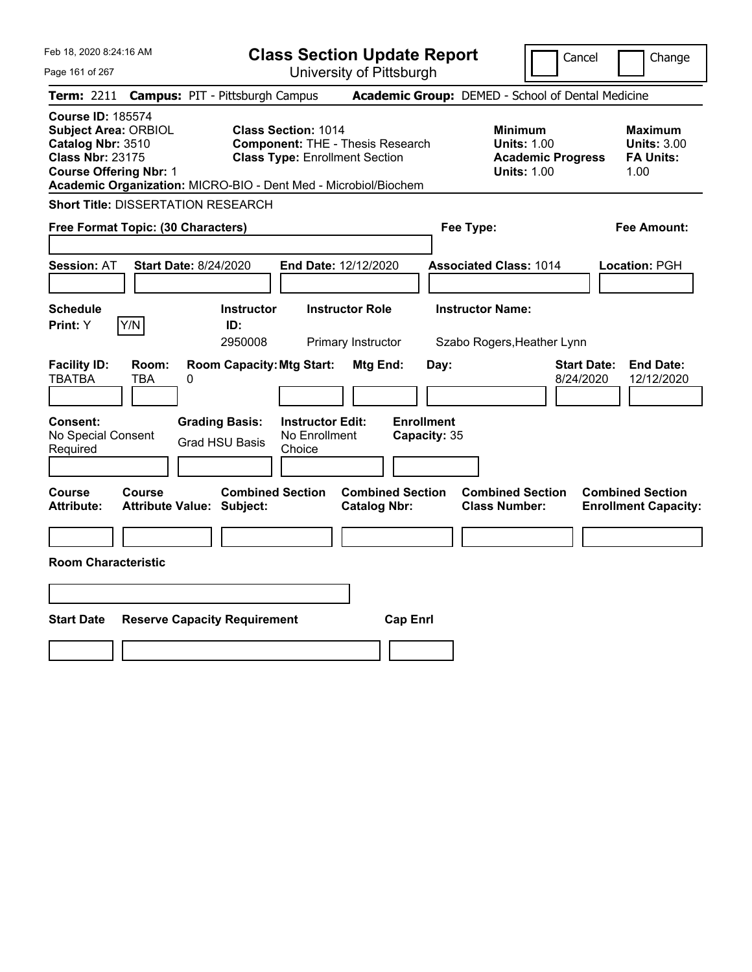| Feb 18, 2020 8:24:16 AM                                                                                                                                                                                     |                                                                                                                                          | <b>Class Section Update Report</b>                    | Cancel                                                                                 | Change                                                           |
|-------------------------------------------------------------------------------------------------------------------------------------------------------------------------------------------------------------|------------------------------------------------------------------------------------------------------------------------------------------|-------------------------------------------------------|----------------------------------------------------------------------------------------|------------------------------------------------------------------|
| Page 161 of 267                                                                                                                                                                                             |                                                                                                                                          | University of Pittsburgh                              |                                                                                        |                                                                  |
| Term: 2211                                                                                                                                                                                                  | <b>Campus: PIT - Pittsburgh Campus</b>                                                                                                   |                                                       | Academic Group: DEMED - School of Dental Medicine                                      |                                                                  |
| <b>Course ID: 185574</b><br><b>Subject Area: ORBIOL</b><br>Catalog Nbr: 3510<br><b>Class Nbr: 23175</b><br><b>Course Offering Nbr: 1</b><br>Academic Organization: MICRO-BIO - Dent Med - Microbiol/Biochem | <b>Class Section: 1014</b><br><b>Component: THE - Thesis Research</b><br><b>Class Type: Enrollment Section</b>                           |                                                       | <b>Minimum</b><br><b>Units: 1.00</b><br><b>Academic Progress</b><br><b>Units: 1.00</b> | <b>Maximum</b><br><b>Units: 3.00</b><br><b>FA Units:</b><br>1.00 |
| <b>Short Title: DISSERTATION RESEARCH</b>                                                                                                                                                                   |                                                                                                                                          |                                                       |                                                                                        |                                                                  |
| Free Format Topic: (30 Characters)                                                                                                                                                                          |                                                                                                                                          |                                                       | Fee Type:                                                                              | Fee Amount:                                                      |
| Session: AT<br><b>Start Date: 8/24/2020</b>                                                                                                                                                                 | End Date: 12/12/2020                                                                                                                     |                                                       | <b>Associated Class: 1014</b>                                                          | Location: PGH                                                    |
| <b>Schedule</b>                                                                                                                                                                                             | <b>Instructor Role</b><br><b>Instructor</b>                                                                                              |                                                       | <b>Instructor Name:</b>                                                                |                                                                  |
| Y/N<br><b>Print: Y</b>                                                                                                                                                                                      | ID:<br>2950008                                                                                                                           | Primary Instructor                                    | Szabo Rogers, Heather Lynn                                                             |                                                                  |
| <b>Facility ID:</b><br>Room:<br><b>TBATBA</b><br><b>TBA</b><br>0<br>Consent:<br>No Special Consent<br>Required                                                                                              | <b>Room Capacity: Mtg Start:</b><br><b>Grading Basis:</b><br><b>Instructor Edit:</b><br>No Enrollment<br><b>Grad HSU Basis</b><br>Choice | Mtg End:<br>Day:<br><b>Enrollment</b><br>Capacity: 35 | 8/24/2020                                                                              | <b>Start Date:</b><br><b>End Date:</b><br>12/12/2020             |
|                                                                                                                                                                                                             |                                                                                                                                          |                                                       |                                                                                        |                                                                  |
| Course<br>Course<br><b>Attribute:</b><br><b>Attribute Value: Subject:</b><br><b>Room Characteristic</b>                                                                                                     | <b>Combined Section</b>                                                                                                                  | <b>Combined Section</b><br><b>Catalog Nbr:</b>        | <b>Combined Section</b><br><b>Class Number:</b>                                        | <b>Combined Section</b><br><b>Enrollment Capacity:</b>           |
|                                                                                                                                                                                                             |                                                                                                                                          |                                                       |                                                                                        |                                                                  |
|                                                                                                                                                                                                             |                                                                                                                                          |                                                       |                                                                                        |                                                                  |
| <b>Start Date</b><br><b>Reserve Capacity Requirement</b>                                                                                                                                                    |                                                                                                                                          | <b>Cap Enrl</b>                                       |                                                                                        |                                                                  |
|                                                                                                                                                                                                             |                                                                                                                                          |                                                       |                                                                                        |                                                                  |
|                                                                                                                                                                                                             |                                                                                                                                          |                                                       |                                                                                        |                                                                  |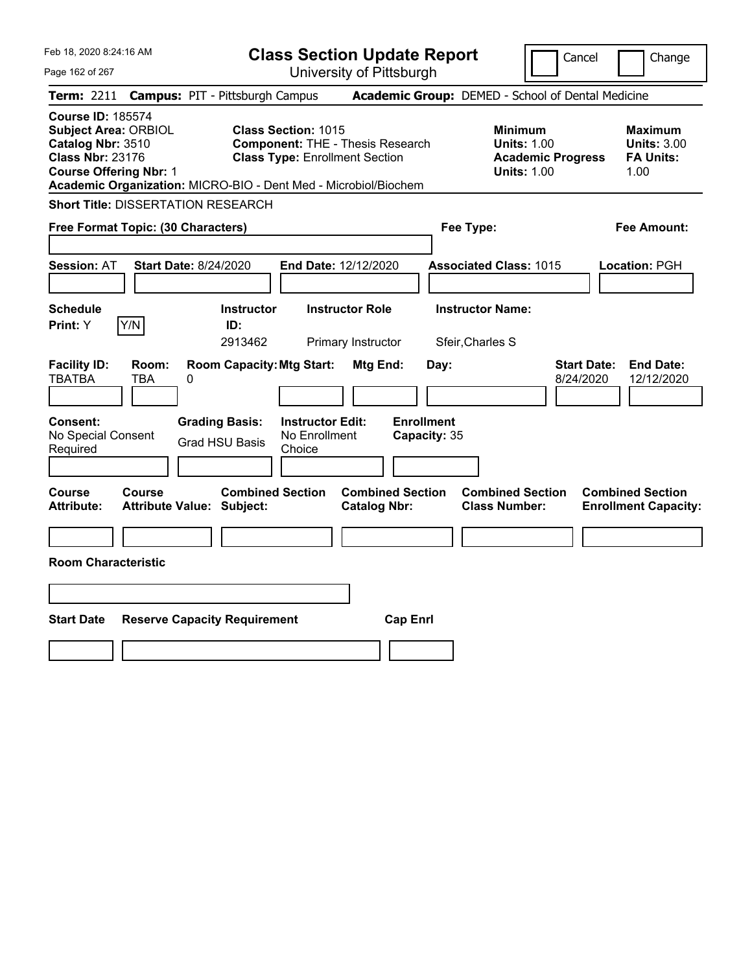| Feb 18, 2020 8:24:16 AM                                                                                                                                                                                     |                                                                                               | <b>Class Section Update Report</b>                                                |                                           |                                                                                        | Cancel<br>Change                                                  |
|-------------------------------------------------------------------------------------------------------------------------------------------------------------------------------------------------------------|-----------------------------------------------------------------------------------------------|-----------------------------------------------------------------------------------|-------------------------------------------|----------------------------------------------------------------------------------------|-------------------------------------------------------------------|
| Page 162 of 267                                                                                                                                                                                             |                                                                                               | University of Pittsburgh                                                          |                                           |                                                                                        |                                                                   |
| <b>Term:</b> 2211                                                                                                                                                                                           | <b>Campus: PIT - Pittsburgh Campus</b>                                                        |                                                                                   |                                           | Academic Group: DEMED - School of Dental Medicine                                      |                                                                   |
| <b>Course ID: 185574</b><br><b>Subject Area: ORBIOL</b><br>Catalog Nbr: 3510<br><b>Class Nbr: 23176</b><br><b>Course Offering Nbr: 1</b><br>Academic Organization: MICRO-BIO - Dent Med - Microbiol/Biochem | <b>Class Section: 1015</b>                                                                    | <b>Component: THE - Thesis Research</b><br><b>Class Type: Enrollment Section</b>  |                                           | <b>Minimum</b><br><b>Units: 1.00</b><br><b>Academic Progress</b><br><b>Units: 1.00</b> | <b>Maximum</b><br><b>Units: 3.00</b><br><b>FA Units:</b><br>1.00  |
| <b>Short Title: DISSERTATION RESEARCH</b>                                                                                                                                                                   |                                                                                               |                                                                                   |                                           |                                                                                        |                                                                   |
| Free Format Topic: (30 Characters)                                                                                                                                                                          |                                                                                               |                                                                                   |                                           | Fee Type:                                                                              | Fee Amount:                                                       |
| <b>Session: AT</b><br><b>Start Date: 8/24/2020</b><br><b>Schedule</b>                                                                                                                                       | <b>Instructor</b>                                                                             | End Date: 12/12/2020<br><b>Instructor Role</b>                                    |                                           | <b>Associated Class: 1015</b><br><b>Instructor Name:</b>                               | Location: PGH                                                     |
| Y/N<br>Print: Y                                                                                                                                                                                             | ID:                                                                                           |                                                                                   |                                           |                                                                                        |                                                                   |
| <b>Facility ID:</b><br>Room:<br><b>TBATBA</b><br>TBA<br>0<br>Consent:<br>No Special Consent                                                                                                                 | 2913462<br><b>Room Capacity: Mtg Start:</b><br><b>Grading Basis:</b><br><b>Grad HSU Basis</b> | Primary Instructor<br><b>Mtg End:</b><br><b>Instructor Edit:</b><br>No Enrollment | Day:<br><b>Enrollment</b><br>Capacity: 35 | Sfeir, Charles S                                                                       | <b>Start Date:</b><br><b>End Date:</b><br>8/24/2020<br>12/12/2020 |
| Required                                                                                                                                                                                                    |                                                                                               | Choice                                                                            |                                           |                                                                                        |                                                                   |
| <b>Course</b><br><b>Course</b><br><b>Attribute:</b><br><b>Attribute Value: Subject:</b><br><b>Room Characteristic</b>                                                                                       | <b>Combined Section</b>                                                                       | <b>Catalog Nbr:</b>                                                               | <b>Combined Section</b>                   | <b>Combined Section</b><br><b>Class Number:</b>                                        | <b>Combined Section</b><br><b>Enrollment Capacity:</b>            |
|                                                                                                                                                                                                             |                                                                                               |                                                                                   |                                           |                                                                                        |                                                                   |
| <b>Start Date</b>                                                                                                                                                                                           | <b>Reserve Capacity Requirement</b>                                                           |                                                                                   | <b>Cap Enrl</b>                           |                                                                                        |                                                                   |
|                                                                                                                                                                                                             |                                                                                               |                                                                                   |                                           |                                                                                        |                                                                   |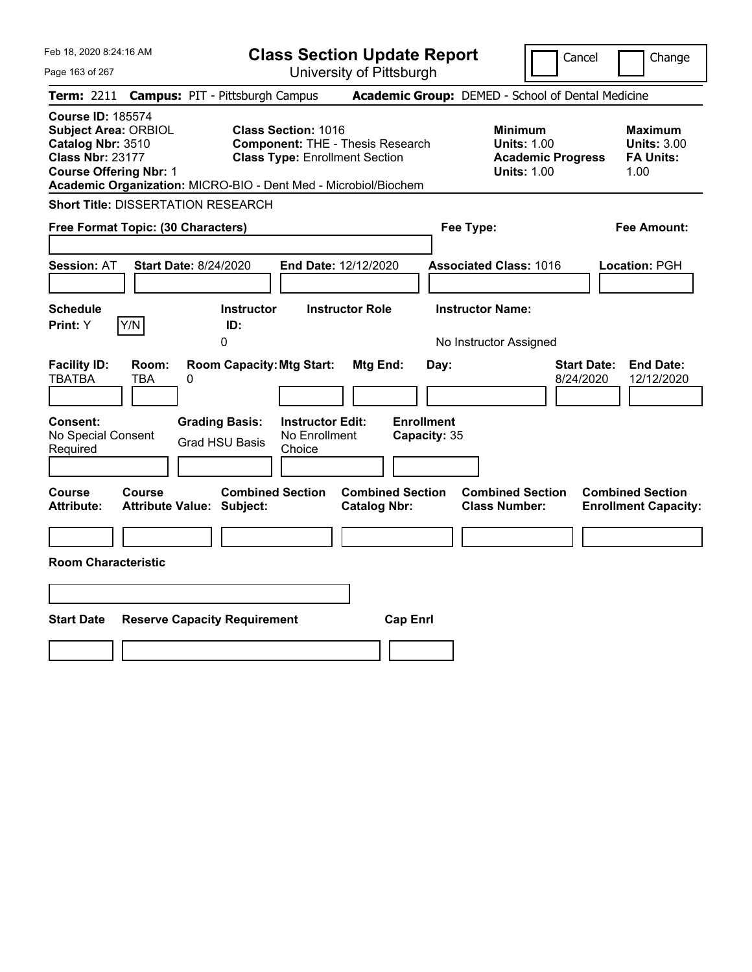| Feb 18, 2020 8:24:16 AM                                                                                                                                                                                     |                                                                                                                                          | <b>Class Section Update Report</b>                           | Cancel                                                                             | Change                                                           |
|-------------------------------------------------------------------------------------------------------------------------------------------------------------------------------------------------------------|------------------------------------------------------------------------------------------------------------------------------------------|--------------------------------------------------------------|------------------------------------------------------------------------------------|------------------------------------------------------------------|
| Page 163 of 267                                                                                                                                                                                             |                                                                                                                                          | University of Pittsburgh                                     |                                                                                    |                                                                  |
| <b>Term:</b> 2211                                                                                                                                                                                           | <b>Campus: PIT - Pittsburgh Campus</b>                                                                                                   |                                                              | Academic Group: DEMED - School of Dental Medicine                                  |                                                                  |
| <b>Course ID: 185574</b><br><b>Subject Area: ORBIOL</b><br>Catalog Nbr: 3510<br><b>Class Nbr: 23177</b><br><b>Course Offering Nbr: 1</b><br>Academic Organization: MICRO-BIO - Dent Med - Microbiol/Biochem | <b>Class Section: 1016</b><br><b>Component: THE - Thesis Research</b><br><b>Class Type: Enrollment Section</b>                           |                                                              | Minimum<br><b>Units: 1.00</b><br><b>Academic Progress</b><br><b>Units: 1.00</b>    | <b>Maximum</b><br><b>Units: 3.00</b><br><b>FA Units:</b><br>1.00 |
| <b>Short Title: DISSERTATION RESEARCH</b>                                                                                                                                                                   |                                                                                                                                          |                                                              |                                                                                    |                                                                  |
| Free Format Topic: (30 Characters)                                                                                                                                                                          |                                                                                                                                          |                                                              | Fee Type:                                                                          | Fee Amount:                                                      |
| <b>Session: AT</b><br><b>Start Date: 8/24/2020</b><br><b>Schedule</b><br>Y/N<br>Print: Y                                                                                                                    | End Date: 12/12/2020<br><b>Instructor</b><br>ID:<br>0                                                                                    | <b>Instructor Role</b>                                       | <b>Associated Class: 1016</b><br><b>Instructor Name:</b><br>No Instructor Assigned | Location: PGH                                                    |
| <b>Facility ID:</b><br>Room:<br><b>TBATBA</b><br>TBA<br>0<br>Consent:<br>No Special Consent<br>Required                                                                                                     | <b>Room Capacity: Mtg Start:</b><br><b>Grading Basis:</b><br><b>Instructor Edit:</b><br>No Enrollment<br><b>Grad HSU Basis</b><br>Choice | <b>Mtg End:</b><br>Day:<br><b>Enrollment</b><br>Capacity: 35 | <b>Start Date:</b><br>8/24/2020                                                    | <b>End Date:</b><br>12/12/2020                                   |
| <b>Course</b><br><b>Course</b><br><b>Attribute:</b><br><b>Attribute Value: Subject:</b><br><b>Room Characteristic</b>                                                                                       | <b>Combined Section</b>                                                                                                                  | <b>Combined Section</b><br><b>Catalog Nbr:</b>               | <b>Combined Section</b><br><b>Class Number:</b>                                    | <b>Combined Section</b><br><b>Enrollment Capacity:</b>           |
|                                                                                                                                                                                                             |                                                                                                                                          |                                                              |                                                                                    |                                                                  |
|                                                                                                                                                                                                             |                                                                                                                                          |                                                              |                                                                                    |                                                                  |
| <b>Start Date</b>                                                                                                                                                                                           | <b>Reserve Capacity Requirement</b>                                                                                                      | <b>Cap Enrl</b>                                              |                                                                                    |                                                                  |
|                                                                                                                                                                                                             |                                                                                                                                          |                                                              |                                                                                    |                                                                  |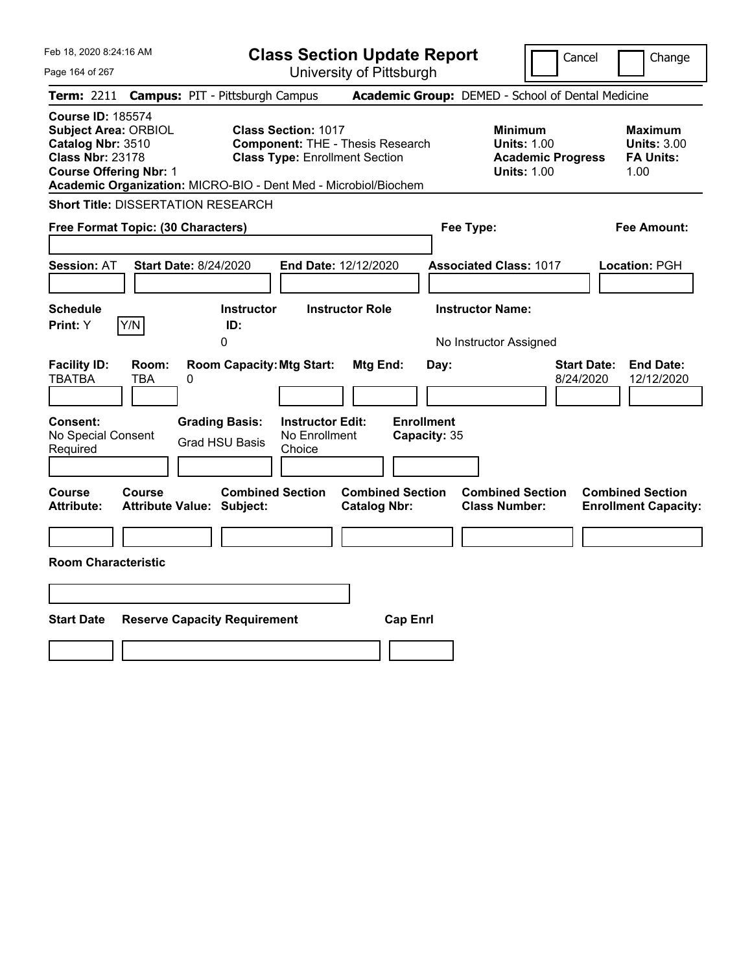| Feb 18, 2020 8:24:16 AM                                                                                                                                                                                     | <b>Class Section Update Report</b>                                                                                                       |                                                              | Cancel                                                                             | Change                                                           |
|-------------------------------------------------------------------------------------------------------------------------------------------------------------------------------------------------------------|------------------------------------------------------------------------------------------------------------------------------------------|--------------------------------------------------------------|------------------------------------------------------------------------------------|------------------------------------------------------------------|
| Page 164 of 267                                                                                                                                                                                             | University of Pittsburgh                                                                                                                 |                                                              |                                                                                    |                                                                  |
| <b>Term:</b> 2211                                                                                                                                                                                           | <b>Campus: PIT - Pittsburgh Campus</b>                                                                                                   | Academic Group: DEMED - School of Dental Medicine            |                                                                                    |                                                                  |
| <b>Course ID: 185574</b><br><b>Subject Area: ORBIOL</b><br>Catalog Nbr: 3510<br><b>Class Nbr: 23178</b><br><b>Course Offering Nbr: 1</b><br>Academic Organization: MICRO-BIO - Dent Med - Microbiol/Biochem | <b>Class Section: 1017</b><br><b>Component: THE - Thesis Research</b><br><b>Class Type: Enrollment Section</b>                           |                                                              | Minimum<br><b>Units: 1.00</b><br><b>Academic Progress</b><br><b>Units: 1.00</b>    | <b>Maximum</b><br><b>Units: 3.00</b><br><b>FA Units:</b><br>1.00 |
| <b>Short Title: DISSERTATION RESEARCH</b>                                                                                                                                                                   |                                                                                                                                          |                                                              |                                                                                    |                                                                  |
| Free Format Topic: (30 Characters)                                                                                                                                                                          |                                                                                                                                          | Fee Type:                                                    |                                                                                    | Fee Amount:                                                      |
| <b>Session: AT</b><br><b>Start Date: 8/24/2020</b><br><b>Schedule</b><br>Y/N<br>Print: Y                                                                                                                    | End Date: 12/12/2020<br><b>Instructor Role</b><br><b>Instructor</b><br>ID:<br>0                                                          |                                                              | <b>Associated Class: 1017</b><br><b>Instructor Name:</b><br>No Instructor Assigned | Location: PGH                                                    |
| <b>Facility ID:</b><br>Room:<br><b>TBATBA</b><br>TBA<br>0<br>Consent:<br>No Special Consent<br>Required                                                                                                     | <b>Room Capacity: Mtg Start:</b><br><b>Grading Basis:</b><br><b>Instructor Edit:</b><br>No Enrollment<br><b>Grad HSU Basis</b><br>Choice | <b>Mtg End:</b><br>Day:<br><b>Enrollment</b><br>Capacity: 35 | <b>Start Date:</b><br>8/24/2020                                                    | <b>End Date:</b><br>12/12/2020                                   |
| <b>Course</b><br><b>Course</b><br><b>Attribute:</b><br><b>Attribute Value: Subject:</b><br><b>Room Characteristic</b>                                                                                       | <b>Combined Section</b>                                                                                                                  | <b>Combined Section</b><br><b>Catalog Nbr:</b>               | <b>Combined Section</b><br><b>Class Number:</b>                                    | <b>Combined Section</b><br><b>Enrollment Capacity:</b>           |
|                                                                                                                                                                                                             |                                                                                                                                          |                                                              |                                                                                    |                                                                  |
|                                                                                                                                                                                                             |                                                                                                                                          |                                                              |                                                                                    |                                                                  |
| <b>Start Date</b><br><b>Reserve Capacity Requirement</b>                                                                                                                                                    |                                                                                                                                          | <b>Cap Enrl</b>                                              |                                                                                    |                                                                  |
|                                                                                                                                                                                                             |                                                                                                                                          |                                                              |                                                                                    |                                                                  |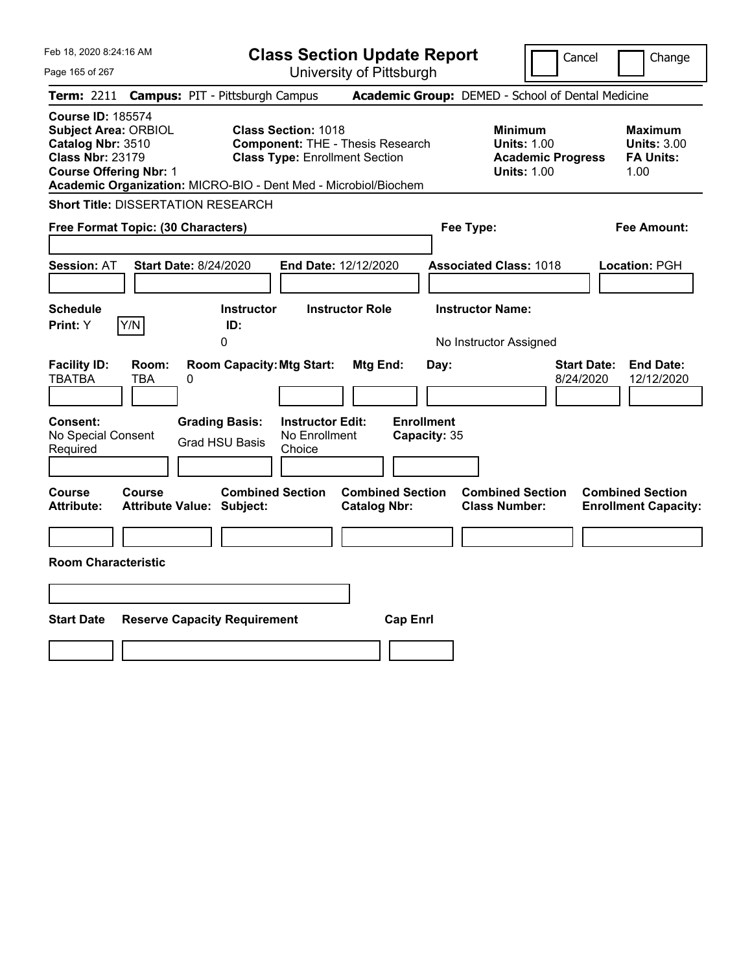| Feb 18, 2020 8:24:16 AM                                                                                                                                                                                     |                                                                                                                                          | <b>Class Section Update Report</b>                           | Cancel                                                                             | Change                                                           |
|-------------------------------------------------------------------------------------------------------------------------------------------------------------------------------------------------------------|------------------------------------------------------------------------------------------------------------------------------------------|--------------------------------------------------------------|------------------------------------------------------------------------------------|------------------------------------------------------------------|
| Page 165 of 267                                                                                                                                                                                             |                                                                                                                                          | University of Pittsburgh                                     |                                                                                    |                                                                  |
| <b>Term:</b> 2211                                                                                                                                                                                           | <b>Campus: PIT - Pittsburgh Campus</b>                                                                                                   |                                                              | Academic Group: DEMED - School of Dental Medicine                                  |                                                                  |
| <b>Course ID: 185574</b><br><b>Subject Area: ORBIOL</b><br>Catalog Nbr: 3510<br><b>Class Nbr: 23179</b><br><b>Course Offering Nbr: 1</b><br>Academic Organization: MICRO-BIO - Dent Med - Microbiol/Biochem | <b>Class Section: 1018</b><br><b>Component: THE - Thesis Research</b><br><b>Class Type: Enrollment Section</b>                           |                                                              | Minimum<br><b>Units: 1.00</b><br><b>Academic Progress</b><br><b>Units: 1.00</b>    | <b>Maximum</b><br><b>Units: 3.00</b><br><b>FA Units:</b><br>1.00 |
| <b>Short Title: DISSERTATION RESEARCH</b>                                                                                                                                                                   |                                                                                                                                          |                                                              |                                                                                    |                                                                  |
| Free Format Topic: (30 Characters)                                                                                                                                                                          |                                                                                                                                          |                                                              | Fee Type:                                                                          | Fee Amount:                                                      |
| <b>Session: AT</b><br><b>Start Date: 8/24/2020</b><br><b>Schedule</b><br>Y/N<br>Print: Y                                                                                                                    | End Date: 12/12/2020<br><b>Instructor</b><br>ID:<br>0                                                                                    | <b>Instructor Role</b>                                       | <b>Associated Class: 1018</b><br><b>Instructor Name:</b><br>No Instructor Assigned | Location: PGH                                                    |
| <b>Facility ID:</b><br>Room:<br><b>TBATBA</b><br>TBA<br>0<br>Consent:<br>No Special Consent<br>Required                                                                                                     | <b>Room Capacity: Mtg Start:</b><br><b>Grading Basis:</b><br><b>Instructor Edit:</b><br>No Enrollment<br><b>Grad HSU Basis</b><br>Choice | <b>Mtg End:</b><br>Day:<br><b>Enrollment</b><br>Capacity: 35 | <b>Start Date:</b><br>8/24/2020                                                    | <b>End Date:</b><br>12/12/2020                                   |
| <b>Course</b><br><b>Course</b><br><b>Attribute:</b><br><b>Attribute Value: Subject:</b><br><b>Room Characteristic</b>                                                                                       | <b>Combined Section</b>                                                                                                                  | <b>Combined Section</b><br><b>Catalog Nbr:</b>               | <b>Combined Section</b><br><b>Class Number:</b>                                    | <b>Combined Section</b><br><b>Enrollment Capacity:</b>           |
|                                                                                                                                                                                                             |                                                                                                                                          |                                                              |                                                                                    |                                                                  |
|                                                                                                                                                                                                             |                                                                                                                                          |                                                              |                                                                                    |                                                                  |
| <b>Start Date</b>                                                                                                                                                                                           | <b>Reserve Capacity Requirement</b>                                                                                                      | <b>Cap Enrl</b>                                              |                                                                                    |                                                                  |
|                                                                                                                                                                                                             |                                                                                                                                          |                                                              |                                                                                    |                                                                  |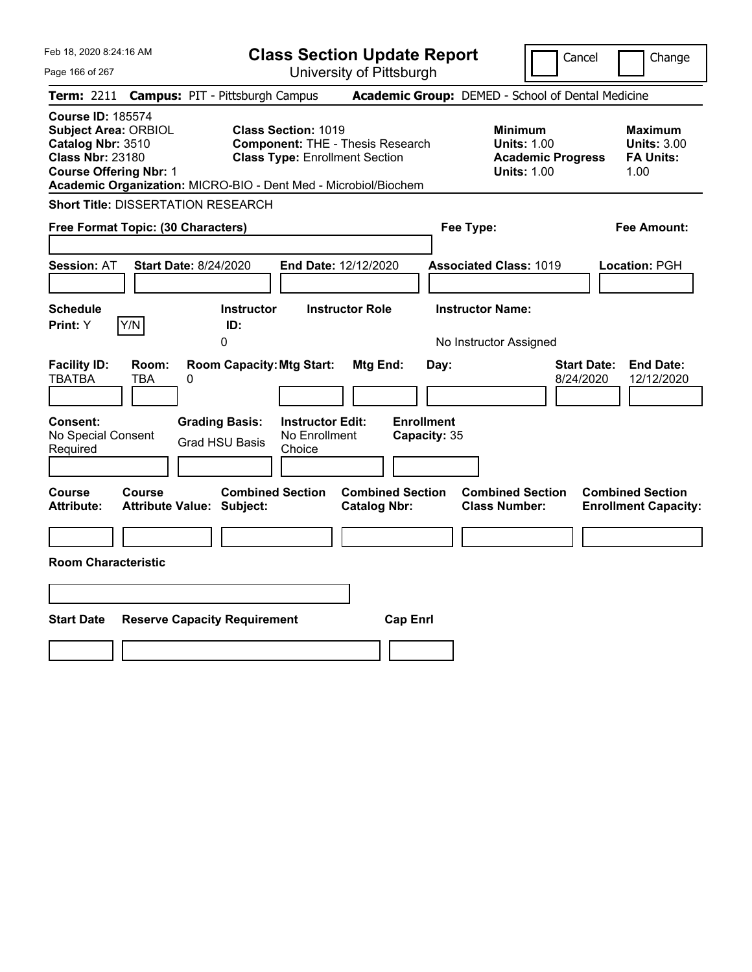| Feb 18, 2020 8:24:16 AM                                                                                                                                                                                     | <b>Class Section Update Report</b>                                                                                                                   |                                                                                    | Cancel                                                                                 | Change                                                           |
|-------------------------------------------------------------------------------------------------------------------------------------------------------------------------------------------------------------|------------------------------------------------------------------------------------------------------------------------------------------------------|------------------------------------------------------------------------------------|----------------------------------------------------------------------------------------|------------------------------------------------------------------|
| Page 166 of 267                                                                                                                                                                                             | University of Pittsburgh                                                                                                                             |                                                                                    |                                                                                        |                                                                  |
| <b>Term:</b> 2211                                                                                                                                                                                           | <b>Campus: PIT - Pittsburgh Campus</b>                                                                                                               | Academic Group: DEMED - School of Dental Medicine                                  |                                                                                        |                                                                  |
| <b>Course ID: 185574</b><br><b>Subject Area: ORBIOL</b><br>Catalog Nbr: 3510<br><b>Class Nbr: 23180</b><br><b>Course Offering Nbr: 1</b><br>Academic Organization: MICRO-BIO - Dent Med - Microbiol/Biochem | <b>Class Section: 1019</b><br><b>Component: THE - Thesis Research</b><br><b>Class Type: Enrollment Section</b>                                       |                                                                                    | <b>Minimum</b><br><b>Units: 1.00</b><br><b>Academic Progress</b><br><b>Units: 1.00</b> | <b>Maximum</b><br><b>Units: 3.00</b><br><b>FA Units:</b><br>1.00 |
| <b>Short Title: DISSERTATION RESEARCH</b>                                                                                                                                                                   |                                                                                                                                                      |                                                                                    |                                                                                        |                                                                  |
| Free Format Topic: (30 Characters)                                                                                                                                                                          |                                                                                                                                                      | Fee Type:                                                                          |                                                                                        | Fee Amount:                                                      |
| <b>Start Date: 8/24/2020</b><br><b>Session: AT</b><br><b>Schedule</b><br>Y/N<br><b>Print:</b> Y                                                                                                             | End Date: 12/12/2020<br><b>Instructor</b><br><b>Instructor Role</b><br>ID:<br>0                                                                      | <b>Associated Class: 1019</b><br><b>Instructor Name:</b><br>No Instructor Assigned |                                                                                        | Location: PGH                                                    |
| <b>Facility ID:</b><br>Room:<br><b>TBATBA</b><br><b>TBA</b><br>0<br><b>Consent:</b><br>No Special Consent<br>Required                                                                                       | <b>Room Capacity: Mtg Start:</b><br>Mtg End:<br><b>Instructor Edit:</b><br><b>Grading Basis:</b><br>No Enrollment<br><b>Grad HSU Basis</b><br>Choice | Day:<br><b>Enrollment</b><br>Capacity: 35                                          | <b>Start Date:</b><br>8/24/2020                                                        | <b>End Date:</b><br>12/12/2020                                   |
| Course<br><b>Course</b><br><b>Attribute:</b><br><b>Attribute Value: Subject:</b><br><b>Room Characteristic</b>                                                                                              | <b>Combined Section</b><br><b>Catalog Nbr:</b>                                                                                                       | <b>Combined Section</b><br><b>Class Number:</b>                                    | <b>Combined Section</b>                                                                | <b>Combined Section</b><br><b>Enrollment Capacity:</b>           |
|                                                                                                                                                                                                             |                                                                                                                                                      |                                                                                    |                                                                                        |                                                                  |
| <b>Start Date</b><br><b>Reserve Capacity Requirement</b>                                                                                                                                                    |                                                                                                                                                      | <b>Cap Enrl</b>                                                                    |                                                                                        |                                                                  |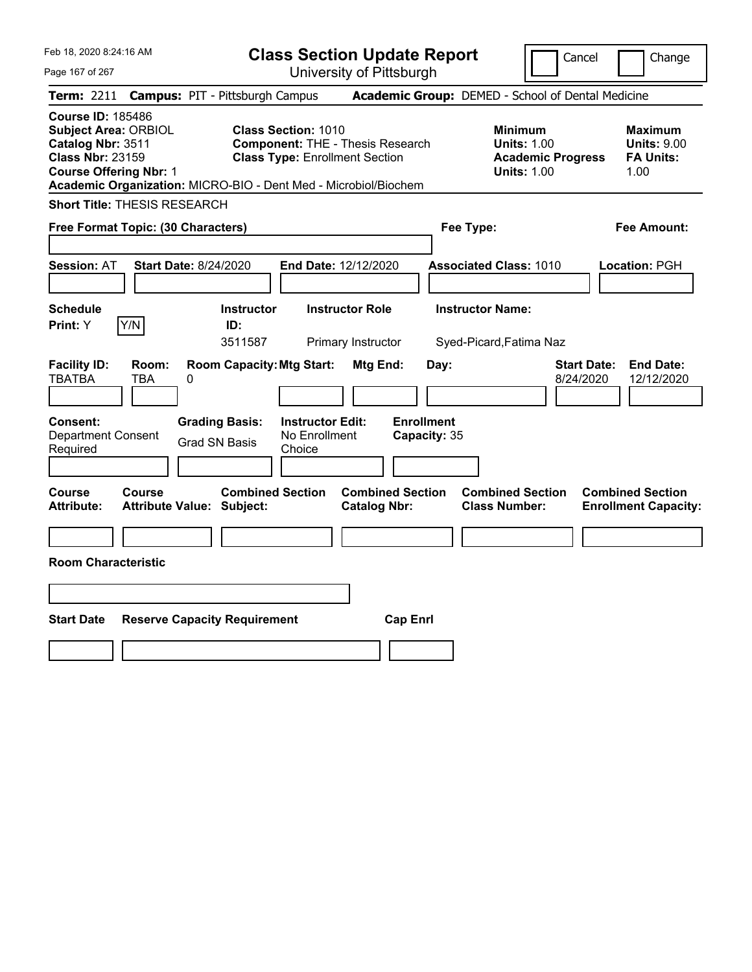| Feb 18, 2020 8:24:16 AM                                                                                                                  | <b>Class Section Update Report</b>                                                                                                                                                |                                                                                        | Cancel<br>Change                                                  |
|------------------------------------------------------------------------------------------------------------------------------------------|-----------------------------------------------------------------------------------------------------------------------------------------------------------------------------------|----------------------------------------------------------------------------------------|-------------------------------------------------------------------|
| Page 167 of 267                                                                                                                          | University of Pittsburgh                                                                                                                                                          |                                                                                        |                                                                   |
| <b>Campus: PIT - Pittsburgh Campus</b><br><b>Term: 2211</b>                                                                              |                                                                                                                                                                                   | Academic Group: DEMED - School of Dental Medicine                                      |                                                                   |
| <b>Course ID: 185486</b><br><b>Subject Area: ORBIOL</b><br>Catalog Nbr: 3511<br><b>Class Nbr: 23159</b><br><b>Course Offering Nbr: 1</b> | <b>Class Section: 1010</b><br><b>Component: THE - Thesis Research</b><br><b>Class Type: Enrollment Section</b><br>Academic Organization: MICRO-BIO - Dent Med - Microbiol/Biochem | <b>Minimum</b><br><b>Units: 1.00</b><br><b>Academic Progress</b><br><b>Units: 1.00</b> | <b>Maximum</b><br><b>Units: 9.00</b><br><b>FA Units:</b><br>1.00  |
| <b>Short Title: THESIS RESEARCH</b>                                                                                                      |                                                                                                                                                                                   |                                                                                        |                                                                   |
| Free Format Topic: (30 Characters)                                                                                                       |                                                                                                                                                                                   | Fee Type:                                                                              | Fee Amount:                                                       |
| <b>Session: AT</b><br><b>Start Date: 8/24/2020</b>                                                                                       | End Date: 12/12/2020                                                                                                                                                              | <b>Associated Class: 1010</b>                                                          | Location: PGH                                                     |
| <b>Schedule</b><br>Y/N<br>Print: Y                                                                                                       | <b>Instructor Role</b><br><b>Instructor</b><br>ID:                                                                                                                                | <b>Instructor Name:</b>                                                                |                                                                   |
|                                                                                                                                          | 3511587<br>Primary Instructor                                                                                                                                                     | Syed-Picard, Fatima Naz                                                                |                                                                   |
| <b>Facility ID:</b><br>Room:<br><b>TBATBA</b><br>TBA<br>0<br><b>Consent:</b><br><b>Grading Basis:</b>                                    | <b>Room Capacity: Mtg Start:</b><br>Mtg End:<br><b>Enrollment</b><br><b>Instructor Edit:</b>                                                                                      | Day:                                                                                   | <b>Start Date:</b><br><b>End Date:</b><br>8/24/2020<br>12/12/2020 |
| Department Consent<br><b>Grad SN Basis</b><br>Required                                                                                   | No Enrollment<br>Capacity: 35<br>Choice                                                                                                                                           |                                                                                        |                                                                   |
| Course<br>Course<br><b>Attribute Value: Subject:</b><br><b>Attribute:</b>                                                                | <b>Combined Section</b><br><b>Combined Section</b><br><b>Catalog Nbr:</b>                                                                                                         | <b>Combined Section</b><br><b>Class Number:</b>                                        | <b>Combined Section</b><br><b>Enrollment Capacity:</b>            |
|                                                                                                                                          |                                                                                                                                                                                   |                                                                                        |                                                                   |
| <b>Room Characteristic</b>                                                                                                               |                                                                                                                                                                                   |                                                                                        |                                                                   |
|                                                                                                                                          |                                                                                                                                                                                   |                                                                                        |                                                                   |
| <b>Start Date</b><br><b>Reserve Capacity Requirement</b>                                                                                 | <b>Cap Enrl</b>                                                                                                                                                                   |                                                                                        |                                                                   |
|                                                                                                                                          |                                                                                                                                                                                   |                                                                                        |                                                                   |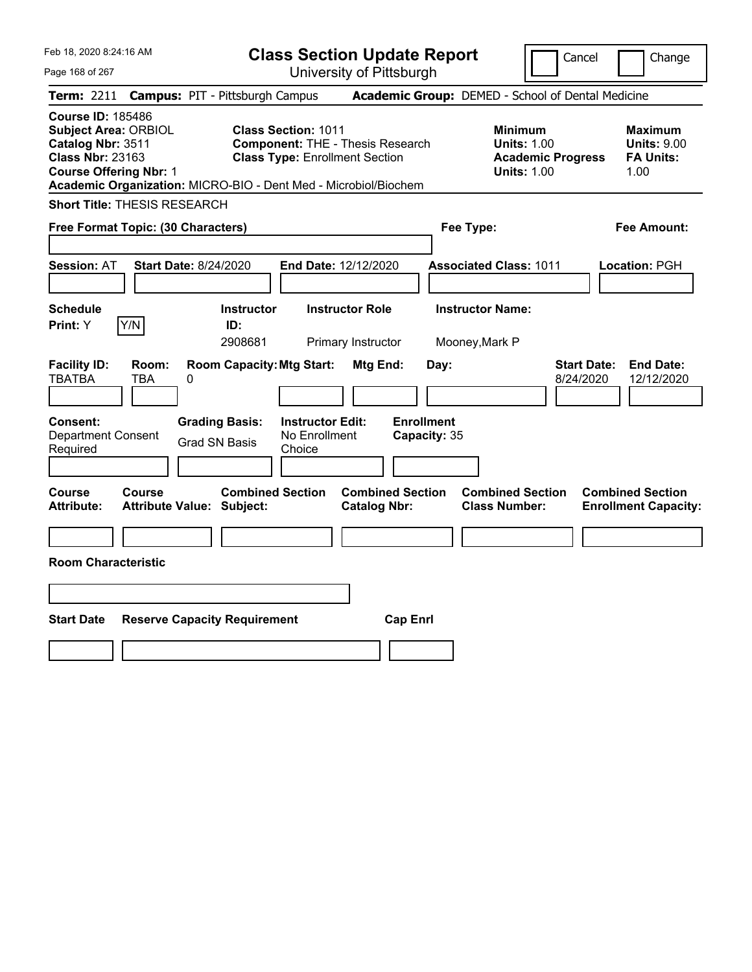| Feb 18, 2020 8:24:16 AM                                                                                                                      | <b>Class Section Update Report</b>                                                                                                                                                | Cancel                                                                                 | Change                                                           |
|----------------------------------------------------------------------------------------------------------------------------------------------|-----------------------------------------------------------------------------------------------------------------------------------------------------------------------------------|----------------------------------------------------------------------------------------|------------------------------------------------------------------|
| Page 168 of 267                                                                                                                              | University of Pittsburgh                                                                                                                                                          |                                                                                        |                                                                  |
| <b>Term: 2211</b><br><b>Campus: PIT - Pittsburgh Campus</b>                                                                                  |                                                                                                                                                                                   | Academic Group: DEMED - School of Dental Medicine                                      |                                                                  |
| <b>Course ID: 185486</b><br><b>Subject Area: ORBIOL</b><br>Catalog Nbr: 3511<br><b>Class Nbr: 23163</b><br><b>Course Offering Nbr: 1</b>     | <b>Class Section: 1011</b><br><b>Component: THE - Thesis Research</b><br><b>Class Type: Enrollment Section</b><br>Academic Organization: MICRO-BIO - Dent Med - Microbiol/Biochem | <b>Minimum</b><br><b>Units: 1.00</b><br><b>Academic Progress</b><br><b>Units: 1.00</b> | <b>Maximum</b><br><b>Units: 9.00</b><br><b>FA Units:</b><br>1.00 |
| <b>Short Title: THESIS RESEARCH</b>                                                                                                          |                                                                                                                                                                                   |                                                                                        |                                                                  |
| Free Format Topic: (30 Characters)                                                                                                           |                                                                                                                                                                                   | Fee Type:                                                                              | Fee Amount:                                                      |
| Session: AT<br><b>Start Date: 8/24/2020</b>                                                                                                  | End Date: 12/12/2020                                                                                                                                                              | <b>Associated Class: 1011</b>                                                          | Location: PGH                                                    |
| <b>Schedule</b>                                                                                                                              | <b>Instructor Role</b><br><b>Instructor</b>                                                                                                                                       | <b>Instructor Name:</b>                                                                |                                                                  |
| Y/N<br>Print: Y                                                                                                                              | ID:<br>2908681<br>Primary Instructor                                                                                                                                              | Mooney, Mark P                                                                         |                                                                  |
| <b>Facility ID:</b><br>Room:<br>TBATBA<br>TBA<br>0<br>Consent:<br><b>Grading Basis:</b><br><b>Department Consent</b><br><b>Grad SN Basis</b> | <b>Room Capacity: Mtg Start:</b><br>Mtg End:<br>Day:<br><b>Enrollment</b><br><b>Instructor Edit:</b><br>No Enrollment<br>Capacity: 35                                             | <b>Start Date:</b><br>8/24/2020                                                        | <b>End Date:</b><br>12/12/2020                                   |
| Required                                                                                                                                     | Choice                                                                                                                                                                            |                                                                                        |                                                                  |
| Course<br>Course<br><b>Attribute:</b><br><b>Attribute Value: Subject:</b><br><b>Room Characteristic</b>                                      | <b>Combined Section</b><br><b>Combined Section</b><br><b>Catalog Nbr:</b>                                                                                                         | <b>Combined Section</b><br><b>Class Number:</b>                                        | <b>Combined Section</b><br><b>Enrollment Capacity:</b>           |
|                                                                                                                                              |                                                                                                                                                                                   |                                                                                        |                                                                  |
| <b>Start Date</b><br><b>Reserve Capacity Requirement</b>                                                                                     | <b>Cap Enrl</b>                                                                                                                                                                   |                                                                                        |                                                                  |
|                                                                                                                                              |                                                                                                                                                                                   |                                                                                        |                                                                  |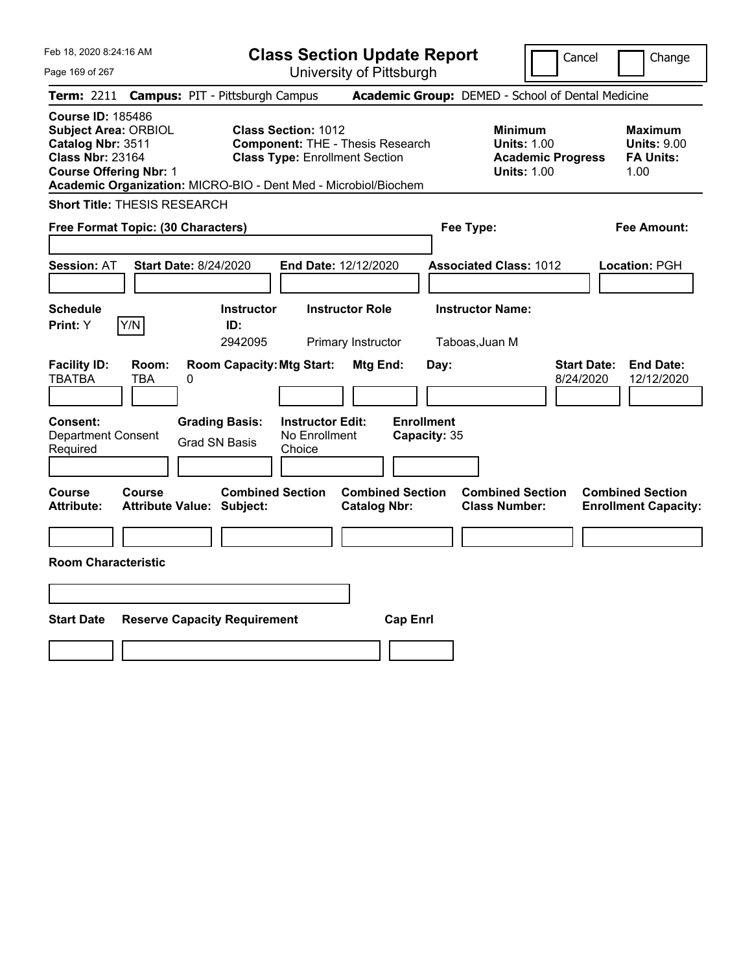| Feb 18, 2020 8:24:16 AM                                                                                                                                                                                     |                                                                                                                | <b>Class Section Update Report</b>             | Cancel                                                                                 | Change                                                           |
|-------------------------------------------------------------------------------------------------------------------------------------------------------------------------------------------------------------|----------------------------------------------------------------------------------------------------------------|------------------------------------------------|----------------------------------------------------------------------------------------|------------------------------------------------------------------|
| Page 169 of 267                                                                                                                                                                                             |                                                                                                                | University of Pittsburgh                       |                                                                                        |                                                                  |
| Term: 2211                                                                                                                                                                                                  | <b>Campus: PIT - Pittsburgh Campus</b>                                                                         |                                                | Academic Group: DEMED - School of Dental Medicine                                      |                                                                  |
| <b>Course ID: 185486</b><br><b>Subject Area: ORBIOL</b><br>Catalog Nbr: 3511<br><b>Class Nbr: 23164</b><br><b>Course Offering Nbr: 1</b><br>Academic Organization: MICRO-BIO - Dent Med - Microbiol/Biochem | <b>Class Section: 1012</b><br><b>Component: THE - Thesis Research</b><br><b>Class Type: Enrollment Section</b> |                                                | <b>Minimum</b><br><b>Units: 1.00</b><br><b>Academic Progress</b><br><b>Units: 1.00</b> | <b>Maximum</b><br><b>Units: 9.00</b><br><b>FA Units:</b><br>1.00 |
| <b>Short Title: THESIS RESEARCH</b>                                                                                                                                                                         |                                                                                                                |                                                |                                                                                        |                                                                  |
| Free Format Topic: (30 Characters)                                                                                                                                                                          |                                                                                                                |                                                | Fee Type:                                                                              | Fee Amount:                                                      |
| <b>Start Date: 8/24/2020</b><br><b>Session: AT</b><br><b>Schedule</b>                                                                                                                                       | <b>Instructor</b>                                                                                              | End Date: 12/12/2020<br><b>Instructor Role</b> | <b>Associated Class: 1012</b><br><b>Instructor Name:</b>                               | Location: PGH                                                    |
| Y/N<br>Print: Y                                                                                                                                                                                             | ID:                                                                                                            |                                                |                                                                                        |                                                                  |
| <b>Facility ID:</b><br>Room:<br><b>TBATBA</b><br>TBA<br>0                                                                                                                                                   | 2942095<br><b>Room Capacity: Mtg Start:</b>                                                                    | Primary Instructor<br>Mtg End:<br>Day:         | Taboas, Juan M<br><b>Start Date:</b><br>8/24/2020                                      | <b>End Date:</b><br>12/12/2020                                   |
| <b>Consent:</b><br><b>Department Consent</b><br>Required                                                                                                                                                    | <b>Instructor Edit:</b><br><b>Grading Basis:</b><br>No Enrollment<br><b>Grad SN Basis</b><br>Choice            | <b>Enrollment</b><br>Capacity: 35              |                                                                                        |                                                                  |
| <b>Course</b><br><b>Course</b><br><b>Attribute:</b><br><b>Attribute Value: Subject:</b>                                                                                                                     | <b>Combined Section</b>                                                                                        | <b>Combined Section</b><br><b>Catalog Nbr:</b> | <b>Combined Section</b><br><b>Class Number:</b>                                        | <b>Combined Section</b><br><b>Enrollment Capacity:</b>           |
|                                                                                                                                                                                                             |                                                                                                                |                                                |                                                                                        |                                                                  |
| <b>Room Characteristic</b>                                                                                                                                                                                  |                                                                                                                |                                                |                                                                                        |                                                                  |
|                                                                                                                                                                                                             |                                                                                                                |                                                |                                                                                        |                                                                  |
| <b>Start Date</b>                                                                                                                                                                                           | <b>Reserve Capacity Requirement</b>                                                                            | <b>Cap Enrl</b>                                |                                                                                        |                                                                  |
|                                                                                                                                                                                                             |                                                                                                                |                                                |                                                                                        |                                                                  |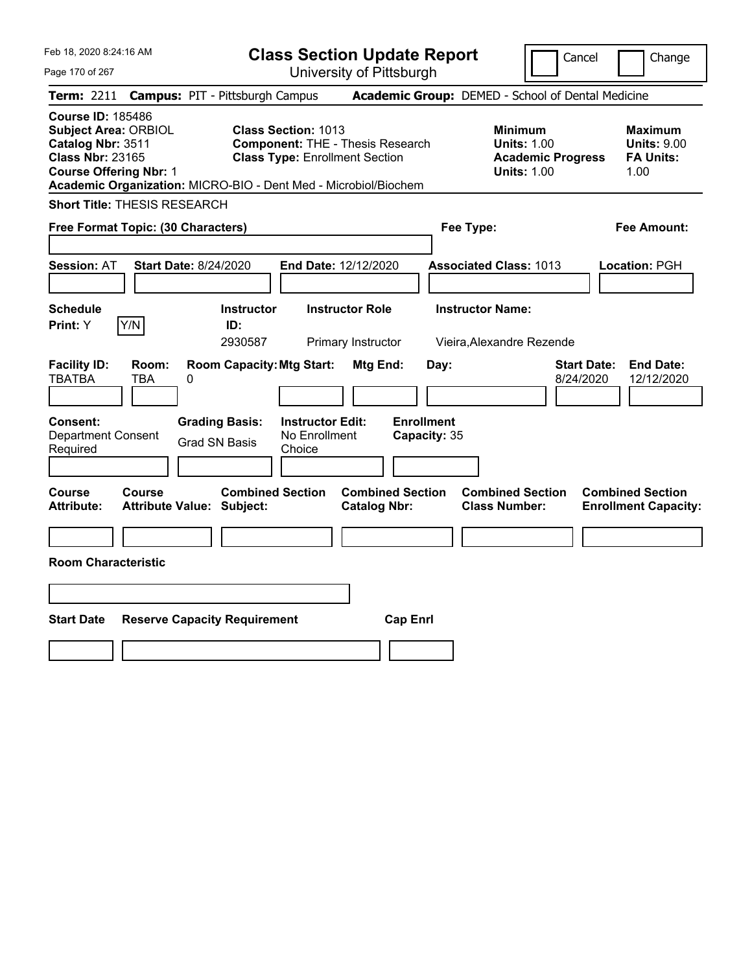| Feb 18, 2020 8:24:16 AM                                                                                                                  | <b>Class Section Update Report</b>                                                                                                                                         | Cancel<br>Change                                                                                                                                    |
|------------------------------------------------------------------------------------------------------------------------------------------|----------------------------------------------------------------------------------------------------------------------------------------------------------------------------|-----------------------------------------------------------------------------------------------------------------------------------------------------|
| Page 170 of 267                                                                                                                          | University of Pittsburgh                                                                                                                                                   |                                                                                                                                                     |
| <b>Campus: PIT - Pittsburgh Campus</b><br>Term: 2211                                                                                     |                                                                                                                                                                            | Academic Group: DEMED - School of Dental Medicine                                                                                                   |
| <b>Course ID: 185486</b><br><b>Subject Area: ORBIOL</b><br>Catalog Nbr: 3511<br><b>Class Nbr: 23165</b><br><b>Course Offering Nbr: 1</b> | Class Section: 1013<br><b>Component: THE - Thesis Research</b><br><b>Class Type: Enrollment Section</b><br>Academic Organization: MICRO-BIO - Dent Med - Microbiol/Biochem | <b>Minimum</b><br>Maximum<br><b>Units: 1.00</b><br><b>Units: 9.00</b><br><b>FA Units:</b><br><b>Academic Progress</b><br><b>Units: 1.00</b><br>1.00 |
| <b>Short Title: THESIS RESEARCH</b>                                                                                                      |                                                                                                                                                                            |                                                                                                                                                     |
| Free Format Topic: (30 Characters)                                                                                                       | Fee Type:                                                                                                                                                                  | Fee Amount:                                                                                                                                         |
| <b>Start Date: 8/24/2020</b><br>Session: AT<br><b>Schedule</b>                                                                           | End Date: 12/12/2020<br><b>Instructor Role</b><br><b>Instructor</b>                                                                                                        | <b>Associated Class: 1013</b><br>Location: PGH<br><b>Instructor Name:</b>                                                                           |
| Y/N<br>Print: Y                                                                                                                          | ID:<br>2930587<br>Primary Instructor                                                                                                                                       | Vieira, Alexandre Rezende                                                                                                                           |
| <b>Facility ID:</b><br>Room:<br><b>TBATBA</b><br>TBA<br>0<br><b>Grading Basis:</b><br><b>Consent:</b><br><b>Department Consent</b>       | <b>Room Capacity: Mtg Start:</b><br>Mtg End:<br>Day:<br><b>Enrollment</b><br><b>Instructor Edit:</b><br>No Enrollment<br>Capacity: 35                                      | <b>End Date:</b><br><b>Start Date:</b><br>8/24/2020<br>12/12/2020                                                                                   |
| <b>Grad SN Basis</b><br>Required                                                                                                         | Choice                                                                                                                                                                     |                                                                                                                                                     |
| Course<br>Course<br><b>Attribute:</b><br><b>Attribute Value: Subject:</b>                                                                | <b>Combined Section</b><br><b>Combined Section</b><br><b>Catalog Nbr:</b>                                                                                                  | <b>Combined Section</b><br><b>Combined Section</b><br><b>Class Number:</b><br><b>Enrollment Capacity:</b>                                           |
|                                                                                                                                          |                                                                                                                                                                            |                                                                                                                                                     |
| <b>Room Characteristic</b>                                                                                                               |                                                                                                                                                                            |                                                                                                                                                     |
|                                                                                                                                          |                                                                                                                                                                            |                                                                                                                                                     |
| <b>Start Date</b><br><b>Reserve Capacity Requirement</b>                                                                                 | <b>Cap Enrl</b>                                                                                                                                                            |                                                                                                                                                     |
|                                                                                                                                          |                                                                                                                                                                            |                                                                                                                                                     |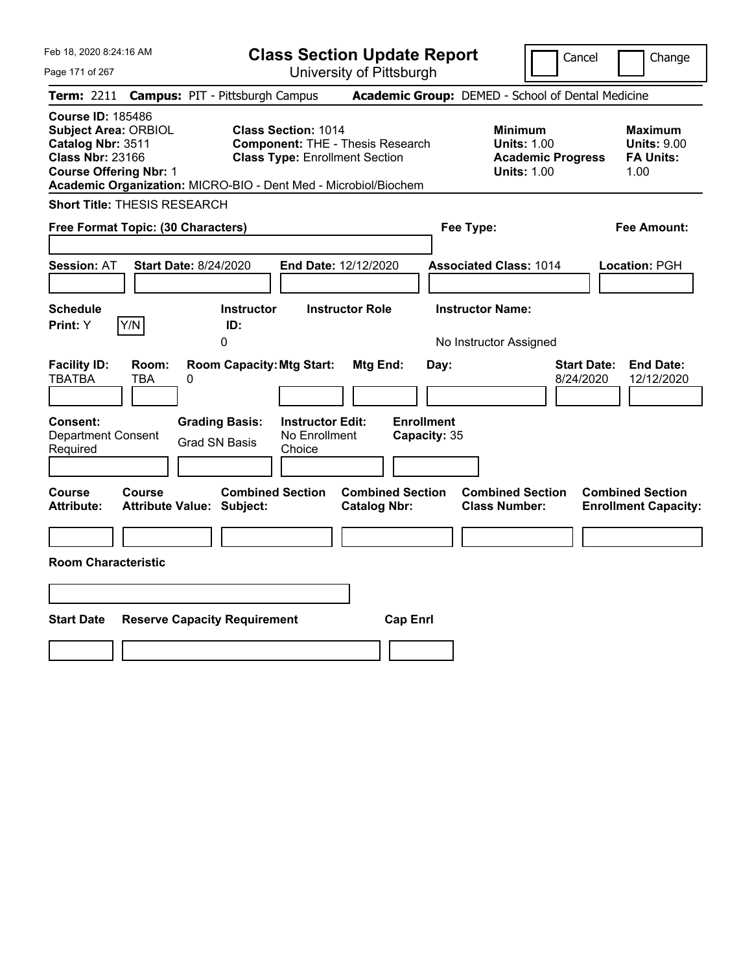| Feb 18, 2020 8:24:16 AM                                                                                                                                                                                     | <b>Class Section Update Report</b>                                                                             |                                                                            | Change<br>Cancel                                                                                                                                           |
|-------------------------------------------------------------------------------------------------------------------------------------------------------------------------------------------------------------|----------------------------------------------------------------------------------------------------------------|----------------------------------------------------------------------------|------------------------------------------------------------------------------------------------------------------------------------------------------------|
| Page 171 of 267                                                                                                                                                                                             | University of Pittsburgh                                                                                       |                                                                            |                                                                                                                                                            |
| Term: 2211                                                                                                                                                                                                  | <b>Campus: PIT - Pittsburgh Campus</b>                                                                         | Academic Group: DEMED - School of Dental Medicine                          |                                                                                                                                                            |
| <b>Course ID: 185486</b><br><b>Subject Area: ORBIOL</b><br>Catalog Nbr: 3511<br><b>Class Nbr: 23166</b><br><b>Course Offering Nbr: 1</b><br>Academic Organization: MICRO-BIO - Dent Med - Microbiol/Biochem | <b>Class Section: 1014</b><br><b>Component: THE - Thesis Research</b><br><b>Class Type: Enrollment Section</b> |                                                                            | <b>Minimum</b><br><b>Maximum</b><br><b>Units: 1.00</b><br><b>Units: 9.00</b><br><b>FA Units:</b><br><b>Academic Progress</b><br><b>Units: 1.00</b><br>1.00 |
| <b>Short Title: THESIS RESEARCH</b>                                                                                                                                                                         |                                                                                                                |                                                                            |                                                                                                                                                            |
| Free Format Topic: (30 Characters)                                                                                                                                                                          |                                                                                                                | Fee Type:                                                                  | Fee Amount:                                                                                                                                                |
| <b>Start Date: 8/24/2020</b><br><b>Session: AT</b>                                                                                                                                                          | <b>End Date: 12/12/2020</b>                                                                                    | <b>Associated Class: 1014</b>                                              | Location: PGH                                                                                                                                              |
| <b>Schedule</b><br>Y/N<br><b>Print: Y</b>                                                                                                                                                                   | Instructor<br><b>Instructor Role</b><br>ID:<br>0                                                               | <b>Instructor Name:</b><br>No Instructor Assigned                          |                                                                                                                                                            |
| <b>Facility ID:</b><br>Room:<br><b>TBATBA</b><br>TBA<br>$\boldsymbol{0}$                                                                                                                                    | <b>Room Capacity: Mtg Start:</b><br>Mtg End:                                                                   | Day:                                                                       | <b>Start Date:</b><br><b>End Date:</b><br>8/24/2020<br>12/12/2020                                                                                          |
| Consent:<br><b>Grading Basis:</b><br><b>Department Consent</b><br><b>Grad SN Basis</b><br>Required                                                                                                          | <b>Instructor Edit:</b><br>No Enrollment<br>Choice                                                             | <b>Enrollment</b><br>Capacity: 35                                          |                                                                                                                                                            |
| Course<br><b>Course</b><br><b>Attribute:</b><br><b>Attribute Value: Subject:</b>                                                                                                                            | <b>Combined Section</b><br><b>Catalog Nbr:</b>                                                                 | <b>Combined Section</b><br><b>Combined Section</b><br><b>Class Number:</b> | <b>Combined Section</b><br><b>Enrollment Capacity:</b>                                                                                                     |
|                                                                                                                                                                                                             |                                                                                                                |                                                                            |                                                                                                                                                            |
| <b>Room Characteristic</b>                                                                                                                                                                                  |                                                                                                                |                                                                            |                                                                                                                                                            |
|                                                                                                                                                                                                             |                                                                                                                |                                                                            |                                                                                                                                                            |
| <b>Start Date</b><br><b>Reserve Capacity Requirement</b>                                                                                                                                                    |                                                                                                                | <b>Cap Enrl</b>                                                            |                                                                                                                                                            |
|                                                                                                                                                                                                             |                                                                                                                |                                                                            |                                                                                                                                                            |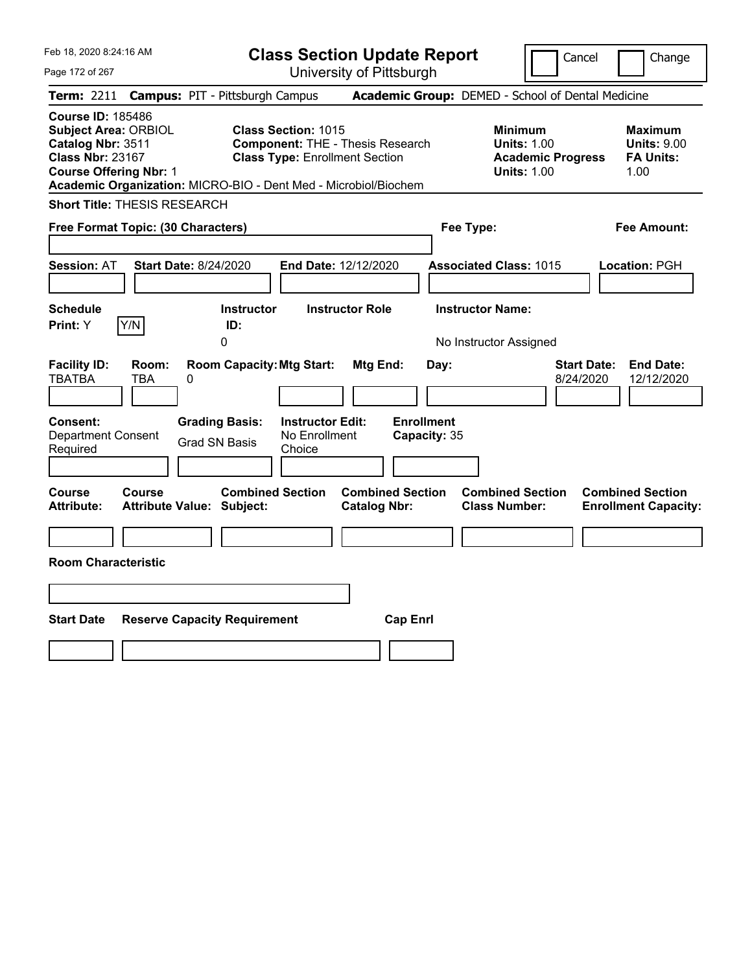| Feb 18, 2020 8:24:16 AM                                                                                                                                                                                     |                                                                                                                | <b>Class Section Update Report</b>             | Cancel                                                                                 | Change                                                           |
|-------------------------------------------------------------------------------------------------------------------------------------------------------------------------------------------------------------|----------------------------------------------------------------------------------------------------------------|------------------------------------------------|----------------------------------------------------------------------------------------|------------------------------------------------------------------|
| Page 172 of 267                                                                                                                                                                                             |                                                                                                                | University of Pittsburgh                       |                                                                                        |                                                                  |
| Term: 2211                                                                                                                                                                                                  | <b>Campus: PIT - Pittsburgh Campus</b>                                                                         |                                                | Academic Group: DEMED - School of Dental Medicine                                      |                                                                  |
| <b>Course ID: 185486</b><br><b>Subject Area: ORBIOL</b><br>Catalog Nbr: 3511<br><b>Class Nbr: 23167</b><br><b>Course Offering Nbr: 1</b><br>Academic Organization: MICRO-BIO - Dent Med - Microbiol/Biochem | <b>Class Section: 1015</b><br><b>Component: THE - Thesis Research</b><br><b>Class Type: Enrollment Section</b> |                                                | <b>Minimum</b><br><b>Units: 1.00</b><br><b>Academic Progress</b><br><b>Units: 1.00</b> | <b>Maximum</b><br><b>Units: 9.00</b><br><b>FA Units:</b><br>1.00 |
| <b>Short Title: THESIS RESEARCH</b>                                                                                                                                                                         |                                                                                                                |                                                |                                                                                        |                                                                  |
| Free Format Topic: (30 Characters)                                                                                                                                                                          |                                                                                                                |                                                | Fee Type:                                                                              | Fee Amount:                                                      |
| <b>Start Date: 8/24/2020</b><br><b>Session: AT</b>                                                                                                                                                          | End Date: 12/12/2020                                                                                           |                                                | <b>Associated Class: 1015</b>                                                          | Location: PGH                                                    |
| <b>Schedule</b><br>Y/N<br>Print: Y                                                                                                                                                                          | <b>Instructor Role</b><br><b>Instructor</b><br>ID:<br>0                                                        |                                                | <b>Instructor Name:</b><br>No Instructor Assigned                                      |                                                                  |
| <b>Facility ID:</b><br>Room:<br><b>TBATBA</b><br>TBA<br>0                                                                                                                                                   | <b>Room Capacity: Mtg Start:</b>                                                                               | Mtg End:<br>Day:                               | <b>Start Date:</b><br>8/24/2020                                                        | <b>End Date:</b><br>12/12/2020                                   |
| <b>Consent:</b><br><b>Department Consent</b><br>Required                                                                                                                                                    | <b>Instructor Edit:</b><br><b>Grading Basis:</b><br>No Enrollment<br><b>Grad SN Basis</b><br>Choice            | <b>Enrollment</b><br>Capacity: 35              |                                                                                        |                                                                  |
| <b>Course</b><br><b>Course</b><br><b>Attribute:</b><br><b>Attribute Value: Subject:</b>                                                                                                                     | <b>Combined Section</b>                                                                                        | <b>Combined Section</b><br><b>Catalog Nbr:</b> | <b>Combined Section</b><br><b>Class Number:</b>                                        | <b>Combined Section</b><br><b>Enrollment Capacity:</b>           |
| <b>Room Characteristic</b>                                                                                                                                                                                  |                                                                                                                |                                                |                                                                                        |                                                                  |
|                                                                                                                                                                                                             |                                                                                                                |                                                |                                                                                        |                                                                  |
| <b>Start Date</b><br><b>Reserve Capacity Requirement</b>                                                                                                                                                    |                                                                                                                | <b>Cap Enrl</b>                                |                                                                                        |                                                                  |
|                                                                                                                                                                                                             |                                                                                                                |                                                |                                                                                        |                                                                  |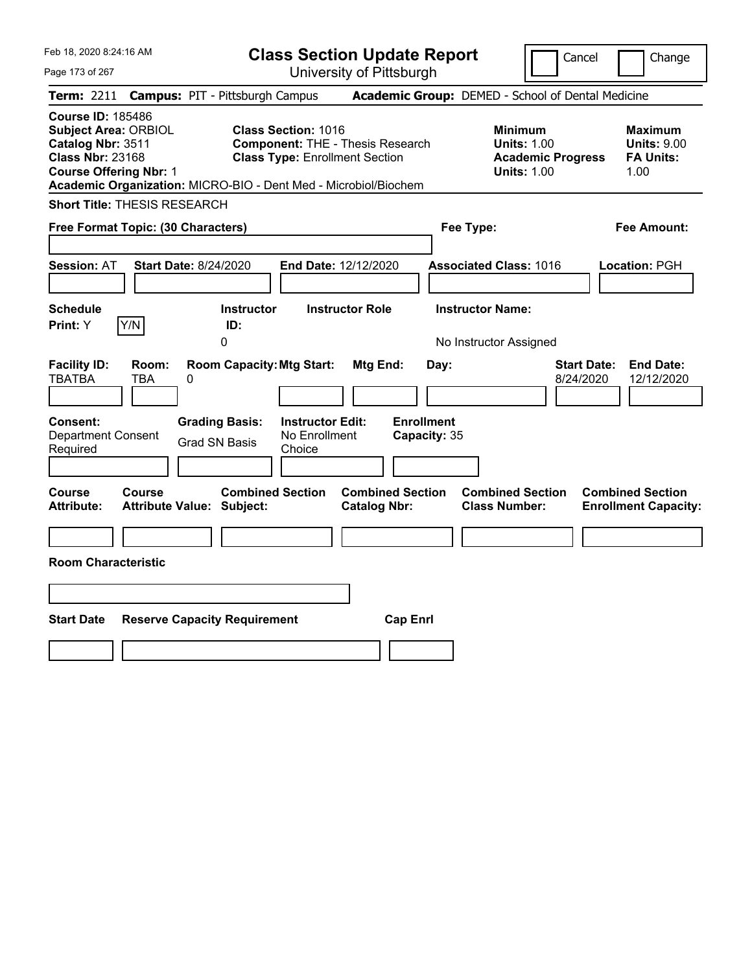| Feb 18, 2020 8:24:16 AM                                                                                                                                                                                     | <b>Class Section Update Report</b>                                                                      |                                                                            | Cancel                                                                                 | Change                                                           |
|-------------------------------------------------------------------------------------------------------------------------------------------------------------------------------------------------------------|---------------------------------------------------------------------------------------------------------|----------------------------------------------------------------------------|----------------------------------------------------------------------------------------|------------------------------------------------------------------|
| Page 173 of 267                                                                                                                                                                                             | University of Pittsburgh                                                                                |                                                                            |                                                                                        |                                                                  |
| Term: 2211                                                                                                                                                                                                  | <b>Campus: PIT - Pittsburgh Campus</b>                                                                  | Academic Group: DEMED - School of Dental Medicine                          |                                                                                        |                                                                  |
| <b>Course ID: 185486</b><br><b>Subject Area: ORBIOL</b><br>Catalog Nbr: 3511<br><b>Class Nbr: 23168</b><br><b>Course Offering Nbr: 1</b><br>Academic Organization: MICRO-BIO - Dent Med - Microbiol/Biochem | Class Section: 1016<br><b>Component: THE - Thesis Research</b><br><b>Class Type: Enrollment Section</b> |                                                                            | <b>Minimum</b><br><b>Units: 1.00</b><br><b>Academic Progress</b><br><b>Units: 1.00</b> | <b>Maximum</b><br><b>Units: 9.00</b><br><b>FA Units:</b><br>1.00 |
| <b>Short Title: THESIS RESEARCH</b>                                                                                                                                                                         |                                                                                                         |                                                                            |                                                                                        |                                                                  |
| Free Format Topic: (30 Characters)                                                                                                                                                                          |                                                                                                         | Fee Type:                                                                  |                                                                                        | Fee Amount:                                                      |
| <b>Start Date: 8/24/2020</b><br><b>Session: AT</b>                                                                                                                                                          | <b>End Date: 12/12/2020</b>                                                                             | <b>Associated Class: 1016</b>                                              |                                                                                        | Location: PGH                                                    |
| <b>Schedule</b><br>Y/N<br><b>Print: Y</b>                                                                                                                                                                   | Instructor<br><b>Instructor Role</b><br>ID:<br>0                                                        | <b>Instructor Name:</b><br>No Instructor Assigned                          |                                                                                        |                                                                  |
| <b>Facility ID:</b><br>Room:<br><b>TBATBA</b><br>TBA<br>$\boldsymbol{0}$                                                                                                                                    | <b>Room Capacity: Mtg Start:</b><br>Mtg End:                                                            | Day:                                                                       | <b>Start Date:</b><br>8/24/2020                                                        | <b>End Date:</b><br>12/12/2020                                   |
| Consent:<br><b>Grading Basis:</b><br><b>Department Consent</b><br><b>Grad SN Basis</b><br>Required                                                                                                          | <b>Instructor Edit:</b><br>No Enrollment<br>Choice                                                      | <b>Enrollment</b><br>Capacity: 35                                          |                                                                                        |                                                                  |
| Course<br><b>Course</b><br><b>Attribute:</b><br><b>Attribute Value: Subject:</b>                                                                                                                            | <b>Combined Section</b><br><b>Catalog Nbr:</b>                                                          | <b>Combined Section</b><br><b>Combined Section</b><br><b>Class Number:</b> |                                                                                        | <b>Combined Section</b><br><b>Enrollment Capacity:</b>           |
|                                                                                                                                                                                                             |                                                                                                         |                                                                            |                                                                                        |                                                                  |
| <b>Room Characteristic</b>                                                                                                                                                                                  |                                                                                                         |                                                                            |                                                                                        |                                                                  |
|                                                                                                                                                                                                             |                                                                                                         |                                                                            |                                                                                        |                                                                  |
| <b>Start Date</b><br><b>Reserve Capacity Requirement</b>                                                                                                                                                    |                                                                                                         | <b>Cap Enrl</b>                                                            |                                                                                        |                                                                  |
|                                                                                                                                                                                                             |                                                                                                         |                                                                            |                                                                                        |                                                                  |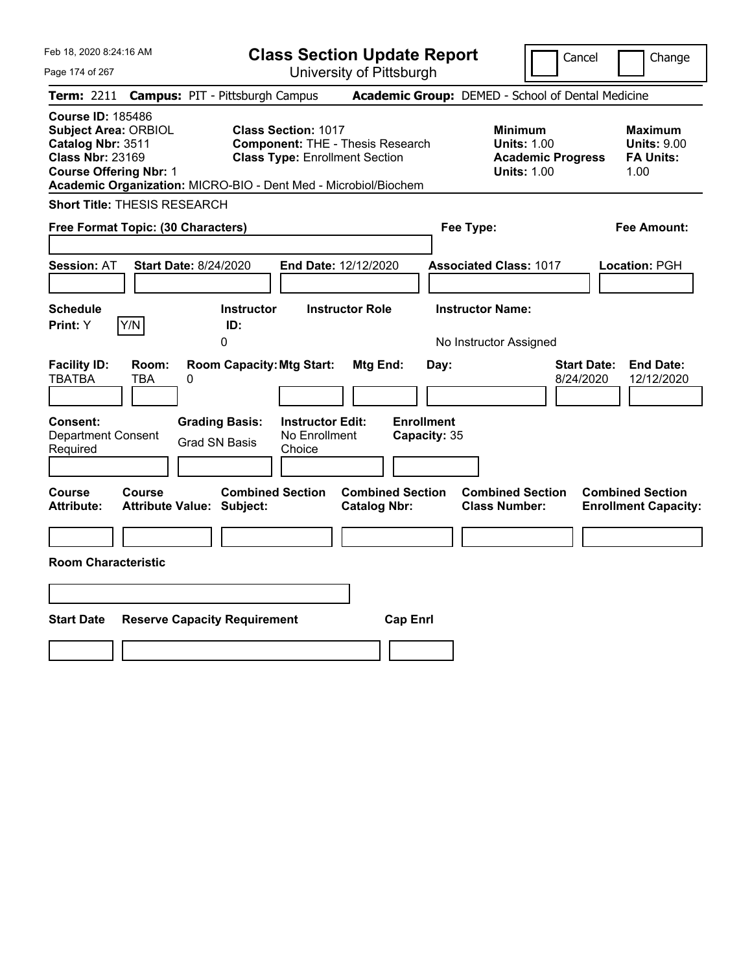| Feb 18, 2020 8:24:16 AM                                                                                                                  | <b>Class Section Update Report</b>                                                                                                                                                | Change<br>Cancel                                                                                                                                           |
|------------------------------------------------------------------------------------------------------------------------------------------|-----------------------------------------------------------------------------------------------------------------------------------------------------------------------------------|------------------------------------------------------------------------------------------------------------------------------------------------------------|
| Page 174 of 267                                                                                                                          | University of Pittsburgh                                                                                                                                                          |                                                                                                                                                            |
| Term: 2211                                                                                                                               | Academic Group: DEMED - School of Dental Medicine<br><b>Campus: PIT - Pittsburgh Campus</b>                                                                                       |                                                                                                                                                            |
| <b>Course ID: 185486</b><br><b>Subject Area: ORBIOL</b><br>Catalog Nbr: 3511<br><b>Class Nbr: 23169</b><br><b>Course Offering Nbr: 1</b> | <b>Class Section: 1017</b><br><b>Component: THE - Thesis Research</b><br><b>Class Type: Enrollment Section</b><br>Academic Organization: MICRO-BIO - Dent Med - Microbiol/Biochem | <b>Minimum</b><br><b>Maximum</b><br><b>Units: 1.00</b><br><b>Units: 9.00</b><br><b>FA Units:</b><br><b>Academic Progress</b><br><b>Units: 1.00</b><br>1.00 |
| <b>Short Title: THESIS RESEARCH</b>                                                                                                      |                                                                                                                                                                                   |                                                                                                                                                            |
| Free Format Topic: (30 Characters)                                                                                                       | Fee Type:                                                                                                                                                                         | Fee Amount:                                                                                                                                                |
| <b>Start Date: 8/24/2020</b><br><b>Session: AT</b>                                                                                       | End Date: 12/12/2020<br><b>Associated Class: 1017</b>                                                                                                                             | Location: PGH                                                                                                                                              |
| <b>Schedule</b><br>Y/N<br>Print: Y                                                                                                       | <b>Instructor Role</b><br><b>Instructor Name:</b><br><b>Instructor</b><br>ID:<br>0<br>No Instructor Assigned                                                                      |                                                                                                                                                            |
| <b>Facility ID:</b><br>Room:<br><b>TBATBA</b><br><b>TBA</b><br>0                                                                         | <b>Room Capacity: Mtg Start:</b><br>Mtg End:<br>Day:                                                                                                                              | <b>Start Date:</b><br><b>End Date:</b><br>8/24/2020<br>12/12/2020                                                                                          |
| <b>Grading Basis:</b><br><b>Consent:</b><br><b>Department Consent</b><br><b>Grad SN Basis</b><br>Required                                | <b>Enrollment</b><br><b>Instructor Edit:</b><br>No Enrollment<br>Capacity: 35<br>Choice                                                                                           |                                                                                                                                                            |
| <b>Course</b><br><b>Course</b><br><b>Attribute Value: Subject:</b><br><b>Attribute:</b>                                                  | <b>Combined Section</b><br><b>Combined Section</b><br><b>Catalog Nbr:</b>                                                                                                         | <b>Combined Section</b><br><b>Combined Section</b><br><b>Class Number:</b><br><b>Enrollment Capacity:</b>                                                  |
| <b>Room Characteristic</b>                                                                                                               |                                                                                                                                                                                   |                                                                                                                                                            |
|                                                                                                                                          |                                                                                                                                                                                   |                                                                                                                                                            |
|                                                                                                                                          |                                                                                                                                                                                   |                                                                                                                                                            |
| <b>Start Date</b><br><b>Reserve Capacity Requirement</b>                                                                                 | <b>Cap Enrl</b>                                                                                                                                                                   |                                                                                                                                                            |
|                                                                                                                                          |                                                                                                                                                                                   |                                                                                                                                                            |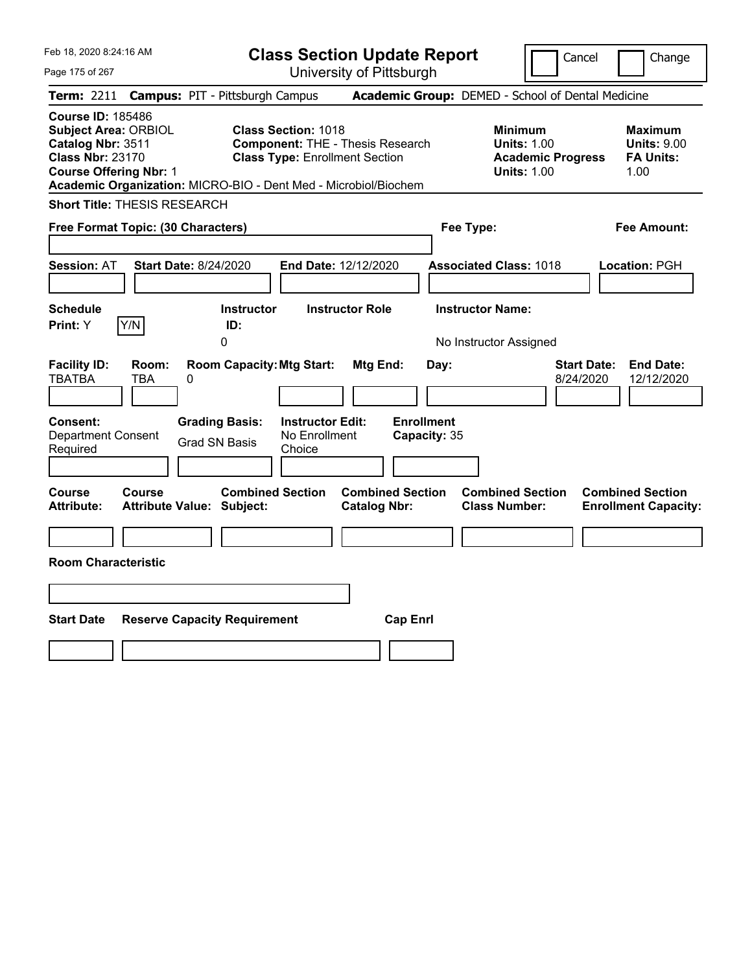| Feb 18, 2020 8:24:16 AM                                                                                                                  | <b>Class Section Update Report</b>                                                                                                                                                | Change<br>Cancel                                                                                                                                           |
|------------------------------------------------------------------------------------------------------------------------------------------|-----------------------------------------------------------------------------------------------------------------------------------------------------------------------------------|------------------------------------------------------------------------------------------------------------------------------------------------------------|
| Page 175 of 267                                                                                                                          | University of Pittsburgh                                                                                                                                                          |                                                                                                                                                            |
| Term: 2211                                                                                                                               | <b>Campus: PIT - Pittsburgh Campus</b>                                                                                                                                            | Academic Group: DEMED - School of Dental Medicine                                                                                                          |
| <b>Course ID: 185486</b><br><b>Subject Area: ORBIOL</b><br>Catalog Nbr: 3511<br><b>Class Nbr: 23170</b><br><b>Course Offering Nbr: 1</b> | <b>Class Section: 1018</b><br><b>Component: THE - Thesis Research</b><br><b>Class Type: Enrollment Section</b><br>Academic Organization: MICRO-BIO - Dent Med - Microbiol/Biochem | <b>Minimum</b><br><b>Maximum</b><br><b>Units: 1.00</b><br><b>Units: 9.00</b><br><b>FA Units:</b><br><b>Academic Progress</b><br><b>Units: 1.00</b><br>1.00 |
| <b>Short Title: THESIS RESEARCH</b>                                                                                                      |                                                                                                                                                                                   |                                                                                                                                                            |
| Free Format Topic: (30 Characters)                                                                                                       | Fee Type:                                                                                                                                                                         | Fee Amount:                                                                                                                                                |
| <b>Start Date: 8/24/2020</b><br><b>Session: AT</b>                                                                                       | End Date: 12/12/2020<br><b>Associated Class: 1018</b>                                                                                                                             | Location: PGH                                                                                                                                              |
| <b>Schedule</b><br>Y/N<br>Print: Y                                                                                                       | <b>Instructor Role</b><br><b>Instructor Name:</b><br><b>Instructor</b><br>ID:<br>0<br>No Instructor Assigned                                                                      |                                                                                                                                                            |
| <b>Facility ID:</b><br>Room:<br><b>TBATBA</b><br><b>TBA</b><br>0                                                                         | <b>Room Capacity: Mtg Start:</b><br>Mtg End:<br>Day:                                                                                                                              | <b>Start Date:</b><br><b>End Date:</b><br>8/24/2020<br>12/12/2020                                                                                          |
| <b>Grading Basis:</b><br><b>Consent:</b><br><b>Department Consent</b><br><b>Grad SN Basis</b><br>Required                                | <b>Enrollment</b><br><b>Instructor Edit:</b><br>No Enrollment<br>Capacity: 35<br>Choice                                                                                           |                                                                                                                                                            |
| <b>Course</b><br><b>Course</b><br><b>Attribute Value: Subject:</b><br><b>Attribute:</b>                                                  | <b>Combined Section</b><br><b>Combined Section</b><br><b>Catalog Nbr:</b>                                                                                                         | <b>Combined Section</b><br><b>Combined Section</b><br><b>Class Number:</b><br><b>Enrollment Capacity:</b>                                                  |
| <b>Room Characteristic</b>                                                                                                               |                                                                                                                                                                                   |                                                                                                                                                            |
|                                                                                                                                          |                                                                                                                                                                                   |                                                                                                                                                            |
|                                                                                                                                          |                                                                                                                                                                                   |                                                                                                                                                            |
| <b>Start Date</b><br><b>Reserve Capacity Requirement</b>                                                                                 | <b>Cap Enrl</b>                                                                                                                                                                   |                                                                                                                                                            |
|                                                                                                                                          |                                                                                                                                                                                   |                                                                                                                                                            |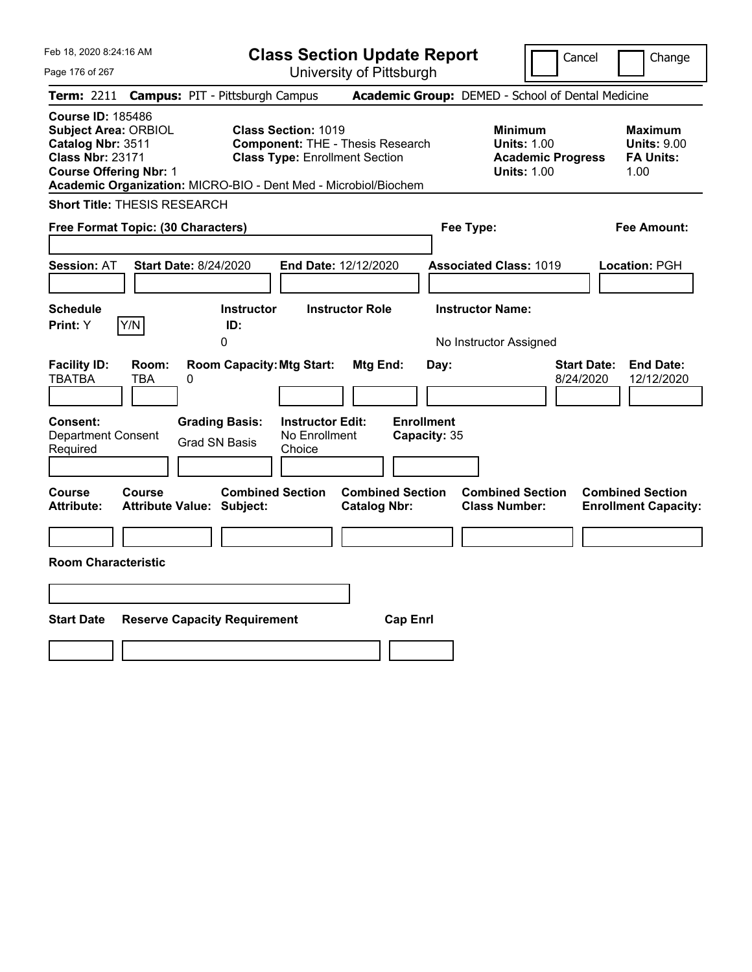| Feb 18, 2020 8:24:16 AM                                                                                                                                                                                     |                                                                                                                | <b>Class Section Update Report</b>             | Cancel                                                                                 | Change                                                           |
|-------------------------------------------------------------------------------------------------------------------------------------------------------------------------------------------------------------|----------------------------------------------------------------------------------------------------------------|------------------------------------------------|----------------------------------------------------------------------------------------|------------------------------------------------------------------|
| Page 176 of 267                                                                                                                                                                                             |                                                                                                                | University of Pittsburgh                       |                                                                                        |                                                                  |
| Term: 2211                                                                                                                                                                                                  | <b>Campus: PIT - Pittsburgh Campus</b>                                                                         |                                                | Academic Group: DEMED - School of Dental Medicine                                      |                                                                  |
| <b>Course ID: 185486</b><br><b>Subject Area: ORBIOL</b><br>Catalog Nbr: 3511<br><b>Class Nbr: 23171</b><br><b>Course Offering Nbr: 1</b><br>Academic Organization: MICRO-BIO - Dent Med - Microbiol/Biochem | <b>Class Section: 1019</b><br><b>Component: THE - Thesis Research</b><br><b>Class Type: Enrollment Section</b> |                                                | <b>Minimum</b><br><b>Units: 1.00</b><br><b>Academic Progress</b><br><b>Units: 1.00</b> | <b>Maximum</b><br><b>Units: 9.00</b><br><b>FA Units:</b><br>1.00 |
| <b>Short Title: THESIS RESEARCH</b>                                                                                                                                                                         |                                                                                                                |                                                |                                                                                        |                                                                  |
| Free Format Topic: (30 Characters)                                                                                                                                                                          |                                                                                                                |                                                | Fee Type:                                                                              | Fee Amount:                                                      |
| <b>Start Date: 8/24/2020</b><br><b>Session: AT</b>                                                                                                                                                          | End Date: 12/12/2020                                                                                           |                                                | <b>Associated Class: 1019</b>                                                          | Location: PGH                                                    |
| <b>Schedule</b><br>Y/N<br>Print: Y                                                                                                                                                                          | <b>Instructor</b><br>ID:<br>0                                                                                  | <b>Instructor Role</b>                         | <b>Instructor Name:</b><br>No Instructor Assigned                                      |                                                                  |
| <b>Facility ID:</b><br>Room:<br><b>TBATBA</b><br>TBA<br>0                                                                                                                                                   | <b>Room Capacity: Mtg Start:</b>                                                                               | Mtg End:<br>Day:                               | <b>Start Date:</b><br>8/24/2020                                                        | <b>End Date:</b><br>12/12/2020                                   |
| <b>Consent:</b><br><b>Department Consent</b><br>Required                                                                                                                                                    | <b>Instructor Edit:</b><br><b>Grading Basis:</b><br>No Enrollment<br><b>Grad SN Basis</b><br>Choice            | <b>Enrollment</b><br>Capacity: 35              |                                                                                        |                                                                  |
| <b>Course</b><br><b>Course</b><br><b>Attribute:</b><br><b>Attribute Value: Subject:</b>                                                                                                                     | <b>Combined Section</b>                                                                                        | <b>Combined Section</b><br><b>Catalog Nbr:</b> | <b>Combined Section</b><br><b>Class Number:</b>                                        | <b>Combined Section</b><br><b>Enrollment Capacity:</b>           |
| <b>Room Characteristic</b>                                                                                                                                                                                  |                                                                                                                |                                                |                                                                                        |                                                                  |
|                                                                                                                                                                                                             |                                                                                                                |                                                |                                                                                        |                                                                  |
| <b>Start Date</b><br><b>Reserve Capacity Requirement</b>                                                                                                                                                    |                                                                                                                | <b>Cap Enrl</b>                                |                                                                                        |                                                                  |
|                                                                                                                                                                                                             |                                                                                                                |                                                |                                                                                        |                                                                  |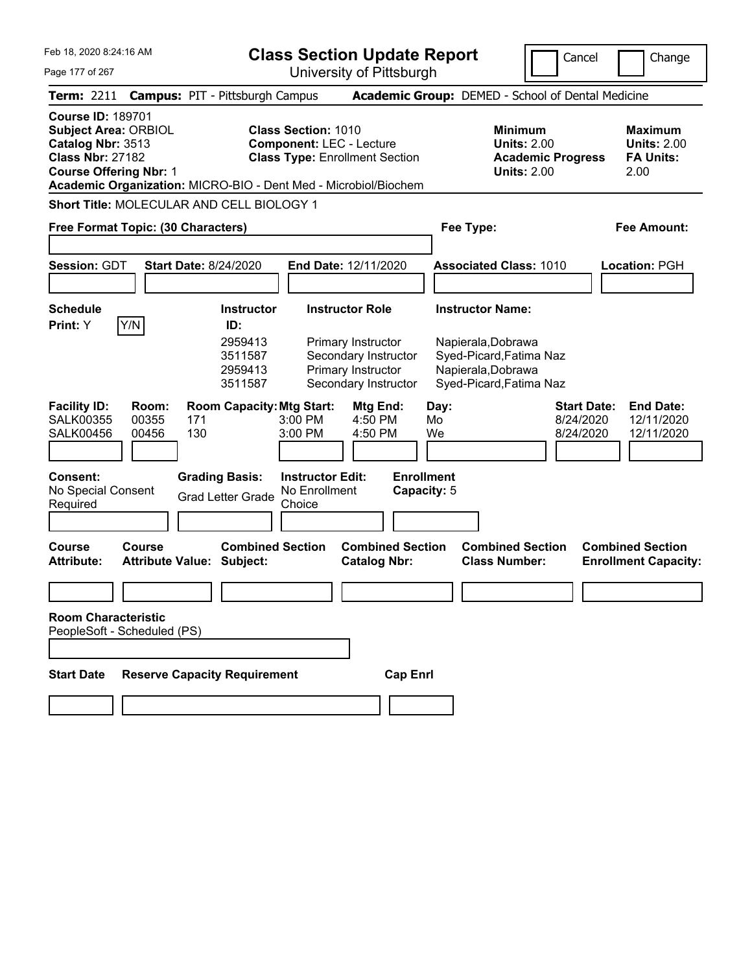| Feb 18, 2020 8:24:16 AM<br>Page 177 of 267                                                                                                                                                                  | <b>Class Section Update Report</b><br>University of Pittsburgh                                                                                                                      | Cancel                                                                                                                    | Change                                                           |
|-------------------------------------------------------------------------------------------------------------------------------------------------------------------------------------------------------------|-------------------------------------------------------------------------------------------------------------------------------------------------------------------------------------|---------------------------------------------------------------------------------------------------------------------------|------------------------------------------------------------------|
| <b>Campus: PIT - Pittsburgh Campus</b><br><b>Term: 2211</b>                                                                                                                                                 |                                                                                                                                                                                     | Academic Group: DEMED - School of Dental Medicine                                                                         |                                                                  |
| <b>Course ID: 189701</b><br><b>Subject Area: ORBIOL</b><br>Catalog Nbr: 3513<br><b>Class Nbr: 27182</b><br><b>Course Offering Nbr: 1</b><br>Academic Organization: MICRO-BIO - Dent Med - Microbiol/Biochem | <b>Class Section: 1010</b><br><b>Component: LEC - Lecture</b><br><b>Class Type: Enrollment Section</b>                                                                              | <b>Minimum</b><br><b>Units: 2.00</b><br><b>Academic Progress</b><br><b>Units: 2.00</b>                                    | <b>Maximum</b><br><b>Units: 2.00</b><br><b>FA Units:</b><br>2.00 |
| Short Title: MOLECULAR AND CELL BIOLOGY 1                                                                                                                                                                   |                                                                                                                                                                                     |                                                                                                                           |                                                                  |
| Free Format Topic: (30 Characters)                                                                                                                                                                          |                                                                                                                                                                                     | Fee Type:                                                                                                                 | <b>Fee Amount:</b>                                               |
| Session: GDT<br><b>Start Date: 8/24/2020</b>                                                                                                                                                                | End Date: 12/11/2020                                                                                                                                                                | <b>Associated Class: 1010</b>                                                                                             | <b>Location: PGH</b>                                             |
| <b>Schedule</b><br>Y/N<br>Print: Y<br>ID:                                                                                                                                                                   | <b>Instructor Role</b><br><b>Instructor</b><br>2959413<br>Primary Instructor<br>3511587<br>Secondary Instructor<br>Primary Instructor<br>2959413<br>3511587<br>Secondary Instructor | <b>Instructor Name:</b><br>Napierala, Dobrawa<br>Syed-Picard, Fatima Naz<br>Napierala, Dobrawa<br>Syed-Picard, Fatima Naz |                                                                  |
| <b>Facility ID:</b><br>Room:<br><b>SALK00355</b><br>00355<br>171<br>130<br><b>SALK00456</b><br>00456                                                                                                        | <b>Room Capacity: Mtg Start:</b><br>Mtg End:<br>4:50 PM<br>$3:00$ PM<br>3:00 PM<br>4:50 PM                                                                                          | Day:<br><b>Start Date:</b><br>Mo<br>8/24/2020<br>We<br>8/24/2020                                                          | <b>End Date:</b><br>12/11/2020<br>12/11/2020                     |
| <b>Grading Basis:</b><br><b>Consent:</b><br>No Special Consent<br><b>Grad Letter Grade</b><br>Required                                                                                                      | <b>Enrollment</b><br><b>Instructor Edit:</b><br>Capacity: 5<br>No Enrollment<br>Choice                                                                                              |                                                                                                                           |                                                                  |
| <b>Course</b><br><b>Course</b><br><b>Attribute:</b><br><b>Attribute Value: Subject:</b>                                                                                                                     | <b>Combined Section</b><br><b>Combined Section</b><br><b>Catalog Nbr:</b>                                                                                                           | <b>Combined Section</b><br><b>Class Number:</b>                                                                           | <b>Combined Section</b><br><b>Enrollment Capacity:</b>           |
| <b>Room Characteristic</b><br>PeopleSoft - Scheduled (PS)                                                                                                                                                   |                                                                                                                                                                                     |                                                                                                                           |                                                                  |
| <b>Start Date</b><br><b>Reserve Capacity Requirement</b>                                                                                                                                                    | <b>Cap Enrl</b>                                                                                                                                                                     |                                                                                                                           |                                                                  |
|                                                                                                                                                                                                             |                                                                                                                                                                                     |                                                                                                                           |                                                                  |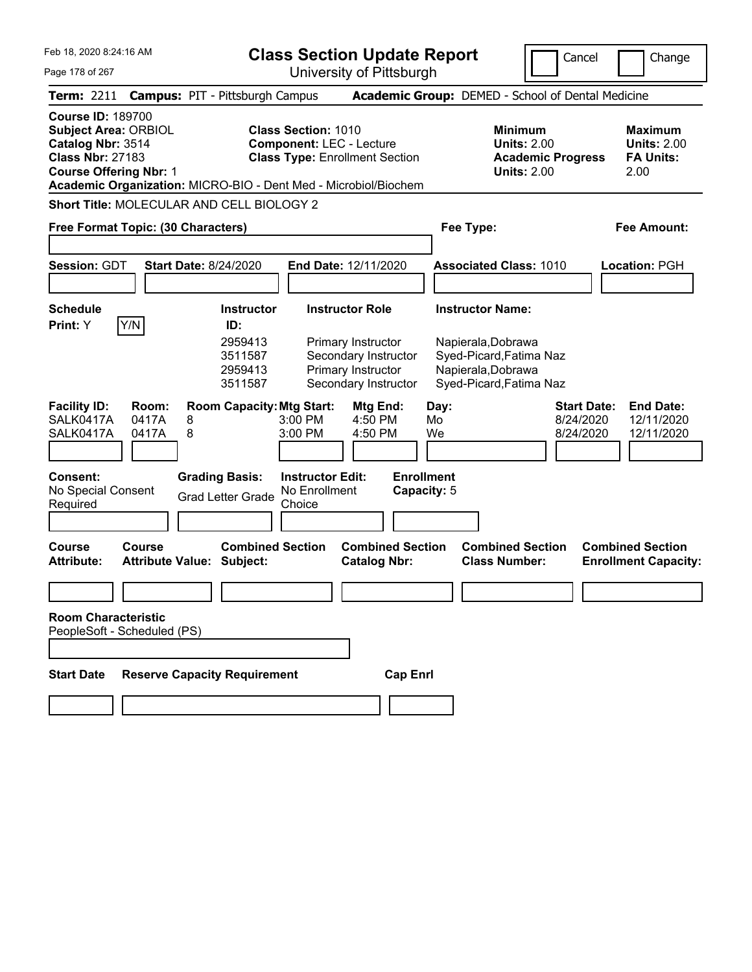Feb 18, 2020 8:24:16 AM Page 178 of 267 **Class Section Update Report** University of Pittsburgh Cancel Change **Term:** 2211 **Campus:** PIT - Pittsburgh Campus **Academic Group:** DEMED - School of Dental Medicine **Course ID:** 189700 **Subject Area:** ORBIOL **Class Section:** 1010 **Minimum Maximum Catalog Nbr:** 3514 **Component:** LEC - Lecture **Units:** 2.00 **Units:** 2.00 **Class Nbr:** 27183 **Class Type:** Enrollment Section **Academic Progress FA Units: Course Offering Nbr: 1 Units: 2.00 2.00 Academic Organization:** MICRO-BIO - Dent Med - Microbiol/Biochem **Short Title:** MOLECULAR AND CELL BIOLOGY 2 **Free Format Topic: (30 Characters) Fee Type: Fee Amount: Session:** GDT **Start Date:** 8/24/2020 **End Date:** 12/11/2020 **Associated Class:** 1010 **Location:** PGH **Schedule Instructor Instructor Role Instructor Name: Print:**  $Y$   $|Y/N|$  **ID:** 2959413 Primary Instructor Napierala,Dobrawa 3511587 Secondary Instructor Syed-Picard,Fatima Naz 2959413 Primary Instructor Napierala,Dobrawa 3511587 Secondary Instructor Syed-Picard,Fatima Naz **Facility ID: Room: Room Capacity:Mtg Start: Mtg End: Day: Start Date: End Date:** SALK0417A 0417A 8 3:00 PM 4:50 PM Mo 8/24/2020 12/11/2020 SALK0417A 0417A 8 3:00 PM 4:50 PM We 8/24/2020 12/11/2020 **Consent: Grading Basis: Instructor Edit: Enrollment** No Special Consent Required Grad Letter Grade No Enrollment **Choice Capacity:** 5 **Course Course Combined Section Combined Section Combined Section Combined Section Attribute: Attribute Value: Subject: Catalog Nbr: Class Number: Enrollment Capacity: Room Characteristic** PeopleSoft - Scheduled (PS) **Start Date Reserve Capacity Requirement Cap Enrl**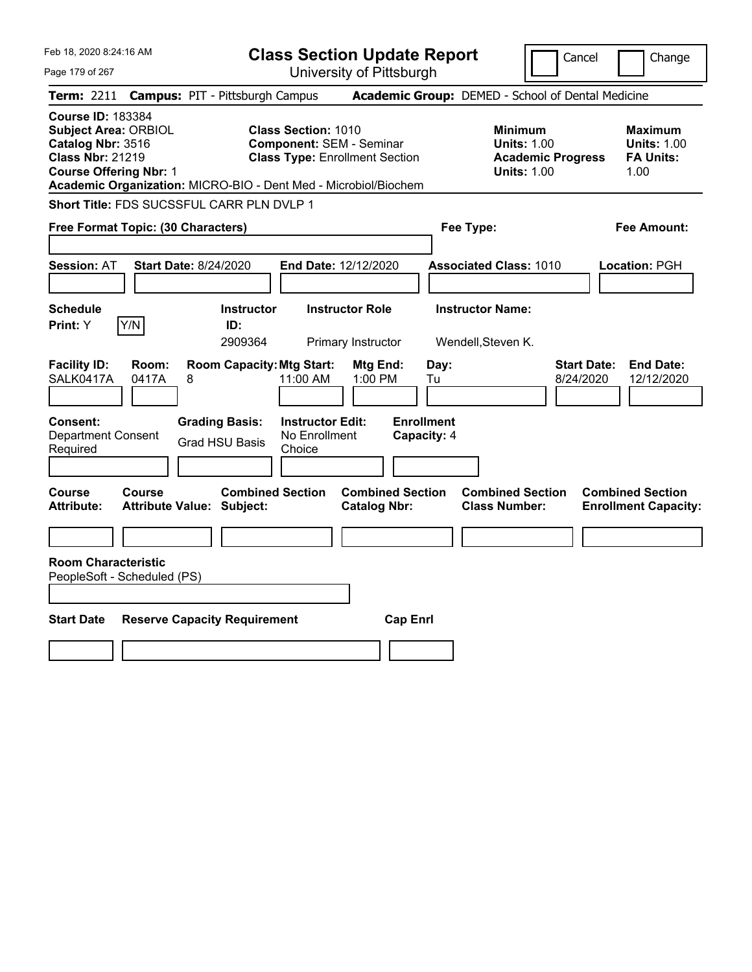| Feb 18, 2020 8:24:16 AM                                                                                                                                                                                     |                                                                                                        | <b>Class Section Update Report</b>             |                                                                                        | Cancel<br>Change                                                  |
|-------------------------------------------------------------------------------------------------------------------------------------------------------------------------------------------------------------|--------------------------------------------------------------------------------------------------------|------------------------------------------------|----------------------------------------------------------------------------------------|-------------------------------------------------------------------|
| Page 179 of 267                                                                                                                                                                                             |                                                                                                        | University of Pittsburgh                       |                                                                                        |                                                                   |
| <b>Term:</b> 2211                                                                                                                                                                                           | <b>Campus: PIT - Pittsburgh Campus</b>                                                                 |                                                | Academic Group: DEMED - School of Dental Medicine                                      |                                                                   |
| <b>Course ID: 183384</b><br><b>Subject Area: ORBIOL</b><br>Catalog Nbr: 3516<br><b>Class Nbr: 21219</b><br><b>Course Offering Nbr: 1</b><br>Academic Organization: MICRO-BIO - Dent Med - Microbiol/Biochem | <b>Class Section: 1010</b><br><b>Component: SEM - Seminar</b><br><b>Class Type: Enrollment Section</b> |                                                | <b>Minimum</b><br><b>Units: 1.00</b><br><b>Academic Progress</b><br><b>Units: 1.00</b> | <b>Maximum</b><br><b>Units: 1.00</b><br><b>FA Units:</b><br>1.00  |
| Short Title: FDS SUCSSFUL CARR PLN DVLP 1                                                                                                                                                                   |                                                                                                        |                                                |                                                                                        |                                                                   |
| Free Format Topic: (30 Characters)                                                                                                                                                                          |                                                                                                        |                                                | Fee Type:                                                                              | Fee Amount:                                                       |
| Session: AT<br><b>Start Date: 8/24/2020</b>                                                                                                                                                                 | End Date: 12/12/2020                                                                                   |                                                | <b>Associated Class: 1010</b>                                                          | Location: PGH                                                     |
| Schedule                                                                                                                                                                                                    | <b>Instructor Role</b><br><b>Instructor</b>                                                            |                                                | <b>Instructor Name:</b>                                                                |                                                                   |
| Y/N<br>Print: Y                                                                                                                                                                                             | ID:<br>2909364                                                                                         | Primary Instructor                             | Wendell, Steven K.                                                                     |                                                                   |
| <b>Facility ID:</b><br>Room:<br>SALK0417A<br>0417A<br>8                                                                                                                                                     | <b>Room Capacity: Mtg Start:</b><br>11:00 AM                                                           | Mtg End:<br>Day:<br>$1:00$ PM<br>Tu            |                                                                                        | <b>Start Date:</b><br><b>End Date:</b><br>8/24/2020<br>12/12/2020 |
| Consent:<br><b>Grading Basis:</b><br><b>Department Consent</b><br>Required                                                                                                                                  | <b>Instructor Edit:</b><br>No Enrollment<br><b>Grad HSU Basis</b><br>Choice                            | <b>Enrollment</b><br>Capacity: 4               |                                                                                        |                                                                   |
| Course<br>Course<br><b>Attribute Value: Subject:</b><br>Attribute:                                                                                                                                          | <b>Combined Section</b>                                                                                | <b>Combined Section</b><br><b>Catalog Nbr:</b> | <b>Combined Section</b><br><b>Class Number:</b>                                        | <b>Combined Section</b><br><b>Enrollment Capacity:</b>            |
|                                                                                                                                                                                                             |                                                                                                        |                                                |                                                                                        |                                                                   |
| <b>Room Characteristic</b><br>PeopleSoft - Scheduled (PS)                                                                                                                                                   |                                                                                                        |                                                |                                                                                        |                                                                   |
| <b>Start Date</b><br><b>Reserve Capacity Requirement</b>                                                                                                                                                    |                                                                                                        | <b>Cap Enrl</b>                                |                                                                                        |                                                                   |
|                                                                                                                                                                                                             |                                                                                                        |                                                |                                                                                        |                                                                   |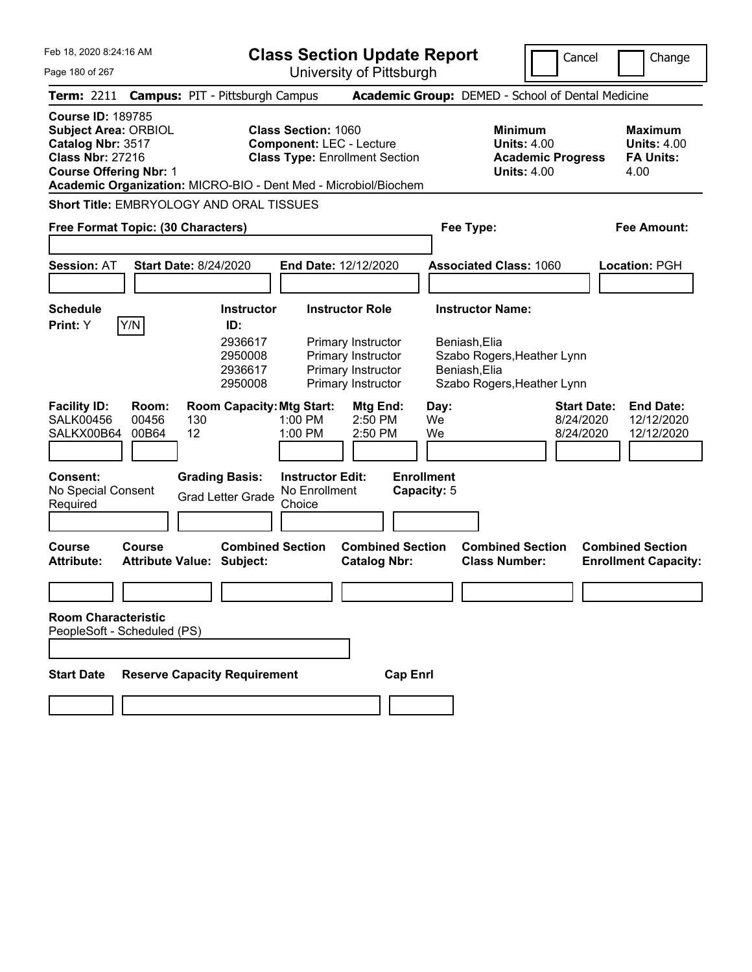| Feb 18, 2020 8:24:16 AM                                                                                                                            | <b>Class Section Update Report</b><br>Cancel<br>Change                                                                                                                                                                                                                                                                                                        |  |
|----------------------------------------------------------------------------------------------------------------------------------------------------|---------------------------------------------------------------------------------------------------------------------------------------------------------------------------------------------------------------------------------------------------------------------------------------------------------------------------------------------------------------|--|
| Page 180 of 267                                                                                                                                    | University of Pittsburgh                                                                                                                                                                                                                                                                                                                                      |  |
| <b>Term: 2211</b>                                                                                                                                  | <b>Campus: PIT - Pittsburgh Campus</b><br>Academic Group: DEMED - School of Dental Medicine                                                                                                                                                                                                                                                                   |  |
| <b>Course ID: 189785</b><br><b>Subject Area: ORBIOL</b><br>Catalog Nbr: 3517<br><b>Class Nbr: 27216</b><br><b>Course Offering Nbr: 1</b>           | <b>Class Section: 1060</b><br><b>Minimum</b><br><b>Maximum</b><br><b>Component: LEC - Lecture</b><br><b>Units: 4.00</b><br><b>Units: 4.00</b><br><b>Class Type: Enrollment Section</b><br><b>FA Units:</b><br><b>Academic Progress</b><br><b>Units: 4.00</b><br>4.00<br>Academic Organization: MICRO-BIO - Dent Med - Microbiol/Biochem                       |  |
| Short Title: EMBRYOLOGY AND ORAL TISSUES                                                                                                           |                                                                                                                                                                                                                                                                                                                                                               |  |
| Free Format Topic: (30 Characters)                                                                                                                 | Fee Type:<br><b>Fee Amount:</b>                                                                                                                                                                                                                                                                                                                               |  |
| <b>Session: AT</b><br><b>Start Date: 8/24/2020</b>                                                                                                 | End Date: 12/12/2020<br><b>Associated Class: 1060</b><br>Location: PGH                                                                                                                                                                                                                                                                                        |  |
| <b>Schedule</b><br>Y/N<br>Print: Y                                                                                                                 | <b>Instructor Role</b><br><b>Instructor Name:</b><br><b>Instructor</b><br>ID:<br>2936617<br>Primary Instructor<br>Beniash, Elia<br>2950008<br>Primary Instructor<br>Szabo Rogers, Heather Lynn<br>Primary Instructor<br>Beniash, Elia<br>2936617<br>Primary Instructor<br>2950008<br>Szabo Rogers, Heather Lynn                                               |  |
| <b>Facility ID:</b><br>Room:<br><b>SALK00456</b><br>00456<br>130<br>12<br>SALKX00B64<br>00B64<br><b>Consent:</b><br>No Special Consent<br>Required | <b>Room Capacity: Mtg Start:</b><br>Mtg End:<br><b>Start Date:</b><br><b>End Date:</b><br>Day:<br>1:00 PM<br>$2:50$ PM<br>We<br>8/24/2020<br>12/12/2020<br>1:00 PM<br>2:50 PM<br>We<br>8/24/2020<br>12/12/2020<br><b>Enrollment</b><br><b>Grading Basis:</b><br><b>Instructor Edit:</b><br>No Enrollment<br>Capacity: 5<br><b>Grad Letter Grade</b><br>Choice |  |
| <b>Course</b><br><b>Course</b><br>Attribute:<br><b>Attribute Value: Subject:</b>                                                                   | <b>Combined Section</b><br><b>Combined Section</b><br><b>Combined Section</b><br><b>Combined Section</b><br><b>Class Number:</b><br><b>Catalog Nbr:</b><br><b>Enrollment Capacity:</b>                                                                                                                                                                        |  |
| <b>Room Characteristic</b>                                                                                                                         |                                                                                                                                                                                                                                                                                                                                                               |  |
| PeopleSoft - Scheduled (PS)                                                                                                                        |                                                                                                                                                                                                                                                                                                                                                               |  |
| <b>Reserve Capacity Requirement</b><br><b>Start Date</b>                                                                                           | <b>Cap Enrl</b>                                                                                                                                                                                                                                                                                                                                               |  |
|                                                                                                                                                    |                                                                                                                                                                                                                                                                                                                                                               |  |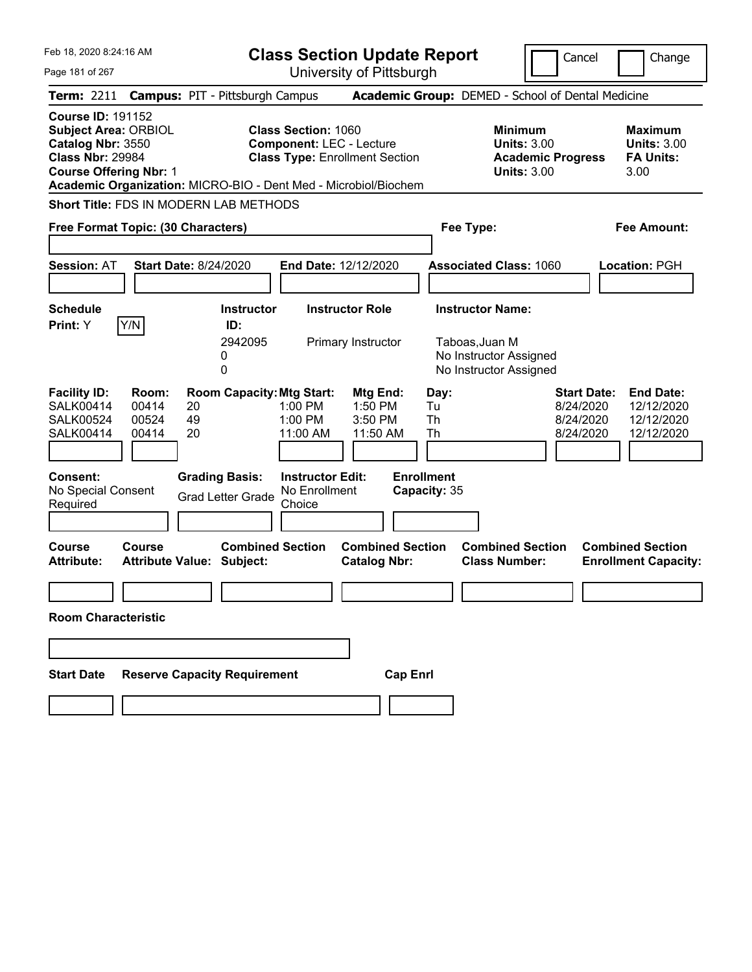| Feb 18, 2020 8:24:16 AM                                                                                                                                                                                     | <b>Class Section Update Report</b>                                                                                                                                                                                      | Cancel<br>Change                                                                                                                                    |
|-------------------------------------------------------------------------------------------------------------------------------------------------------------------------------------------------------------|-------------------------------------------------------------------------------------------------------------------------------------------------------------------------------------------------------------------------|-----------------------------------------------------------------------------------------------------------------------------------------------------|
| Page 181 of 267                                                                                                                                                                                             | University of Pittsburgh                                                                                                                                                                                                |                                                                                                                                                     |
| <b>Campus: PIT - Pittsburgh Campus</b><br><b>Term: 2211</b>                                                                                                                                                 | Academic Group: DEMED - School of Dental Medicine                                                                                                                                                                       |                                                                                                                                                     |
| <b>Course ID: 191152</b><br><b>Subject Area: ORBIOL</b><br>Catalog Nbr: 3550<br><b>Class Nbr: 29984</b><br><b>Course Offering Nbr: 1</b><br>Academic Organization: MICRO-BIO - Dent Med - Microbiol/Biochem | <b>Class Section: 1060</b><br><b>Component: LEC - Lecture</b><br><b>Class Type: Enrollment Section</b>                                                                                                                  | <b>Minimum</b><br>Maximum<br><b>Units: 3.00</b><br><b>Units: 3.00</b><br><b>FA Units:</b><br><b>Academic Progress</b><br><b>Units: 3.00</b><br>3.00 |
| Short Title: FDS IN MODERN LAB METHODS                                                                                                                                                                      |                                                                                                                                                                                                                         |                                                                                                                                                     |
| Free Format Topic: (30 Characters)                                                                                                                                                                          | Fee Type:                                                                                                                                                                                                               | Fee Amount:                                                                                                                                         |
| <b>Session: AT</b><br><b>Start Date: 8/24/2020</b>                                                                                                                                                          | End Date: 12/12/2020<br><b>Associated Class: 1060</b>                                                                                                                                                                   | Location: PGH                                                                                                                                       |
| <b>Schedule</b><br>Y/N<br>ID:<br><b>Print:</b> Y<br>0<br>0                                                                                                                                                  | <b>Instructor Role</b><br><b>Instructor Name:</b><br><b>Instructor</b><br>2942095<br>Taboas, Juan M<br>Primary Instructor<br>No Instructor Assigned<br>No Instructor Assigned                                           |                                                                                                                                                     |
| <b>Facility ID:</b><br>Room:<br><b>SALK00414</b><br>00414<br>20<br>49<br><b>SALK00524</b><br>00524<br>20<br>00414<br>SALK00414                                                                              | <b>Room Capacity: Mtg Start:</b><br>Mtg End:<br>Day:<br>$1:00$ PM<br>1:50 PM<br>Tu<br>1:00 PM<br>3:50 PM<br>Th<br>Th<br>11:00 AM<br>11:50 AM                                                                            | <b>Start Date:</b><br><b>End Date:</b><br>8/24/2020<br>12/12/2020<br>12/12/2020<br>8/24/2020<br>8/24/2020<br>12/12/2020                             |
| <b>Consent:</b><br><b>Grading Basis:</b><br>No Special Consent<br><b>Grad Letter Grade</b><br>Required<br>Course<br>Course<br><b>Attribute Value: Subject:</b><br><b>Attribute:</b>                         | <b>Enrollment</b><br><b>Instructor Edit:</b><br>No Enrollment<br>Capacity: 35<br>Choice<br><b>Combined Section</b><br><b>Combined Section</b><br><b>Combined Section</b><br><b>Class Number:</b><br><b>Catalog Nbr:</b> | <b>Combined Section</b><br><b>Enrollment Capacity:</b>                                                                                              |
| <b>Room Characteristic</b>                                                                                                                                                                                  |                                                                                                                                                                                                                         |                                                                                                                                                     |
|                                                                                                                                                                                                             |                                                                                                                                                                                                                         |                                                                                                                                                     |
| <b>Reserve Capacity Requirement</b><br><b>Start Date</b>                                                                                                                                                    | <b>Cap Enrl</b>                                                                                                                                                                                                         |                                                                                                                                                     |
|                                                                                                                                                                                                             |                                                                                                                                                                                                                         |                                                                                                                                                     |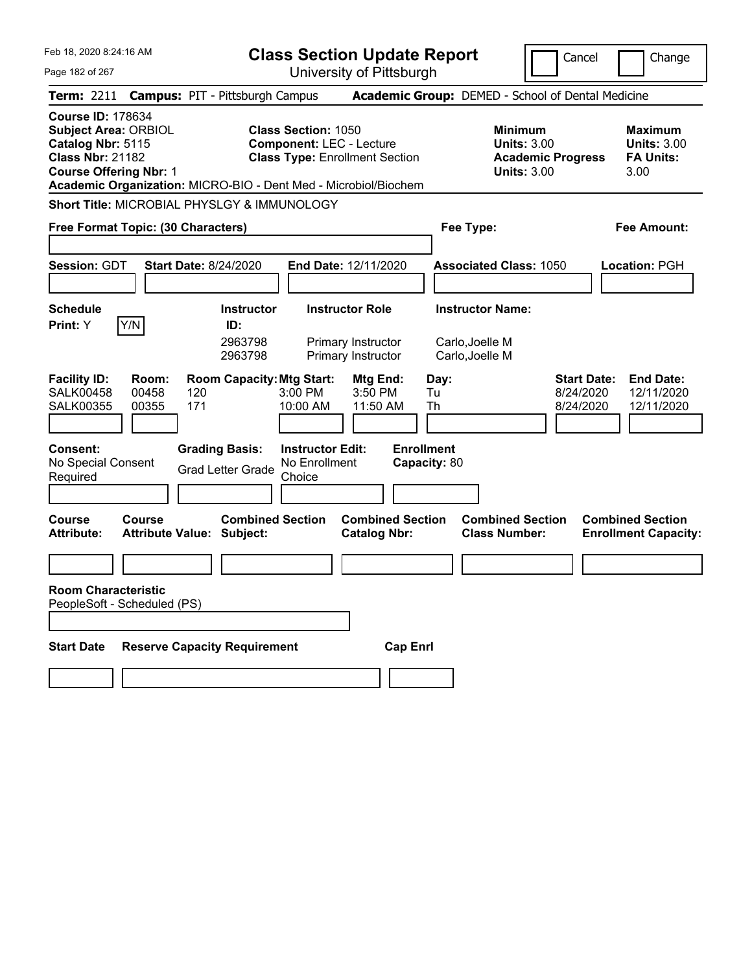| Feb 18, 2020 8:24:16 AM                                                                                                                                                                                     | <b>Class Section Update Report</b>                                                                     | Cancel<br>Change                                                                                                                                           |
|-------------------------------------------------------------------------------------------------------------------------------------------------------------------------------------------------------------|--------------------------------------------------------------------------------------------------------|------------------------------------------------------------------------------------------------------------------------------------------------------------|
| Page 182 of 267                                                                                                                                                                                             | University of Pittsburgh                                                                               |                                                                                                                                                            |
| <b>Campus: PIT - Pittsburgh Campus</b><br><b>Term: 2211</b>                                                                                                                                                 |                                                                                                        | Academic Group: DEMED - School of Dental Medicine                                                                                                          |
| <b>Course ID: 178634</b><br><b>Subject Area: ORBIOL</b><br>Catalog Nbr: 5115<br><b>Class Nbr: 21182</b><br><b>Course Offering Nbr: 1</b><br>Academic Organization: MICRO-BIO - Dent Med - Microbiol/Biochem | <b>Class Section: 1050</b><br><b>Component: LEC - Lecture</b><br><b>Class Type: Enrollment Section</b> | <b>Minimum</b><br><b>Maximum</b><br><b>Units: 3.00</b><br><b>Units: 3.00</b><br><b>Academic Progress</b><br><b>FA Units:</b><br><b>Units: 3.00</b><br>3.00 |
| Short Title: MICROBIAL PHYSLGY & IMMUNOLOGY                                                                                                                                                                 |                                                                                                        |                                                                                                                                                            |
| Free Format Topic: (30 Characters)                                                                                                                                                                          |                                                                                                        | <b>Fee Amount:</b><br>Fee Type:                                                                                                                            |
| <b>Session: GDT</b><br><b>Start Date: 8/24/2020</b>                                                                                                                                                         | End Date: 12/11/2020                                                                                   | <b>Associated Class: 1050</b><br>Location: PGH                                                                                                             |
| <b>Schedule</b>                                                                                                                                                                                             | <b>Instructor Role</b><br><b>Instructor</b>                                                            | <b>Instructor Name:</b>                                                                                                                                    |
| Y/N<br>Print: Y<br>ID:                                                                                                                                                                                      | 2963798<br>Primary Instructor<br>2963798<br>Primary Instructor                                         | Carlo, Joelle M<br>Carlo, Joelle M                                                                                                                         |
| <b>Facility ID:</b><br>Room:<br><b>SALK00458</b><br>00458<br>120<br><b>SALK00355</b><br>00355<br>171                                                                                                        | <b>Room Capacity: Mtg Start:</b><br>Mtg End:<br>$3:00$ PM<br>3:50 PM<br>10:00 AM<br>11:50 AM           | <b>Start Date:</b><br><b>End Date:</b><br>Day:<br>12/11/2020<br>Tu<br>8/24/2020<br>Th<br>8/24/2020<br>12/11/2020                                           |
| <b>Consent:</b><br><b>Grading Basis:</b><br>No Special Consent<br><b>Grad Letter Grade</b><br>Required                                                                                                      | <b>Enrollment</b><br><b>Instructor Edit:</b><br>No Enrollment<br>Capacity: 80<br>Choice                |                                                                                                                                                            |
| Course<br>Course<br><b>Attribute Value: Subject:</b><br><b>Attribute:</b>                                                                                                                                   | <b>Combined Section</b><br><b>Combined Section</b><br><b>Catalog Nbr:</b>                              | <b>Combined Section</b><br><b>Combined Section</b><br><b>Class Number:</b><br><b>Enrollment Capacity:</b>                                                  |
|                                                                                                                                                                                                             |                                                                                                        |                                                                                                                                                            |
| <b>Room Characteristic</b><br>PeopleSoft - Scheduled (PS)                                                                                                                                                   |                                                                                                        |                                                                                                                                                            |
| <b>Reserve Capacity Requirement</b><br><b>Start Date</b>                                                                                                                                                    | <b>Cap Enrl</b>                                                                                        |                                                                                                                                                            |
|                                                                                                                                                                                                             |                                                                                                        |                                                                                                                                                            |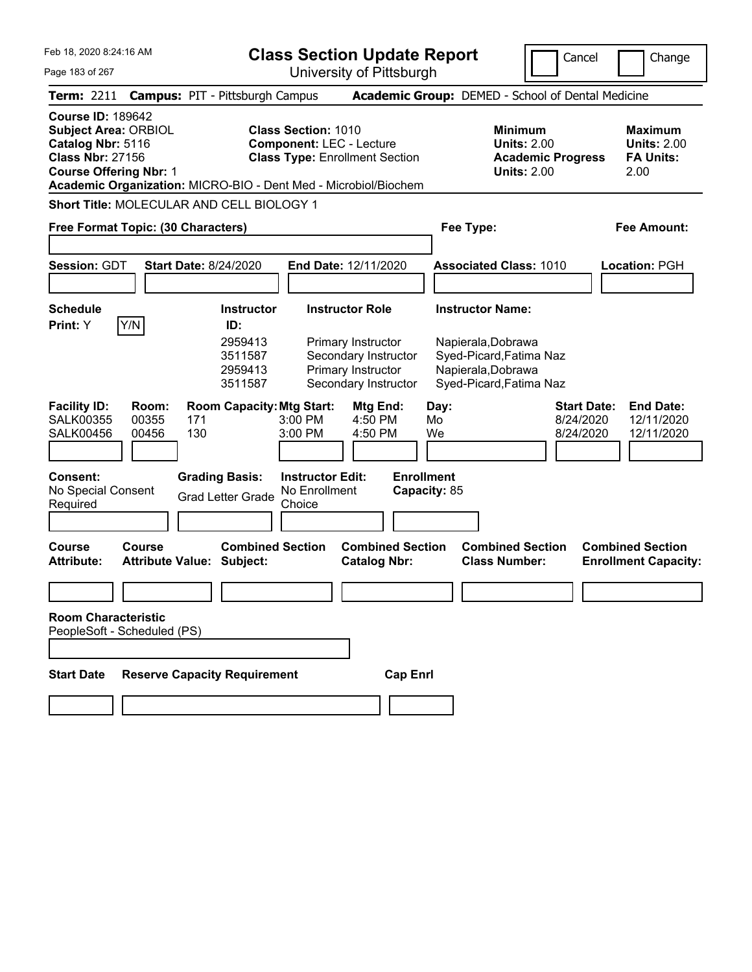| Feb 18, 2020 8:24:16 AM<br><b>Class Section Update Report</b>                                                                            |                                                                                            |                                                                                                                                                                           |                                                                       |                                                                                                                           | Cancel                                       | Change                                                           |
|------------------------------------------------------------------------------------------------------------------------------------------|--------------------------------------------------------------------------------------------|---------------------------------------------------------------------------------------------------------------------------------------------------------------------------|-----------------------------------------------------------------------|---------------------------------------------------------------------------------------------------------------------------|----------------------------------------------|------------------------------------------------------------------|
| Page 183 of 267                                                                                                                          |                                                                                            | University of Pittsburgh                                                                                                                                                  |                                                                       |                                                                                                                           |                                              |                                                                  |
| <b>Term: 2211</b>                                                                                                                        | <b>Campus: PIT - Pittsburgh Campus</b>                                                     |                                                                                                                                                                           |                                                                       | Academic Group: DEMED - School of Dental Medicine                                                                         |                                              |                                                                  |
| <b>Course ID: 189642</b><br><b>Subject Area: ORBIOL</b><br>Catalog Nbr: 5116<br><b>Class Nbr: 27156</b><br><b>Course Offering Nbr: 1</b> |                                                                                            | <b>Class Section: 1010</b><br><b>Component: LEC - Lecture</b><br><b>Class Type: Enrollment Section</b><br>Academic Organization: MICRO-BIO - Dent Med - Microbiol/Biochem |                                                                       | <b>Minimum</b><br><b>Units: 2.00</b><br><b>Units: 2.00</b>                                                                | <b>Academic Progress</b>                     | <b>Maximum</b><br><b>Units: 2.00</b><br><b>FA Units:</b><br>2.00 |
| Short Title: MOLECULAR AND CELL BIOLOGY 1                                                                                                |                                                                                            |                                                                                                                                                                           |                                                                       |                                                                                                                           |                                              |                                                                  |
| Free Format Topic: (30 Characters)                                                                                                       |                                                                                            |                                                                                                                                                                           |                                                                       | Fee Type:                                                                                                                 |                                              | <b>Fee Amount:</b>                                               |
| <b>Session: GDT</b>                                                                                                                      | <b>Start Date: 8/24/2020</b>                                                               | End Date: 12/11/2020                                                                                                                                                      |                                                                       | <b>Associated Class: 1010</b>                                                                                             |                                              | Location: PGH                                                    |
| <b>Schedule</b><br>Y/N<br>Print: Y                                                                                                       | ID:                                                                                        | <b>Instructor Role</b><br><b>Instructor</b><br>2959413<br>Primary Instructor<br>3511587<br>2959413<br>Primary Instructor<br>Secondary Instructor<br>3511587               | Secondary Instructor                                                  | <b>Instructor Name:</b><br>Napierala, Dobrawa<br>Syed-Picard, Fatima Naz<br>Napierala, Dobrawa<br>Syed-Picard, Fatima Naz |                                              |                                                                  |
| <b>Facility ID:</b><br><b>SALK00355</b><br><b>SALK00456</b><br><b>Consent:</b><br>No Special Consent                                     | Room:<br>00355<br>171<br>130<br>00456<br><b>Grading Basis:</b><br><b>Grad Letter Grade</b> | <b>Room Capacity: Mtg Start:</b><br>3:00 PM<br>3:00 PM<br><b>Instructor Edit:</b><br>No Enrollment                                                                        | Mtg End:<br>$4:50$ PM<br>4:50 PM<br><b>Enrollment</b><br>Capacity: 85 | Day:<br>Mo<br>We                                                                                                          | <b>Start Date:</b><br>8/24/2020<br>8/24/2020 | <b>End Date:</b><br>12/11/2020<br>12/11/2020                     |
| Required                                                                                                                                 |                                                                                            | Choice                                                                                                                                                                    |                                                                       |                                                                                                                           |                                              |                                                                  |
| <b>Course</b><br><b>Course</b><br>Attribute:                                                                                             | <b>Attribute Value: Subject:</b>                                                           | <b>Combined Section</b>                                                                                                                                                   | <b>Combined Section</b><br><b>Catalog Nbr:</b>                        | <b>Combined Section</b><br><b>Class Number:</b>                                                                           |                                              | <b>Combined Section</b><br><b>Enrollment Capacity:</b>           |
| <b>Room Characteristic</b><br>PeopleSoft - Scheduled (PS)                                                                                |                                                                                            |                                                                                                                                                                           |                                                                       |                                                                                                                           |                                              |                                                                  |
| <b>Start Date</b>                                                                                                                        | <b>Reserve Capacity Requirement</b>                                                        |                                                                                                                                                                           | <b>Cap Enrl</b>                                                       |                                                                                                                           |                                              |                                                                  |
|                                                                                                                                          |                                                                                            |                                                                                                                                                                           |                                                                       |                                                                                                                           |                                              |                                                                  |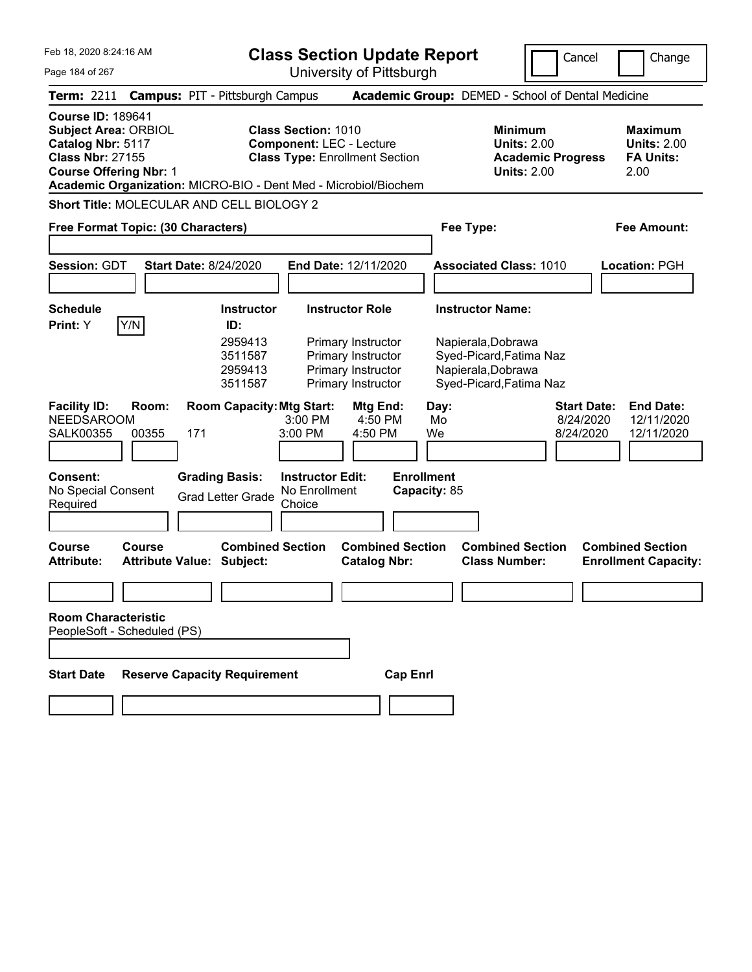| Feb 18. 2020 8:24:16 AM                                                                                                                                                                                     | <b>Class Section Update Report</b>                                                                                                                                                                                                                                                                           | Cancel<br>Change                                                                             |
|-------------------------------------------------------------------------------------------------------------------------------------------------------------------------------------------------------------|--------------------------------------------------------------------------------------------------------------------------------------------------------------------------------------------------------------------------------------------------------------------------------------------------------------|----------------------------------------------------------------------------------------------|
| Page 184 of 267                                                                                                                                                                                             | University of Pittsburgh                                                                                                                                                                                                                                                                                     |                                                                                              |
| <b>Campus: PIT - Pittsburgh Campus</b><br><b>Term: 2211</b>                                                                                                                                                 | Academic Group: DEMED - School of Dental Medicine                                                                                                                                                                                                                                                            |                                                                                              |
| <b>Course ID: 189641</b><br><b>Subject Area: ORBIOL</b><br>Catalog Nbr: 5117<br><b>Class Nbr: 27155</b><br><b>Course Offering Nbr: 1</b><br>Academic Organization: MICRO-BIO - Dent Med - Microbiol/Biochem | <b>Class Section: 1010</b><br><b>Minimum</b><br><b>Component: LEC - Lecture</b><br><b>Units: 2.00</b><br><b>Class Type: Enrollment Section</b><br><b>Academic Progress</b><br><b>Units: 2.00</b>                                                                                                             | <b>Maximum</b><br><b>Units: 2.00</b><br><b>FA Units:</b><br>2.00                             |
| Short Title: MOLECULAR AND CELL BIOLOGY 2                                                                                                                                                                   |                                                                                                                                                                                                                                                                                                              |                                                                                              |
| Free Format Topic: (30 Characters)                                                                                                                                                                          | Fee Type:                                                                                                                                                                                                                                                                                                    | <b>Fee Amount:</b>                                                                           |
| <b>Session: GDT</b><br><b>Start Date: 8/24/2020</b>                                                                                                                                                         | End Date: 12/11/2020<br><b>Associated Class: 1010</b>                                                                                                                                                                                                                                                        | Location: PGH                                                                                |
| <b>Schedule</b><br>Y/N<br>Print: Y<br>ID:                                                                                                                                                                   | <b>Instructor Role</b><br><b>Instructor Name:</b><br><b>Instructor</b><br>2959413<br>Napierala, Dobrawa<br>Primary Instructor<br>3511587<br>Primary Instructor<br>Syed-Picard, Fatima Naz<br>Napierala, Dobrawa<br>2959413<br>Primary Instructor<br>Primary Instructor<br>Syed-Picard, Fatima Naz<br>3511587 |                                                                                              |
| <b>Facility ID:</b><br>Room:<br><b>NEEDSAROOM</b><br><b>SALK00355</b><br>00355<br>171<br><b>Consent:</b><br><b>Grading Basis:</b><br>No Special Consent<br><b>Grad Letter Grade</b><br>Required             | <b>Room Capacity: Mtg Start:</b><br><b>Mtg End:</b><br>Day:<br>$3:00$ PM<br>4:50 PM<br>Mo<br>3:00 PM<br>4:50 PM<br>We<br><b>Instructor Edit:</b><br><b>Enrollment</b><br>No Enrollment<br>Capacity: 85<br>Choice                                                                                             | <b>Start Date:</b><br><b>End Date:</b><br>8/24/2020<br>12/11/2020<br>8/24/2020<br>12/11/2020 |
| Course<br><b>Course</b><br><b>Attribute:</b><br><b>Attribute Value: Subject:</b>                                                                                                                            | <b>Combined Section</b><br><b>Combined Section</b><br><b>Combined Section</b><br><b>Class Number:</b><br><b>Catalog Nbr:</b>                                                                                                                                                                                 | <b>Combined Section</b><br><b>Enrollment Capacity:</b>                                       |
| <b>Room Characteristic</b><br>PeopleSoft - Scheduled (PS)                                                                                                                                                   |                                                                                                                                                                                                                                                                                                              |                                                                                              |
| <b>Start Date</b><br><b>Reserve Capacity Requirement</b>                                                                                                                                                    | <b>Cap Enrl</b>                                                                                                                                                                                                                                                                                              |                                                                                              |
|                                                                                                                                                                                                             |                                                                                                                                                                                                                                                                                                              |                                                                                              |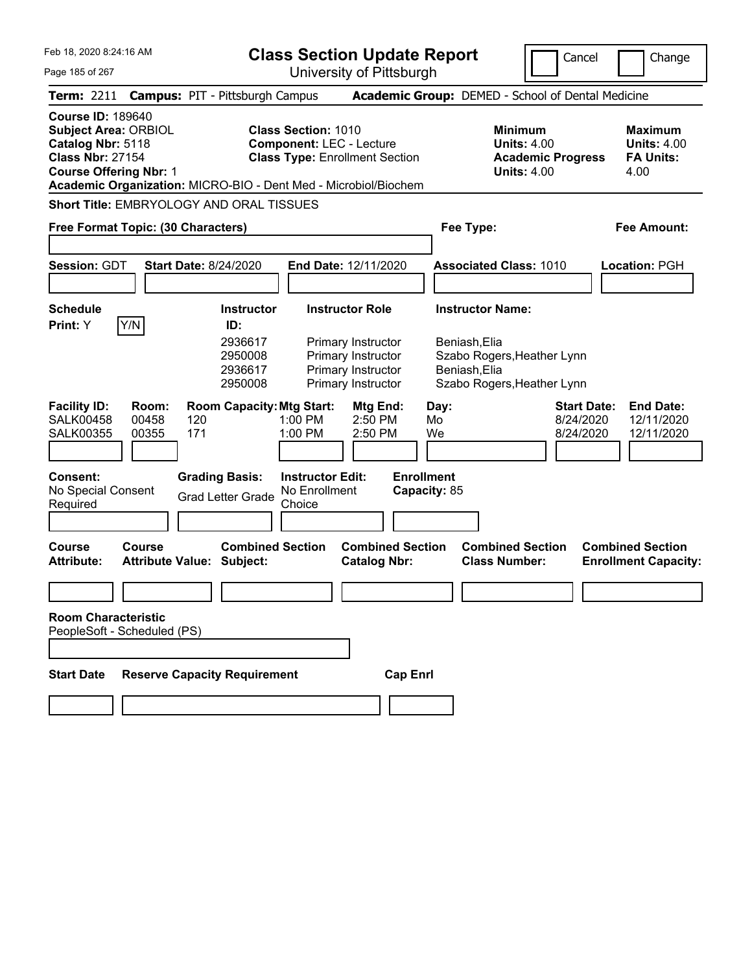Page 185 of 267

## **Class Section Update Report**

University of Pittsburgh

Cancel | Change

**Term:** 2211 **Campus:** PIT - Pittsburgh Campus **Academic Group:** DEMED - School of Dental Medicine **Course ID:** 189640 **Subject Area:** ORBIOL **Class Section:** 1010 **Minimum 1010 Minimum 1010 Maximum Catalog Nbr:** 5118 **Component:** LEC - Lecture 1010 **Units:** 4.00 **Units: 4.00 Catalog Nbr:** 5118 **Component: LEC - Lecture Class Nbr: 27154 Class Type: Enrollment Sec Course Offering Nbr: 1 Units: 4.00** 4.00

**Class Type: Enrollment Section <b>Academic Progress FA Units:** 

**Academic Organization:** MICRO-BIO - Dent Med - Microbiol/Biochem

**Short Title:** EMBRYOLOGY AND ORAL TISSUES

| Free Format Topic: (30 Characters)                                                                                                                                                                      |                                                                                                                                                                                 | Fee Type:                                                                                                             | <b>Fee Amount:</b>                                                                           |
|---------------------------------------------------------------------------------------------------------------------------------------------------------------------------------------------------------|---------------------------------------------------------------------------------------------------------------------------------------------------------------------------------|-----------------------------------------------------------------------------------------------------------------------|----------------------------------------------------------------------------------------------|
| <b>Session: GDT</b><br><b>Start Date: 8/24/2020</b>                                                                                                                                                     | End Date: 12/11/2020                                                                                                                                                            | <b>Associated Class: 1010</b>                                                                                         | Location: PGH                                                                                |
| <b>Schedule</b><br>Y/N<br>Print: Y<br>ID:                                                                                                                                                               | <b>Instructor</b><br><b>Instructor Role</b><br>2936617<br>Primary Instructor<br>2950008<br>Primary Instructor<br>2936617<br>Primary Instructor<br>2950008<br>Primary Instructor | <b>Instructor Name:</b><br>Beniash, Elia<br>Szabo Rogers, Heather Lynn<br>Beniash, Elia<br>Szabo Rogers, Heather Lynn |                                                                                              |
| <b>Facility ID:</b><br>Room:<br><b>SALK00458</b><br>00458<br>120<br><b>SALK00355</b><br>00355<br>171<br>Consent:<br><b>Grading Basis:</b><br>No Special Consent<br><b>Grad Letter Grade</b><br>Required | <b>Room Capacity: Mtg Start:</b><br>Mtg End:<br>$2:50$ PM<br>$1:00$ PM<br>1:00 PM<br>2:50 PM<br><b>Instructor Edit:</b><br>No Enrollment<br>Choice                              | Day:<br>Mo<br>We<br><b>Enrollment</b><br>Capacity: 85                                                                 | <b>Start Date:</b><br><b>End Date:</b><br>8/24/2020<br>12/11/2020<br>8/24/2020<br>12/11/2020 |
| <b>Course</b><br>Course<br><b>Attribute:</b><br><b>Attribute Value: Subject:</b>                                                                                                                        | <b>Combined Section</b><br><b>Combined Section</b><br><b>Catalog Nbr:</b>                                                                                                       | <b>Combined Section</b><br><b>Class Number:</b>                                                                       | <b>Combined Section</b><br><b>Enrollment Capacity:</b>                                       |
| <b>Room Characteristic</b><br>PeopleSoft - Scheduled (PS)<br><b>Start Date</b><br><b>Reserve Capacity Requirement</b>                                                                                   |                                                                                                                                                                                 | <b>Cap Enrl</b>                                                                                                       |                                                                                              |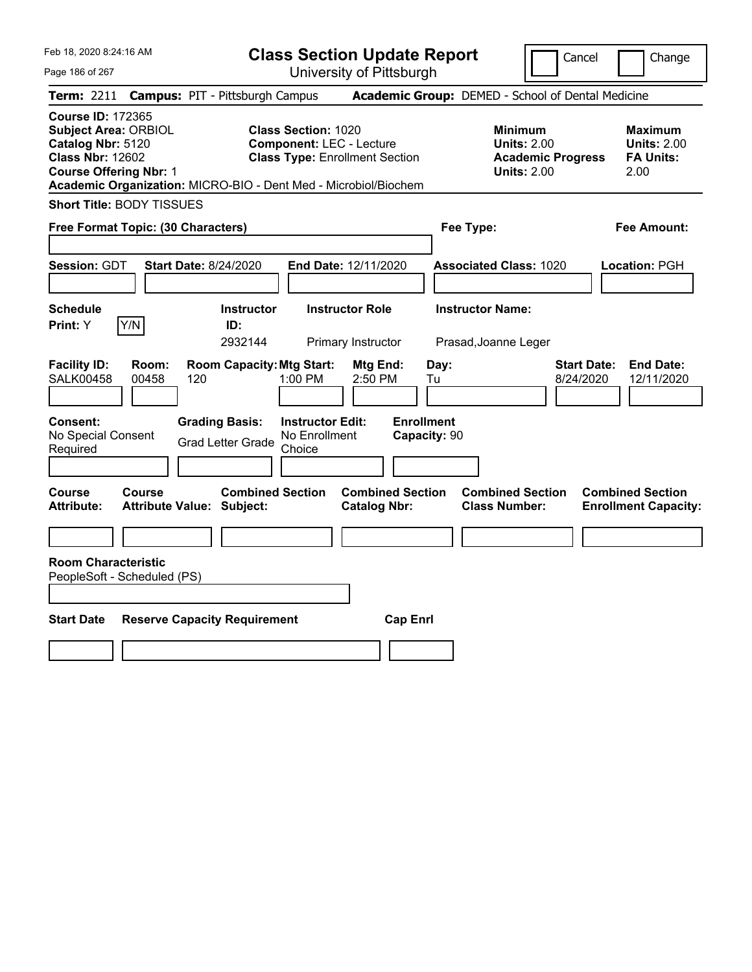Feb 18, 2020 8:24:16 AM

**Class Section Update Report** University of Pittsburgh

Cancel Change

Page 186 of 267

|                                                                                                                                          |                | <b>Term: 2211 Campus: PIT - Pittsburgh Campus</b>               |                                                               |                                                |                                   | <b>Academic Group:</b> DEMED - School of Dental Medicine                               |                                 |                                                                  |
|------------------------------------------------------------------------------------------------------------------------------------------|----------------|-----------------------------------------------------------------|---------------------------------------------------------------|------------------------------------------------|-----------------------------------|----------------------------------------------------------------------------------------|---------------------------------|------------------------------------------------------------------|
| <b>Course ID: 172365</b><br><b>Subject Area: ORBIOL</b><br>Catalog Nbr: 5120<br><b>Class Nbr: 12602</b><br><b>Course Offering Nbr: 1</b> |                | Academic Organization: MICRO-BIO - Dent Med - Microbiol/Biochem | <b>Class Section: 1020</b><br><b>Component: LEC - Lecture</b> | <b>Class Type: Enrollment Section</b>          |                                   | <b>Minimum</b><br><b>Units: 2.00</b><br><b>Academic Progress</b><br><b>Units: 2.00</b> |                                 | <b>Maximum</b><br><b>Units: 2.00</b><br><b>FA Units:</b><br>2.00 |
| <b>Short Title: BODY TISSUES</b>                                                                                                         |                |                                                                 |                                                               |                                                |                                   |                                                                                        |                                 |                                                                  |
| Free Format Topic: (30 Characters)                                                                                                       |                |                                                                 |                                                               |                                                | Fee Type:                         |                                                                                        |                                 | <b>Fee Amount:</b>                                               |
| Session: GDT                                                                                                                             |                | <b>Start Date: 8/24/2020</b>                                    |                                                               | End Date: 12/11/2020                           |                                   | <b>Associated Class: 1020</b>                                                          |                                 | Location: PGH                                                    |
| <b>Schedule</b><br>Print: Y                                                                                                              | Y/N            | <b>Instructor</b><br>ID:<br>2932144                             |                                                               | <b>Instructor Role</b><br>Primary Instructor   |                                   | <b>Instructor Name:</b><br>Prasad, Joanne Leger                                        |                                 |                                                                  |
| <b>Facility ID:</b><br><b>SALK00458</b>                                                                                                  | Room:<br>00458 | <b>Room Capacity: Mtg Start:</b><br>120                         | 1:00 PM                                                       | Mtg End:<br>2:50 PM                            | Day:<br>Tu                        |                                                                                        | <b>Start Date:</b><br>8/24/2020 | <b>End Date:</b><br>12/11/2020                                   |
| Consent:<br>No Special Consent<br>Required                                                                                               |                | <b>Grading Basis:</b><br><b>Grad Letter Grade</b>               | <b>Instructor Edit:</b><br>No Enrollment<br>Choice            |                                                | <b>Enrollment</b><br>Capacity: 90 |                                                                                        |                                 |                                                                  |
| <b>Course</b><br><b>Attribute:</b>                                                                                                       | Course         | <b>Combined Section</b><br><b>Attribute Value: Subject:</b>     |                                                               | <b>Combined Section</b><br><b>Catalog Nbr:</b> |                                   | <b>Combined Section</b><br><b>Class Number:</b>                                        |                                 | <b>Combined Section</b><br><b>Enrollment Capacity:</b>           |
| <b>Room Characteristic</b><br>PeopleSoft - Scheduled (PS)                                                                                |                |                                                                 |                                                               |                                                |                                   |                                                                                        |                                 |                                                                  |
| <b>Start Date</b>                                                                                                                        |                | <b>Reserve Capacity Requirement</b>                             |                                                               | <b>Cap Enrl</b>                                |                                   |                                                                                        |                                 |                                                                  |
|                                                                                                                                          |                |                                                                 |                                                               |                                                |                                   |                                                                                        |                                 |                                                                  |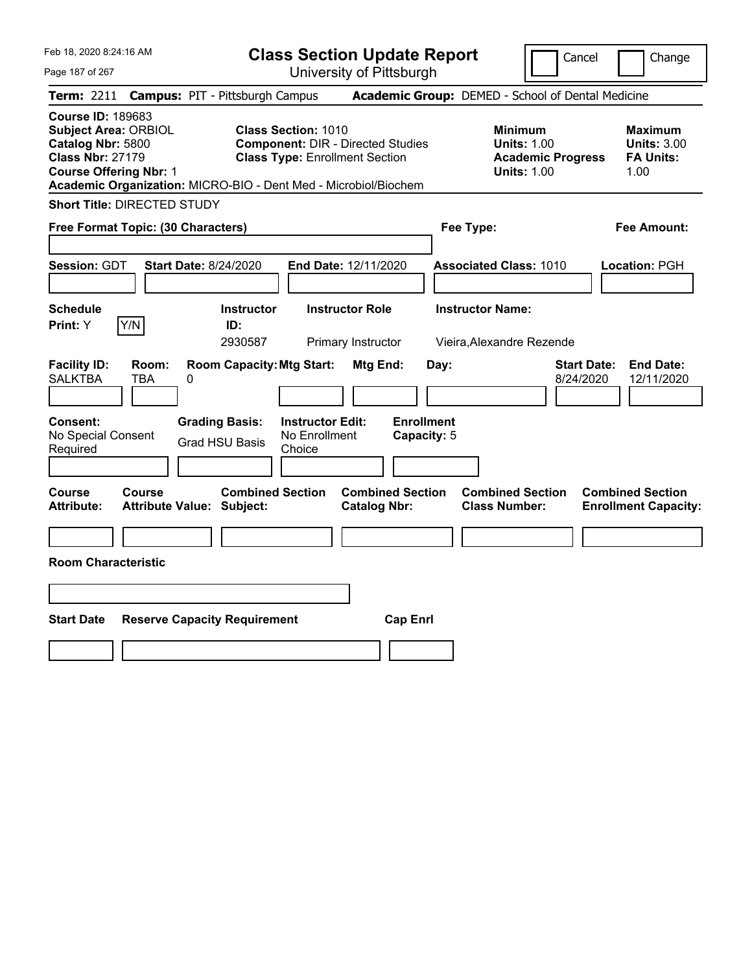|  | Feb 18, 2020 8:24:16 AM |  |
|--|-------------------------|--|
|  |                         |  |

**Class Section Update Report** University of Pittsburgh

Cancel Change

Page 187 of 267

|                                                                                                                                          |               | <b>Term: 2211 Campus: PIT - Pittsburgh Campus</b>               |                                                                                                                 |                                                |                                  |           | <b>Academic Group:</b> DEMED - School of Dental Medicine                               |                                 |                                                           |
|------------------------------------------------------------------------------------------------------------------------------------------|---------------|-----------------------------------------------------------------|-----------------------------------------------------------------------------------------------------------------|------------------------------------------------|----------------------------------|-----------|----------------------------------------------------------------------------------------|---------------------------------|-----------------------------------------------------------|
| <b>Course ID: 189683</b><br><b>Subject Area: ORBIOL</b><br>Catalog Nbr: 5800<br><b>Class Nbr: 27179</b><br><b>Course Offering Nbr: 1</b> |               | Academic Organization: MICRO-BIO - Dent Med - Microbiol/Biochem | <b>Class Section: 1010</b><br><b>Component: DIR - Directed Studies</b><br><b>Class Type: Enrollment Section</b> |                                                |                                  |           | <b>Minimum</b><br><b>Units: 1.00</b><br><b>Academic Progress</b><br><b>Units: 1.00</b> |                                 | Maximum<br><b>Units: 3.00</b><br><b>FA Units:</b><br>1.00 |
| <b>Short Title: DIRECTED STUDY</b>                                                                                                       |               |                                                                 |                                                                                                                 |                                                |                                  |           |                                                                                        |                                 |                                                           |
| Free Format Topic: (30 Characters)                                                                                                       |               |                                                                 |                                                                                                                 |                                                |                                  | Fee Type: |                                                                                        |                                 | <b>Fee Amount:</b>                                        |
| <b>Session: GDT</b>                                                                                                                      |               | <b>Start Date: 8/24/2020</b>                                    |                                                                                                                 | <b>End Date: 12/11/2020</b>                    |                                  |           | <b>Associated Class: 1010</b>                                                          |                                 | Location: PGH                                             |
| <b>Schedule</b><br>Print: Y                                                                                                              | Y/N           | <b>Instructor</b><br>ID:<br>2930587                             |                                                                                                                 | <b>Instructor Role</b><br>Primary Instructor   |                                  |           | <b>Instructor Name:</b><br>Vieira, Alexandre Rezende                                   |                                 |                                                           |
| <b>Facility ID:</b><br><b>SALKTBA</b>                                                                                                    | Room:<br>TBA  | <b>Room Capacity: Mtg Start:</b><br>0                           |                                                                                                                 | Mtg End:                                       |                                  | Day:      |                                                                                        | <b>Start Date:</b><br>8/24/2020 | <b>End Date:</b><br>12/11/2020                            |
| Consent:<br>No Special Consent<br>Required                                                                                               |               | <b>Grading Basis:</b><br><b>Grad HSU Basis</b>                  | <b>Instructor Edit:</b><br>No Enrollment<br>Choice                                                              |                                                | <b>Enrollment</b><br>Capacity: 5 |           |                                                                                        |                                 |                                                           |
| <b>Course</b><br><b>Attribute:</b>                                                                                                       | <b>Course</b> | <b>Combined Section</b><br><b>Attribute Value: Subject:</b>     |                                                                                                                 | <b>Combined Section</b><br><b>Catalog Nbr:</b> |                                  |           | <b>Combined Section</b><br><b>Class Number:</b>                                        |                                 | <b>Combined Section</b><br><b>Enrollment Capacity:</b>    |
| <b>Room Characteristic</b>                                                                                                               |               |                                                                 |                                                                                                                 |                                                |                                  |           |                                                                                        |                                 |                                                           |
| <b>Start Date</b>                                                                                                                        |               | <b>Reserve Capacity Requirement</b>                             |                                                                                                                 |                                                | <b>Cap Enrl</b>                  |           |                                                                                        |                                 |                                                           |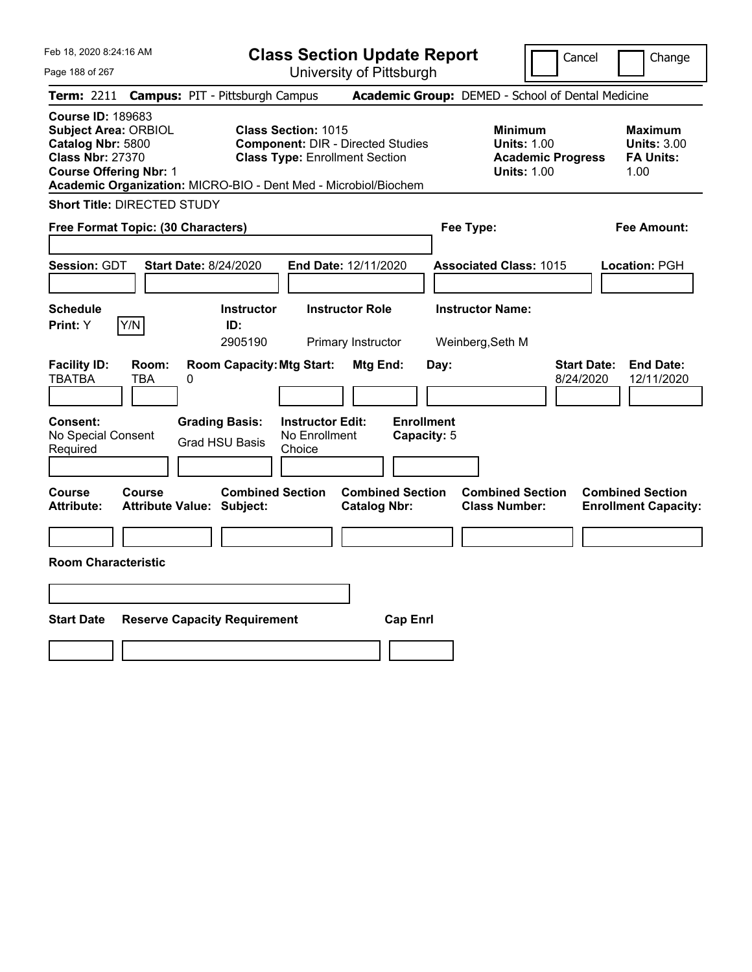|  | Feb 18, 2020 8:24:16 AM |  |
|--|-------------------------|--|
|  |                         |  |

| <b>Class Section Update Report</b> |  |
|------------------------------------|--|
| University of Pittsburgh           |  |

Cancel Change

Page 188 of 267

|                                                                                                                                          |               | <b>Term: 2211 Campus: PIT - Pittsburgh Campus</b>               |                                                                                                                 |                                                |                                  |           | <b>Academic Group:</b> DEMED - School of Dental Medicine                               |                                 |                                                                  |
|------------------------------------------------------------------------------------------------------------------------------------------|---------------|-----------------------------------------------------------------|-----------------------------------------------------------------------------------------------------------------|------------------------------------------------|----------------------------------|-----------|----------------------------------------------------------------------------------------|---------------------------------|------------------------------------------------------------------|
| <b>Course ID: 189683</b><br><b>Subject Area: ORBIOL</b><br>Catalog Nbr: 5800<br><b>Class Nbr: 27370</b><br><b>Course Offering Nbr: 1</b> |               | Academic Organization: MICRO-BIO - Dent Med - Microbiol/Biochem | <b>Class Section: 1015</b><br><b>Component: DIR - Directed Studies</b><br><b>Class Type: Enrollment Section</b> |                                                |                                  |           | <b>Minimum</b><br><b>Units: 1.00</b><br><b>Academic Progress</b><br><b>Units: 1.00</b> |                                 | <b>Maximum</b><br><b>Units: 3.00</b><br><b>FA Units:</b><br>1.00 |
| <b>Short Title: DIRECTED STUDY</b>                                                                                                       |               |                                                                 |                                                                                                                 |                                                |                                  |           |                                                                                        |                                 |                                                                  |
| Free Format Topic: (30 Characters)                                                                                                       |               |                                                                 |                                                                                                                 |                                                |                                  | Fee Type: |                                                                                        |                                 | <b>Fee Amount:</b>                                               |
| Session: GDT                                                                                                                             |               | <b>Start Date: 8/24/2020</b>                                    | End Date: 12/11/2020                                                                                            |                                                |                                  |           | <b>Associated Class: 1015</b>                                                          |                                 | Location: PGH                                                    |
| <b>Schedule</b><br>Print: Y                                                                                                              | Y/N           | <b>Instructor</b><br>ID:<br>2905190                             |                                                                                                                 | <b>Instructor Role</b><br>Primary Instructor   |                                  |           | <b>Instructor Name:</b><br>Weinberg, Seth M                                            |                                 |                                                                  |
| <b>Facility ID:</b><br><b>TBATBA</b>                                                                                                     | Room:<br>TBA  | <b>Room Capacity: Mtg Start:</b><br>0                           |                                                                                                                 | Mtg End:                                       |                                  | Day:      |                                                                                        | <b>Start Date:</b><br>8/24/2020 | <b>End Date:</b><br>12/11/2020                                   |
| <b>Consent:</b><br>No Special Consent<br>Required                                                                                        |               | <b>Grading Basis:</b><br><b>Grad HSU Basis</b>                  | <b>Instructor Edit:</b><br>No Enrollment<br>Choice                                                              |                                                | <b>Enrollment</b><br>Capacity: 5 |           |                                                                                        |                                 |                                                                  |
| Course<br><b>Attribute:</b>                                                                                                              | <b>Course</b> | <b>Combined Section</b><br><b>Attribute Value: Subject:</b>     |                                                                                                                 | <b>Combined Section</b><br><b>Catalog Nbr:</b> |                                  |           | <b>Combined Section</b><br><b>Class Number:</b>                                        |                                 | <b>Combined Section</b><br><b>Enrollment Capacity:</b>           |
| <b>Room Characteristic</b>                                                                                                               |               |                                                                 |                                                                                                                 |                                                |                                  |           |                                                                                        |                                 |                                                                  |
| <b>Start Date</b>                                                                                                                        |               | <b>Reserve Capacity Requirement</b>                             |                                                                                                                 |                                                | <b>Cap Enrl</b>                  |           |                                                                                        |                                 |                                                                  |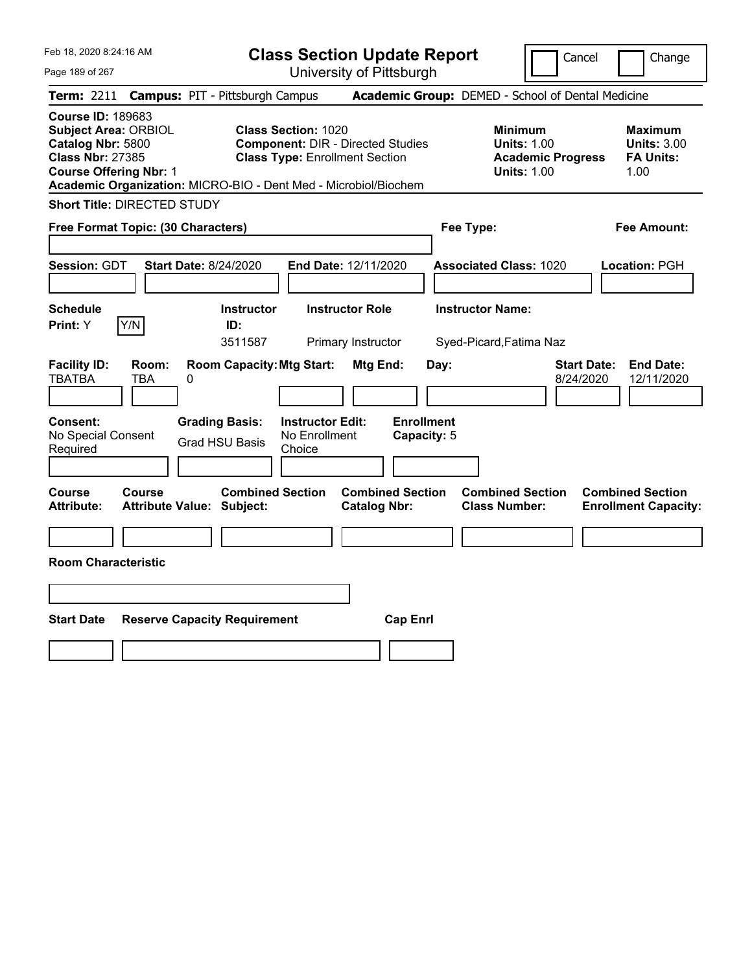|  | Feb 18, 2020 8:24:16 AM |  |
|--|-------------------------|--|
|  |                         |  |

| <b>Class Section Update Report</b> |  |
|------------------------------------|--|
| University of Pittsburgh           |  |

Cancel Change

Page 189 of 267

| <b>Term: 2211</b>                                                        |                                                              |   | <b>Campus: PIT - Pittsburgh Campus</b>                          |                                                                                                                 |                                                |                                  |      | <b>Academic Group: DEMED - School of Dental Medicine</b>                               |                                 |                                                           |
|--------------------------------------------------------------------------|--------------------------------------------------------------|---|-----------------------------------------------------------------|-----------------------------------------------------------------------------------------------------------------|------------------------------------------------|----------------------------------|------|----------------------------------------------------------------------------------------|---------------------------------|-----------------------------------------------------------|
| <b>Course ID: 189683</b><br>Catalog Nbr: 5800<br><b>Class Nbr: 27385</b> | <b>Subject Area: ORBIOL</b><br><b>Course Offering Nbr: 1</b> |   | Academic Organization: MICRO-BIO - Dent Med - Microbiol/Biochem | <b>Class Section: 1020</b><br><b>Component: DIR - Directed Studies</b><br><b>Class Type: Enrollment Section</b> |                                                |                                  |      | <b>Minimum</b><br><b>Units: 1.00</b><br><b>Academic Progress</b><br><b>Units: 1.00</b> |                                 | Maximum<br><b>Units: 3.00</b><br><b>FA Units:</b><br>1.00 |
|                                                                          | <b>Short Title: DIRECTED STUDY</b>                           |   |                                                                 |                                                                                                                 |                                                |                                  |      |                                                                                        |                                 |                                                           |
|                                                                          | Free Format Topic: (30 Characters)                           |   |                                                                 |                                                                                                                 |                                                |                                  |      | Fee Type:                                                                              |                                 | Fee Amount:                                               |
| Session: GDT                                                             |                                                              |   | <b>Start Date: 8/24/2020</b>                                    | End Date: 12/11/2020                                                                                            |                                                |                                  |      | <b>Associated Class: 1020</b>                                                          |                                 | Location: PGH                                             |
| <b>Schedule</b><br>Print: Y                                              | Y/N                                                          |   | <b>Instructor</b><br>ID:<br>3511587                             |                                                                                                                 | <b>Instructor Role</b><br>Primary Instructor   |                                  |      | <b>Instructor Name:</b><br>Syed-Picard, Fatima Naz                                     |                                 |                                                           |
| <b>Facility ID:</b><br><b>TBATBA</b>                                     | Room:<br><b>TBA</b>                                          | 0 | <b>Room Capacity: Mtg Start:</b>                                |                                                                                                                 | Mtg End:                                       |                                  | Day: |                                                                                        | <b>Start Date:</b><br>8/24/2020 | <b>End Date:</b><br>12/11/2020                            |
| Consent:<br>No Special Consent<br>Required                               |                                                              |   | <b>Grading Basis:</b><br><b>Grad HSU Basis</b>                  | <b>Instructor Edit:</b><br>No Enrollment<br>Choice                                                              |                                                | <b>Enrollment</b><br>Capacity: 5 |      |                                                                                        |                                 |                                                           |
| Course<br><b>Attribute:</b>                                              | <b>Course</b>                                                |   | <b>Combined Section</b><br><b>Attribute Value: Subject:</b>     |                                                                                                                 | <b>Combined Section</b><br><b>Catalog Nbr:</b> |                                  |      | <b>Combined Section</b><br><b>Class Number:</b>                                        |                                 | <b>Combined Section</b><br><b>Enrollment Capacity:</b>    |
|                                                                          | <b>Room Characteristic</b>                                   |   |                                                                 |                                                                                                                 |                                                |                                  |      |                                                                                        |                                 |                                                           |
|                                                                          |                                                              |   |                                                                 |                                                                                                                 |                                                |                                  |      |                                                                                        |                                 |                                                           |
| <b>Start Date</b>                                                        |                                                              |   | <b>Reserve Capacity Requirement</b>                             |                                                                                                                 |                                                | <b>Cap Enrl</b>                  |      |                                                                                        |                                 |                                                           |
|                                                                          |                                                              |   |                                                                 |                                                                                                                 |                                                |                                  |      |                                                                                        |                                 |                                                           |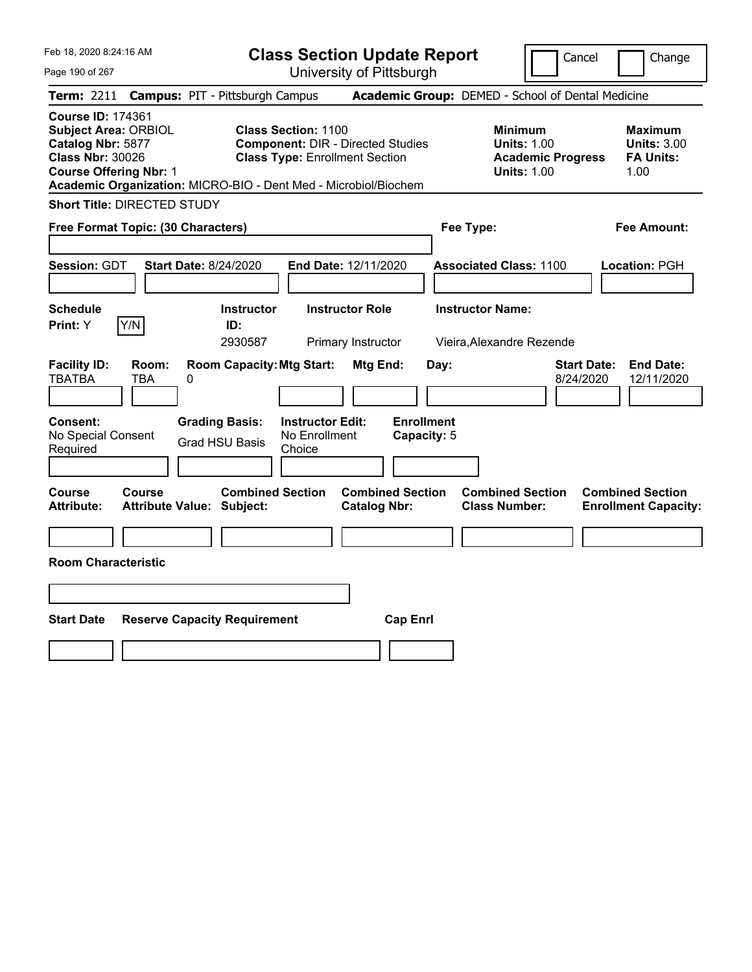|  | Feb 18, 2020 8:24:16 AM |  |
|--|-------------------------|--|
|  |                         |  |

**Class Section Update Report**

Cancel | Change

Page 190 of 267

University of Pittsburgh **Term:** 2211 **Campus:** PIT - Pittsburgh Campus **Academic Group:** DEMED - School of Dental Medicine

| <b>Course ID: 174361</b><br><b>Subject Area: ORBIOL</b><br>Catalog Nbr: 5877<br><b>Class Nbr: 30026</b><br><b>Course Offering Nbr: 1</b> | <b>Class Section: 1100</b><br><b>Component: DIR - Directed Studies</b><br><b>Class Type: Enrollment Section</b><br>Academic Organization: MICRO-BIO - Dent Med - Microbiol/Biochem | <b>Minimum</b><br><b>Units: 1.00</b><br><b>Academic Progress</b><br><b>Units: 1.00</b> | <b>Maximum</b><br><b>Units: 3.00</b><br><b>FA Units:</b><br>1.00 |
|------------------------------------------------------------------------------------------------------------------------------------------|------------------------------------------------------------------------------------------------------------------------------------------------------------------------------------|----------------------------------------------------------------------------------------|------------------------------------------------------------------|
| <b>Short Title: DIRECTED STUDY</b>                                                                                                       |                                                                                                                                                                                    |                                                                                        |                                                                  |
| Free Format Topic: (30 Characters)                                                                                                       |                                                                                                                                                                                    | Fee Type:                                                                              | <b>Fee Amount:</b>                                               |
| Session: GDT<br><b>Start Date: 8/24/2020</b>                                                                                             | End Date: 12/11/2020                                                                                                                                                               | <b>Associated Class: 1100</b>                                                          | Location: PGH                                                    |
| <b>Schedule</b><br>Y/N<br><b>Print:</b> Y                                                                                                | <b>Instructor Role</b><br><b>Instructor</b><br>ID:<br>2930587<br>Primary Instructor                                                                                                | <b>Instructor Name:</b><br>Vieira, Alexandre Rezende                                   |                                                                  |
| <b>Facility ID:</b><br>Room:<br><b>TBATBA</b><br><b>TBA</b><br>0                                                                         | <b>Room Capacity: Mtg Start:</b><br>Mtg End:                                                                                                                                       | <b>Start Date:</b><br>Day:<br>8/24/2020                                                | <b>End Date:</b><br>12/11/2020                                   |
| <b>Grading Basis:</b><br>Consent:<br>No Special Consent<br><b>Grad HSU Basis</b><br>Required                                             | <b>Instructor Edit:</b><br><b>Enrollment</b><br>No Enrollment<br>Capacity: 5<br>Choice                                                                                             |                                                                                        |                                                                  |
| Course<br>Course<br><b>Attribute:</b><br><b>Attribute Value: Subject:</b>                                                                | <b>Combined Section</b><br><b>Combined Section</b><br><b>Catalog Nbr:</b>                                                                                                          | <b>Combined Section</b><br><b>Class Number:</b>                                        | <b>Combined Section</b><br><b>Enrollment Capacity:</b>           |
| <b>Room Characteristic</b>                                                                                                               |                                                                                                                                                                                    |                                                                                        |                                                                  |
| <b>Start Date</b><br><b>Reserve Capacity Requirement</b>                                                                                 | <b>Cap Enrl</b>                                                                                                                                                                    |                                                                                        |                                                                  |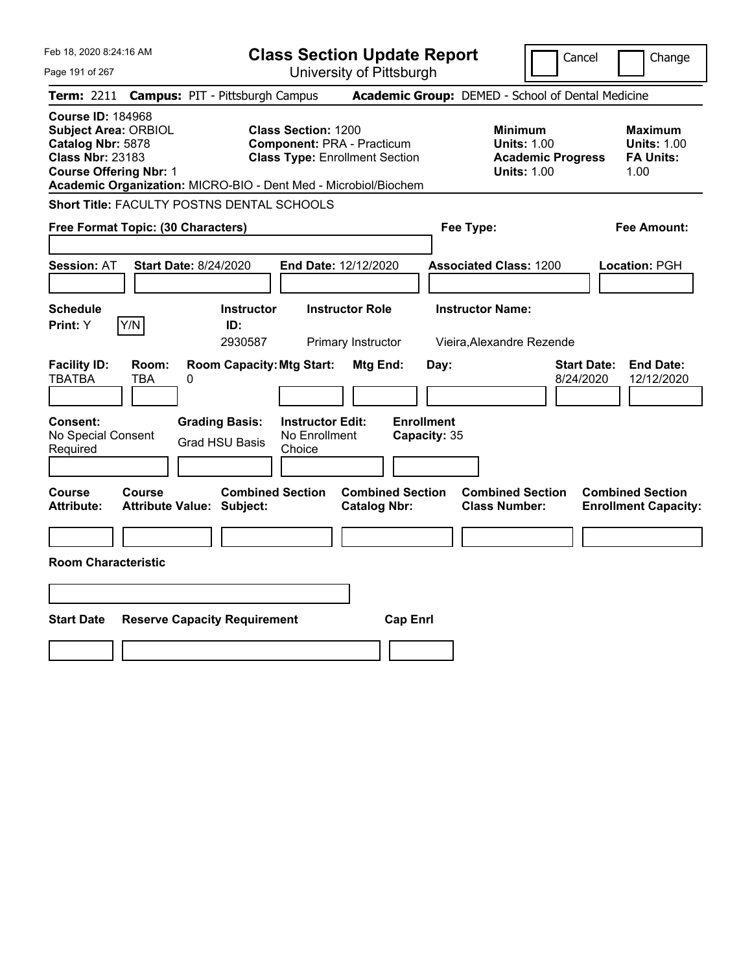| Feb 18, 2020 8:24:16 AM                                                                                                                  |                                                                 | <b>Class Section Update Report</b>                                                                       |                                                |                                                                                 | Change<br>Cancel                                                  |
|------------------------------------------------------------------------------------------------------------------------------------------|-----------------------------------------------------------------|----------------------------------------------------------------------------------------------------------|------------------------------------------------|---------------------------------------------------------------------------------|-------------------------------------------------------------------|
| Page 191 of 267                                                                                                                          |                                                                 | University of Pittsburgh                                                                                 |                                                |                                                                                 |                                                                   |
| <b>Term:</b> 2211                                                                                                                        | <b>Campus: PIT - Pittsburgh Campus</b>                          |                                                                                                          |                                                | Academic Group: DEMED - School of Dental Medicine                               |                                                                   |
| <b>Course ID: 184968</b><br><b>Subject Area: ORBIOL</b><br>Catalog Nbr: 5878<br><b>Class Nbr: 23183</b><br><b>Course Offering Nbr: 1</b> | Academic Organization: MICRO-BIO - Dent Med - Microbiol/Biochem | <b>Class Section: 1200</b><br><b>Component: PRA - Practicum</b><br><b>Class Type: Enrollment Section</b> |                                                | Minimum<br><b>Units: 1.00</b><br><b>Academic Progress</b><br><b>Units: 1.00</b> | <b>Maximum</b><br><b>Units: 1.00</b><br><b>FA Units:</b><br>1.00  |
|                                                                                                                                          | Short Title: FACULTY POSTNS DENTAL SCHOOLS                      |                                                                                                          |                                                |                                                                                 |                                                                   |
| Free Format Topic: (30 Characters)                                                                                                       |                                                                 |                                                                                                          |                                                | Fee Type:                                                                       | Fee Amount:                                                       |
| <b>Session: AT</b>                                                                                                                       | <b>Start Date: 8/24/2020</b>                                    | End Date: 12/12/2020                                                                                     |                                                | <b>Associated Class: 1200</b>                                                   | Location: PGH                                                     |
| <b>Schedule</b><br>Y/N<br>Print: Y                                                                                                       | <b>Instructor</b><br>ID:<br>2930587                             | <b>Instructor Role</b><br>Primary Instructor                                                             |                                                | <b>Instructor Name:</b><br>Vieira, Alexandre Rezende                            |                                                                   |
| <b>Facility ID:</b><br>Room:<br><b>TBATBA</b><br>TBA                                                                                     | <b>Room Capacity: Mtg Start:</b><br>0                           |                                                                                                          | Mtg End:<br>Day:                               |                                                                                 | <b>End Date:</b><br><b>Start Date:</b><br>8/24/2020<br>12/12/2020 |
| <b>Consent:</b><br>No Special Consent<br>Required                                                                                        | <b>Grading Basis:</b><br><b>Grad HSU Basis</b>                  | <b>Instructor Edit:</b><br>No Enrollment<br>Choice                                                       | <b>Enrollment</b><br>Capacity: 35              |                                                                                 |                                                                   |
| Course<br>Course<br><b>Attribute:</b>                                                                                                    | <b>Attribute Value: Subject:</b>                                | <b>Combined Section</b>                                                                                  | <b>Combined Section</b><br><b>Catalog Nbr:</b> | <b>Combined Section</b><br><b>Class Number:</b>                                 | <b>Combined Section</b><br><b>Enrollment Capacity:</b>            |
|                                                                                                                                          |                                                                 |                                                                                                          |                                                |                                                                                 |                                                                   |
| <b>Room Characteristic</b>                                                                                                               |                                                                 |                                                                                                          |                                                |                                                                                 |                                                                   |
|                                                                                                                                          |                                                                 |                                                                                                          |                                                |                                                                                 |                                                                   |
| <b>Start Date</b>                                                                                                                        | <b>Reserve Capacity Requirement</b>                             |                                                                                                          | <b>Cap Enrl</b>                                |                                                                                 |                                                                   |
|                                                                                                                                          |                                                                 |                                                                                                          |                                                |                                                                                 |                                                                   |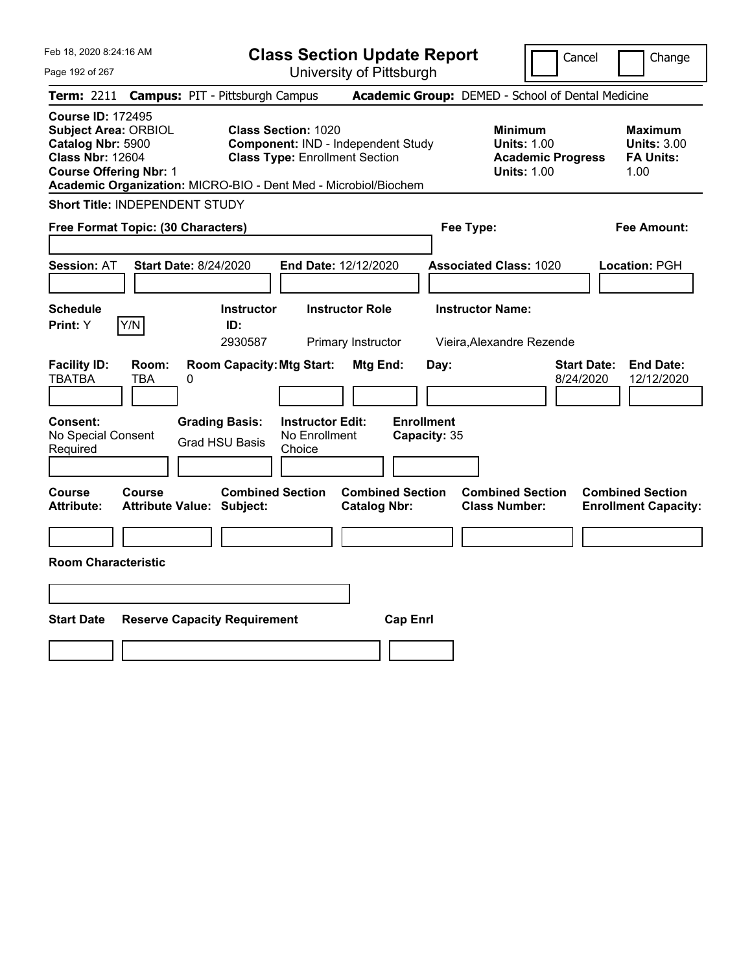| Feb 18, 2020 8:24:16 AM                                                                                                                                                                                     | <b>Class Section Update Report</b>                                                                        |                                                     | Cancel                                                                                 | Change                                                           |
|-------------------------------------------------------------------------------------------------------------------------------------------------------------------------------------------------------------|-----------------------------------------------------------------------------------------------------------|-----------------------------------------------------|----------------------------------------------------------------------------------------|------------------------------------------------------------------|
| Page 192 of 267                                                                                                                                                                                             | University of Pittsburgh                                                                                  |                                                     |                                                                                        |                                                                  |
| <b>Term: 2211</b>                                                                                                                                                                                           | <b>Campus: PIT - Pittsburgh Campus</b>                                                                    | Academic Group: DEMED - School of Dental Medicine   |                                                                                        |                                                                  |
| <b>Course ID: 172495</b><br><b>Subject Area: ORBIOL</b><br>Catalog Nbr: 5900<br><b>Class Nbr: 12604</b><br><b>Course Offering Nbr: 1</b><br>Academic Organization: MICRO-BIO - Dent Med - Microbiol/Biochem | <b>Class Section: 1020</b><br>Component: IND - Independent Study<br><b>Class Type: Enrollment Section</b> |                                                     | <b>Minimum</b><br><b>Units: 1.00</b><br><b>Academic Progress</b><br><b>Units: 1.00</b> | <b>Maximum</b><br><b>Units: 3.00</b><br><b>FA Units:</b><br>1.00 |
| <b>Short Title: INDEPENDENT STUDY</b>                                                                                                                                                                       |                                                                                                           |                                                     |                                                                                        |                                                                  |
| Free Format Topic: (30 Characters)                                                                                                                                                                          |                                                                                                           | Fee Type:                                           |                                                                                        | Fee Amount:                                                      |
| <b>Start Date: 8/24/2020</b><br><b>Session: AT</b>                                                                                                                                                          | End Date: 12/12/2020                                                                                      | <b>Associated Class: 1020</b>                       |                                                                                        | Location: PGH                                                    |
| <b>Schedule</b><br>Y/N<br><b>Print: Y</b>                                                                                                                                                                   | <b>Instructor</b><br><b>Instructor Role</b><br>ID:<br>2930587<br>Primary Instructor                       | <b>Instructor Name:</b><br>Vieira.Alexandre Rezende |                                                                                        |                                                                  |
| <b>Facility ID:</b><br>Room:<br><b>TBATBA</b><br>TBA<br>0                                                                                                                                                   | <b>Room Capacity: Mtg Start:</b><br>Mtg End:                                                              | Day:                                                | <b>Start Date:</b><br>8/24/2020                                                        | <b>End Date:</b><br>12/12/2020                                   |
| <b>Consent:</b><br><b>Grading Basis:</b><br>No Special Consent<br><b>Grad HSU Basis</b><br>Required                                                                                                         | <b>Instructor Edit:</b><br>No Enrollment<br>Choice                                                        | <b>Enrollment</b><br>Capacity: 35                   |                                                                                        |                                                                  |
| Course<br>Course<br><b>Attribute:</b><br><b>Attribute Value: Subject:</b>                                                                                                                                   | <b>Combined Section</b><br><b>Catalog Nbr:</b>                                                            | <b>Combined Section</b><br><b>Class Number:</b>     | <b>Combined Section</b>                                                                | <b>Combined Section</b><br><b>Enrollment Capacity:</b>           |
|                                                                                                                                                                                                             |                                                                                                           |                                                     |                                                                                        |                                                                  |
| <b>Room Characteristic</b>                                                                                                                                                                                  |                                                                                                           |                                                     |                                                                                        |                                                                  |
|                                                                                                                                                                                                             |                                                                                                           |                                                     |                                                                                        |                                                                  |
| <b>Start Date</b><br><b>Reserve Capacity Requirement</b>                                                                                                                                                    |                                                                                                           | <b>Cap Enrl</b>                                     |                                                                                        |                                                                  |
|                                                                                                                                                                                                             |                                                                                                           |                                                     |                                                                                        |                                                                  |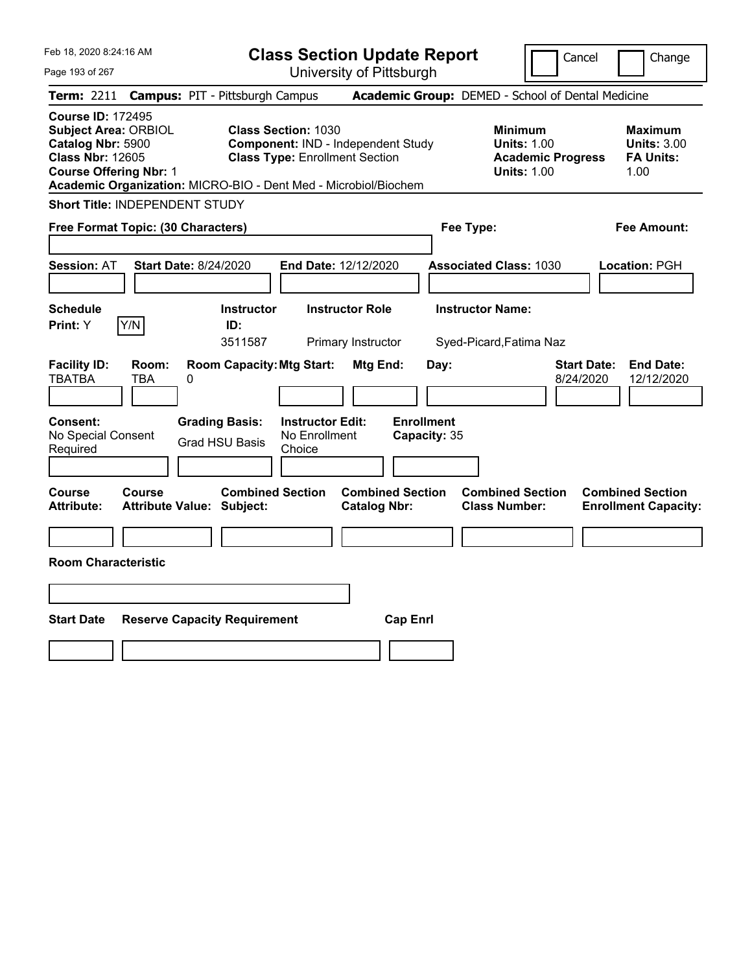| Feb 18, 2020 8:24:16 AM                                                                                                                                                                                     | <b>Class Section Update Report</b>                                                                               |                                                   | Cancel                                                                                 | Change                                                           |
|-------------------------------------------------------------------------------------------------------------------------------------------------------------------------------------------------------------|------------------------------------------------------------------------------------------------------------------|---------------------------------------------------|----------------------------------------------------------------------------------------|------------------------------------------------------------------|
| Page 193 of 267                                                                                                                                                                                             | University of Pittsburgh                                                                                         |                                                   |                                                                                        |                                                                  |
| Term: 2211<br><b>Campus: PIT - Pittsburgh Campus</b>                                                                                                                                                        |                                                                                                                  | Academic Group: DEMED - School of Dental Medicine |                                                                                        |                                                                  |
| <b>Course ID: 172495</b><br><b>Subject Area: ORBIOL</b><br>Catalog Nbr: 5900<br><b>Class Nbr: 12605</b><br><b>Course Offering Nbr: 1</b><br>Academic Organization: MICRO-BIO - Dent Med - Microbiol/Biochem | <b>Class Section: 1030</b><br><b>Component: IND - Independent Study</b><br><b>Class Type: Enrollment Section</b> |                                                   | <b>Minimum</b><br><b>Units: 1.00</b><br><b>Academic Progress</b><br><b>Units: 1.00</b> | <b>Maximum</b><br><b>Units: 3.00</b><br><b>FA Units:</b><br>1.00 |
| <b>Short Title: INDEPENDENT STUDY</b>                                                                                                                                                                       |                                                                                                                  |                                                   |                                                                                        |                                                                  |
| Free Format Topic: (30 Characters)                                                                                                                                                                          |                                                                                                                  | Fee Type:                                         |                                                                                        | Fee Amount:                                                      |
| <b>Start Date: 8/24/2020</b><br>Session: AT                                                                                                                                                                 | End Date: 12/12/2020                                                                                             | <b>Associated Class: 1030</b>                     |                                                                                        | Location: PGH                                                    |
| <b>Schedule</b>                                                                                                                                                                                             | <b>Instructor Role</b><br><b>Instructor</b>                                                                      | <b>Instructor Name:</b>                           |                                                                                        |                                                                  |
| Y/N<br>Print: Y                                                                                                                                                                                             | ID:<br>3511587<br>Primary Instructor                                                                             | Syed-Picard, Fatima Naz                           |                                                                                        |                                                                  |
| <b>Facility ID:</b><br>Room:<br>TBATBA<br>TBA<br>0<br>Consent:<br><b>Grading Basis:</b><br>No Special Consent<br><b>Grad HSU Basis</b>                                                                      | <b>Room Capacity: Mtg Start:</b><br>Mtg End:<br><b>Instructor Edit:</b><br>No Enrollment                         | Day:<br><b>Enrollment</b><br>Capacity: 35         | <b>Start Date:</b><br>8/24/2020                                                        | <b>End Date:</b><br>12/12/2020                                   |
| Required                                                                                                                                                                                                    | Choice                                                                                                           |                                                   |                                                                                        |                                                                  |
| <b>Course</b><br>Course<br><b>Attribute Value: Subject:</b><br><b>Attribute:</b>                                                                                                                            | <b>Combined Section</b><br><b>Catalog Nbr:</b>                                                                   | <b>Combined Section</b><br><b>Class Number:</b>   | <b>Combined Section</b>                                                                | <b>Combined Section</b><br><b>Enrollment Capacity:</b>           |
|                                                                                                                                                                                                             |                                                                                                                  |                                                   |                                                                                        |                                                                  |
| <b>Room Characteristic</b>                                                                                                                                                                                  |                                                                                                                  |                                                   |                                                                                        |                                                                  |
|                                                                                                                                                                                                             |                                                                                                                  |                                                   |                                                                                        |                                                                  |
| <b>Start Date</b><br><b>Reserve Capacity Requirement</b>                                                                                                                                                    |                                                                                                                  | <b>Cap Enrl</b>                                   |                                                                                        |                                                                  |
|                                                                                                                                                                                                             |                                                                                                                  |                                                   |                                                                                        |                                                                  |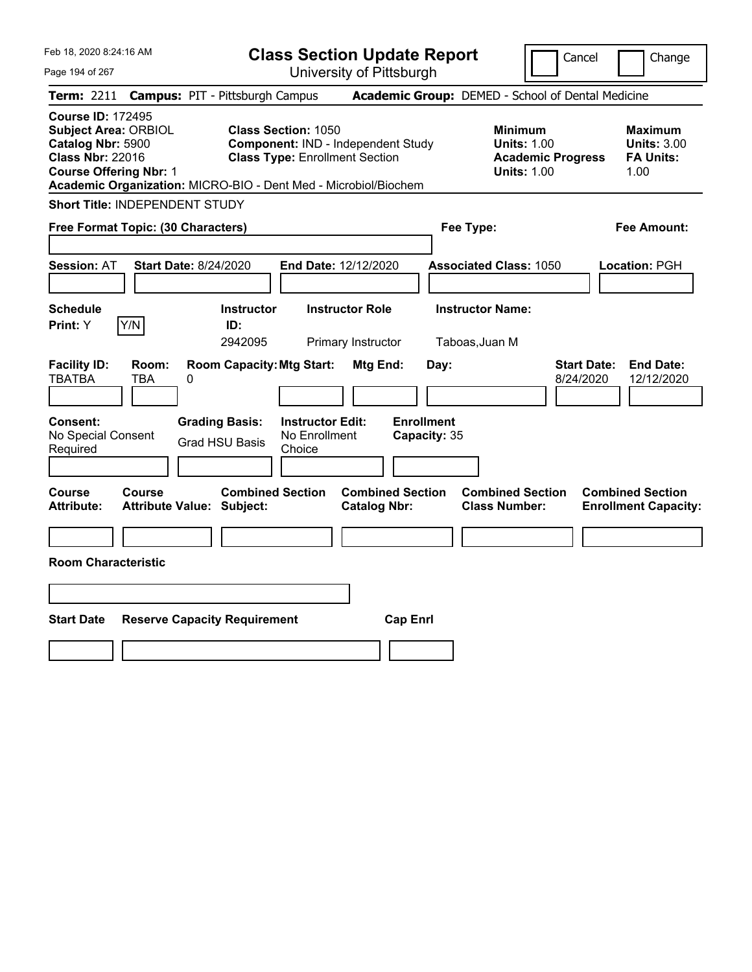| Feb 18, 2020 8:24:16 AM                                                                                                                  | <b>Class Section Update Report</b>                                                                                                                                                                                                         | Change<br>Cancel                                                                             |
|------------------------------------------------------------------------------------------------------------------------------------------|--------------------------------------------------------------------------------------------------------------------------------------------------------------------------------------------------------------------------------------------|----------------------------------------------------------------------------------------------|
| Page 194 of 267                                                                                                                          | University of Pittsburgh                                                                                                                                                                                                                   |                                                                                              |
| Term: 2211                                                                                                                               | Academic Group: DEMED - School of Dental Medicine<br><b>Campus: PIT - Pittsburgh Campus</b>                                                                                                                                                |                                                                                              |
| <b>Course ID: 172495</b><br><b>Subject Area: ORBIOL</b><br>Catalog Nbr: 5900<br><b>Class Nbr: 22016</b><br><b>Course Offering Nbr: 1</b> | <b>Class Section: 1050</b><br><b>Minimum</b><br>Component: IND - Independent Study<br><b>Units: 1.00</b><br><b>Class Type: Enrollment Section</b><br><b>Units: 1.00</b><br>Academic Organization: MICRO-BIO - Dent Med - Microbiol/Biochem | <b>Maximum</b><br><b>Units: 3.00</b><br><b>FA Units:</b><br><b>Academic Progress</b><br>1.00 |
| Short Title: INDEPENDENT STUDY                                                                                                           |                                                                                                                                                                                                                                            |                                                                                              |
| Free Format Topic: (30 Characters)                                                                                                       | Fee Type:                                                                                                                                                                                                                                  | Fee Amount:                                                                                  |
| <b>Start Date: 8/24/2020</b><br><b>Session: AT</b>                                                                                       | <b>End Date: 12/12/2020</b><br><b>Associated Class: 1050</b>                                                                                                                                                                               | Location: PGH                                                                                |
| <b>Schedule</b><br>Y/N<br><b>Print: Y</b>                                                                                                | <b>Instructor Name:</b><br><b>Instructor Role</b><br><b>Instructor</b><br>ID:<br>2942095<br>Primary Instructor<br>Taboas, Juan M                                                                                                           |                                                                                              |
| <b>Facility ID:</b><br>Room:<br><b>TBATBA</b><br>TBA<br>$\boldsymbol{0}$                                                                 | <b>Room Capacity: Mtg Start:</b><br>Mtg End:<br>Day:                                                                                                                                                                                       | <b>Start Date:</b><br><b>End Date:</b><br>8/24/2020<br>12/12/2020                            |
| Consent:<br><b>Grading Basis:</b><br>No Special Consent<br>Required                                                                      | <b>Enrollment</b><br><b>Instructor Edit:</b><br>No Enrollment<br>Capacity: 35<br><b>Grad HSU Basis</b><br>Choice                                                                                                                           |                                                                                              |
| Course<br>Course<br><b>Attribute:</b><br><b>Attribute Value: Subject:</b>                                                                | <b>Combined Section</b><br><b>Combined Section</b><br><b>Combined Section</b><br><b>Catalog Nbr:</b><br><b>Class Number:</b>                                                                                                               | <b>Combined Section</b><br><b>Enrollment Capacity:</b>                                       |
|                                                                                                                                          |                                                                                                                                                                                                                                            |                                                                                              |
| <b>Room Characteristic</b>                                                                                                               |                                                                                                                                                                                                                                            |                                                                                              |
|                                                                                                                                          |                                                                                                                                                                                                                                            |                                                                                              |
| <b>Start Date</b><br><b>Reserve Capacity Requirement</b>                                                                                 | <b>Cap Enrl</b>                                                                                                                                                                                                                            |                                                                                              |
|                                                                                                                                          |                                                                                                                                                                                                                                            |                                                                                              |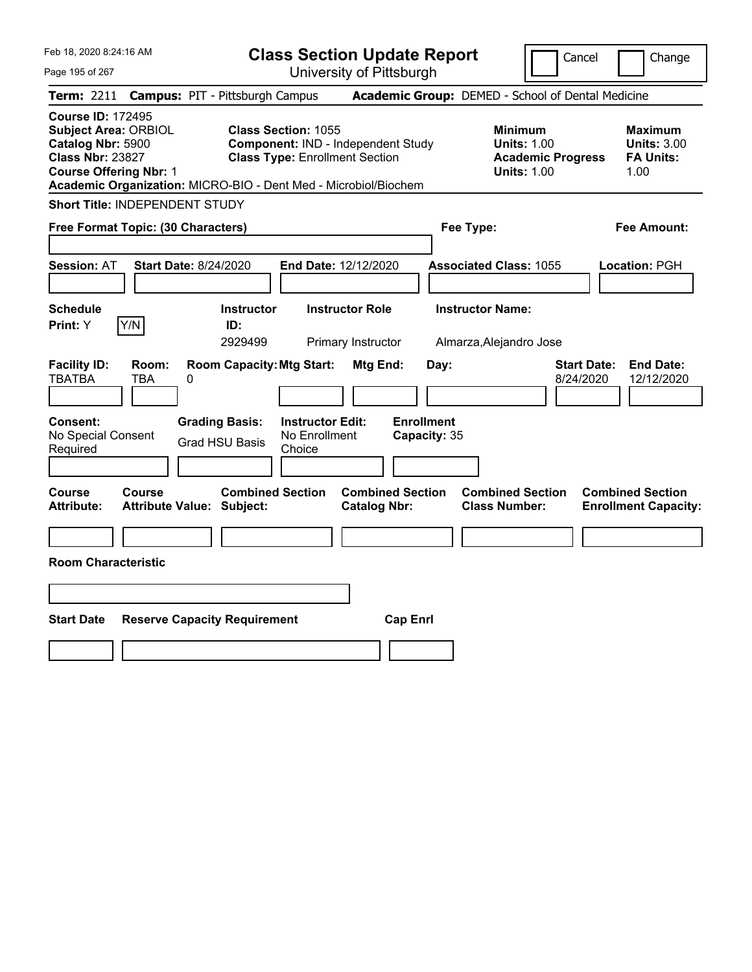| Feb 18, 2020 8:24:16 AM                                                                                                                       | <b>Class Section Update Report</b>                                                                                                                                           | Cancel<br>Change                                                                                                                                           |
|-----------------------------------------------------------------------------------------------------------------------------------------------|------------------------------------------------------------------------------------------------------------------------------------------------------------------------------|------------------------------------------------------------------------------------------------------------------------------------------------------------|
| Page 195 of 267                                                                                                                               | University of Pittsburgh                                                                                                                                                     |                                                                                                                                                            |
| Term: 2211<br><b>Campus: PIT - Pittsburgh Campus</b>                                                                                          |                                                                                                                                                                              | Academic Group: DEMED - School of Dental Medicine                                                                                                          |
| <b>Course ID: 172495</b><br><b>Subject Area: ORBIOL</b><br>Catalog Nbr: 5900<br><b>Class Nbr: 23827</b><br><b>Course Offering Nbr: 1</b>      | <b>Class Section: 1055</b><br>Component: IND - Independent Study<br><b>Class Type: Enrollment Section</b><br>Academic Organization: MICRO-BIO - Dent Med - Microbiol/Biochem | <b>Minimum</b><br><b>Maximum</b><br><b>Units: 1.00</b><br><b>Units: 3.00</b><br><b>Academic Progress</b><br><b>FA Units:</b><br><b>Units: 1.00</b><br>1.00 |
| Short Title: INDEPENDENT STUDY                                                                                                                |                                                                                                                                                                              |                                                                                                                                                            |
| Free Format Topic: (30 Characters)                                                                                                            | Fee Type:                                                                                                                                                                    | Fee Amount:                                                                                                                                                |
| Session: AT<br><b>Start Date: 8/24/2020</b><br><b>Schedule</b>                                                                                | End Date: 12/12/2020<br><b>Instructor Role</b><br><b>Instructor</b>                                                                                                          | <b>Associated Class: 1055</b><br>Location: PGH<br><b>Instructor Name:</b>                                                                                  |
| Y/N<br>Print: Y                                                                                                                               | ID:<br>2929499<br>Primary Instructor                                                                                                                                         | Almarza, Alejandro Jose                                                                                                                                    |
| <b>Facility ID:</b><br>Room:<br><b>TBATBA</b><br>TBA<br>0<br>Consent:<br><b>Grading Basis:</b><br>No Special Consent<br><b>Grad HSU Basis</b> | <b>Room Capacity: Mtg Start:</b><br>Mtg End:<br>Day:<br><b>Enrollment</b><br><b>Instructor Edit:</b><br>No Enrollment<br>Capacity: 35                                        | <b>Start Date:</b><br><b>End Date:</b><br>8/24/2020<br>12/12/2020                                                                                          |
| Required                                                                                                                                      | Choice                                                                                                                                                                       |                                                                                                                                                            |
| Course<br>Course<br><b>Attribute:</b><br><b>Attribute Value: Subject:</b>                                                                     | <b>Combined Section</b><br><b>Combined Section</b><br><b>Catalog Nbr:</b>                                                                                                    | <b>Combined Section</b><br><b>Combined Section</b><br><b>Class Number:</b><br><b>Enrollment Capacity:</b>                                                  |
| <b>Room Characteristic</b>                                                                                                                    |                                                                                                                                                                              |                                                                                                                                                            |
|                                                                                                                                               |                                                                                                                                                                              |                                                                                                                                                            |
| <b>Start Date</b><br><b>Reserve Capacity Requirement</b>                                                                                      | <b>Cap Enrl</b>                                                                                                                                                              |                                                                                                                                                            |
|                                                                                                                                               |                                                                                                                                                                              |                                                                                                                                                            |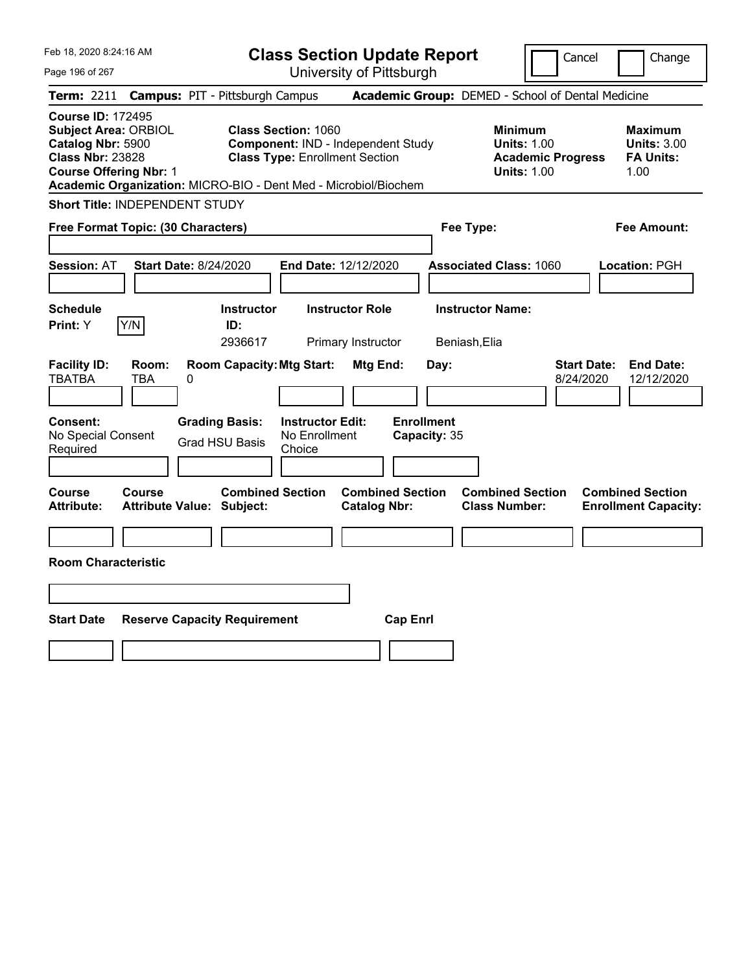| Feb 18, 2020 8:24:16 AM                                                                                                                                                                                     |                                                      | <b>Class Section Update Report</b>                                                                        |                                                | Cancel<br>Change                                                                       |                                                                   |
|-------------------------------------------------------------------------------------------------------------------------------------------------------------------------------------------------------------|------------------------------------------------------|-----------------------------------------------------------------------------------------------------------|------------------------------------------------|----------------------------------------------------------------------------------------|-------------------------------------------------------------------|
| Page 196 of 267                                                                                                                                                                                             |                                                      | University of Pittsburgh                                                                                  |                                                |                                                                                        |                                                                   |
| Term: 2211                                                                                                                                                                                                  | <b>Campus: PIT - Pittsburgh Campus</b>               |                                                                                                           |                                                | Academic Group: DEMED - School of Dental Medicine                                      |                                                                   |
| <b>Course ID: 172495</b><br><b>Subject Area: ORBIOL</b><br>Catalog Nbr: 5900<br><b>Class Nbr: 23828</b><br><b>Course Offering Nbr: 1</b><br>Academic Organization: MICRO-BIO - Dent Med - Microbiol/Biochem |                                                      | <b>Class Section: 1060</b><br>Component: IND - Independent Study<br><b>Class Type: Enrollment Section</b> |                                                | <b>Minimum</b><br><b>Units: 1.00</b><br><b>Academic Progress</b><br><b>Units: 1.00</b> | <b>Maximum</b><br><b>Units: 3.00</b><br><b>FA Units:</b><br>1.00  |
| Short Title: INDEPENDENT STUDY                                                                                                                                                                              |                                                      |                                                                                                           |                                                |                                                                                        |                                                                   |
| Free Format Topic: (30 Characters)                                                                                                                                                                          |                                                      |                                                                                                           |                                                | Fee Type:                                                                              | Fee Amount:                                                       |
| <b>Session: AT</b>                                                                                                                                                                                          | Start Date: 8/24/2020                                | End Date: 12/12/2020                                                                                      |                                                | <b>Associated Class: 1060</b>                                                          | Location: PGH                                                     |
| <b>Schedule</b><br>Y/N<br>Print: Y                                                                                                                                                                          | <b>Instructor</b><br>ID:<br>2936617                  | <b>Instructor Role</b><br>Primary Instructor                                                              |                                                | <b>Instructor Name:</b><br>Beniash, Elia                                               |                                                                   |
| <b>Facility ID:</b><br>Room:<br><b>TBATBA</b><br><b>TBA</b>                                                                                                                                                 | <b>Room Capacity: Mtg Start:</b><br>0                |                                                                                                           | Mtg End:<br>Day:                               |                                                                                        | <b>Start Date:</b><br><b>End Date:</b><br>8/24/2020<br>12/12/2020 |
| Consent:<br>No Special Consent<br>Required                                                                                                                                                                  | <b>Grading Basis:</b><br><b>Grad HSU Basis</b>       | <b>Instructor Edit:</b><br>No Enrollment<br>Choice                                                        | <b>Enrollment</b><br>Capacity: 35              |                                                                                        |                                                                   |
| Course<br>Course<br><b>Attribute:</b>                                                                                                                                                                       | <b>Combined Section</b><br>Attribute Value: Subject: |                                                                                                           | <b>Combined Section</b><br><b>Catalog Nbr:</b> | <b>Combined Section</b><br><b>Class Number:</b>                                        | <b>Combined Section</b><br><b>Enrollment Capacity:</b>            |
|                                                                                                                                                                                                             |                                                      |                                                                                                           |                                                |                                                                                        |                                                                   |
| <b>Room Characteristic</b>                                                                                                                                                                                  |                                                      |                                                                                                           |                                                |                                                                                        |                                                                   |
|                                                                                                                                                                                                             |                                                      |                                                                                                           |                                                |                                                                                        |                                                                   |
| <b>Start Date</b>                                                                                                                                                                                           | <b>Reserve Capacity Requirement</b>                  |                                                                                                           | <b>Cap Enrl</b>                                |                                                                                        |                                                                   |
|                                                                                                                                                                                                             |                                                      |                                                                                                           |                                                |                                                                                        |                                                                   |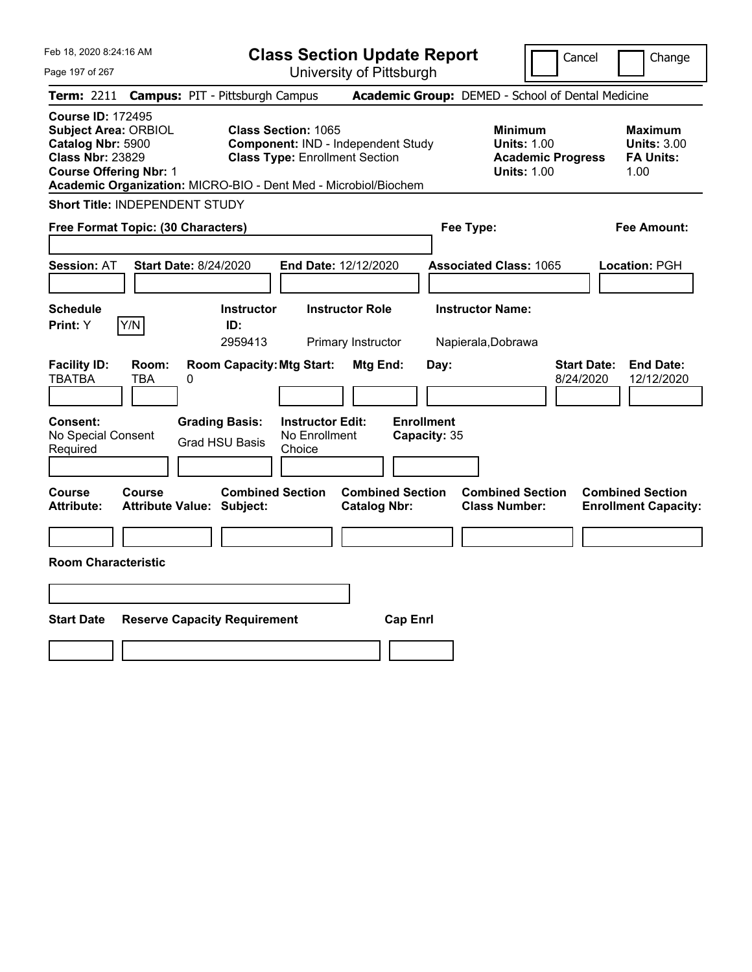| Feb 18, 2020 8:24:16 AM<br>Page 197 of 267                                                                                                                                                                  | <b>Class Section Update Report</b><br>University of Pittsburgh                                                                | Cancel<br>Change                                                                                                                                           |
|-------------------------------------------------------------------------------------------------------------------------------------------------------------------------------------------------------------|-------------------------------------------------------------------------------------------------------------------------------|------------------------------------------------------------------------------------------------------------------------------------------------------------|
| <b>Campus: PIT - Pittsburgh Campus</b><br><b>Term: 2211</b>                                                                                                                                                 |                                                                                                                               | Academic Group: DEMED - School of Dental Medicine                                                                                                          |
| <b>Course ID: 172495</b><br><b>Subject Area: ORBIOL</b><br>Catalog Nbr: 5900<br><b>Class Nbr: 23829</b><br><b>Course Offering Nbr: 1</b><br>Academic Organization: MICRO-BIO - Dent Med - Microbiol/Biochem | <b>Class Section: 1065</b><br>Component: IND - Independent Study<br><b>Class Type: Enrollment Section</b>                     | <b>Minimum</b><br><b>Maximum</b><br><b>Units: 1.00</b><br><b>Units: 3.00</b><br><b>Academic Progress</b><br><b>FA Units:</b><br><b>Units: 1.00</b><br>1.00 |
| Short Title: INDEPENDENT STUDY                                                                                                                                                                              |                                                                                                                               |                                                                                                                                                            |
| Free Format Topic: (30 Characters)                                                                                                                                                                          | Fee Type:                                                                                                                     | Fee Amount:                                                                                                                                                |
| <b>Session: AT</b><br><b>Start Date: 8/24/2020</b>                                                                                                                                                          | End Date: 12/12/2020                                                                                                          | <b>Associated Class: 1065</b><br><b>Location: PGH</b>                                                                                                      |
| <b>Schedule</b><br>Y/N<br>Print: Y<br>ID:                                                                                                                                                                   | <b>Instructor Role</b><br><b>Instructor Name:</b><br><b>Instructor</b><br>2959413<br>Primary Instructor<br>Napierala, Dobrawa |                                                                                                                                                            |
| <b>Facility ID:</b><br>Room:<br><b>TBATBA</b><br><b>TBA</b><br>0                                                                                                                                            | <b>Room Capacity: Mtg Start:</b><br>Mtg End:<br>Day:                                                                          | <b>Start Date:</b><br><b>End Date:</b><br>8/24/2020<br>12/12/2020                                                                                          |
| Consent:<br><b>Grading Basis:</b><br>No Special Consent<br><b>Grad HSU Basis</b><br>Required                                                                                                                | <b>Enrollment</b><br><b>Instructor Edit:</b><br>No Enrollment<br>Capacity: 35<br>Choice                                       |                                                                                                                                                            |
| Course<br>Course<br><b>Attribute:</b><br><b>Attribute Value: Subject:</b>                                                                                                                                   | <b>Combined Section</b><br><b>Combined Section</b><br><b>Catalog Nbr:</b>                                                     | <b>Combined Section</b><br><b>Combined Section</b><br><b>Class Number:</b><br><b>Enrollment Capacity:</b>                                                  |
|                                                                                                                                                                                                             |                                                                                                                               |                                                                                                                                                            |
| <b>Room Characteristic</b>                                                                                                                                                                                  |                                                                                                                               |                                                                                                                                                            |
|                                                                                                                                                                                                             |                                                                                                                               |                                                                                                                                                            |
| <b>Start Date</b><br><b>Reserve Capacity Requirement</b>                                                                                                                                                    | <b>Cap Enrl</b>                                                                                                               |                                                                                                                                                            |
|                                                                                                                                                                                                             |                                                                                                                               |                                                                                                                                                            |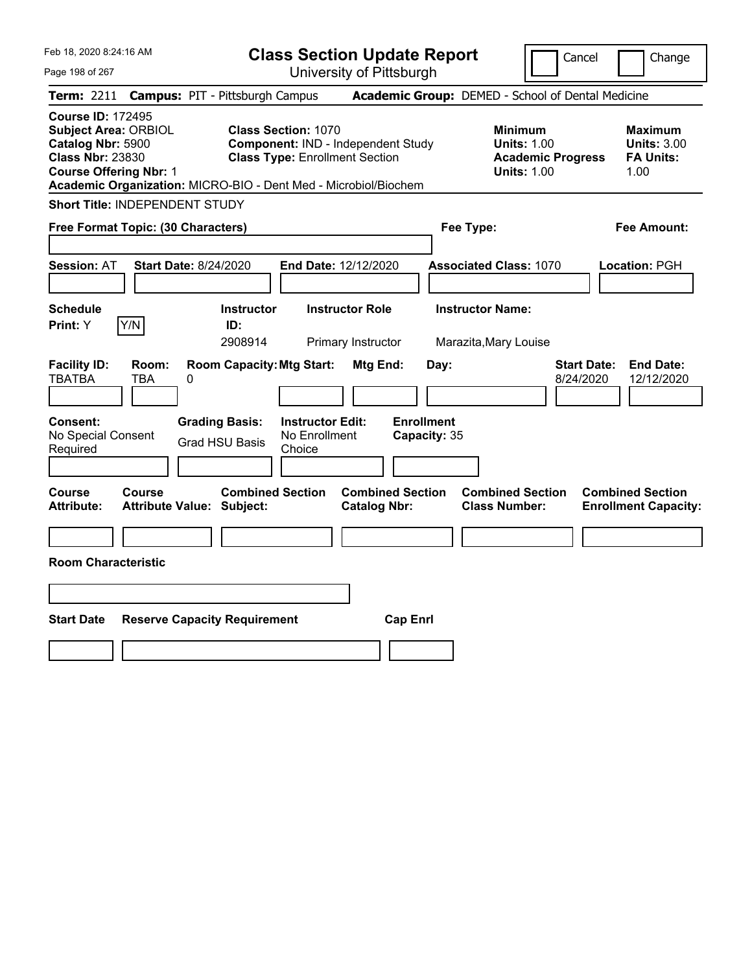| Feb 18, 2020 8:24:16 AM<br>Page 198 of 267                                                                                               | <b>Class Section Update Report</b><br>University of Pittsburgh                                                                                                               | Cancel<br>Change                                                                                                                                           |
|------------------------------------------------------------------------------------------------------------------------------------------|------------------------------------------------------------------------------------------------------------------------------------------------------------------------------|------------------------------------------------------------------------------------------------------------------------------------------------------------|
| <b>Campus: PIT - Pittsburgh Campus</b><br><b>Term: 2211</b>                                                                              |                                                                                                                                                                              | Academic Group: DEMED - School of Dental Medicine                                                                                                          |
| <b>Course ID: 172495</b><br><b>Subject Area: ORBIOL</b><br>Catalog Nbr: 5900<br><b>Class Nbr: 23830</b><br><b>Course Offering Nbr: 1</b> | <b>Class Section: 1070</b><br>Component: IND - Independent Study<br><b>Class Type: Enrollment Section</b><br>Academic Organization: MICRO-BIO - Dent Med - Microbiol/Biochem | <b>Minimum</b><br><b>Maximum</b><br><b>Units: 1.00</b><br><b>Units: 3.00</b><br><b>FA Units:</b><br><b>Academic Progress</b><br><b>Units: 1.00</b><br>1.00 |
| <b>Short Title: INDEPENDENT STUDY</b>                                                                                                    |                                                                                                                                                                              |                                                                                                                                                            |
| Free Format Topic: (30 Characters)                                                                                                       |                                                                                                                                                                              | Fee Type:<br>Fee Amount:                                                                                                                                   |
| <b>Start Date: 8/24/2020</b><br><b>Session: AT</b>                                                                                       | End Date: 12/12/2020                                                                                                                                                         | <b>Associated Class: 1070</b><br>Location: PGH                                                                                                             |
| <b>Schedule</b><br>Y/N<br><b>Print: Y</b>                                                                                                | <b>Instructor</b><br><b>Instructor Role</b><br>ID:<br>2908914<br>Primary Instructor                                                                                          | <b>Instructor Name:</b><br>Marazita, Mary Louise                                                                                                           |
| <b>Facility ID:</b><br>Room:<br><b>TBATBA</b><br>TBA<br>0                                                                                | <b>Room Capacity: Mtg Start:</b><br>Mtg End:                                                                                                                                 | <b>Start Date:</b><br><b>End Date:</b><br>Day:<br>8/24/2020<br>12/12/2020                                                                                  |
| <b>Consent:</b><br><b>Grading Basis:</b><br>No Special Consent<br><b>Grad HSU Basis</b><br>Required                                      | <b>Enrollment</b><br><b>Instructor Edit:</b><br>No Enrollment<br>Capacity: 35<br>Choice                                                                                      |                                                                                                                                                            |
| Course<br>Course<br><b>Attribute:</b><br><b>Attribute Value: Subject:</b>                                                                | <b>Combined Section</b><br><b>Combined Section</b><br><b>Catalog Nbr:</b>                                                                                                    | <b>Combined Section</b><br><b>Combined Section</b><br><b>Class Number:</b><br><b>Enrollment Capacity:</b>                                                  |
|                                                                                                                                          |                                                                                                                                                                              |                                                                                                                                                            |
| <b>Room Characteristic</b>                                                                                                               |                                                                                                                                                                              |                                                                                                                                                            |
|                                                                                                                                          |                                                                                                                                                                              |                                                                                                                                                            |
| <b>Start Date</b><br><b>Reserve Capacity Requirement</b>                                                                                 | <b>Cap Enrl</b>                                                                                                                                                              |                                                                                                                                                            |
|                                                                                                                                          |                                                                                                                                                                              |                                                                                                                                                            |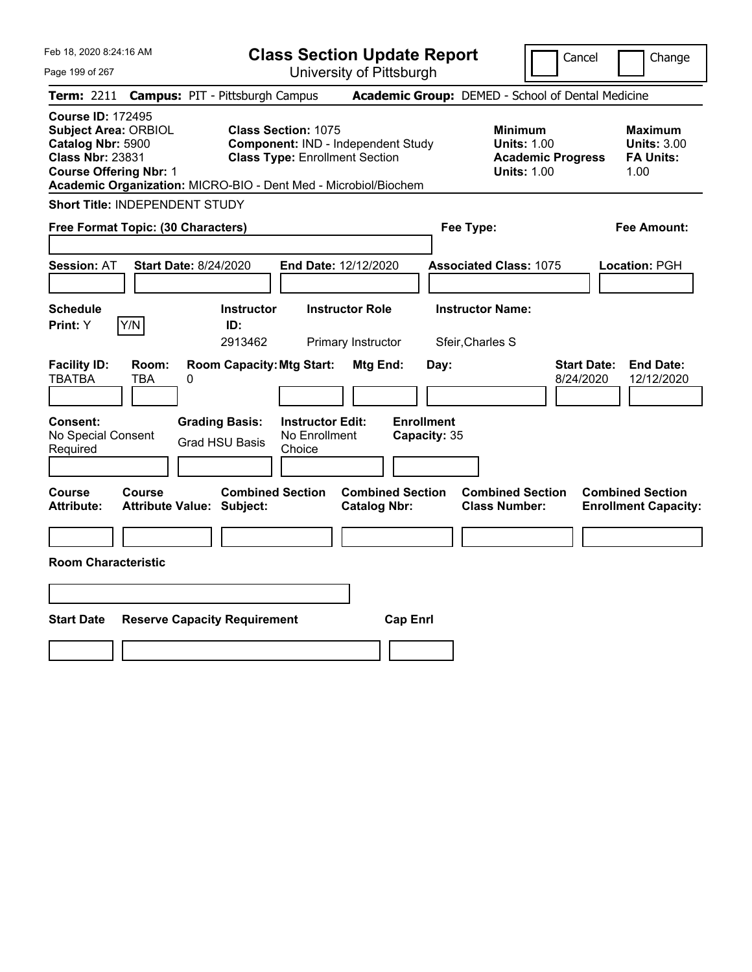| Feb 18, 2020 8:24:16 AM<br><b>Class Section Update Report</b>                                                                                                                                               |                                                                                                           |                                                | Cancel                                                                                 | Change                                                           |
|-------------------------------------------------------------------------------------------------------------------------------------------------------------------------------------------------------------|-----------------------------------------------------------------------------------------------------------|------------------------------------------------|----------------------------------------------------------------------------------------|------------------------------------------------------------------|
| Page 199 of 267                                                                                                                                                                                             |                                                                                                           | University of Pittsburgh                       |                                                                                        |                                                                  |
| <b>Term: 2211</b>                                                                                                                                                                                           | <b>Campus: PIT - Pittsburgh Campus</b>                                                                    |                                                | Academic Group: DEMED - School of Dental Medicine                                      |                                                                  |
| <b>Course ID: 172495</b><br><b>Subject Area: ORBIOL</b><br>Catalog Nbr: 5900<br><b>Class Nbr: 23831</b><br><b>Course Offering Nbr: 1</b><br>Academic Organization: MICRO-BIO - Dent Med - Microbiol/Biochem | <b>Class Section: 1075</b><br>Component: IND - Independent Study<br><b>Class Type: Enrollment Section</b> |                                                | <b>Minimum</b><br><b>Units: 1.00</b><br><b>Academic Progress</b><br><b>Units: 1.00</b> | <b>Maximum</b><br><b>Units: 3.00</b><br><b>FA Units:</b><br>1.00 |
| Short Title: INDEPENDENT STUDY                                                                                                                                                                              |                                                                                                           |                                                |                                                                                        |                                                                  |
| Free Format Topic: (30 Characters)                                                                                                                                                                          |                                                                                                           | Fee Type:                                      |                                                                                        | Fee Amount:                                                      |
| <b>Start Date: 8/24/2020</b><br><b>Session: AT</b><br><b>Schedule</b>                                                                                                                                       | End Date: 12/12/2020<br><b>Instructor</b><br><b>Instructor Role</b>                                       |                                                | <b>Associated Class: 1075</b><br><b>Instructor Name:</b>                               | Location: PGH                                                    |
| Y/N<br>Print: Y                                                                                                                                                                                             | ID:                                                                                                       |                                                |                                                                                        |                                                                  |
|                                                                                                                                                                                                             | 2913462                                                                                                   | Primary Instructor                             | Sfeir, Charles S                                                                       |                                                                  |
| <b>Facility ID:</b><br>Room:<br><b>TBATBA</b><br>TBA<br>0                                                                                                                                                   | <b>Room Capacity: Mtg Start:</b>                                                                          | Mtg End:<br>Day:                               | <b>Start Date:</b><br>8/24/2020                                                        | <b>End Date:</b><br>12/12/2020                                   |
| Consent:<br>No Special Consent<br>Required                                                                                                                                                                  | <b>Grading Basis:</b><br><b>Instructor Edit:</b><br>No Enrollment<br><b>Grad HSU Basis</b><br>Choice      | <b>Enrollment</b><br>Capacity: 35              |                                                                                        |                                                                  |
| Course<br><b>Course</b><br><b>Attribute:</b><br><b>Attribute Value: Subject:</b>                                                                                                                            | <b>Combined Section</b>                                                                                   | <b>Combined Section</b><br><b>Catalog Nbr:</b> | <b>Combined Section</b><br><b>Class Number:</b>                                        | <b>Combined Section</b><br><b>Enrollment Capacity:</b>           |
|                                                                                                                                                                                                             |                                                                                                           |                                                |                                                                                        |                                                                  |
| <b>Room Characteristic</b>                                                                                                                                                                                  |                                                                                                           |                                                |                                                                                        |                                                                  |
|                                                                                                                                                                                                             |                                                                                                           |                                                |                                                                                        |                                                                  |
| <b>Start Date</b><br><b>Reserve Capacity Requirement</b>                                                                                                                                                    |                                                                                                           | <b>Cap Enrl</b>                                |                                                                                        |                                                                  |
|                                                                                                                                                                                                             |                                                                                                           |                                                |                                                                                        |                                                                  |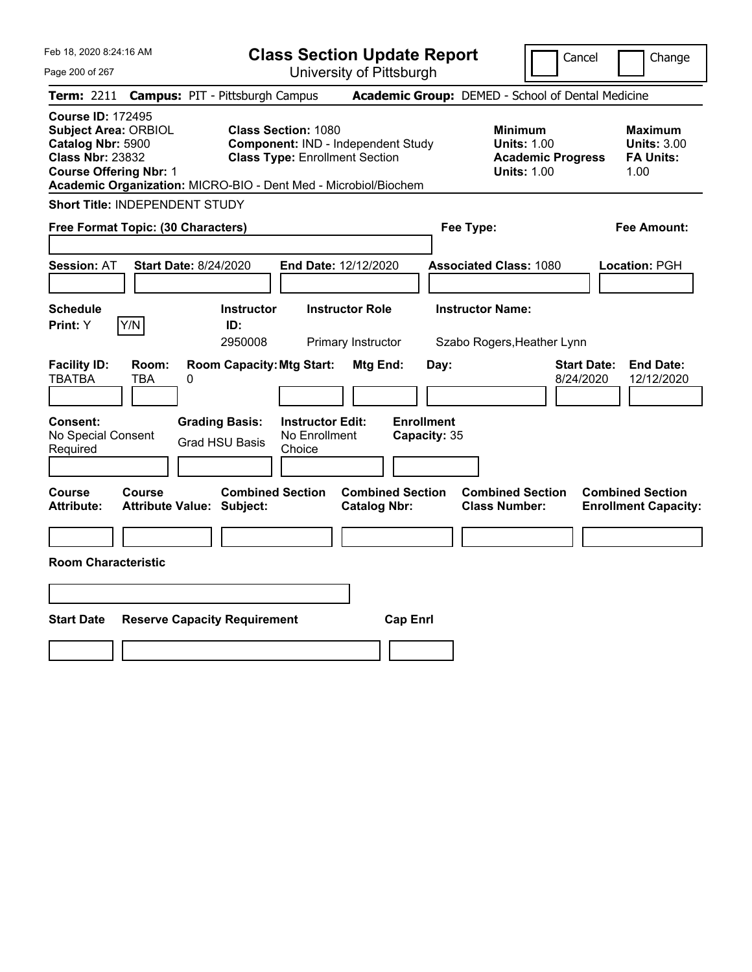| Feb 18, 2020 8:24:16 AM<br>Page 200 of 267                                                                                                                                                                  | <b>Class Section Update Report</b><br>University of Pittsburgh                                            | Change<br>Cancel                                                                                                                                           |
|-------------------------------------------------------------------------------------------------------------------------------------------------------------------------------------------------------------|-----------------------------------------------------------------------------------------------------------|------------------------------------------------------------------------------------------------------------------------------------------------------------|
| <b>Campus: PIT - Pittsburgh Campus</b><br><b>Term: 2211</b>                                                                                                                                                 |                                                                                                           | Academic Group: DEMED - School of Dental Medicine                                                                                                          |
| <b>Course ID: 172495</b><br><b>Subject Area: ORBIOL</b><br>Catalog Nbr: 5900<br><b>Class Nbr: 23832</b><br><b>Course Offering Nbr: 1</b><br>Academic Organization: MICRO-BIO - Dent Med - Microbiol/Biochem | <b>Class Section: 1080</b><br>Component: IND - Independent Study<br><b>Class Type: Enrollment Section</b> | <b>Minimum</b><br><b>Maximum</b><br><b>Units: 1.00</b><br><b>Units: 3.00</b><br><b>Academic Progress</b><br><b>FA Units:</b><br><b>Units: 1.00</b><br>1.00 |
| <b>Short Title: INDEPENDENT STUDY</b>                                                                                                                                                                       |                                                                                                           |                                                                                                                                                            |
| Free Format Topic: (30 Characters)                                                                                                                                                                          | Fee Type:                                                                                                 | Fee Amount:                                                                                                                                                |
| <b>Start Date: 8/24/2020</b><br><b>Session: AT</b>                                                                                                                                                          | End Date: 12/12/2020                                                                                      | <b>Associated Class: 1080</b><br>Location: PGH                                                                                                             |
| <b>Schedule</b><br>Y/N<br>Print: Y<br>ID:                                                                                                                                                                   | <b>Instructor Name:</b><br><b>Instructor</b><br><b>Instructor Role</b><br>2950008<br>Primary Instructor   | Szabo Rogers, Heather Lynn                                                                                                                                 |
| <b>Facility ID:</b><br>Room:<br><b>TBATBA</b><br>TBA<br>0                                                                                                                                                   | <b>Room Capacity: Mtg Start:</b><br>Mtg End:<br>Day:                                                      | <b>Start Date:</b><br><b>End Date:</b><br>8/24/2020<br>12/12/2020                                                                                          |
| <b>Consent:</b><br><b>Grading Basis:</b><br>No Special Consent<br><b>Grad HSU Basis</b><br>Required                                                                                                         | <b>Enrollment</b><br><b>Instructor Edit:</b><br>No Enrollment<br>Capacity: 35<br>Choice                   |                                                                                                                                                            |
| Course<br>Course<br><b>Attribute:</b><br><b>Attribute Value: Subject:</b>                                                                                                                                   | <b>Combined Section</b><br><b>Combined Section</b><br><b>Catalog Nbr:</b>                                 | <b>Combined Section</b><br><b>Combined Section</b><br><b>Class Number:</b><br><b>Enrollment Capacity:</b>                                                  |
|                                                                                                                                                                                                             |                                                                                                           |                                                                                                                                                            |
| <b>Room Characteristic</b>                                                                                                                                                                                  |                                                                                                           |                                                                                                                                                            |
|                                                                                                                                                                                                             |                                                                                                           |                                                                                                                                                            |
| <b>Start Date</b><br><b>Reserve Capacity Requirement</b>                                                                                                                                                    | <b>Cap Enrl</b>                                                                                           |                                                                                                                                                            |
|                                                                                                                                                                                                             |                                                                                                           |                                                                                                                                                            |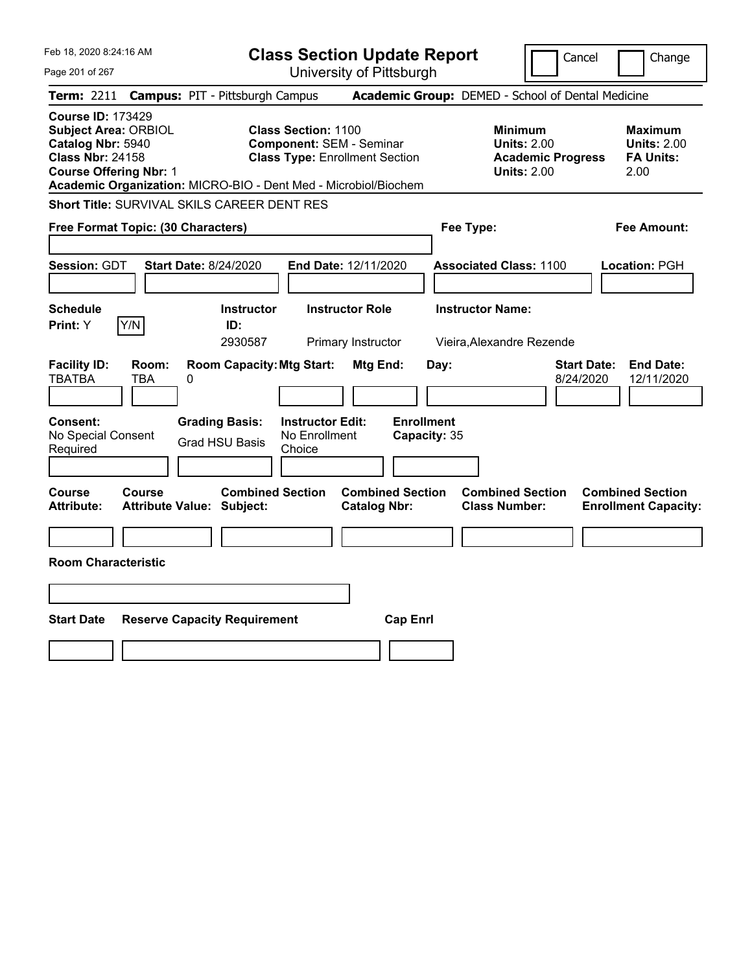| Feb 18, 2020 8:24:16 AM<br><b>Class Section Update Report</b>                                                                            |                                                                                                                                                                           |                                                                            | Change<br>Cancel                                                                                                                         |
|------------------------------------------------------------------------------------------------------------------------------------------|---------------------------------------------------------------------------------------------------------------------------------------------------------------------------|----------------------------------------------------------------------------|------------------------------------------------------------------------------------------------------------------------------------------|
| Page 201 of 267                                                                                                                          | University of Pittsburgh                                                                                                                                                  |                                                                            |                                                                                                                                          |
| <b>Term:</b> 2211                                                                                                                        | <b>Campus: PIT - Pittsburgh Campus</b>                                                                                                                                    | Academic Group: DEMED - School of Dental Medicine                          |                                                                                                                                          |
| <b>Course ID: 173429</b><br><b>Subject Area: ORBIOL</b><br>Catalog Nbr: 5940<br><b>Class Nbr: 24158</b><br><b>Course Offering Nbr: 1</b> | <b>Class Section: 1100</b><br><b>Component: SEM - Seminar</b><br><b>Class Type: Enrollment Section</b><br>Academic Organization: MICRO-BIO - Dent Med - Microbiol/Biochem | Minimum                                                                    | <b>Maximum</b><br><b>Units: 2.00</b><br><b>Units: 2.00</b><br><b>Academic Progress</b><br><b>FA Units:</b><br><b>Units: 2.00</b><br>2.00 |
|                                                                                                                                          | Short Title: SURVIVAL SKILS CAREER DENT RES                                                                                                                               |                                                                            |                                                                                                                                          |
| Free Format Topic: (30 Characters)                                                                                                       |                                                                                                                                                                           | Fee Type:                                                                  | Fee Amount:                                                                                                                              |
| Session: GDT                                                                                                                             | End Date: 12/11/2020<br><b>Start Date: 8/24/2020</b>                                                                                                                      | <b>Associated Class: 1100</b>                                              | Location: PGH                                                                                                                            |
| <b>Schedule</b><br>Y/N<br>Print: Y                                                                                                       | <b>Instructor Role</b><br><b>Instructor</b><br>ID:<br>2930587<br>Primary Instructor                                                                                       | <b>Instructor Name:</b><br>Vieira, Alexandre Rezende                       |                                                                                                                                          |
| <b>Facility ID:</b><br>Room:<br><b>TBATBA</b><br>TBA                                                                                     | <b>Room Capacity: Mtg Start:</b><br>Mtg End:<br>0                                                                                                                         | Day:                                                                       | <b>End Date:</b><br><b>Start Date:</b><br>8/24/2020<br>12/11/2020                                                                        |
| <b>Consent:</b><br>No Special Consent<br>Required                                                                                        | <b>Grading Basis:</b><br><b>Instructor Edit:</b><br>No Enrollment<br><b>Grad HSU Basis</b><br>Choice                                                                      | <b>Enrollment</b><br>Capacity: 35                                          |                                                                                                                                          |
| Course<br>Course<br><b>Attribute:</b>                                                                                                    | <b>Combined Section</b><br><b>Catalog Nbr:</b><br><b>Attribute Value: Subject:</b>                                                                                        | <b>Combined Section</b><br><b>Combined Section</b><br><b>Class Number:</b> | <b>Combined Section</b><br><b>Enrollment Capacity:</b>                                                                                   |
|                                                                                                                                          |                                                                                                                                                                           |                                                                            |                                                                                                                                          |
| <b>Room Characteristic</b>                                                                                                               |                                                                                                                                                                           |                                                                            |                                                                                                                                          |
|                                                                                                                                          |                                                                                                                                                                           |                                                                            |                                                                                                                                          |
| <b>Start Date</b>                                                                                                                        | <b>Reserve Capacity Requirement</b>                                                                                                                                       | <b>Cap Enrl</b>                                                            |                                                                                                                                          |
|                                                                                                                                          |                                                                                                                                                                           |                                                                            |                                                                                                                                          |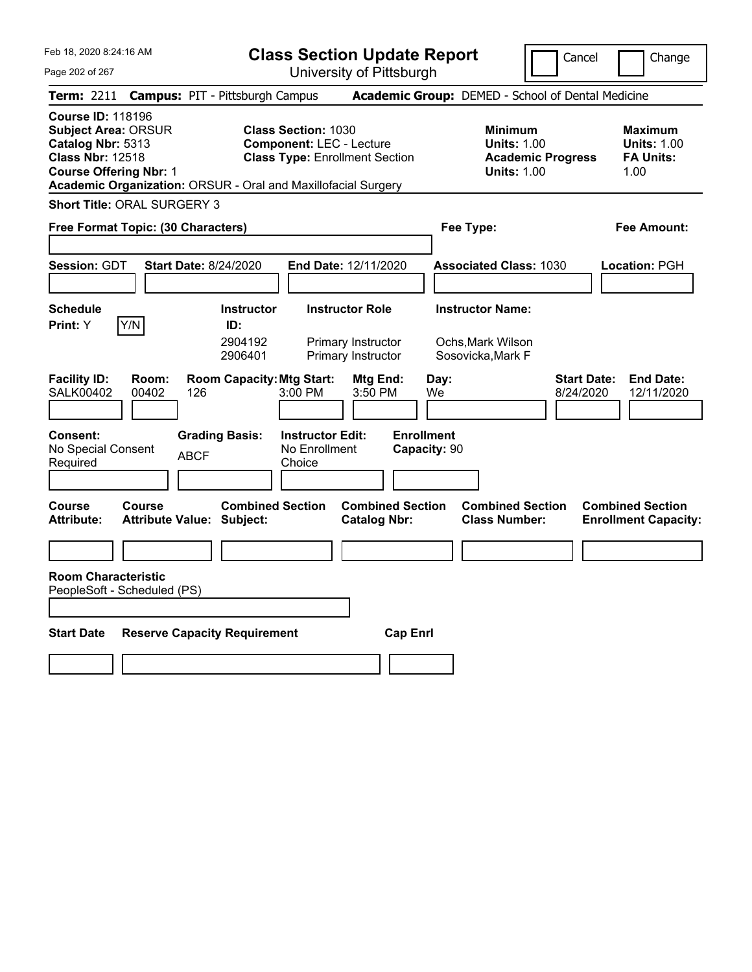Feb 18, 2020 8:24:16 AM

**Class Section Update Report** University of Pittsburgh

Cancel Change

Page 202 of 267

|                                                                                                                                         |                                   | Term: 2211 Campus: PIT - Pittsburgh Campus                    |                                                               |                                                                    |                                   | <b>Academic Group: DEMED - School of Dental Medicine</b>                               |                                 |                                                                  |
|-----------------------------------------------------------------------------------------------------------------------------------------|-----------------------------------|---------------------------------------------------------------|---------------------------------------------------------------|--------------------------------------------------------------------|-----------------------------------|----------------------------------------------------------------------------------------|---------------------------------|------------------------------------------------------------------|
| <b>Course ID: 118196</b><br><b>Subject Area: ORSUR</b><br>Catalog Nbr: 5313<br><b>Class Nbr: 12518</b><br><b>Course Offering Nbr: 1</b> |                                   | Academic Organization: ORSUR - Oral and Maxillofacial Surgery | <b>Class Section: 1030</b><br><b>Component: LEC - Lecture</b> | <b>Class Type: Enrollment Section</b>                              |                                   | <b>Minimum</b><br><b>Units: 1.00</b><br><b>Academic Progress</b><br><b>Units: 1.00</b> |                                 | <b>Maximum</b><br><b>Units: 1.00</b><br><b>FA Units:</b><br>1.00 |
| <b>Short Title: ORAL SURGERY 3</b>                                                                                                      |                                   |                                                               |                                                               |                                                                    |                                   |                                                                                        |                                 |                                                                  |
| Free Format Topic: (30 Characters)                                                                                                      |                                   |                                                               |                                                               |                                                                    |                                   | Fee Type:                                                                              |                                 | <b>Fee Amount:</b>                                               |
| Session: GDT                                                                                                                            |                                   | <b>Start Date: 8/24/2020</b>                                  |                                                               | End Date: 12/11/2020                                               |                                   | <b>Associated Class: 1030</b>                                                          |                                 | Location: PGH                                                    |
| <b>Schedule</b><br>Print: Y                                                                                                             | Y/N                               | <b>Instructor</b><br>ID:<br>2904192<br>2906401                |                                                               | <b>Instructor Role</b><br>Primary Instructor<br>Primary Instructor |                                   | <b>Instructor Name:</b><br>Ochs, Mark Wilson<br>Sosovicka, Mark F                      |                                 |                                                                  |
| <b>Facility ID:</b><br><b>SALK00402</b>                                                                                                 | Room:<br>00402                    | <b>Room Capacity: Mtg Start:</b><br>126                       | 3:00 PM                                                       | Mtg End:<br>3:50 PM                                                | Day:<br>We                        |                                                                                        | <b>Start Date:</b><br>8/24/2020 | <b>End Date:</b><br>12/11/2020                                   |
| Consent:<br>No Special Consent<br>Required                                                                                              |                                   | <b>Grading Basis:</b><br><b>ABCF</b>                          | <b>Instructor Edit:</b><br>No Enrollment<br>Choice            |                                                                    | <b>Enrollment</b><br>Capacity: 90 |                                                                                        |                                 |                                                                  |
| Course<br><b>Attribute:</b>                                                                                                             | Course<br><b>Attribute Value:</b> | <b>Combined Section</b><br>Subject:                           |                                                               | <b>Combined Section</b><br><b>Catalog Nbr:</b>                     |                                   | <b>Combined Section</b><br><b>Class Number:</b>                                        |                                 | <b>Combined Section</b><br><b>Enrollment Capacity:</b>           |
| <b>Room Characteristic</b><br>PeopleSoft - Scheduled (PS)                                                                               |                                   |                                                               |                                                               |                                                                    |                                   |                                                                                        |                                 |                                                                  |
| <b>Start Date</b>                                                                                                                       |                                   | <b>Reserve Capacity Requirement</b>                           |                                                               | <b>Cap Enrl</b>                                                    |                                   |                                                                                        |                                 |                                                                  |
|                                                                                                                                         |                                   |                                                               |                                                               |                                                                    |                                   |                                                                                        |                                 |                                                                  |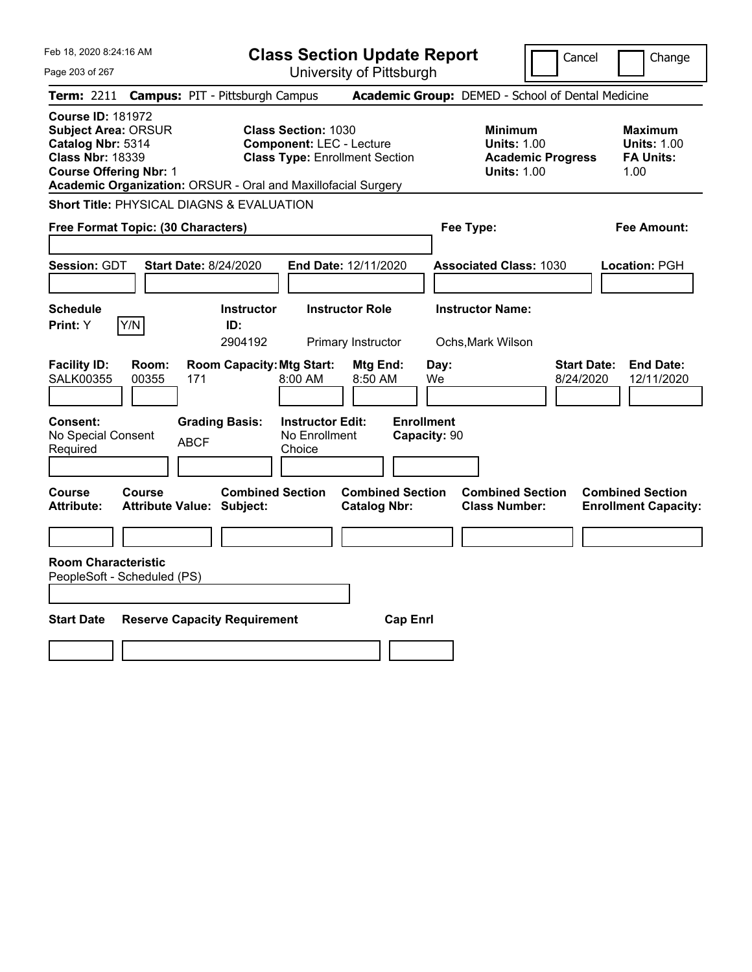| Feb 18, 2020 8:24:16 AM                            |                                                                                                                                                                                                                                                                                                                                                                   | Cancel<br>Change                                                                                                                                                                                                                                                                                                                                                                                                  |
|----------------------------------------------------|-------------------------------------------------------------------------------------------------------------------------------------------------------------------------------------------------------------------------------------------------------------------------------------------------------------------------------------------------------------------|-------------------------------------------------------------------------------------------------------------------------------------------------------------------------------------------------------------------------------------------------------------------------------------------------------------------------------------------------------------------------------------------------------------------|
|                                                    |                                                                                                                                                                                                                                                                                                                                                                   |                                                                                                                                                                                                                                                                                                                                                                                                                   |
|                                                    |                                                                                                                                                                                                                                                                                                                                                                   |                                                                                                                                                                                                                                                                                                                                                                                                                   |
| <b>Class Section: 1030</b>                         | <b>Minimum</b><br><b>Units: 1.00</b><br><b>Units: 1.00</b>                                                                                                                                                                                                                                                                                                        | <b>Maximum</b><br><b>Units: 1.00</b><br><b>FA Units:</b><br><b>Academic Progress</b><br>1.00                                                                                                                                                                                                                                                                                                                      |
|                                                    |                                                                                                                                                                                                                                                                                                                                                                   |                                                                                                                                                                                                                                                                                                                                                                                                                   |
|                                                    | Fee Type:                                                                                                                                                                                                                                                                                                                                                         | Fee Amount:                                                                                                                                                                                                                                                                                                                                                                                                       |
|                                                    | <b>Associated Class: 1030</b>                                                                                                                                                                                                                                                                                                                                     | Location: PGH                                                                                                                                                                                                                                                                                                                                                                                                     |
| <b>Instructor</b><br>ID:<br>2904192                | <b>Instructor Name:</b><br>Ochs, Mark Wilson                                                                                                                                                                                                                                                                                                                      |                                                                                                                                                                                                                                                                                                                                                                                                                   |
| 8:00 AM                                            | Day:<br>We                                                                                                                                                                                                                                                                                                                                                        | <b>End Date:</b><br><b>Start Date:</b><br>8/24/2020<br>12/11/2020                                                                                                                                                                                                                                                                                                                                                 |
| <b>Instructor Edit:</b><br>No Enrollment<br>Choice | <b>Enrollment</b><br>Capacity: 90                                                                                                                                                                                                                                                                                                                                 |                                                                                                                                                                                                                                                                                                                                                                                                                   |
| <b>Combined Section</b>                            | <b>Combined Section</b><br><b>Class Number:</b>                                                                                                                                                                                                                                                                                                                   | <b>Combined Section</b><br><b>Enrollment Capacity:</b>                                                                                                                                                                                                                                                                                                                                                            |
|                                                    |                                                                                                                                                                                                                                                                                                                                                                   |                                                                                                                                                                                                                                                                                                                                                                                                                   |
|                                                    | <b>Cap Enrl</b>                                                                                                                                                                                                                                                                                                                                                   |                                                                                                                                                                                                                                                                                                                                                                                                                   |
|                                                    | <b>Campus: PIT - Pittsburgh Campus</b><br><b>Short Title: PHYSICAL DIAGNS &amp; EVALUATION</b><br>Free Format Topic: (30 Characters)<br><b>Start Date: 8/24/2020</b><br><b>Room Capacity: Mtg Start:</b><br>171<br><b>Grading Basis:</b><br><b>ABCF</b><br><b>Attribute Value: Subject:</b><br>PeopleSoft - Scheduled (PS)<br><b>Reserve Capacity Requirement</b> | <b>Class Section Update Report</b><br>University of Pittsburgh<br>Academic Group: DEMED - School of Dental Medicine<br><b>Component: LEC - Lecture</b><br><b>Class Type: Enrollment Section</b><br>Academic Organization: ORSUR - Oral and Maxillofacial Surgery<br>End Date: 12/11/2020<br><b>Instructor Role</b><br>Primary Instructor<br>Mtg End:<br>8:50 AM<br><b>Combined Section</b><br><b>Catalog Nbr:</b> |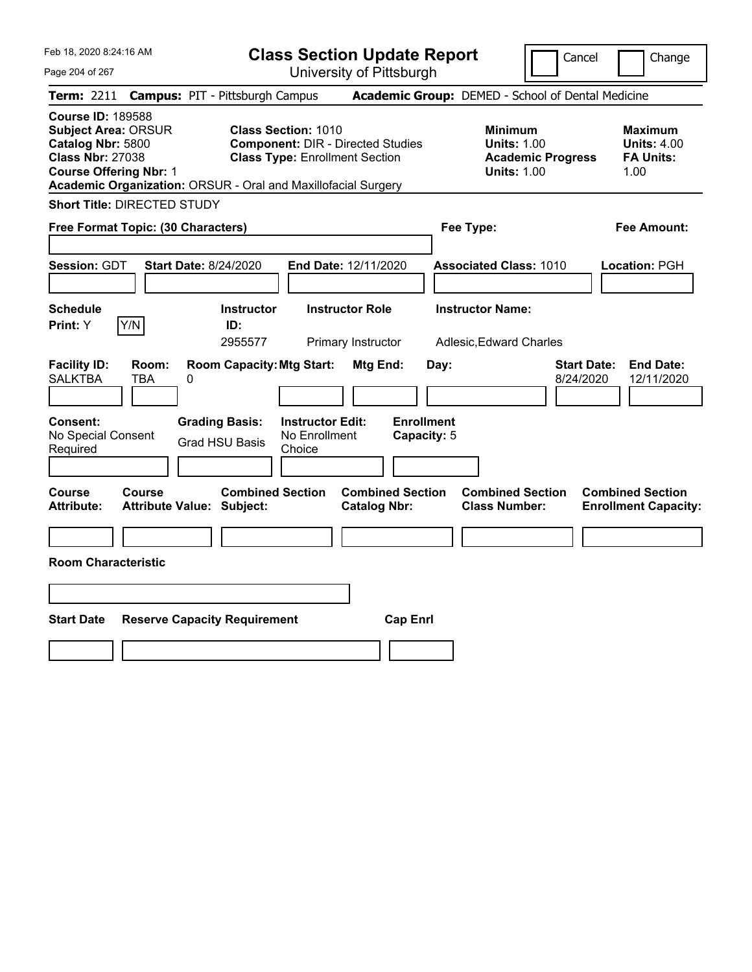Feb 18, 2020 8:24:16 AM

**Class Section Update Report** University of Pittsburgh

Cancel Change

Page 204 of 267

|                                                                                                                                         |                     | Term: 2211 Campus: PIT - Pittsburgh Campus                    |                                                                                                                 |                                                |                                  | Academic Group: DEMED - School of Dental Medicine                                      |                                 |                                                                  |
|-----------------------------------------------------------------------------------------------------------------------------------------|---------------------|---------------------------------------------------------------|-----------------------------------------------------------------------------------------------------------------|------------------------------------------------|----------------------------------|----------------------------------------------------------------------------------------|---------------------------------|------------------------------------------------------------------|
| <b>Course ID: 189588</b><br><b>Subject Area: ORSUR</b><br>Catalog Nbr: 5800<br><b>Class Nbr: 27038</b><br><b>Course Offering Nbr: 1</b> |                     | Academic Organization: ORSUR - Oral and Maxillofacial Surgery | <b>Class Section: 1010</b><br><b>Component: DIR - Directed Studies</b><br><b>Class Type: Enrollment Section</b> |                                                |                                  | <b>Minimum</b><br><b>Units: 1.00</b><br><b>Academic Progress</b><br><b>Units: 1.00</b> |                                 | <b>Maximum</b><br><b>Units: 4.00</b><br><b>FA Units:</b><br>1.00 |
| <b>Short Title: DIRECTED STUDY</b>                                                                                                      |                     |                                                               |                                                                                                                 |                                                |                                  |                                                                                        |                                 |                                                                  |
| Free Format Topic: (30 Characters)                                                                                                      |                     |                                                               |                                                                                                                 |                                                | Fee Type:                        |                                                                                        |                                 | <b>Fee Amount:</b>                                               |
| <b>Session: GDT</b>                                                                                                                     |                     | <b>Start Date: 8/24/2020</b>                                  | End Date: 12/11/2020                                                                                            |                                                |                                  | <b>Associated Class: 1010</b>                                                          |                                 | Location: PGH                                                    |
| <b>Schedule</b><br>Print: Y                                                                                                             | Y/N                 | <b>Instructor</b><br>ID:<br>2955577                           | <b>Instructor Role</b>                                                                                          | Primary Instructor                             |                                  | <b>Instructor Name:</b><br>Adlesic, Edward Charles                                     |                                 |                                                                  |
| <b>Facility ID:</b><br><b>SALKTBA</b>                                                                                                   | Room:<br><b>TBA</b> | <b>Room Capacity: Mtg Start:</b><br>0                         |                                                                                                                 | Mtg End:                                       | Day:                             |                                                                                        | <b>Start Date:</b><br>8/24/2020 | <b>End Date:</b><br>12/11/2020                                   |
| <b>Consent:</b><br>No Special Consent<br>Required                                                                                       |                     | <b>Grading Basis:</b><br><b>Grad HSU Basis</b>                | <b>Instructor Edit:</b><br>No Enrollment<br>Choice                                                              |                                                | <b>Enrollment</b><br>Capacity: 5 |                                                                                        |                                 |                                                                  |
| <b>Course</b><br><b>Attribute:</b>                                                                                                      | <b>Course</b>       | <b>Combined Section</b><br><b>Attribute Value: Subject:</b>   |                                                                                                                 | <b>Combined Section</b><br><b>Catalog Nbr:</b> |                                  | <b>Combined Section</b><br><b>Class Number:</b>                                        |                                 | <b>Combined Section</b><br><b>Enrollment Capacity:</b>           |
| <b>Room Characteristic</b>                                                                                                              |                     |                                                               |                                                                                                                 |                                                |                                  |                                                                                        |                                 |                                                                  |
|                                                                                                                                         |                     |                                                               |                                                                                                                 |                                                |                                  |                                                                                        |                                 |                                                                  |
| Start Date                                                                                                                              |                     | <b>Reserve Capacity Requirement</b>                           |                                                                                                                 | <b>Cap Enrl</b>                                |                                  |                                                                                        |                                 |                                                                  |
|                                                                                                                                         |                     |                                                               |                                                                                                                 |                                                |                                  |                                                                                        |                                 |                                                                  |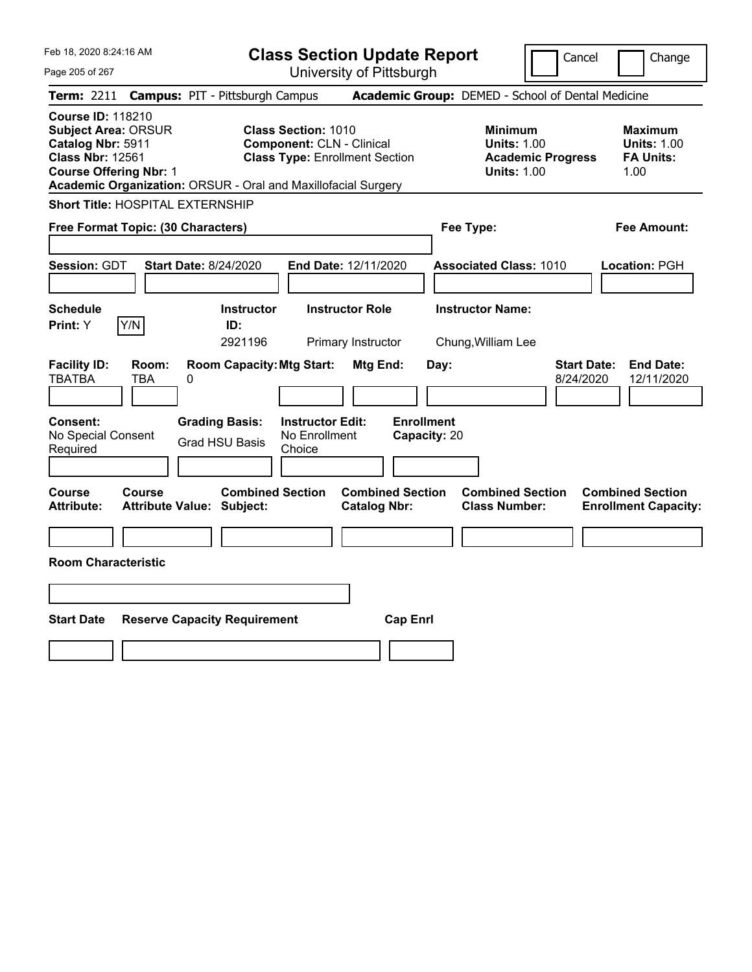|  | Feb 18, 2020 8:24:16 AM |  |
|--|-------------------------|--|
|  |                         |  |

**Class Section Update Report** University of Pittsburgh

Cancel Change

Page 205 of 267

|                                                   |                                                                                                                                                                                                                                                                                                                     | <b>Term: 2211 Campus: PIT - Pittsburgh Campus</b>           |                                                    |                                                |                                   |                                                                                        | <b>Academic Group:</b> DEMED - School of Dental Medicine |                                                                  |                                                        |
|---------------------------------------------------|---------------------------------------------------------------------------------------------------------------------------------------------------------------------------------------------------------------------------------------------------------------------------------------------------------------------|-------------------------------------------------------------|----------------------------------------------------|------------------------------------------------|-----------------------------------|----------------------------------------------------------------------------------------|----------------------------------------------------------|------------------------------------------------------------------|--------------------------------------------------------|
|                                                   | <b>Course ID: 118210</b><br><b>Class Section: 1010</b><br><b>Subject Area: ORSUR</b><br>Catalog Nbr: 5911<br><b>Component: CLN - Clinical</b><br><b>Class Nbr: 12561</b><br><b>Class Type: Enrollment Section</b><br><b>Course Offering Nbr: 1</b><br>Academic Organization: ORSUR - Oral and Maxillofacial Surgery |                                                             |                                                    |                                                |                                   | <b>Minimum</b><br><b>Units: 1.00</b><br><b>Academic Progress</b><br><b>Units: 1.00</b> |                                                          | <b>Maximum</b><br><b>Units: 1.00</b><br><b>FA Units:</b><br>1.00 |                                                        |
|                                                   |                                                                                                                                                                                                                                                                                                                     | Short Title: HOSPITAL EXTERNSHIP                            |                                                    |                                                |                                   |                                                                                        |                                                          |                                                                  |                                                        |
| Free Format Topic: (30 Characters)                |                                                                                                                                                                                                                                                                                                                     |                                                             |                                                    |                                                |                                   | Fee Type:                                                                              |                                                          |                                                                  | <b>Fee Amount:</b>                                     |
| Session: GDT                                      |                                                                                                                                                                                                                                                                                                                     | <b>Start Date: 8/24/2020</b>                                |                                                    | End Date: 12/11/2020                           |                                   |                                                                                        | <b>Associated Class: 1010</b>                            |                                                                  | Location: PGH                                          |
| <b>Schedule</b><br>Print: Y                       | Y/N                                                                                                                                                                                                                                                                                                                 | <b>Instructor</b><br>ID:<br>2921196                         |                                                    | <b>Instructor Role</b><br>Primary Instructor   |                                   |                                                                                        | <b>Instructor Name:</b><br>Chung, William Lee            |                                                                  |                                                        |
| <b>Facility ID:</b><br><b>TBATBA</b>              | Room:<br><b>TBA</b>                                                                                                                                                                                                                                                                                                 | <b>Room Capacity: Mtg Start:</b><br>0                       |                                                    | Mtg End:                                       | Day:                              |                                                                                        |                                                          | <b>Start Date:</b><br>8/24/2020                                  | <b>End Date:</b><br>12/11/2020                         |
| <b>Consent:</b><br>No Special Consent<br>Required |                                                                                                                                                                                                                                                                                                                     | <b>Grading Basis:</b><br><b>Grad HSU Basis</b>              | <b>Instructor Edit:</b><br>No Enrollment<br>Choice |                                                | <b>Enrollment</b><br>Capacity: 20 |                                                                                        |                                                          |                                                                  |                                                        |
| Course<br><b>Attribute:</b>                       | <b>Course</b>                                                                                                                                                                                                                                                                                                       | <b>Combined Section</b><br><b>Attribute Value: Subject:</b> |                                                    | <b>Combined Section</b><br><b>Catalog Nbr:</b> |                                   |                                                                                        | <b>Combined Section</b><br><b>Class Number:</b>          |                                                                  | <b>Combined Section</b><br><b>Enrollment Capacity:</b> |
| <b>Room Characteristic</b>                        |                                                                                                                                                                                                                                                                                                                     |                                                             |                                                    |                                                |                                   |                                                                                        |                                                          |                                                                  |                                                        |
| <b>Start Date</b>                                 |                                                                                                                                                                                                                                                                                                                     | <b>Reserve Capacity Requirement</b>                         |                                                    | <b>Cap Enrl</b>                                |                                   |                                                                                        |                                                          |                                                                  |                                                        |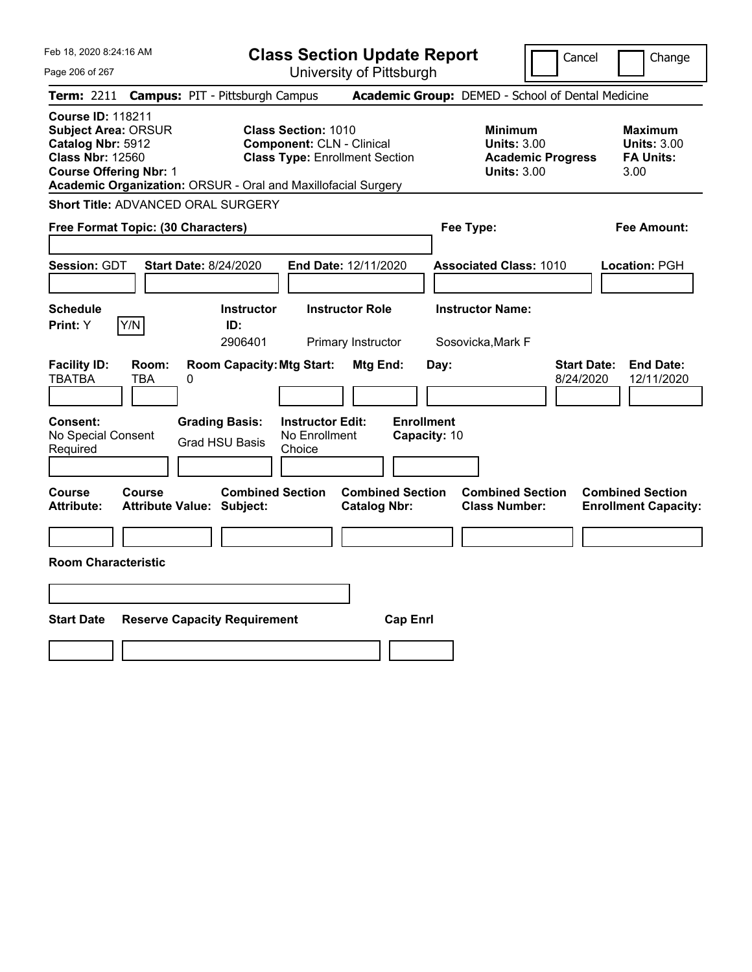| Feb 18, 2020 8:24:16 AM<br>Page 206 of 267                                                                                                                                                               | <b>Class Section Update Report</b><br>University of Pittsburgh                                                                | Cancel                                                                                 | Change                                                           |
|----------------------------------------------------------------------------------------------------------------------------------------------------------------------------------------------------------|-------------------------------------------------------------------------------------------------------------------------------|----------------------------------------------------------------------------------------|------------------------------------------------------------------|
| <b>Campus: PIT - Pittsburgh Campus</b><br><b>Term:</b> 2211                                                                                                                                              |                                                                                                                               | Academic Group: DEMED - School of Dental Medicine                                      |                                                                  |
| <b>Course ID: 118211</b><br><b>Subject Area: ORSUR</b><br>Catalog Nbr: 5912<br><b>Class Nbr: 12560</b><br><b>Course Offering Nbr: 1</b><br>Academic Organization: ORSUR - Oral and Maxillofacial Surgery | <b>Class Section: 1010</b><br><b>Component: CLN - Clinical</b><br><b>Class Type: Enrollment Section</b>                       | <b>Minimum</b><br><b>Units: 3.00</b><br><b>Academic Progress</b><br><b>Units: 3.00</b> | <b>Maximum</b><br><b>Units: 3.00</b><br><b>FA Units:</b><br>3.00 |
| Short Title: ADVANCED ORAL SURGERY                                                                                                                                                                       |                                                                                                                               |                                                                                        |                                                                  |
| Free Format Topic: (30 Characters)                                                                                                                                                                       |                                                                                                                               | Fee Type:                                                                              | <b>Fee Amount:</b>                                               |
| <b>Session: GDT</b><br><b>Start Date: 8/24/2020</b>                                                                                                                                                      | End Date: 12/11/2020                                                                                                          | <b>Associated Class: 1010</b>                                                          | Location: PGH                                                    |
| <b>Schedule</b>                                                                                                                                                                                          | <b>Instructor</b><br><b>Instructor Role</b>                                                                                   | <b>Instructor Name:</b>                                                                |                                                                  |
| Y/N<br>Print: Y<br>ID:                                                                                                                                                                                   | 2906401<br>Primary Instructor                                                                                                 | Sosovicka,Mark F                                                                       |                                                                  |
| <b>Facility ID:</b><br>Room:<br><b>TBATBA</b><br><b>TBA</b><br>0<br><b>Consent:</b><br><b>Grading Basis:</b><br>No Special Consent<br><b>Grad HSU Basis</b>                                              | <b>Room Capacity: Mtg Start:</b><br>Mtg End:<br><b>Enrollment</b><br><b>Instructor Edit:</b><br>No Enrollment<br>Capacity: 10 | Day:<br>8/24/2020                                                                      | <b>Start Date:</b><br><b>End Date:</b><br>12/11/2020             |
| Required                                                                                                                                                                                                 | Choice                                                                                                                        |                                                                                        |                                                                  |
| <b>Course</b><br>Course<br><b>Attribute:</b><br><b>Attribute Value: Subject:</b><br><b>Room Characteristic</b>                                                                                           | <b>Combined Section</b><br><b>Combined Section</b><br><b>Catalog Nbr:</b>                                                     | <b>Combined Section</b><br><b>Class Number:</b>                                        | <b>Combined Section</b><br><b>Enrollment Capacity:</b>           |
|                                                                                                                                                                                                          |                                                                                                                               |                                                                                        |                                                                  |
|                                                                                                                                                                                                          |                                                                                                                               |                                                                                        |                                                                  |
| <b>Start Date</b><br><b>Reserve Capacity Requirement</b>                                                                                                                                                 | <b>Cap Enrl</b>                                                                                                               |                                                                                        |                                                                  |
|                                                                                                                                                                                                          |                                                                                                                               |                                                                                        |                                                                  |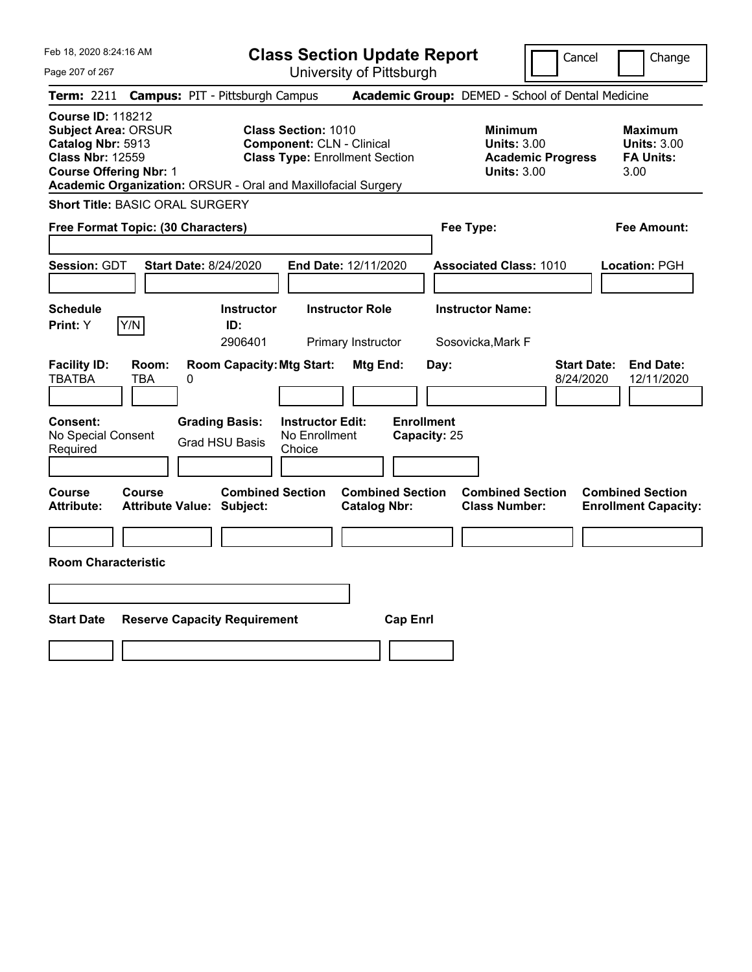| Feb 18, 2020 8:24:16 AM |  |
|-------------------------|--|
|                         |  |

| <b>Class Section Update Report</b> |  |
|------------------------------------|--|
| University of Pittsburgh           |  |

Cancel Change

Page 207 of 267

|                                                                                                                                         | Term: 2211 Campus: PIT - Pittsburgh Campus                                                                                                                               |                                                       | Academic Group: DEMED - School of Dental Medicine                                      |                                                                  |
|-----------------------------------------------------------------------------------------------------------------------------------------|--------------------------------------------------------------------------------------------------------------------------------------------------------------------------|-------------------------------------------------------|----------------------------------------------------------------------------------------|------------------------------------------------------------------|
| <b>Course ID: 118212</b><br><b>Subject Area: ORSUR</b><br>Catalog Nbr: 5913<br><b>Class Nbr: 12559</b><br><b>Course Offering Nbr: 1</b> | <b>Class Section: 1010</b><br><b>Component: CLN - Clinical</b><br><b>Class Type: Enrollment Section</b><br>Academic Organization: ORSUR - Oral and Maxillofacial Surgery |                                                       | <b>Minimum</b><br><b>Units: 3.00</b><br><b>Academic Progress</b><br><b>Units: 3.00</b> | <b>Maximum</b><br><b>Units: 3.00</b><br><b>FA Units:</b><br>3.00 |
| <b>Short Title: BASIC ORAL SURGERY</b>                                                                                                  |                                                                                                                                                                          |                                                       |                                                                                        |                                                                  |
| Free Format Topic: (30 Characters)                                                                                                      |                                                                                                                                                                          |                                                       | Fee Type:                                                                              | <b>Fee Amount:</b>                                               |
| <b>Session: GDT</b>                                                                                                                     | <b>Start Date: 8/24/2020</b>                                                                                                                                             | End Date: 12/11/2020                                  | <b>Associated Class: 1010</b>                                                          | Location: PGH                                                    |
| <b>Schedule</b><br>Y/N<br>Print: Y                                                                                                      | <b>Instructor</b><br>ID:                                                                                                                                                 | <b>Instructor Role</b>                                | <b>Instructor Name:</b>                                                                |                                                                  |
|                                                                                                                                         | 2906401                                                                                                                                                                  | Primary Instructor                                    | Sosovicka, Mark F                                                                      |                                                                  |
| <b>Facility ID:</b><br>Room:<br><b>TBATBA</b><br><b>TBA</b><br>Consent:<br>No Special Consent<br>Required                               | <b>Room Capacity: Mtg Start:</b><br>0<br><b>Grading Basis:</b><br><b>Instructor Edit:</b><br>No Enrollment<br><b>Grad HSU Basis</b><br>Choice                            | Mtg End:<br>Day:<br><b>Enrollment</b><br>Capacity: 25 | 8/24/2020                                                                              | <b>Start Date:</b><br><b>End Date:</b><br>12/11/2020             |
| <b>Course</b><br>Course<br>Attribute:                                                                                                   | <b>Combined Section</b><br><b>Attribute Value: Subject:</b>                                                                                                              | <b>Combined Section</b><br><b>Catalog Nbr:</b>        | <b>Combined Section</b><br><b>Class Number:</b>                                        | <b>Combined Section</b><br><b>Enrollment Capacity:</b>           |
|                                                                                                                                         |                                                                                                                                                                          |                                                       |                                                                                        |                                                                  |
| <b>Room Characteristic</b>                                                                                                              |                                                                                                                                                                          |                                                       |                                                                                        |                                                                  |
| <b>Start Date</b>                                                                                                                       | <b>Reserve Capacity Requirement</b>                                                                                                                                      | <b>Cap Enrl</b>                                       |                                                                                        |                                                                  |
|                                                                                                                                         |                                                                                                                                                                          |                                                       |                                                                                        |                                                                  |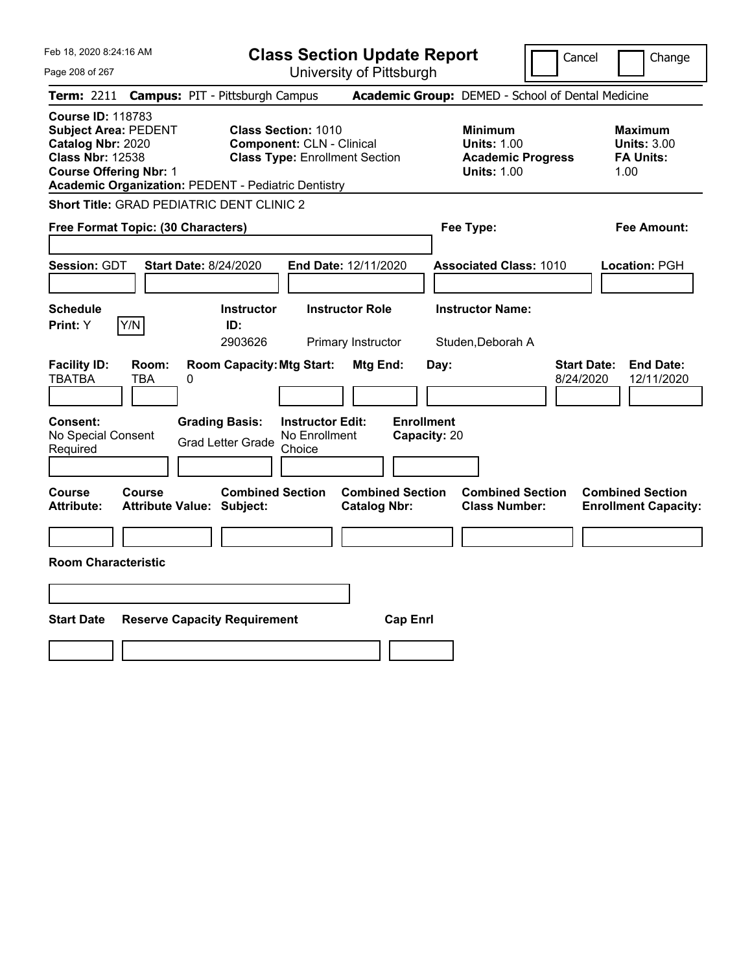| Feb 18, 2020 8:24:16 AM<br>Page 208 of 267                                                                                                                                                             | <b>Class Section Update Report</b><br>University of Pittsburgh                                          |                                                                                        | Cancel<br>Change                                                  |
|--------------------------------------------------------------------------------------------------------------------------------------------------------------------------------------------------------|---------------------------------------------------------------------------------------------------------|----------------------------------------------------------------------------------------|-------------------------------------------------------------------|
| <b>Campus: PIT - Pittsburgh Campus</b><br><b>Term: 2211</b>                                                                                                                                            |                                                                                                         | Academic Group: DEMED - School of Dental Medicine                                      |                                                                   |
| <b>Course ID: 118783</b><br><b>Subject Area: PEDENT</b><br>Catalog Nbr: 2020<br><b>Class Nbr: 12538</b><br><b>Course Offering Nbr: 1</b><br><b>Academic Organization: PEDENT - Pediatric Dentistry</b> | <b>Class Section: 1010</b><br><b>Component: CLN - Clinical</b><br><b>Class Type: Enrollment Section</b> | <b>Minimum</b><br><b>Units: 1.00</b><br><b>Academic Progress</b><br><b>Units: 1.00</b> | <b>Maximum</b><br><b>Units: 3.00</b><br><b>FA Units:</b><br>1.00  |
| <b>Short Title: GRAD PEDIATRIC DENT CLINIC 2</b>                                                                                                                                                       |                                                                                                         |                                                                                        |                                                                   |
| Free Format Topic: (30 Characters)                                                                                                                                                                     |                                                                                                         | Fee Type:                                                                              | <b>Fee Amount:</b>                                                |
| Session: GDT<br><b>Start Date: 8/24/2020</b>                                                                                                                                                           | End Date: 12/11/2020                                                                                    | <b>Associated Class: 1010</b>                                                          | Location: PGH                                                     |
| <b>Schedule</b>                                                                                                                                                                                        | <b>Instructor</b><br><b>Instructor Role</b>                                                             | <b>Instructor Name:</b>                                                                |                                                                   |
| Y/N<br>Print: Y<br>ID:                                                                                                                                                                                 | 2903626<br>Primary Instructor                                                                           | Studen, Deborah A                                                                      |                                                                   |
| <b>Facility ID:</b><br>Room:<br><b>TBATBA</b><br>TBA<br>0<br><b>Consent:</b><br><b>Grading Basis:</b><br>No Special Consent<br><b>Grad Letter Grade</b><br>Required                                    | <b>Room Capacity: Mtg Start:</b><br>Mtg End:<br><b>Instructor Edit:</b><br>No Enrollment<br>Choice      | Day:<br><b>Enrollment</b><br>Capacity: 20                                              | <b>Start Date:</b><br><b>End Date:</b><br>8/24/2020<br>12/11/2020 |
|                                                                                                                                                                                                        |                                                                                                         |                                                                                        |                                                                   |
| <b>Course</b><br>Course<br><b>Attribute:</b><br><b>Attribute Value: Subject:</b>                                                                                                                       | <b>Combined Section</b><br><b>Combined Section</b><br><b>Catalog Nbr:</b>                               | <b>Combined Section</b><br><b>Class Number:</b>                                        | <b>Combined Section</b><br><b>Enrollment Capacity:</b>            |
|                                                                                                                                                                                                        |                                                                                                         |                                                                                        |                                                                   |
| <b>Room Characteristic</b>                                                                                                                                                                             |                                                                                                         |                                                                                        |                                                                   |
|                                                                                                                                                                                                        |                                                                                                         |                                                                                        |                                                                   |
| <b>Start Date</b><br><b>Reserve Capacity Requirement</b>                                                                                                                                               | <b>Cap Enrl</b>                                                                                         |                                                                                        |                                                                   |
|                                                                                                                                                                                                        |                                                                                                         |                                                                                        |                                                                   |
|                                                                                                                                                                                                        |                                                                                                         |                                                                                        |                                                                   |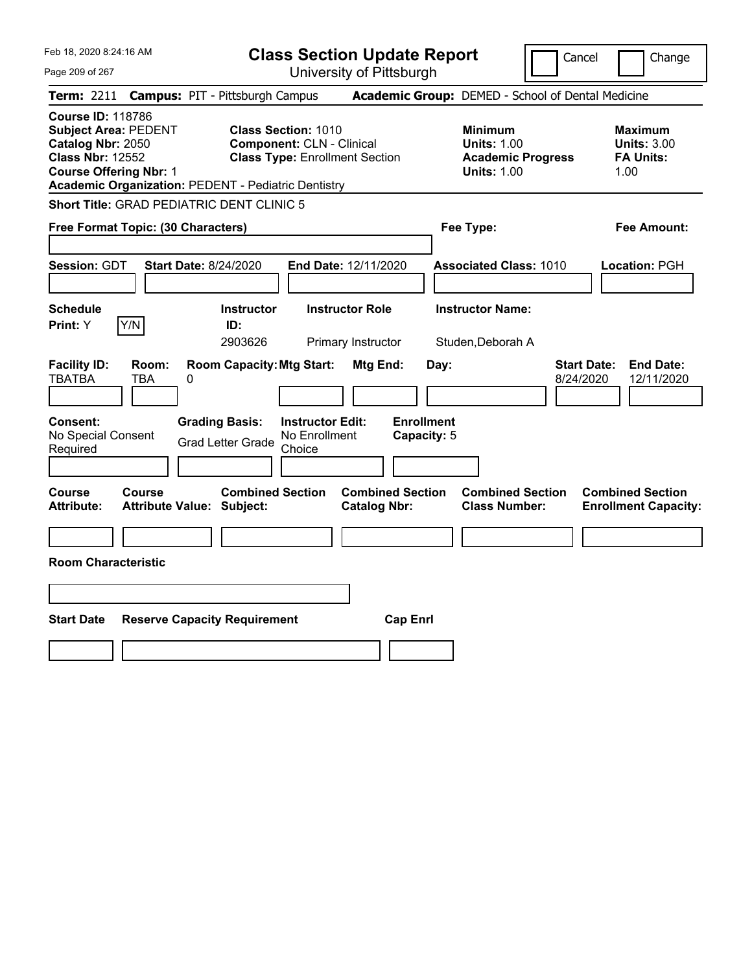| Feb 18, 2020 8:24:16 AM<br>Page 209 of 267                                                                                                                                                             | <b>Class Section Update Report</b><br>University of Pittsburgh                                                                                                                                          | Cancel                                                                                 | Change                                                           |
|--------------------------------------------------------------------------------------------------------------------------------------------------------------------------------------------------------|---------------------------------------------------------------------------------------------------------------------------------------------------------------------------------------------------------|----------------------------------------------------------------------------------------|------------------------------------------------------------------|
| <b>Term:</b> 2211                                                                                                                                                                                      | <b>Campus: PIT - Pittsburgh Campus</b>                                                                                                                                                                  | Academic Group: DEMED - School of Dental Medicine                                      |                                                                  |
| <b>Course ID: 118786</b><br><b>Subject Area: PEDENT</b><br>Catalog Nbr: 2050<br><b>Class Nbr: 12552</b><br><b>Course Offering Nbr: 1</b><br><b>Academic Organization: PEDENT - Pediatric Dentistry</b> | <b>Class Section: 1010</b><br><b>Component: CLN - Clinical</b><br><b>Class Type: Enrollment Section</b>                                                                                                 | <b>Minimum</b><br><b>Units: 1.00</b><br><b>Academic Progress</b><br><b>Units: 1.00</b> | <b>Maximum</b><br><b>Units: 3.00</b><br><b>FA Units:</b><br>1.00 |
| Short Title: GRAD PEDIATRIC DENT CLINIC 5                                                                                                                                                              |                                                                                                                                                                                                         |                                                                                        |                                                                  |
| Free Format Topic: (30 Characters)                                                                                                                                                                     |                                                                                                                                                                                                         | Fee Type:                                                                              | Fee Amount:                                                      |
| <b>Session: GDT</b><br><b>Start Date: 8/24/2020</b>                                                                                                                                                    | End Date: 12/11/2020                                                                                                                                                                                    | <b>Associated Class: 1010</b>                                                          | Location: PGH                                                    |
| <b>Schedule</b>                                                                                                                                                                                        | <b>Instructor Role</b><br><b>Instructor</b>                                                                                                                                                             | <b>Instructor Name:</b>                                                                |                                                                  |
| Y/N<br>Print: Y                                                                                                                                                                                        | ID:<br>2903626                                                                                                                                                                                          |                                                                                        |                                                                  |
| <b>Facility ID:</b><br>Room:<br><b>TBATBA</b><br>TBA<br>0<br>Consent:<br><b>Grading Basis:</b><br>No Special Consent<br>Required                                                                       | Primary Instructor<br><b>Room Capacity: Mtg Start:</b><br><b>Mtg End:</b><br>Day:<br><b>Enrollment</b><br><b>Instructor Edit:</b><br>No Enrollment<br>Capacity: 5<br><b>Grad Letter Grade</b><br>Choice | Studen, Deborah A<br><b>Start Date:</b><br>8/24/2020                                   | <b>End Date:</b><br>12/11/2020                                   |
| <b>Course</b><br><b>Course</b><br>Attribute Value: Subject:<br><b>Attribute:</b>                                                                                                                       | <b>Combined Section</b><br><b>Combined Section</b><br><b>Catalog Nbr:</b>                                                                                                                               | <b>Combined Section</b><br><b>Class Number:</b>                                        | <b>Combined Section</b><br><b>Enrollment Capacity:</b>           |
|                                                                                                                                                                                                        |                                                                                                                                                                                                         |                                                                                        |                                                                  |
| <b>Room Characteristic</b>                                                                                                                                                                             |                                                                                                                                                                                                         |                                                                                        |                                                                  |
| <b>Start Date</b><br><b>Reserve Capacity Requirement</b>                                                                                                                                               | <b>Cap Enrl</b>                                                                                                                                                                                         |                                                                                        |                                                                  |
|                                                                                                                                                                                                        |                                                                                                                                                                                                         |                                                                                        |                                                                  |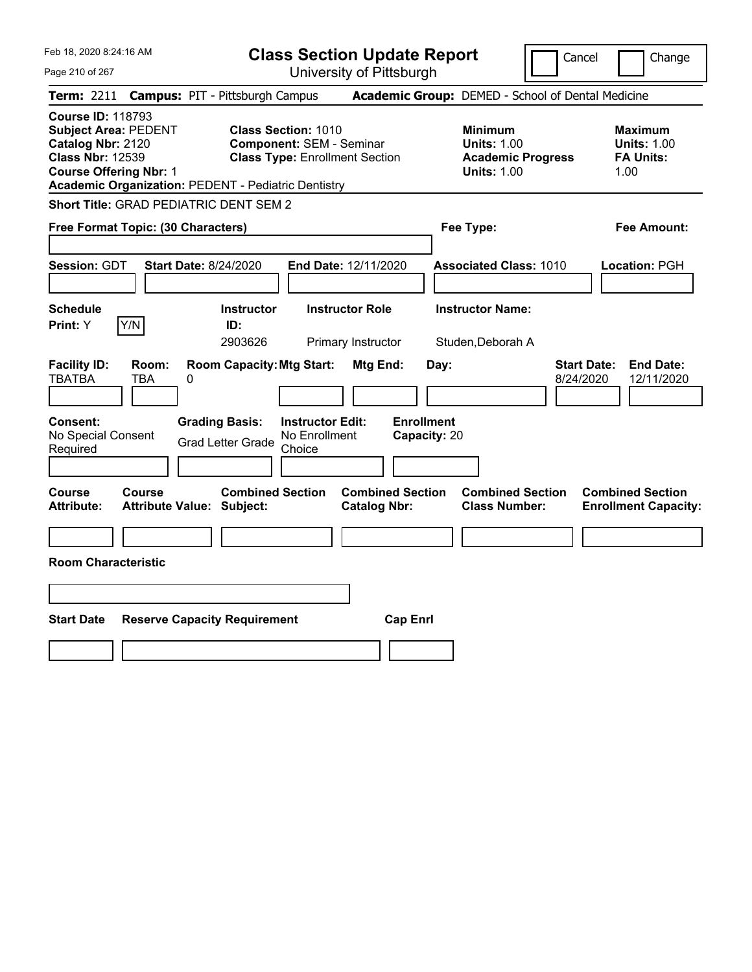| Feb 18, 2020 8:24:16 AM<br>Page 210 of 267                                                                                                                                                             | <b>Class Section Update Report</b><br>University of Pittsburgh                                         | Cancel                                                                                 | Change                                                           |
|--------------------------------------------------------------------------------------------------------------------------------------------------------------------------------------------------------|--------------------------------------------------------------------------------------------------------|----------------------------------------------------------------------------------------|------------------------------------------------------------------|
| <b>Campus: PIT - Pittsburgh Campus</b><br><b>Term:</b> 2211                                                                                                                                            |                                                                                                        | Academic Group: DEMED - School of Dental Medicine                                      |                                                                  |
| <b>Course ID: 118793</b><br><b>Subject Area: PEDENT</b><br>Catalog Nbr: 2120<br><b>Class Nbr: 12539</b><br><b>Course Offering Nbr: 1</b><br><b>Academic Organization: PEDENT - Pediatric Dentistry</b> | <b>Class Section: 1010</b><br><b>Component: SEM - Seminar</b><br><b>Class Type: Enrollment Section</b> | <b>Minimum</b><br><b>Units: 1.00</b><br><b>Academic Progress</b><br><b>Units: 1.00</b> | <b>Maximum</b><br><b>Units: 1.00</b><br><b>FA Units:</b><br>1.00 |
| Short Title: GRAD PEDIATRIC DENT SEM 2                                                                                                                                                                 |                                                                                                        |                                                                                        |                                                                  |
| Free Format Topic: (30 Characters)                                                                                                                                                                     |                                                                                                        | Fee Type:                                                                              | Fee Amount:                                                      |
| Session: GDT<br><b>Start Date: 8/24/2020</b>                                                                                                                                                           | End Date: 12/11/2020                                                                                   | <b>Associated Class: 1010</b>                                                          | Location: PGH                                                    |
| <b>Schedule</b>                                                                                                                                                                                        | <b>Instructor</b><br><b>Instructor Role</b>                                                            | <b>Instructor Name:</b>                                                                |                                                                  |
| Y/N<br><b>Print:</b> Y                                                                                                                                                                                 | ID:<br>2903626<br>Primary Instructor                                                                   | Studen, Deborah A                                                                      |                                                                  |
| <b>Facility ID:</b><br>Room:<br><b>TBATBA</b><br>TBA<br>$\boldsymbol{0}$<br><b>Grading Basis:</b><br><b>Consent:</b>                                                                                   | <b>Room Capacity: Mtg Start:</b><br>Mtg End:<br>Day:<br><b>Enrollment</b><br><b>Instructor Edit:</b>   | <b>Start Date:</b><br>8/24/2020                                                        | <b>End Date:</b><br>12/11/2020                                   |
| No Special Consent<br><b>Grad Letter Grade</b><br>Required                                                                                                                                             | No Enrollment<br>Capacity: 20<br>Choice                                                                |                                                                                        |                                                                  |
|                                                                                                                                                                                                        |                                                                                                        |                                                                                        |                                                                  |
| Course<br><b>Course</b><br><b>Attribute:</b><br><b>Attribute Value: Subject:</b>                                                                                                                       | <b>Combined Section</b><br><b>Combined Section</b><br><b>Catalog Nbr:</b>                              | <b>Combined Section</b><br><b>Class Number:</b>                                        | <b>Combined Section</b><br><b>Enrollment Capacity:</b>           |
|                                                                                                                                                                                                        |                                                                                                        |                                                                                        |                                                                  |
| <b>Room Characteristic</b>                                                                                                                                                                             |                                                                                                        |                                                                                        |                                                                  |
|                                                                                                                                                                                                        |                                                                                                        |                                                                                        |                                                                  |
| <b>Start Date</b><br><b>Reserve Capacity Requirement</b>                                                                                                                                               | <b>Cap Enrl</b>                                                                                        |                                                                                        |                                                                  |
|                                                                                                                                                                                                        |                                                                                                        |                                                                                        |                                                                  |
|                                                                                                                                                                                                        |                                                                                                        |                                                                                        |                                                                  |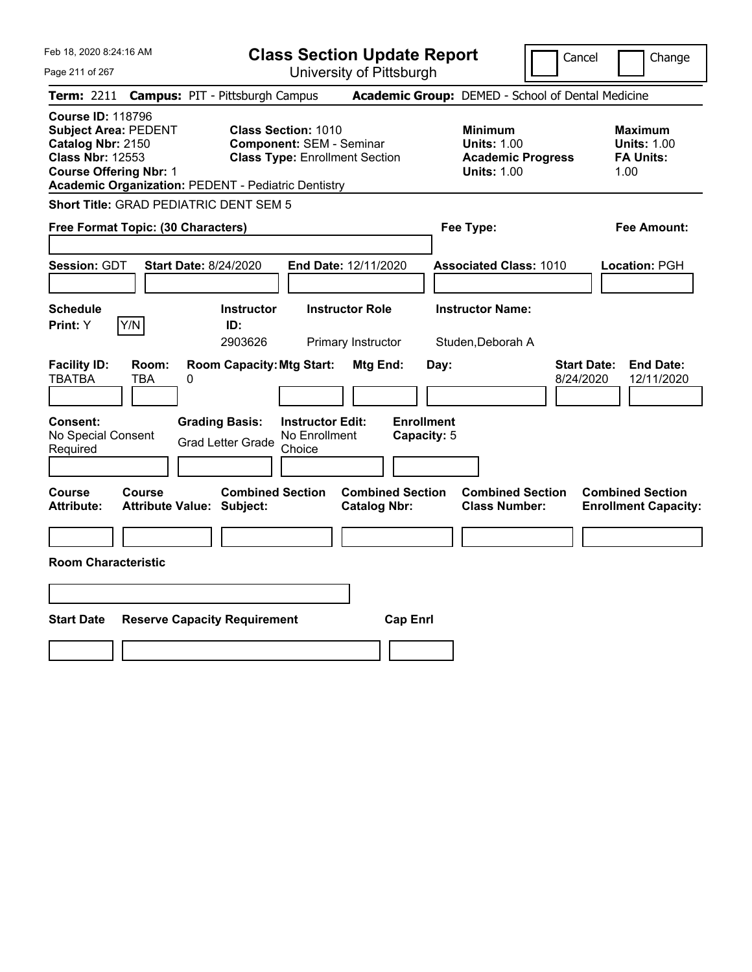| Feb 18, 2020 8:24:16 AM                                                                                                                                                                                | <b>Class Section Update Report</b>                                                                                                                                                          | Cancel                                                                                 | Change                                                           |
|--------------------------------------------------------------------------------------------------------------------------------------------------------------------------------------------------------|---------------------------------------------------------------------------------------------------------------------------------------------------------------------------------------------|----------------------------------------------------------------------------------------|------------------------------------------------------------------|
| Page 211 of 267                                                                                                                                                                                        | University of Pittsburgh                                                                                                                                                                    |                                                                                        |                                                                  |
| Term: 2211                                                                                                                                                                                             | <b>Campus: PIT - Pittsburgh Campus</b>                                                                                                                                                      | Academic Group: DEMED - School of Dental Medicine                                      |                                                                  |
| <b>Course ID: 118796</b><br><b>Subject Area: PEDENT</b><br>Catalog Nbr: 2150<br><b>Class Nbr: 12553</b><br><b>Course Offering Nbr: 1</b><br><b>Academic Organization: PEDENT - Pediatric Dentistry</b> | Class Section: 1010<br><b>Component: SEM - Seminar</b><br><b>Class Type: Enrollment Section</b>                                                                                             | <b>Minimum</b><br><b>Units: 1.00</b><br><b>Academic Progress</b><br><b>Units: 1.00</b> | <b>Maximum</b><br><b>Units: 1.00</b><br><b>FA Units:</b><br>1.00 |
| <b>Short Title: GRAD PEDIATRIC DENT SEM 5</b>                                                                                                                                                          |                                                                                                                                                                                             |                                                                                        |                                                                  |
| Free Format Topic: (30 Characters)                                                                                                                                                                     |                                                                                                                                                                                             | Fee Type:                                                                              | Fee Amount:                                                      |
| Session: GDT<br><b>Start Date: 8/24/2020</b><br><b>Schedule</b><br>Y/N<br><b>Print:</b> Y                                                                                                              | End Date: 12/11/2020<br><b>Instructor</b><br><b>Instructor Role</b><br>ID:<br>2903626<br>Primary Instructor                                                                                 | <b>Associated Class: 1010</b><br><b>Instructor Name:</b><br>Studen, Deborah A          | Location: PGH                                                    |
| <b>Facility ID:</b><br>Room:<br><b>TBATBA</b><br>TBA<br>0<br>Consent:<br>No Special Consent<br>Required                                                                                                | <b>Room Capacity: Mtg Start:</b><br>Mtg End:<br><b>Enrollment</b><br><b>Grading Basis:</b><br><b>Instructor Edit:</b><br>No Enrollment<br>Capacity: 5<br><b>Grad Letter Grade</b><br>Choice | Day:<br>8/24/2020                                                                      | <b>Start Date:</b><br><b>End Date:</b><br>12/11/2020             |
| <b>Course</b><br>Course<br>Attribute Value: Subject:<br><b>Attribute:</b>                                                                                                                              | <b>Combined Section</b><br><b>Combined Section</b><br><b>Catalog Nbr:</b>                                                                                                                   | <b>Combined Section</b><br><b>Class Number:</b>                                        | <b>Combined Section</b><br><b>Enrollment Capacity:</b>           |
| <b>Room Characteristic</b>                                                                                                                                                                             |                                                                                                                                                                                             |                                                                                        |                                                                  |
|                                                                                                                                                                                                        |                                                                                                                                                                                             |                                                                                        |                                                                  |
| <b>Start Date</b><br><b>Reserve Capacity Requirement</b>                                                                                                                                               | <b>Cap Enrl</b>                                                                                                                                                                             |                                                                                        |                                                                  |
|                                                                                                                                                                                                        |                                                                                                                                                                                             |                                                                                        |                                                                  |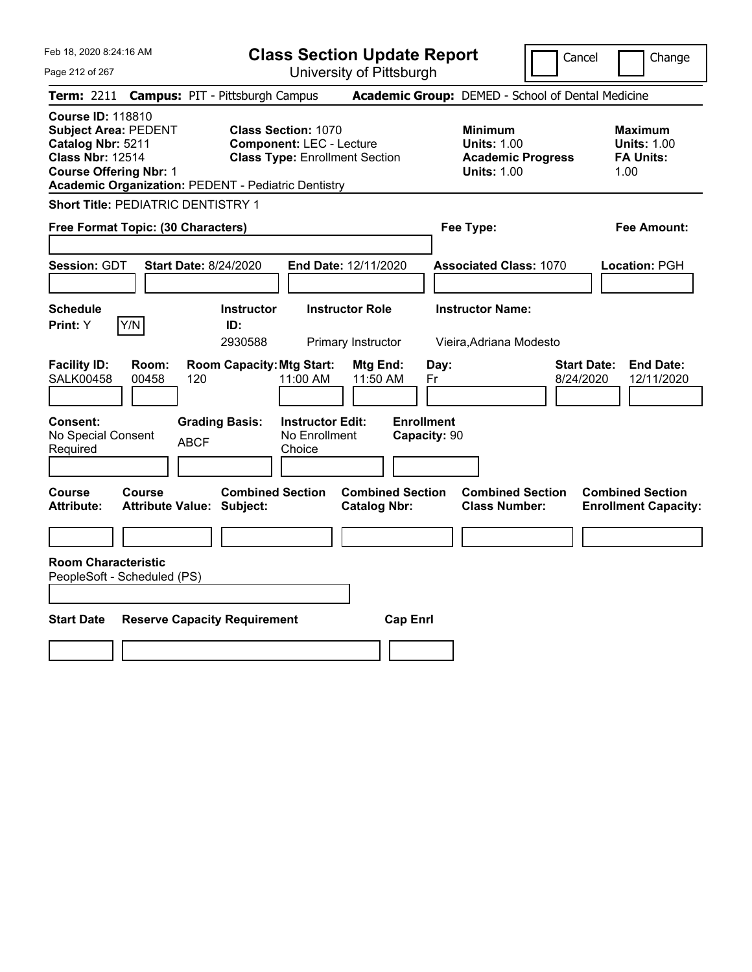| Feb 18, 2020 8:24:16 AM<br>Page 212 of 267                                                                                                                                                             | <b>Class Section Update Report</b><br>University of Pittsburgh                                                                                                      | Cancel                                                                                 | Change                                                           |
|--------------------------------------------------------------------------------------------------------------------------------------------------------------------------------------------------------|---------------------------------------------------------------------------------------------------------------------------------------------------------------------|----------------------------------------------------------------------------------------|------------------------------------------------------------------|
| <b>Campus: PIT - Pittsburgh Campus</b><br>Term: 2211                                                                                                                                                   |                                                                                                                                                                     | Academic Group: DEMED - School of Dental Medicine                                      |                                                                  |
| <b>Course ID: 118810</b><br><b>Subject Area: PEDENT</b><br>Catalog Nbr: 5211<br><b>Class Nbr: 12514</b><br><b>Course Offering Nbr: 1</b><br><b>Academic Organization: PEDENT - Pediatric Dentistry</b> | <b>Class Section: 1070</b><br><b>Component: LEC - Lecture</b><br><b>Class Type: Enrollment Section</b>                                                              | <b>Minimum</b><br><b>Units: 1.00</b><br><b>Academic Progress</b><br><b>Units: 1.00</b> | <b>Maximum</b><br><b>Units: 1.00</b><br><b>FA Units:</b><br>1.00 |
| <b>Short Title: PEDIATRIC DENTISTRY 1</b>                                                                                                                                                              |                                                                                                                                                                     |                                                                                        |                                                                  |
| Free Format Topic: (30 Characters)                                                                                                                                                                     |                                                                                                                                                                     | Fee Type:                                                                              | <b>Fee Amount:</b>                                               |
| Session: GDT<br><b>Start Date: 8/24/2020</b>                                                                                                                                                           | End Date: 12/11/2020                                                                                                                                                | <b>Associated Class: 1070</b>                                                          | Location: PGH                                                    |
| <b>Schedule</b>                                                                                                                                                                                        | <b>Instructor</b><br><b>Instructor Role</b>                                                                                                                         | <b>Instructor Name:</b>                                                                |                                                                  |
| Y/N<br><b>Print:</b> Y                                                                                                                                                                                 | ID:<br>2930588<br>Primary Instructor                                                                                                                                |                                                                                        |                                                                  |
| <b>Facility ID:</b><br>Room:<br><b>SALK00458</b><br>00458<br>120<br>Consent:<br><b>Grading Basis:</b><br>No Special Consent<br><b>ABCF</b>                                                             | <b>Room Capacity: Mtg Start:</b><br>Mtg End:<br>Day:<br>11:00 AM<br>11:50 AM<br>Fr<br><b>Enrollment</b><br><b>Instructor Edit:</b><br>No Enrollment<br>Capacity: 90 | Vieira, Adriana Modesto<br><b>Start Date:</b><br>8/24/2020                             | <b>End Date:</b><br>12/11/2020                                   |
| Required                                                                                                                                                                                               | Choice                                                                                                                                                              |                                                                                        |                                                                  |
| Course<br>Course<br><b>Attribute:</b><br><b>Attribute Value: Subject:</b>                                                                                                                              | <b>Combined Section</b><br><b>Combined Section</b><br><b>Catalog Nbr:</b>                                                                                           | <b>Combined Section</b><br><b>Class Number:</b>                                        | <b>Combined Section</b><br><b>Enrollment Capacity:</b>           |
|                                                                                                                                                                                                        |                                                                                                                                                                     |                                                                                        |                                                                  |
| <b>Room Characteristic</b><br>PeopleSoft - Scheduled (PS)                                                                                                                                              |                                                                                                                                                                     |                                                                                        |                                                                  |
|                                                                                                                                                                                                        |                                                                                                                                                                     |                                                                                        |                                                                  |
| <b>Start Date</b><br><b>Reserve Capacity Requirement</b>                                                                                                                                               | <b>Cap Enrl</b>                                                                                                                                                     |                                                                                        |                                                                  |
|                                                                                                                                                                                                        |                                                                                                                                                                     |                                                                                        |                                                                  |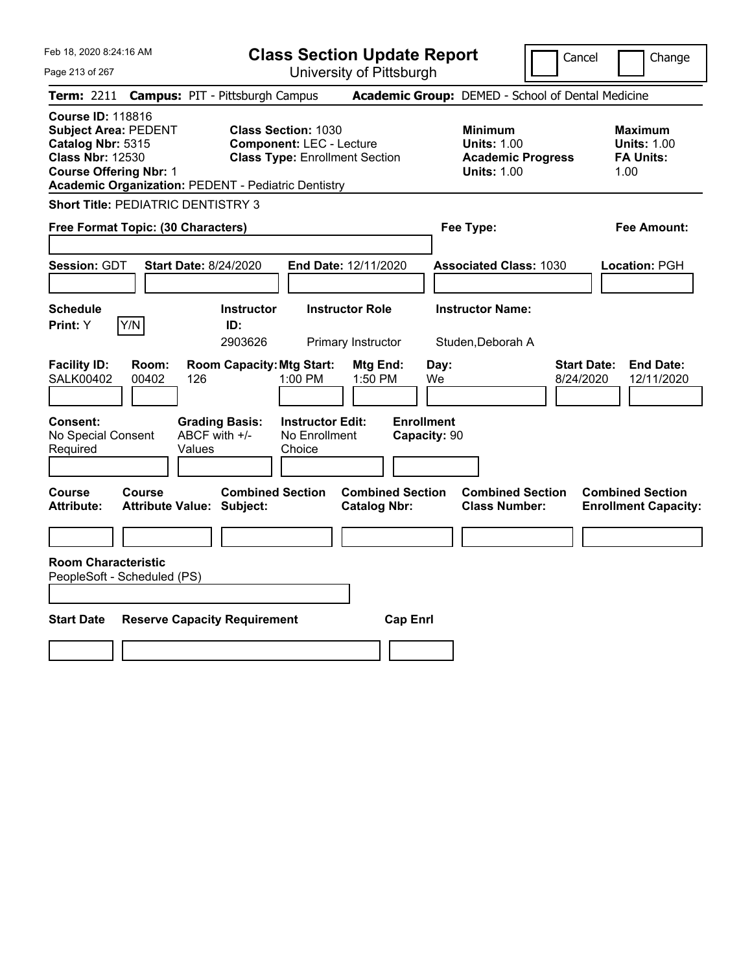| Feb 18, 2020 8:24:16 AM<br>Page 213 of 267                                                                                                                                                             | <b>Class Section Update Report</b><br>University of Pittsburgh                                                                                    |                                                                                        | Cancel<br>Change                                                  |
|--------------------------------------------------------------------------------------------------------------------------------------------------------------------------------------------------------|---------------------------------------------------------------------------------------------------------------------------------------------------|----------------------------------------------------------------------------------------|-------------------------------------------------------------------|
| Term: 2211                                                                                                                                                                                             | <b>Campus: PIT - Pittsburgh Campus</b>                                                                                                            | Academic Group: DEMED - School of Dental Medicine                                      |                                                                   |
| <b>Course ID: 118816</b><br><b>Subject Area: PEDENT</b><br>Catalog Nbr: 5315<br><b>Class Nbr: 12530</b><br><b>Course Offering Nbr: 1</b><br><b>Academic Organization: PEDENT - Pediatric Dentistry</b> | <b>Class Section: 1030</b><br><b>Component: LEC - Lecture</b><br><b>Class Type: Enrollment Section</b>                                            | <b>Minimum</b><br><b>Units: 1.00</b><br><b>Academic Progress</b><br><b>Units: 1.00</b> | <b>Maximum</b><br><b>Units: 1.00</b><br><b>FA Units:</b><br>1.00  |
| <b>Short Title: PEDIATRIC DENTISTRY 3</b>                                                                                                                                                              |                                                                                                                                                   |                                                                                        |                                                                   |
| Free Format Topic: (30 Characters)                                                                                                                                                                     |                                                                                                                                                   | Fee Type:                                                                              | <b>Fee Amount:</b>                                                |
| Session: GDT<br><b>Start Date: 8/24/2020</b>                                                                                                                                                           | End Date: 12/11/2020                                                                                                                              | <b>Associated Class: 1030</b>                                                          | Location: PGH                                                     |
| <b>Schedule</b>                                                                                                                                                                                        | <b>Instructor</b><br><b>Instructor Role</b>                                                                                                       | <b>Instructor Name:</b>                                                                |                                                                   |
| Y/N<br>Print: Y                                                                                                                                                                                        | ID:<br>2903626<br>Primary Instructor                                                                                                              | Studen, Deborah A                                                                      |                                                                   |
| <b>Facility ID:</b><br>Room:<br><b>SALK00402</b><br>00402<br>126<br><b>Consent:</b><br>ABCF with +/-<br>No Special Consent<br>Required<br>Values                                                       | <b>Room Capacity: Mtg Start:</b><br>Mtg End:<br>1:00 PM<br>1:50 PM<br><b>Grading Basis:</b><br><b>Instructor Edit:</b><br>No Enrollment<br>Choice | Day:<br>We<br><b>Enrollment</b><br>Capacity: 90                                        | <b>Start Date:</b><br><b>End Date:</b><br>8/24/2020<br>12/11/2020 |
|                                                                                                                                                                                                        |                                                                                                                                                   |                                                                                        |                                                                   |
| <b>Course</b><br>Course<br><b>Attribute:</b><br><b>Attribute Value: Subject:</b>                                                                                                                       | <b>Combined Section</b><br><b>Combined Section</b><br><b>Catalog Nbr:</b>                                                                         | <b>Combined Section</b><br><b>Class Number:</b>                                        | <b>Combined Section</b><br><b>Enrollment Capacity:</b>            |
|                                                                                                                                                                                                        |                                                                                                                                                   |                                                                                        |                                                                   |
| <b>Room Characteristic</b><br>PeopleSoft - Scheduled (PS)                                                                                                                                              |                                                                                                                                                   |                                                                                        |                                                                   |
|                                                                                                                                                                                                        |                                                                                                                                                   |                                                                                        |                                                                   |
| <b>Start Date</b><br><b>Reserve Capacity Requirement</b>                                                                                                                                               |                                                                                                                                                   | <b>Cap Enrl</b>                                                                        |                                                                   |
|                                                                                                                                                                                                        |                                                                                                                                                   |                                                                                        |                                                                   |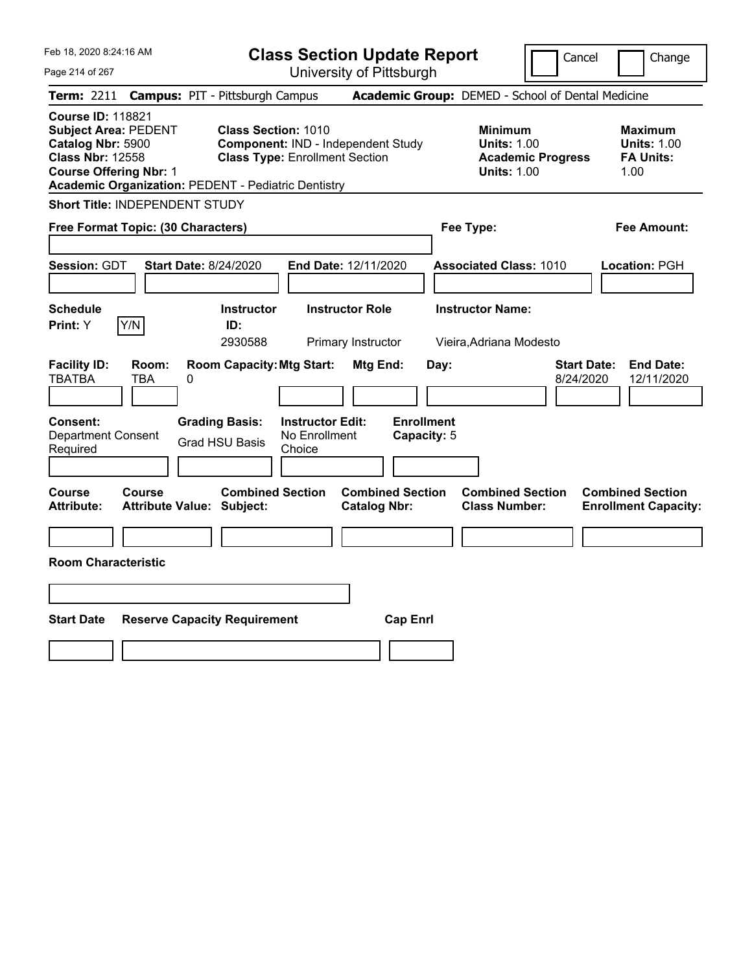| Feb 18, 2020 8:24:16 AM                                                                                                                                                                                |                                                   |   |                                                                                                    | <b>Class Section Update Report</b> |                        |                         |      |                                                                                        | Cancel                          | Change                                                           |
|--------------------------------------------------------------------------------------------------------------------------------------------------------------------------------------------------------|---------------------------------------------------|---|----------------------------------------------------------------------------------------------------|------------------------------------|------------------------|-------------------------|------|----------------------------------------------------------------------------------------|---------------------------------|------------------------------------------------------------------|
| Page 214 of 267                                                                                                                                                                                        |                                                   |   |                                                                                                    | University of Pittsburgh           |                        |                         |      |                                                                                        |                                 |                                                                  |
| Term: 2211                                                                                                                                                                                             |                                                   |   | <b>Campus: PIT - Pittsburgh Campus</b>                                                             |                                    |                        |                         |      | Academic Group: DEMED - School of Dental Medicine                                      |                                 |                                                                  |
| <b>Course ID: 118821</b><br><b>Subject Area: PEDENT</b><br>Catalog Nbr: 5900<br><b>Class Nbr: 12558</b><br><b>Course Offering Nbr: 1</b><br><b>Academic Organization: PEDENT - Pediatric Dentistry</b> |                                                   |   | Class Section: 1010<br>Component: IND - Independent Study<br><b>Class Type: Enrollment Section</b> |                                    |                        |                         |      | <b>Minimum</b><br><b>Units: 1.00</b><br><b>Academic Progress</b><br><b>Units: 1.00</b> |                                 | <b>Maximum</b><br><b>Units: 1.00</b><br><b>FA Units:</b><br>1.00 |
| <b>Short Title: INDEPENDENT STUDY</b>                                                                                                                                                                  |                                                   |   |                                                                                                    |                                    |                        |                         |      |                                                                                        |                                 |                                                                  |
| Free Format Topic: (30 Characters)                                                                                                                                                                     |                                                   |   |                                                                                                    |                                    |                        |                         |      | Fee Type:                                                                              |                                 | Fee Amount:                                                      |
| <b>Session: GDT</b>                                                                                                                                                                                    |                                                   |   | <b>Start Date: 8/24/2020</b>                                                                       | End Date: 12/11/2020               |                        |                         |      | <b>Associated Class: 1010</b>                                                          |                                 | Location: PGH                                                    |
| <b>Schedule</b><br>Print: Y                                                                                                                                                                            | Y/N                                               |   | <b>Instructor</b><br>ID:                                                                           |                                    | <b>Instructor Role</b> |                         |      | <b>Instructor Name:</b>                                                                |                                 |                                                                  |
|                                                                                                                                                                                                        |                                                   |   | 2930588                                                                                            |                                    | Primary Instructor     |                         |      | Vieira, Adriana Modesto                                                                |                                 |                                                                  |
| <b>Facility ID:</b><br><b>TBATBA</b><br><b>Consent:</b>                                                                                                                                                | Room:<br>TBA                                      | 0 | <b>Room Capacity: Mtg Start:</b><br><b>Grading Basis:</b>                                          | <b>Instructor Edit:</b>            | Mtg End:               | <b>Enrollment</b>       | Day: |                                                                                        | <b>Start Date:</b><br>8/24/2020 | <b>End Date:</b><br>12/11/2020                                   |
| <b>Department Consent</b><br>Required                                                                                                                                                                  |                                                   |   | <b>Grad HSU Basis</b>                                                                              | No Enrollment<br>Choice            |                        | Capacity: 5             |      |                                                                                        |                                 |                                                                  |
|                                                                                                                                                                                                        |                                                   |   |                                                                                                    |                                    |                        |                         |      |                                                                                        |                                 |                                                                  |
| Course<br><b>Attribute:</b>                                                                                                                                                                            | <b>Course</b><br><b>Attribute Value: Subject:</b> |   | <b>Combined Section</b>                                                                            |                                    | <b>Catalog Nbr:</b>    | <b>Combined Section</b> |      | <b>Combined Section</b><br><b>Class Number:</b>                                        |                                 | <b>Combined Section</b><br><b>Enrollment Capacity:</b>           |
|                                                                                                                                                                                                        |                                                   |   |                                                                                                    |                                    |                        |                         |      |                                                                                        |                                 |                                                                  |
| <b>Room Characteristic</b>                                                                                                                                                                             |                                                   |   |                                                                                                    |                                    |                        |                         |      |                                                                                        |                                 |                                                                  |
|                                                                                                                                                                                                        |                                                   |   |                                                                                                    |                                    |                        |                         |      |                                                                                        |                                 |                                                                  |
| <b>Start Date</b>                                                                                                                                                                                      |                                                   |   | <b>Reserve Capacity Requirement</b>                                                                |                                    |                        | <b>Cap Enrl</b>         |      |                                                                                        |                                 |                                                                  |
|                                                                                                                                                                                                        |                                                   |   |                                                                                                    |                                    |                        |                         |      |                                                                                        |                                 |                                                                  |
|                                                                                                                                                                                                        |                                                   |   |                                                                                                    |                                    |                        |                         |      |                                                                                        |                                 |                                                                  |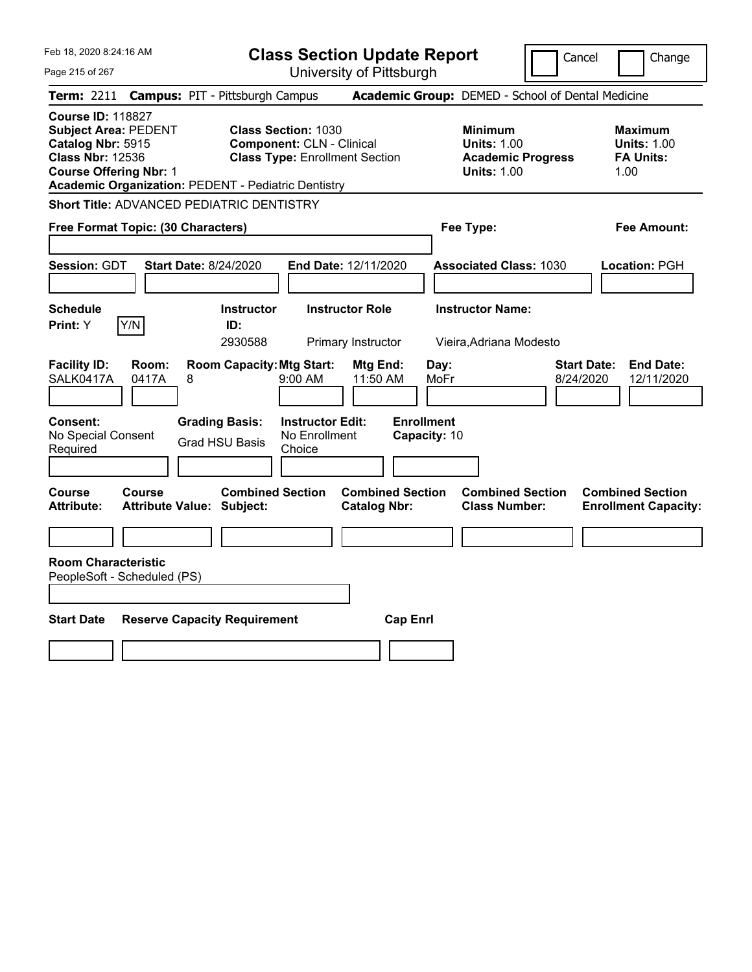Feb 18, 2020 8:24:16 AM Page 215 of 267 **Class Section Update Report** University of Pittsburgh Cancel Change **Term:** 2211 **Campus:** PIT - Pittsburgh Campus **Academic Group:** DEMED - School of Dental Medicine **Course ID:** 118827 **Subject Area:** PEDENT **Class Section:** 1030 **Minimum Maximum Catalog Nbr:** 5915 **Component:** CLN - Clinical **Units:** 1.00 **Units:** 1.00 **Class Nbr:** 12536 **Class Type:** Enrollment Section **Academic Progress FA Units: Course Offering Nbr:** 1 **Units:** 1.00 1.00 **Academic Organization:** PEDENT - Pediatric Dentistry **Short Title:** ADVANCED PEDIATRIC DENTISTRY **Free Format Topic: (30 Characters) Fee Type: Fee Amount: Session:** GDT **Start Date:** 8/24/2020 **End Date:** 12/11/2020 **Associated Class:** 1030 **Location:** PGH **Schedule Instructor Instructor Role Instructor Name: Print:**  $Y$   $|Y/N|$  **ID:** 2930588 Primary Instructor Vieira,Adriana Modesto **Facility ID: Room: Room Capacity:Mtg Start: Mtg End: Day: Start Date: End Date:** SALK0417A 0417A 8 9:00 AM 11:50 AM MoFr 8/24/2020 12/11/2020 **Consent: Grading Basis: Instructor Edit: Enrollment** No Special Consent Required Grad HSU Basis No Enrollment Choice **Capacity:** 10 **Course Course Combined Section Combined Section Combined Section Combined Section Attribute: Attribute Value: Subject: Catalog Nbr: Class Number: Enrollment Capacity: Room Characteristic** PeopleSoft - Scheduled (PS) **Start Date Reserve Capacity Requirement Cap Enrl**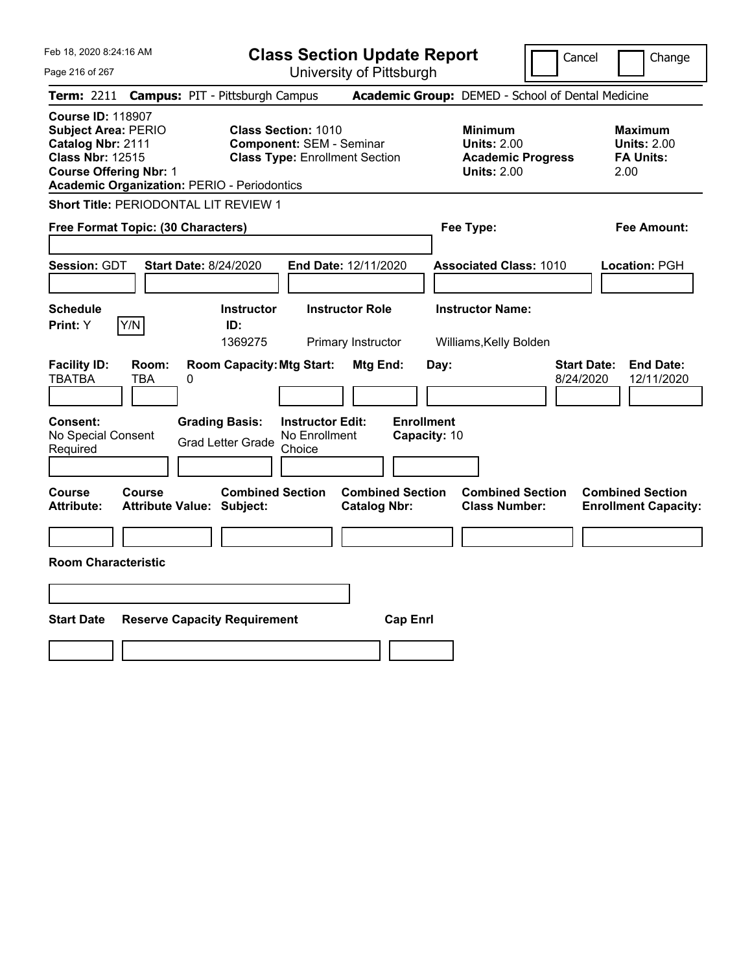|  | Feb 18, 2020 8:24:16 AM |  |
|--|-------------------------|--|
|  |                         |  |

**Class Section Update Report** University of Pittsburgh

Cancel Change

Page 216 of 267

|                                                                                                                                         | <b>Term: 2211 Campus: PIT - Pittsburgh Campus</b>                                                                                                            |                                                | <b>Academic Group:</b> DEMED - School of Dental Medicine                               |                                                                   |
|-----------------------------------------------------------------------------------------------------------------------------------------|--------------------------------------------------------------------------------------------------------------------------------------------------------------|------------------------------------------------|----------------------------------------------------------------------------------------|-------------------------------------------------------------------|
| <b>Course ID: 118907</b><br><b>Subject Area: PERIO</b><br>Catalog Nbr: 2111<br><b>Class Nbr: 12515</b><br><b>Course Offering Nbr: 1</b> | <b>Class Section: 1010</b><br><b>Component: SEM - Seminar</b><br><b>Class Type: Enrollment Section</b><br><b>Academic Organization: PERIO - Periodontics</b> |                                                | <b>Minimum</b><br><b>Units: 2.00</b><br><b>Academic Progress</b><br><b>Units: 2.00</b> | <b>Maximum</b><br><b>Units: 2.00</b><br><b>FA Units:</b><br>2.00  |
| <b>Short Title: PERIODONTAL LIT REVIEW 1</b>                                                                                            |                                                                                                                                                              |                                                |                                                                                        |                                                                   |
| Free Format Topic: (30 Characters)                                                                                                      |                                                                                                                                                              |                                                | Fee Type:                                                                              | <b>Fee Amount:</b>                                                |
| <b>Session: GDT</b>                                                                                                                     | <b>Start Date: 8/24/2020</b>                                                                                                                                 | End Date: 12/11/2020                           | <b>Associated Class: 1010</b>                                                          | Location: PGH                                                     |
| <b>Schedule</b><br>Y/N<br>Print: Y                                                                                                      | <b>Instructor</b><br>ID:<br>1369275                                                                                                                          | <b>Instructor Role</b><br>Primary Instructor   | <b>Instructor Name:</b><br>Williams, Kelly Bolden                                      |                                                                   |
| <b>Facility ID:</b><br>Room:<br><b>TBATBA</b><br>TBA                                                                                    | <b>Room Capacity: Mtg Start:</b><br>0                                                                                                                        | Mtg End:                                       | Day:                                                                                   | <b>Start Date:</b><br><b>End Date:</b><br>8/24/2020<br>12/11/2020 |
| <b>Consent:</b><br>No Special Consent<br>Required                                                                                       | <b>Grading Basis:</b><br><b>Instructor Edit:</b><br>No Enrollment<br><b>Grad Letter Grade</b><br>Choice                                                      | <b>Enrollment</b><br>Capacity: 10              |                                                                                        |                                                                   |
| <b>Course</b><br>Course<br><b>Attribute:</b>                                                                                            | <b>Combined Section</b><br><b>Attribute Value: Subject:</b>                                                                                                  | <b>Combined Section</b><br><b>Catalog Nbr:</b> | <b>Combined Section</b><br><b>Class Number:</b>                                        | <b>Combined Section</b><br><b>Enrollment Capacity:</b>            |
| <b>Room Characteristic</b>                                                                                                              |                                                                                                                                                              |                                                |                                                                                        |                                                                   |
| <b>Start Date</b>                                                                                                                       | <b>Reserve Capacity Requirement</b>                                                                                                                          | <b>Cap Enrl</b>                                |                                                                                        |                                                                   |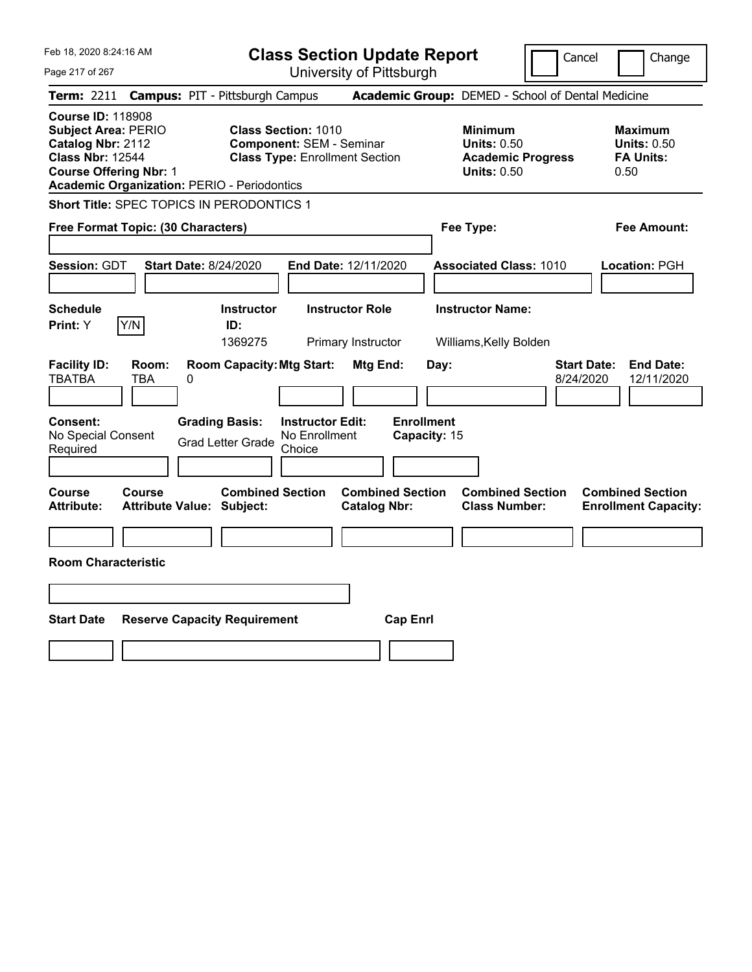|  | Feb 18, 2020 8:24:16 AM |
|--|-------------------------|
|  |                         |

**Class Section Update Report**

Cancel **Change** 

 $\mathop{||}$ 

Page 217 of 267

| Page 217 of 267                                                                                                                         |                     |                                                                                                    |                                                               | University of Pittsburgh                                          |                                           |                                                                                        |                                                                  |
|-----------------------------------------------------------------------------------------------------------------------------------------|---------------------|----------------------------------------------------------------------------------------------------|---------------------------------------------------------------|-------------------------------------------------------------------|-------------------------------------------|----------------------------------------------------------------------------------------|------------------------------------------------------------------|
| <b>Term: 2211</b>                                                                                                                       |                     | <b>Campus: PIT - Pittsburgh Campus</b>                                                             |                                                               |                                                                   |                                           | Academic Group: DEMED - School of Dental Medicine                                      |                                                                  |
| <b>Course ID: 118908</b><br><b>Subject Area: PERIO</b><br>Catalog Nbr: 2112<br><b>Class Nbr: 12544</b><br><b>Course Offering Nbr: 1</b> |                     | <b>Academic Organization: PERIO - Periodontics</b>                                                 | <b>Class Section: 1010</b><br><b>Component: SEM - Seminar</b> | <b>Class Type: Enrollment Section</b>                             |                                           | <b>Minimum</b><br><b>Units: 0.50</b><br><b>Academic Progress</b><br><b>Units: 0.50</b> | <b>Maximum</b><br><b>Units: 0.50</b><br><b>FA Units:</b><br>0.50 |
|                                                                                                                                         |                     | Short Title: SPEC TOPICS IN PERODONTICS 1                                                          |                                                               |                                                                   |                                           |                                                                                        |                                                                  |
| Free Format Topic: (30 Characters)                                                                                                      |                     |                                                                                                    |                                                               |                                                                   |                                           | Fee Type:                                                                              | Fee Amount:                                                      |
| Session: GDT                                                                                                                            |                     | <b>Start Date: 8/24/2020</b>                                                                       |                                                               | End Date: 12/11/2020                                              |                                           | <b>Associated Class: 1010</b>                                                          | Location: PGH                                                    |
| <b>Schedule</b><br>Print: Y                                                                                                             | Y/N                 | Instructor<br>ID:<br>1369275                                                                       |                                                               | <b>Instructor Role</b><br>Primary Instructor                      |                                           | <b>Instructor Name:</b><br>Williams, Kelly Bolden                                      |                                                                  |
| <b>Facility ID:</b><br><b>TBATBA</b><br><b>Consent:</b><br>No Special Consent<br>Required                                               | Room:<br><b>TBA</b> | <b>Room Capacity: Mtg Start:</b><br>0<br><b>Grading Basis:</b><br><b>Grad Letter Grade</b>         | <b>Instructor Edit:</b><br>No Enrollment<br>Choice            | Mtg End:                                                          | Day:<br><b>Enrollment</b><br>Capacity: 15 | <b>Start Date:</b><br>8/24/2020                                                        | <b>End Date:</b><br>12/11/2020                                   |
| <b>Course</b><br><b>Attribute:</b><br><b>Room Characteristic</b><br><b>Start Date</b>                                                   | <b>Course</b>       | <b>Combined Section</b><br><b>Attribute Value: Subject:</b><br><b>Reserve Capacity Requirement</b> |                                                               | <b>Combined Section</b><br><b>Catalog Nbr:</b><br><b>Cap Enrl</b> |                                           | <b>Combined Section</b><br><b>Class Number:</b>                                        | <b>Combined Section</b><br><b>Enrollment Capacity:</b>           |
|                                                                                                                                         |                     |                                                                                                    |                                                               |                                                                   |                                           |                                                                                        |                                                                  |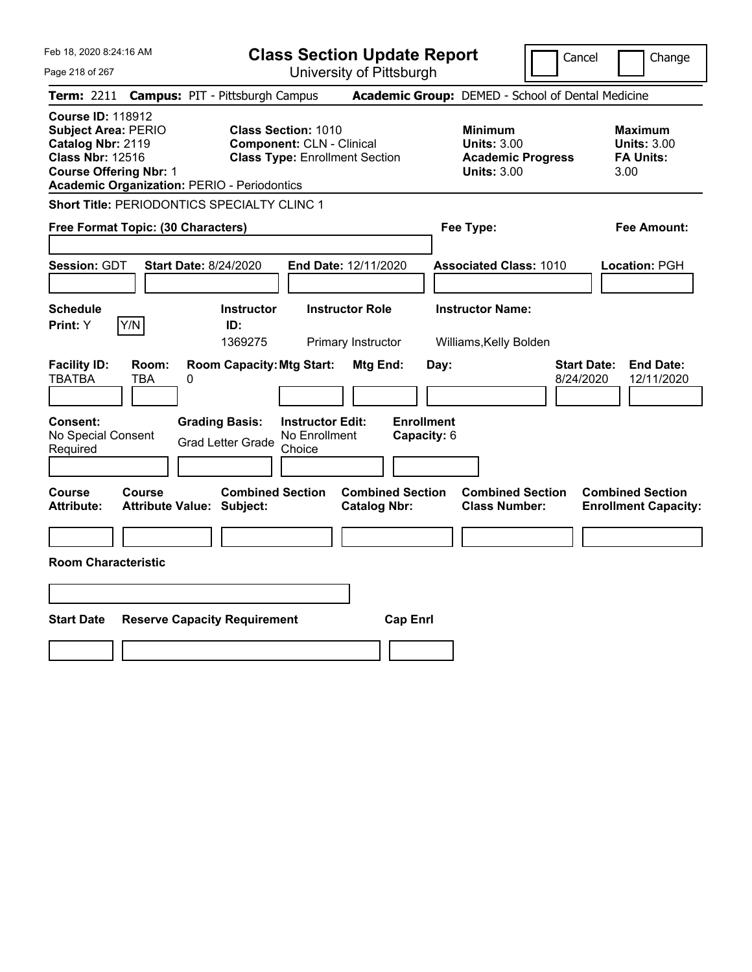**Class Section Update Report** University of Pittsburgh

Cancel Change

Page 218 of 267

|                                                                                                                                         |               | Term: 2211 Campus: PIT - Pittsburgh Campus                  |                                                                                                         |                                                |                                  | Academic Group: DEMED - School of Dental Medicine                                      |                                 |                                                                  |
|-----------------------------------------------------------------------------------------------------------------------------------------|---------------|-------------------------------------------------------------|---------------------------------------------------------------------------------------------------------|------------------------------------------------|----------------------------------|----------------------------------------------------------------------------------------|---------------------------------|------------------------------------------------------------------|
| <b>Course ID: 118912</b><br><b>Subject Area: PERIO</b><br>Catalog Nbr: 2119<br><b>Class Nbr: 12516</b><br><b>Course Offering Nbr: 1</b> |               | <b>Academic Organization: PERIO - Periodontics</b>          | <b>Class Section: 1010</b><br><b>Component: CLN - Clinical</b><br><b>Class Type: Enrollment Section</b> |                                                |                                  | <b>Minimum</b><br><b>Units: 3.00</b><br><b>Academic Progress</b><br><b>Units: 3.00</b> |                                 | <b>Maximum</b><br><b>Units: 3.00</b><br><b>FA Units:</b><br>3.00 |
|                                                                                                                                         |               | <b>Short Title: PERIODONTICS SPECIALTY CLINC 1</b>          |                                                                                                         |                                                |                                  |                                                                                        |                                 |                                                                  |
| Free Format Topic: (30 Characters)                                                                                                      |               |                                                             |                                                                                                         |                                                |                                  | Fee Type:                                                                              |                                 | <b>Fee Amount:</b>                                               |
| Session: GDT                                                                                                                            |               | <b>Start Date: 8/24/2020</b>                                |                                                                                                         | End Date: 12/11/2020                           |                                  | <b>Associated Class: 1010</b>                                                          |                                 | Location: PGH                                                    |
| Schedule<br>Print: Y                                                                                                                    | Y/N           | <b>Instructor</b><br>ID:<br>1369275                         |                                                                                                         | <b>Instructor Role</b><br>Primary Instructor   |                                  | <b>Instructor Name:</b><br>Williams, Kelly Bolden                                      |                                 |                                                                  |
| <b>Facility ID:</b><br><b>TBATBA</b>                                                                                                    | Room:<br>TBA  | <b>Room Capacity: Mtg Start:</b><br>0                       |                                                                                                         | Mtg End:                                       | Day:                             |                                                                                        | <b>Start Date:</b><br>8/24/2020 | <b>End Date:</b><br>12/11/2020                                   |
| Consent:<br>No Special Consent<br>Required                                                                                              |               | <b>Grading Basis:</b><br><b>Grad Letter Grade</b>           | <b>Instructor Edit:</b><br>No Enrollment<br>Choice                                                      |                                                | <b>Enrollment</b><br>Capacity: 6 |                                                                                        |                                 |                                                                  |
| Course<br><b>Attribute:</b>                                                                                                             | <b>Course</b> | <b>Combined Section</b><br><b>Attribute Value: Subject:</b> |                                                                                                         | <b>Combined Section</b><br><b>Catalog Nbr:</b> |                                  | <b>Combined Section</b><br><b>Class Number:</b>                                        |                                 | <b>Combined Section</b><br><b>Enrollment Capacity:</b>           |
| <b>Room Characteristic</b>                                                                                                              |               |                                                             |                                                                                                         |                                                |                                  |                                                                                        |                                 |                                                                  |
|                                                                                                                                         |               |                                                             |                                                                                                         |                                                |                                  |                                                                                        |                                 |                                                                  |
| <b>Start Date</b>                                                                                                                       |               | <b>Reserve Capacity Requirement</b>                         |                                                                                                         | <b>Cap Enrl</b>                                |                                  |                                                                                        |                                 |                                                                  |
|                                                                                                                                         |               |                                                             |                                                                                                         |                                                |                                  |                                                                                        |                                 |                                                                  |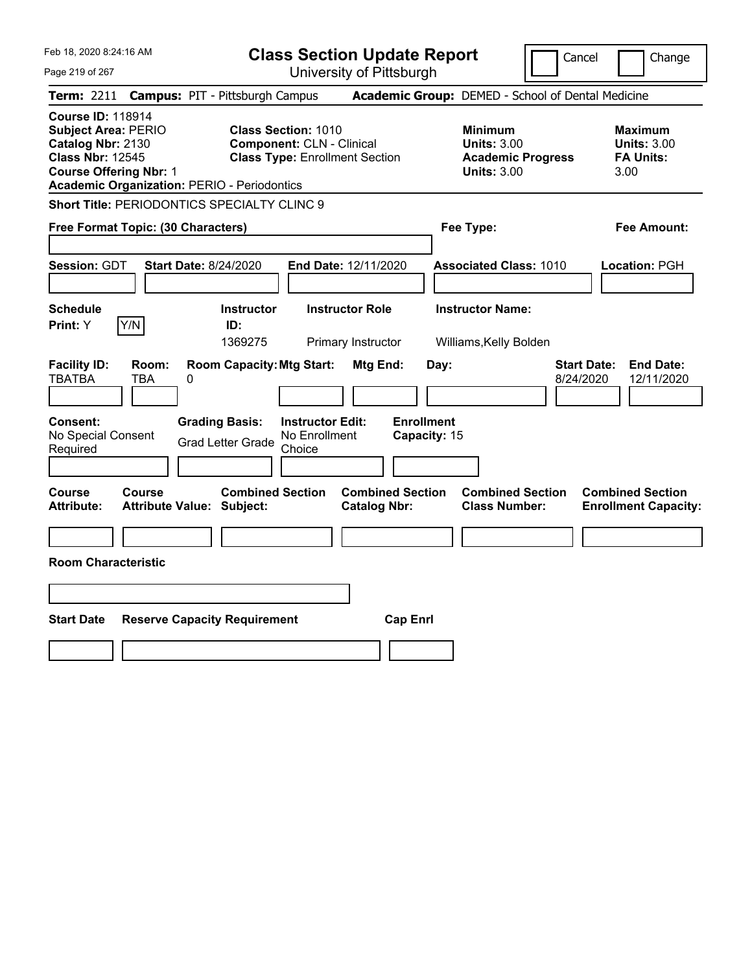**Class Section Update Report**

Cancel **Change** 

Page 219 of 267

| Page 219 of 267                                                                                                                                                                               | University of Pittsburgh                                                                                                                                |                                                                                        |                                                                  |
|-----------------------------------------------------------------------------------------------------------------------------------------------------------------------------------------------|---------------------------------------------------------------------------------------------------------------------------------------------------------|----------------------------------------------------------------------------------------|------------------------------------------------------------------|
| <b>Term: 2211</b>                                                                                                                                                                             | <b>Campus: PIT - Pittsburgh Campus</b>                                                                                                                  | Academic Group: DEMED - School of Dental Medicine                                      |                                                                  |
| <b>Course ID: 118914</b><br><b>Subject Area: PERIO</b><br>Catalog Nbr: 2130<br><b>Class Nbr: 12545</b><br><b>Course Offering Nbr: 1</b><br><b>Academic Organization: PERIO - Periodontics</b> | <b>Class Section: 1010</b><br><b>Component: CLN - Clinical</b><br><b>Class Type: Enrollment Section</b>                                                 | <b>Minimum</b><br><b>Units: 3.00</b><br><b>Academic Progress</b><br><b>Units: 3.00</b> | <b>Maximum</b><br><b>Units: 3.00</b><br><b>FA Units:</b><br>3.00 |
| Short Title: PERIODONTICS SPECIALTY CLINC 9                                                                                                                                                   |                                                                                                                                                         |                                                                                        |                                                                  |
| Free Format Topic: (30 Characters)                                                                                                                                                            |                                                                                                                                                         | Fee Type:                                                                              | Fee Amount:                                                      |
| Session: GDT<br><b>Start Date: 8/24/2020</b>                                                                                                                                                  | End Date: 12/11/2020                                                                                                                                    | <b>Associated Class: 1010</b>                                                          | Location: PGH                                                    |
| <b>Schedule</b><br>Y/N<br>Print: Y                                                                                                                                                            | <b>Instructor Role</b><br><b>Instructor</b><br>ID:<br>1369275<br>Primary Instructor                                                                     | <b>Instructor Name:</b><br>Williams, Kelly Bolden                                      |                                                                  |
| <b>Facility ID:</b><br>Room:<br><b>TBATBA</b><br>0<br>TBA<br>Consent:<br>No Special Consent<br>Required                                                                                       | <b>Room Capacity: Mtg Start:</b><br>Mtg End:<br><b>Grading Basis:</b><br><b>Instructor Edit:</b><br>No Enrollment<br><b>Grad Letter Grade</b><br>Choice | <b>Start Date:</b><br>Day:<br>8/24/2020<br><b>Enrollment</b><br>Capacity: 15           | <b>End Date:</b><br>12/11/2020                                   |
| Course<br>Course<br>Attribute:<br><b>Attribute Value: Subject:</b><br><b>Room Characteristic</b><br><b>Start Date</b><br><b>Reserve Capacity Requirement</b>                                  | <b>Combined Section</b><br><b>Combined Section</b><br><b>Catalog Nbr:</b>                                                                               | <b>Combined Section</b><br><b>Class Number:</b><br><b>Cap Enrl</b>                     | <b>Combined Section</b><br><b>Enrollment Capacity:</b>           |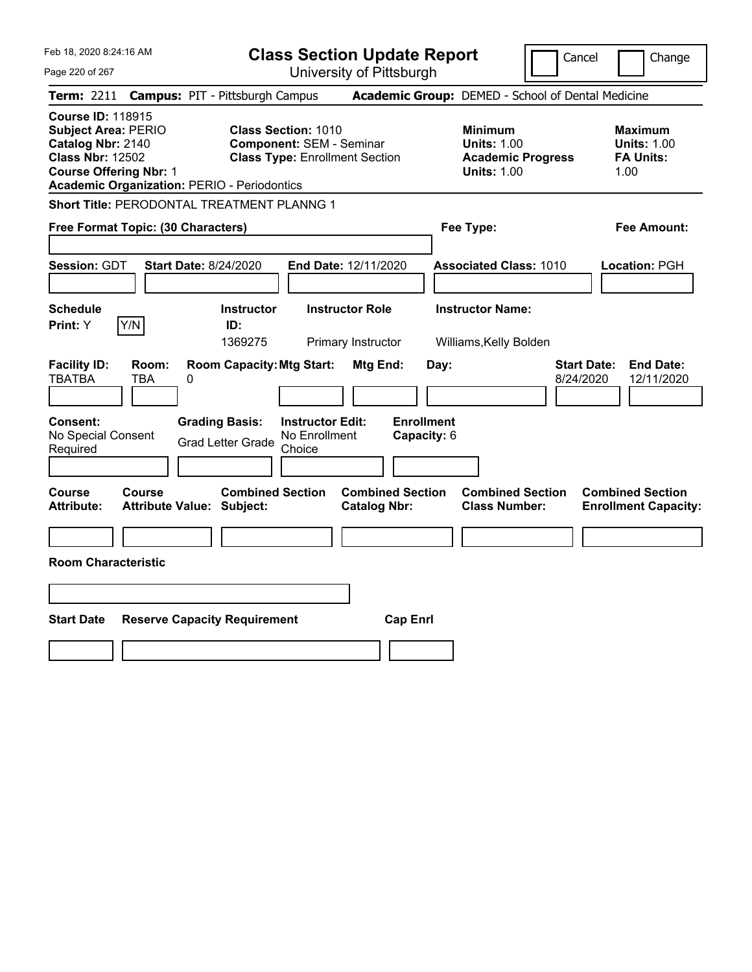Feb 18, 2020 8:24:16 AM Page 220 of 267 **Class Section Update Report Term:** 2211 **Campus:** PIT - Pittsburgh Campus **Academic Group:** DEMED - School of Dental Medicine **Course ID:** 118915 **Subject Area: PERIO Class Section: 1010 Minimum <b>Maximum Catalog Nbr: 2140 Component: SEM - Seminar Catalog Units: 1.00 Units: 1.00 Catalog Nbr: 2140 Component: SEM - Seminar <b>Component: SEM - Seminar Units: 1.00 Units: 1.00 Class Nbr: 12502 Class Type: Enrollment Section Academic Progress FA Units: Class Type: Enrollment Section Course Offering Nbr: 1 Course Offering Nbr: 1 Units: 1.00** 1.00 **Academic Organization:** PERIO - Periodontics **Short Title:** PERODONTAL TREATMENT PLANNG 1 **Free Format Topic: (30 Characters) Fee Type: Fee Amount:** 

| Free Format Topic: (30 Gharacters)                                                                   | ree lype:                                                                 | ree Amount:                                       |                                                                   |
|------------------------------------------------------------------------------------------------------|---------------------------------------------------------------------------|---------------------------------------------------|-------------------------------------------------------------------|
| <b>Session: GDT</b><br><b>Start Date: 8/24/2020</b>                                                  | <b>End Date: 12/11/2020</b>                                               | <b>Associated Class: 1010</b>                     | <b>Location: PGH</b>                                              |
| <b>Schedule</b><br><b>Instructor</b><br>Y/N<br>ID:<br>Print: Y<br>1369275                            | <b>Instructor Role</b><br>Primary Instructor                              | <b>Instructor Name:</b><br>Williams, Kelly Bolden |                                                                   |
| <b>Room Capacity: Mtg Start:</b><br><b>Facility ID:</b><br>Room:<br><b>TBATBA</b><br><b>TBA</b><br>0 | Mtg End:                                                                  | Day:                                              | <b>Start Date:</b><br><b>End Date:</b><br>8/24/2020<br>12/11/2020 |
| <b>Grading Basis:</b><br>Consent:<br>No Special Consent<br><b>Grad Letter Grade</b><br>Required      | <b>Instructor Edit:</b><br>No Enrollment<br>Choice                        | <b>Enrollment</b><br>Capacity: 6                  |                                                                   |
| <b>Course</b><br><b>Course</b><br><b>Attribute:</b><br><b>Attribute Value: Subject:</b>              | <b>Combined Section</b><br><b>Combined Section</b><br><b>Catalog Nbr:</b> | <b>Combined Section</b><br><b>Class Number:</b>   | <b>Combined Section</b><br><b>Enrollment Capacity:</b>            |
| <b>Room Characteristic</b>                                                                           |                                                                           |                                                   |                                                                   |
|                                                                                                      |                                                                           |                                                   |                                                                   |
| <b>Start Date</b><br><b>Reserve Capacity Requirement</b>                                             | <b>Cap Enrl</b>                                                           |                                                   |                                                                   |
|                                                                                                      |                                                                           |                                                   |                                                                   |

University of Pittsburgh

Cancel | Change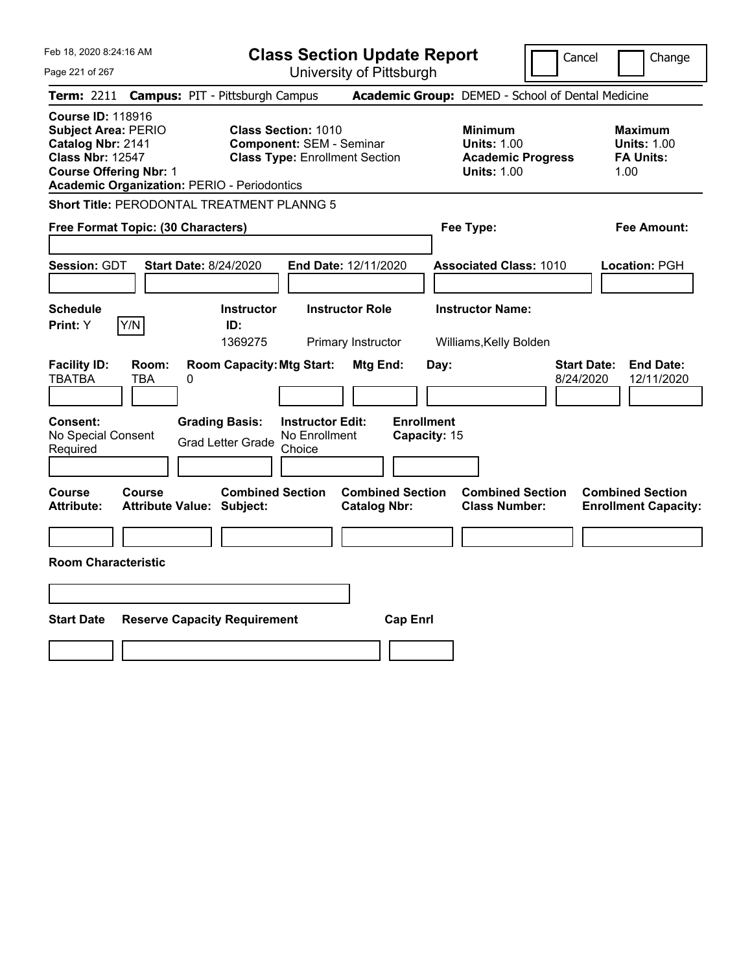Feb 18, 2020 8:24:16 AM Page 221 of 267 **Class Section Update Report** University of Pittsburgh Cancel Change **Term:** 2211 **Campus:** PIT - Pittsburgh Campus **Academic Group:** DEMED - School of Dental Medicine **Course ID:** 118916 **Subject Area:** PERIO **Class Section:** 1010 **Minimum Maximum Catalog Nbr:** 2141 **Component:** SEM - Seminar **Units:** 1.00 **Units:** 1.00 **Class Nbr:** 12547 **Class Type:** Enrollment Section **Academic Progress FA Units: Course Offering Nbr:** 1 **Units:** 1.00 1.00 **Academic Organization:** PERIO - Periodontics **Short Title:** PERODONTAL TREATMENT PLANNG 5 **Free Format Topic: (30 Characters) Fee Type: Fee Amount: Session:** GDT **Start Date:** 8/24/2020 **End Date:** 12/11/2020 **Associated Class:** 1010 **Location:** PGH **Schedule Instructor Instructor Role Instructor Name: Print:**  $Y$   $|Y/N|$  **ID:** 1369275 Primary Instructor Williams,Kelly Bolden **Facility ID: Room: Room Capacity:Mtg Start: Mtg End: Day: Start Date: End Date:** TBATBA TBA 0 8/24/2020 12/11/2020 **Consent: Grading Basis: Instructor Edit: Enrollment** No Special Consent Grad Letter Grade No Enrollment Choice **Capacity:** 15 **Course Course Combined Section Combined Section Combined Section Combined Section Attribute: Attribute Value: Subject: Catalog Nbr: Class Number: Enrollment Capacity: Room Characteristic Start Date Reserve Capacity Requirement Cap Enrl**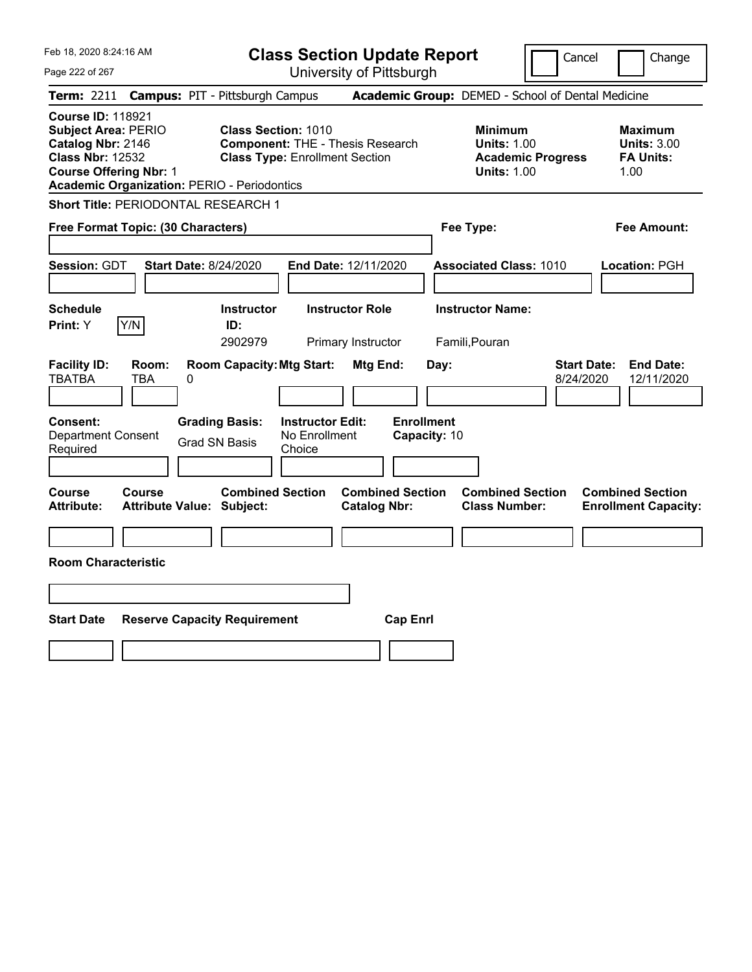| Feb 18, 2020 8:24:16 AM                                                                                                                                                                       | <b>Class Section Update Report</b>                                                                                    | Cancel                                                                                 | Change                                                           |
|-----------------------------------------------------------------------------------------------------------------------------------------------------------------------------------------------|-----------------------------------------------------------------------------------------------------------------------|----------------------------------------------------------------------------------------|------------------------------------------------------------------|
| Page 222 of 267                                                                                                                                                                               | University of Pittsburgh                                                                                              |                                                                                        |                                                                  |
| Term: 2211                                                                                                                                                                                    | <b>Campus: PIT - Pittsburgh Campus</b>                                                                                | Academic Group: DEMED - School of Dental Medicine                                      |                                                                  |
| <b>Course ID: 118921</b><br><b>Subject Area: PERIO</b><br>Catalog Nbr: 2146<br><b>Class Nbr: 12532</b><br><b>Course Offering Nbr: 1</b><br><b>Academic Organization: PERIO - Periodontics</b> | <b>Class Section: 1010</b><br><b>Component: THE - Thesis Research</b><br><b>Class Type: Enrollment Section</b>        | <b>Minimum</b><br><b>Units: 1.00</b><br><b>Academic Progress</b><br><b>Units: 1.00</b> | <b>Maximum</b><br><b>Units: 3.00</b><br><b>FA Units:</b><br>1.00 |
| Short Title: PERIODONTAL RESEARCH 1                                                                                                                                                           |                                                                                                                       |                                                                                        |                                                                  |
| Free Format Topic: (30 Characters)                                                                                                                                                            |                                                                                                                       | Fee Type:                                                                              | Fee Amount:                                                      |
| Session: GDT<br><b>Start Date: 8/24/2020</b>                                                                                                                                                  | End Date: 12/11/2020                                                                                                  | <b>Associated Class: 1010</b>                                                          | Location: PGH                                                    |
| <b>Schedule</b><br>Y/N<br>Print: Y                                                                                                                                                            | <b>Instructor</b><br><b>Instructor Role</b><br>ID:                                                                    | <b>Instructor Name:</b>                                                                |                                                                  |
|                                                                                                                                                                                               | 2902979<br>Primary Instructor                                                                                         | Famili, Pouran                                                                         |                                                                  |
| <b>Facility ID:</b><br>Room:<br><b>TBATBA</b><br>TBA<br>0<br><b>Consent:</b>                                                                                                                  | <b>Room Capacity: Mtg Start:</b><br>Mtg End:<br><b>Enrollment</b><br><b>Instructor Edit:</b><br><b>Grading Basis:</b> | <b>Start Date:</b><br>Day:<br>8/24/2020                                                | <b>End Date:</b><br>12/11/2020                                   |
| <b>Department Consent</b>                                                                                                                                                                     | No Enrollment<br>Capacity: 10<br><b>Grad SN Basis</b>                                                                 |                                                                                        |                                                                  |
| Required                                                                                                                                                                                      | Choice                                                                                                                |                                                                                        |                                                                  |
| <b>Course</b><br><b>Course</b><br><b>Attribute:</b><br><b>Attribute Value: Subject:</b>                                                                                                       | <b>Combined Section</b><br><b>Combined Section</b><br><b>Catalog Nbr:</b>                                             | <b>Combined Section</b><br><b>Class Number:</b>                                        | <b>Combined Section</b><br><b>Enrollment Capacity:</b>           |
|                                                                                                                                                                                               |                                                                                                                       |                                                                                        |                                                                  |
| <b>Room Characteristic</b>                                                                                                                                                                    |                                                                                                                       |                                                                                        |                                                                  |
|                                                                                                                                                                                               |                                                                                                                       |                                                                                        |                                                                  |
| <b>Start Date</b><br><b>Reserve Capacity Requirement</b>                                                                                                                                      | <b>Cap Enrl</b>                                                                                                       |                                                                                        |                                                                  |
|                                                                                                                                                                                               |                                                                                                                       |                                                                                        |                                                                  |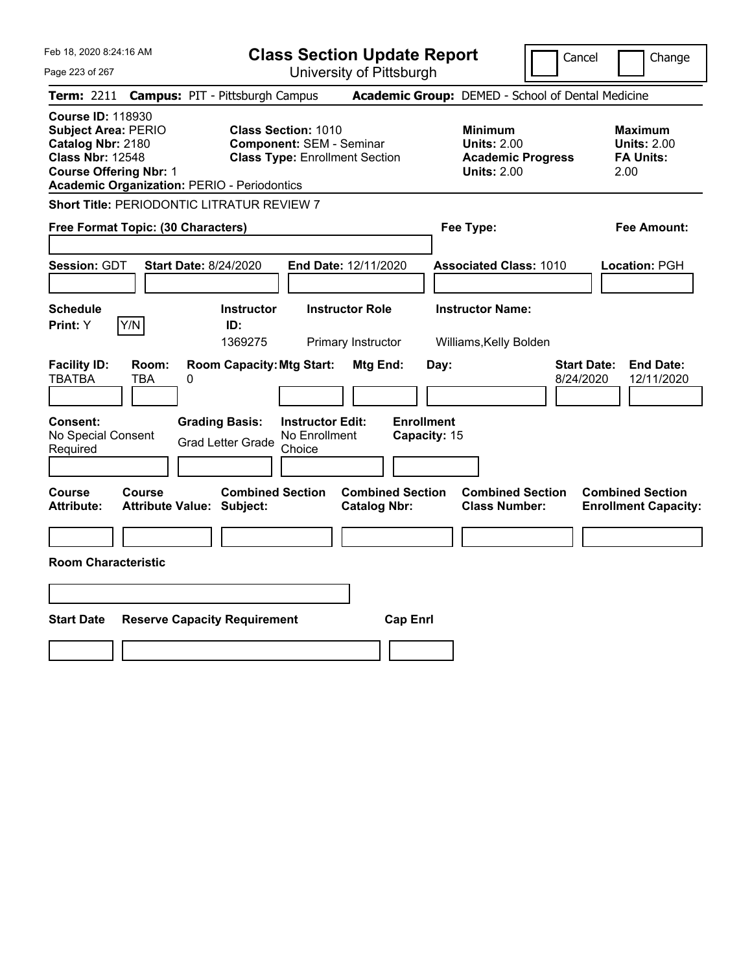|  | Feb 18, 2020 8:24:16 AM |  |
|--|-------------------------|--|
|  |                         |  |

**Class Section Update Report**

Cancel **Change** 

| Page 223 of 267                                                                                                                                                                               |                                                                                                                                                                                                                 | University of Pittsburgh                                                        |                                                                                        |                                                                                                                             |
|-----------------------------------------------------------------------------------------------------------------------------------------------------------------------------------------------|-----------------------------------------------------------------------------------------------------------------------------------------------------------------------------------------------------------------|---------------------------------------------------------------------------------|----------------------------------------------------------------------------------------|-----------------------------------------------------------------------------------------------------------------------------|
| <b>Term: 2211</b>                                                                                                                                                                             | <b>Campus: PIT - Pittsburgh Campus</b>                                                                                                                                                                          |                                                                                 | Academic Group: DEMED - School of Dental Medicine                                      |                                                                                                                             |
| <b>Course ID: 118930</b><br><b>Subject Area: PERIO</b><br>Catalog Nbr: 2180<br><b>Class Nbr: 12548</b><br><b>Course Offering Nbr: 1</b><br><b>Academic Organization: PERIO - Periodontics</b> | <b>Class Section: 1010</b><br><b>Component: SEM - Seminar</b><br><b>Class Type: Enrollment Section</b>                                                                                                          |                                                                                 | <b>Minimum</b><br><b>Units: 2.00</b><br><b>Academic Progress</b><br><b>Units: 2.00</b> | <b>Maximum</b><br><b>Units: 2.00</b><br><b>FA Units:</b><br>2.00                                                            |
|                                                                                                                                                                                               | <b>Short Title: PERIODONTIC LITRATUR REVIEW 7</b>                                                                                                                                                               |                                                                                 |                                                                                        |                                                                                                                             |
| Free Format Topic: (30 Characters)                                                                                                                                                            |                                                                                                                                                                                                                 |                                                                                 | Fee Type:                                                                              | Fee Amount:                                                                                                                 |
| Session: GDT                                                                                                                                                                                  | <b>Start Date: 8/24/2020</b>                                                                                                                                                                                    | End Date: 12/11/2020                                                            | <b>Associated Class: 1010</b>                                                          | Location: PGH                                                                                                               |
| <b>Schedule</b>                                                                                                                                                                               | <b>Instructor</b>                                                                                                                                                                                               | <b>Instructor Role</b>                                                          | <b>Instructor Name:</b>                                                                |                                                                                                                             |
| Print: Y<br>Y/N                                                                                                                                                                               | ID:<br>1369275                                                                                                                                                                                                  | Primary Instructor                                                              | Williams, Kelly Bolden                                                                 |                                                                                                                             |
| <b>Facility ID:</b><br>Room:<br><b>TBATBA</b><br><b>TBA</b><br>Consent:<br>No Special Consent<br>Required<br>Course<br><b>Course</b><br><b>Attribute:</b><br><b>Room Characteristic</b>       | <b>Room Capacity: Mtg Start:</b><br>0<br><b>Grading Basis:</b><br><b>Instructor Edit:</b><br>No Enrollment<br><b>Grad Letter Grade</b><br>Choice<br><b>Combined Section</b><br><b>Attribute Value: Subject:</b> | Mtg End:<br><b>Enrollment</b><br><b>Combined Section</b><br><b>Catalog Nbr:</b> | Day:<br>Capacity: 15<br><b>Combined Section</b><br><b>Class Number:</b>                | <b>Start Date:</b><br><b>End Date:</b><br>8/24/2020<br>12/11/2020<br><b>Combined Section</b><br><b>Enrollment Capacity:</b> |
| <b>Start Date</b>                                                                                                                                                                             | <b>Reserve Capacity Requirement</b>                                                                                                                                                                             | <b>Cap Enrl</b>                                                                 |                                                                                        |                                                                                                                             |
|                                                                                                                                                                                               |                                                                                                                                                                                                                 |                                                                                 |                                                                                        |                                                                                                                             |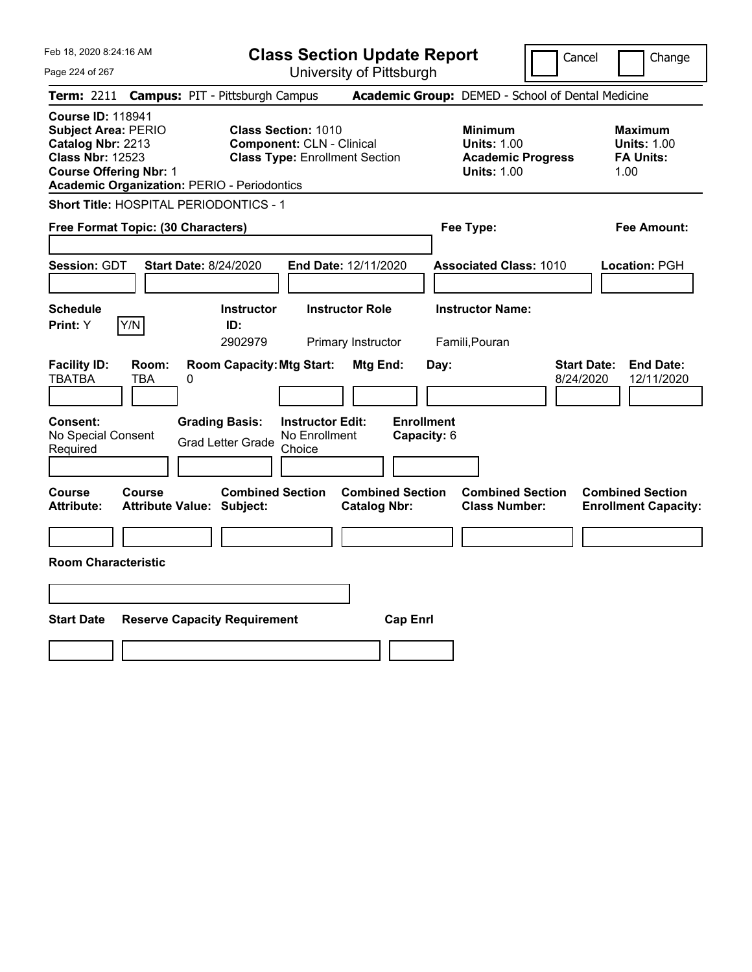**Class Section Update Report**

Cancel **Change** 

| Page 224 of 267                                                                                                                                                                               |                                                                                                                                                                             | University of Pittsburgh                                                |                                                                                        |                                                                                              |
|-----------------------------------------------------------------------------------------------------------------------------------------------------------------------------------------------|-----------------------------------------------------------------------------------------------------------------------------------------------------------------------------|-------------------------------------------------------------------------|----------------------------------------------------------------------------------------|----------------------------------------------------------------------------------------------|
| <b>Term: 2211</b>                                                                                                                                                                             | <b>Campus: PIT - Pittsburgh Campus</b>                                                                                                                                      |                                                                         | Academic Group: DEMED - School of Dental Medicine                                      |                                                                                              |
| <b>Course ID: 118941</b><br><b>Subject Area: PERIO</b><br>Catalog Nbr: 2213<br><b>Class Nbr: 12523</b><br><b>Course Offering Nbr: 1</b><br><b>Academic Organization: PERIO - Periodontics</b> | <b>Class Section: 1010</b><br><b>Component: CLN - Clinical</b><br><b>Class Type: Enrollment Section</b>                                                                     |                                                                         | <b>Minimum</b><br><b>Units: 1.00</b><br><b>Academic Progress</b><br><b>Units: 1.00</b> | <b>Maximum</b><br><b>Units: 1.00</b><br><b>FA Units:</b><br>1.00                             |
| Short Title: HOSPITAL PERIODONTICS - 1                                                                                                                                                        |                                                                                                                                                                             |                                                                         |                                                                                        |                                                                                              |
| Free Format Topic: (30 Characters)                                                                                                                                                            |                                                                                                                                                                             |                                                                         | Fee Type:                                                                              | Fee Amount:                                                                                  |
| Session: GDT                                                                                                                                                                                  | <b>Start Date: 8/24/2020</b>                                                                                                                                                | End Date: 12/11/2020                                                    | <b>Associated Class: 1010</b>                                                          | Location: PGH                                                                                |
| <b>Schedule</b>                                                                                                                                                                               | <b>Instructor</b>                                                                                                                                                           | <b>Instructor Role</b>                                                  | <b>Instructor Name:</b>                                                                |                                                                                              |
| Print: Y<br>Y/N                                                                                                                                                                               | ID:<br>2902979                                                                                                                                                              | Primary Instructor                                                      | Famili, Pouran                                                                         |                                                                                              |
| <b>Facility ID:</b><br>Room:<br><b>TBATBA</b><br><b>TBA</b><br>Consent:<br>No Special Consent<br>Required<br>Course<br>Course                                                                 | <b>Room Capacity: Mtg Start:</b><br>0<br><b>Grading Basis:</b><br><b>Instructor Edit:</b><br>No Enrollment<br><b>Grad Letter Grade</b><br>Choice<br><b>Combined Section</b> | Mtg End:<br><b>Enrollment</b><br>Capacity: 6<br><b>Combined Section</b> | Day:<br><b>Combined Section</b>                                                        | <b>Start Date:</b><br><b>End Date:</b><br>8/24/2020<br>12/11/2020<br><b>Combined Section</b> |
| <b>Attribute:</b>                                                                                                                                                                             | <b>Attribute Value: Subject:</b>                                                                                                                                            | <b>Catalog Nbr:</b>                                                     | <b>Class Number:</b>                                                                   | <b>Enrollment Capacity:</b>                                                                  |
|                                                                                                                                                                                               |                                                                                                                                                                             |                                                                         |                                                                                        |                                                                                              |
| <b>Room Characteristic</b>                                                                                                                                                                    |                                                                                                                                                                             |                                                                         |                                                                                        |                                                                                              |
| <b>Start Date</b>                                                                                                                                                                             | <b>Reserve Capacity Requirement</b>                                                                                                                                         | <b>Cap Enrl</b>                                                         |                                                                                        |                                                                                              |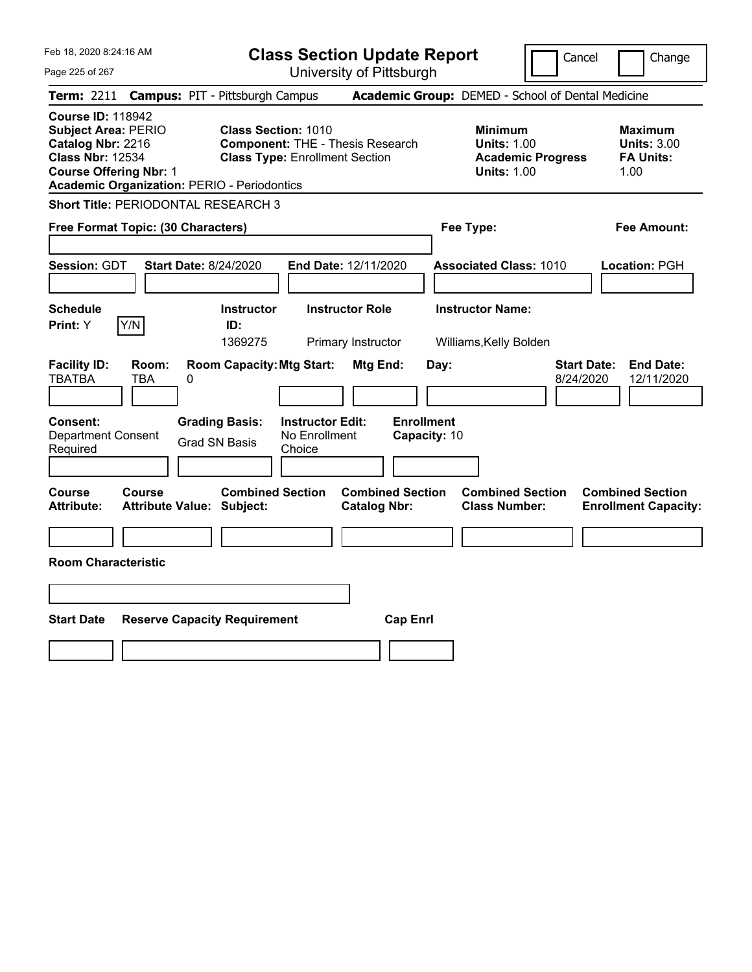| Feb 18, 2020 8:24:16 AM                                                                                                                 |                                                    |                                                                                                                |                                          | <b>Class Section Update Report</b>             |                                   |      |                                                                                        | Cancel                          | Change                                                    |
|-----------------------------------------------------------------------------------------------------------------------------------------|----------------------------------------------------|----------------------------------------------------------------------------------------------------------------|------------------------------------------|------------------------------------------------|-----------------------------------|------|----------------------------------------------------------------------------------------|---------------------------------|-----------------------------------------------------------|
| Page 225 of 267                                                                                                                         |                                                    |                                                                                                                |                                          | University of Pittsburgh                       |                                   |      |                                                                                        |                                 |                                                           |
| Term: 2211                                                                                                                              | <b>Campus: PIT - Pittsburgh Campus</b>             |                                                                                                                |                                          |                                                |                                   |      | Academic Group: DEMED - School of Dental Medicine                                      |                                 |                                                           |
| <b>Course ID: 118942</b><br><b>Subject Area: PERIO</b><br>Catalog Nbr: 2216<br><b>Class Nbr: 12534</b><br><b>Course Offering Nbr: 1</b> | <b>Academic Organization: PERIO - Periodontics</b> | <b>Class Section: 1010</b><br><b>Component: THE - Thesis Research</b><br><b>Class Type: Enrollment Section</b> |                                          |                                                |                                   |      | <b>Minimum</b><br><b>Units: 1.00</b><br><b>Academic Progress</b><br><b>Units: 1.00</b> |                                 | Maximum<br><b>Units: 3.00</b><br><b>FA Units:</b><br>1.00 |
|                                                                                                                                         | Short Title: PERIODONTAL RESEARCH 3                |                                                                                                                |                                          |                                                |                                   |      |                                                                                        |                                 |                                                           |
|                                                                                                                                         | Free Format Topic: (30 Characters)                 |                                                                                                                |                                          |                                                |                                   |      | Fee Type:                                                                              |                                 | Fee Amount:                                               |
| Session: GDT                                                                                                                            | <b>Start Date: 8/24/2020</b>                       |                                                                                                                |                                          | End Date: 12/11/2020                           |                                   |      | <b>Associated Class: 1010</b>                                                          |                                 | Location: PGH                                             |
| <b>Schedule</b><br>Print: Y                                                                                                             | Y/N                                                | <b>Instructor</b><br>ID:                                                                                       |                                          | <b>Instructor Role</b>                         |                                   |      | <b>Instructor Name:</b>                                                                |                                 |                                                           |
|                                                                                                                                         |                                                    | 1369275                                                                                                        |                                          | Primary Instructor                             |                                   |      | Williams, Kelly Bolden                                                                 |                                 |                                                           |
| <b>Facility ID:</b><br><b>TBATBA</b><br>Consent:<br><b>Department Consent</b>                                                           | Room:<br><b>TBA</b><br>0                           | <b>Room Capacity: Mtg Start:</b><br><b>Grading Basis:</b><br><b>Grad SN Basis</b>                              | <b>Instructor Edit:</b><br>No Enrollment | Mtg End:                                       | <b>Enrollment</b><br>Capacity: 10 | Day: |                                                                                        | <b>Start Date:</b><br>8/24/2020 | <b>End Date:</b><br>12/11/2020                            |
| Required                                                                                                                                |                                                    |                                                                                                                | Choice                                   |                                                |                                   |      |                                                                                        |                                 |                                                           |
| <b>Course</b><br><b>Attribute:</b><br><b>Room Characteristic</b>                                                                        | <b>Course</b><br><b>Attribute Value: Subject:</b>  | <b>Combined Section</b>                                                                                        |                                          | <b>Combined Section</b><br><b>Catalog Nbr:</b> |                                   |      | <b>Combined Section</b><br><b>Class Number:</b>                                        |                                 | <b>Combined Section</b><br><b>Enrollment Capacity:</b>    |
|                                                                                                                                         |                                                    |                                                                                                                |                                          |                                                |                                   |      |                                                                                        |                                 |                                                           |
|                                                                                                                                         |                                                    |                                                                                                                |                                          |                                                |                                   |      |                                                                                        |                                 |                                                           |
| <b>Start Date</b>                                                                                                                       | <b>Reserve Capacity Requirement</b>                |                                                                                                                |                                          |                                                | <b>Cap Enrl</b>                   |      |                                                                                        |                                 |                                                           |
|                                                                                                                                         |                                                    |                                                                                                                |                                          |                                                |                                   |      |                                                                                        |                                 |                                                           |
|                                                                                                                                         |                                                    |                                                                                                                |                                          |                                                |                                   |      |                                                                                        |                                 |                                                           |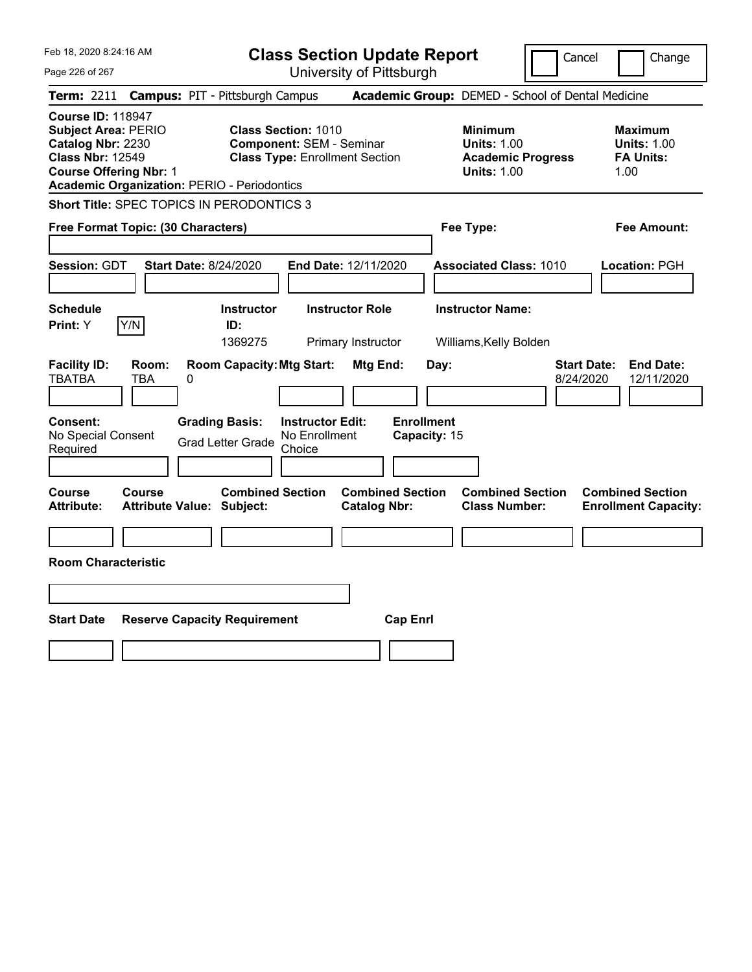|  | Feb 18, 2020 8:24:16 AM |  |
|--|-------------------------|--|
|  |                         |  |

**Class Section Update Report**

Cancel Change

 $P_i$ 

| Page 226 of 267                                                                                                                         |                   |                                                                                                                                                              | University of Pittsburgh                                     |                                                                                        |                                 |                                                                  |
|-----------------------------------------------------------------------------------------------------------------------------------------|-------------------|--------------------------------------------------------------------------------------------------------------------------------------------------------------|--------------------------------------------------------------|----------------------------------------------------------------------------------------|---------------------------------|------------------------------------------------------------------|
| <b>Term: 2211</b>                                                                                                                       |                   | <b>Campus: PIT - Pittsburgh Campus</b>                                                                                                                       |                                                              | Academic Group: DEMED - School of Dental Medicine                                      |                                 |                                                                  |
| <b>Course ID: 118947</b><br><b>Subject Area: PERIO</b><br>Catalog Nbr: 2230<br><b>Class Nbr: 12549</b><br><b>Course Offering Nbr: 1</b> |                   | <b>Class Section: 1010</b><br><b>Component: SEM - Seminar</b><br><b>Class Type: Enrollment Section</b><br><b>Academic Organization: PERIO - Periodontics</b> |                                                              | <b>Minimum</b><br><b>Units: 1.00</b><br><b>Academic Progress</b><br><b>Units: 1.00</b> |                                 | <b>Maximum</b><br><b>Units: 1.00</b><br><b>FA Units:</b><br>1.00 |
| Free Format Topic: (30 Characters)                                                                                                      |                   | Short Title: SPEC TOPICS IN PERODONTICS 3                                                                                                                    |                                                              | Fee Type:                                                                              |                                 | Fee Amount:                                                      |
| <b>Session: GDT</b>                                                                                                                     |                   | <b>Start Date: 8/24/2020</b>                                                                                                                                 | End Date: 12/11/2020                                         | <b>Associated Class: 1010</b>                                                          |                                 | Location: PGH                                                    |
| <b>Schedule</b><br><b>Print:</b> Y                                                                                                      | Y/N               | <b>Instructor</b><br>ID:<br>1369275                                                                                                                          | <b>Instructor Role</b><br>Primary Instructor                 | <b>Instructor Name:</b><br>Williams, Kelly Bolden                                      |                                 |                                                                  |
| <b>Facility ID:</b><br><b>TBATBA</b>                                                                                                    | Room:<br>TBA<br>0 | <b>Room Capacity: Mtg Start:</b>                                                                                                                             | Mtg End:                                                     | Day:                                                                                   | <b>Start Date:</b><br>8/24/2020 | <b>End Date:</b><br>12/11/2020                                   |
| <b>Consent:</b><br>No Special Consent<br>Required                                                                                       |                   | <b>Grading Basis:</b><br>No Enrollment<br><b>Grad Letter Grade</b><br>Choice                                                                                 | <b>Enrollment</b><br><b>Instructor Edit:</b><br>Capacity: 15 |                                                                                        |                                 |                                                                  |
| <b>Course</b><br><b>Attribute:</b>                                                                                                      | Course            | <b>Combined Section</b><br><b>Attribute Value: Subject:</b>                                                                                                  | <b>Combined Section</b><br><b>Catalog Nbr:</b>               | <b>Combined Section</b><br><b>Class Number:</b>                                        |                                 | <b>Combined Section</b><br><b>Enrollment Capacity:</b>           |
|                                                                                                                                         |                   |                                                                                                                                                              |                                                              |                                                                                        |                                 |                                                                  |
| <b>Room Characteristic</b>                                                                                                              |                   |                                                                                                                                                              |                                                              |                                                                                        |                                 |                                                                  |
|                                                                                                                                         |                   |                                                                                                                                                              |                                                              |                                                                                        |                                 |                                                                  |
| <b>Start Date</b>                                                                                                                       |                   | <b>Reserve Capacity Requirement</b>                                                                                                                          | <b>Cap Enrl</b>                                              |                                                                                        |                                 |                                                                  |
|                                                                                                                                         |                   |                                                                                                                                                              |                                                              |                                                                                        |                                 |                                                                  |
|                                                                                                                                         |                   |                                                                                                                                                              |                                                              |                                                                                        |                                 |                                                                  |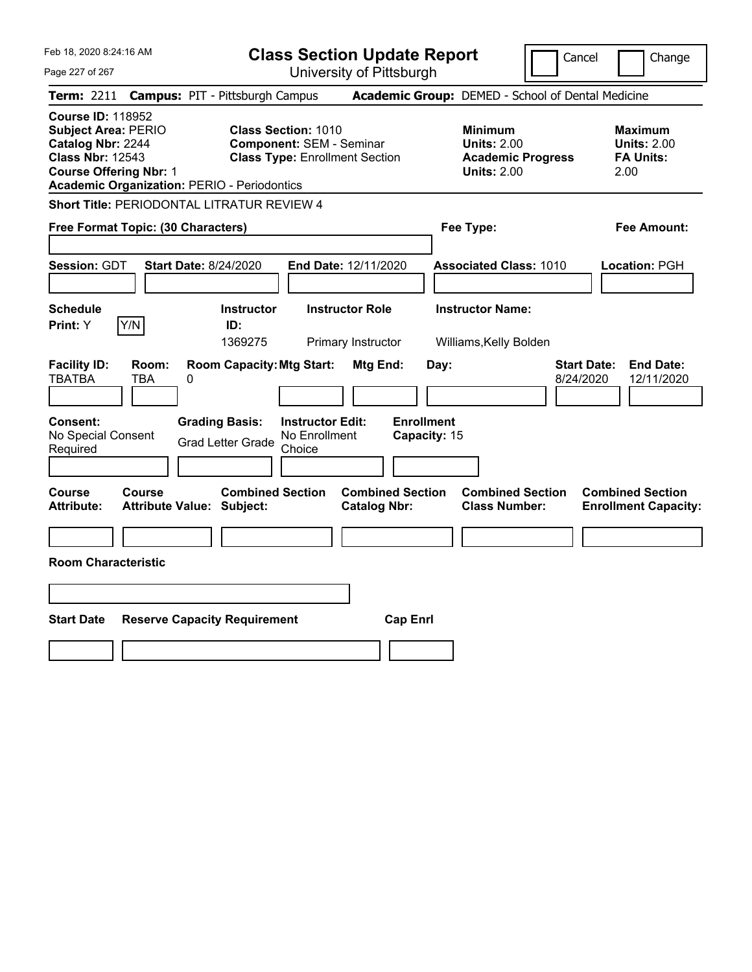Feb 18, 2020 8:24:16 AM Page 227 of 267 **Class Section Update Report** University of Pittsburgh Cancel Change **Term:** 2211 **Campus:** PIT - Pittsburgh Campus **Academic Group:** DEMED - School of Dental Medicine **Course ID:** 118952 **Subject Area:** PERIO **Class Section:** 1010 **Minimum Maximum Catalog Nbr:** 2244 **Component:** SEM - Seminar **Units:** 2.00 **Units:** 2.00 **Class Nbr:** 12543 **Class Type:** Enrollment Section **Academic Progress FA Units: Course Offering Nbr:** 1 **Units:** 2.00 2.00 **Academic Organization:** PERIO - Periodontics **Short Title:** PERIODONTAL LITRATUR REVIEW 4 **Free Format Topic: (30 Characters) Fee Type: Fee Amount: Session:** GDT **Start Date:** 8/24/2020 **End Date:** 12/11/2020 **Associated Class:** 1010 **Location:** PGH **Schedule Instructor Instructor Role Instructor Name: Print:**  $Y$   $|Y/N|$  **ID:** 1369275 Primary Instructor Williams,Kelly Bolden **Facility ID: Room: Room Capacity:Mtg Start: Mtg End: Day: Start Date: End Date:** TBATBA TBA 0 8/24/2020 12/11/2020 **Consent: Grading Basis: Instructor Edit: Enrollment** No Special Consent Grad Letter Grade No Enrollment Choice **Capacity:** 15 **Course Course Combined Section Combined Section Combined Section Combined Section Attribute: Attribute Value: Subject: Catalog Nbr: Class Number: Enrollment Capacity: Room Characteristic Start Date Reserve Capacity Requirement Cap Enrl**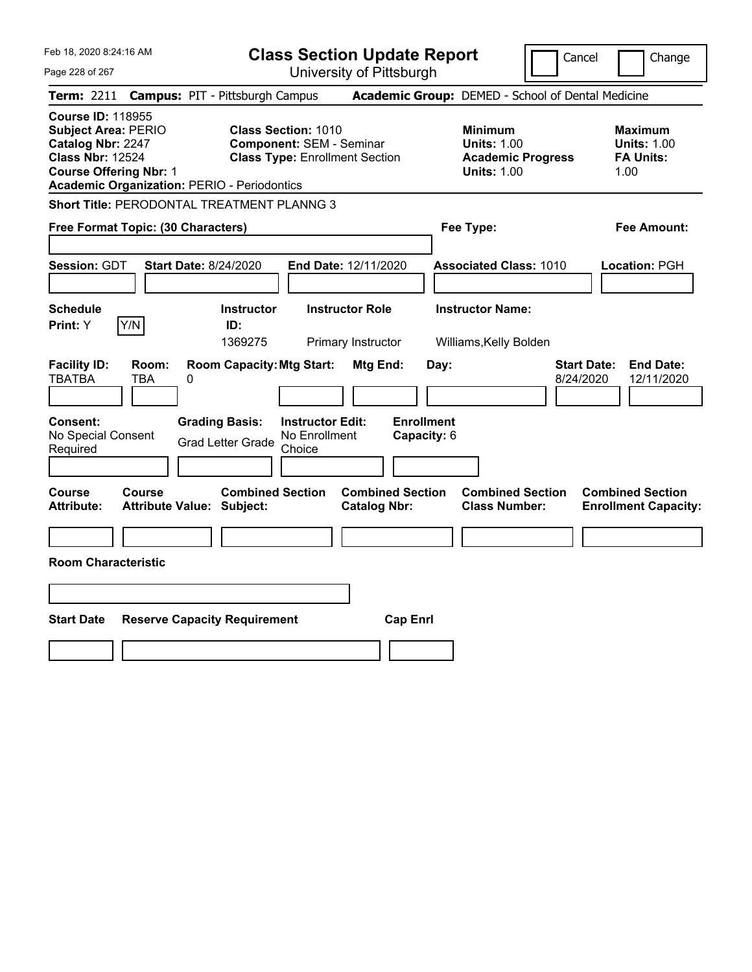Feb 18, 2020 8:24:16 AM Page 228 of 267 **Class Section Update Report** University of Pittsburgh Cancel Change **Term:** 2211 **Campus:** PIT - Pittsburgh Campus **Academic Group:** DEMED - School of Dental Medicine **Course ID:** 118955 **Subject Area:** PERIO **Class Section:** 1010 **Minimum Maximum Catalog Nbr:** 2247 **Component:** SEM - Seminar **Units:** 1.00 **Units:** 1.00 **Class Nbr:** 12524 **Class Type:** Enrollment Section **Academic Progress FA Units: Course Offering Nbr:** 1 **Units:** 1.00 1.00 **Academic Organization:** PERIO - Periodontics **Short Title:** PERODONTAL TREATMENT PLANNG 3 **Free Format Topic: (30 Characters) Fee Type: Fee Amount: Session:** GDT **Start Date:** 8/24/2020 **End Date:** 12/11/2020 **Associated Class:** 1010 **Location:** PGH **Schedule Instructor Instructor Role Instructor Name: Print:**  $Y$   $|Y/N|$  **ID:** 1369275 Primary Instructor Williams,Kelly Bolden **Facility ID: Room: Room Capacity:Mtg Start: Mtg End: Day: Start Date: End Date:** TBATBA TBA 0 8/24/2020 12/11/2020 **Consent: Grading Basis: Instructor Edit: Enrollment** No Special Consent Grad Letter Grade No Enrollment Choice **Capacity:** 6 **Course Course Combined Section Combined Section Combined Section Combined Section Attribute: Attribute Value: Subject: Catalog Nbr: Class Number: Enrollment Capacity: Room Characteristic Start Date Reserve Capacity Requirement Cap Enrl**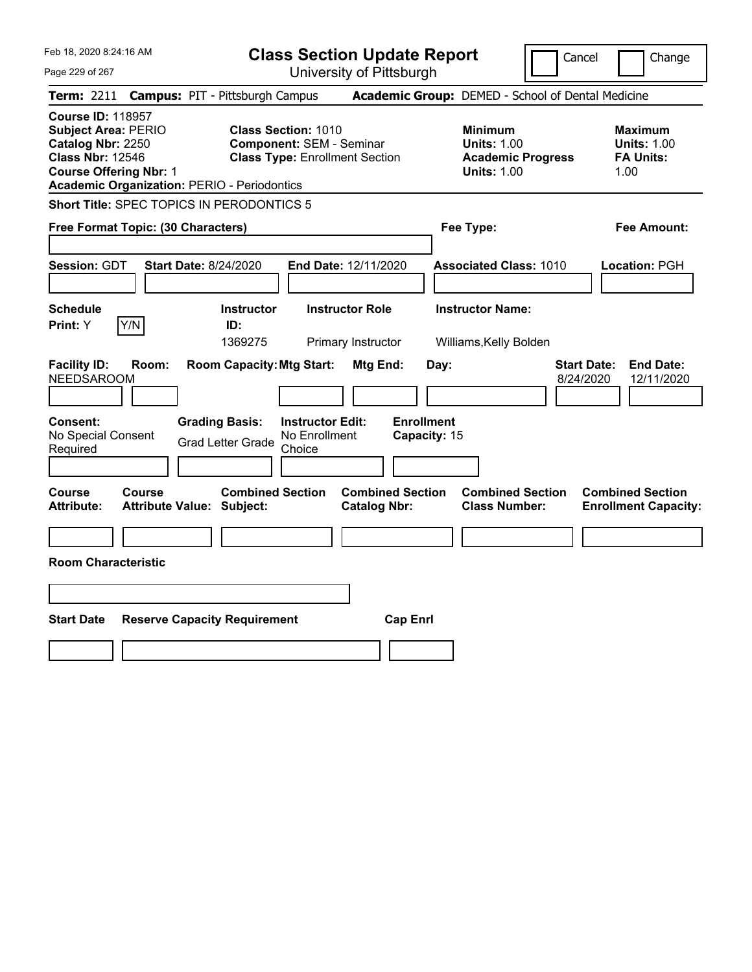|  | Feb 18, 2020 8:24:16 AM |
|--|-------------------------|
|  |                         |

**Class Section Update Report**

Cancel **Change** 

| Page 229 of 267                                                                                                                                                                               |                                                                                                                                                                                                            | University of Pittsburgh                                                                        |                                                                                        |                                                                                                                             |
|-----------------------------------------------------------------------------------------------------------------------------------------------------------------------------------------------|------------------------------------------------------------------------------------------------------------------------------------------------------------------------------------------------------------|-------------------------------------------------------------------------------------------------|----------------------------------------------------------------------------------------|-----------------------------------------------------------------------------------------------------------------------------|
| <b>Term: 2211</b>                                                                                                                                                                             | <b>Campus: PIT - Pittsburgh Campus</b>                                                                                                                                                                     |                                                                                                 | Academic Group: DEMED - School of Dental Medicine                                      |                                                                                                                             |
| <b>Course ID: 118957</b><br><b>Subject Area: PERIO</b><br>Catalog Nbr: 2250<br><b>Class Nbr: 12546</b><br><b>Course Offering Nbr: 1</b><br><b>Academic Organization: PERIO - Periodontics</b> | <b>Class Section: 1010</b><br><b>Component: SEM - Seminar</b><br><b>Class Type: Enrollment Section</b>                                                                                                     |                                                                                                 | <b>Minimum</b><br><b>Units: 1.00</b><br><b>Academic Progress</b><br><b>Units: 1.00</b> | <b>Maximum</b><br><b>Units: 1.00</b><br><b>FA Units:</b><br>1.00                                                            |
| Short Title: SPEC TOPICS IN PERODONTICS 5                                                                                                                                                     |                                                                                                                                                                                                            |                                                                                                 |                                                                                        |                                                                                                                             |
| Free Format Topic: (30 Characters)                                                                                                                                                            |                                                                                                                                                                                                            |                                                                                                 | Fee Type:                                                                              | Fee Amount:                                                                                                                 |
| <b>Session: GDT</b>                                                                                                                                                                           | <b>Start Date: 8/24/2020</b>                                                                                                                                                                               | End Date: 12/11/2020                                                                            | <b>Associated Class: 1010</b>                                                          | Location: PGH                                                                                                               |
| <b>Schedule</b>                                                                                                                                                                               | <b>Instructor</b>                                                                                                                                                                                          | <b>Instructor Role</b>                                                                          | <b>Instructor Name:</b>                                                                |                                                                                                                             |
| Print: Y<br>Y/N                                                                                                                                                                               | ID:<br>1369275                                                                                                                                                                                             | Primary Instructor                                                                              | Williams, Kelly Bolden                                                                 |                                                                                                                             |
| <b>Facility ID:</b><br>Room:<br><b>NEEDSAROOM</b><br>Consent:<br>No Special Consent<br>Required<br><b>Course</b><br>Course<br><b>Attribute:</b><br><b>Room Characteristic</b>                 | <b>Room Capacity: Mtg Start:</b><br><b>Grading Basis:</b><br><b>Instructor Edit:</b><br>No Enrollment<br><b>Grad Letter Grade</b><br>Choice<br><b>Combined Section</b><br><b>Attribute Value: Subject:</b> | Mtg End:<br><b>Enrollment</b><br>Capacity: 15<br><b>Combined Section</b><br><b>Catalog Nbr:</b> | Day:<br><b>Combined Section</b><br><b>Class Number:</b>                                | <b>Start Date:</b><br><b>End Date:</b><br>8/24/2020<br>12/11/2020<br><b>Combined Section</b><br><b>Enrollment Capacity:</b> |
| <b>Start Date</b>                                                                                                                                                                             | <b>Reserve Capacity Requirement</b>                                                                                                                                                                        | <b>Cap Enrl</b>                                                                                 |                                                                                        |                                                                                                                             |
|                                                                                                                                                                                               |                                                                                                                                                                                                            |                                                                                                 |                                                                                        |                                                                                                                             |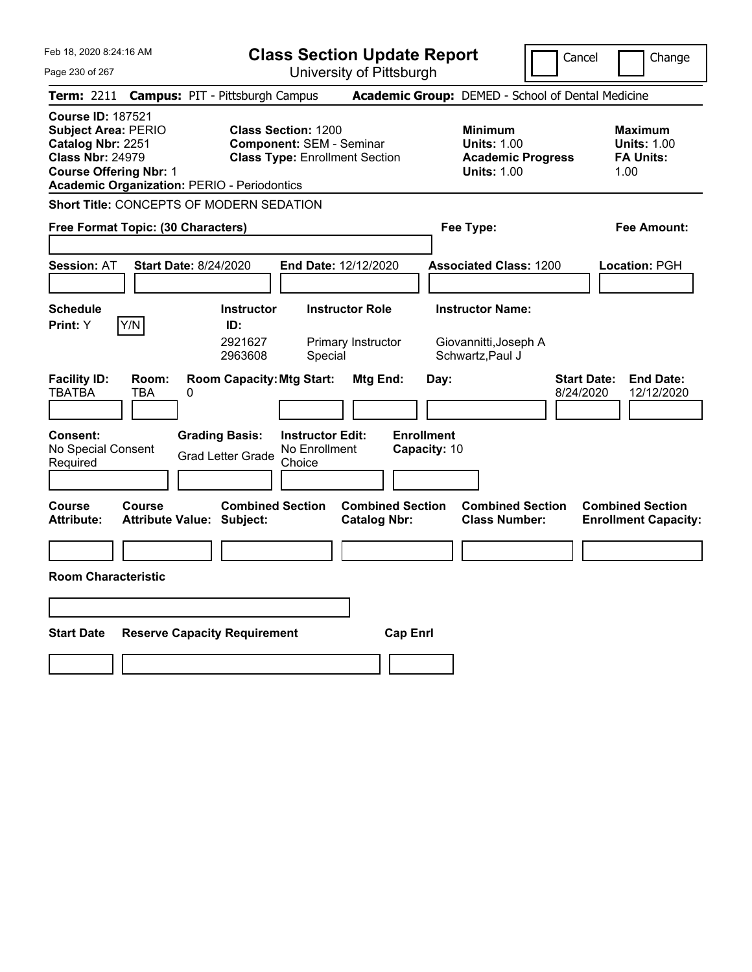Feb 18, 2020 8:24:16 AM Page 230 of 267 **Class Section Update Report** University of Pittsburgh Cancel Change **Term:** 2211 **Campus:** PIT - Pittsburgh Campus **Academic Group:** DEMED - School of Dental Medicine **Course ID:** 187521 **Subject Area:** PERIO **Class Section:** 1200 **Minimum Maximum Catalog Nbr:** 2251 **Component:** SEM - Seminar **Units:** 1.00 **Units:** 1.00 **Class Nbr:** 24979 **Class Type:** Enrollment Section **Academic Progress FA Units: Course Offering Nbr:** 1 **Units:** 1.00 1.00 **Academic Organization:** PERIO - Periodontics **Short Title:** CONCEPTS OF MODERN SEDATION **Free Format Topic: (30 Characters) Fee Type: Fee Amount: Session:** AT **Start Date:** 8/24/2020 **End Date:** 12/12/2020 **Associated Class:** 1200 **Location:** PGH **Schedule Instructor Instructor Role Instructor Name: Print:**  $Y$   $|Y/N|$  **ID:** 2921627 Primary Instructor Giovannitti,Joseph A 2963608 Special Schwartz, Paul J **Facility ID: Room: Room Capacity:Mtg Start: Mtg End: Day: Start Date: End Date:** TBATBA TBA 0 8/24/2020 12/12/2020 **Consent: Grading Basis: Instructor Edit: Enrollment** No Special Consent No Special Consent Grad Letter Grade No Enrollment<br>Required Choice Choice **Capacity:** 10 **Course Course Combined Section Combined Section Combined Section Combined Section**  Attribute: Attribute Value: Subject: Catalog Nbr: Class Number: Enrollment Capacity: **Room Characteristic Start Date Reserve Capacity Requirement Cap Enrl**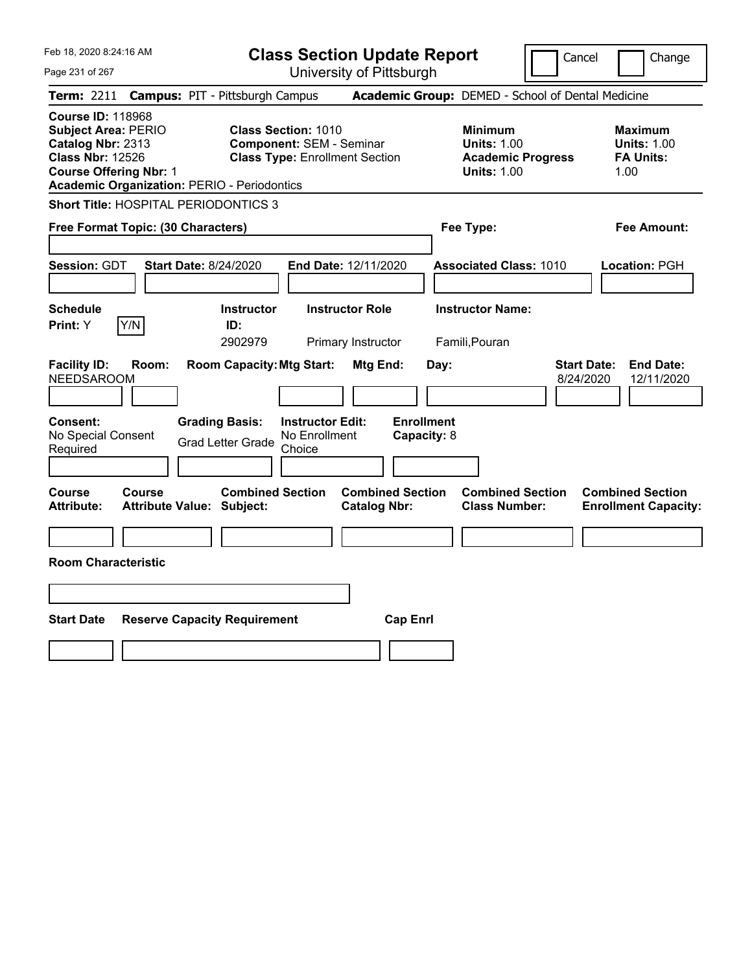|  | Feb 18, 2020 8:24:16 AM |  |
|--|-------------------------|--|
|  |                         |  |

**Class Section Update Report** University of Pittsburgh

Cancel Change

Page 231 of 267

|                                                                                                                                         |        | <b>Term: 2211 Campus: PIT - Pittsburgh Campus</b>                                |                                                                          | <b>Academic Group:</b> DEMED - School of Dental Medicine                               |                                                                  |
|-----------------------------------------------------------------------------------------------------------------------------------------|--------|----------------------------------------------------------------------------------|--------------------------------------------------------------------------|----------------------------------------------------------------------------------------|------------------------------------------------------------------|
| <b>Course ID: 118968</b><br><b>Subject Area: PERIO</b><br>Catalog Nbr: 2313<br><b>Class Nbr: 12526</b><br><b>Course Offering Nbr: 1</b> |        | <b>Class Section: 1010</b><br><b>Academic Organization: PERIO - Periodontics</b> | <b>Component: SEM - Seminar</b><br><b>Class Type: Enrollment Section</b> | <b>Minimum</b><br><b>Units: 1.00</b><br><b>Academic Progress</b><br><b>Units: 1.00</b> | <b>Maximum</b><br><b>Units: 1.00</b><br><b>FA Units:</b><br>1.00 |
|                                                                                                                                         |        | <b>Short Title: HOSPITAL PERIODONTICS 3</b>                                      |                                                                          |                                                                                        |                                                                  |
| Free Format Topic: (30 Characters)                                                                                                      |        |                                                                                  |                                                                          | Fee Type:                                                                              | <b>Fee Amount:</b>                                               |
| Session: GDT                                                                                                                            |        | <b>Start Date: 8/24/2020</b>                                                     | End Date: 12/11/2020                                                     | <b>Associated Class: 1010</b>                                                          | Location: PGH                                                    |
| <b>Schedule</b><br>Print: Y                                                                                                             | Y/N    | <b>Instructor</b><br>ID:<br>2902979                                              | <b>Instructor Role</b><br>Primary Instructor                             | <b>Instructor Name:</b><br>Famili, Pouran                                              |                                                                  |
| <b>Facility ID:</b><br><b>NEEDSAROOM</b><br>Consent:                                                                                    | Room:  | <b>Room Capacity: Mtg Start:</b><br><b>Grading Basis:</b>                        | Mtg End:<br><b>Instructor Edit:</b>                                      | Day:<br>8/24/2020<br><b>Enrollment</b>                                                 | <b>Start Date:</b><br><b>End Date:</b><br>12/11/2020             |
| No Special Consent<br>Required                                                                                                          |        | <b>Grad Letter Grade</b>                                                         | No Enrollment<br>Choice                                                  | Capacity: 8                                                                            |                                                                  |
| Course<br><b>Attribute:</b>                                                                                                             | Course | <b>Combined Section</b><br><b>Attribute Value: Subject:</b>                      | <b>Combined Section</b><br><b>Catalog Nbr:</b>                           | <b>Combined Section</b><br><b>Class Number:</b>                                        | <b>Combined Section</b><br><b>Enrollment Capacity:</b>           |
|                                                                                                                                         |        |                                                                                  |                                                                          |                                                                                        |                                                                  |
| <b>Room Characteristic</b>                                                                                                              |        |                                                                                  |                                                                          |                                                                                        |                                                                  |
|                                                                                                                                         |        |                                                                                  |                                                                          |                                                                                        |                                                                  |
| <b>Start Date</b>                                                                                                                       |        | <b>Reserve Capacity Requirement</b>                                              | <b>Cap Enrl</b>                                                          |                                                                                        |                                                                  |
|                                                                                                                                         |        |                                                                                  |                                                                          |                                                                                        |                                                                  |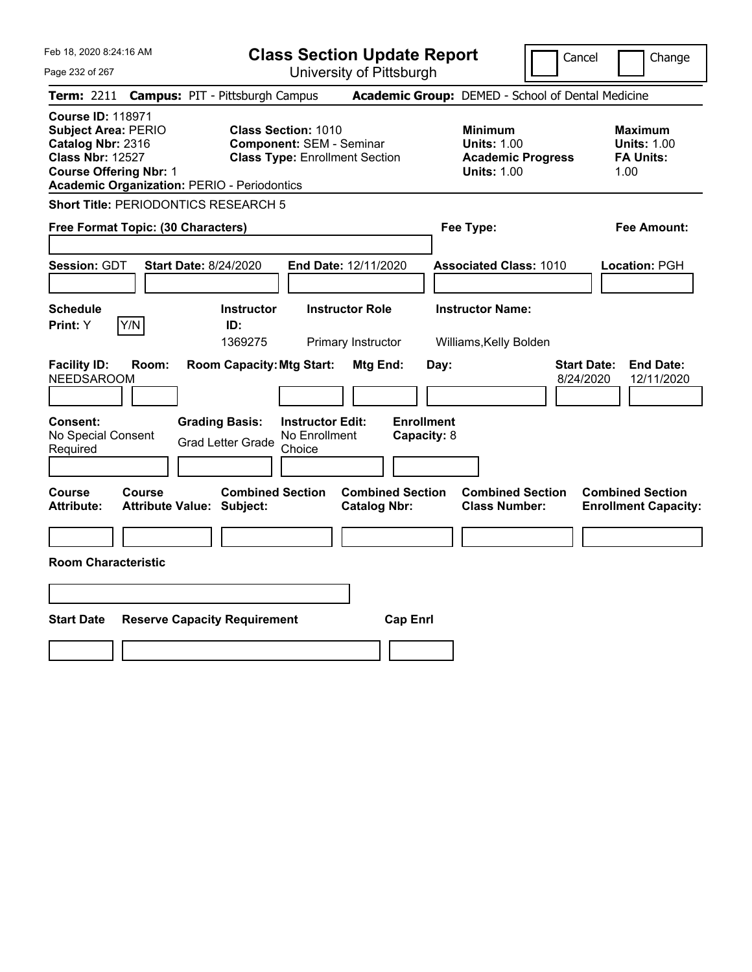|  | Feb 18, 2020 8:24:16 AM |  |
|--|-------------------------|--|
|  |                         |  |

**Class Section Update Report** University of Pittsburgh

Cancel **Change** 

Page 232 of 267

|                                                                                                                                         |               | <b>Term: 2211 Campus: PIT - Pittsburgh Campus</b>           |                                                                                                        |                                                |                                  | <b>Academic Group:</b> DEMED - School of Dental Medicine                               |                                 |                                                                  |
|-----------------------------------------------------------------------------------------------------------------------------------------|---------------|-------------------------------------------------------------|--------------------------------------------------------------------------------------------------------|------------------------------------------------|----------------------------------|----------------------------------------------------------------------------------------|---------------------------------|------------------------------------------------------------------|
| <b>Course ID: 118971</b><br><b>Subject Area: PERIO</b><br>Catalog Nbr: 2316<br><b>Class Nbr: 12527</b><br><b>Course Offering Nbr: 1</b> |               | <b>Academic Organization: PERIO - Periodontics</b>          | <b>Class Section: 1010</b><br><b>Component: SEM - Seminar</b><br><b>Class Type: Enrollment Section</b> |                                                |                                  | <b>Minimum</b><br><b>Units: 1.00</b><br><b>Academic Progress</b><br><b>Units: 1.00</b> |                                 | <b>Maximum</b><br><b>Units: 1.00</b><br><b>FA Units:</b><br>1.00 |
|                                                                                                                                         |               | Short Title: PERIODONTICS RESEARCH 5                        |                                                                                                        |                                                |                                  |                                                                                        |                                 |                                                                  |
| Free Format Topic: (30 Characters)                                                                                                      |               |                                                             |                                                                                                        |                                                |                                  | Fee Type:                                                                              |                                 | <b>Fee Amount:</b>                                               |
| <b>Session: GDT</b>                                                                                                                     |               | <b>Start Date: 8/24/2020</b>                                |                                                                                                        | End Date: 12/11/2020                           |                                  | <b>Associated Class: 1010</b>                                                          |                                 | Location: PGH                                                    |
| <b>Schedule</b><br>Print: Y                                                                                                             | Y/N           | <b>Instructor</b><br>ID:<br>1369275                         |                                                                                                        | <b>Instructor Role</b><br>Primary Instructor   |                                  | <b>Instructor Name:</b><br>Williams, Kelly Bolden                                      |                                 |                                                                  |
| <b>Facility ID:</b><br><b>NEEDSAROOM</b>                                                                                                | Room:         | <b>Room Capacity: Mtg Start:</b>                            |                                                                                                        | Mtg End:                                       | Day:                             |                                                                                        | <b>Start Date:</b><br>8/24/2020 | <b>End Date:</b><br>12/11/2020                                   |
| <b>Consent:</b><br>No Special Consent<br>Required                                                                                       |               | <b>Grading Basis:</b><br><b>Grad Letter Grade</b>           | <b>Instructor Edit:</b><br>No Enrollment<br>Choice                                                     |                                                | <b>Enrollment</b><br>Capacity: 8 |                                                                                        |                                 |                                                                  |
| Course<br><b>Attribute:</b>                                                                                                             | <b>Course</b> | <b>Combined Section</b><br><b>Attribute Value: Subject:</b> |                                                                                                        | <b>Combined Section</b><br><b>Catalog Nbr:</b> |                                  | <b>Combined Section</b><br><b>Class Number:</b>                                        |                                 | <b>Combined Section</b><br><b>Enrollment Capacity:</b>           |
| <b>Room Characteristic</b>                                                                                                              |               |                                                             |                                                                                                        |                                                |                                  |                                                                                        |                                 |                                                                  |
|                                                                                                                                         |               |                                                             |                                                                                                        |                                                |                                  |                                                                                        |                                 |                                                                  |
| <b>Start Date</b>                                                                                                                       |               | <b>Reserve Capacity Requirement</b>                         |                                                                                                        | <b>Cap Enrl</b>                                |                                  |                                                                                        |                                 |                                                                  |
|                                                                                                                                         |               |                                                             |                                                                                                        |                                                |                                  |                                                                                        |                                 |                                                                  |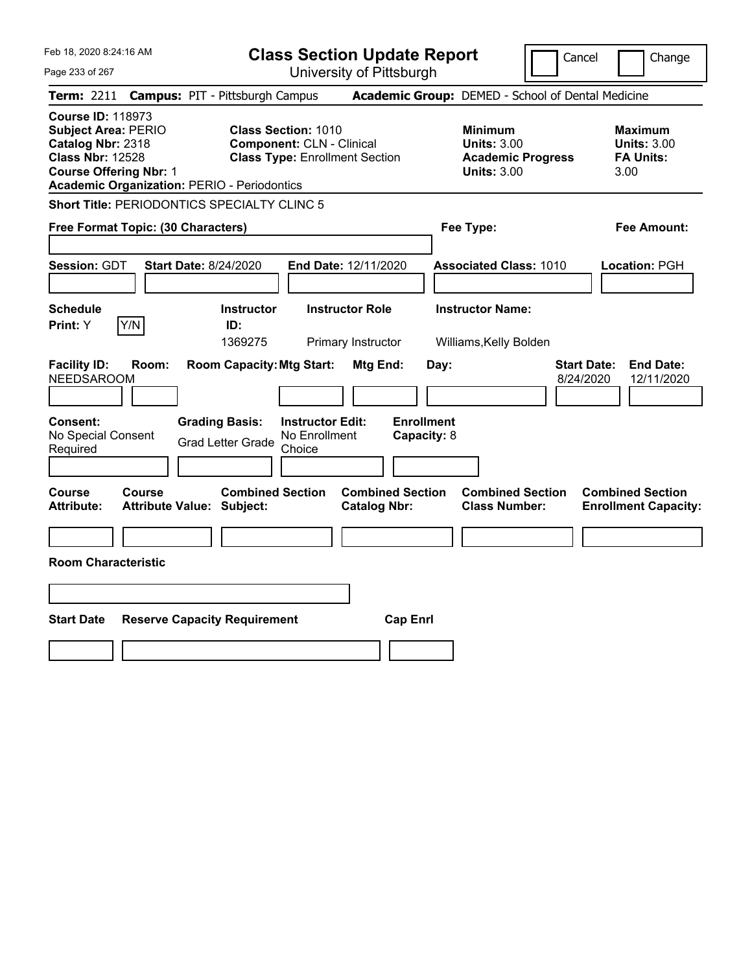Page 233 of 267

**Class Section Update Report**

Cancel **Change** 

|                                                                                                                                                                                               |                                                   |                                                                                       |                                                                | $\frac{1}{2}$                                  |                                          |                                                                                        |                                 |                                                                  |
|-----------------------------------------------------------------------------------------------------------------------------------------------------------------------------------------------|---------------------------------------------------|---------------------------------------------------------------------------------------|----------------------------------------------------------------|------------------------------------------------|------------------------------------------|----------------------------------------------------------------------------------------|---------------------------------|------------------------------------------------------------------|
| Term: 2211 Campus: PIT - Pittsburgh Campus                                                                                                                                                    |                                                   |                                                                                       |                                                                |                                                |                                          | Academic Group: DEMED - School of Dental Medicine                                      |                                 |                                                                  |
| <b>Course ID: 118973</b><br><b>Subject Area: PERIO</b><br>Catalog Nbr: 2318<br><b>Class Nbr: 12528</b><br><b>Course Offering Nbr: 1</b><br><b>Academic Organization: PERIO - Periodontics</b> |                                                   |                                                                                       | <b>Class Section: 1010</b><br><b>Component: CLN - Clinical</b> | <b>Class Type: Enrollment Section</b>          |                                          | <b>Minimum</b><br><b>Units: 3.00</b><br><b>Academic Progress</b><br><b>Units: 3.00</b> |                                 | <b>Maximum</b><br><b>Units: 3.00</b><br><b>FA Units:</b><br>3.00 |
| <b>Short Title: PERIODONTICS SPECIALTY CLINC 5</b>                                                                                                                                            |                                                   |                                                                                       |                                                                |                                                |                                          |                                                                                        |                                 |                                                                  |
| Free Format Topic: (30 Characters)                                                                                                                                                            |                                                   |                                                                                       |                                                                |                                                |                                          | Fee Type:                                                                              |                                 | Fee Amount:                                                      |
| <b>Session: GDT</b>                                                                                                                                                                           | <b>Start Date: 8/24/2020</b>                      |                                                                                       |                                                                | End Date: 12/11/2020                           |                                          | <b>Associated Class: 1010</b>                                                          |                                 | Location: PGH                                                    |
| <b>Schedule</b>                                                                                                                                                                               |                                                   | <b>Instructor</b>                                                                     |                                                                | <b>Instructor Role</b>                         |                                          | <b>Instructor Name:</b>                                                                |                                 |                                                                  |
| Y/N <br>Print: Y                                                                                                                                                                              |                                                   | ID:<br>1369275                                                                        |                                                                | Primary Instructor                             |                                          | Williams, Kelly Bolden                                                                 |                                 |                                                                  |
| <b>Facility ID:</b><br>NEEDSAROOM<br>Consent:<br>No Special Consent<br>Required                                                                                                               | Room:                                             | <b>Room Capacity: Mtg Start:</b><br><b>Grading Basis:</b><br><b>Grad Letter Grade</b> | <b>Instructor Edit:</b><br>No Enrollment<br>Choice             | Mtg End:                                       | Day:<br><b>Enrollment</b><br>Capacity: 8 |                                                                                        | <b>Start Date:</b><br>8/24/2020 | <b>End Date:</b><br>12/11/2020                                   |
| <b>Course</b><br><b>Attribute:</b>                                                                                                                                                            | <b>Course</b><br><b>Attribute Value: Subject:</b> | <b>Combined Section</b>                                                               |                                                                | <b>Combined Section</b><br><b>Catalog Nbr:</b> |                                          | <b>Combined Section</b><br><b>Class Number:</b>                                        |                                 | <b>Combined Section</b><br><b>Enrollment Capacity:</b>           |
|                                                                                                                                                                                               |                                                   |                                                                                       |                                                                |                                                |                                          |                                                                                        |                                 |                                                                  |
| <b>Room Characteristic</b>                                                                                                                                                                    |                                                   |                                                                                       |                                                                |                                                |                                          |                                                                                        |                                 |                                                                  |
| <b>Start Date</b>                                                                                                                                                                             |                                                   | <b>Reserve Capacity Requirement</b>                                                   |                                                                | <b>Cap Enrl</b>                                |                                          |                                                                                        |                                 |                                                                  |
|                                                                                                                                                                                               |                                                   |                                                                                       |                                                                |                                                |                                          |                                                                                        |                                 |                                                                  |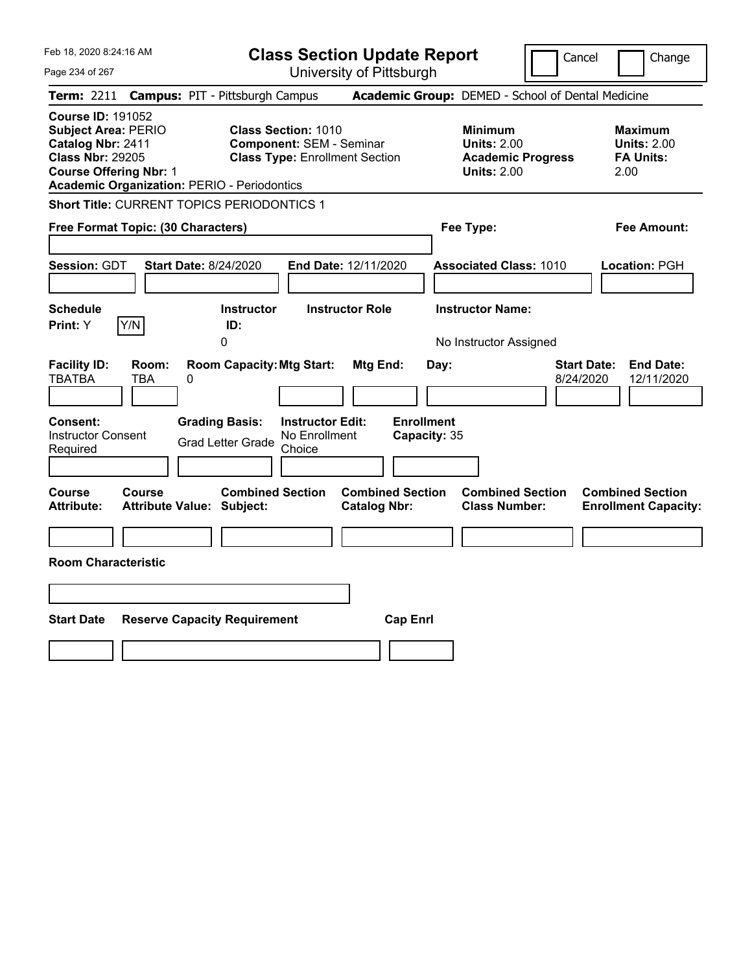Feb 18, 2020 8:24:16 AM Page 234 of 267 **Class Section Update Report** University of Pittsburgh Cancel | Change **Term:** 2211 **Campus:** PIT - Pittsburgh Campus **Academic Group:** DEMED - School of Dental Medicine **Course ID:** 191052 **Subject Area:** PERIO **Class Section:** 1010 **Minimum Maximum Catalog Nbr: 2411 Component: SEM - Seminar Units: 2.00 Units: 2.00 Units: 2.00 Class Nbr: 29205 Class Type: Enrollment Section Academic Progress FA Units: Class Type: Enrollment Section <b>Academic Progress FA Units: Course Offering Nbr:** 1 **Units:** 2.00 2.00 **Academic Organization:** PERIO - Periodontics **Short Title:** CURRENT TOPICS PERIODONTICS 1 **Free Format Topic: (30 Characters) Fee Type: Fee Amount: Session:** GDT **Start Date:** 8/24/2020 **End Date:** 12/11/2020 **Associated Class:** 1010 **Location:** PGH **Schedule Instructor Instructor Role Instructor Name: Print:**  $Y$   $|Y/N|$  **ID:** 0 **No Instructor Assigned Facility ID: Room: Room Capacity:Mtg Start: Mtg End: Day: Start Date: End Date:** TBATBA TBA 0 8/24/2020 12/11/2020 **Consent: Grading Basis: Instructor Edit: Enrollment** Instructor Consent Instructor Consent<br>
Required Crad Letter Grade Choice<br>
Choice Choice **Capacity:** 35 **Course Course Combined Section Combined Section Combined Section Combined Section Attribute: Attribute Value: Subject: Catalog Nbr: Class Number: Enrollment Capacity: Room Characteristic Start Date Reserve Capacity Requirement Cap Enrl**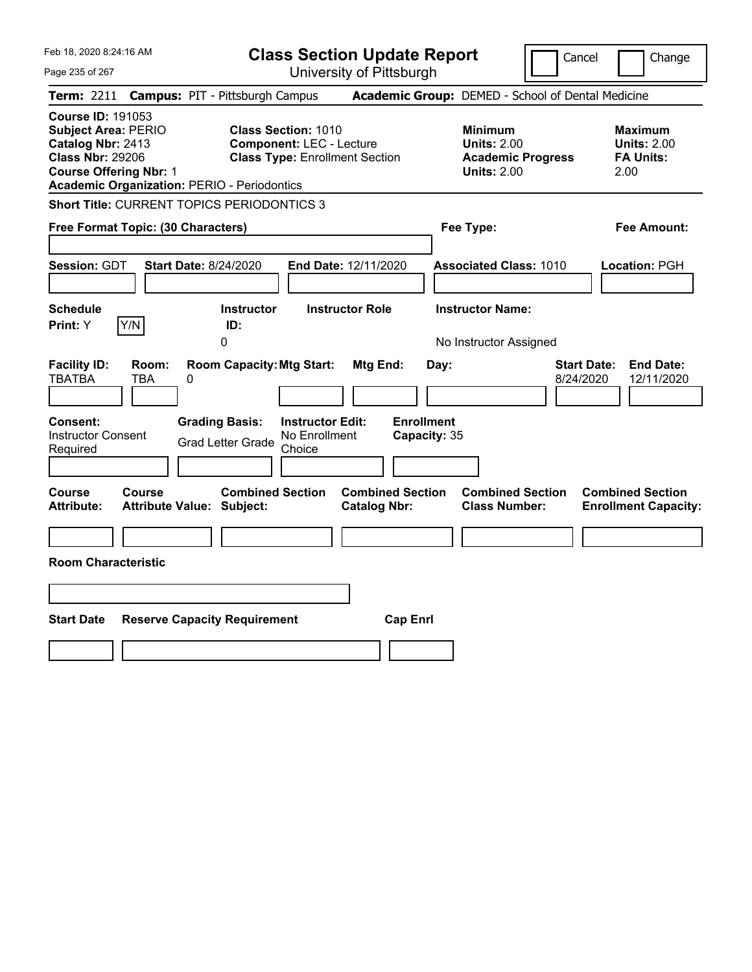|  | Feb 18, 2020 8:24:16 AM |  |
|--|-------------------------|--|
|  |                         |  |

 $P<sub>i</sub>$ 

| Feb 18, 2020 8:24:16 AM                                                                                                                 |                     |                                                                                            |                                                               | <b>Class Section Update Report</b>                |                                           |                                                                                        | Cancel                          | Change                                                    |
|-----------------------------------------------------------------------------------------------------------------------------------------|---------------------|--------------------------------------------------------------------------------------------|---------------------------------------------------------------|---------------------------------------------------|-------------------------------------------|----------------------------------------------------------------------------------------|---------------------------------|-----------------------------------------------------------|
| Page 235 of 267                                                                                                                         |                     |                                                                                            |                                                               | University of Pittsburgh                          |                                           |                                                                                        |                                 |                                                           |
| <b>Term: 2211</b>                                                                                                                       |                     | <b>Campus: PIT - Pittsburgh Campus</b>                                                     |                                                               | Academic Group: DEMED - School of Dental Medicine |                                           |                                                                                        |                                 |                                                           |
| <b>Course ID: 191053</b><br><b>Subject Area: PERIO</b><br>Catalog Nbr: 2413<br><b>Class Nbr: 29206</b><br><b>Course Offering Nbr: 1</b> |                     | <b>Academic Organization: PERIO - Periodontics</b>                                         | <b>Class Section: 1010</b><br><b>Component: LEC - Lecture</b> | <b>Class Type: Enrollment Section</b>             |                                           | <b>Minimum</b><br><b>Units: 2.00</b><br><b>Academic Progress</b><br><b>Units: 2.00</b> |                                 | Maximum<br><b>Units: 2.00</b><br><b>FA Units:</b><br>2.00 |
|                                                                                                                                         |                     | <b>Short Title: CURRENT TOPICS PERIODONTICS 3</b>                                          |                                                               |                                                   |                                           |                                                                                        |                                 |                                                           |
| Free Format Topic: (30 Characters)                                                                                                      |                     |                                                                                            |                                                               |                                                   |                                           | Fee Type:                                                                              |                                 | Fee Amount:                                               |
|                                                                                                                                         |                     |                                                                                            |                                                               |                                                   |                                           |                                                                                        |                                 |                                                           |
| <b>Session: GDT</b>                                                                                                                     |                     | <b>Start Date: 8/24/2020</b>                                                               |                                                               | End Date: 12/11/2020                              |                                           | <b>Associated Class: 1010</b>                                                          |                                 | Location: PGH                                             |
| <b>Schedule</b><br>Print: Y                                                                                                             | Y/N                 | <b>Instructor</b><br>ID:<br>0                                                              |                                                               | <b>Instructor Role</b>                            |                                           | <b>Instructor Name:</b><br>No Instructor Assigned                                      |                                 |                                                           |
| <b>Facility ID:</b><br><b>TBATBA</b><br>Consent:<br><b>Instructor Consent</b><br>Required                                               | Room:<br><b>TBA</b> | <b>Room Capacity: Mtg Start:</b><br>0<br><b>Grading Basis:</b><br><b>Grad Letter Grade</b> | <b>Instructor Edit:</b><br>No Enrollment<br>Choice            | Mtg End:                                          | Day:<br><b>Enrollment</b><br>Capacity: 35 |                                                                                        | <b>Start Date:</b><br>8/24/2020 | <b>End Date:</b><br>12/11/2020                            |
| <b>Course</b><br><b>Attribute:</b>                                                                                                      | Course              | <b>Combined Section</b><br><b>Attribute Value: Subject:</b>                                |                                                               | <b>Combined Section</b><br><b>Catalog Nbr:</b>    |                                           | <b>Combined Section</b><br><b>Class Number:</b>                                        |                                 | <b>Combined Section</b><br><b>Enrollment Capacity:</b>    |
| <b>Room Characteristic</b>                                                                                                              |                     |                                                                                            |                                                               |                                                   |                                           |                                                                                        |                                 |                                                           |
|                                                                                                                                         |                     |                                                                                            |                                                               |                                                   |                                           |                                                                                        |                                 |                                                           |
| <b>Start Date</b>                                                                                                                       |                     | <b>Reserve Capacity Requirement</b>                                                        |                                                               | <b>Cap Enrl</b>                                   |                                           |                                                                                        |                                 |                                                           |
|                                                                                                                                         |                     |                                                                                            |                                                               |                                                   |                                           |                                                                                        |                                 |                                                           |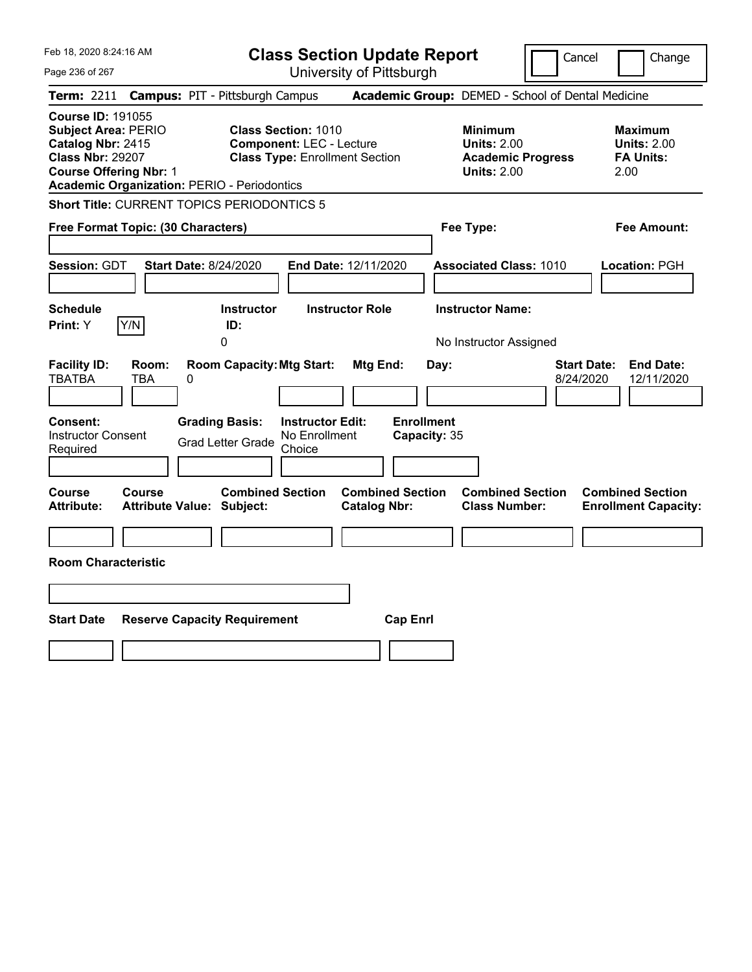Feb 18, 2020 8:24:16 AM Page 236 of 267 **Class Section Update Report** University of Pittsburgh Cancel | Change **Term:** 2211 **Campus:** PIT - Pittsburgh Campus **Academic Group:** DEMED - School of Dental Medicine **Course ID:** 191055 **Subject Area:** PERIO **Class Section:** 1010 **Minimum Maximum Catalog Nbr:** 2415 **Component:** LEC - Lecture **Component: LEC - Lecture Beam Limits: 2.00 Units: 2.00**<br> **Class Nbr: 29207 <b>Class Type:** Enrollment Section **Academic Progress** FA Units: **Class Type: Enrollment Section <b>Academic Progress FA Units: Course Offering Nbr:** 1 **Units:** 2.00 2.00 **Academic Organization:** PERIO - Periodontics **Short Title:** CURRENT TOPICS PERIODONTICS 5 **Free Format Topic: (30 Characters) Fee Type: Fee Amount: Session:** GDT **Start Date:** 8/24/2020 **End Date:** 12/11/2020 **Associated Class:** 1010 **Location:** PGH **Schedule Instructor Instructor Role Instructor Name: Print:**  $Y$   $|Y/N|$  **ID:** 0 **No Instructor Assigned Facility ID: Room: Room Capacity:Mtg Start: Mtg End: Day: Start Date: End Date:** TBATBA TBA 0 8/24/2020 12/11/2020 **Consent: Grading Basis: Instructor Edit: Enrollment** Instructor Consent Instructor Consent<br>
Required Crad Letter Grade Choice<br>
Choice Choice **Capacity:** 35 **Course Course Combined Section Combined Section Combined Section Combined Section Attribute: Attribute Value: Subject: Catalog Nbr: Class Number: Enrollment Capacity: Room Characteristic Start Date Reserve Capacity Requirement Cap Enrl**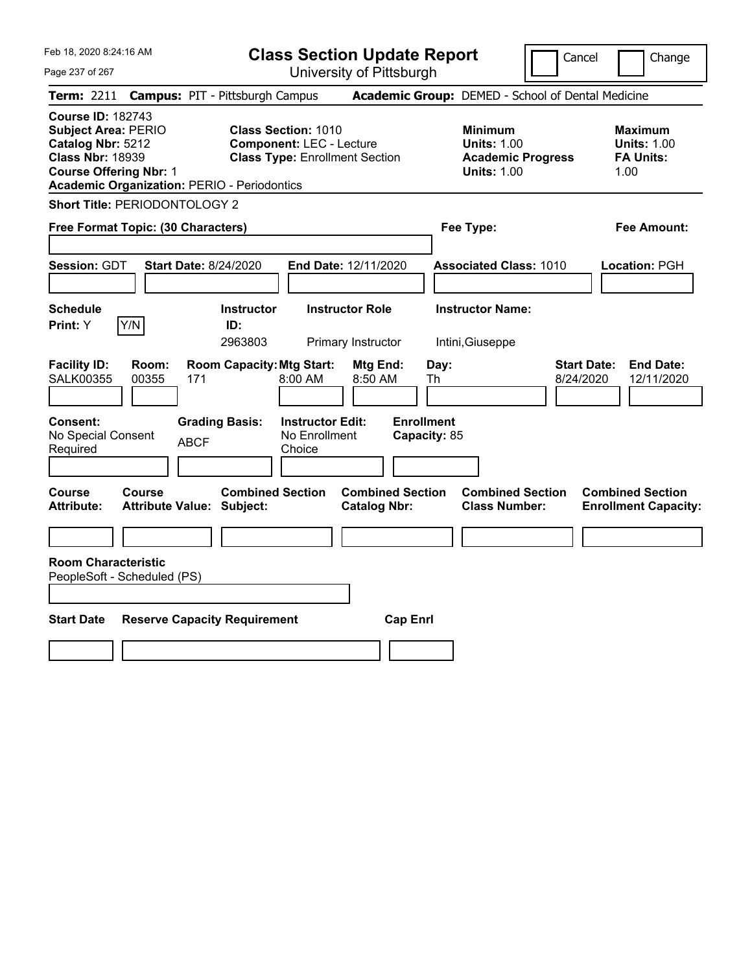|  | Feb 18, 2020 8:24:16 AM |  |
|--|-------------------------|--|
|  |                         |  |

**Class Section Update Report** University of Pittsburgh

Cancel Change

Page 237 of 267

| <b>Term: 2211 Campus: PIT - Pittsburgh Campus</b>                                                                                                                                             |                                     |                                     |                                                                                                        |                                                |                                   | <b>Academic Group:</b> DEMED - School of Dental Medicine                               |                                 |                                                                  |
|-----------------------------------------------------------------------------------------------------------------------------------------------------------------------------------------------|-------------------------------------|-------------------------------------|--------------------------------------------------------------------------------------------------------|------------------------------------------------|-----------------------------------|----------------------------------------------------------------------------------------|---------------------------------|------------------------------------------------------------------|
| <b>Course ID: 182743</b><br><b>Subject Area: PERIO</b><br>Catalog Nbr: 5212<br><b>Class Nbr: 18939</b><br><b>Course Offering Nbr: 1</b><br><b>Academic Organization: PERIO - Periodontics</b> |                                     |                                     | <b>Class Section: 1010</b><br><b>Component: LEC - Lecture</b><br><b>Class Type: Enrollment Section</b> |                                                |                                   | <b>Minimum</b><br><b>Units: 1.00</b><br><b>Academic Progress</b><br><b>Units: 1.00</b> |                                 | <b>Maximum</b><br><b>Units: 1.00</b><br><b>FA Units:</b><br>1.00 |
| Short Title: PERIODONTOLOGY 2                                                                                                                                                                 |                                     |                                     |                                                                                                        |                                                |                                   |                                                                                        |                                 |                                                                  |
| Free Format Topic: (30 Characters)                                                                                                                                                            |                                     |                                     |                                                                                                        |                                                |                                   | Fee Type:                                                                              |                                 | <b>Fee Amount:</b>                                               |
| Session: GDT                                                                                                                                                                                  | <b>Start Date: 8/24/2020</b>        |                                     |                                                                                                        | End Date: 12/11/2020                           |                                   | <b>Associated Class: 1010</b>                                                          |                                 | Location: PGH                                                    |
| <b>Schedule</b><br>Y/N<br>Print: Y                                                                                                                                                            |                                     | <b>Instructor</b><br>ID:<br>2963803 |                                                                                                        | <b>Instructor Role</b><br>Primary Instructor   |                                   | <b>Instructor Name:</b><br>Intini, Giuseppe                                            |                                 |                                                                  |
| <b>Facility ID:</b><br><b>SALK00355</b>                                                                                                                                                       | Room:<br>00355<br>171               | <b>Room Capacity: Mtg Start:</b>    | 8:00 AM                                                                                                | Mtg End:<br>8:50 AM                            | Day:<br>Th                        |                                                                                        | <b>Start Date:</b><br>8/24/2020 | <b>End Date:</b><br>12/11/2020                                   |
| <b>Consent:</b><br>No Special Consent<br>Required                                                                                                                                             | <b>ABCF</b>                         | <b>Grading Basis:</b>               | <b>Instructor Edit:</b><br>No Enrollment<br>Choice                                                     |                                                | <b>Enrollment</b><br>Capacity: 85 |                                                                                        |                                 |                                                                  |
| <b>Course</b><br>Course<br><b>Attribute:</b>                                                                                                                                                  | <b>Attribute Value: Subject:</b>    | <b>Combined Section</b>             |                                                                                                        | <b>Combined Section</b><br><b>Catalog Nbr:</b> |                                   | <b>Combined Section</b><br><b>Class Number:</b>                                        |                                 | <b>Combined Section</b><br><b>Enrollment Capacity:</b>           |
| <b>Room Characteristic</b><br>PeopleSoft - Scheduled (PS)<br><b>Start Date</b>                                                                                                                | <b>Reserve Capacity Requirement</b> |                                     |                                                                                                        |                                                | <b>Cap Enrl</b>                   |                                                                                        |                                 |                                                                  |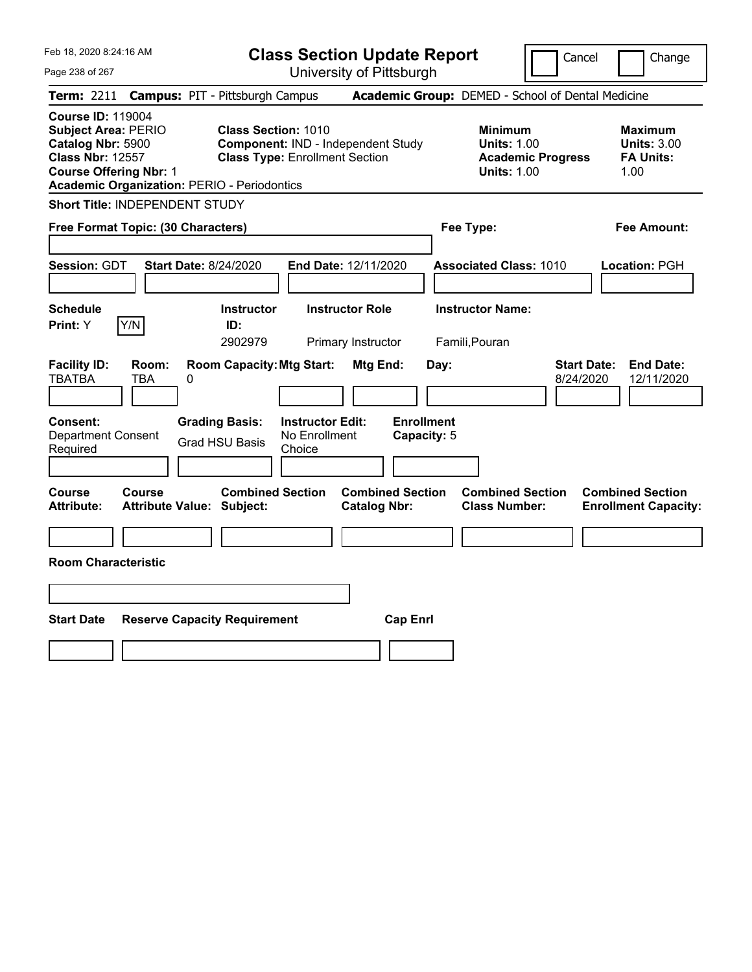| Feb 18, 2020 8:24:16 AM<br>Page 238 of 267                                                                                                                                                    | <b>Class Section Update Report</b><br>University of Pittsburgh                                                                                     | Cancel                                                                                 | Change                                                           |
|-----------------------------------------------------------------------------------------------------------------------------------------------------------------------------------------------|----------------------------------------------------------------------------------------------------------------------------------------------------|----------------------------------------------------------------------------------------|------------------------------------------------------------------|
| <b>Campus: PIT - Pittsburgh Campus</b><br><b>Term: 2211</b>                                                                                                                                   |                                                                                                                                                    | Academic Group: DEMED - School of Dental Medicine                                      |                                                                  |
| <b>Course ID: 119004</b><br><b>Subject Area: PERIO</b><br>Catalog Nbr: 5900<br><b>Class Nbr: 12557</b><br><b>Course Offering Nbr: 1</b><br><b>Academic Organization: PERIO - Periodontics</b> | <b>Class Section: 1010</b><br>Component: IND - Independent Study<br><b>Class Type: Enrollment Section</b>                                          | <b>Minimum</b><br><b>Units: 1.00</b><br><b>Academic Progress</b><br><b>Units: 1.00</b> | <b>Maximum</b><br><b>Units: 3.00</b><br><b>FA Units:</b><br>1.00 |
| Short Title: INDEPENDENT STUDY                                                                                                                                                                |                                                                                                                                                    |                                                                                        |                                                                  |
| Free Format Topic: (30 Characters)                                                                                                                                                            |                                                                                                                                                    | Fee Type:                                                                              | <b>Fee Amount:</b>                                               |
| <b>Session: GDT</b><br><b>Start Date: 8/24/2020</b>                                                                                                                                           | End Date: 12/11/2020                                                                                                                               | <b>Associated Class: 1010</b>                                                          | Location: PGH                                                    |
| <b>Schedule</b>                                                                                                                                                                               | <b>Instructor</b><br><b>Instructor Role</b>                                                                                                        | <b>Instructor Name:</b>                                                                |                                                                  |
| Y/N<br>Print: Y<br>ID:                                                                                                                                                                        | 2902979                                                                                                                                            | Famili, Pouran                                                                         |                                                                  |
| <b>Facility ID:</b><br>Room:<br><b>TBATBA</b><br><b>TBA</b><br>0<br>Consent:<br><b>Grading Basis:</b><br><b>Department Consent</b><br><b>Grad HSU Basis</b>                                   | Primary Instructor<br><b>Room Capacity: Mtg Start:</b><br>Mtg End:<br><b>Enrollment</b><br><b>Instructor Edit:</b><br>No Enrollment<br>Capacity: 5 | <b>Start Date:</b><br>Day:<br>8/24/2020                                                | <b>End Date:</b><br>12/11/2020                                   |
| Required                                                                                                                                                                                      | Choice                                                                                                                                             |                                                                                        |                                                                  |
| Course<br>Course<br><b>Attribute:</b><br><b>Attribute Value: Subject:</b>                                                                                                                     | <b>Combined Section</b><br><b>Combined Section</b><br><b>Catalog Nbr:</b>                                                                          | <b>Combined Section</b><br><b>Class Number:</b>                                        | <b>Combined Section</b><br><b>Enrollment Capacity:</b>           |
|                                                                                                                                                                                               |                                                                                                                                                    |                                                                                        |                                                                  |
| <b>Room Characteristic</b>                                                                                                                                                                    |                                                                                                                                                    |                                                                                        |                                                                  |
|                                                                                                                                                                                               |                                                                                                                                                    |                                                                                        |                                                                  |
| <b>Start Date</b><br><b>Reserve Capacity Requirement</b>                                                                                                                                      | <b>Cap Enrl</b>                                                                                                                                    |                                                                                        |                                                                  |
|                                                                                                                                                                                               |                                                                                                                                                    |                                                                                        |                                                                  |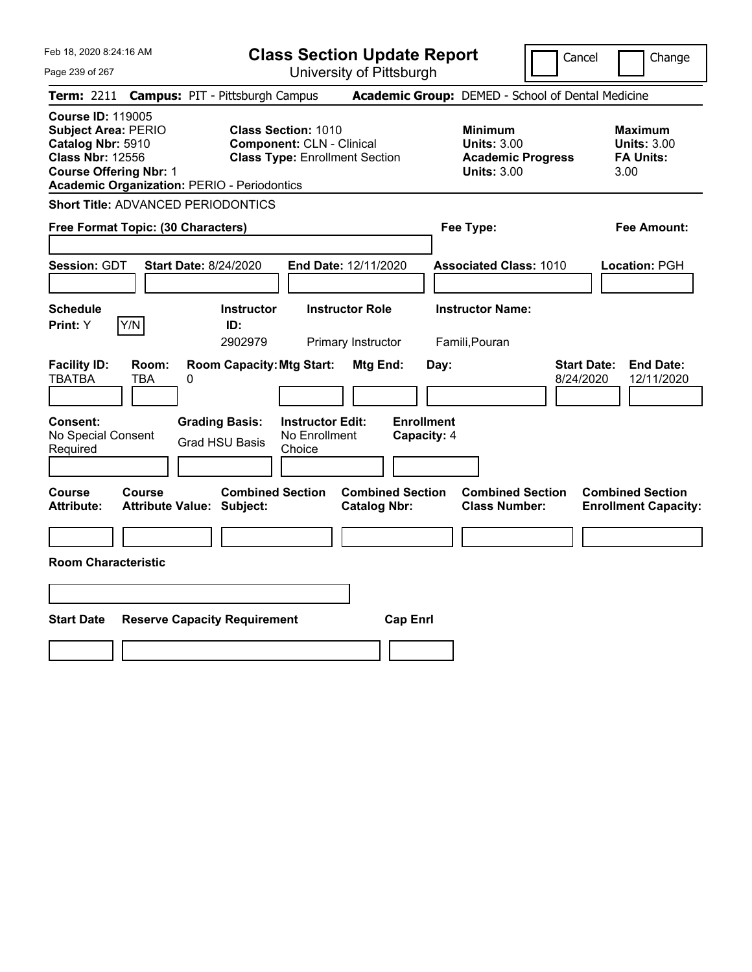**Class Section Update Report**

Page 239 of 267 University of Pittsburgh Cancel | Change **Term:** 2211 **Campus:** PIT - Pittsburgh Campus **Academic Group:** DEMED - School of Dental Medicine **Course ID:** 119005 **Subject Area:** PERIO **Class Section:** 1010 **Minimum Maximum Catalog Nbr:** 5910 **Component:** CLN - Clinical **Units:** 3.00 **Units:** 3.00 **Class Nbr:** 12556 **Class Type:** Enrollment Section **Academic Progress FA Units: Course Offering Nbr:** 1 **Units:** 3.00 3.00 **Academic Organization:** PERIO - Periodontics **Short Title:** ADVANCED PERIODONTICS **Free Format Topic: (30 Characters) Fee Type: Fee Amount: Session:** GDT **Start Date:** 8/24/2020 **End Date:** 12/11/2020 **Associated Class:** 1010 **Location:** PGH **Schedule Instructor Instructor Role Instructor Name: Print:**  $Y$   $|Y/N|$  **ID:** 2902979 Primary Instructor Famili,Pouran **Facility ID: Room: Room Capacity:Mtg Start: Mtg End: Day: Start Date: End Date:** TBATBA TBA 0 8/24/2020 12/11/2020 **Consent: Grading Basis: Instructor Edit: Enrollment** No Special Consent Required Grad HSU Basis No Enrollment Choice **Capacity:** 4 **Course Course Combined Section Combined Section Combined Section Combined Section Attribute: Attribute Value: Subject: Catalog Nbr: Class Number: Enrollment Capacity: Room Characteristic Start Date Reserve Capacity Requirement Cap Enrl**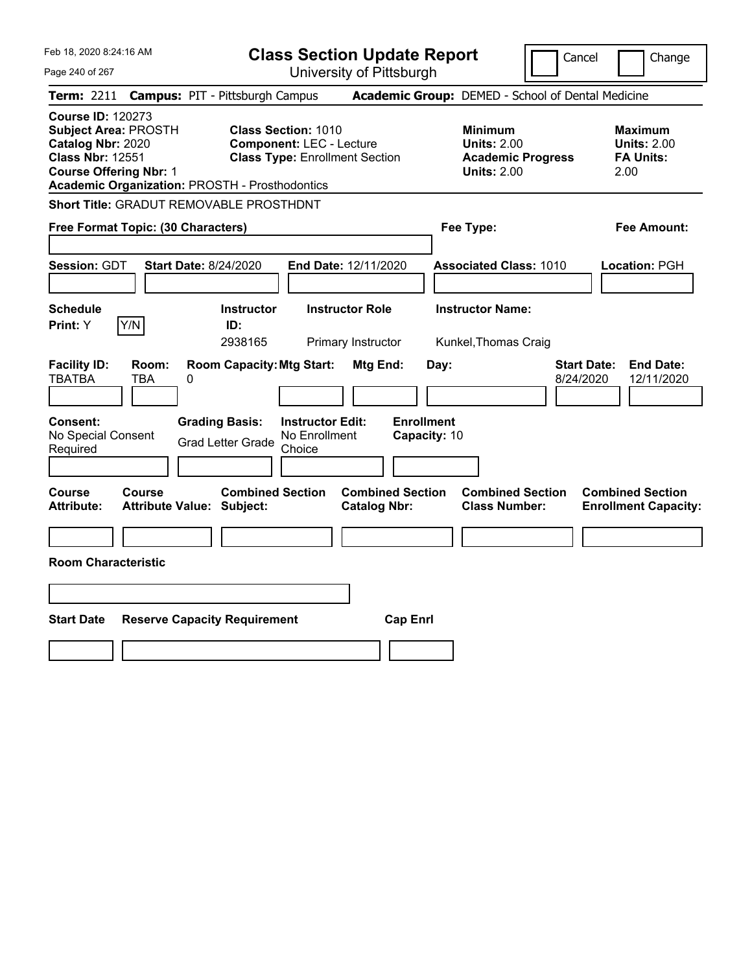Feb 18, 2020 8:24:16 AM Page 240 of 267 **Class Section Update Report** University of Pittsburgh Cancel Change **Term:** 2211 **Campus:** PIT - Pittsburgh Campus **Academic Group:** DEMED - School of Dental Medicine **Course ID:** 120273 **Subject Area:** PROSTH **Class Section:** 1010 **Minimum Maximum Catalog Nbr:** 2020 **Component:** LEC - Lecture **Units:** 2.00 **Units:** 2.00 **Class Nbr:** 12551 **Class Type:** Enrollment Section **Academic Progress FA Units: Course Offering Nbr:** 1 **Units:** 2.00 2.00 **Academic Organization:** PROSTH - Prosthodontics **Short Title:** GRADUT REMOVABLE PROSTHDNT **Free Format Topic: (30 Characters) Fee Type: Fee Amount: Session:** GDT **Start Date:** 8/24/2020 **End Date:** 12/11/2020 **Associated Class:** 1010 **Location:** PGH **Schedule Instructor Instructor Role Instructor Name: Print:**  $Y$   $|Y/N|$  **ID:** 2938165 Primary Instructor Kunkel,Thomas Craig **Facility ID: Room: Room Capacity:Mtg Start: Mtg End: Day: Start Date: End Date:** TBATBA TBA 0 8/24/2020 12/11/2020 **Consent: Grading Basis: Instructor Edit: Enrollment** No Special Consent Grad Letter Grade No Enrollment Choice **Capacity:** 10 **Course Course Combined Section Combined Section Combined Section Combined Section Attribute: Attribute Value: Subject: Catalog Nbr: Class Number: Enrollment Capacity: Room Characteristic Start Date Reserve Capacity Requirement Cap Enrl**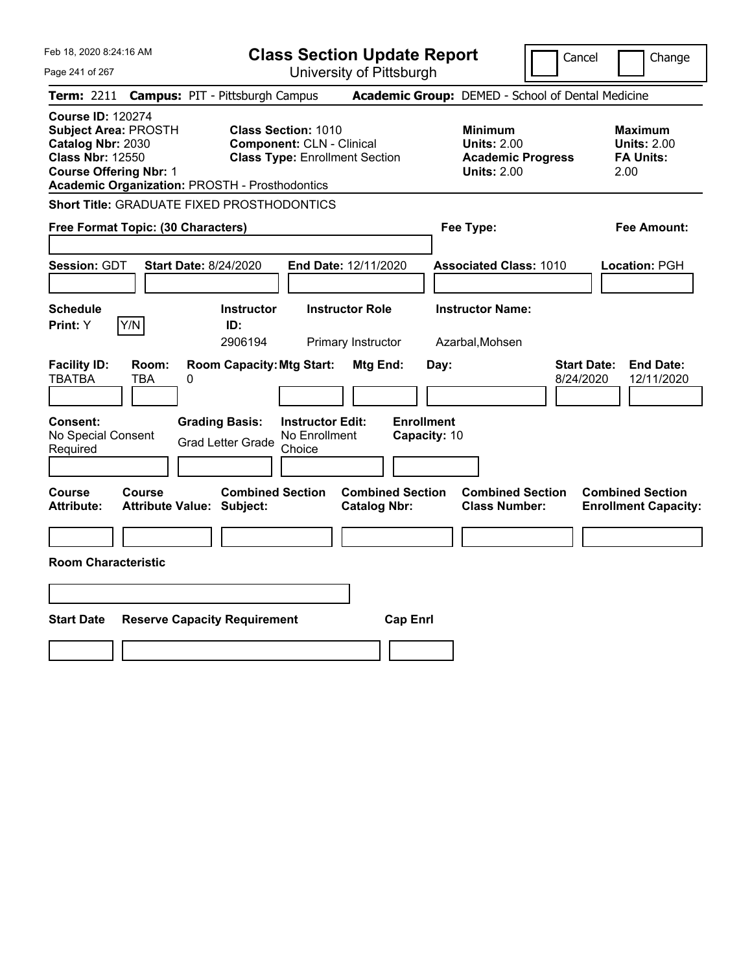Feb 18, 2020 8:24:16 AM Page 241 of 267 **Class Section Update Report** University of Pittsburgh Cancel Change **Term:** 2211 **Campus:** PIT - Pittsburgh Campus **Academic Group:** DEMED - School of Dental Medicine **Course ID:** 120274 **Subject Area:** PROSTH **Class Section:** 1010 **Minimum Maximum Catalog Nbr:** 2030 **Component:** CLN - Clinical **Units:** 2.00 **Units:** 2.00 **Class Nbr:** 12550 **Class Type:** Enrollment Section **Academic Progress FA Units: Course Offering Nbr:** 1 **Units:** 2.00 2.00 **Academic Organization:** PROSTH - Prosthodontics **Short Title:** GRADUATE FIXED PROSTHODONTICS **Free Format Topic: (30 Characters) Fee Type: Fee Amount: Session:** GDT **Start Date:** 8/24/2020 **End Date:** 12/11/2020 **Associated Class:** 1010 **Location:** PGH **Schedule Instructor Instructor Role Instructor Name: Print:**  $Y$   $|Y/N|$  **ID:** 2906194 Primary Instructor Azarbal,Mohsen **Facility ID: Room: Room Capacity:Mtg Start: Mtg End: Day: Start Date: End Date:** TBATBA TBA 0 8/24/2020 12/11/2020 **Consent: Grading Basis: Instructor Edit: Enrollment** No Special Consent Grad Letter Grade No Enrollment Choice **Capacity:** 10 **Course Course Combined Section Combined Section Combined Section Combined Section Attribute: Attribute Value: Subject: Catalog Nbr: Class Number: Enrollment Capacity: Room Characteristic Start Date Reserve Capacity Requirement Cap Enrl**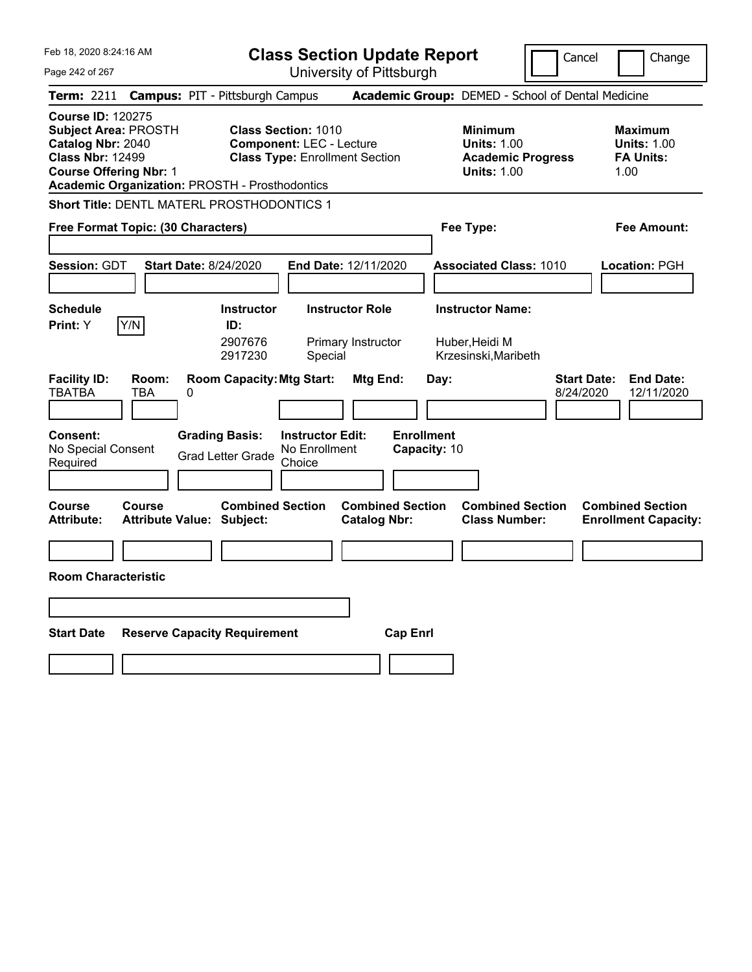**Class Section Update Report**

Cancel **I** Change

| Page 242 of 267                                                                                                                                                                            | University of Pittsburgh                                                                                      |                                                                                        |                                                                  |
|--------------------------------------------------------------------------------------------------------------------------------------------------------------------------------------------|---------------------------------------------------------------------------------------------------------------|----------------------------------------------------------------------------------------|------------------------------------------------------------------|
| <b>Term: 2211</b>                                                                                                                                                                          | <b>Campus: PIT - Pittsburgh Campus</b>                                                                        | Academic Group: DEMED - School of Dental Medicine                                      |                                                                  |
| <b>Course ID: 120275</b><br><b>Subject Area: PROSTH</b><br>Catalog Nbr: 2040<br><b>Class Nbr: 12499</b><br><b>Course Offering Nbr: 1</b><br>Academic Organization: PROSTH - Prosthodontics | <b>Class Section: 1010</b><br><b>Component: LEC - Lecture</b><br><b>Class Type: Enrollment Section</b>        | <b>Minimum</b><br><b>Units: 1.00</b><br><b>Academic Progress</b><br><b>Units: 1.00</b> | <b>Maximum</b><br><b>Units: 1.00</b><br><b>FA Units:</b><br>1.00 |
| <b>Short Title: DENTL MATERL PROSTHODONTICS 1</b>                                                                                                                                          |                                                                                                               |                                                                                        |                                                                  |
| Free Format Topic: (30 Characters)                                                                                                                                                         |                                                                                                               | Fee Type:                                                                              | Fee Amount:                                                      |
| Session: GDT                                                                                                                                                                               | <b>Start Date: 8/24/2020</b><br>End Date: 12/11/2020                                                          | <b>Associated Class: 1010</b>                                                          | Location: PGH                                                    |
| <b>Schedule</b><br>Print: Y<br>Y/N                                                                                                                                                         | <b>Instructor</b><br><b>Instructor Role</b><br>ID:<br>2907676<br>Primary Instructor<br>2917230<br>Special     | <b>Instructor Name:</b><br>Huber, Heidi M<br>Krzesinski, Maribeth                      |                                                                  |
| <b>Facility ID:</b><br>Room:<br><b>TBATBA</b><br><b>TBA</b><br>0                                                                                                                           | <b>Room Capacity: Mtg Start:</b><br>Mtg End:                                                                  | <b>Start Date:</b><br>Day:<br>8/24/2020                                                | <b>End Date:</b><br>12/11/2020                                   |
| Consent:<br>No Special Consent<br>Required                                                                                                                                                 | <b>Grading Basis:</b><br><b>Instructor Edit:</b><br>No Enrollment<br><b>Grad Letter Grade</b><br>Choice       | <b>Enrollment</b><br>Capacity: 10                                                      |                                                                  |
| Course<br><b>Course</b><br><b>Attribute:</b>                                                                                                                                               | <b>Combined Section</b><br><b>Combined Section</b><br><b>Attribute Value: Subject:</b><br><b>Catalog Nbr:</b> | <b>Combined Section</b><br><b>Class Number:</b>                                        | <b>Combined Section</b><br><b>Enrollment Capacity:</b>           |
| <b>Room Characteristic</b>                                                                                                                                                                 |                                                                                                               |                                                                                        |                                                                  |
|                                                                                                                                                                                            |                                                                                                               |                                                                                        |                                                                  |
|                                                                                                                                                                                            |                                                                                                               |                                                                                        |                                                                  |
| <b>Start Date</b>                                                                                                                                                                          | <b>Reserve Capacity Requirement</b><br><b>Cap Enrl</b>                                                        |                                                                                        |                                                                  |
|                                                                                                                                                                                            |                                                                                                               |                                                                                        |                                                                  |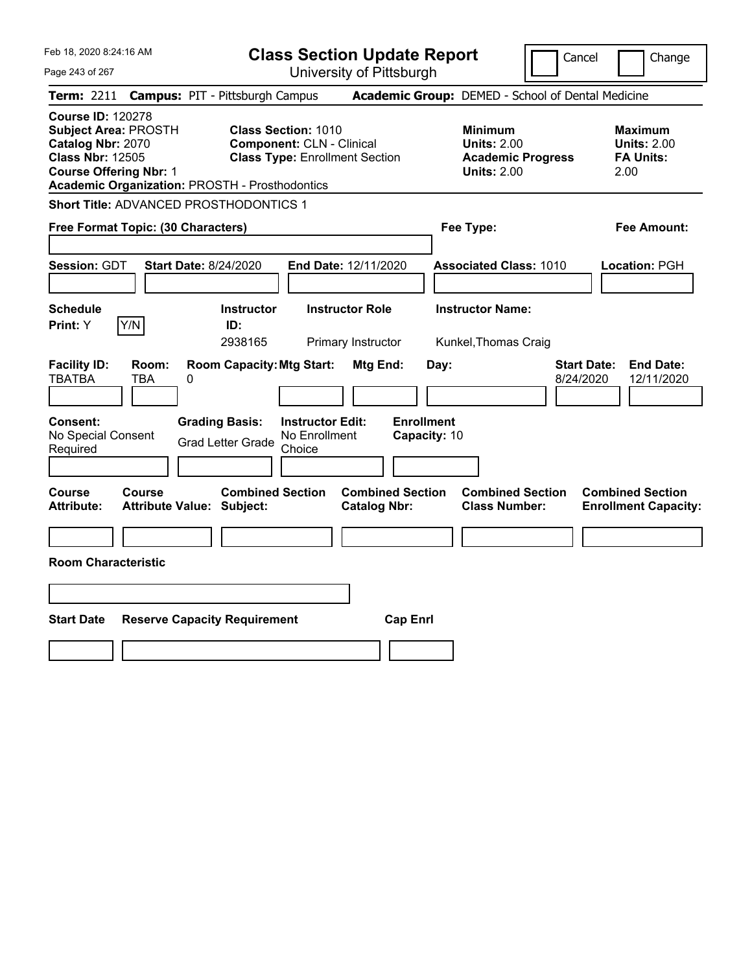|  | Feb 18, 2020 8:24:16 AM |  |
|--|-------------------------|--|
|  |                         |  |

Page 243 of 267

**Class Section Update Report**

Cancel Change

|                                                                                                                                          |                     | Term: 2211 Campus: PIT - Pittsburgh Campus                                                 |                                                                |                                                |                                           | Academic Group: DEMED - School of Dental Medicine                                      |                                                                   |
|------------------------------------------------------------------------------------------------------------------------------------------|---------------------|--------------------------------------------------------------------------------------------|----------------------------------------------------------------|------------------------------------------------|-------------------------------------------|----------------------------------------------------------------------------------------|-------------------------------------------------------------------|
| <b>Course ID: 120278</b><br><b>Subject Area: PROSTH</b><br>Catalog Nbr: 2070<br><b>Class Nbr: 12505</b><br><b>Course Offering Nbr: 1</b> |                     | <b>Academic Organization: PROSTH - Prosthodontics</b>                                      | <b>Class Section: 1010</b><br><b>Component: CLN - Clinical</b> | <b>Class Type: Enrollment Section</b>          |                                           | <b>Minimum</b><br><b>Units: 2.00</b><br><b>Academic Progress</b><br><b>Units: 2.00</b> | <b>Maximum</b><br><b>Units: 2.00</b><br><b>FA Units:</b><br>2.00  |
|                                                                                                                                          |                     | Short Title: ADVANCED PROSTHODONTICS 1                                                     |                                                                |                                                |                                           |                                                                                        |                                                                   |
| Free Format Topic: (30 Characters)                                                                                                       |                     |                                                                                            |                                                                |                                                |                                           | Fee Type:                                                                              | <b>Fee Amount:</b>                                                |
| <b>Session: GDT</b><br><b>Schedule</b>                                                                                                   |                     | <b>Start Date: 8/24/2020</b><br><b>Instructor</b>                                          |                                                                | End Date: 12/11/2020<br><b>Instructor Role</b> |                                           | <b>Associated Class: 1010</b><br><b>Instructor Name:</b>                               | Location: PGH                                                     |
| Print: Y                                                                                                                                 | Y/N                 | ID:                                                                                        |                                                                |                                                |                                           |                                                                                        |                                                                   |
|                                                                                                                                          |                     | 2938165                                                                                    |                                                                | Primary Instructor                             |                                           | Kunkel, Thomas Craig                                                                   |                                                                   |
| <b>Facility ID:</b><br><b>TBATBA</b><br>Consent:<br>No Special Consent<br>Required                                                       | Room:<br><b>TBA</b> | <b>Room Capacity: Mtg Start:</b><br>0<br><b>Grading Basis:</b><br><b>Grad Letter Grade</b> | <b>Instructor Edit:</b><br>No Enrollment<br>Choice             | Mtg End:                                       | Day:<br><b>Enrollment</b><br>Capacity: 10 |                                                                                        | <b>Start Date:</b><br><b>End Date:</b><br>8/24/2020<br>12/11/2020 |
| Course<br><b>Attribute:</b>                                                                                                              | Course              | <b>Combined Section</b><br><b>Attribute Value: Subject:</b>                                |                                                                | <b>Combined Section</b><br><b>Catalog Nbr:</b> |                                           | <b>Combined Section</b><br><b>Class Number:</b>                                        | <b>Combined Section</b><br><b>Enrollment Capacity:</b>            |
|                                                                                                                                          |                     |                                                                                            |                                                                |                                                |                                           |                                                                                        |                                                                   |
| <b>Room Characteristic</b>                                                                                                               |                     |                                                                                            |                                                                |                                                |                                           |                                                                                        |                                                                   |
|                                                                                                                                          |                     |                                                                                            |                                                                |                                                |                                           |                                                                                        |                                                                   |
| <b>Start Date</b>                                                                                                                        |                     | <b>Reserve Capacity Requirement</b>                                                        |                                                                |                                                | <b>Cap Enrl</b>                           |                                                                                        |                                                                   |
|                                                                                                                                          |                     |                                                                                            |                                                                |                                                |                                           |                                                                                        |                                                                   |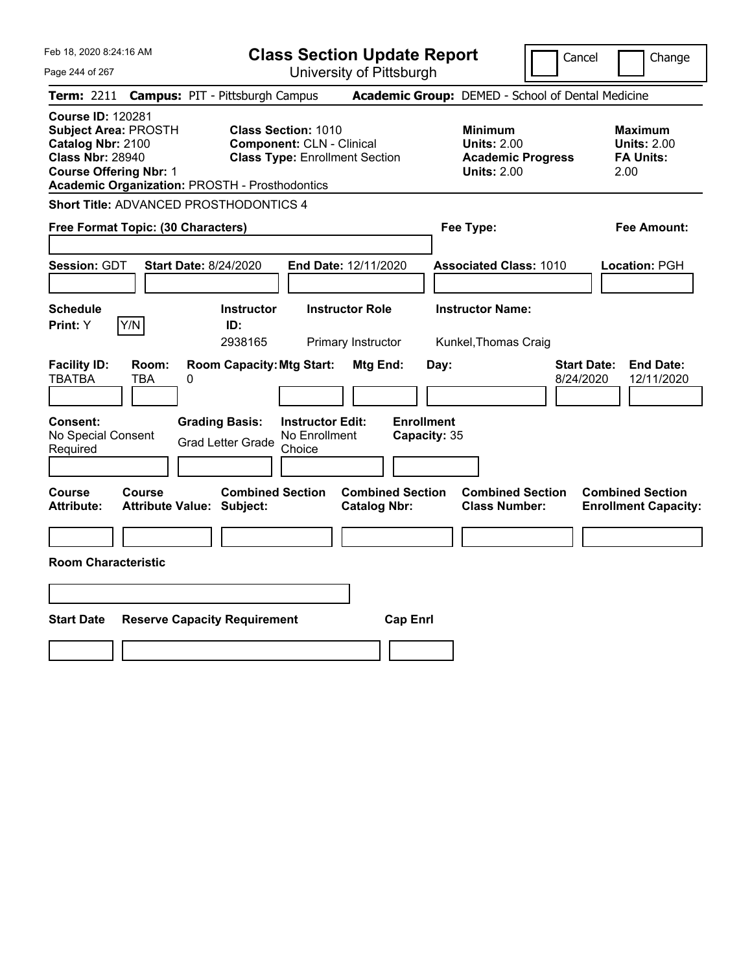|  | Feb 18, 2020 8:24:16 AM |  |
|--|-------------------------|--|
|  |                         |  |

Page 244 of 267

**Class Section Update Report**

Cancel **Change** 

| <b>Term: 2211</b>                                                                                                                        |                          | <b>Campus: PIT - Pittsburgh Campus</b>                                                |                                                                                                         |                                                |                                           | Academic Group: DEMED - School of Dental Medicine                                      |                                 |                                                           |
|------------------------------------------------------------------------------------------------------------------------------------------|--------------------------|---------------------------------------------------------------------------------------|---------------------------------------------------------------------------------------------------------|------------------------------------------------|-------------------------------------------|----------------------------------------------------------------------------------------|---------------------------------|-----------------------------------------------------------|
| <b>Course ID: 120281</b><br><b>Subject Area: PROSTH</b><br>Catalog Nbr: 2100<br><b>Class Nbr: 28940</b><br><b>Course Offering Nbr: 1</b> |                          | <b>Academic Organization: PROSTH - Prosthodontics</b>                                 | <b>Class Section: 1010</b><br><b>Component: CLN - Clinical</b><br><b>Class Type: Enrollment Section</b> |                                                |                                           | <b>Minimum</b><br><b>Units: 2.00</b><br><b>Academic Progress</b><br><b>Units: 2.00</b> |                                 | Maximum<br><b>Units: 2.00</b><br><b>FA Units:</b><br>2.00 |
|                                                                                                                                          |                          | <b>Short Title: ADVANCED PROSTHODONTICS 4</b>                                         |                                                                                                         |                                                |                                           |                                                                                        |                                 |                                                           |
| Free Format Topic: (30 Characters)                                                                                                       |                          |                                                                                       |                                                                                                         |                                                |                                           | Fee Type:                                                                              |                                 | Fee Amount:                                               |
| Session: GDT                                                                                                                             |                          | <b>Start Date: 8/24/2020</b>                                                          | End Date: 12/11/2020                                                                                    |                                                |                                           | <b>Associated Class: 1010</b>                                                          |                                 | Location: PGH                                             |
| <b>Schedule</b><br><b>Print:</b> Y                                                                                                       | Y/N                      | <b>Instructor</b><br>ID:<br>2938165                                                   | <b>Instructor Role</b>                                                                                  | Primary Instructor                             |                                           | <b>Instructor Name:</b><br>Kunkel, Thomas Craig                                        |                                 |                                                           |
| <b>Facility ID:</b><br><b>TBATBA</b><br>Consent:<br>No Special Consent<br>Required                                                       | Room:<br><b>TBA</b><br>0 | <b>Room Capacity: Mtg Start:</b><br><b>Grading Basis:</b><br><b>Grad Letter Grade</b> | <b>Instructor Edit:</b><br>No Enrollment<br>Choice                                                      | Mtg End:                                       | Day:<br><b>Enrollment</b><br>Capacity: 35 |                                                                                        | <b>Start Date:</b><br>8/24/2020 | <b>End Date:</b><br>12/11/2020                            |
| Course<br><b>Attribute:</b>                                                                                                              | Course                   | <b>Combined Section</b><br><b>Attribute Value: Subject:</b>                           |                                                                                                         | <b>Combined Section</b><br><b>Catalog Nbr:</b> |                                           | <b>Combined Section</b><br><b>Class Number:</b>                                        |                                 | <b>Combined Section</b><br><b>Enrollment Capacity:</b>    |
|                                                                                                                                          |                          |                                                                                       |                                                                                                         |                                                |                                           |                                                                                        |                                 |                                                           |
| <b>Room Characteristic</b>                                                                                                               |                          |                                                                                       |                                                                                                         |                                                |                                           |                                                                                        |                                 |                                                           |
|                                                                                                                                          |                          |                                                                                       |                                                                                                         |                                                |                                           |                                                                                        |                                 |                                                           |
| <b>Start Date</b>                                                                                                                        |                          | <b>Reserve Capacity Requirement</b>                                                   |                                                                                                         | <b>Cap Enrl</b>                                |                                           |                                                                                        |                                 |                                                           |
|                                                                                                                                          |                          |                                                                                       |                                                                                                         |                                                |                                           |                                                                                        |                                 |                                                           |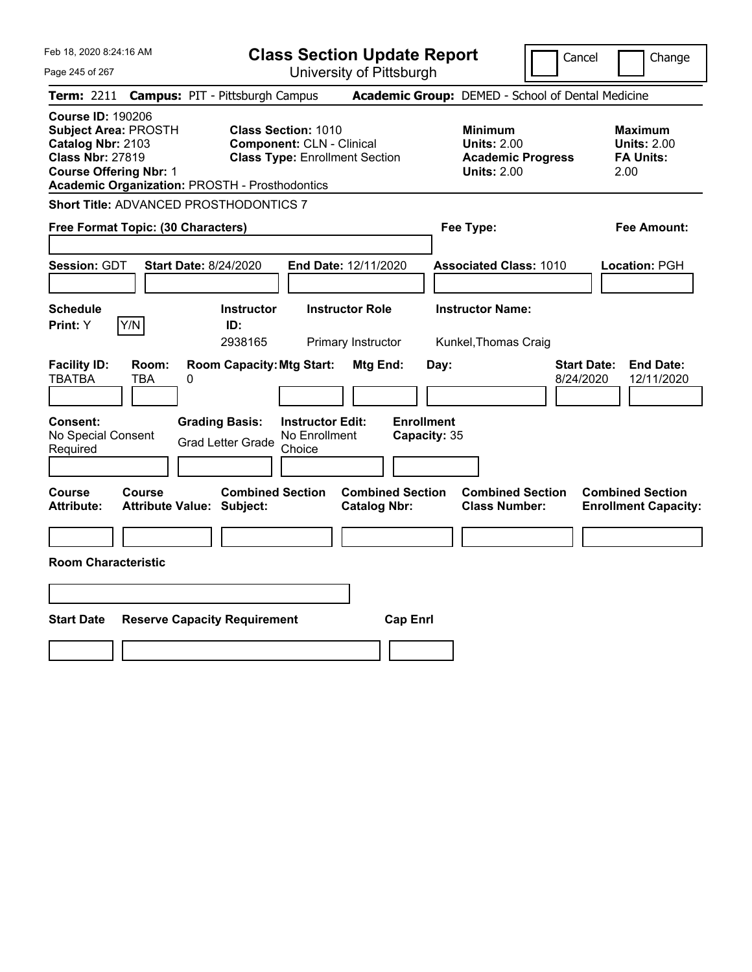|  | Feb 18, 2020 8:24:16 AM |  |
|--|-------------------------|--|
|  |                         |  |

Page 245 of 267

**Class Section Update Report**

Cancel **Change** 

| <b>Term: 2211</b>                                                                                                                        | <b>Campus: PIT - Pittsburgh Campus</b>                                                                                                                           |                                                                |                                           | Academic Group: DEMED - School of Dental Medicine                                      |                                                                   |
|------------------------------------------------------------------------------------------------------------------------------------------|------------------------------------------------------------------------------------------------------------------------------------------------------------------|----------------------------------------------------------------|-------------------------------------------|----------------------------------------------------------------------------------------|-------------------------------------------------------------------|
| <b>Course ID: 190206</b><br><b>Subject Area: PROSTH</b><br>Catalog Nbr: 2103<br><b>Class Nbr: 27819</b><br><b>Course Offering Nbr: 1</b> | <b>Class Section: 1010</b><br><b>Component: CLN - Clinical</b><br><b>Class Type: Enrollment Section</b><br><b>Academic Organization: PROSTH - Prosthodontics</b> |                                                                |                                           | <b>Minimum</b><br><b>Units: 2.00</b><br><b>Academic Progress</b><br><b>Units: 2.00</b> | <b>Maximum</b><br><b>Units: 2.00</b><br><b>FA Units:</b><br>2.00  |
|                                                                                                                                          | <b>Short Title: ADVANCED PROSTHODONTICS 7</b>                                                                                                                    |                                                                |                                           |                                                                                        |                                                                   |
| Free Format Topic: (30 Characters)                                                                                                       |                                                                                                                                                                  |                                                                |                                           | Fee Type:                                                                              | <b>Fee Amount:</b>                                                |
| Session: GDT                                                                                                                             | <b>Start Date: 8/24/2020</b>                                                                                                                                     | End Date: 12/11/2020                                           |                                           | <b>Associated Class: 1010</b>                                                          | Location: PGH                                                     |
| <b>Schedule</b><br>Print: Y                                                                                                              | <b>Instructor</b>                                                                                                                                                | <b>Instructor Role</b>                                         |                                           | <b>Instructor Name:</b>                                                                |                                                                   |
| Y/N                                                                                                                                      | ID:<br>2938165                                                                                                                                                   | Primary Instructor                                             |                                           | Kunkel, Thomas Craig                                                                   |                                                                   |
| <b>Facility ID:</b><br>Room:<br><b>TBATBA</b><br><b>TBA</b><br><b>Consent:</b><br>No Special Consent<br>Required                         | <b>Room Capacity: Mtg Start:</b><br>0<br><b>Grading Basis:</b><br><b>Grad Letter Grade</b>                                                                       | Mtg End:<br><b>Instructor Edit:</b><br>No Enrollment<br>Choice | Day:<br><b>Enrollment</b><br>Capacity: 35 |                                                                                        | <b>Start Date:</b><br><b>End Date:</b><br>8/24/2020<br>12/11/2020 |
| Course<br>Course<br><b>Attribute:</b>                                                                                                    | <b>Combined Section</b><br><b>Attribute Value: Subject:</b>                                                                                                      | <b>Catalog Nbr:</b>                                            | <b>Combined Section</b>                   | <b>Combined Section</b><br><b>Class Number:</b>                                        | <b>Combined Section</b><br><b>Enrollment Capacity:</b>            |
|                                                                                                                                          |                                                                                                                                                                  |                                                                |                                           |                                                                                        |                                                                   |
| <b>Room Characteristic</b>                                                                                                               |                                                                                                                                                                  |                                                                |                                           |                                                                                        |                                                                   |
|                                                                                                                                          |                                                                                                                                                                  |                                                                |                                           |                                                                                        |                                                                   |
| <b>Start Date</b>                                                                                                                        | <b>Reserve Capacity Requirement</b>                                                                                                                              |                                                                | <b>Cap Enrl</b>                           |                                                                                        |                                                                   |
|                                                                                                                                          |                                                                                                                                                                  |                                                                |                                           |                                                                                        |                                                                   |
|                                                                                                                                          |                                                                                                                                                                  |                                                                |                                           |                                                                                        |                                                                   |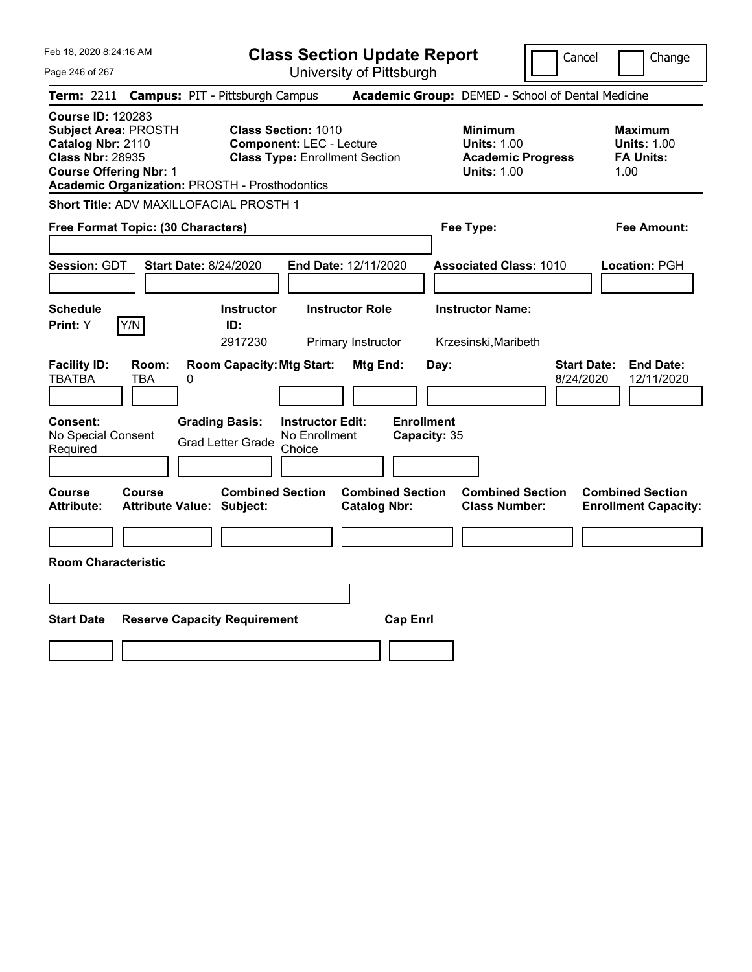|  | Feb 18, 2020 8:24:16 AM |  |
|--|-------------------------|--|
|  |                         |  |

Page 246 of 267

**Class Section Update Report**

Cancel Change

|                                                                                                                                          |                     | Term: 2211 Campus: PIT - Pittsburgh Campus                                                 |                                                               |                                                |                                           | Academic Group: DEMED - School of Dental Medicine                                      |                                                                   |
|------------------------------------------------------------------------------------------------------------------------------------------|---------------------|--------------------------------------------------------------------------------------------|---------------------------------------------------------------|------------------------------------------------|-------------------------------------------|----------------------------------------------------------------------------------------|-------------------------------------------------------------------|
| <b>Course ID: 120283</b><br><b>Subject Area: PROSTH</b><br>Catalog Nbr: 2110<br><b>Class Nbr: 28935</b><br><b>Course Offering Nbr: 1</b> |                     | Academic Organization: PROSTH - Prosthodontics                                             | <b>Class Section: 1010</b><br><b>Component: LEC - Lecture</b> | <b>Class Type: Enrollment Section</b>          |                                           | <b>Minimum</b><br><b>Units: 1.00</b><br><b>Academic Progress</b><br><b>Units: 1.00</b> | <b>Maximum</b><br><b>Units: 1.00</b><br><b>FA Units:</b><br>1.00  |
|                                                                                                                                          |                     | Short Title: ADV MAXILLOFACIAL PROSTH 1                                                    |                                                               |                                                |                                           |                                                                                        |                                                                   |
| Free Format Topic: (30 Characters)                                                                                                       |                     |                                                                                            |                                                               |                                                |                                           | Fee Type:                                                                              | <b>Fee Amount:</b>                                                |
| Session: GDT                                                                                                                             |                     | <b>Start Date: 8/24/2020</b>                                                               |                                                               | End Date: 12/11/2020                           |                                           | <b>Associated Class: 1010</b>                                                          | Location: PGH                                                     |
| <b>Schedule</b><br>Print: Y                                                                                                              | Y/N                 | <b>Instructor</b><br>ID:                                                                   |                                                               | <b>Instructor Role</b>                         |                                           | <b>Instructor Name:</b>                                                                |                                                                   |
|                                                                                                                                          |                     | 2917230                                                                                    |                                                               | Primary Instructor                             |                                           | Krzesinski, Maribeth                                                                   |                                                                   |
| <b>Facility ID:</b><br><b>TBATBA</b><br>Consent:<br>No Special Consent<br>Required                                                       | Room:<br><b>TBA</b> | <b>Room Capacity: Mtg Start:</b><br>0<br><b>Grading Basis:</b><br><b>Grad Letter Grade</b> | <b>Instructor Edit:</b><br>No Enrollment<br>Choice            | Mtg End:                                       | Day:<br><b>Enrollment</b><br>Capacity: 35 |                                                                                        | <b>Start Date:</b><br><b>End Date:</b><br>12/11/2020<br>8/24/2020 |
| Course<br><b>Attribute:</b>                                                                                                              | <b>Course</b>       | <b>Combined Section</b><br><b>Attribute Value: Subject:</b>                                |                                                               | <b>Combined Section</b><br><b>Catalog Nbr:</b> |                                           | <b>Combined Section</b><br><b>Class Number:</b>                                        | <b>Combined Section</b><br><b>Enrollment Capacity:</b>            |
|                                                                                                                                          |                     |                                                                                            |                                                               |                                                |                                           |                                                                                        |                                                                   |
| <b>Room Characteristic</b>                                                                                                               |                     |                                                                                            |                                                               |                                                |                                           |                                                                                        |                                                                   |
|                                                                                                                                          |                     |                                                                                            |                                                               |                                                |                                           |                                                                                        |                                                                   |
| <b>Start Date</b>                                                                                                                        |                     | <b>Reserve Capacity Requirement</b>                                                        |                                                               | <b>Cap Enrl</b>                                |                                           |                                                                                        |                                                                   |
|                                                                                                                                          |                     |                                                                                            |                                                               |                                                |                                           |                                                                                        |                                                                   |
|                                                                                                                                          |                     |                                                                                            |                                                               |                                                |                                           |                                                                                        |                                                                   |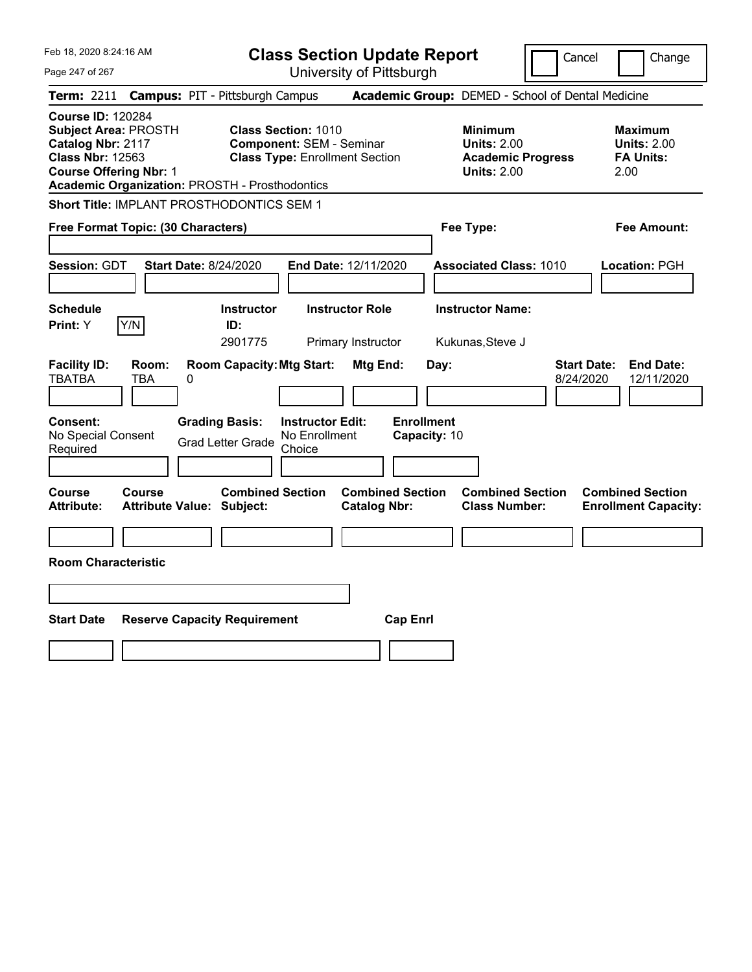Feb 18, 2020 8:24:16 AM Page 247 of 267 **Class Section Update Report** University of Pittsburgh Cancel Change **Term:** 2211 **Campus:** PIT - Pittsburgh Campus **Academic Group:** DEMED - School of Dental Medicine **Course ID:** 120284 **Subject Area:** PROSTH **Class Section:** 1010 **Minimum Maximum Catalog Nbr:** 2117 **Component:** SEM - Seminar **Units:** 2.00 **Units:** 2.00 **Class Nbr:** 12563 **Class Type:** Enrollment Section **Academic Progress FA Units: Course Offering Nbr:** 1 **Units:** 2.00 2.00 **Academic Organization:** PROSTH - Prosthodontics **Short Title:** IMPLANT PROSTHODONTICS SEM 1 **Free Format Topic: (30 Characters) Fee Type: Fee Amount: Session:** GDT **Start Date:** 8/24/2020 **End Date:** 12/11/2020 **Associated Class:** 1010 **Location:** PGH **Schedule Instructor Instructor Role Instructor Name: Print:**  $Y$   $|Y/N|$  **ID:** 2901775 Primary Instructor Kukunas,Steve J **Facility ID: Room: Room Capacity:Mtg Start: Mtg End: Day: Start Date: End Date:** TBATBA TBA 0 8/24/2020 12/11/2020 **Consent: Grading Basis: Instructor Edit: Enrollment** No Special Consent Grad Letter Grade No Enrollment Choice **Capacity:** 10 **Course Course Combined Section Combined Section Combined Section Combined Section Attribute: Attribute Value: Subject: Catalog Nbr: Class Number: Enrollment Capacity: Room Characteristic Start Date Reserve Capacity Requirement Cap Enrl**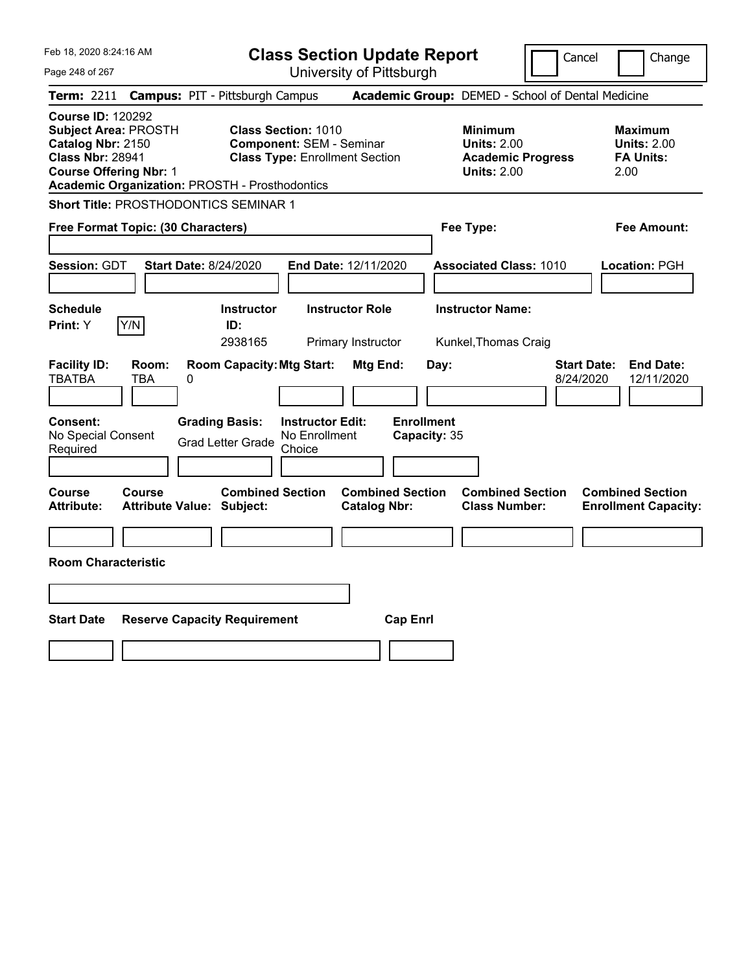Feb 18, 2020 8:24:16 AM Page 248 of 267 **Class Section Update Report** University of Pittsburgh Cancel Change **Term:** 2211 **Campus:** PIT - Pittsburgh Campus **Academic Group:** DEMED - School of Dental Medicine **Course ID:** 120292 **Subject Area:** PROSTH **Class Section:** 1010 **Minimum Maximum Catalog Nbr:** 2150 **Component:** SEM - Seminar **Units:** 2.00 **Units:** 2.00 **Class Nbr:** 28941 **Class Type:** Enrollment Section **Academic Progress FA Units: Course Offering Nbr:** 1 **Units:** 2.00 2.00 **Academic Organization:** PROSTH - Prosthodontics **Short Title:** PROSTHODONTICS SEMINAR 1 **Free Format Topic: (30 Characters) Fee Type: Fee Amount: Session:** GDT **Start Date:** 8/24/2020 **End Date:** 12/11/2020 **Associated Class:** 1010 **Location:** PGH **Schedule Instructor Instructor Role Instructor Name: Print:**  $Y$   $|Y/N|$  **ID:** 2938165 Primary Instructor Kunkel,Thomas Craig **Facility ID: Room: Room Capacity:Mtg Start: Mtg End: Day: Start Date: End Date:** TBATBA TBA 0 8/24/2020 12/11/2020 **Consent: Grading Basis: Instructor Edit: Enrollment** No Special Consent Grad Letter Grade No Enrollment Choice **Capacity:** 35 **Course Course Combined Section Combined Section Combined Section Combined Section Attribute: Attribute Value: Subject: Catalog Nbr: Class Number: Enrollment Capacity: Room Characteristic Start Date Reserve Capacity Requirement Cap Enrl**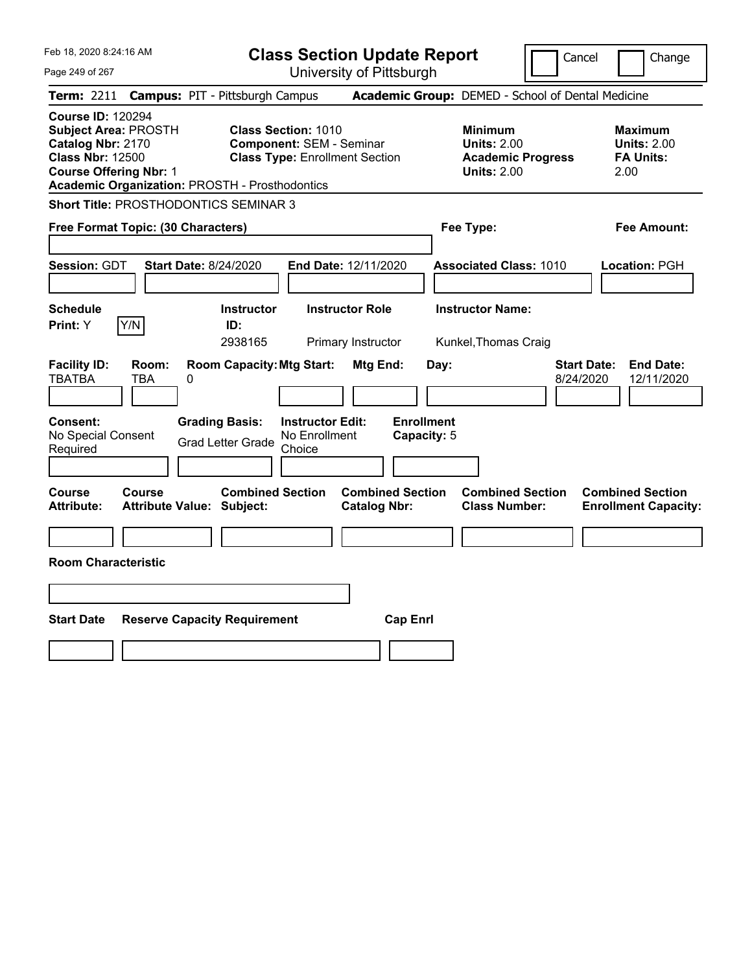Feb 18, 2020 8:24:16 AM Page 249 of 267 **Class Section Update Report** University of Pittsburgh Cancel Change **Term:** 2211 **Campus:** PIT - Pittsburgh Campus **Academic Group:** DEMED - School of Dental Medicine **Course ID:** 120294 **Subject Area:** PROSTH **Class Section:** 1010 **Minimum Maximum Catalog Nbr:** 2170 **Component:** SEM - Seminar **Units:** 2.00 **Units:** 2.00 **Class Nbr:** 12500 **Class Type:** Enrollment Section **Academic Progress FA Units: Course Offering Nbr:** 1 **Units:** 2.00 2.00 **Academic Organization:** PROSTH - Prosthodontics **Short Title:** PROSTHODONTICS SEMINAR 3 **Free Format Topic: (30 Characters) Fee Type: Fee Amount: Session:** GDT **Start Date:** 8/24/2020 **End Date:** 12/11/2020 **Associated Class:** 1010 **Location:** PGH **Schedule Instructor Instructor Role Instructor Name: Print:**  $Y$   $|Y/N|$  **ID:** 2938165 Primary Instructor Kunkel,Thomas Craig **Facility ID: Room: Room Capacity:Mtg Start: Mtg End: Day: Start Date: End Date:** TBATBA TBA 0 8/24/2020 12/11/2020 **Consent: Grading Basis: Instructor Edit: Enrollment** No Special Consent Grad Letter Grade No Enrollment Choice **Capacity:** 5 **Course Course Combined Section Combined Section Combined Section Combined Section Attribute: Attribute Value: Subject: Catalog Nbr: Class Number: Enrollment Capacity: Room Characteristic Start Date Reserve Capacity Requirement Cap Enrl**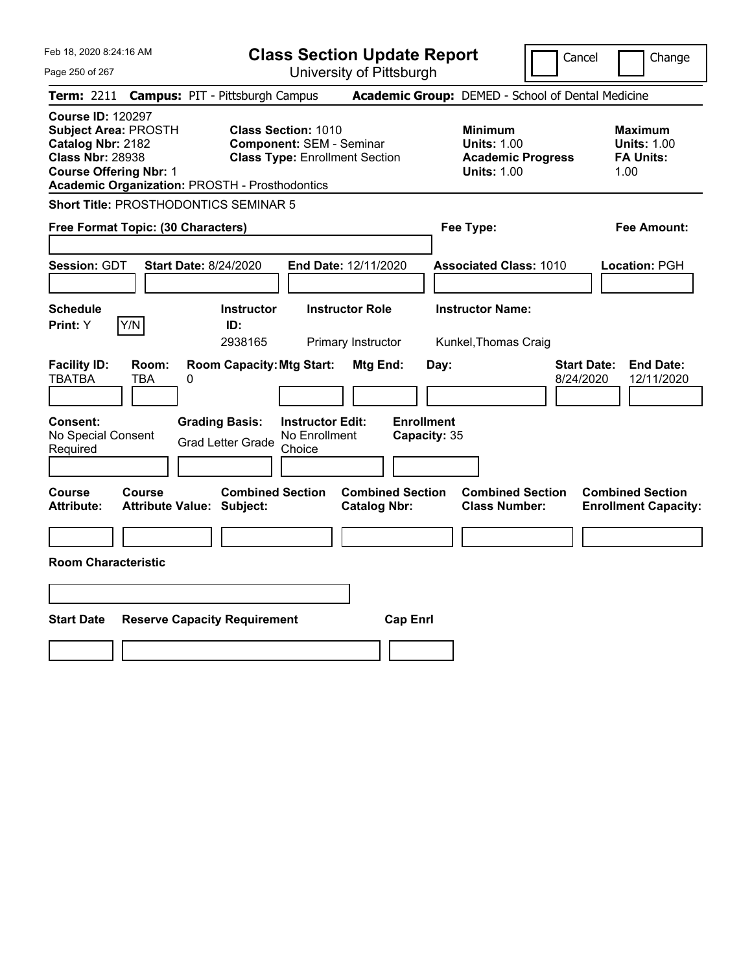| Feb 18, 2020 8:24:16 AM |
|-------------------------|
|                         |

Page 250 of 267 University of Pittsburgh Cancel Change **Term:** 2211 **Campus:** PIT - Pittsburgh Campus **Academic Group:** DEMED - School of Dental Medicine **Course ID:** 120297 **Subject Area:** PROSTH **Class Section:** 1010 **Minimum Maximum Catalog Nbr:** 2182 **Component:** SEM - Seminar **Units:** 1.00 **Units:** 1.00 **Class Nbr:** 28938 **Class Type:** Enrollment Section **Academic Progress FA Units: Course Offering Nbr: 1 1.00 1.00 1.00 1.00 1.00 1.00 1.00 1.00 1.00 Academic Organization:** PROSTH - Prosthodontics **Short Title:** PROSTHODONTICS SEMINAR 5 **Free Format Topic: (30 Characters) Fee Type: Fee Amount: Session:** GDT **Start Date:** 8/24/2020 **End Date:** 12/11/2020 **Associated Class:** 1010 **Location:** PGH **Schedule Instructor Instructor Role Instructor Name: Print:**  $Y$   $|Y/N|$  **ID:** 2938165 Primary Instructor Kunkel,Thomas Craig **Facility ID: Room: Room Capacity:Mtg Start: Mtg End: Day: Start Date: End Date:** TBATBA TBA 0 8/24/2020 12/11/2020 **Consent: Grading Basis: Instructor Edit: Enrollment** No Special Consent No Special Consent Grad Letter Grade No Enrollment<br>Required Choice Choice **Capacity:** 35 **Course Course Combined Section Combined Section Combined Section Combined Section Attribute: Attribute Value: Subject: Catalog Nbr: Class Number: Enrollment Capacity: Room Characteristic Start Date Reserve Capacity Requirement Cap Enrl**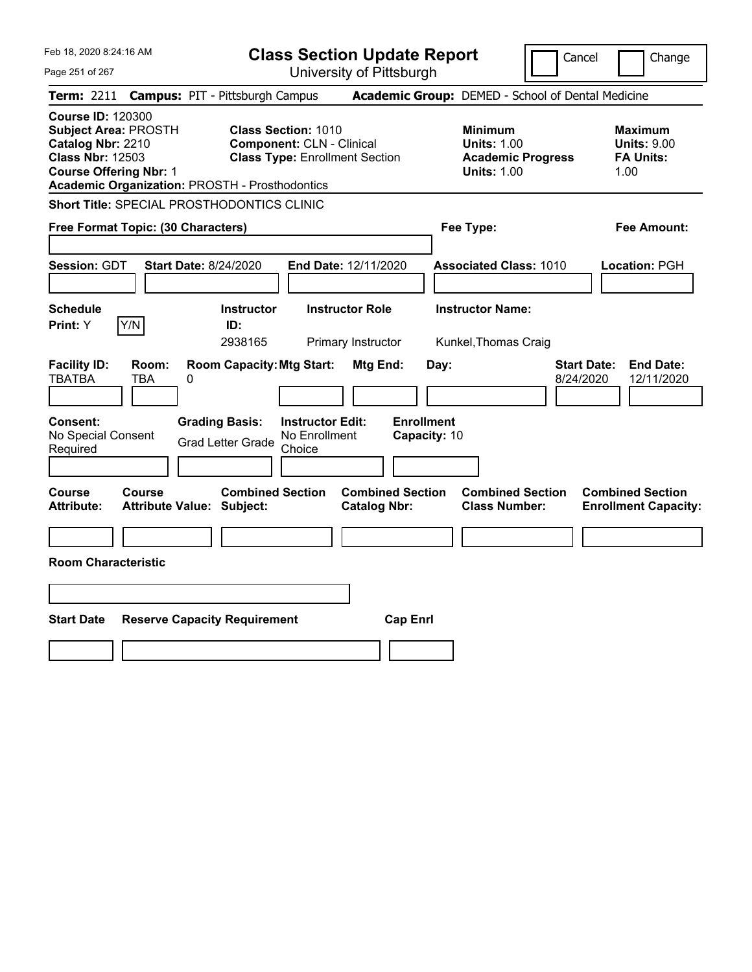Page 251 of 267

**Class Section Update Report**

Cancel Change

|                                                                                                                                                                                                                                                                                                                                                                                                    |                                                      | Term: 2211 Campus: PIT - Pittsburgh Campus           |                        |                                                | Academic Group: DEMED - School of Dental Medicine |                                                                                        |  |                                                                  |
|----------------------------------------------------------------------------------------------------------------------------------------------------------------------------------------------------------------------------------------------------------------------------------------------------------------------------------------------------------------------------------------------------|------------------------------------------------------|------------------------------------------------------|------------------------|------------------------------------------------|---------------------------------------------------|----------------------------------------------------------------------------------------|--|------------------------------------------------------------------|
| <b>Course ID: 120300</b><br><b>Subject Area: PROSTH</b><br><b>Class Section: 1010</b><br>Catalog Nbr: 2210<br><b>Component: CLN - Clinical</b><br><b>Class Nbr: 12503</b><br><b>Class Type: Enrollment Section</b><br><b>Course Offering Nbr: 1</b><br>Academic Organization: PROSTH - Prosthodontics                                                                                              |                                                      |                                                      |                        |                                                |                                                   | <b>Minimum</b><br><b>Units: 1.00</b><br><b>Academic Progress</b><br><b>Units: 1.00</b> |  | <b>Maximum</b><br><b>Units: 9.00</b><br><b>FA Units:</b><br>1.00 |
| <b>Short Title: SPECIAL PROSTHODONTICS CLINIC</b>                                                                                                                                                                                                                                                                                                                                                  |                                                      |                                                      |                        |                                                |                                                   |                                                                                        |  |                                                                  |
| Free Format Topic: (30 Characters)                                                                                                                                                                                                                                                                                                                                                                 |                                                      |                                                      |                        |                                                |                                                   | Fee Type:                                                                              |  | <b>Fee Amount:</b>                                               |
| Session: GDT                                                                                                                                                                                                                                                                                                                                                                                       | End Date: 12/11/2020<br><b>Start Date: 8/24/2020</b> |                                                      |                        |                                                |                                                   | <b>Associated Class: 1010</b>                                                          |  | Location: PGH                                                    |
| <b>Schedule</b><br>Print: Y                                                                                                                                                                                                                                                                                                                                                                        | Y/N                                                  | <b>Instructor</b><br>ID:<br>2938165                  | <b>Instructor Role</b> | Primary Instructor                             |                                                   | <b>Instructor Name:</b><br>Kunkel, Thomas Craig                                        |  |                                                                  |
| <b>Facility ID:</b><br><b>Room Capacity: Mtg Start:</b><br>Mtg End:<br><b>Start Date:</b><br><b>End Date:</b><br>Room:<br>Day:<br><b>TBATBA</b><br><b>TBA</b><br>$\Omega$<br>8/24/2020<br>12/11/2020<br><b>Enrollment</b><br><b>Grading Basis:</b><br><b>Instructor Edit:</b><br>Consent:<br>No Special Consent<br>No Enrollment<br>Capacity: 10<br><b>Grad Letter Grade</b><br>Required<br>Choice |                                                      |                                                      |                        |                                                |                                                   |                                                                                        |  |                                                                  |
| Course<br><b>Attribute:</b>                                                                                                                                                                                                                                                                                                                                                                        | Course                                               | <b>Combined Section</b><br>Attribute Value: Subject: |                        | <b>Combined Section</b><br><b>Catalog Nbr:</b> |                                                   | <b>Combined Section</b><br><b>Class Number:</b>                                        |  | <b>Combined Section</b><br><b>Enrollment Capacity:</b>           |
|                                                                                                                                                                                                                                                                                                                                                                                                    |                                                      |                                                      |                        |                                                |                                                   |                                                                                        |  |                                                                  |
| <b>Room Characteristic</b>                                                                                                                                                                                                                                                                                                                                                                         |                                                      |                                                      |                        |                                                |                                                   |                                                                                        |  |                                                                  |
|                                                                                                                                                                                                                                                                                                                                                                                                    |                                                      |                                                      |                        |                                                |                                                   |                                                                                        |  |                                                                  |
| <b>Start Date</b><br><b>Reserve Capacity Requirement</b><br><b>Cap Enrl</b>                                                                                                                                                                                                                                                                                                                        |                                                      |                                                      |                        |                                                |                                                   |                                                                                        |  |                                                                  |
|                                                                                                                                                                                                                                                                                                                                                                                                    |                                                      |                                                      |                        |                                                |                                                   |                                                                                        |  |                                                                  |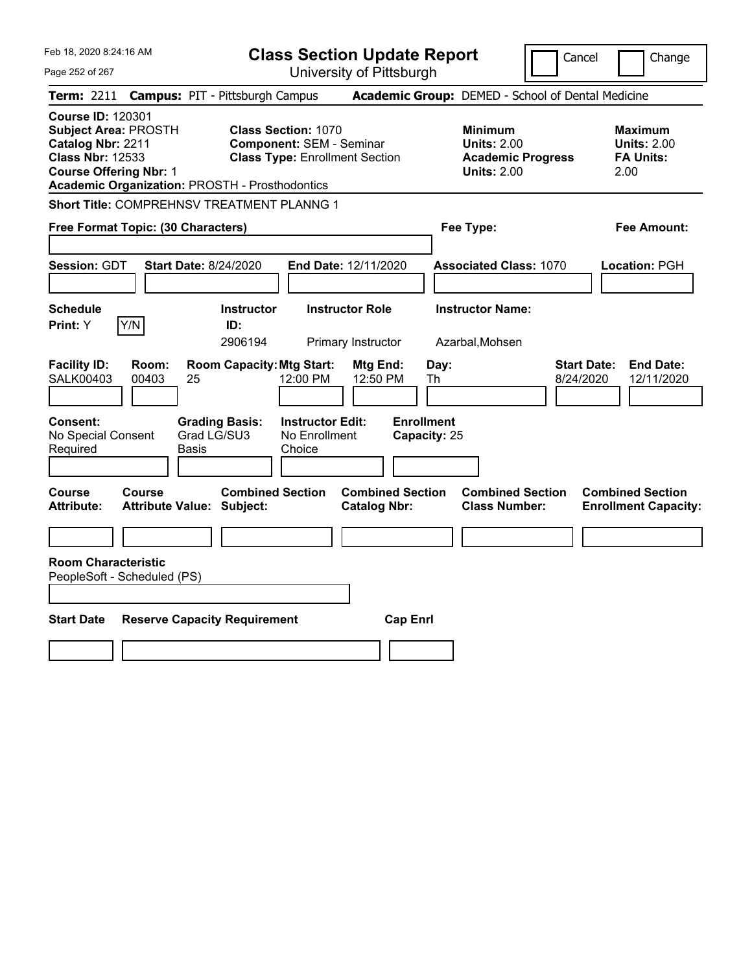| Feb 18, 2020 8:24:16 AM                                                                                                                                                                    | <b>Class Section Update Report</b>                                                                                                                                 | Cancel                                                                                 | Change                                                            |
|--------------------------------------------------------------------------------------------------------------------------------------------------------------------------------------------|--------------------------------------------------------------------------------------------------------------------------------------------------------------------|----------------------------------------------------------------------------------------|-------------------------------------------------------------------|
| Page 252 of 267                                                                                                                                                                            | University of Pittsburgh                                                                                                                                           |                                                                                        |                                                                   |
| Term: 2211                                                                                                                                                                                 | <b>Campus: PIT - Pittsburgh Campus</b>                                                                                                                             | Academic Group: DEMED - School of Dental Medicine                                      |                                                                   |
| <b>Course ID: 120301</b><br>Subject Area: PROSTH<br>Catalog Nbr: 2211<br><b>Class Nbr: 12533</b><br><b>Course Offering Nbr: 1</b><br><b>Academic Organization: PROSTH - Prosthodontics</b> | <b>Class Section: 1070</b><br><b>Component: SEM - Seminar</b><br><b>Class Type: Enrollment Section</b>                                                             | <b>Minimum</b><br><b>Units: 2.00</b><br><b>Academic Progress</b><br><b>Units: 2.00</b> | <b>Maximum</b><br><b>Units: 2.00</b><br><b>FA Units:</b><br>2.00  |
| Short Title: COMPREHNSV TREATMENT PLANNG 1                                                                                                                                                 |                                                                                                                                                                    |                                                                                        |                                                                   |
| Free Format Topic: (30 Characters)                                                                                                                                                         |                                                                                                                                                                    | Fee Type:                                                                              | Fee Amount:                                                       |
| <b>Session: GDT</b><br><b>Start Date: 8/24/2020</b>                                                                                                                                        | End Date: 12/11/2020                                                                                                                                               | <b>Associated Class: 1070</b>                                                          | Location: PGH                                                     |
| <b>Schedule</b>                                                                                                                                                                            | <b>Instructor</b><br><b>Instructor Role</b>                                                                                                                        | <b>Instructor Name:</b>                                                                |                                                                   |
| Y/N<br>Print: Y                                                                                                                                                                            | ID:<br>2906194<br>Primary Instructor                                                                                                                               | Azarbal, Mohsen                                                                        |                                                                   |
| <b>Facility ID:</b><br>Room:<br><b>SALK00403</b><br>00403<br>25<br>Consent:<br>No Special Consent<br>Required<br>Basis                                                                     | <b>Room Capacity: Mtg Start:</b><br>Mtg End:<br>12:00 PM<br>12:50 PM<br><b>Grading Basis:</b><br><b>Instructor Edit:</b><br>Grad LG/SU3<br>No Enrollment<br>Choice | Day:<br>Th<br><b>Enrollment</b><br>Capacity: 25                                        | <b>End Date:</b><br><b>Start Date:</b><br>8/24/2020<br>12/11/2020 |
| Course<br><b>Course</b><br><b>Attribute:</b><br><b>Attribute Value: Subject:</b>                                                                                                           | <b>Combined Section</b><br><b>Combined Section</b><br><b>Catalog Nbr:</b>                                                                                          | <b>Combined Section</b><br><b>Class Number:</b>                                        | <b>Combined Section</b><br><b>Enrollment Capacity:</b>            |
|                                                                                                                                                                                            |                                                                                                                                                                    |                                                                                        |                                                                   |
| <b>Room Characteristic</b><br>PeopleSoft - Scheduled (PS)                                                                                                                                  |                                                                                                                                                                    |                                                                                        |                                                                   |
| <b>Start Date</b><br><b>Reserve Capacity Requirement</b>                                                                                                                                   | <b>Cap Enrl</b>                                                                                                                                                    |                                                                                        |                                                                   |
|                                                                                                                                                                                            |                                                                                                                                                                    |                                                                                        |                                                                   |
|                                                                                                                                                                                            |                                                                                                                                                                    |                                                                                        |                                                                   |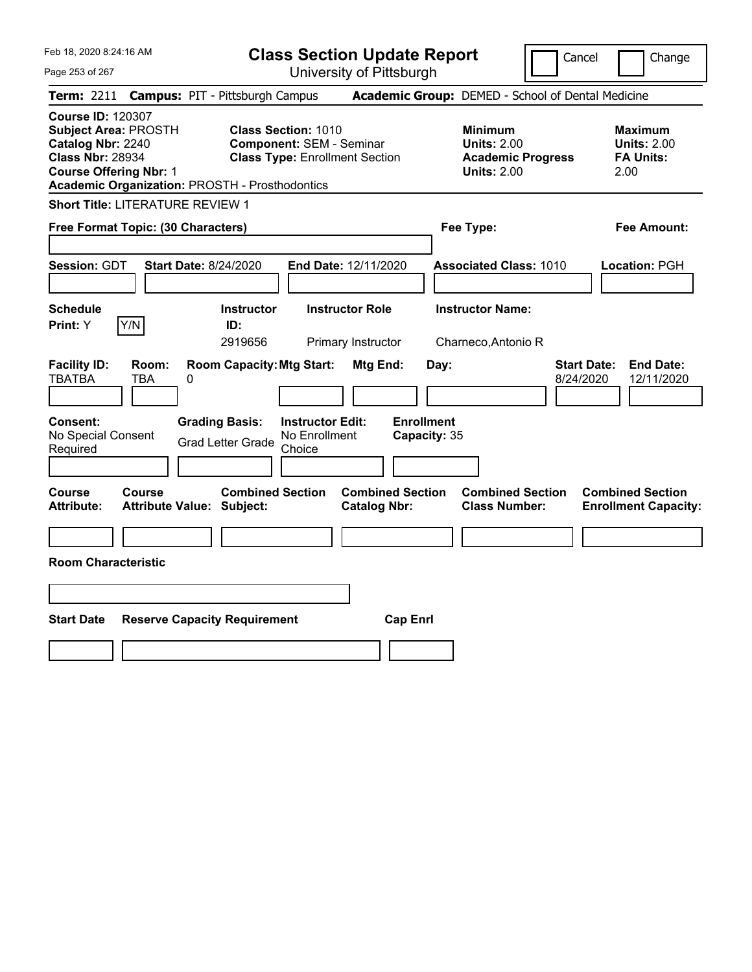| Feb 18, 2020 8:24:16 AM<br>Page 253 of 267                                                                                               | <b>Class Section Update Report</b><br>University of Pittsburgh                                                                                                  | Cancel                                                                                 | Change                                                    |
|------------------------------------------------------------------------------------------------------------------------------------------|-----------------------------------------------------------------------------------------------------------------------------------------------------------------|----------------------------------------------------------------------------------------|-----------------------------------------------------------|
| <b>Term:</b> 2211                                                                                                                        | <b>Campus: PIT - Pittsburgh Campus</b>                                                                                                                          | Academic Group: DEMED - School of Dental Medicine                                      |                                                           |
| <b>Course ID: 120307</b><br><b>Subject Area: PROSTH</b><br>Catalog Nbr: 2240<br><b>Class Nbr: 28934</b><br><b>Course Offering Nbr: 1</b> | <b>Class Section: 1010</b><br><b>Component: SEM - Seminar</b><br><b>Class Type: Enrollment Section</b><br><b>Academic Organization: PROSTH - Prosthodontics</b> | <b>Minimum</b><br><b>Units: 2.00</b><br><b>Academic Progress</b><br><b>Units: 2.00</b> | Maximum<br><b>Units: 2.00</b><br><b>FA Units:</b><br>2.00 |
| Short Title: LITERATURE REVIEW 1                                                                                                         |                                                                                                                                                                 |                                                                                        |                                                           |
| Free Format Topic: (30 Characters)                                                                                                       |                                                                                                                                                                 | Fee Type:                                                                              | Fee Amount:                                               |
| <b>Session: GDT</b><br><b>Schedule</b><br>Y/N<br><b>Print:</b> Y                                                                         | <b>Start Date: 8/24/2020</b><br>End Date: 12/11/2020<br><b>Instructor</b><br><b>Instructor Role</b><br>ID:                                                      | <b>Associated Class: 1010</b><br><b>Instructor Name:</b>                               | Location: PGH                                             |
| Room:<br><b>Facility ID:</b><br><b>TBATBA</b><br>TBA                                                                                     | 2919656<br>Primary Instructor<br><b>Room Capacity: Mtg Start:</b><br>Mtg End:<br>0                                                                              | Charneco, Antonio R<br>Day:<br>8/24/2020                                               | <b>Start Date:</b><br><b>End Date:</b><br>12/11/2020      |
| <b>Consent:</b><br>No Special Consent<br>Required                                                                                        | <b>Grading Basis:</b><br><b>Instructor Edit:</b><br>No Enrollment<br><b>Grad Letter Grade</b><br>Choice                                                         | <b>Enrollment</b><br>Capacity: 35                                                      |                                                           |
| Course<br>Course<br>Attribute:                                                                                                           | <b>Combined Section</b><br><b>Combined Section</b><br><b>Attribute Value: Subject:</b><br><b>Catalog Nbr:</b>                                                   | <b>Combined Section</b><br><b>Class Number:</b>                                        | <b>Combined Section</b><br><b>Enrollment Capacity:</b>    |
| <b>Room Characteristic</b>                                                                                                               |                                                                                                                                                                 |                                                                                        |                                                           |
|                                                                                                                                          |                                                                                                                                                                 |                                                                                        |                                                           |
| <b>Start Date</b>                                                                                                                        | <b>Reserve Capacity Requirement</b><br><b>Cap Enrl</b>                                                                                                          |                                                                                        |                                                           |
|                                                                                                                                          |                                                                                                                                                                 |                                                                                        |                                                           |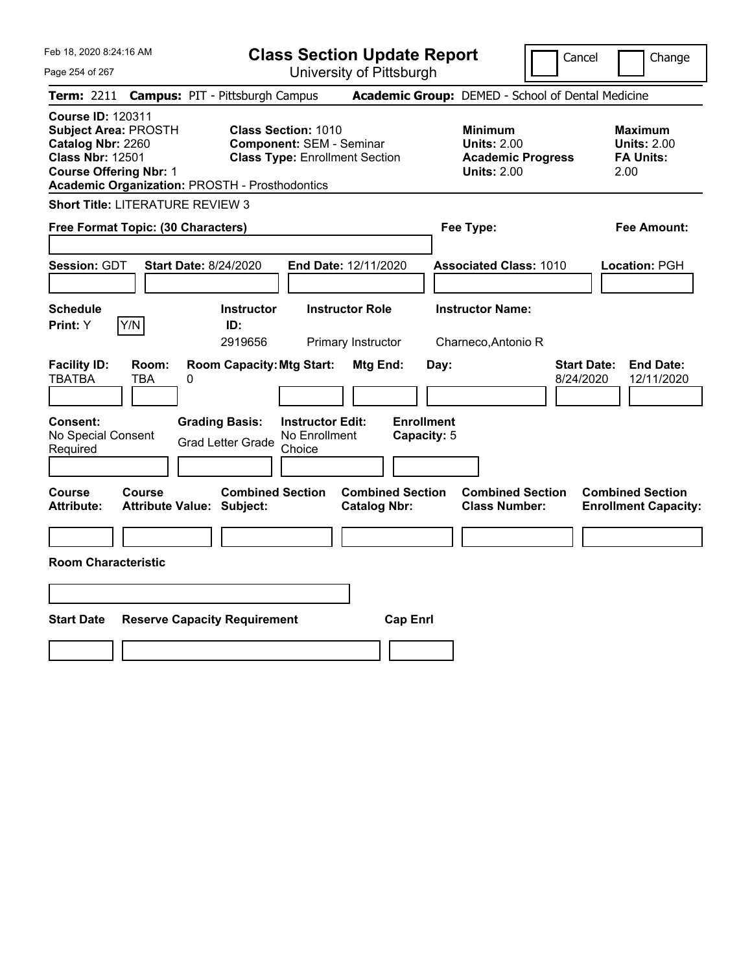Feb 18, 2020 8:24:16 AM Page 254 of 267 **Class Section Update Report** University of Pittsburgh Cancel | Change **Term:** 2211 **Campus:** PIT - Pittsburgh Campus **Academic Group:** DEMED - School of Dental Medicine **Course ID:** 120311 **Subject Area:** PROSTH **Class Section:** 1010 **Minimum Maximum Catalog Nbr: 2260 Component: SEM - Seminar <b>Component: 8EM - Seminar Units: 2.00 Units: 2.00 Class Nbr: 12501 Class Type: Enrollment Section Academic Progress FA Units: Class Type:** Enrollment Section **Academic Progress FA Units: Course Offering Nbr:** 1 **Units:** 2.00 2.00 **Academic Organization:** PROSTH - Prosthodontics **Short Title:** LITERATURE REVIEW 3 **Free Format Topic: (30 Characters) Fee Type: Fee Amount: Session:** GDT **Start Date:** 8/24/2020 **End Date:** 12/11/2020 **Associated Class:** 1010 **Location:** PGH **Schedule Instructor Instructor Role Instructor Name: Print:**  $Y$   $|Y/N|$  **ID:** 2919656 Primary Instructor Charneco,Antonio R **Facility ID: Room: Room Capacity:Mtg Start: Mtg End: Day: Start Date: End Date:** TBATBA TBA 0 8/24/2020 12/11/2020 **Consent: Grading Basis: Instructor Edit: Enrollment** No Special Consent Grad Letter Grade No Enrollment Choice **Capacity:** 5 **Course Course Combined Section Combined Section Combined Section Combined Section Attribute: Attribute Value: Subject: Catalog Nbr: Class Number: Enrollment Capacity: Room Characteristic Start Date Reserve Capacity Requirement Cap Enrl**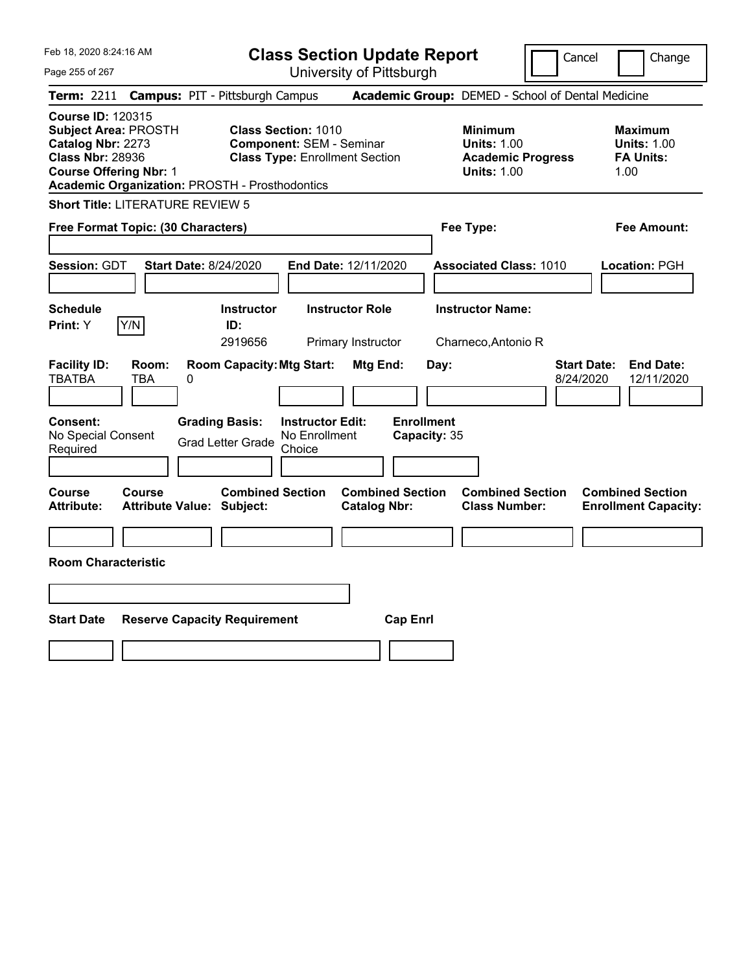|  | Feb 18, 2020 8:24:16 AM |  |
|--|-------------------------|--|
|  |                         |  |

**Class Section Update Report** University of Pittsburgh

Cancel Change

Page 255 of 267

| <b>Course ID: 120315</b><br>Subject Area: PROSTH<br><b>Class Section: 1010</b><br><b>Minimum</b><br><b>Maximum</b><br>Catalog Nbr: 2273<br><b>Component: SEM - Seminar</b><br><b>Units: 1.00</b><br><b>Units: 1.00</b><br><b>Class Nbr: 28936</b><br><b>Class Type: Enrollment Section</b><br><b>Academic Progress</b><br><b>FA Units:</b><br><b>Course Offering Nbr: 1</b><br><b>Units: 1.00</b><br>1.00<br><b>Academic Organization: PROSTH - Prosthodontics</b><br>Short Title: LITERATURE REVIEW 5<br>Free Format Topic: (30 Characters)<br>Fee Type:<br>Fee Amount:<br><b>Session: GDT</b><br><b>Start Date: 8/24/2020</b><br>End Date: 12/11/2020<br><b>Associated Class: 1010</b><br>Location: PGH<br><b>Instructor Name:</b><br><b>Schedule</b><br><b>Instructor</b><br><b>Instructor Role</b><br>Y/N<br>ID:<br>Print: Y<br>2919656<br>Charneco, Antonio R<br>Primary Instructor<br><b>Facility ID:</b><br><b>Room Capacity: Mtg Start:</b><br><b>Start Date:</b><br>Room:<br>Mtg End:<br>Day:<br><b>TBATBA</b><br>TBA<br>0<br>8/24/2020<br><b>Enrollment</b><br>Consent:<br><b>Grading Basis:</b><br><b>Instructor Edit:</b><br>No Special Consent<br>No Enrollment<br>Capacity: 35<br><b>Grad Letter Grade</b><br>Required<br>Choice<br><b>Combined Section</b><br><b>Combined Section</b><br><b>Combined Section</b><br><b>Combined Section</b><br><b>Course</b><br>Course<br>Attribute:<br><b>Attribute Value: Subject:</b><br><b>Catalog Nbr:</b><br><b>Class Number:</b><br><b>Enrollment Capacity:</b> |                                |
|-----------------------------------------------------------------------------------------------------------------------------------------------------------------------------------------------------------------------------------------------------------------------------------------------------------------------------------------------------------------------------------------------------------------------------------------------------------------------------------------------------------------------------------------------------------------------------------------------------------------------------------------------------------------------------------------------------------------------------------------------------------------------------------------------------------------------------------------------------------------------------------------------------------------------------------------------------------------------------------------------------------------------------------------------------------------------------------------------------------------------------------------------------------------------------------------------------------------------------------------------------------------------------------------------------------------------------------------------------------------------------------------------------------------------------------------------------------------------------------------------------------------------|--------------------------------|
|                                                                                                                                                                                                                                                                                                                                                                                                                                                                                                                                                                                                                                                                                                                                                                                                                                                                                                                                                                                                                                                                                                                                                                                                                                                                                                                                                                                                                                                                                                                       |                                |
|                                                                                                                                                                                                                                                                                                                                                                                                                                                                                                                                                                                                                                                                                                                                                                                                                                                                                                                                                                                                                                                                                                                                                                                                                                                                                                                                                                                                                                                                                                                       |                                |
|                                                                                                                                                                                                                                                                                                                                                                                                                                                                                                                                                                                                                                                                                                                                                                                                                                                                                                                                                                                                                                                                                                                                                                                                                                                                                                                                                                                                                                                                                                                       |                                |
|                                                                                                                                                                                                                                                                                                                                                                                                                                                                                                                                                                                                                                                                                                                                                                                                                                                                                                                                                                                                                                                                                                                                                                                                                                                                                                                                                                                                                                                                                                                       |                                |
|                                                                                                                                                                                                                                                                                                                                                                                                                                                                                                                                                                                                                                                                                                                                                                                                                                                                                                                                                                                                                                                                                                                                                                                                                                                                                                                                                                                                                                                                                                                       |                                |
|                                                                                                                                                                                                                                                                                                                                                                                                                                                                                                                                                                                                                                                                                                                                                                                                                                                                                                                                                                                                                                                                                                                                                                                                                                                                                                                                                                                                                                                                                                                       | <b>End Date:</b><br>12/11/2020 |
|                                                                                                                                                                                                                                                                                                                                                                                                                                                                                                                                                                                                                                                                                                                                                                                                                                                                                                                                                                                                                                                                                                                                                                                                                                                                                                                                                                                                                                                                                                                       |                                |
|                                                                                                                                                                                                                                                                                                                                                                                                                                                                                                                                                                                                                                                                                                                                                                                                                                                                                                                                                                                                                                                                                                                                                                                                                                                                                                                                                                                                                                                                                                                       |                                |
| <b>Room Characteristic</b>                                                                                                                                                                                                                                                                                                                                                                                                                                                                                                                                                                                                                                                                                                                                                                                                                                                                                                                                                                                                                                                                                                                                                                                                                                                                                                                                                                                                                                                                                            |                                |
| <b>Start Date</b><br><b>Cap Enrl</b><br><b>Reserve Capacity Requirement</b>                                                                                                                                                                                                                                                                                                                                                                                                                                                                                                                                                                                                                                                                                                                                                                                                                                                                                                                                                                                                                                                                                                                                                                                                                                                                                                                                                                                                                                           |                                |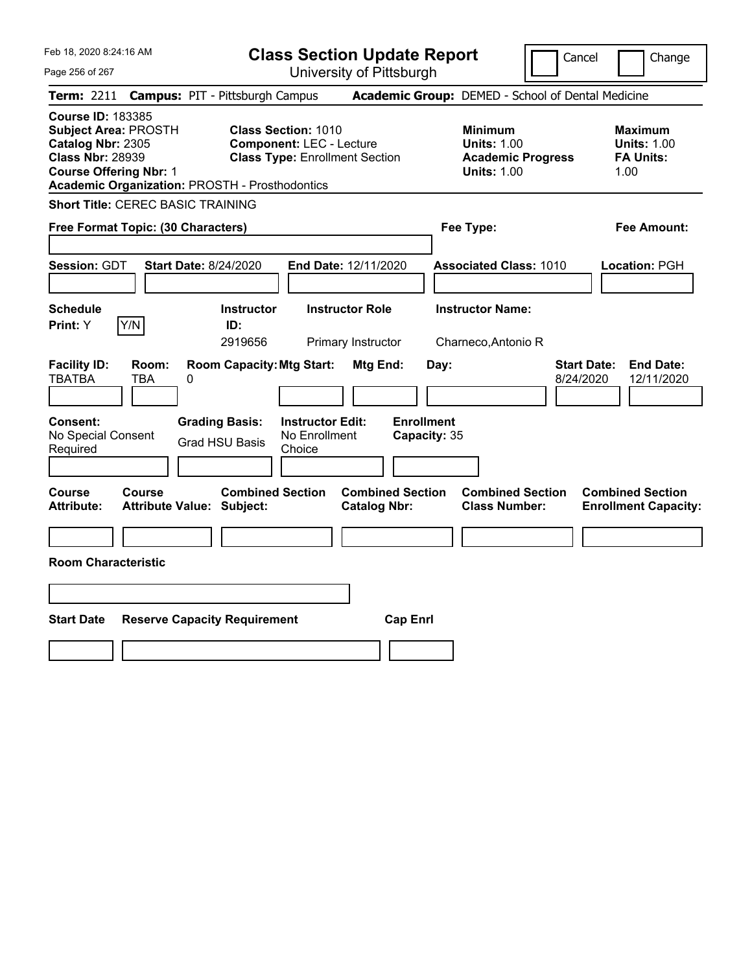|  | Feb 18, 2020 8:24:16 AM |
|--|-------------------------|
|  |                         |

**Class Section Update Report** University of Pittsburgh

Cancel Change

Page 256 of 267

|                                                                                                                                          |                     | Term: 2211 Campus: PIT - Pittsburgh Campus                  |                                                                                                        |                                                |           | Academic Group: DEMED - School of Dental Medicine                                      |                                 |                                                                  |
|------------------------------------------------------------------------------------------------------------------------------------------|---------------------|-------------------------------------------------------------|--------------------------------------------------------------------------------------------------------|------------------------------------------------|-----------|----------------------------------------------------------------------------------------|---------------------------------|------------------------------------------------------------------|
| <b>Course ID: 183385</b><br><b>Subject Area: PROSTH</b><br>Catalog Nbr: 2305<br><b>Class Nbr: 28939</b><br><b>Course Offering Nbr: 1</b> |                     | <b>Academic Organization: PROSTH - Prosthodontics</b>       | <b>Class Section: 1010</b><br><b>Component: LEC - Lecture</b><br><b>Class Type: Enrollment Section</b> |                                                |           | <b>Minimum</b><br><b>Units: 1.00</b><br><b>Academic Progress</b><br><b>Units: 1.00</b> |                                 | <b>Maximum</b><br><b>Units: 1.00</b><br><b>FA Units:</b><br>1.00 |
| <b>Short Title: CEREC BASIC TRAINING</b>                                                                                                 |                     |                                                             |                                                                                                        |                                                |           |                                                                                        |                                 |                                                                  |
| Free Format Topic: (30 Characters)                                                                                                       |                     |                                                             |                                                                                                        |                                                | Fee Type: |                                                                                        |                                 | <b>Fee Amount:</b>                                               |
| Session: GDT                                                                                                                             |                     | <b>Start Date: 8/24/2020</b>                                | End Date: 12/11/2020                                                                                   |                                                |           | <b>Associated Class: 1010</b>                                                          |                                 | Location: PGH                                                    |
| <b>Schedule</b><br>Print: Y                                                                                                              | Y/N                 | <b>Instructor</b><br>ID:<br>2919656                         | <b>Instructor Role</b>                                                                                 | Primary Instructor                             |           | <b>Instructor Name:</b><br>Charneco, Antonio R                                         |                                 |                                                                  |
| <b>Facility ID:</b><br><b>TBATBA</b>                                                                                                     | Room:<br><b>TBA</b> | <b>Room Capacity: Mtg Start:</b><br>0                       |                                                                                                        | Mtg End:                                       | Day:      |                                                                                        | <b>Start Date:</b><br>8/24/2020 | <b>End Date:</b><br>12/11/2020                                   |
| Consent:<br>No Special Consent<br>Required                                                                                               |                     | <b>Grading Basis:</b><br><b>Grad HSU Basis</b>              | <b>Instructor Edit:</b><br>No Enrollment<br>Choice                                                     | <b>Enrollment</b><br>Capacity: 35              |           |                                                                                        |                                 |                                                                  |
| Course<br><b>Attribute:</b>                                                                                                              | Course              | <b>Combined Section</b><br><b>Attribute Value: Subject:</b> |                                                                                                        | <b>Combined Section</b><br><b>Catalog Nbr:</b> |           | <b>Combined Section</b><br><b>Class Number:</b>                                        |                                 | <b>Combined Section</b><br><b>Enrollment Capacity:</b>           |
|                                                                                                                                          |                     |                                                             |                                                                                                        |                                                |           |                                                                                        |                                 |                                                                  |
| <b>Room Characteristic</b>                                                                                                               |                     |                                                             |                                                                                                        |                                                |           |                                                                                        |                                 |                                                                  |
|                                                                                                                                          |                     |                                                             |                                                                                                        |                                                |           |                                                                                        |                                 |                                                                  |
| <b>Start Date</b>                                                                                                                        |                     | <b>Reserve Capacity Requirement</b>                         |                                                                                                        | <b>Cap Enrl</b>                                |           |                                                                                        |                                 |                                                                  |
|                                                                                                                                          |                     |                                                             |                                                                                                        |                                                |           |                                                                                        |                                 |                                                                  |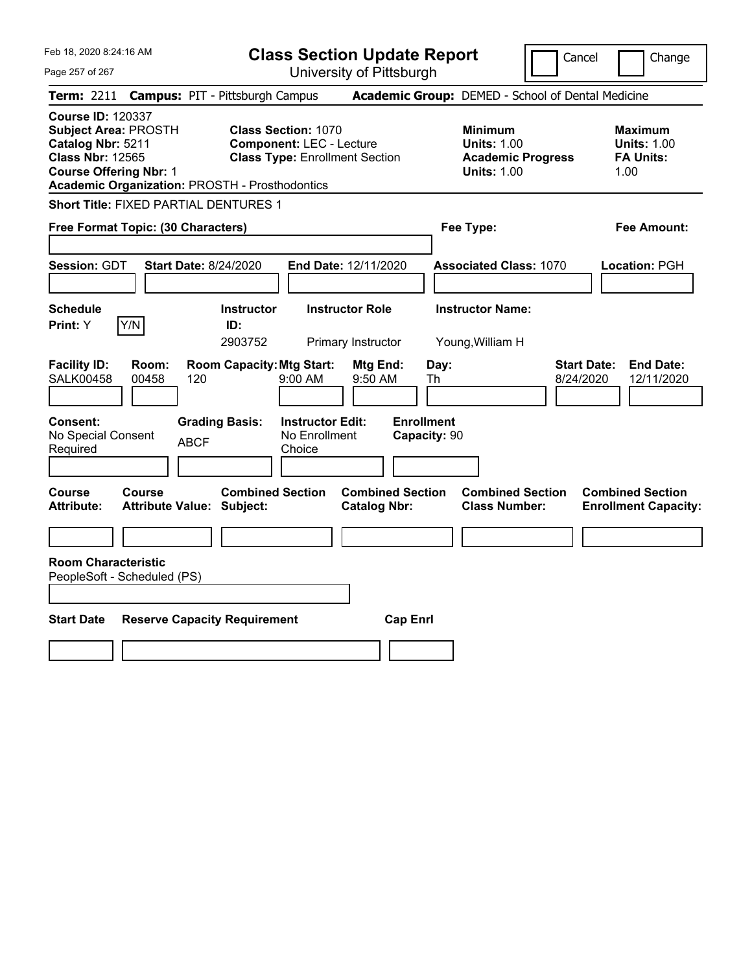| Feb 18, 2020 8:24:16 AM<br>Page 257 of 267                                                                                                                                                        | <b>Class Section Update Report</b><br>University of Pittsburgh                                                                                                           | Cancel                                                                                 | Change                                                            |
|---------------------------------------------------------------------------------------------------------------------------------------------------------------------------------------------------|--------------------------------------------------------------------------------------------------------------------------------------------------------------------------|----------------------------------------------------------------------------------------|-------------------------------------------------------------------|
| Term: 2211                                                                                                                                                                                        | <b>Campus: PIT - Pittsburgh Campus</b>                                                                                                                                   | Academic Group: DEMED - School of Dental Medicine                                      |                                                                   |
| <b>Course ID: 120337</b><br><b>Subject Area: PROSTH</b><br>Catalog Nbr: 5211<br><b>Class Nbr: 12565</b><br><b>Course Offering Nbr: 1</b><br><b>Academic Organization: PROSTH - Prosthodontics</b> | <b>Class Section: 1070</b><br><b>Component: LEC - Lecture</b><br><b>Class Type: Enrollment Section</b>                                                                   | <b>Minimum</b><br><b>Units: 1.00</b><br><b>Academic Progress</b><br><b>Units: 1.00</b> | <b>Maximum</b><br><b>Units: 1.00</b><br><b>FA Units:</b><br>1.00  |
| <b>Short Title: FIXED PARTIAL DENTURES 1</b>                                                                                                                                                      |                                                                                                                                                                          |                                                                                        |                                                                   |
| Free Format Topic: (30 Characters)                                                                                                                                                                |                                                                                                                                                                          | Fee Type:                                                                              | <b>Fee Amount:</b>                                                |
| Session: GDT<br><b>Start Date: 8/24/2020</b>                                                                                                                                                      | End Date: 12/11/2020                                                                                                                                                     | <b>Associated Class: 1070</b>                                                          | Location: PGH                                                     |
| <b>Schedule</b>                                                                                                                                                                                   | <b>Instructor</b><br><b>Instructor Role</b>                                                                                                                              | <b>Instructor Name:</b>                                                                |                                                                   |
| Y/N<br><b>Print:</b> Y                                                                                                                                                                            | ID:                                                                                                                                                                      |                                                                                        |                                                                   |
| <b>Facility ID:</b><br>Room:<br><b>SALK00458</b><br>00458<br>120<br><b>Consent:</b><br>No Special Consent<br><b>ABCF</b>                                                                          | 2903752<br>Primary Instructor<br><b>Room Capacity: Mtg Start:</b><br>Mtg End:<br>9:00 AM<br>9:50 AM<br><b>Grading Basis:</b><br><b>Instructor Edit:</b><br>No Enrollment | Young, William H<br>Day:<br>Th<br><b>Enrollment</b><br>Capacity: 90                    | <b>Start Date:</b><br><b>End Date:</b><br>8/24/2020<br>12/11/2020 |
| Required                                                                                                                                                                                          | Choice                                                                                                                                                                   |                                                                                        |                                                                   |
| Course<br>Course<br><b>Attribute:</b><br><b>Attribute Value: Subject:</b>                                                                                                                         | <b>Combined Section</b><br><b>Combined Section</b><br><b>Catalog Nbr:</b>                                                                                                | <b>Combined Section</b><br><b>Class Number:</b>                                        | <b>Combined Section</b><br><b>Enrollment Capacity:</b>            |
|                                                                                                                                                                                                   |                                                                                                                                                                          |                                                                                        |                                                                   |
| <b>Room Characteristic</b><br>PeopleSoft - Scheduled (PS)                                                                                                                                         |                                                                                                                                                                          |                                                                                        |                                                                   |
|                                                                                                                                                                                                   |                                                                                                                                                                          |                                                                                        |                                                                   |
| <b>Start Date</b>                                                                                                                                                                                 | <b>Reserve Capacity Requirement</b><br><b>Cap Enrl</b>                                                                                                                   |                                                                                        |                                                                   |
|                                                                                                                                                                                                   |                                                                                                                                                                          |                                                                                        |                                                                   |
|                                                                                                                                                                                                   |                                                                                                                                                                          |                                                                                        |                                                                   |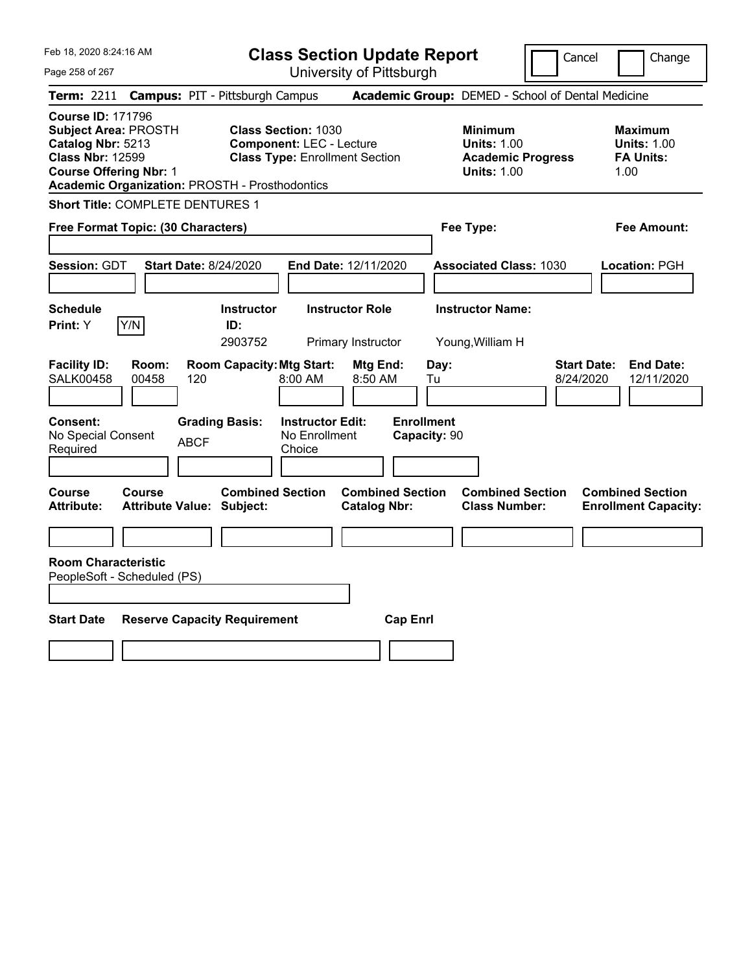| Feb 18, 2020 8:24:16 AM<br>Page 258 of 267                                                                                                                                                        | <b>Class Section Update Report</b><br>University of Pittsburgh                                                   |                                                                                        | Cancel<br>Change                                                  |
|---------------------------------------------------------------------------------------------------------------------------------------------------------------------------------------------------|------------------------------------------------------------------------------------------------------------------|----------------------------------------------------------------------------------------|-------------------------------------------------------------------|
| Term: 2211                                                                                                                                                                                        | <b>Campus: PIT - Pittsburgh Campus</b>                                                                           | Academic Group: DEMED - School of Dental Medicine                                      |                                                                   |
| <b>Course ID: 171796</b><br><b>Subject Area: PROSTH</b><br>Catalog Nbr: 5213<br><b>Class Nbr: 12599</b><br><b>Course Offering Nbr: 1</b><br><b>Academic Organization: PROSTH - Prosthodontics</b> | <b>Class Section: 1030</b><br><b>Component: LEC - Lecture</b><br><b>Class Type: Enrollment Section</b>           | <b>Minimum</b><br><b>Units: 1.00</b><br><b>Academic Progress</b><br><b>Units: 1.00</b> | <b>Maximum</b><br><b>Units: 1.00</b><br><b>FA Units:</b><br>1.00  |
| <b>Short Title: COMPLETE DENTURES 1</b>                                                                                                                                                           |                                                                                                                  |                                                                                        |                                                                   |
| Free Format Topic: (30 Characters)                                                                                                                                                                |                                                                                                                  | Fee Type:                                                                              | <b>Fee Amount:</b>                                                |
| <b>Session: GDT</b><br><b>Start Date: 8/24/2020</b>                                                                                                                                               | End Date: 12/11/2020                                                                                             | <b>Associated Class: 1030</b>                                                          | <b>Location: PGH</b>                                              |
| <b>Schedule</b><br>Y/N<br>Print: Y                                                                                                                                                                | <b>Instructor</b><br><b>Instructor Role</b><br>ID:<br>2903752<br>Primary Instructor                              | <b>Instructor Name:</b><br>Young, William H                                            |                                                                   |
| <b>Facility ID:</b><br>Room:<br><b>SALK00458</b><br>00458<br>120                                                                                                                                  | <b>Room Capacity: Mtg Start:</b><br>Mtg End:<br>8:00 AM<br>8:50 AM                                               | Day:<br>Tu                                                                             | <b>Start Date:</b><br><b>End Date:</b><br>8/24/2020<br>12/11/2020 |
| Consent:<br>No Special Consent<br><b>ABCF</b><br>Required                                                                                                                                         | <b>Enrollment</b><br><b>Grading Basis:</b><br><b>Instructor Edit:</b><br>No Enrollment<br>Capacity: 90<br>Choice |                                                                                        |                                                                   |
| Course<br>Course<br><b>Attribute:</b><br><b>Attribute Value: Subject:</b>                                                                                                                         | <b>Combined Section</b><br><b>Combined Section</b><br><b>Catalog Nbr:</b>                                        | <b>Combined Section</b><br><b>Class Number:</b>                                        | <b>Combined Section</b><br><b>Enrollment Capacity:</b>            |
|                                                                                                                                                                                                   |                                                                                                                  |                                                                                        |                                                                   |
| <b>Room Characteristic</b><br>PeopleSoft - Scheduled (PS)                                                                                                                                         |                                                                                                                  |                                                                                        |                                                                   |
| <b>Start Date</b><br><b>Reserve Capacity Requirement</b>                                                                                                                                          | <b>Cap Enrl</b>                                                                                                  |                                                                                        |                                                                   |
|                                                                                                                                                                                                   |                                                                                                                  |                                                                                        |                                                                   |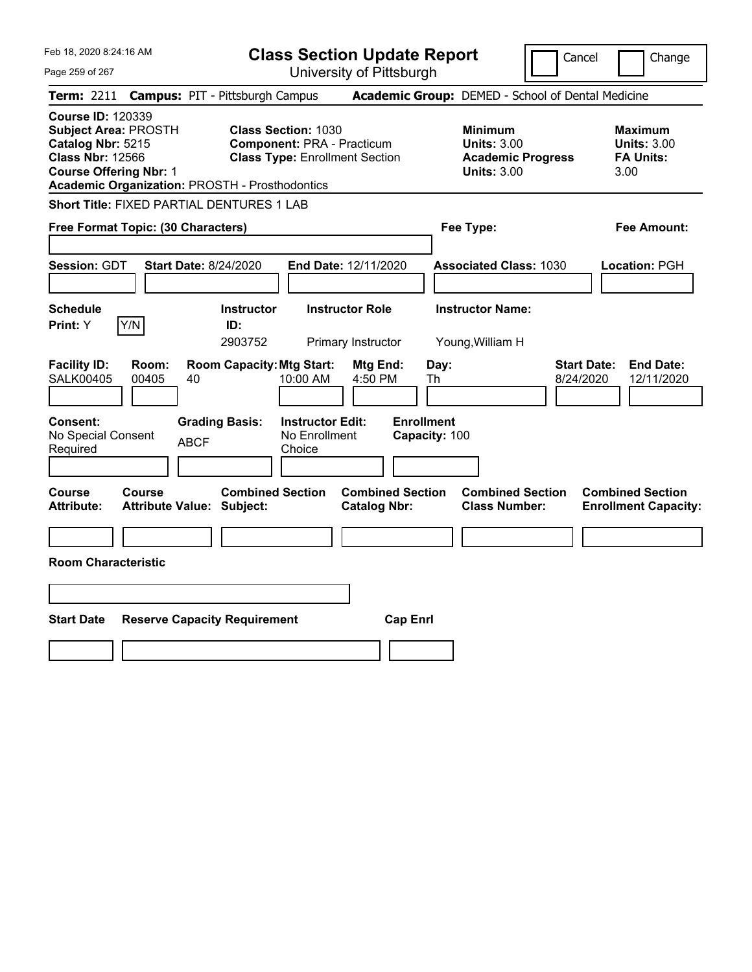| Feb 18, 2020 8:24:16 AM<br>Page 259 of 267                                                                                                                                                        | <b>Class Section Update Report</b>                                                                       | University of Pittsburgh                       |                                                                                        | Cancel<br>Change                                                  |
|---------------------------------------------------------------------------------------------------------------------------------------------------------------------------------------------------|----------------------------------------------------------------------------------------------------------|------------------------------------------------|----------------------------------------------------------------------------------------|-------------------------------------------------------------------|
| Term: 2211                                                                                                                                                                                        | <b>Campus: PIT - Pittsburgh Campus</b>                                                                   |                                                | Academic Group: DEMED - School of Dental Medicine                                      |                                                                   |
| <b>Course ID: 120339</b><br><b>Subject Area: PROSTH</b><br>Catalog Nbr: 5215<br><b>Class Nbr: 12566</b><br><b>Course Offering Nbr: 1</b><br><b>Academic Organization: PROSTH - Prosthodontics</b> | <b>Class Section: 1030</b><br><b>Component: PRA - Practicum</b><br><b>Class Type: Enrollment Section</b> |                                                | <b>Minimum</b><br><b>Units: 3.00</b><br><b>Academic Progress</b><br><b>Units: 3.00</b> | <b>Maximum</b><br><b>Units: 3.00</b><br><b>FA Units:</b><br>3.00  |
| Short Title: FIXED PARTIAL DENTURES 1 LAB                                                                                                                                                         |                                                                                                          |                                                |                                                                                        |                                                                   |
| Free Format Topic: (30 Characters)                                                                                                                                                                |                                                                                                          |                                                | Fee Type:                                                                              | Fee Amount:                                                       |
| <b>Session: GDT</b><br><b>Start Date: 8/24/2020</b>                                                                                                                                               | <b>End Date: 12/11/2020</b>                                                                              |                                                | <b>Associated Class: 1030</b>                                                          | Location: PGH                                                     |
| <b>Schedule</b>                                                                                                                                                                                   | <b>Instructor Role</b><br><b>Instructor</b>                                                              |                                                | <b>Instructor Name:</b>                                                                |                                                                   |
| Y/N<br>Print: Y                                                                                                                                                                                   | ID:<br>2903752<br>Primary Instructor                                                                     |                                                | Young, William H                                                                       |                                                                   |
| <b>Facility ID:</b><br>Room:<br><b>SALK00405</b><br>00405<br>40                                                                                                                                   | <b>Room Capacity: Mtg Start:</b><br>10:00 AM                                                             | Day:<br>Mtg End:<br>4:50 PM<br>Th              |                                                                                        | <b>Start Date:</b><br><b>End Date:</b><br>8/24/2020<br>12/11/2020 |
| <b>Consent:</b><br>No Special Consent<br><b>ABCF</b><br>Required                                                                                                                                  | <b>Grading Basis:</b><br><b>Instructor Edit:</b><br>No Enrollment<br>Choice                              | <b>Enrollment</b><br>Capacity: 100             |                                                                                        |                                                                   |
| Course<br><b>Course</b><br><b>Attribute:</b><br><b>Attribute Value: Subject:</b>                                                                                                                  | <b>Combined Section</b>                                                                                  | <b>Combined Section</b><br><b>Catalog Nbr:</b> | <b>Combined Section</b><br><b>Class Number:</b>                                        | <b>Combined Section</b><br><b>Enrollment Capacity:</b>            |
|                                                                                                                                                                                                   |                                                                                                          |                                                |                                                                                        |                                                                   |
| <b>Room Characteristic</b>                                                                                                                                                                        |                                                                                                          |                                                |                                                                                        |                                                                   |
|                                                                                                                                                                                                   |                                                                                                          |                                                |                                                                                        |                                                                   |
| <b>Start Date</b><br><b>Reserve Capacity Requirement</b>                                                                                                                                          |                                                                                                          | <b>Cap Enrl</b>                                |                                                                                        |                                                                   |
|                                                                                                                                                                                                   |                                                                                                          |                                                |                                                                                        |                                                                   |
|                                                                                                                                                                                                   |                                                                                                          |                                                |                                                                                        |                                                                   |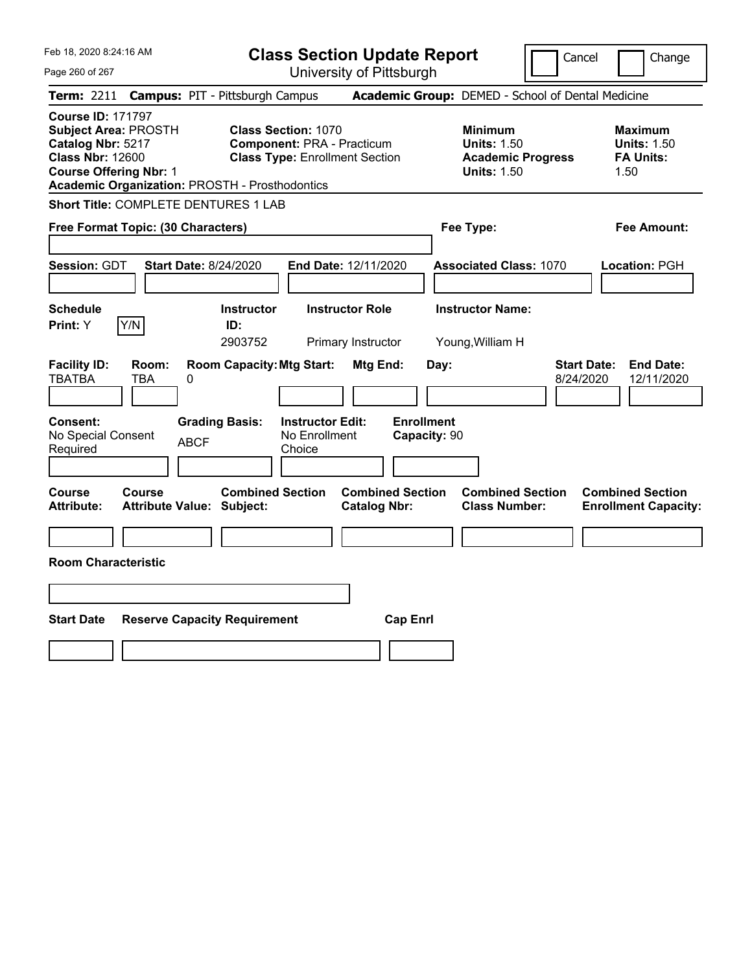| Feb 18, 2020 8:24:16 AM<br>Page 260 of 267                                                                                                                                                        | <b>Class Section Update Report</b><br>University of Pittsburgh                                                                                     | Cancel                                                                                 | Change                                                            |
|---------------------------------------------------------------------------------------------------------------------------------------------------------------------------------------------------|----------------------------------------------------------------------------------------------------------------------------------------------------|----------------------------------------------------------------------------------------|-------------------------------------------------------------------|
| Term: 2211                                                                                                                                                                                        |                                                                                                                                                    | Academic Group: DEMED - School of Dental Medicine                                      |                                                                   |
| <b>Course ID: 171797</b><br><b>Subject Area: PROSTH</b><br>Catalog Nbr: 5217<br><b>Class Nbr: 12600</b><br><b>Course Offering Nbr: 1</b><br><b>Academic Organization: PROSTH - Prosthodontics</b> | <b>Campus: PIT - Pittsburgh Campus</b><br><b>Class Section: 1070</b><br><b>Component: PRA - Practicum</b><br><b>Class Type: Enrollment Section</b> | <b>Minimum</b><br><b>Units: 1.50</b><br><b>Academic Progress</b><br><b>Units: 1.50</b> | <b>Maximum</b><br><b>Units: 1.50</b><br><b>FA Units:</b><br>1.50  |
| Short Title: COMPLETE DENTURES 1 LAB<br>Free Format Topic: (30 Characters)                                                                                                                        |                                                                                                                                                    | Fee Type:                                                                              | Fee Amount:                                                       |
| Session: GDT<br><b>Start Date: 8/24/2020</b>                                                                                                                                                      | End Date: 12/11/2020                                                                                                                               | <b>Associated Class: 1070</b>                                                          | Location: PGH                                                     |
| <b>Schedule</b><br>Y/N<br>Print: Y                                                                                                                                                                | <b>Instructor Role</b><br><b>Instructor</b><br>ID:<br>2903752<br>Primary Instructor                                                                | <b>Instructor Name:</b><br>Young, William H                                            |                                                                   |
| <b>Facility ID:</b><br>Room:<br><b>TBATBA</b><br>TBA<br>$\pmb{0}$                                                                                                                                 | <b>Room Capacity: Mtg Start:</b><br>Mtg End:                                                                                                       | Day:                                                                                   | <b>Start Date:</b><br><b>End Date:</b><br>8/24/2020<br>12/11/2020 |
| <b>Consent:</b><br>No Special Consent<br><b>ABCF</b><br>Required                                                                                                                                  | <b>Enrollment</b><br><b>Instructor Edit:</b><br><b>Grading Basis:</b><br>No Enrollment<br>Capacity: 90<br>Choice                                   |                                                                                        |                                                                   |
| Course<br>Course<br>Attribute Value: Subject:<br><b>Attribute:</b>                                                                                                                                | <b>Combined Section</b><br><b>Combined Section</b><br><b>Catalog Nbr:</b>                                                                          | <b>Combined Section</b><br><b>Class Number:</b>                                        | <b>Combined Section</b><br><b>Enrollment Capacity:</b>            |
| <b>Room Characteristic</b>                                                                                                                                                                        |                                                                                                                                                    |                                                                                        |                                                                   |
|                                                                                                                                                                                                   |                                                                                                                                                    |                                                                                        |                                                                   |
| <b>Start Date</b><br><b>Reserve Capacity Requirement</b>                                                                                                                                          | <b>Cap Enrl</b>                                                                                                                                    |                                                                                        |                                                                   |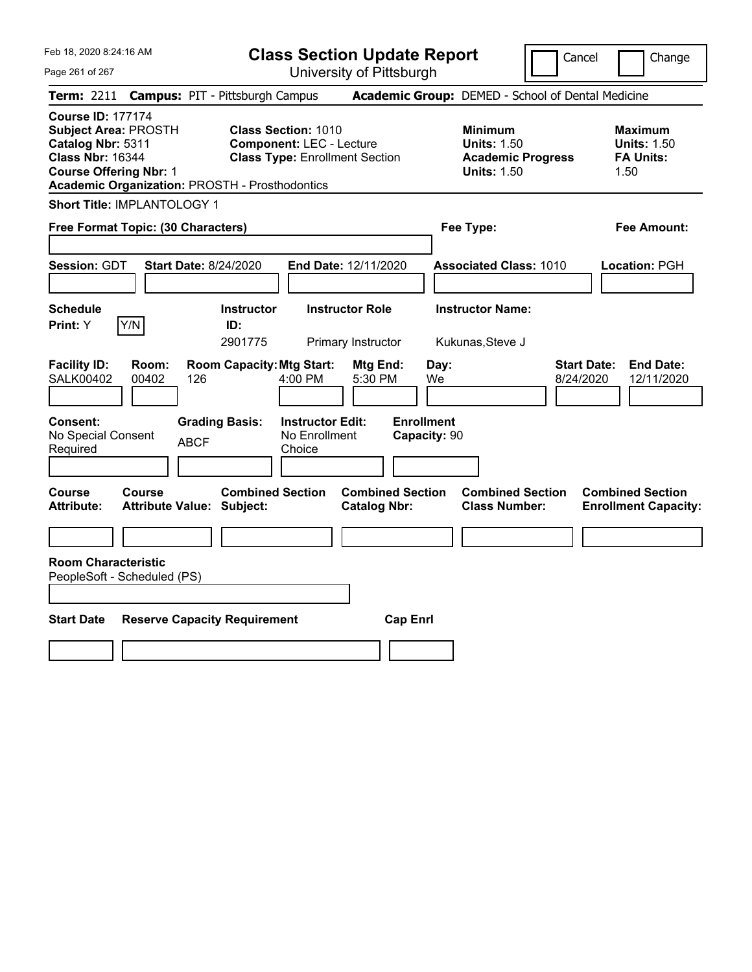|  | Feb 18, 2020 8:24:16 AM |  |
|--|-------------------------|--|

**Class Section Update Report**

Cancel Change

Page 261 of 267

University of Pittsburgh **Term:** 2211 **Campus:** PIT - Pittsburgh Campus **Academic Group:** DEMED - School of Dental Medicine **Course ID:** 177174 **Subject Area:** PROSTH **Class Section:** 1010 **Minimum Maximum Catalog Nbr:** 5311 **Component:** LEC - Lecture **Units:** 1.50 **Units:** 1.50 **Class Nbr:** 16344 **Class Type:** Enrollment Section **Academic Progress FA Units: Course Offering Nbr: 1 Course Offering Nbr: 1 Units: 1.50 Units: 1.50** 1.50 **Academic Organization:** PROSTH - Prosthodontics **Short Title:** IMPLANTOLOGY 1 **Free Format Topic: (30 Characters) Fee Type: Fee Amount: Session:** GDT **Start Date:** 8/24/2020 **End Date:** 12/11/2020 **Associated Class:** 1010 **Location:** PGH **Schedule Instructor Instructor Role Instructor Name: Print:**  $Y$   $|Y/N|$  **ID:** 2901775 Primary Instructor Kukunas,Steve J **Facility ID: Room: Room Capacity:Mtg Start: Mtg End: Day: Start Date: End Date:** SALK00402 00402 126 4:00 PM 5:30 PM We 8/24/2020 12/11/2020 **Consent: Grading Basis: Instructor Edit: Enrollment** No Special Consent BCF No Enrollment<br>Required ABCF Choice Choice **Capacity:** 90 **Course Course Combined Section Combined Section Combined Section Combined Section Attribute: Attribute Value: Subject: Catalog Nbr: Class Number: Enrollment Capacity: Room Characteristic** PeopleSoft - Scheduled (PS) **Start Date Reserve Capacity Requirement Cap Enrl**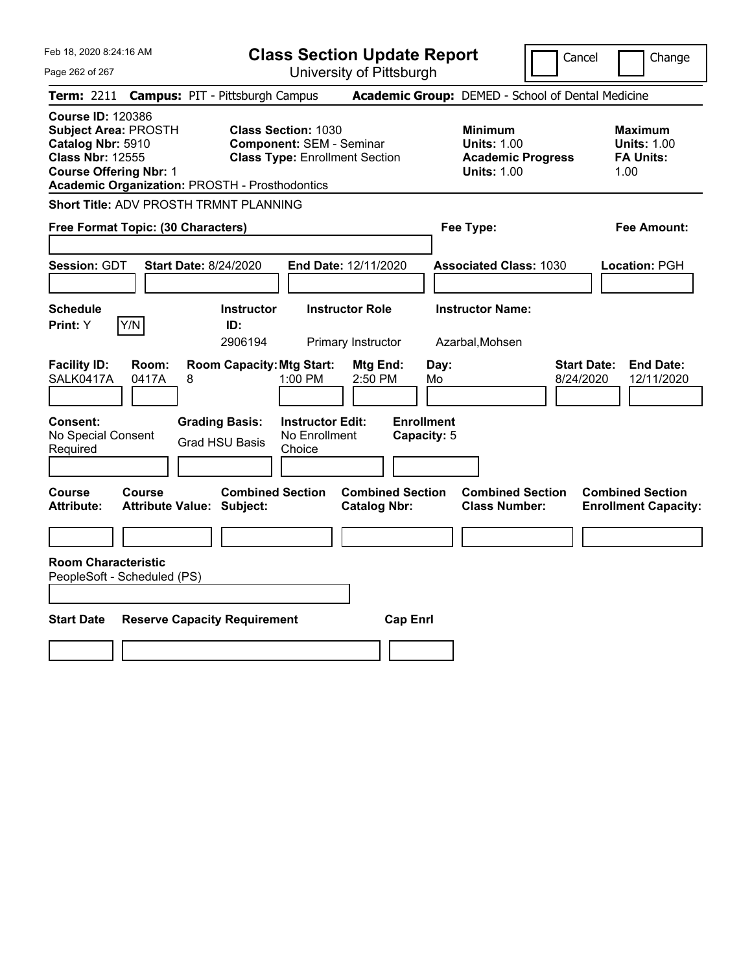Feb 18, 2020 8:24:16 AM Page 262 of 267 **Class Section Update Report** University of Pittsburgh **Term:** 2211 **Campus:** PIT - Pittsburgh Campus **Academic Group:** DEMED - School of Dental Medicine **Course ID:** 120386 **Subject Area: PROSTH Class Section: 1030 Minimum Maximum Maximum Catalog Nbr: 5910 Component: SEM - Seminar Catalog Units: 1.00 Units: 1.00 Catalog Nbr: 5910 Component: SEM - Seminar <b>Component: SEM - Seminar Units: 1.00 Class Nbr: 12555 Class Type: Enrollment Section Academic Progress Class Type: Enrollment Section <b>Academic Progress FA Units: Course Offering Nbr:** 1 **Units:** 1.00 1.00 **Academic Organization:** PROSTH - Prosthodontics **Short Title:** ADV PROSTH TRMNT PLANNING **Free Format Topic: (30 Characters) Fee Type: Fee Amount: Session:** GDT **Start Date:** 8/24/2020 **End Date:** 12/11/2020 **Associated Class:** 1030 **Location:** PGH **Schedule Instructor Instructor Role Instructor Name: Print:**  $Y$   $|Y/N|$  **ID:** 

| Schedule<br>Print: Y                                      | Y/N                                        |   | Instructor<br>ID:<br>2906194                   |                                                    | <b>Instructor Role</b><br>Primary Instructor |                                  | <b>Instructor Name:</b><br>Azarbal, Mohsen      |                                 |                                                        |
|-----------------------------------------------------------|--------------------------------------------|---|------------------------------------------------|----------------------------------------------------|----------------------------------------------|----------------------------------|-------------------------------------------------|---------------------------------|--------------------------------------------------------|
| <b>Facility ID:</b><br>SALK0417A                          | Room:<br>0417A                             | 8 |                                                | <b>Room Capacity: Mtg Start:</b><br>1:00 PM        | Mtg End:<br>2:50 PM                          | Day:<br>Mo                       |                                                 | <b>Start Date:</b><br>8/24/2020 | <b>End Date:</b><br>12/11/2020                         |
| <b>Consent:</b><br>No Special Consent<br>Required         |                                            |   | <b>Grading Basis:</b><br><b>Grad HSU Basis</b> | <b>Instructor Edit:</b><br>No Enrollment<br>Choice |                                              | <b>Enrollment</b><br>Capacity: 5 |                                                 |                                 |                                                        |
| <b>Course</b><br><b>Attribute:</b>                        | Course<br><b>Attribute Value: Subject:</b> |   | <b>Combined Section</b>                        |                                                    | <b>Catalog Nbr:</b>                          | <b>Combined Section</b>          | <b>Combined Section</b><br><b>Class Number:</b> |                                 | <b>Combined Section</b><br><b>Enrollment Capacity:</b> |
| <b>Room Characteristic</b><br>PeopleSoft - Scheduled (PS) |                                            |   |                                                |                                                    |                                              |                                  |                                                 |                                 |                                                        |
| <b>Start Date</b>                                         |                                            |   | <b>Reserve Capacity Requirement</b>            |                                                    |                                              | <b>Cap Enrl</b>                  |                                                 |                                 |                                                        |

Cancel | Change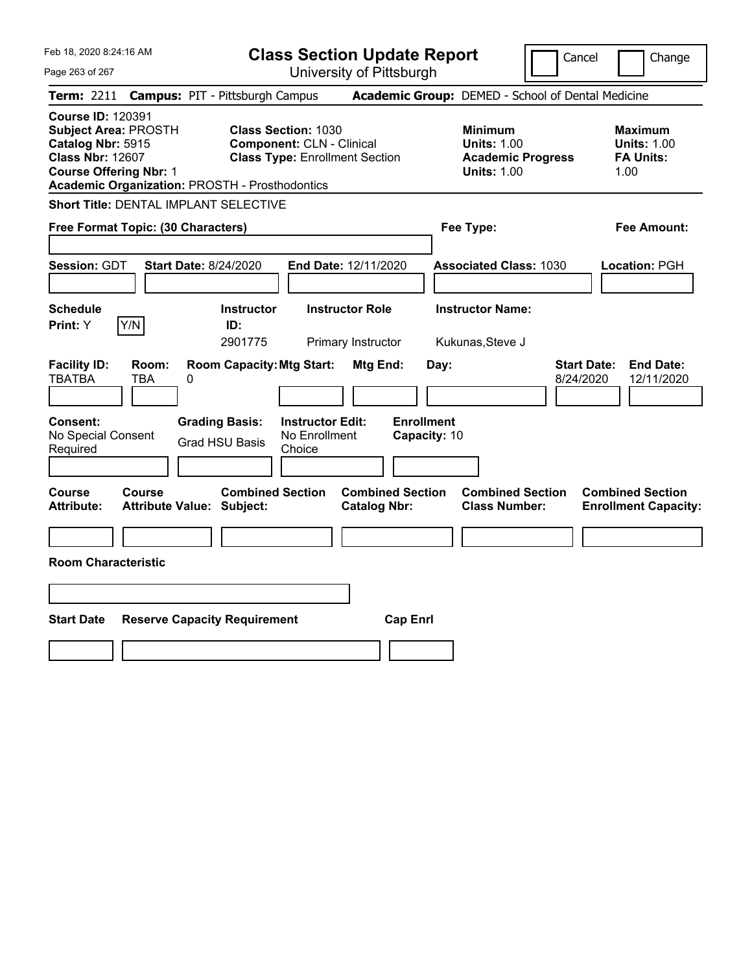|  | Feb 18, 2020 8:24:16 AM |  |
|--|-------------------------|--|
|  |                         |  |

**Class Section Update Report**

Cancel **Change** 

| Page 263 of 267                                                                                                                          | University of Pittsburgh                                                                                                                                         |                                                                                        |                                                                  |
|------------------------------------------------------------------------------------------------------------------------------------------|------------------------------------------------------------------------------------------------------------------------------------------------------------------|----------------------------------------------------------------------------------------|------------------------------------------------------------------|
| <b>Term: 2211</b>                                                                                                                        | <b>Campus: PIT - Pittsburgh Campus</b>                                                                                                                           | Academic Group: DEMED - School of Dental Medicine                                      |                                                                  |
| <b>Course ID: 120391</b><br><b>Subject Area: PROSTH</b><br>Catalog Nbr: 5915<br><b>Class Nbr: 12607</b><br><b>Course Offering Nbr: 1</b> | <b>Class Section: 1030</b><br><b>Component: CLN - Clinical</b><br><b>Class Type: Enrollment Section</b><br><b>Academic Organization: PROSTH - Prosthodontics</b> | <b>Minimum</b><br><b>Units: 1.00</b><br><b>Academic Progress</b><br><b>Units: 1.00</b> | <b>Maximum</b><br><b>Units: 1.00</b><br><b>FA Units:</b><br>1.00 |
| Short Title: DENTAL IMPLANT SELECTIVE                                                                                                    |                                                                                                                                                                  |                                                                                        |                                                                  |
| Free Format Topic: (30 Characters)                                                                                                       |                                                                                                                                                                  | Fee Type:                                                                              | Fee Amount:                                                      |
| Session: GDT                                                                                                                             | <b>Start Date: 8/24/2020</b><br>End Date: 12/11/2020                                                                                                             | <b>Associated Class: 1030</b>                                                          | Location: PGH                                                    |
| <b>Schedule</b><br>Y/N<br>Print: Y                                                                                                       | <b>Instructor Role</b><br><b>Instructor</b><br>ID:<br>2901775<br>Primary Instructor                                                                              | <b>Instructor Name:</b><br>Kukunas, Steve J                                            |                                                                  |
| <b>Facility ID:</b><br>Room:<br><b>TBATBA</b><br><b>TBA</b>                                                                              | <b>Room Capacity: Mtg Start:</b><br>Mtg End:<br>0                                                                                                                | Day:<br>8/24/2020                                                                      | <b>Start Date:</b><br><b>End Date:</b><br>12/11/2020             |
| <b>Consent:</b><br>No Special Consent<br>Required                                                                                        | <b>Grading Basis:</b><br><b>Instructor Edit:</b><br>No Enrollment<br><b>Grad HSU Basis</b><br>Choice                                                             | <b>Enrollment</b><br>Capacity: 10                                                      |                                                                  |
| Course<br>Course<br><b>Attribute:</b>                                                                                                    | <b>Combined Section</b><br><b>Attribute Value: Subject:</b><br><b>Catalog Nbr:</b>                                                                               | <b>Combined Section</b><br><b>Combined Section</b><br><b>Class Number:</b>             | <b>Combined Section</b><br><b>Enrollment Capacity:</b>           |
| <b>Room Characteristic</b>                                                                                                               |                                                                                                                                                                  |                                                                                        |                                                                  |
|                                                                                                                                          |                                                                                                                                                                  |                                                                                        |                                                                  |
| <b>Start Date</b>                                                                                                                        | <b>Reserve Capacity Requirement</b>                                                                                                                              | <b>Cap Enrl</b>                                                                        |                                                                  |
|                                                                                                                                          |                                                                                                                                                                  |                                                                                        |                                                                  |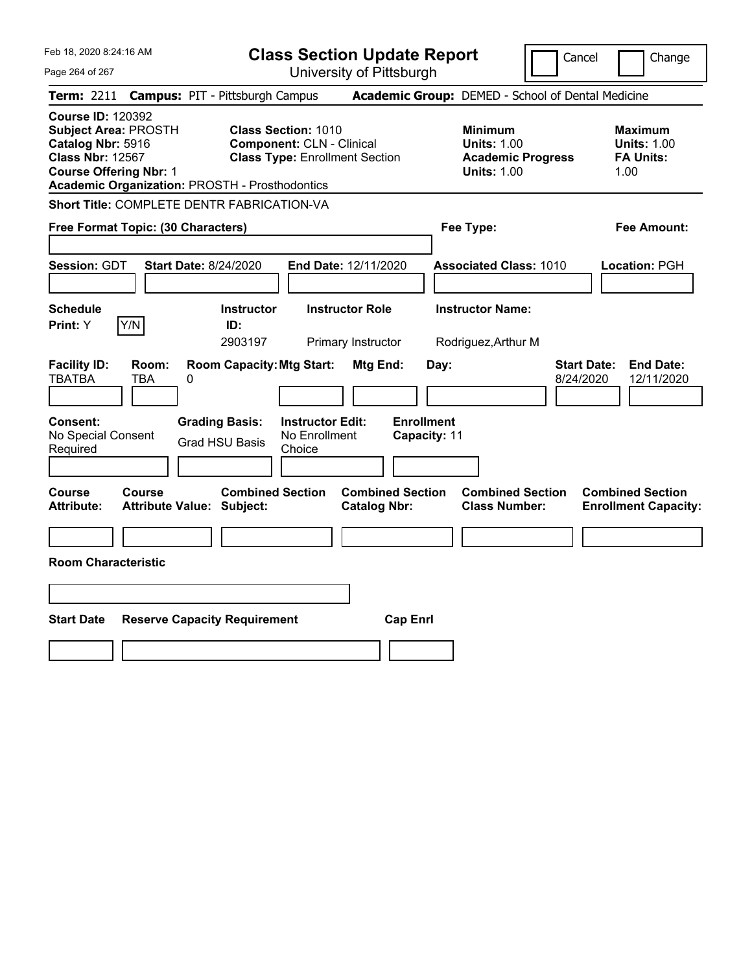Feb 18, 2020 8:24:16 AM Page 264 of 267 **Class Section Update Report** University of Pittsburgh Cancel | Change **Term:** 2211 **Campus:** PIT - Pittsburgh Campus **Academic Group:** DEMED - School of Dental Medicine **Course ID:** 120392 **Subject Area:** PROSTH **Class Section:** 1010 **Minimum Maximum Catalog Nbr:** 5916 **Component:** CLN - Clinical **Units:** 1.00 **Units:** 1.00 **Class Type: Enrollment Section <b>Academic Progress FA Units: Course Offering Nbr:** 1 **Units:** 1.00 1.00 **Academic Organization:** PROSTH - Prosthodontics **Short Title:** COMPLETE DENTR FABRICATION-VA **Free Format Topic: (30 Characters) Fee Type: Fee Amount: Session:** GDT **Start Date:** 8/24/2020 **End Date:** 12/11/2020 **Associated Class:** 1010 **Location:** PGH **Schedule Instructor Instructor Role Instructor Name: Print:**  $Y$   $|Y/N|$  **ID:** 2903197 Primary Instructor Rodriguez,Arthur M **Facility ID: Room: Room Capacity:Mtg Start: Mtg End: Day: Start Date: End Date:** TBATBA TBA 0 8/24/2020 12/11/2020 **Consent: Grading Basis: Instructor Edit: Enrollment** No Special Consent Required Grad HSU Basis No Enrollment Choice **Capacity:** 11 **Course Course Combined Section Combined Section Combined Section Combined Section Attribute: Attribute Value: Subject: Catalog Nbr: Class Number: Enrollment Capacity: Room Characteristic Start Date Reserve Capacity Requirement Cap Enrl**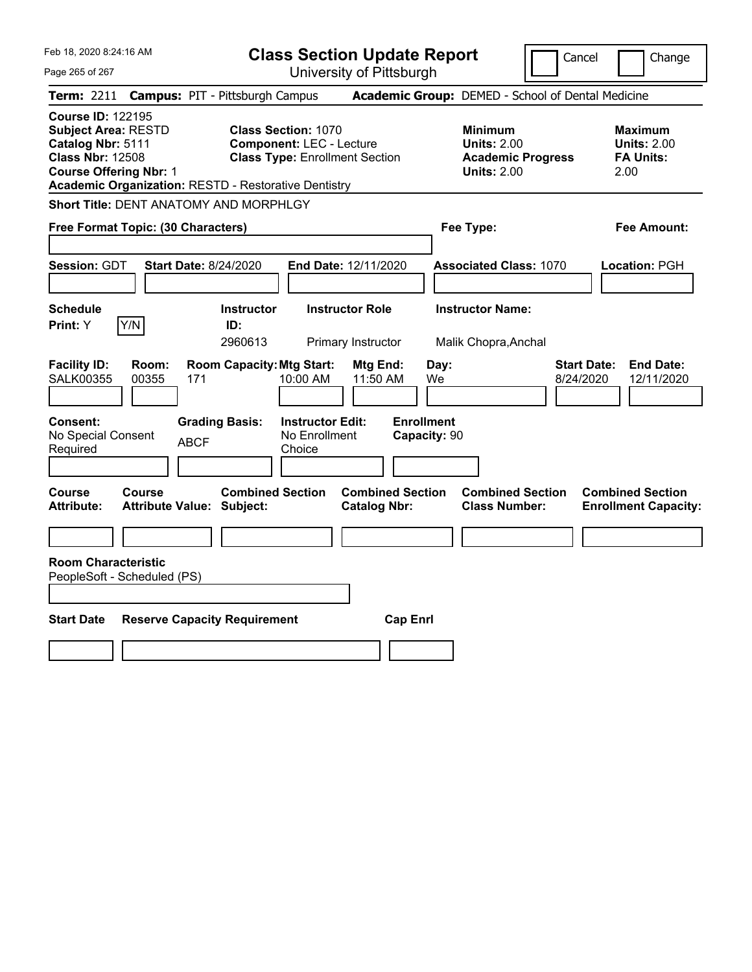| Feb 18, 2020 8:24:16 AM                                                                                                                                                                                |                                                                                 | <b>Class Section Update Report</b>                                                                     |                                                                         |                                                                                        | Cancel<br>Change                                                  |
|--------------------------------------------------------------------------------------------------------------------------------------------------------------------------------------------------------|---------------------------------------------------------------------------------|--------------------------------------------------------------------------------------------------------|-------------------------------------------------------------------------|----------------------------------------------------------------------------------------|-------------------------------------------------------------------|
| Page 265 of 267                                                                                                                                                                                        |                                                                                 | University of Pittsburgh                                                                               |                                                                         |                                                                                        |                                                                   |
| Term: 2211                                                                                                                                                                                             | <b>Campus: PIT - Pittsburgh Campus</b>                                          |                                                                                                        |                                                                         | Academic Group: DEMED - School of Dental Medicine                                      |                                                                   |
| <b>Course ID: 122195</b><br><b>Subject Area: RESTD</b><br>Catalog Nbr: 5111<br><b>Class Nbr: 12508</b><br><b>Course Offering Nbr: 1</b><br><b>Academic Organization: RESTD - Restorative Dentistry</b> |                                                                                 | <b>Class Section: 1070</b><br><b>Component: LEC - Lecture</b><br><b>Class Type: Enrollment Section</b> |                                                                         | <b>Minimum</b><br><b>Units: 2.00</b><br><b>Academic Progress</b><br><b>Units: 2.00</b> | <b>Maximum</b><br><b>Units: 2.00</b><br><b>FA Units:</b><br>2.00  |
| Short Title: DENT ANATOMY AND MORPHLGY                                                                                                                                                                 |                                                                                 |                                                                                                        |                                                                         |                                                                                        |                                                                   |
| Free Format Topic: (30 Characters)                                                                                                                                                                     |                                                                                 |                                                                                                        |                                                                         | Fee Type:                                                                              | Fee Amount:                                                       |
| <b>Session: GDT</b>                                                                                                                                                                                    | <b>Start Date: 8/24/2020</b>                                                    | End Date: 12/11/2020                                                                                   |                                                                         | <b>Associated Class: 1070</b>                                                          | Location: PGH                                                     |
| <b>Schedule</b>                                                                                                                                                                                        | <b>Instructor</b>                                                               | <b>Instructor Role</b>                                                                                 |                                                                         | <b>Instructor Name:</b>                                                                |                                                                   |
| Y/N<br>Print: Y                                                                                                                                                                                        | ID:<br>2960613                                                                  | Primary Instructor                                                                                     |                                                                         | Malik Chopra, Anchal                                                                   |                                                                   |
| <b>Facility ID:</b><br>Room:<br><b>SALK00355</b><br>00355<br><b>Consent:</b><br>No Special Consent<br>Required                                                                                         | <b>Room Capacity: Mtg Start:</b><br>171<br><b>Grading Basis:</b><br><b>ABCF</b> | 10:00 AM<br><b>Instructor Edit:</b><br>No Enrollment<br>Choice                                         | Mtg End:<br>Day:<br>11:50 AM<br>We<br><b>Enrollment</b><br>Capacity: 90 |                                                                                        | <b>End Date:</b><br><b>Start Date:</b><br>8/24/2020<br>12/11/2020 |
| Course<br>Course<br><b>Attribute:</b>                                                                                                                                                                  | <b>Combined Section</b><br><b>Attribute Value: Subject:</b>                     |                                                                                                        | <b>Combined Section</b><br><b>Catalog Nbr:</b>                          | <b>Combined Section</b><br><b>Class Number:</b>                                        | <b>Combined Section</b><br><b>Enrollment Capacity:</b>            |
| <b>Room Characteristic</b>                                                                                                                                                                             |                                                                                 |                                                                                                        |                                                                         |                                                                                        |                                                                   |
| PeopleSoft - Scheduled (PS)                                                                                                                                                                            |                                                                                 |                                                                                                        |                                                                         |                                                                                        |                                                                   |
|                                                                                                                                                                                                        |                                                                                 |                                                                                                        |                                                                         |                                                                                        |                                                                   |
| <b>Start Date</b>                                                                                                                                                                                      | <b>Reserve Capacity Requirement</b>                                             |                                                                                                        | <b>Cap Enrl</b>                                                         |                                                                                        |                                                                   |
|                                                                                                                                                                                                        |                                                                                 |                                                                                                        |                                                                         |                                                                                        |                                                                   |
|                                                                                                                                                                                                        |                                                                                 |                                                                                                        |                                                                         |                                                                                        |                                                                   |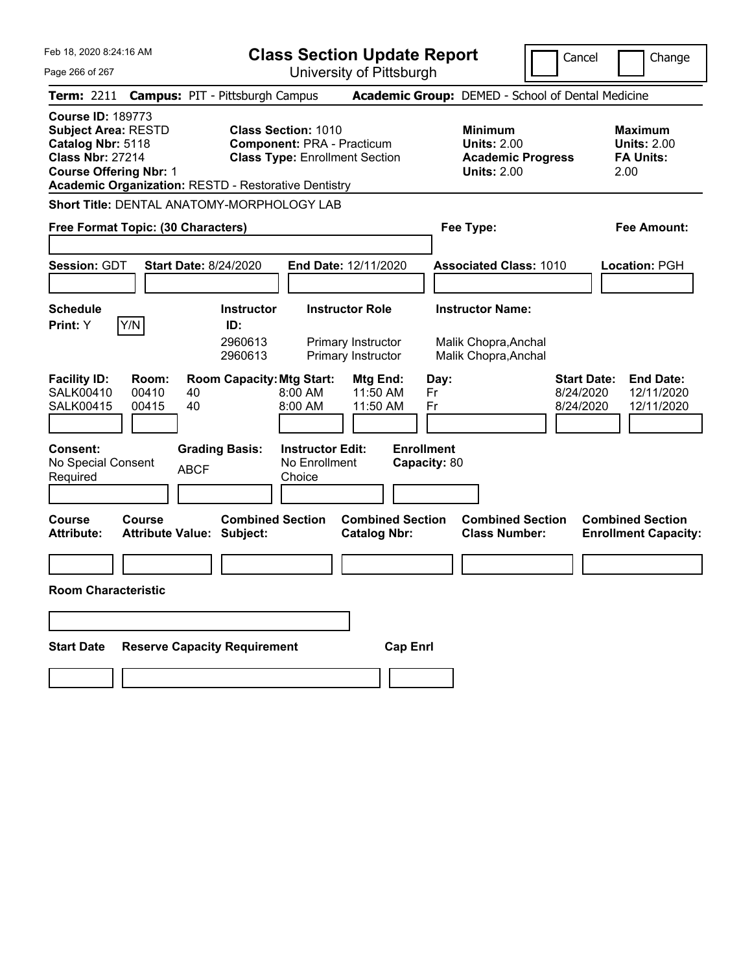Feb 18, 2020 8:24:16 AM

**Class Section Update Report**

Cancel Change

Page 266 of 267 University of Pittsburgh **Term:** 2211 **Campus:** PIT - Pittsburgh Campus **Academic Group:** DEMED - School of Dental Medicine **Course ID:** 189773 **Subject Area:** RESTD **Class Section:** 1010 **Minimum Maximum Catalog Nbr:** 5118 **Component:** PRA - Practicum **Units:** 2.00 **Units:** 2.00 **Class Nbr:** 27214 **Class Type:** Enrollment Section **Academic Progress FA Units: Course Offering Nbr: 1 Units: 2.00 2.00 Academic Organization:** RESTD - Restorative Dentistry **Short Title:** DENTAL ANATOMY-MORPHOLOGY LAB **Free Format Topic: (30 Characters) Fee Type: Fee Amount: Session:** GDT **Start Date:** 8/24/2020 **End Date:** 12/11/2020 **Associated Class:** 1010 **Location:** PGH **Schedule Instructor Instructor Role Instructor Name: Print:**  $Y$   $|Y/N|$  **ID:** 2960613 Primary Instructor Malik Chopra,Anchal 2960613 Primary Instructor Malik Chopra,Anchal **Facility ID: Room: Room Capacity:Mtg Start: Mtg End: Day: Start Date: End Date:** SALK00410 00410 40 8:00 AM 11:50 AM Fr 8/24/2020 12/11/2020 SALK00415 00415 40 8:00 AM 11:50 AM Fr 8/24/2020 12/11/2020 **Consent: Grading Basis: Instructor Edit: Enrollment** No Special Consent BCF No Enrollment<br>Required ABCF Choice **Choice Capacity:** 80 **Course Course Combined Section Combined Section Combined Section Combined Section Attribute: Attribute Value: Subject: Catalog Nbr: Class Number: Enrollment Capacity: Room Characteristic Start Date Reserve Capacity Requirement Cap Enrl**